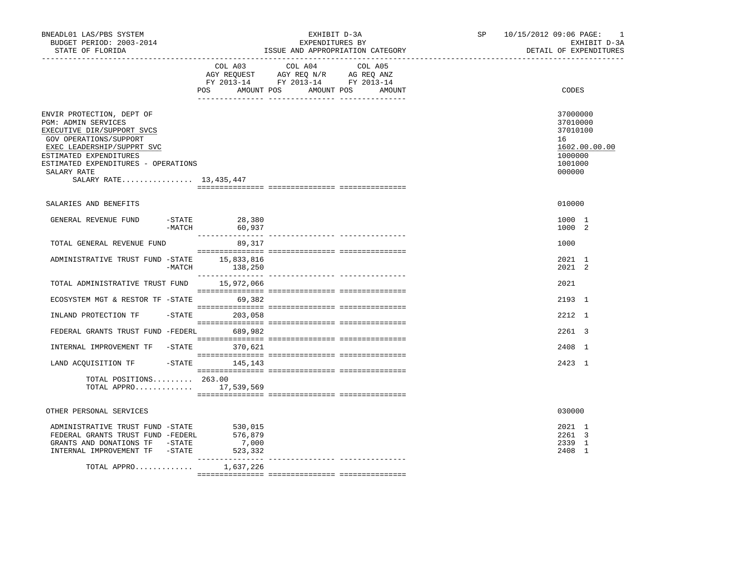| BNEADL01 LAS/PBS SYSTEM<br>BUDGET PERIOD: 2003-2014<br>STATE OF FLORIDA                                                                                                                                                                          |                                        | EXHIBIT D-3A<br>EXPENDITURES BY<br>ISSUE AND APPROPRIATION CATEGORY                                                               | SP <sub>2</sub> | 10/15/2012 09:06 PAGE: | $\overline{\phantom{0}}$<br>EXHIBIT D-3A<br>DETAIL OF EXPENDITURES                |
|--------------------------------------------------------------------------------------------------------------------------------------------------------------------------------------------------------------------------------------------------|----------------------------------------|-----------------------------------------------------------------------------------------------------------------------------------|-----------------|------------------------|-----------------------------------------------------------------------------------|
|                                                                                                                                                                                                                                                  | POS                                    | COL A03 COL A04 COL A05<br>AGY REQUEST AGY REQ N/R AG REQ ANZ<br>FY 2013-14 FY 2013-14 FY 2013-14<br>AMOUNT POS AMOUNT POS AMOUNT |                 |                        | CODES                                                                             |
| ENVIR PROTECTION, DEPT OF<br>PGM: ADMIN SERVICES<br>EXECUTIVE DIR/SUPPORT SVCS<br>GOV OPERATIONS/SUPPORT<br>EXEC LEADERSHIP/SUPPRT SVC<br>ESTIMATED EXPENDITURES<br>ESTIMATED EXPENDITURES - OPERATIONS<br>SALARY RATE<br>SALARY RATE 13,435,447 |                                        |                                                                                                                                   |                 | 16                     | 37000000<br>37010000<br>37010100<br>1602.00.00.00<br>1000000<br>1001000<br>000000 |
| SALARIES AND BENEFITS                                                                                                                                                                                                                            |                                        |                                                                                                                                   |                 |                        | 010000                                                                            |
| GENERAL REVENUE FUND<br>$-MATCH$                                                                                                                                                                                                                 | -STATE 28,380<br>60,937                |                                                                                                                                   |                 |                        | 1000 1<br>1000 2                                                                  |
| TOTAL GENERAL REVENUE FUND                                                                                                                                                                                                                       | 89,317                                 |                                                                                                                                   |                 |                        | 1000                                                                              |
| ADMINISTRATIVE TRUST FUND -STATE 15,833,816<br>-MATCH                                                                                                                                                                                            | 138,250                                |                                                                                                                                   |                 |                        | 2021 1<br>2021 2                                                                  |
| TOTAL ADMINISTRATIVE TRUST FUND 15,972,066                                                                                                                                                                                                       |                                        |                                                                                                                                   |                 |                        | 2021                                                                              |
| ECOSYSTEM MGT & RESTOR TF -STATE 69,382                                                                                                                                                                                                          |                                        |                                                                                                                                   |                 |                        | 2193 1                                                                            |
| INLAND PROTECTION TF                                                                                                                                                                                                                             | $-STATE$ 203,058                       |                                                                                                                                   |                 |                        | 2212 1                                                                            |
| FEDERAL GRANTS TRUST FUND -FEDERL 689,982                                                                                                                                                                                                        |                                        |                                                                                                                                   |                 |                        | 2261 3                                                                            |
| INTERNAL IMPROVEMENT TF -STATE 370,621                                                                                                                                                                                                           |                                        |                                                                                                                                   |                 |                        | 2408 1                                                                            |
| LAND ACQUISITION TF                                                                                                                                                                                                                              | $-$ STATE 145, 143                     |                                                                                                                                   |                 |                        | 2423 1                                                                            |
| TOTAL POSITIONS 263.00<br>TOTAL APPRO 17,539,569                                                                                                                                                                                                 |                                        |                                                                                                                                   |                 |                        |                                                                                   |
| OTHER PERSONAL SERVICES                                                                                                                                                                                                                          |                                        |                                                                                                                                   |                 |                        | 030000                                                                            |
| ADMINISTRATIVE TRUST FUND -STATE<br>FEDERAL GRANTS TRUST FUND -FEDERL<br>GRANTS AND DONATIONS TF -STATE<br>INTERNAL IMPROVEMENT TF -STATE                                                                                                        | 530,015<br>576,879<br>7,000<br>523,332 |                                                                                                                                   |                 |                        | 2021 1<br>2261 3<br>2339 1<br>2408 1                                              |
| TOTAL APPRO                                                                                                                                                                                                                                      | 1,637,226                              |                                                                                                                                   |                 |                        |                                                                                   |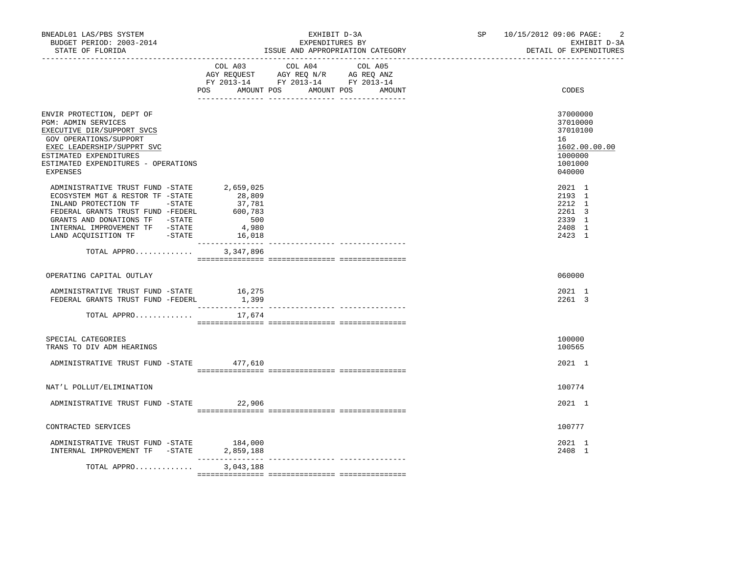| BNEADL01 LAS/PBS SYSTEM<br>BUDGET PERIOD: 2003-2014<br>STATE OF FLORIDA                                                                                                                                                                                             |                                  | EXHIBIT D-3A<br>EXPENDITURES BY<br>ISSUE AND APPROPRIATION CATEGORY                                                                   | SP 10/15/2012 09:06 PAGE:<br>-2<br>EXHIBIT D-3A<br>DETAIL OF EXPENDITURES               |
|---------------------------------------------------------------------------------------------------------------------------------------------------------------------------------------------------------------------------------------------------------------------|----------------------------------|---------------------------------------------------------------------------------------------------------------------------------------|-----------------------------------------------------------------------------------------|
|                                                                                                                                                                                                                                                                     |                                  | COL A03 COL A04 COL A05<br>AGY REQUEST AGY REQ N/R AG REQ ANZ<br>FY 2013-14 FY 2013-14 FY 2013-14<br>POS AMOUNT POS AMOUNT POS AMOUNT | CODES                                                                                   |
| ENVIR PROTECTION, DEPT OF<br>PGM: ADMIN SERVICES<br>EXECUTIVE DIR/SUPPORT SVCS<br>GOV OPERATIONS/SUPPORT<br>EXEC LEADERSHIP/SUPPRT SVC<br>ESTIMATED EXPENDITURES<br>ESTIMATED EXPENDITURES - OPERATIONS<br><b>EXPENSES</b>                                          |                                  |                                                                                                                                       | 37000000<br>37010000<br>37010100<br>16<br>1602.00.00.00<br>1000000<br>1001000<br>040000 |
| ADMINISTRATIVE TRUST FUND -STATE 2,659,025<br>ECOSYSTEM MGT & RESTOR TF -STATE<br>INLAND PROTECTION TF -STATE<br>FEDERAL GRANTS TRUST FUND -FEDERL 600,783<br>GRANTS AND DONATIONS TF -STATE<br>INTERNAL IMPROVEMENT TF -STATE<br>LAND ACQUISITION TF -STATE 16,018 | 28,809<br>37,781<br>500<br>4,980 |                                                                                                                                       | 2021 1<br>2193 1<br>2212 1<br>2261 3<br>2339 1<br>2408 1<br>2423 1                      |
| TOTAL APPRO                                                                                                                                                                                                                                                         | 3,347,896                        |                                                                                                                                       |                                                                                         |
| OPERATING CAPITAL OUTLAY                                                                                                                                                                                                                                            |                                  |                                                                                                                                       | 060000                                                                                  |
| ADMINISTRATIVE TRUST FUND -STATE<br>FEDERAL GRANTS TRUST FUND -FEDERL                                                                                                                                                                                               | 16, 275<br>1,399                 |                                                                                                                                       | 2021 1<br>2261 3                                                                        |
| TOTAL APPRO                                                                                                                                                                                                                                                         | 17,674                           |                                                                                                                                       |                                                                                         |
| SPECIAL CATEGORIES<br>TRANS TO DIV ADM HEARINGS                                                                                                                                                                                                                     |                                  |                                                                                                                                       | 100000<br>100565                                                                        |
| ADMINISTRATIVE TRUST FUND -STATE 477,610                                                                                                                                                                                                                            |                                  |                                                                                                                                       | 2021 1                                                                                  |
| NAT'L POLLUT/ELIMINATION                                                                                                                                                                                                                                            |                                  |                                                                                                                                       | 100774                                                                                  |
| ADMINISTRATIVE TRUST FUND -STATE 22,906                                                                                                                                                                                                                             |                                  |                                                                                                                                       | 2021 1                                                                                  |
| CONTRACTED SERVICES                                                                                                                                                                                                                                                 |                                  |                                                                                                                                       | 100777                                                                                  |
| ADMINISTRATIVE TRUST FUND -STATE<br>INTERNAL IMPROVEMENT TF -STATE                                                                                                                                                                                                  | 184,000<br>2,859,188             |                                                                                                                                       | 2021 1<br>2408 1                                                                        |
| TOTAL APPRO                                                                                                                                                                                                                                                         | 3,043,188                        |                                                                                                                                       |                                                                                         |
|                                                                                                                                                                                                                                                                     |                                  |                                                                                                                                       |                                                                                         |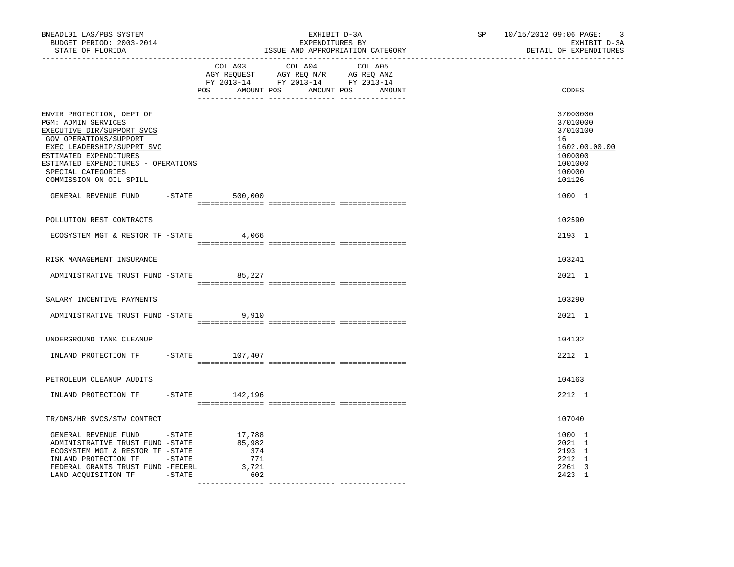| BNEADL01 LAS/PBS SYSTEM<br>BUDGET PERIOD: 2003-2014<br>STATE OF FLORIDA                                                                                                                                                                                  |                                                | EXHIBIT D-3A<br>EXPENDITURES BY<br>ISSUE AND APPROPRIATION CATEGORY                                                              | $\overline{3}$<br>SP 10/15/2012 09:06 PAGE:<br>EXHIBIT D-3A<br>DETAIL OF EXPENDITURES             |
|----------------------------------------------------------------------------------------------------------------------------------------------------------------------------------------------------------------------------------------------------------|------------------------------------------------|----------------------------------------------------------------------------------------------------------------------------------|---------------------------------------------------------------------------------------------------|
|                                                                                                                                                                                                                                                          | COL A03                                        | COL A04<br>COL A05<br>AGY REQUEST AGY REQ N/R AG REQ ANZ<br>FY 2013-14 FY 2013-14 FY 2013-14<br>POS AMOUNT POS AMOUNT POS AMOUNT | CODES                                                                                             |
| ENVIR PROTECTION, DEPT OF<br>PGM: ADMIN SERVICES<br>EXECUTIVE DIR/SUPPORT SVCS<br>GOV OPERATIONS/SUPPORT<br>EXEC LEADERSHIP/SUPPRT SVC<br>ESTIMATED EXPENDITURES<br>ESTIMATED EXPENDITURES - OPERATIONS<br>SPECIAL CATEGORIES<br>COMMISSION ON OIL SPILL |                                                |                                                                                                                                  | 37000000<br>37010000<br>37010100<br>16<br>1602.00.00.00<br>1000000<br>1001000<br>100000<br>101126 |
| GENERAL REVENUE FUND                                                                                                                                                                                                                                     | $-$ STATE 500,000                              |                                                                                                                                  | 1000 1                                                                                            |
| POLLUTION REST CONTRACTS                                                                                                                                                                                                                                 |                                                |                                                                                                                                  | 102590                                                                                            |
| ECOSYSTEM MGT & RESTOR TF - STATE 4,066                                                                                                                                                                                                                  |                                                |                                                                                                                                  | 2193 1                                                                                            |
| RISK MANAGEMENT INSURANCE                                                                                                                                                                                                                                |                                                |                                                                                                                                  | 103241                                                                                            |
| ADMINISTRATIVE TRUST FUND -STATE 85,227                                                                                                                                                                                                                  |                                                |                                                                                                                                  | 2021 1                                                                                            |
|                                                                                                                                                                                                                                                          |                                                |                                                                                                                                  |                                                                                                   |
| SALARY INCENTIVE PAYMENTS                                                                                                                                                                                                                                |                                                |                                                                                                                                  | 103290                                                                                            |
| ADMINISTRATIVE TRUST FUND -STATE                                                                                                                                                                                                                         | 9,910                                          |                                                                                                                                  | 2021 1                                                                                            |
| UNDERGROUND TANK CLEANUP                                                                                                                                                                                                                                 |                                                |                                                                                                                                  | 104132                                                                                            |
| INLAND PROTECTION TF                                                                                                                                                                                                                                     | $-STATE$ 107,407                               |                                                                                                                                  | 2212 1                                                                                            |
| PETROLEUM CLEANUP AUDITS                                                                                                                                                                                                                                 |                                                |                                                                                                                                  | 104163                                                                                            |
| INLAND PROTECTION TF                                                                                                                                                                                                                                     | $-$ STATE $142, 196$                           |                                                                                                                                  | 2212 1                                                                                            |
|                                                                                                                                                                                                                                                          |                                                |                                                                                                                                  |                                                                                                   |
| TR/DMS/HR SVCS/STW CONTRCT                                                                                                                                                                                                                               |                                                |                                                                                                                                  | 107040                                                                                            |
| GENERAL REVENUE FUND -STATE<br>ADMINISTRATIVE TRUST FUND -STATE<br>ECOSYSTEM MGT & RESTOR TF -STATE<br>INLAND PROTECTION TF -STATE<br>FEDERAL GRANTS TRUST FUND -FEDERL<br>LAND ACQUISITION TF -STATE                                                    | 17,788<br>85,982<br>374<br>771<br>3,721<br>602 |                                                                                                                                  | 1000 1<br>2021 1<br>2193 1<br>2212 1<br>2261 3<br>2423 1                                          |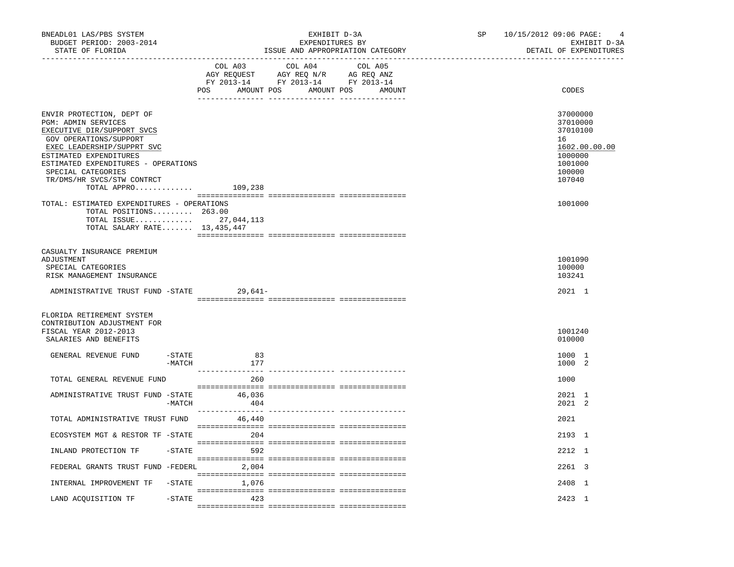| BNEADL01 LAS/PBS SYSTEM<br>BUDGET PERIOD: 2003-2014<br>STATE OF FLORIDA                                                                                                                                                                                                              |           | EXHIBIT D-3A<br>EXPENDITURES BY<br>ISSUE AND APPROPRIATION CATEGORY                                                                 | SP and the set of the set of the set of the set of the set of the set of the set of the set of the set of the set of the set of the set of the set of the set of the set of the set of the set of the set of the set of the se | $10/15/2012$ 09:06 PAGE: 4<br>EXHIBIT D-3A<br>DETAIL OF EXPENDITURES                              |
|--------------------------------------------------------------------------------------------------------------------------------------------------------------------------------------------------------------------------------------------------------------------------------------|-----------|-------------------------------------------------------------------------------------------------------------------------------------|--------------------------------------------------------------------------------------------------------------------------------------------------------------------------------------------------------------------------------|---------------------------------------------------------------------------------------------------|
|                                                                                                                                                                                                                                                                                      | COL A03   | COL A04<br>COL A05<br>AGY REQUEST AGY REQ N/R AG REQ ANZ<br>FY 2013-14 FY 2013-14 FY 2013-14<br>POS AMOUNT POS AMOUNT POS<br>AMOUNT |                                                                                                                                                                                                                                | CODES                                                                                             |
| ENVIR PROTECTION, DEPT OF<br>PGM: ADMIN SERVICES<br>EXECUTIVE DIR/SUPPORT SVCS<br>GOV OPERATIONS/SUPPORT<br>EXEC LEADERSHIP/SUPPRT SVC<br>ESTIMATED EXPENDITURES<br>ESTIMATED EXPENDITURES - OPERATIONS<br>SPECIAL CATEGORIES<br>TR/DMS/HR SVCS/STW CONTRCT<br>TOTAL APPRO $109,238$ |           |                                                                                                                                     |                                                                                                                                                                                                                                | 37000000<br>37010000<br>37010100<br>16<br>1602.00.00.00<br>1000000<br>1001000<br>100000<br>107040 |
| TOTAL: ESTIMATED EXPENDITURES - OPERATIONS<br>TOTAL POSITIONS 263.00<br>TOTAL ISSUE 27,044,113<br>TOTAL SALARY RATE $13,435,447$                                                                                                                                                     |           |                                                                                                                                     |                                                                                                                                                                                                                                | 1001000                                                                                           |
| CASUALTY INSURANCE PREMIUM<br>ADJUSTMENT<br>SPECIAL CATEGORIES<br>RISK MANAGEMENT INSURANCE                                                                                                                                                                                          |           |                                                                                                                                     |                                                                                                                                                                                                                                | 1001090<br>100000<br>103241                                                                       |
| ADMINISTRATIVE TRUST FUND -STATE 29,641-                                                                                                                                                                                                                                             |           |                                                                                                                                     |                                                                                                                                                                                                                                | 2021 1                                                                                            |
| FLORIDA RETIREMENT SYSTEM<br>CONTRIBUTION ADJUSTMENT FOR<br>FISCAL YEAR 2012-2013<br>SALARIES AND BENEFITS                                                                                                                                                                           |           |                                                                                                                                     |                                                                                                                                                                                                                                | 1001240<br>010000                                                                                 |
| $-STATE$<br>GENERAL REVENUE FUND<br>-MATCH                                                                                                                                                                                                                                           | 83<br>177 |                                                                                                                                     |                                                                                                                                                                                                                                | 1000 1<br>1000 2                                                                                  |
| TOTAL GENERAL REVENUE FUND                                                                                                                                                                                                                                                           | 260       |                                                                                                                                     |                                                                                                                                                                                                                                | 1000                                                                                              |
| ADMINISTRATIVE TRUST FUND -STATE 46,036<br>-MATCH                                                                                                                                                                                                                                    | 404       |                                                                                                                                     |                                                                                                                                                                                                                                | 2021 1<br>2021 2                                                                                  |
| TOTAL ADMINISTRATIVE TRUST FUND                                                                                                                                                                                                                                                      | 46,440    |                                                                                                                                     |                                                                                                                                                                                                                                | 2021                                                                                              |
| ECOSYSTEM MGT & RESTOR TF -STATE                                                                                                                                                                                                                                                     | 204       |                                                                                                                                     |                                                                                                                                                                                                                                | 2193 1                                                                                            |
| INLAND PROTECTION TF<br>$-$ STATE                                                                                                                                                                                                                                                    | 592       | ----------------- --------------- ----                                                                                              |                                                                                                                                                                                                                                | 2212 1                                                                                            |
| FEDERAL GRANTS TRUST FUND -FEDERL                                                                                                                                                                                                                                                    | 2,004     |                                                                                                                                     |                                                                                                                                                                                                                                | 2261 3                                                                                            |
| INTERNAL IMPROVEMENT TF<br>$-$ STATE                                                                                                                                                                                                                                                 | 1,076     |                                                                                                                                     |                                                                                                                                                                                                                                | 2408 1                                                                                            |
| LAND ACOUISITION TF<br>-STATE                                                                                                                                                                                                                                                        | 423       |                                                                                                                                     |                                                                                                                                                                                                                                | 2423 1                                                                                            |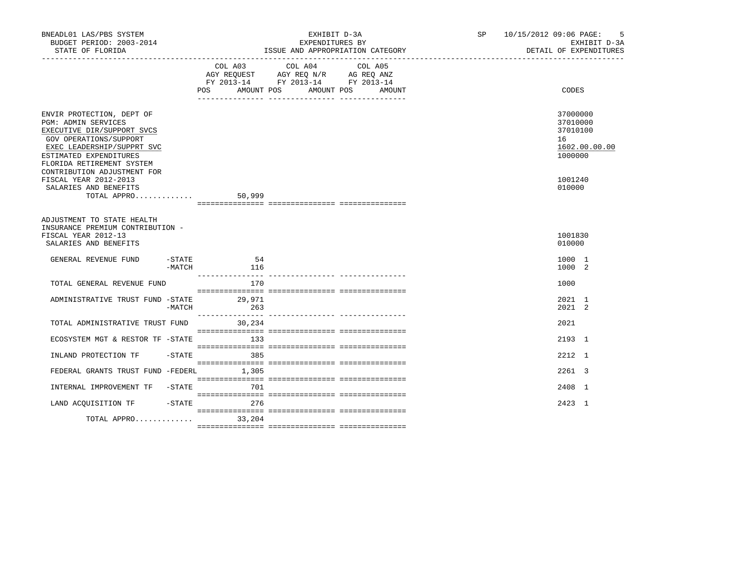| BNEADL01 LAS/PBS SYSTEM<br>BUDGET PERIOD: 2003-2014<br>STATE OF FLORIDA                                                                                                                                                                                                                       |                     |           | EXHIBIT D-3A<br>EXPENDITURES BY<br>ISSUE AND APPROPRIATION CATEGORY                                                                         |  | - 5<br>SP 10/15/2012 09:06 PAGE:<br>EXHIBIT D-3A<br>DETAIL OF EXPENDITURES              |
|-----------------------------------------------------------------------------------------------------------------------------------------------------------------------------------------------------------------------------------------------------------------------------------------------|---------------------|-----------|---------------------------------------------------------------------------------------------------------------------------------------------|--|-----------------------------------------------------------------------------------------|
|                                                                                                                                                                                                                                                                                               |                     |           | COL A03 COL A04<br>COL A05<br>AGY REQUEST AGY REQ N/R AG REQ ANZ<br>FY 2013-14 FY 2013-14 FY 2013-14<br>POS AMOUNT POS AMOUNT POS<br>AMOUNT |  | CODES                                                                                   |
| ENVIR PROTECTION, DEPT OF<br>PGM: ADMIN SERVICES<br>EXECUTIVE DIR/SUPPORT SVCS<br>GOV OPERATIONS/SUPPORT<br>EXEC LEADERSHIP/SUPPRT SVC<br>ESTIMATED EXPENDITURES<br>FLORIDA RETIREMENT SYSTEM<br>CONTRIBUTION ADJUSTMENT FOR<br>FISCAL YEAR 2012-2013<br>SALARIES AND BENEFITS<br>TOTAL APPRO |                     | 50,999    |                                                                                                                                             |  | 37000000<br>37010000<br>37010100<br>16<br>1602.00.00.00<br>1000000<br>1001240<br>010000 |
| ADJUSTMENT TO STATE HEALTH                                                                                                                                                                                                                                                                    |                     |           |                                                                                                                                             |  |                                                                                         |
| INSURANCE PREMIUM CONTRIBUTION -<br>FISCAL YEAR 2012-13<br>SALARIES AND BENEFITS                                                                                                                                                                                                              |                     |           |                                                                                                                                             |  | 1001830<br>010000                                                                       |
| GENERAL REVENUE FUND                                                                                                                                                                                                                                                                          | $-$ STATE<br>-MATCH | 54<br>116 |                                                                                                                                             |  | 1000 1<br>1000 2                                                                        |
| TOTAL GENERAL REVENUE FUND                                                                                                                                                                                                                                                                    |                     | 170       |                                                                                                                                             |  | 1000                                                                                    |
| ADMINISTRATIVE TRUST FUND -STATE 29,971                                                                                                                                                                                                                                                       | $-MATCH$            | 263       |                                                                                                                                             |  | 2021 1<br>2021 2                                                                        |
| TOTAL ADMINISTRATIVE TRUST FUND                                                                                                                                                                                                                                                               |                     | 30,234    |                                                                                                                                             |  | 2021                                                                                    |
| ECOSYSTEM MGT & RESTOR TF -STATE                                                                                                                                                                                                                                                              |                     | 133       |                                                                                                                                             |  | 2193 1                                                                                  |
| INLAND PROTECTION TF                                                                                                                                                                                                                                                                          | $-$ STATE           | 385       |                                                                                                                                             |  | 2212 1                                                                                  |
| FEDERAL GRANTS TRUST FUND -FEDERL 1,305                                                                                                                                                                                                                                                       |                     |           |                                                                                                                                             |  | 2261 3                                                                                  |
| INTERNAL IMPROVEMENT TF -STATE                                                                                                                                                                                                                                                                |                     | 701       |                                                                                                                                             |  | 2408 1                                                                                  |
| LAND ACQUISITION TF                                                                                                                                                                                                                                                                           | -STATE              | 276       |                                                                                                                                             |  | 2423 1                                                                                  |
| TOTAL APPRO 33,204                                                                                                                                                                                                                                                                            |                     |           |                                                                                                                                             |  |                                                                                         |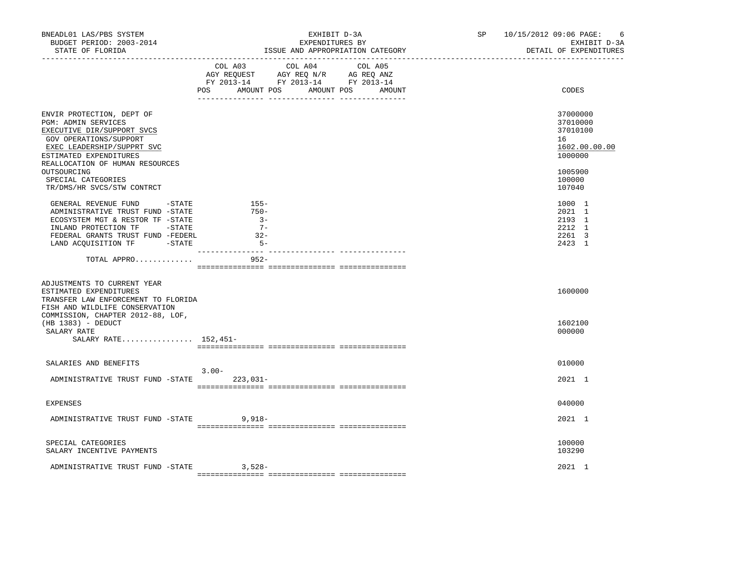| BNEADL01 LAS/PBS SYSTEM<br>BUDGET PERIOD: 2003-2014<br>STATE OF FLORIDA                                                                                                                                                                                                | EXHIBIT D-3A<br>EXPENDITURES BY<br>ISSUE AND APPROPRIATION CATEGORY                                                                      | SP 10/15/2012 09:06 PAGE:<br>EXHIBIT D-3A<br>DETAIL OF EXPENDITURES                               |
|------------------------------------------------------------------------------------------------------------------------------------------------------------------------------------------------------------------------------------------------------------------------|------------------------------------------------------------------------------------------------------------------------------------------|---------------------------------------------------------------------------------------------------|
|                                                                                                                                                                                                                                                                        | COL A03 COL A04<br>COL A05<br>AGY REQUEST AGY REQ N/R AG REQ ANZ<br>FY 2013-14 FY 2013-14 FY 2013-14<br>POS AMOUNT POS AMOUNT POS AMOUNT | CODES                                                                                             |
| ENVIR PROTECTION, DEPT OF<br>PGM: ADMIN SERVICES<br>EXECUTIVE DIR/SUPPORT SVCS<br>GOV OPERATIONS/SUPPORT<br>EXEC LEADERSHIP/SUPPRT SVC<br>ESTIMATED EXPENDITURES<br>REALLOCATION OF HUMAN RESOURCES<br>OUTSOURCING<br>SPECIAL CATEGORIES<br>TR/DMS/HR SVCS/STW CONTRCT |                                                                                                                                          | 37000000<br>37010000<br>37010100<br>16<br>1602.00.00.00<br>1000000<br>1005900<br>100000<br>107040 |
| GENERAL REVENUE FUND -STATE<br>ADMINISTRATIVE TRUST FUND -STATE<br>ECOSYSTEM MGT & RESTOR TF -STATE<br>INLAND PROTECTION TF -STATE<br>FEDERAL GRANTS TRUST FUND -FEDERL<br>LAND ACQUISITION TF -STATE<br>TOTAL APPRO                                                   | $155 -$<br>$750 -$<br>$3 -$<br>$7 -$<br>$-32-$<br>$5 -$<br>------- --------------- -----------<br>$952 -$                                | 1000 1<br>2021 1<br>2193 1<br>2212 1<br>2261 3<br>2423 1                                          |
|                                                                                                                                                                                                                                                                        |                                                                                                                                          |                                                                                                   |
| ADJUSTMENTS TO CURRENT YEAR<br>ESTIMATED EXPENDITURES<br>TRANSFER LAW ENFORCEMENT TO FLORIDA<br>FISH AND WILDLIFE CONSERVATION<br>COMMISSION, CHAPTER 2012-88, LOF,<br>$(HB 1383) - DEDUCT$<br>SALARY RATE<br>SALARY RATE 152,451-                                     |                                                                                                                                          | 1600000<br>1602100<br>000000                                                                      |
| SALARIES AND BENEFITS                                                                                                                                                                                                                                                  |                                                                                                                                          | 010000                                                                                            |
| ADMINISTRATIVE TRUST FUND -STATE 223,031-                                                                                                                                                                                                                              | $3.00 -$                                                                                                                                 | 2021 1                                                                                            |
| <b>EXPENSES</b>                                                                                                                                                                                                                                                        |                                                                                                                                          | 040000                                                                                            |
| ADMINISTRATIVE TRUST FUND -STATE 9,918-                                                                                                                                                                                                                                |                                                                                                                                          | 2021 1                                                                                            |
| SPECIAL CATEGORIES<br>SALARY INCENTIVE PAYMENTS                                                                                                                                                                                                                        |                                                                                                                                          | 100000<br>103290                                                                                  |
| ADMINISTRATIVE TRUST FUND -STATE                                                                                                                                                                                                                                       | 3,528-                                                                                                                                   | 2021 1                                                                                            |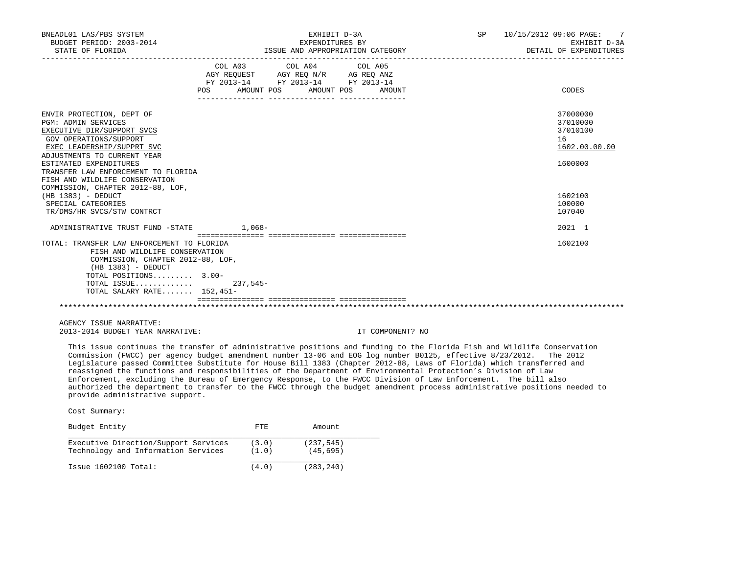| BNEADL01 LAS/PBS SYSTEM<br>BUDGET PERIOD: 2003-2014<br>STATE OF FLORIDA                                                                                                                                                                                                                                                                                                                          |                                                                               | EXHIBIT D-3A<br>EXPENDITURES BY<br>ISSUE AND APPROPRIATION CATEGORY | SP 10/15/2012 09:06 PAGE:<br>$\overline{7}$<br>EXHIBIT D-3A<br>DETAIL OF EXPENDITURES |                                                                                                   |
|--------------------------------------------------------------------------------------------------------------------------------------------------------------------------------------------------------------------------------------------------------------------------------------------------------------------------------------------------------------------------------------------------|-------------------------------------------------------------------------------|---------------------------------------------------------------------|---------------------------------------------------------------------------------------|---------------------------------------------------------------------------------------------------|
|                                                                                                                                                                                                                                                                                                                                                                                                  | AGY REQUEST AGY REQ N/R AG REQ ANZ<br>FY 2013-14 FY 2013-14 FY 2013-14<br>POS | COL A03 COL A04 COL A05<br>AMOUNT POS AMOUNT POS                    | AMOUNT                                                                                | CODES                                                                                             |
| ENVIR PROTECTION, DEPT OF<br><b>PGM: ADMIN SERVICES</b><br>EXECUTIVE DIR/SUPPORT SVCS<br>GOV OPERATIONS/SUPPORT<br>EXEC LEADERSHIP/SUPPRT SVC<br>ADJUSTMENTS TO CURRENT YEAR<br>ESTIMATED EXPENDITURES<br>TRANSFER LAW ENFORCEMENT TO FLORIDA<br>FISH AND WILDLIFE CONSERVATION<br>COMMISSION, CHAPTER 2012-88, LOF,<br>$(HB 1383) - DEDUCT$<br>SPECIAL CATEGORIES<br>TR/DMS/HR SVCS/STW CONTRCT |                                                                               |                                                                     |                                                                                       | 37000000<br>37010000<br>37010100<br>16<br>1602.00.00.00<br>1600000<br>1602100<br>100000<br>107040 |
| ADMINISTRATIVE TRUST FUND -STATE 1,068-                                                                                                                                                                                                                                                                                                                                                          |                                                                               |                                                                     |                                                                                       | 2021 1                                                                                            |
| TOTAL: TRANSFER LAW ENFORCEMENT TO FLORIDA<br>FISH AND WILDLIFE CONSERVATION<br>COMMISSION, CHAPTER 2012-88, LOF,<br>$(HB 1383) - DEDUCT$<br>TOTAL POSITIONS 3.00-<br>TOTAL ISSUE<br>TOTAL SALARY RATE $152.451-$                                                                                                                                                                                | 237,545-                                                                      |                                                                     |                                                                                       | 1602100                                                                                           |
|                                                                                                                                                                                                                                                                                                                                                                                                  |                                                                               |                                                                     |                                                                                       |                                                                                                   |

 AGENCY ISSUE NARRATIVE: 2013-2014 BUDGET YEAR NARRATIVE: IT COMPONENT? NO

 This issue continues the transfer of administrative positions and funding to the Florida Fish and Wildlife Conservation Commission (FWCC) per agency budget amendment number 13-06 and EOG log number B0125, effective 8/23/2012. The 2012 Legislature passed Committee Substitute for House Bill 1383 (Chapter 2012-88, Laws of Florida) which transferred and reassigned the functions and responsibilities of the Department of Environmental Protection's Division of Law Enforcement, excluding the Bureau of Emergency Response, to the FWCC Division of Law Enforcement. The bill also authorized the department to transfer to the FWCC through the budget amendment process administrative positions needed to provide administrative support.

| Budget Entity                        | FTE.  | Amount     |
|--------------------------------------|-------|------------|
| Executive Direction/Support Services | (3.0) | (237, 545) |
| Technology and Information Services  | (1.0) | (45, 695)  |
| $Issue$ 1602100 $Total:$             | (4.0) | (283, 240) |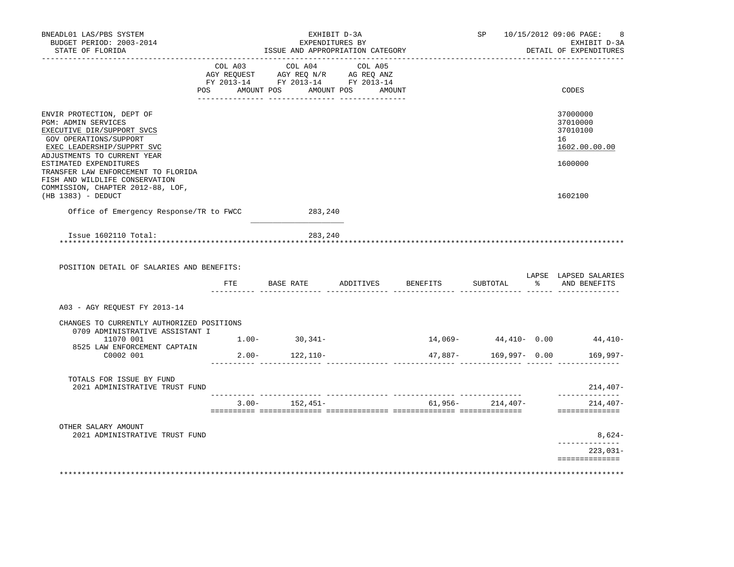| BNEADL01 LAS/PBS SYSTEM<br>BUDGET PERIOD: 2003-2014<br>STATE OF FLORIDA                                                                                               |  | ISSUE AND APPROPRIATION CATEGORY                                                                                                                           |  | SP 10/15/2012 09:06 PAGE:<br>8<br>EXHIBIT D-3A<br>DETAIL OF EXPENDITURES |          |                                                         |
|-----------------------------------------------------------------------------------------------------------------------------------------------------------------------|--|------------------------------------------------------------------------------------------------------------------------------------------------------------|--|--------------------------------------------------------------------------|----------|---------------------------------------------------------|
|                                                                                                                                                                       |  | $\begin{tabular}{lcccc} COL A03 & COL A04 & COL A05 \\ AGY REQUEST & AGY REQ N/R & AG REQ ANZ \\ FY & 2013-14 & FY & 2013-14 & FY & 2013-14 \end{tabular}$ |  |                                                                          |          |                                                         |
|                                                                                                                                                                       |  | POS AMOUNT POS AMOUNT POS AMOUNT                                                                                                                           |  |                                                                          |          | CODES                                                   |
| ENVIR PROTECTION, DEPT OF<br>PGM: ADMIN SERVICES<br>EXECUTIVE DIR/SUPPORT SVCS<br>GOV OPERATIONS/SUPPORT<br>EXEC LEADERSHIP/SUPPRT SVC<br>ADJUSTMENTS TO CURRENT YEAR |  |                                                                                                                                                            |  |                                                                          |          | 37000000<br>37010000<br>37010100<br>16<br>1602.00.00.00 |
| ESTIMATED EXPENDITURES<br>TRANSFER LAW ENFORCEMENT TO FLORIDA<br>FISH AND WILDLIFE CONSERVATION<br>COMMISSION, CHAPTER 2012-88, LOF,                                  |  |                                                                                                                                                            |  |                                                                          |          | 1600000                                                 |
| (HB 1383) - DEDUCT                                                                                                                                                    |  |                                                                                                                                                            |  |                                                                          |          | 1602100                                                 |
| Office of Emergency Response/TR to FWCC                                                                                                                               |  | 283,240                                                                                                                                                    |  |                                                                          |          |                                                         |
| Issue 1602110 Total:<br>POSITION DETAIL OF SALARIES AND BENEFITS:                                                                                                     |  | 283,240                                                                                                                                                    |  |                                                                          |          |                                                         |
|                                                                                                                                                                       |  | FTE BASE RATE ADDITIVES BENEFITS                                                                                                                           |  |                                                                          | SUBTOTAL | LAPSE LAPSED SALARIES<br>% AND BENEFITS                 |
| A03 - AGY REQUEST FY 2013-14                                                                                                                                          |  |                                                                                                                                                            |  |                                                                          |          |                                                         |
| CHANGES TO CURRENTLY AUTHORIZED POSITIONS<br>0709 ADMINISTRATIVE ASSISTANT I                                                                                          |  |                                                                                                                                                            |  |                                                                          |          |                                                         |
| 11070 001<br>8525 LAW ENFORCEMENT CAPTAIN                                                                                                                             |  | $1.00 - 30,341 -$                                                                                                                                          |  |                                                                          |          | $14,069 44,410-$ 0.00 $44,410-$                         |
| C0002 001                                                                                                                                                             |  | $2.00 - 122,110 -$                                                                                                                                         |  |                                                                          |          |                                                         |
| TOTALS FOR ISSUE BY FUND<br>2021 ADMINISTRATIVE TRUST FUND                                                                                                            |  |                                                                                                                                                            |  |                                                                          |          | $214,407-$                                              |
|                                                                                                                                                                       |  | $3.00 - 152,451 - 61,956 - 214,407 -$                                                                                                                      |  |                                                                          |          | ______________<br>214,407-<br>==============            |
| OTHER SALARY AMOUNT<br>2021 ADMINISTRATIVE TRUST FUND                                                                                                                 |  |                                                                                                                                                            |  |                                                                          |          | $8,624-$                                                |
|                                                                                                                                                                       |  |                                                                                                                                                            |  |                                                                          |          | . _ _ _ _ _ _ _ _ _ _ _ _ _<br>223,031-                 |
|                                                                                                                                                                       |  |                                                                                                                                                            |  |                                                                          |          | ==============                                          |
|                                                                                                                                                                       |  |                                                                                                                                                            |  |                                                                          |          |                                                         |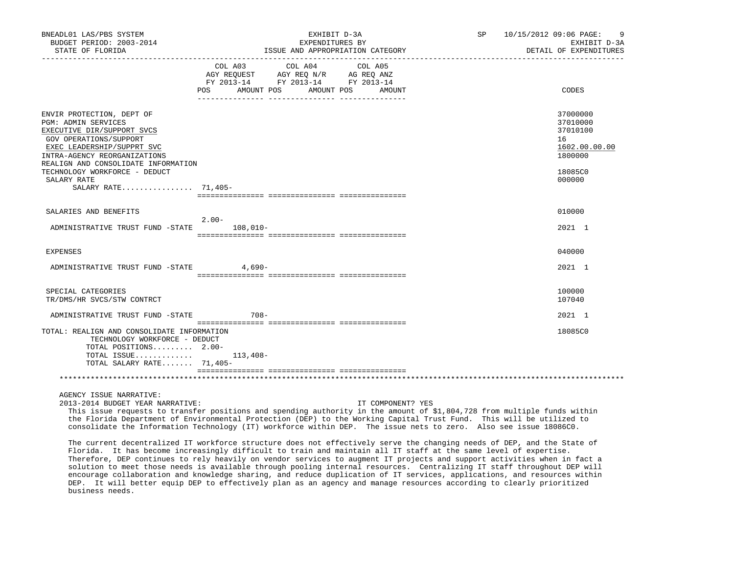| BNEADL01 LAS/PBS SYSTEM<br>BUDGET PERIOD: 2003-2014                                                                                                                                                                                                                                         |                                                                                           | EXHIBIT D-3A<br>EXPENDITURES BY                                           | SP                                                                                                                                                                                                                                                                                                                                                                                                                                                                                                                                                                                                                                                                                                                                                                                                                                                                                                                                                                                                                                                                                                                              | 10/15/2012 09:06 PAGE:<br>9<br>EXHIBIT D-3A                                             |
|---------------------------------------------------------------------------------------------------------------------------------------------------------------------------------------------------------------------------------------------------------------------------------------------|-------------------------------------------------------------------------------------------|---------------------------------------------------------------------------|---------------------------------------------------------------------------------------------------------------------------------------------------------------------------------------------------------------------------------------------------------------------------------------------------------------------------------------------------------------------------------------------------------------------------------------------------------------------------------------------------------------------------------------------------------------------------------------------------------------------------------------------------------------------------------------------------------------------------------------------------------------------------------------------------------------------------------------------------------------------------------------------------------------------------------------------------------------------------------------------------------------------------------------------------------------------------------------------------------------------------------|-----------------------------------------------------------------------------------------|
| STATE OF FLORIDA                                                                                                                                                                                                                                                                            |                                                                                           | ISSUE AND APPROPRIATION CATEGORY DENSITY DE DE AND APPROPRIATION CATEGORY |                                                                                                                                                                                                                                                                                                                                                                                                                                                                                                                                                                                                                                                                                                                                                                                                                                                                                                                                                                                                                                                                                                                                 | DETAIL OF EXPENDITURES                                                                  |
|                                                                                                                                                                                                                                                                                             | COL A03 COL A04<br>AGY REQUEST AGY REQ N/R AG REQ ANZ<br>FY 2013-14 FY 2013-14 FY 2013-14 | COL A05<br>POS AMOUNT POS AMOUNT POS AMOUNT                               |                                                                                                                                                                                                                                                                                                                                                                                                                                                                                                                                                                                                                                                                                                                                                                                                                                                                                                                                                                                                                                                                                                                                 | CODES                                                                                   |
| ENVIR PROTECTION, DEPT OF<br><b>PGM: ADMIN SERVICES</b><br>EXECUTIVE DIR/SUPPORT SVCS<br>GOV OPERATIONS/SUPPORT<br>EXEC LEADERSHIP/SUPPRT SVC<br>INTRA-AGENCY REORGANIZATIONS<br>REALIGN AND CONSOLIDATE INFORMATION<br>TECHNOLOGY WORKFORCE - DEDUCT<br>SALARY RATE<br>SALARY RATE 71,405- |                                                                                           |                                                                           |                                                                                                                                                                                                                                                                                                                                                                                                                                                                                                                                                                                                                                                                                                                                                                                                                                                                                                                                                                                                                                                                                                                                 | 37000000<br>37010000<br>37010100<br>16<br>1602.00.00.00<br>1800000<br>18085C0<br>000000 |
| SALARIES AND BENEFITS                                                                                                                                                                                                                                                                       |                                                                                           |                                                                           |                                                                                                                                                                                                                                                                                                                                                                                                                                                                                                                                                                                                                                                                                                                                                                                                                                                                                                                                                                                                                                                                                                                                 | 010000                                                                                  |
| ADMINISTRATIVE TRUST FUND -STATE 108,010-                                                                                                                                                                                                                                                   | $2.00 -$                                                                                  |                                                                           |                                                                                                                                                                                                                                                                                                                                                                                                                                                                                                                                                                                                                                                                                                                                                                                                                                                                                                                                                                                                                                                                                                                                 | 2021 1                                                                                  |
| EXPENSES                                                                                                                                                                                                                                                                                    |                                                                                           |                                                                           |                                                                                                                                                                                                                                                                                                                                                                                                                                                                                                                                                                                                                                                                                                                                                                                                                                                                                                                                                                                                                                                                                                                                 | 040000                                                                                  |
| ADMINISTRATIVE TRUST FUND -STATE 4,690-                                                                                                                                                                                                                                                     |                                                                                           |                                                                           |                                                                                                                                                                                                                                                                                                                                                                                                                                                                                                                                                                                                                                                                                                                                                                                                                                                                                                                                                                                                                                                                                                                                 | 2021 1                                                                                  |
| SPECIAL CATEGORIES<br>TR/DMS/HR SVCS/STW CONTRCT                                                                                                                                                                                                                                            |                                                                                           |                                                                           |                                                                                                                                                                                                                                                                                                                                                                                                                                                                                                                                                                                                                                                                                                                                                                                                                                                                                                                                                                                                                                                                                                                                 | 100000<br>107040                                                                        |
| ADMINISTRATIVE TRUST FUND -STATE                                                                                                                                                                                                                                                            | 708-                                                                                      |                                                                           |                                                                                                                                                                                                                                                                                                                                                                                                                                                                                                                                                                                                                                                                                                                                                                                                                                                                                                                                                                                                                                                                                                                                 | 2021 1                                                                                  |
| TOTAL: REALIGN AND CONSOLIDATE INFORMATION<br>TECHNOLOGY WORKFORCE - DEDUCT<br>TOTAL POSITIONS 2.00-<br>TOTAL ISSUE $113,408-$<br>TOTAL SALARY RATE 71,405-                                                                                                                                 |                                                                                           |                                                                           |                                                                                                                                                                                                                                                                                                                                                                                                                                                                                                                                                                                                                                                                                                                                                                                                                                                                                                                                                                                                                                                                                                                                 | 18085C0                                                                                 |
|                                                                                                                                                                                                                                                                                             |                                                                                           |                                                                           |                                                                                                                                                                                                                                                                                                                                                                                                                                                                                                                                                                                                                                                                                                                                                                                                                                                                                                                                                                                                                                                                                                                                 |                                                                                         |
| AGENCY ISSUE NARRATIVE:<br>2013-2014 BUDGET YEAR NARRATIVE:<br>business needs.                                                                                                                                                                                                              |                                                                                           | IT COMPONENT? YES                                                         | This issue requests to transfer positions and spending authority in the amount of \$1,804,728 from multiple funds within<br>the Florida Department of Environmental Protection (DEP) to the Working Capital Trust Fund. This will be utilized to<br>consolidate the Information Technology (IT) workforce within DEP. The issue nets to zero. Also see issue 18086CO.<br>The current decentralized IT workforce structure does not effectively serve the changing needs of DEP, and the State of<br>Florida. It has become increasingly difficult to train and maintain all IT staff at the same level of expertise.<br>Therefore, DEP continues to rely heavily on vendor services to augment IT projects and support activities when in fact a<br>solution to meet those needs is available through pooling internal resources. Centralizing IT staff throughout DEP will<br>encourage collaboration and knowledge sharing, and reduce duplication of IT services, applications, and resources within<br>DEP. It will better equip DEP to effectively plan as an agency and manage resources according to clearly prioritized |                                                                                         |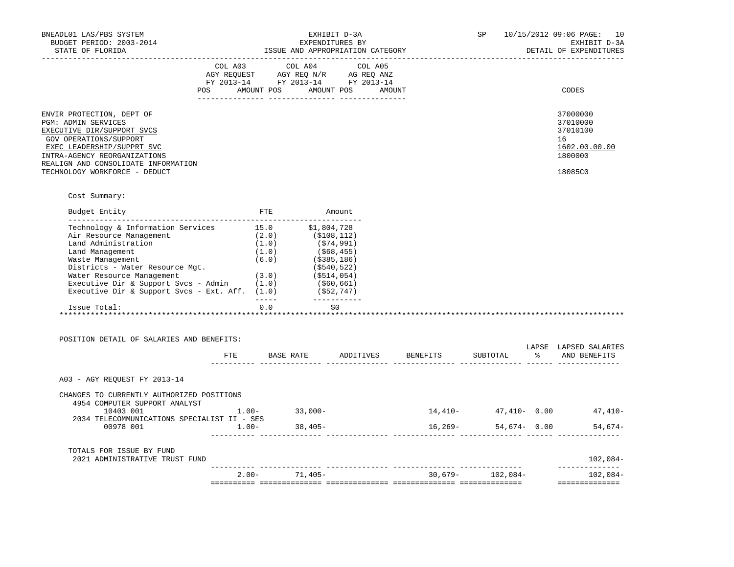| BNEADL01 LAS/PBS SYSTEM<br>BUDGET PERIOD: 2003-2014                                                                                                                                                                                                                                                                                                  |                 | EXHIBIT D-3A<br>EXPENDITURES BY  |                                                                                                            |         |  |           | SP                | 10/15/2012 09:06 PAGE: 10<br>EXHIBIT D-3A                                         |
|------------------------------------------------------------------------------------------------------------------------------------------------------------------------------------------------------------------------------------------------------------------------------------------------------------------------------------------------------|-----------------|----------------------------------|------------------------------------------------------------------------------------------------------------|---------|--|-----------|-------------------|-----------------------------------------------------------------------------------|
| STATE OF FLORIDA                                                                                                                                                                                                                                                                                                                                     |                 | ISSUE AND APPROPRIATION CATEGORY |                                                                                                            |         |  |           |                   | DETAIL OF EXPENDITURES                                                            |
|                                                                                                                                                                                                                                                                                                                                                      | COL A03 COL A04 |                                  | AGY REQUEST AGY REQ N/R AG REQ ANZ<br>FY 2013-14 FY 2013-14 FY 2013-14<br>POS AMOUNT POS AMOUNT POS AMOUNT | COL A05 |  |           |                   | CODES                                                                             |
| ENVIR PROTECTION, DEPT OF<br>PGM: ADMIN SERVICES<br>EXECUTIVE DIR/SUPPORT SVCS<br>GOV OPERATIONS/SUPPORT<br>EXEC LEADERSHIP/SUPPRT SVC<br>INTRA-AGENCY REORGANIZATIONS<br>REALIGN AND CONSOLIDATE INFORMATION<br>TECHNOLOGY WORKFORCE - DEDUCT                                                                                                       |                 |                                  |                                                                                                            |         |  |           |                   | 37000000<br>37010000<br>37010100<br>16<br>1602.00.00.00<br>1800000<br>18085C0     |
|                                                                                                                                                                                                                                                                                                                                                      |                 |                                  |                                                                                                            |         |  |           |                   |                                                                                   |
| Cost Summary:<br>Budget Entity                                                                                                                                                                                                                                                                                                                       |                 |                                  | FTE Amount                                                                                                 |         |  |           |                   |                                                                                   |
| Land Management<br>Waste Management<br>Districts - Water Resource Mgt. (\$540,522)<br>Water Resource Management (3.0) (\$514,054)<br>Executive Dir & Support Svcs - Admin (1.0) (\$60,661)<br>Executive Dir & Support Svcs - Ext. Aff. (1.0) (\$52,747)<br>Issue Total:<br>POSITION DETAIL OF SALARIES AND BENEFITS:<br>A03 - AGY REQUEST FY 2013-14 |                 |                                  | (1.0)<br>(1.0)<br>(6.0)<br>(58,455)<br>(6.0)<br>(5385,186)<br>(540,522)<br>$0.0$ \$0                       |         |  |           |                   | LAPSE LAPSED SALARIES<br>FTE BASE RATE ADDITIVES BENEFITS SUBTOTAL % AND BENEFITS |
| CHANGES TO CURRENTLY AUTHORIZED POSITIONS<br>4954 COMPUTER SUPPORT ANALYST<br>10403 001 1.00- 33,000-                                                                                                                                                                                                                                                |                 |                                  |                                                                                                            |         |  |           |                   | $14,410 47,410-$ 0.00 $47,410-$                                                   |
| 2034 TELECOMMUNICATIONS SPECIALIST II - SES<br>00978 001                                                                                                                                                                                                                                                                                             | $1.00 -$        |                                  | $38,405-$                                                                                                  |         |  | $16,269-$ |                   | 54,674 - 0.00 54,674                                                              |
| TOTALS FOR ISSUE BY FUND<br>2021 ADMINISTRATIVE TRUST FUND                                                                                                                                                                                                                                                                                           |                 |                                  |                                                                                                            |         |  |           |                   | $102,084-$                                                                        |
|                                                                                                                                                                                                                                                                                                                                                      |                 |                                  | $2.00 - 71,405 -$                                                                                          |         |  |           | $30,679-102,084-$ | --------------<br>102,084-<br>==============                                      |
|                                                                                                                                                                                                                                                                                                                                                      |                 |                                  |                                                                                                            |         |  |           |                   |                                                                                   |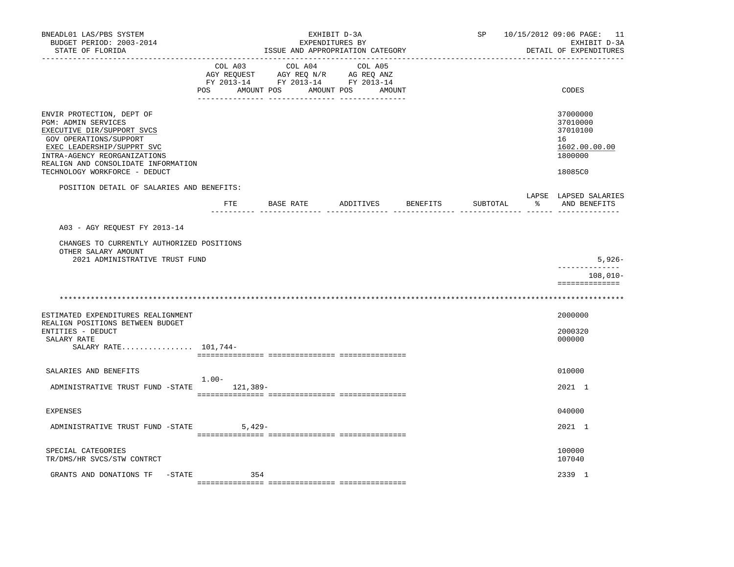| BNEADL01 LAS/PBS SYSTEM<br>BUDGET PERIOD: 2003-2014<br>STATE OF FLORIDA<br>. _ _ _ _ _ _ _ _ _ _ _ _ _ _ _                                                                                                                                     |                           | SP                                                                               |                              | 10/15/2012 09:06 PAGE: 11<br>EXHIBIT D-3A<br>DETAIL OF EXPENDITURES |          |   |                                                                               |
|------------------------------------------------------------------------------------------------------------------------------------------------------------------------------------------------------------------------------------------------|---------------------------|----------------------------------------------------------------------------------|------------------------------|---------------------------------------------------------------------|----------|---|-------------------------------------------------------------------------------|
|                                                                                                                                                                                                                                                | COL A03<br>POS AMOUNT POS | COL A04<br>NG REQUEST AGY REQ N/R AG REQ ANZ<br>FY 2013-14 FY 2013-14 FY 2013-14 | COL A05<br>AMOUNT POS AMOUNT |                                                                     |          |   | CODES                                                                         |
| ENVIR PROTECTION, DEPT OF<br>PGM: ADMIN SERVICES<br>EXECUTIVE DIR/SUPPORT SVCS<br>GOV OPERATIONS/SUPPORT<br>EXEC LEADERSHIP/SUPPRT SVC<br>INTRA-AGENCY REORGANIZATIONS<br>REALIGN AND CONSOLIDATE INFORMATION<br>TECHNOLOGY WORKFORCE - DEDUCT |                           |                                                                                  |                              |                                                                     |          |   | 37000000<br>37010000<br>37010100<br>16<br>1602.00.00.00<br>1800000<br>18085C0 |
| POSITION DETAIL OF SALARIES AND BENEFITS:                                                                                                                                                                                                      |                           |                                                                                  |                              |                                                                     |          |   |                                                                               |
|                                                                                                                                                                                                                                                |                           | FTE BASE RATE ADDITIVES                                                          |                              | BENEFITS                                                            | SUBTOTAL | ႜ | LAPSE LAPSED SALARIES<br>AND BENEFITS                                         |
| A03 - AGY REQUEST FY 2013-14<br>CHANGES TO CURRENTLY AUTHORIZED POSITIONS                                                                                                                                                                      |                           |                                                                                  |                              |                                                                     |          |   |                                                                               |
| OTHER SALARY AMOUNT<br>2021 ADMINISTRATIVE TRUST FUND                                                                                                                                                                                          |                           |                                                                                  |                              |                                                                     |          |   | $5,926-$                                                                      |
|                                                                                                                                                                                                                                                |                           |                                                                                  |                              |                                                                     |          |   | ______________                                                                |
|                                                                                                                                                                                                                                                |                           |                                                                                  |                              |                                                                     |          |   | 108,010-<br>==============                                                    |
|                                                                                                                                                                                                                                                |                           |                                                                                  |                              |                                                                     |          |   |                                                                               |
| ESTIMATED EXPENDITURES REALIGNMENT<br>REALIGN POSITIONS BETWEEN BUDGET<br>ENTITIES - DEDUCT<br>SALARY RATE                                                                                                                                     |                           |                                                                                  |                              |                                                                     |          |   | 2000000<br>2000320<br>000000                                                  |
| SALARY RATE $101,744-$                                                                                                                                                                                                                         |                           |                                                                                  |                              |                                                                     |          |   |                                                                               |
| SALARIES AND BENEFITS                                                                                                                                                                                                                          |                           |                                                                                  |                              |                                                                     |          |   | 010000                                                                        |
|                                                                                                                                                                                                                                                | $1.00-$                   |                                                                                  |                              |                                                                     |          |   |                                                                               |
| ADMINISTRATIVE TRUST FUND -STATE                                                                                                                                                                                                               |                           | 121,389-                                                                         |                              |                                                                     |          |   | 2021 1                                                                        |
| <b>EXPENSES</b>                                                                                                                                                                                                                                |                           |                                                                                  |                              |                                                                     |          |   | 040000                                                                        |
| ADMINISTRATIVE TRUST FUND -STATE                                                                                                                                                                                                               |                           | $5,429-$                                                                         |                              |                                                                     |          |   | 2021 1                                                                        |
| SPECIAL CATEGORIES<br>TR/DMS/HR SVCS/STW CONTRCT                                                                                                                                                                                               |                           |                                                                                  |                              |                                                                     |          |   | 100000<br>107040                                                              |
| GRANTS AND DONATIONS TF<br>-STATE                                                                                                                                                                                                              |                           | 354                                                                              |                              |                                                                     |          |   | 2339 1                                                                        |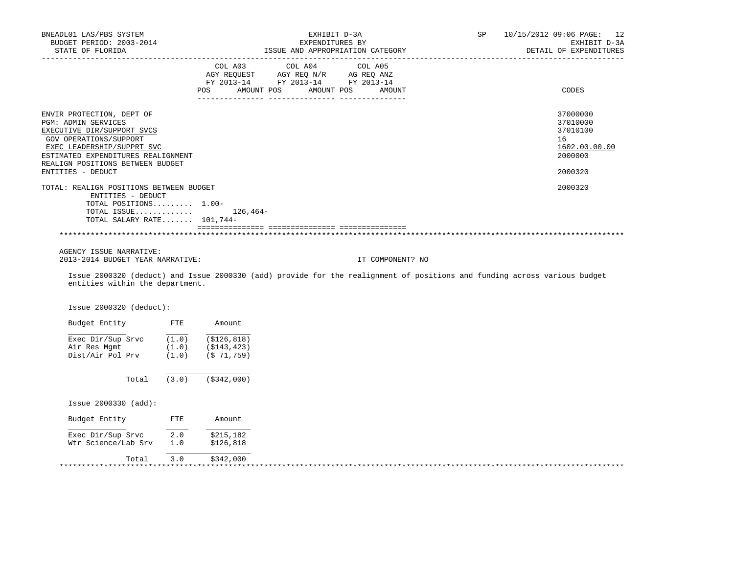| BNEADL01 LAS/PBS SYSTEM<br>BUDGET PERIOD: 2003-2014<br>STATE OF FLORIDA<br><u>_____________________</u>                                                                                                                               |                |                               | EXHIBIT D-3A<br>EXPENDITURES BY<br>ISSUE AND APPROPRIATION CATEGORY                                             |                                                                                                                           | SP | 10/15/2012 09:06 PAGE: 12<br>EXHIBIT D-3A<br>DETAIL OF EXPENDITURES           |
|---------------------------------------------------------------------------------------------------------------------------------------------------------------------------------------------------------------------------------------|----------------|-------------------------------|-----------------------------------------------------------------------------------------------------------------|---------------------------------------------------------------------------------------------------------------------------|----|-------------------------------------------------------------------------------|
|                                                                                                                                                                                                                                       |                | POS                           | COL A03 COL A04 COL A05<br>AGY REQUEST AGY REQ N/R AG REQ ANZ<br>FY 2013-14 FY 2013-14 FY 2013-14<br>AMOUNT POS | AMOUNT POS<br>AMOUNT                                                                                                      |    | CODES                                                                         |
| ENVIR PROTECTION, DEPT OF<br>PGM: ADMIN SERVICES<br>EXECUTIVE DIR/SUPPORT SVCS<br>GOV OPERATIONS/SUPPORT<br>EXEC LEADERSHIP/SUPPRT SVC<br>ESTIMATED EXPENDITURES REALIGNMENT<br>REALIGN POSITIONS BETWEEN BUDGET<br>ENTITIES - DEDUCT |                |                               |                                                                                                                 |                                                                                                                           |    | 37000000<br>37010000<br>37010100<br>16<br>1602.00.00.00<br>2000000<br>2000320 |
| TOTAL: REALIGN POSITIONS BETWEEN BUDGET<br>ENTITIES - DEDUCT<br>TOTAL POSITIONS 1.00-<br>TOTAL ISSUE<br>TOTAL SALARY RATE 101,744-                                                                                                    |                | 126,464–                      |                                                                                                                 |                                                                                                                           |    | 2000320                                                                       |
|                                                                                                                                                                                                                                       |                |                               |                                                                                                                 |                                                                                                                           |    |                                                                               |
| AGENCY ISSUE NARRATIVE:<br>2013-2014 BUDGET YEAR NARRATIVE:                                                                                                                                                                           |                |                               |                                                                                                                 | IT COMPONENT? NO                                                                                                          |    |                                                                               |
| entities within the department.                                                                                                                                                                                                       |                |                               |                                                                                                                 | Issue 2000320 (deduct) and Issue 2000330 (add) provide for the realignment of positions and funding across various budget |    |                                                                               |
| Issue 2000320 (deduct):                                                                                                                                                                                                               |                |                               |                                                                                                                 |                                                                                                                           |    |                                                                               |
| Budget Entity FTE                                                                                                                                                                                                                     |                | Amount                        |                                                                                                                 |                                                                                                                           |    |                                                                               |
| Exec Dir/Sup Srvc $(1.0)$ $(5126, 818)$<br>Air Res Mgmt<br>Dist/Air Pol Prv                                                                                                                                                           | (1.0)<br>(1.0) | ( \$143, 423)<br>$(S$ 71,759) |                                                                                                                 |                                                                                                                           |    |                                                                               |
| Total                                                                                                                                                                                                                                 | (3.0)          | ( \$342, 000)                 |                                                                                                                 |                                                                                                                           |    |                                                                               |
| Issue 2000330 (add):                                                                                                                                                                                                                  |                |                               |                                                                                                                 |                                                                                                                           |    |                                                                               |
| Budget Entity FTE                                                                                                                                                                                                                     |                | Amount                        |                                                                                                                 |                                                                                                                           |    |                                                                               |
| Exec Dir/Sup Srvc<br>Wtr Science/Lab Srv 1.0                                                                                                                                                                                          | 2.0            | \$215,182<br>\$126,818        |                                                                                                                 |                                                                                                                           |    |                                                                               |

\*\*\*\*\*\*\*\*\*\*\*\*\*\*\*\*\*\*\*\*\*\*\*\*\*\*\*\*\*\*\*\*\*\*\*\*\*\*\*\*\*\*\*\*\*\*\*\*\*\*\*\*\*\*\*\*\*\*\*\*\*\*\*\*\*\*\*\*\*\*\*\*\*\*\*\*\*\*\*\*\*\*\*\*\*\*\*\*\*\*\*\*\*\*\*\*\*\*\*\*\*\*\*\*\*\*\*\*\*\*\*\*\*\*\*\*\*\*\*\*\*\*\*\*\*\*\*

Total 3.0 \$342,000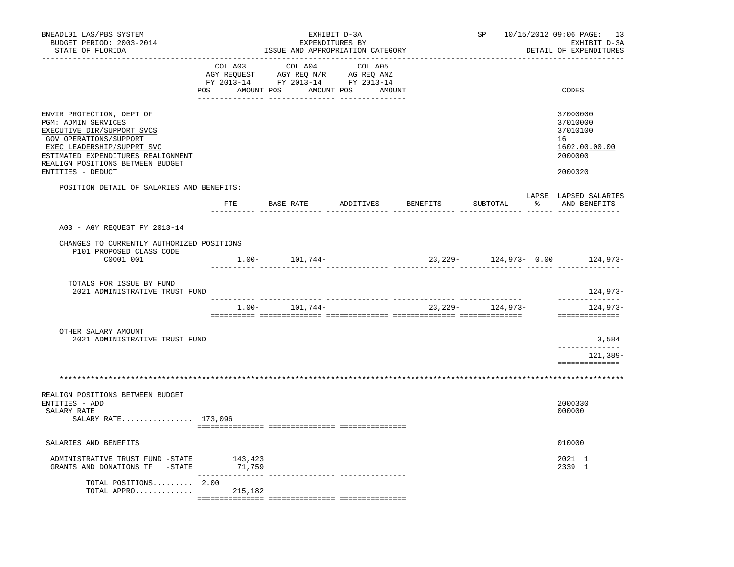| BNEADL01 LAS/PBS SYSTEM<br>BUDGET PERIOD: 2003-2014<br>STATE OF FLORIDA                                                                                                                                                               | ISSUE AND APPROPRIATION CATEGORY |                                                                                                                          | SP 10/15/2012 09:06 PAGE: 13<br>EXHIBIT D-3A<br>DETAIL OF EXPENDITURES |  |                      |                                                                               |
|---------------------------------------------------------------------------------------------------------------------------------------------------------------------------------------------------------------------------------------|----------------------------------|--------------------------------------------------------------------------------------------------------------------------|------------------------------------------------------------------------|--|----------------------|-------------------------------------------------------------------------------|
|                                                                                                                                                                                                                                       | COL A03                          | COL A04<br>CO AGY REQUEST AGY REQ N/R AG REQ ANZ<br>FY 2013-14 FY 2013-14 FY 2013-14<br>POS AMOUNT POS AMOUNT POS AMOUNT | COL A05                                                                |  |                      | CODES                                                                         |
| ENVIR PROTECTION, DEPT OF<br>PGM: ADMIN SERVICES<br>EXECUTIVE DIR/SUPPORT SVCS<br>GOV OPERATIONS/SUPPORT<br>EXEC LEADERSHIP/SUPPRT SVC<br>ESTIMATED EXPENDITURES REALIGNMENT<br>REALIGN POSITIONS BETWEEN BUDGET<br>ENTITIES - DEDUCT |                                  |                                                                                                                          |                                                                        |  |                      | 37000000<br>37010000<br>37010100<br>16<br>1602.00.00.00<br>2000000<br>2000320 |
| POSITION DETAIL OF SALARIES AND BENEFITS:                                                                                                                                                                                             |                                  | FTE BASE RATE ADDITIVES BENEFITS                                                                                         |                                                                        |  |                      | LAPSE LAPSED SALARIES<br>SUBTOTAL % AND BENEFITS                              |
| A03 - AGY REQUEST FY 2013-14                                                                                                                                                                                                          |                                  | ticilisti ticilistististi ticilistististi ticilistististi ticilistististi ticili ticilististi                            |                                                                        |  |                      |                                                                               |
| CHANGES TO CURRENTLY AUTHORIZED POSITIONS<br>P101 PROPOSED CLASS CODE<br>C0001 001                                                                                                                                                    |                                  | $1.00 - 101,744 -$                                                                                                       |                                                                        |  |                      | 23, 229 - 124, 973 - 0.00 124, 973 -                                          |
| TOTALS FOR ISSUE BY FUND<br>2021 ADMINISTRATIVE TRUST FUND                                                                                                                                                                            |                                  |                                                                                                                          |                                                                        |  |                      | 124,973-                                                                      |
|                                                                                                                                                                                                                                       |                                  | $1.00 - 101,744 -$                                                                                                       |                                                                        |  | 23, 229 - 124, 973 - | ______________<br>124,973-<br>==============                                  |
| OTHER SALARY AMOUNT<br>2021 ADMINISTRATIVE TRUST FUND                                                                                                                                                                                 |                                  |                                                                                                                          |                                                                        |  |                      | 3,584<br>-------------<br>121,389-                                            |
|                                                                                                                                                                                                                                       |                                  |                                                                                                                          |                                                                        |  |                      | ==============                                                                |
| REALIGN POSITIONS BETWEEN BUDGET<br>ENTITIES - ADD<br>SALARY RATE<br>SALARY RATE 173,096                                                                                                                                              |                                  |                                                                                                                          |                                                                        |  |                      | 2000330<br>000000                                                             |
| SALARIES AND BENEFITS                                                                                                                                                                                                                 |                                  |                                                                                                                          |                                                                        |  |                      | 010000                                                                        |
| ADMINISTRATIVE TRUST FUND -STATE 143,423<br>GRANTS AND DONATIONS TF -STATE 71,759                                                                                                                                                     |                                  |                                                                                                                          |                                                                        |  |                      | 2021 1<br>2339 1                                                              |
| TOTAL POSITIONS 2.00<br>TOTAL APPRO                                                                                                                                                                                                   | 215,182                          |                                                                                                                          |                                                                        |  |                      |                                                                               |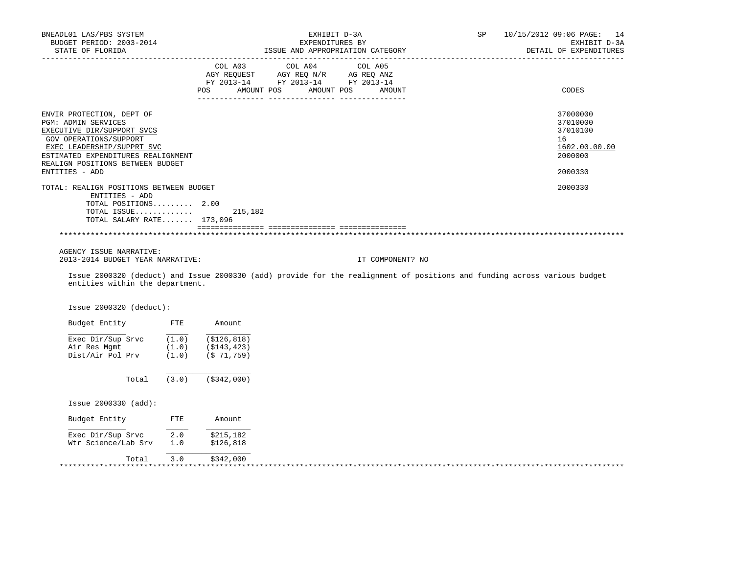| BNEADL01 LAS/PBS SYSTEM<br>BUDGET PERIOD: 2003-2014        |       | EXHIBIT D-3A<br>EXPENDITURES BY  |                                    |                                                                                                                           | SP | 10/15/2012 09:06 PAGE: 14<br>EXHIBIT D-3A |  |  |
|------------------------------------------------------------|-------|----------------------------------|------------------------------------|---------------------------------------------------------------------------------------------------------------------------|----|-------------------------------------------|--|--|
| STATE OF FLORIDA                                           |       | ISSUE AND APPROPRIATION CATEGORY |                                    |                                                                                                                           |    | DETAIL OF EXPENDITURES                    |  |  |
| ____________________                                       |       | COL A03                          | COL A04 COL A05                    |                                                                                                                           |    |                                           |  |  |
|                                                            |       |                                  | AGY REQUEST AGY REQ N/R AG REQ ANZ |                                                                                                                           |    |                                           |  |  |
|                                                            |       |                                  | FY 2013-14 FY 2013-14 FY 2013-14   |                                                                                                                           |    |                                           |  |  |
|                                                            |       | POS.                             | AMOUNT POS                         | AMOUNT POS<br>AMOUNT                                                                                                      |    | CODES                                     |  |  |
| ENVIR PROTECTION, DEPT OF                                  |       |                                  |                                    |                                                                                                                           |    | 37000000                                  |  |  |
| PGM: ADMIN SERVICES                                        |       |                                  |                                    |                                                                                                                           |    | 37010000                                  |  |  |
| EXECUTIVE DIR/SUPPORT SVCS                                 |       |                                  |                                    |                                                                                                                           |    | 37010100                                  |  |  |
| GOV OPERATIONS/SUPPORT                                     |       |                                  |                                    |                                                                                                                           |    | 16                                        |  |  |
| EXEC LEADERSHIP/SUPPRT SVC                                 |       |                                  |                                    |                                                                                                                           |    | 1602.00.00.00                             |  |  |
| ESTIMATED EXPENDITURES REALIGNMENT                         |       |                                  |                                    |                                                                                                                           |    | 2000000                                   |  |  |
| REALIGN POSITIONS BETWEEN BUDGET                           |       |                                  |                                    |                                                                                                                           |    |                                           |  |  |
| ENTITIES - ADD                                             |       |                                  |                                    |                                                                                                                           |    | 2000330                                   |  |  |
| TOTAL: REALIGN POSITIONS BETWEEN BUDGET                    |       |                                  |                                    |                                                                                                                           |    | 2000330                                   |  |  |
| ENTITIES - ADD<br>TOTAL POSITIONS 2.00                     |       |                                  |                                    |                                                                                                                           |    |                                           |  |  |
| TOTAL ISSUE                                                |       | 215,182                          |                                    |                                                                                                                           |    |                                           |  |  |
| TOTAL SALARY RATE 173,096                                  |       |                                  |                                    |                                                                                                                           |    |                                           |  |  |
|                                                            |       |                                  |                                    |                                                                                                                           |    |                                           |  |  |
|                                                            |       |                                  |                                    |                                                                                                                           |    |                                           |  |  |
| AGENCY ISSUE NARRATIVE:                                    |       |                                  |                                    |                                                                                                                           |    |                                           |  |  |
| 2013-2014 BUDGET YEAR NARRATIVE:                           |       |                                  |                                    | IT COMPONENT? NO                                                                                                          |    |                                           |  |  |
| entities within the department.                            |       |                                  |                                    | Issue 2000320 (deduct) and Issue 2000330 (add) provide for the realignment of positions and funding across various budget |    |                                           |  |  |
| Issue 2000320 (deduct):                                    |       |                                  |                                    |                                                                                                                           |    |                                           |  |  |
| Budget Entity FTE                                          |       | Amount                           |                                    |                                                                                                                           |    |                                           |  |  |
| Exec $Dir/Sup$ Srvc $\frac{}{(1.0)}$ $\frac{}{(5126,818)}$ |       |                                  |                                    |                                                                                                                           |    |                                           |  |  |
| Air Res Mgmt                                               | (1.0) | (\$143,423)                      |                                    |                                                                                                                           |    |                                           |  |  |
| Dist/Air Pol Prv                                           | (1.0) | (\$71,759)                       |                                    |                                                                                                                           |    |                                           |  |  |
| Total                                                      | (3.0) | $($ \$342,000)                   |                                    |                                                                                                                           |    |                                           |  |  |
| Issue 2000330 (add):                                       |       |                                  |                                    |                                                                                                                           |    |                                           |  |  |
| Budget Entity FTE                                          |       | Amount                           |                                    |                                                                                                                           |    |                                           |  |  |
| Exec Dir/Sup Srvc                                          | 2.0   | \$215,182                        |                                    |                                                                                                                           |    |                                           |  |  |
| Wtr Science/Lab Srv                                        | 1.0   | \$126,818                        |                                    |                                                                                                                           |    |                                           |  |  |

Total 3.0 \$342,000 \*\*\*\*\*\*\*\*\*\*\*\*\*\*\*\*\*\*\*\*\*\*\*\*\*\*\*\*\*\*\*\*\*\*\*\*\*\*\*\*\*\*\*\*\*\*\*\*\*\*\*\*\*\*\*\*\*\*\*\*\*\*\*\*\*\*\*\*\*\*\*\*\*\*\*\*\*\*\*\*\*\*\*\*\*\*\*\*\*\*\*\*\*\*\*\*\*\*\*\*\*\*\*\*\*\*\*\*\*\*\*\*\*\*\*\*\*\*\*\*\*\*\*\*\*\*\*

\_\_\_\_\_\_\_\_\_\_\_\_\_\_\_\_\_\_\_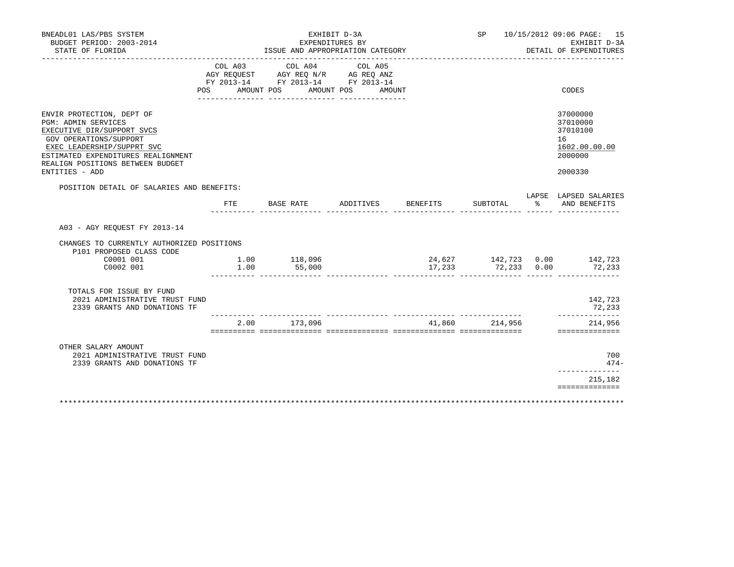| BNEADL01 LAS/PBS SYSTEM<br>BUDGET PERIOD: 2003-2014<br>STATE OF FLORIDA                                                                                                                                                            | EXHIBIT D-3A<br>EXPENDITURES BY<br>ISSUE AND APPROPRIATION CATEGORY |                                                                                                                   |           |                                    |                    | SP 10/15/2012 09:06 PAGE: 15<br>EXHIBIT D-3A<br>DETAIL OF EXPENDITURES |                                                                               |
|------------------------------------------------------------------------------------------------------------------------------------------------------------------------------------------------------------------------------------|---------------------------------------------------------------------|-------------------------------------------------------------------------------------------------------------------|-----------|------------------------------------|--------------------|------------------------------------------------------------------------|-------------------------------------------------------------------------------|
|                                                                                                                                                                                                                                    | COL A03<br>POS                                                      | COL A04<br>AGY REQUEST AGY REQ N/R AG REQ ANZ<br>FY 2013-14 FY 2013-14 FY 2013-14<br>AMOUNT POS AMOUNT POS AMOUNT | COL A05   |                                    |                    |                                                                        | CODES                                                                         |
| ENVIR PROTECTION, DEPT OF<br>PGM: ADMIN SERVICES<br>EXECUTIVE DIR/SUPPORT SVCS<br>GOV OPERATIONS/SUPPORT<br>EXEC LEADERSHIP/SUPPRT SVC<br>ESTIMATED EXPENDITURES REALIGNMENT<br>REALIGN POSITIONS BETWEEN BUDGET<br>ENTITIES - ADD |                                                                     |                                                                                                                   |           |                                    |                    |                                                                        | 37000000<br>37010000<br>37010100<br>16<br>1602.00.00.00<br>2000000<br>2000330 |
| POSITION DETAIL OF SALARIES AND BENEFITS:                                                                                                                                                                                          |                                                                     |                                                                                                                   |           |                                    |                    |                                                                        | LAPSE LAPSED SALARIES                                                         |
|                                                                                                                                                                                                                                    |                                                                     | FTE BASE RATE                                                                                                     | ADDITIVES | BENEFITS                           | SUBTOTAL           |                                                                        | % AND BENEFITS                                                                |
| A03 - AGY REQUEST FY 2013-14                                                                                                                                                                                                       |                                                                     |                                                                                                                   |           |                                    |                    |                                                                        |                                                                               |
| CHANGES TO CURRENTLY AUTHORIZED POSITIONS<br>P101 PROPOSED CLASS CODE<br>C0001 001<br>C0002 001                                                                                                                                    | 1.00                                                                | 1.00 118,096<br>55,000                                                                                            |           |                                    | 17,233 72,233 0.00 |                                                                        | 24,627 142,723 0.00 142,723<br>72,233                                         |
| TOTALS FOR ISSUE BY FUND<br>2021 ADMINISTRATIVE TRUST FUND<br>2339 GRANTS AND DONATIONS TF                                                                                                                                         |                                                                     |                                                                                                                   |           |                                    |                    |                                                                        | 142,723<br>72,233                                                             |
|                                                                                                                                                                                                                                    |                                                                     | 2.00 173,096                                                                                                      |           | __________________________________ | 41,860 214,956     |                                                                        | --------------<br>214,956<br>==============                                   |
| OTHER SALARY AMOUNT<br>2021 ADMINISTRATIVE TRUST FUND<br>2339 GRANTS AND DONATIONS TF                                                                                                                                              |                                                                     |                                                                                                                   |           |                                    |                    |                                                                        | 700<br>$474-$                                                                 |
|                                                                                                                                                                                                                                    |                                                                     |                                                                                                                   |           |                                    |                    |                                                                        | _____________<br>215,182                                                      |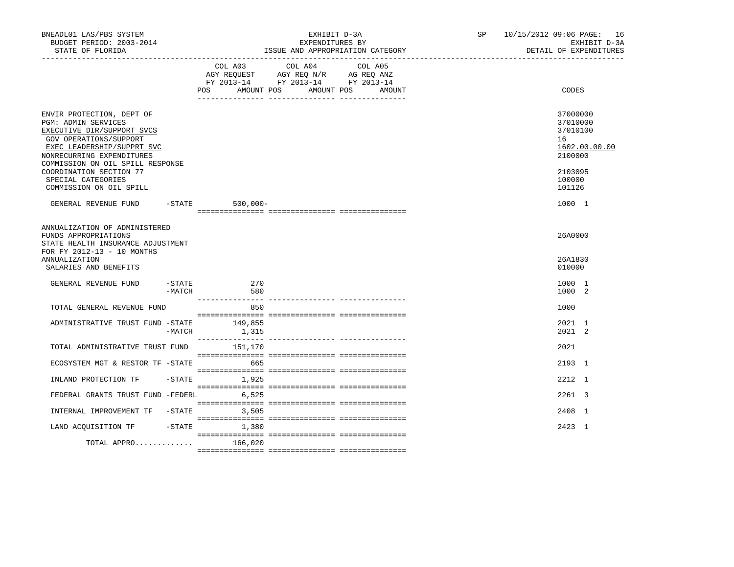| BNEADL01 LAS/PBS SYSTEM<br>BUDGET PERIOD: 2003-2014<br>STATE OF FLORIDA<br>------------------------------------                                                                                                                                                                     |          |                      | EXHIBIT D-3A<br>EXPENDITURES BY<br>ISSUE AND APPROPRIATION CATEGORY                                                        | SP and the set of the set of the set of the set of the set of the set of the set of the set of the set of the set of the set of the set of the set of the set of the set of the set of the set of the set of the set of the se | 10/15/2012 09:06 PAGE: 16<br>EXHIBIT D-3A<br>DETAIL OF EXPENDITURES |                                                                                                   |
|-------------------------------------------------------------------------------------------------------------------------------------------------------------------------------------------------------------------------------------------------------------------------------------|----------|----------------------|----------------------------------------------------------------------------------------------------------------------------|--------------------------------------------------------------------------------------------------------------------------------------------------------------------------------------------------------------------------------|---------------------------------------------------------------------|---------------------------------------------------------------------------------------------------|
|                                                                                                                                                                                                                                                                                     |          | <b>POS</b>           | COL A03 COL A04 COL A05<br>AGY REQUEST AGY REQ N/R AG REQ ANZ<br>FY 2013-14 FY 2013-14 FY 2013-14<br>AMOUNT POS AMOUNT POS | AMOUNT                                                                                                                                                                                                                         |                                                                     | CODES                                                                                             |
| ENVIR PROTECTION, DEPT OF<br>PGM: ADMIN SERVICES<br>EXECUTIVE DIR/SUPPORT SVCS<br>GOV OPERATIONS/SUPPORT<br>EXEC LEADERSHIP/SUPPRT SVC<br>NONRECURRING EXPENDITURES<br>COMMISSION ON OIL SPILL RESPONSE<br>COORDINATION SECTION 77<br>SPECIAL CATEGORIES<br>COMMISSION ON OIL SPILL |          |                      |                                                                                                                            |                                                                                                                                                                                                                                |                                                                     | 37000000<br>37010000<br>37010100<br>16<br>1602.00.00.00<br>2100000<br>2103095<br>100000<br>101126 |
| GENERAL REVENUE FUND -STATE 500,000-                                                                                                                                                                                                                                                |          |                      |                                                                                                                            |                                                                                                                                                                                                                                |                                                                     | 1000 1                                                                                            |
| ANNUALIZATION OF ADMINISTERED<br>FUNDS APPROPRIATIONS<br>STATE HEALTH INSURANCE ADJUSTMENT<br>FOR FY 2012-13 - 10 MONTHS<br><b>ANNUALIZATION</b><br>SALARIES AND BENEFITS<br>GENERAL REVENUE FUND                                                                                   | -MATCH   | $-$ STATE 270<br>580 |                                                                                                                            |                                                                                                                                                                                                                                |                                                                     | 26A0000<br>26A1830<br>010000<br>1000 1<br>1000 2                                                  |
|                                                                                                                                                                                                                                                                                     |          | 850                  |                                                                                                                            |                                                                                                                                                                                                                                |                                                                     | 1000                                                                                              |
| TOTAL GENERAL REVENUE FUND<br>ADMINISTRATIVE TRUST FUND -STATE 149,855                                                                                                                                                                                                              | $-MATCH$ | 1,315                |                                                                                                                            |                                                                                                                                                                                                                                |                                                                     | 2021 1<br>2021 2                                                                                  |
| TOTAL ADMINISTRATIVE TRUST FUND                                                                                                                                                                                                                                                     |          | 151,170              |                                                                                                                            |                                                                                                                                                                                                                                |                                                                     | 2021                                                                                              |
| ECOSYSTEM MGT & RESTOR TF -STATE                                                                                                                                                                                                                                                    |          | 665                  |                                                                                                                            |                                                                                                                                                                                                                                |                                                                     | 2193 1                                                                                            |
| INLAND PROTECTION TF                                                                                                                                                                                                                                                                |          | $-STATE$ 1,925       |                                                                                                                            |                                                                                                                                                                                                                                |                                                                     | 2212 1                                                                                            |
| FEDERAL GRANTS TRUST FUND -FEDERL                                                                                                                                                                                                                                                   |          | 6,525                |                                                                                                                            |                                                                                                                                                                                                                                |                                                                     | 2261 3                                                                                            |
| INTERNAL IMPROVEMENT TF -STATE                                                                                                                                                                                                                                                      |          | 3,505                |                                                                                                                            |                                                                                                                                                                                                                                |                                                                     | 2408 1                                                                                            |
| LAND ACQUISITION TF                                                                                                                                                                                                                                                                 |          | $-$ STATE $1,380$    |                                                                                                                            |                                                                                                                                                                                                                                |                                                                     | 2423 1                                                                                            |
| TOTAL APPRO 166,020                                                                                                                                                                                                                                                                 |          |                      |                                                                                                                            |                                                                                                                                                                                                                                |                                                                     |                                                                                                   |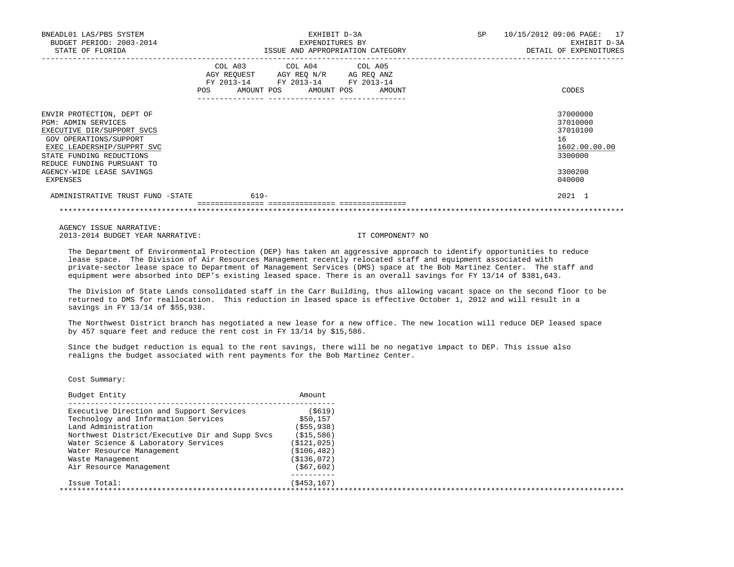| BNEADL01 LAS/PBS SYSTEM<br>BUDGET PERIOD: 2003-2014<br>STATE OF FLORIDA                                                                                                                                                                   | EXHIBIT D-3A<br>EXPENDITURES BY<br>ISSUE AND APPROPRIATION CATEGORY                                                                                                                                                                                 | SP<br>10/15/2012 09:06 PAGE: 17<br>EXHIBIT D-3A<br>DETAIL OF EXPENDITURES               |
|-------------------------------------------------------------------------------------------------------------------------------------------------------------------------------------------------------------------------------------------|-----------------------------------------------------------------------------------------------------------------------------------------------------------------------------------------------------------------------------------------------------|-----------------------------------------------------------------------------------------|
|                                                                                                                                                                                                                                           | COL A03 COL A04 COL A05<br>AGY REQUEST AGY REQ N/R AG REQ ANZ<br>FY 2013-14 FY 2013-14 FY 2013-14<br>POS FOR THE POST OF THE STATE STATE STATE STATE STATE STATE STATE STATE STATE STATE STATE STATE STATE STATE ST<br>AMOUNT POS AMOUNT POS AMOUNT | CODES                                                                                   |
| ENVIR PROTECTION, DEPT OF<br>PGM: ADMIN SERVICES<br>EXECUTIVE DIR/SUPPORT SVCS<br>GOV OPERATIONS/SUPPORT<br>EXEC LEADERSHIP/SUPPRT SVC<br>STATE FUNDING REDUCTIONS<br>REDUCE FUNDING PURSUANT TO<br>AGENCY-WIDE LEASE SAVINGS<br>EXPENSES |                                                                                                                                                                                                                                                     | 37000000<br>37010000<br>37010100<br>16<br>1602.00.00.00<br>3300000<br>3300200<br>040000 |
| ADMINISTRATIVE TRUST FUND -STATE                                                                                                                                                                                                          | $619-$                                                                                                                                                                                                                                              | 2021 1                                                                                  |

AGENCY ISSUE NARRATIVE:

2013-2014 BUDGET YEAR NARRATIVE: IT COMPONENT? NO

 The Department of Environmental Protection (DEP) has taken an aggressive approach to identify opportunities to reduce lease space. The Division of Air Resources Management recently relocated staff and equipment associated with private-sector lease space to Department of Management Services (DMS) space at the Bob Martinez Center. The staff and equipment were absorbed into DEP's existing leased space. There is an overall savings for FY 13/14 of \$381,643.

\*\*\*\*\*\*\*\*\*\*\*\*\*\*\*\*\*\*\*\*\*\*\*\*\*\*\*\*\*\*\*\*\*\*\*\*\*\*\*\*\*\*\*\*\*\*\*\*\*\*\*\*\*\*\*\*\*\*\*\*\*\*\*\*\*\*\*\*\*\*\*\*\*\*\*\*\*\*\*\*\*\*\*\*\*\*\*\*\*\*\*\*\*\*\*\*\*\*\*\*\*\*\*\*\*\*\*\*\*\*\*\*\*\*\*\*\*\*\*\*\*\*\*\*\*\*\*

 The Division of State Lands consolidated staff in the Carr Building, thus allowing vacant space on the second floor to be returned to DMS for reallocation. This reduction in leased space is effective October 1, 2012 and will result in a savings in FY 13/14 of \$55,938.

 The Northwest District branch has negotiated a new lease for a new office. The new location will reduce DEP leased space by 457 square feet and reduce the rent cost in FY 13/14 by \$15,586.

 Since the budget reduction is equal to the rent savings, there will be no negative impact to DEP. This issue also realigns the budget associated with rent payments for the Bob Martinez Center.

| Budget Entity                                  | Amount        |  |
|------------------------------------------------|---------------|--|
| Executive Direction and Support Services       | ( \$619)      |  |
| Technology and Information Services            | \$50,157      |  |
| Land Administration                            | ( \$55, 938)  |  |
| Northwest District/Executive Dir and Supp Svcs | (S15, 586)    |  |
| Water Science & Laboratory Services            | ( \$121, 025) |  |
| Water Resource Management                      | ( \$106, 482) |  |
| Waste Management                               | (S136,072)    |  |
| Air Resource Management                        | (S67, 602)    |  |
| Issue Total:                                   | (S453, 167)   |  |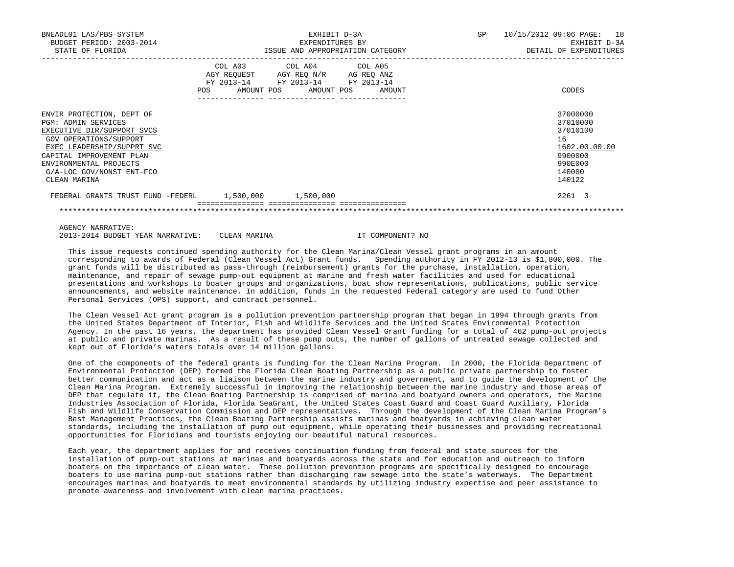| BNEADL01 LAS/PBS SYSTEM<br>BUDGET PERIOD: 2003-2014<br>STATE OF FLORIDA                                                                                                                                                                          |                              | EXHIBIT D-3A<br>EXPENDITURES BY<br>ISSUE AND APPROPRIATION CATEGORY                                                                   | 10/15/2012 09:06 PAGE: 18<br>SP<br>EXHIBIT D-3A<br>DETAIL OF EXPENDITURES |                                                                                                   |
|--------------------------------------------------------------------------------------------------------------------------------------------------------------------------------------------------------------------------------------------------|------------------------------|---------------------------------------------------------------------------------------------------------------------------------------|---------------------------------------------------------------------------|---------------------------------------------------------------------------------------------------|
|                                                                                                                                                                                                                                                  | COL A03<br>POS<br>AMOUNT POS | COL A04 COL A05<br>AGY REQUEST AGY REQ N/R AG REQ ANZ<br>FY 2013-14 FY 2013-14 FY 2013-14<br>AMOUNT POS<br>AMOUNT<br>---------------- |                                                                           | CODES                                                                                             |
| ENVIR PROTECTION, DEPT OF<br><b>PGM: ADMIN SERVICES</b><br>EXECUTIVE DIR/SUPPORT SVCS<br>GOV OPERATIONS/SUPPORT<br>EXEC LEADERSHIP/SUPPRT SVC<br>CAPITAL IMPROVEMENT PLAN<br>ENVIRONMENTAL PROJECTS<br>G/A-LOC GOV/NONST ENT-FCO<br>CLEAN MARINA |                              |                                                                                                                                       |                                                                           | 37000000<br>37010000<br>37010100<br>16<br>1602.00.00.00<br>9900000<br>990E000<br>140000<br>140122 |
| FEDERAL GRANTS TRUST FUND -FEDERL 1,500,000 1,500,000                                                                                                                                                                                            |                              |                                                                                                                                       |                                                                           | 2261 3                                                                                            |
|                                                                                                                                                                                                                                                  |                              |                                                                                                                                       |                                                                           |                                                                                                   |

AGENCY NARRATIVE:

2013-2014 BUDGET YEAR NARRATIVE: CLEAN MARINA IT COMPONENT? NO

 This issue requests continued spending authority for the Clean Marina/Clean Vessel grant programs in an amount corresponding to awards of Federal (Clean Vessel Act) Grant funds. Spending authority in FY 2012-13 is \$1,800,000. The grant funds will be distributed as pass-through (reimbursement) grants for the purchase, installation, operation, maintenance, and repair of sewage pump-out equipment at marine and fresh water facilities and used for educational presentations and workshops to boater groups and organizations, boat show representations, publications, public service announcements, and website maintenance. In addition, funds in the requested Federal category are used to fund Other Personal Services (OPS) support, and contract personnel.

 The Clean Vessel Act grant program is a pollution prevention partnership program that began in 1994 through grants from the United States Department of Interior, Fish and Wildlife Services and the United States Environmental Protection Agency. In the past 16 years, the department has provided Clean Vessel Grant funding for a total of 462 pump-out projects at public and private marinas. As a result of these pump outs, the number of gallons of untreated sewage collected and kept out of Florida's waters totals over 14 million gallons.

 One of the components of the federal grants is funding for the Clean Marina Program. In 2000, the Florida Department of Environmental Protection (DEP) formed the Florida Clean Boating Partnership as a public private partnership to foster better communication and act as a liaison between the marine industry and government, and to guide the development of the Clean Marina Program. Extremely successful in improving the relationship between the marine industry and those areas of DEP that regulate it, the Clean Boating Partnership is comprised of marina and boatyard owners and operators, the Marine Industries Association of Florida, Florida SeaGrant, the United States Coast Guard and Coast Guard Auxiliary, Florida Fish and Wildlife Conservation Commission and DEP representatives. Through the development of the Clean Marina Program's Best Management Practices, the Clean Boating Partnership assists marinas and boatyards in achieving clean water standards, including the installation of pump out equipment, while operating their businesses and providing recreational opportunities for Floridians and tourists enjoying our beautiful natural resources.

 Each year, the department applies for and receives continuation funding from federal and state sources for the installation of pump-out stations at marinas and boatyards across the state and for education and outreach to inform boaters on the importance of clean water. These pollution prevention programs are specifically designed to encourage boaters to use marina pump-out stations rather than discharging raw sewage into the state's waterways. The Department encourages marinas and boatyards to meet environmental standards by utilizing industry expertise and peer assistance to promote awareness and involvement with clean marina practices.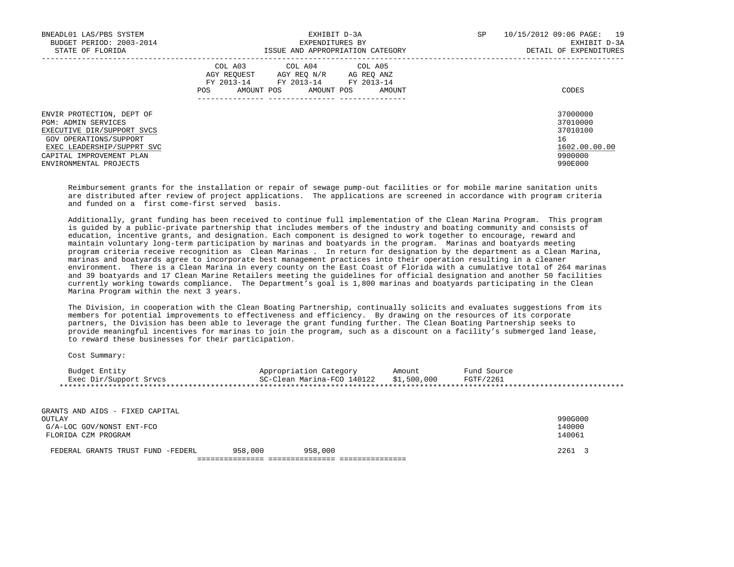| BNEADL01 LAS/PBS SYSTEM<br>BUDGET PERIOD: 2003-2014<br>STATE OF FLORIDA                                                                                                                      | EXHIBIT D-3A<br>EXPENDITURES BY<br>ISSUE AND APPROPRIATION CATEGORY                                                                                     | SP<br>10/15/2012 09:06 PAGE:<br>19<br>EXHIBIT D-3A<br>DETAIL OF EXPENDITURES  |
|----------------------------------------------------------------------------------------------------------------------------------------------------------------------------------------------|---------------------------------------------------------------------------------------------------------------------------------------------------------|-------------------------------------------------------------------------------|
|                                                                                                                                                                                              | COL A03 COL A04 COL A05<br>AGY REOUEST<br>AGY REO N/R<br>AG REO ANZ<br>FY 2013-14<br>FY 2013-14 FY 2013-14<br>AMOUNT POS<br>AMOUNT POS<br>POS<br>AMOUNT | CODES                                                                         |
| ENVIR PROTECTION, DEPT OF<br>PGM: ADMIN SERVICES<br>EXECUTIVE DIR/SUPPORT SVCS<br>GOV OPERATIONS/SUPPORT<br>EXEC LEADERSHIP/SUPPRT SVC<br>CAPITAL IMPROVEMENT PLAN<br>ENVIRONMENTAL PROJECTS |                                                                                                                                                         | 37000000<br>37010000<br>37010100<br>16<br>1602.00.00.00<br>9900000<br>990E000 |

 Reimbursement grants for the installation or repair of sewage pump-out facilities or for mobile marine sanitation units are distributed after review of project applications. The applications are screened in accordance with program criteria and funded on a first come-first served basis.

 Additionally, grant funding has been received to continue full implementation of the Clean Marina Program. This program is guided by a public-private partnership that includes members of the industry and boating community and consists of education, incentive grants, and designation. Each component is designed to work together to encourage, reward and maintain voluntary long-term participation by marinas and boatyards in the program. Marinas and boatyards meeting program criteria receive recognition as Clean Marinas . In return for designation by the department as a Clean Marina, marinas and boatyards agree to incorporate best management practices into their operation resulting in a cleaner environment. There is a Clean Marina in every county on the East Coast of Florida with a cumulative total of 264 marinas and 39 boatyards and 17 Clean Marine Retailers meeting the guidelines for official designation and another 50 facilities currently working towards compliance. The Department's goal is 1,800 marinas and boatyards participating in the Clean Marina Program within the next 3 years.

 The Division, in cooperation with the Clean Boating Partnership, continually solicits and evaluates suggestions from its members for potential improvements to effectiveness and efficiency. By drawing on the resources of its corporate partners, the Division has been able to leverage the grant funding further. The Clean Boating Partnership seeks to provide meaningful incentives for marinas to join the program, such as a discount on a facility's submerged land lease, to reward these businesses for their participation.

Cost Summary:

| Budget Entity<br>Exec Dir/Support Srvcs                                                       |         | Appropriation Category<br>SC-Clean Marina-FCO 140122 \$1,500,000 | Amount | Fund Source<br>FGTF/2261 |                             |
|-----------------------------------------------------------------------------------------------|---------|------------------------------------------------------------------|--------|--------------------------|-----------------------------|
| GRANTS AND AIDS - FIXED CAPITAL<br>OUTLAY<br>G/A-LOC GOV/NONST ENT-FCO<br>FLORIDA CZM PROGRAM |         |                                                                  |        |                          | 990G000<br>140000<br>140061 |
| FEDERAL GRANTS TRUST FUND -FEDERL                                                             | 958,000 | 958,000                                                          |        |                          | 2261                        |

=============== =============== ===============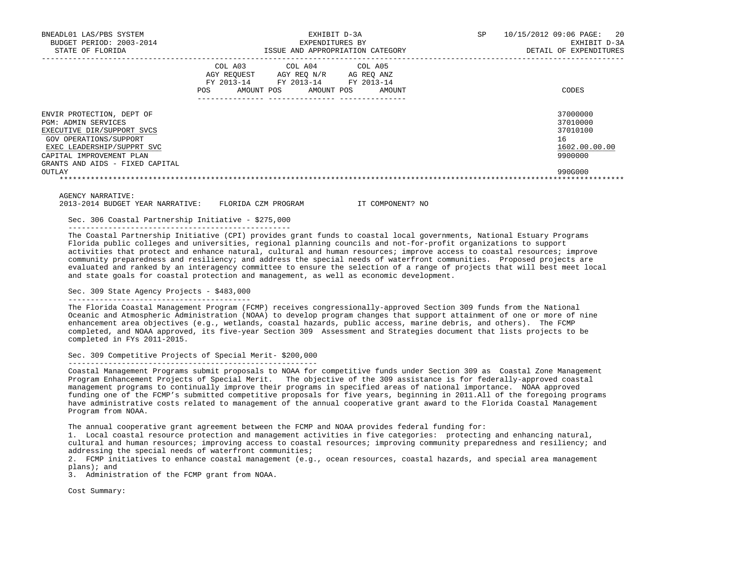| BNEADL01 LAS/PBS SYSTEM<br>BUDGET PERIOD: 2003-2014<br>STATE OF FLORIDA                                                                                                                               | EXHIBIT D-3A<br>EXPENDITURES BY<br>ISSUE AND APPROPRIATION CATEGORY |                                                                                  | 20<br><b>SP</b><br>10/15/2012 09:06 PAGE:<br>EXHIBIT D-3A<br>DETAIL OF EXPENDITURES |                                                                    |
|-------------------------------------------------------------------------------------------------------------------------------------------------------------------------------------------------------|---------------------------------------------------------------------|----------------------------------------------------------------------------------|-------------------------------------------------------------------------------------|--------------------------------------------------------------------|
|                                                                                                                                                                                                       | COL A03<br>AGY REOUEST<br>POS<br>AMOUNT POS                         | COL A04 COL A05<br>AGY REO N/R<br>FY 2013-14 FY 2013-14 FY 2013-14<br>AMOUNT POS | AG REO ANZ<br>AMOUNT                                                                | CODES                                                              |
| ENVIR PROTECTION, DEPT OF<br>PGM: ADMIN SERVICES<br>EXECUTIVE DIR/SUPPORT SVCS<br>GOV OPERATIONS/SUPPORT<br>EXEC LEADERSHIP/SUPPRT SVC<br>CAPITAL IMPROVEMENT PLAN<br>GRANTS AND AIDS - FIXED CAPITAL |                                                                     |                                                                                  |                                                                                     | 37000000<br>37010000<br>37010100<br>16<br>1602.00.00.00<br>9900000 |
| OUTLAY                                                                                                                                                                                                |                                                                     |                                                                                  |                                                                                     | 990G000                                                            |

AGENCY NARRATIVE:

2013-2014 BUDGET YEAR NARRATIVE: FLORIDA CZM PROGRAM IT COMPONENT? NO

 Sec. 306 Coastal Partnership Initiative - \$275,000 --------------------------------------------------

 The Coastal Partnership Initiative (CPI) provides grant funds to coastal local governments, National Estuary Programs Florida public colleges and universities, regional planning councils and not-for-profit organizations to support activities that protect and enhance natural, cultural and human resources; improve access to coastal resources; improve community preparedness and resiliency; and address the special needs of waterfront communities. Proposed projects are evaluated and ranked by an interagency committee to ensure the selection of a range of projects that will best meet local and state goals for coastal protection and management, as well as economic development.

## Sec. 309 State Agency Projects - \$483,000

-----------------------------------------

 The Florida Coastal Management Program (FCMP) receives congressionally-approved Section 309 funds from the National Oceanic and Atmospheric Administration (NOAA) to develop program changes that support attainment of one or more of nine enhancement area objectives (e.g., wetlands, coastal hazards, public access, marine debris, and others). The FCMP completed, and NOAA approved, its five-year Section 309 Assessment and Strategies document that lists projects to be completed in FYs 2011-2015.

 Sec. 309 Competitive Projects of Special Merit- \$200,000 --------------------------------------------------------

 Coastal Management Programs submit proposals to NOAA for competitive funds under Section 309 as Coastal Zone Management Program Enhancement Projects of Special Merit. The objective of the 309 assistance is for federally-approved coastal management programs to continually improve their programs in specified areas of national importance. NOAA approved funding one of the FCMP's submitted competitive proposals for five years, beginning in 2011.All of the foregoing programs have administrative costs related to management of the annual cooperative grant award to the Florida Coastal Management Program from NOAA.

The annual cooperative grant agreement between the FCMP and NOAA provides federal funding for:

 1. Local coastal resource protection and management activities in five categories: protecting and enhancing natural, cultural and human resources; improving access to coastal resources; improving community preparedness and resiliency; and addressing the special needs of waterfront communities;

 2. FCMP initiatives to enhance coastal management (e.g., ocean resources, coastal hazards, and special area management plans); and

3. Administration of the FCMP grant from NOAA.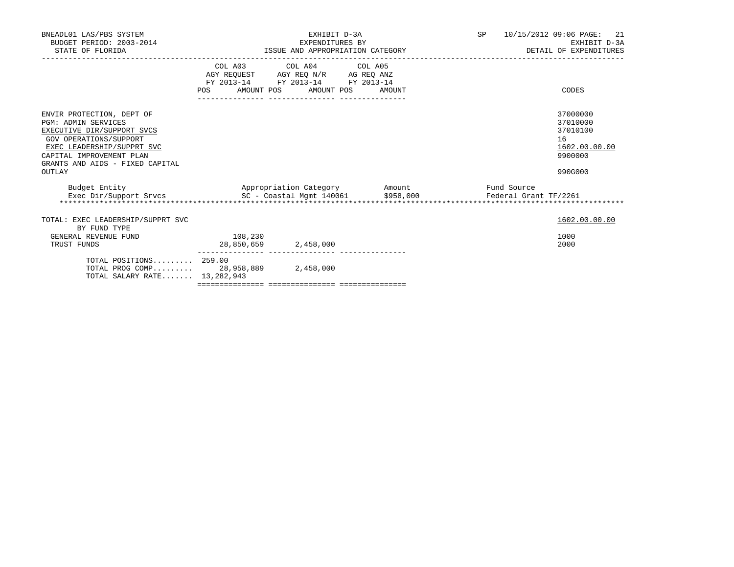| BNEADL01 LAS/PBS SYSTEM<br>BUDGET PERIOD: 2003-2014<br>STATE OF FLORIDA                                                                                                                                                   |                                                                                                                                                                                                                                 | EXHIBIT D-3A<br>EXPENDITURES BY | ISSUE AND APPROPRIATION CATEGORY | SP 10/15/2012 09:06 PAGE:<br>21<br>EXHIBIT D-3A<br>DETAIL OF EXPENDITURES |                                                                               |
|---------------------------------------------------------------------------------------------------------------------------------------------------------------------------------------------------------------------------|---------------------------------------------------------------------------------------------------------------------------------------------------------------------------------------------------------------------------------|---------------------------------|----------------------------------|---------------------------------------------------------------------------|-------------------------------------------------------------------------------|
|                                                                                                                                                                                                                           | $\begin{tabular}{lllllll} \bf AGY \,\, REQUEST \,\, &\bf AGY \,\, REQ \,\, N/R &\bf AG \,\, REQ \,\, ANZ \\ \bf FY \,\, 2013-14 &\bf FY \,\, 2013-14 &\bf FY \,\, 2013-14 \\ \end{tabular}$<br>POS AMOUNT POS AMOUNT POS AMOUNT | COL A03 COL A04 COL A05         |                                  |                                                                           | CODES                                                                         |
| ENVIR PROTECTION, DEPT OF<br><b>PGM: ADMIN SERVICES</b><br>EXECUTIVE DIR/SUPPORT SVCS<br>GOV OPERATIONS/SUPPORT<br>EXEC LEADERSHIP/SUPPRT SVC<br>CAPITAL IMPROVEMENT PLAN<br>GRANTS AND AIDS - FIXED CAPITAL<br>OUTLAY    |                                                                                                                                                                                                                                 |                                 |                                  |                                                                           | 37000000<br>37010000<br>37010100<br>16<br>1602.00.00.00<br>9900000<br>990G000 |
| Budget Entity                           Appropriation Category         Amount           Fund Source           Exec Dir/Support Srvcs               SC - Coastal Mgmt 140061       \$958,000         Federal Grant TF/2261 |                                                                                                                                                                                                                                 |                                 |                                  |                                                                           |                                                                               |
| TOTAL: EXEC LEADERSHIP/SUPPRT SVC<br>BY FUND TYPE<br>GENERAL REVENUE FUND<br>TRUST FUNDS                                                                                                                                  | 108,230<br>28,850,659 2,458,000                                                                                                                                                                                                 |                                 |                                  |                                                                           | 1602.00.00.00<br>1000<br>2000                                                 |
| TOTAL POSITIONS 259.00<br>TOTAL PROG COMP 28,958,889 2,458,000<br>TOTAL SALARY RATE 13, 282, 943                                                                                                                          |                                                                                                                                                                                                                                 |                                 |                                  |                                                                           |                                                                               |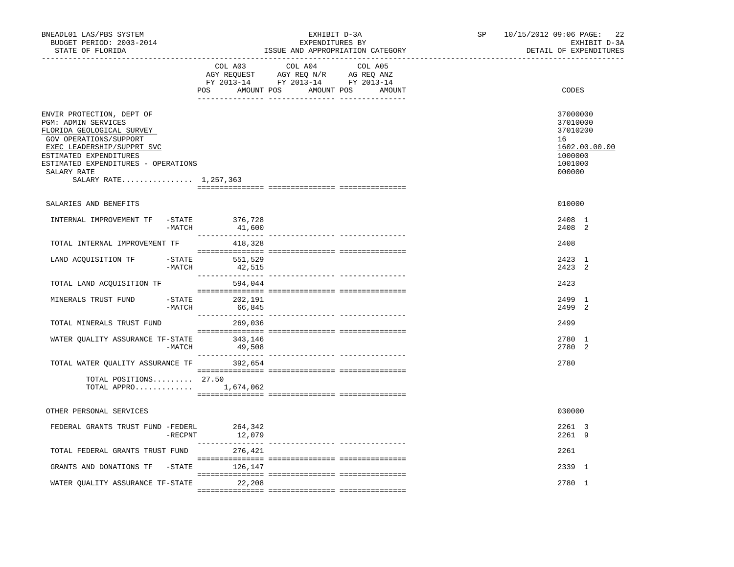| BNEADL01 LAS/PBS SYSTEM<br>BUDGET PERIOD: 2003-2014<br>STATE OF FLORIDA                                                                                                                                                                        |                   | EXHIBIT D-3A<br>EXPENDITURES BY<br>ISSUE AND APPROPRIATION CATEGORY                                                                                                                                                                                                         | SP and the set of the set of the set of the set of the set of the set of the set of the set of the set of the set of the set of the set of the set of the set of the set of the set of the set of the set of the set of the se | 22<br>10/15/2012 09:06 PAGE:<br>EXHIBIT D-3A<br>DETAIL OF EXPENDITURES                  |
|------------------------------------------------------------------------------------------------------------------------------------------------------------------------------------------------------------------------------------------------|-------------------|-----------------------------------------------------------------------------------------------------------------------------------------------------------------------------------------------------------------------------------------------------------------------------|--------------------------------------------------------------------------------------------------------------------------------------------------------------------------------------------------------------------------------|-----------------------------------------------------------------------------------------|
|                                                                                                                                                                                                                                                | COL A03<br>POS    | COL A04<br>COL A05<br>$\begin{tabular}{lllllllll} \bf{AGY} & \bf{REQUEST} & \bf{AGY} & \bf{REQ} & \bf{N/R} & \bf{AG} & \bf{REQ} & \bf{ANZ} \\ \bf{FY} & \bf{2013-14} & \bf{FY} & \bf{2013-14} & \bf{FY} & \bf{2013-14} \\ \end{tabular}$<br>AMOUNT POS AMOUNT POS<br>AMOUNT |                                                                                                                                                                                                                                | CODES                                                                                   |
| ENVIR PROTECTION, DEPT OF<br>PGM: ADMIN SERVICES<br>FLORIDA GEOLOGICAL SURVEY<br>GOV OPERATIONS/SUPPORT<br>EXEC LEADERSHIP/SUPPRT SVC<br>ESTIMATED EXPENDITURES<br>ESTIMATED EXPENDITURES - OPERATIONS<br>SALARY RATE<br>SALARY RATE 1,257,363 |                   |                                                                                                                                                                                                                                                                             |                                                                                                                                                                                                                                | 37000000<br>37010000<br>37010200<br>16<br>1602.00.00.00<br>1000000<br>1001000<br>000000 |
| SALARIES AND BENEFITS                                                                                                                                                                                                                          |                   |                                                                                                                                                                                                                                                                             |                                                                                                                                                                                                                                | 010000                                                                                  |
| INTERNAL IMPROVEMENT TF -STATE 376,728<br>$-MATCH$                                                                                                                                                                                             | 41,600            |                                                                                                                                                                                                                                                                             |                                                                                                                                                                                                                                | 2408 1<br>2408 2                                                                        |
| TOTAL INTERNAL IMPROVEMENT TF                                                                                                                                                                                                                  | 418,328           |                                                                                                                                                                                                                                                                             |                                                                                                                                                                                                                                | 2408                                                                                    |
| LAND ACQUISITION TF -STATE<br>$-MATCH$                                                                                                                                                                                                         | 551,529<br>42,515 |                                                                                                                                                                                                                                                                             |                                                                                                                                                                                                                                | 2423 1<br>$2423$ 2                                                                      |
| TOTAL LAND ACQUISITION TF                                                                                                                                                                                                                      | 594,044           |                                                                                                                                                                                                                                                                             |                                                                                                                                                                                                                                | 2423                                                                                    |
| MINERALS TRUST FUND<br>$-$ STATE<br>-MATCH                                                                                                                                                                                                     | 202,191<br>66,845 |                                                                                                                                                                                                                                                                             |                                                                                                                                                                                                                                | 2499 1<br>2499 2                                                                        |
| TOTAL MINERALS TRUST FUND                                                                                                                                                                                                                      | 269,036           |                                                                                                                                                                                                                                                                             |                                                                                                                                                                                                                                | 2499                                                                                    |
| WATER QUALITY ASSURANCE TF-STATE 343,146<br>-MATCH                                                                                                                                                                                             | 49,508            |                                                                                                                                                                                                                                                                             |                                                                                                                                                                                                                                | 2780 1<br>2780 2                                                                        |
| TOTAL WATER OUALITY ASSURANCE TF                                                                                                                                                                                                               | 392,654           |                                                                                                                                                                                                                                                                             |                                                                                                                                                                                                                                | 2780                                                                                    |
| TOTAL POSITIONS $27.50$<br>TOTAL APPRO 1,674,062                                                                                                                                                                                               |                   |                                                                                                                                                                                                                                                                             |                                                                                                                                                                                                                                |                                                                                         |
| OTHER PERSONAL SERVICES                                                                                                                                                                                                                        |                   |                                                                                                                                                                                                                                                                             |                                                                                                                                                                                                                                | 030000                                                                                  |
| FEDERAL GRANTS TRUST FUND -FEDERL<br>$-$ RECPNT                                                                                                                                                                                                | 264,342<br>12,079 |                                                                                                                                                                                                                                                                             |                                                                                                                                                                                                                                | 2261 3<br>2261 9                                                                        |
| TOTAL FEDERAL GRANTS TRUST FUND                                                                                                                                                                                                                | 276,421           |                                                                                                                                                                                                                                                                             |                                                                                                                                                                                                                                | 2261                                                                                    |
| GRANTS AND DONATIONS TF -STATE 126,147                                                                                                                                                                                                         |                   |                                                                                                                                                                                                                                                                             |                                                                                                                                                                                                                                | 2339 1                                                                                  |
| WATER QUALITY ASSURANCE TF-STATE 22,208                                                                                                                                                                                                        |                   |                                                                                                                                                                                                                                                                             |                                                                                                                                                                                                                                | 2780 1                                                                                  |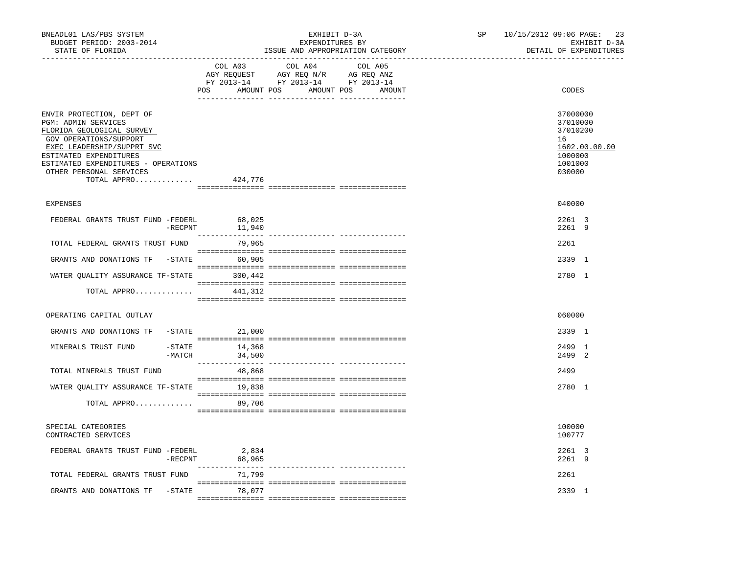| COL A04<br>COL A03<br>COL A05<br>AMOUNT POS AMOUNT POS<br>CODES<br>POS<br>AMOUNT<br>37000000<br>ENVIR PROTECTION, DEPT OF<br><b>PGM: ADMIN SERVICES</b><br>37010000<br>FLORIDA GEOLOGICAL SURVEY<br>37010200<br>GOV OPERATIONS/SUPPORT<br>16<br>EXEC LEADERSHIP/SUPPRT SVC<br>1602.00.00.00                                                                                                                                                                                                 |  |
|---------------------------------------------------------------------------------------------------------------------------------------------------------------------------------------------------------------------------------------------------------------------------------------------------------------------------------------------------------------------------------------------------------------------------------------------------------------------------------------------|--|
|                                                                                                                                                                                                                                                                                                                                                                                                                                                                                             |  |
| 1000000<br>ESTIMATED EXPENDITURES<br>ESTIMATED EXPENDITURES - OPERATIONS<br>1001000<br>OTHER PERSONAL SERVICES<br>030000<br>TOTAL APPRO<br>424,776                                                                                                                                                                                                                                                                                                                                          |  |
| 040000<br><b>EXPENSES</b>                                                                                                                                                                                                                                                                                                                                                                                                                                                                   |  |
| FEDERAL GRANTS TRUST FUND -FEDERL<br>68,025<br>2261 3<br>$-$ RECPNT<br>2261 9<br>11,940                                                                                                                                                                                                                                                                                                                                                                                                     |  |
| TOTAL FEDERAL GRANTS TRUST FUND<br>2261<br>79,965                                                                                                                                                                                                                                                                                                                                                                                                                                           |  |
| GRANTS AND DONATIONS TF<br>$-STATE$ 60,905<br>2339 1                                                                                                                                                                                                                                                                                                                                                                                                                                        |  |
| WATER QUALITY ASSURANCE TF-STATE 300,442<br>2780 1                                                                                                                                                                                                                                                                                                                                                                                                                                          |  |
| $\begin{minipage}{0.03\textwidth} \begin{tabular}{l} \textbf{1} & \textbf{2} & \textbf{3} & \textbf{5} & \textbf{5} & \textbf{6} & \textbf{6} & \textbf{7} & \textbf{8} & \textbf{8} & \textbf{9} & \textbf{9} & \textbf{9} & \textbf{9} & \textbf{9} & \textbf{9} & \textbf{9} & \textbf{9} & \textbf{9} & \textbf{9} & \textbf{9} & \textbf{9} & \textbf{9} & \textbf{9} & \textbf{9} & \textbf{9} & \textbf{9} & \textbf{9} & \$<br>TOTAL APPRO<br>441,312                               |  |
| OPERATING CAPITAL OUTLAY<br>060000                                                                                                                                                                                                                                                                                                                                                                                                                                                          |  |
| -STATE<br>2339 1<br>GRANTS AND DONATIONS TF<br>21,000                                                                                                                                                                                                                                                                                                                                                                                                                                       |  |
| $-STATE$<br>2499 1<br>MINERALS TRUST FUND<br>14,368<br>$-MATCH$<br>2499 2<br>34,500                                                                                                                                                                                                                                                                                                                                                                                                         |  |
| TOTAL MINERALS TRUST FUND<br>2499<br>48,868                                                                                                                                                                                                                                                                                                                                                                                                                                                 |  |
| WATER QUALITY ASSURANCE TF-STATE<br>19,838<br>2780 1<br>$\begin{minipage}{0.03\textwidth} \begin{tabular}{l} \textbf{1} & \textbf{2} & \textbf{3} & \textbf{5} & \textbf{5} & \textbf{6} & \textbf{6} & \textbf{7} & \textbf{8} & \textbf{8} & \textbf{9} & \textbf{9} & \textbf{9} & \textbf{9} & \textbf{9} & \textbf{9} & \textbf{9} & \textbf{9} & \textbf{9} & \textbf{9} & \textbf{9} & \textbf{9} & \textbf{9} & \textbf{9} & \textbf{9} & \textbf{9} & \textbf{9} & \textbf{9} & \$ |  |
| TOTAL APPRO<br>89,706                                                                                                                                                                                                                                                                                                                                                                                                                                                                       |  |
| 100000<br>SPECIAL CATEGORIES<br>CONTRACTED SERVICES<br>100777                                                                                                                                                                                                                                                                                                                                                                                                                               |  |
| FEDERAL GRANTS TRUST FUND -FEDERL<br>2,834<br>2261 3<br>2,834<br>68,965<br>2261 9<br>$-$ RECPNT                                                                                                                                                                                                                                                                                                                                                                                             |  |
| TOTAL FEDERAL GRANTS TRUST FUND<br>71,799<br>2261                                                                                                                                                                                                                                                                                                                                                                                                                                           |  |
| GRANTS AND DONATIONS TF -STATE<br>2339 1<br>78,077                                                                                                                                                                                                                                                                                                                                                                                                                                          |  |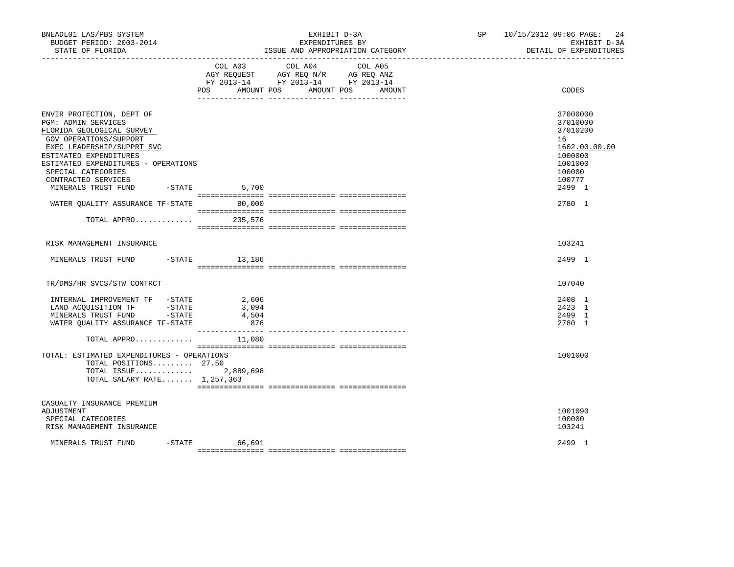| BNEADL01 LAS/PBS SYSTEM<br>BUDGET PERIOD: 2003-2014<br>STATE OF FLORIDA<br>------------------                                                                                                                                                                              |                                | EXHIBIT D-3A<br>EXPENDITURES BY<br>ISSUE AND APPROPRIATION CATEGORY                                                       | SP 10/15/2012 09:06 PAGE:<br>24<br>EXHIBIT D-3A<br>DETAIL OF EXPENDITURES                                   |
|----------------------------------------------------------------------------------------------------------------------------------------------------------------------------------------------------------------------------------------------------------------------------|--------------------------------|---------------------------------------------------------------------------------------------------------------------------|-------------------------------------------------------------------------------------------------------------|
|                                                                                                                                                                                                                                                                            | POS DO<br>AMOUNT POS           | COL A03 COL A04 COL A05<br>AGY REQUEST AGY REQ N/R AG REQ ANZ<br>FY 2013-14 FY 2013-14 FY 2013-14<br>AMOUNT POS<br>AMOUNT | CODES                                                                                                       |
| ENVIR PROTECTION, DEPT OF<br>PGM: ADMIN SERVICES<br>FLORIDA GEOLOGICAL SURVEY<br>GOV OPERATIONS/SUPPORT<br>EXEC LEADERSHIP/SUPPRT SVC<br>ESTIMATED EXPENDITURES<br>ESTIMATED EXPENDITURES - OPERATIONS<br>SPECIAL CATEGORIES<br>CONTRACTED SERVICES<br>MINERALS TRUST FUND | $-$ STATE 5,700                |                                                                                                                           | 37000000<br>37010000<br>37010200<br>16<br>1602.00.00.00<br>1000000<br>1001000<br>100000<br>100777<br>2499 1 |
| WATER QUALITY ASSURANCE TF-STATE 80,000                                                                                                                                                                                                                                    |                                |                                                                                                                           | 2780 1                                                                                                      |
| TOTAL APPRO                                                                                                                                                                                                                                                                | 235,576                        |                                                                                                                           |                                                                                                             |
| RISK MANAGEMENT INSURANCE                                                                                                                                                                                                                                                  |                                |                                                                                                                           | 103241                                                                                                      |
| MINERALS TRUST FUND -STATE 13,186                                                                                                                                                                                                                                          |                                |                                                                                                                           | 2499 1                                                                                                      |
| TR/DMS/HR SVCS/STW CONTRCT                                                                                                                                                                                                                                                 |                                |                                                                                                                           | 107040                                                                                                      |
| INTERNAL IMPROVEMENT TF -STATE<br>LAND ACQUISITION TF -STATE<br>MINERALS TRUST FUND -STATE<br>WATER OUALITY ASSURANCE TF-STATE                                                                                                                                             | 2,606<br>3,094<br>4,504<br>876 |                                                                                                                           | 2408 1<br>2423 1<br>2499 1<br>2780 1                                                                        |
| TOTAL APPRO                                                                                                                                                                                                                                                                | 11,080                         |                                                                                                                           |                                                                                                             |
| TOTAL: ESTIMATED EXPENDITURES - OPERATIONS<br>TOTAL POSITIONS 27.50<br>TOTAL ISSUE 2,889,698<br>TOTAL SALARY RATE 1,257,363                                                                                                                                                |                                |                                                                                                                           | 1001000                                                                                                     |
| CASUALTY INSURANCE PREMIUM<br>ADJUSTMENT<br>SPECIAL CATEGORIES<br>RISK MANAGEMENT INSURANCE                                                                                                                                                                                |                                |                                                                                                                           | 1001090<br>100000<br>103241                                                                                 |
| MINERALS TRUST FUND                                                                                                                                                                                                                                                        | $-STATE$ 66,691                |                                                                                                                           | 2499 1                                                                                                      |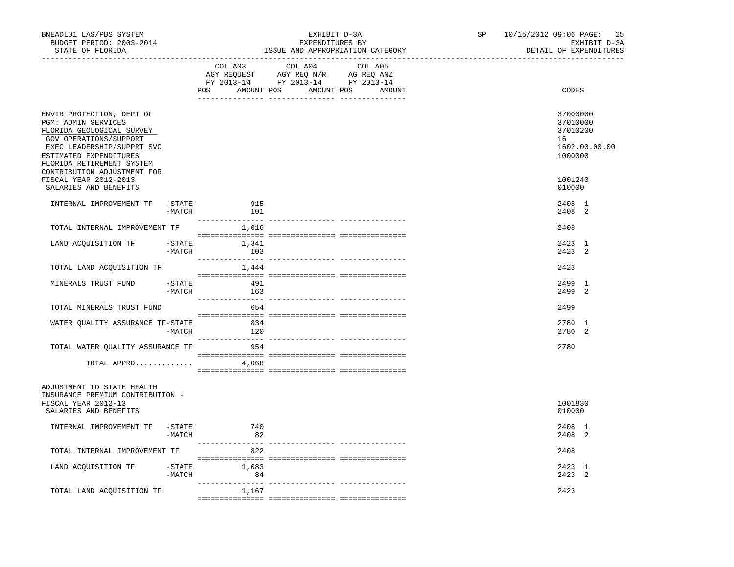| BNEADL01 LAS/PBS SYSTEM<br>BUDGET PERIOD: 2003-2014<br>STATE OF FLORIDA                                                                                                                                                                              |                       |                                             | EXHIBIT D-3A<br>EXPENDITURES BY                                                                                                                                                                                                                 | ISSUE AND APPROPRIATION CATEGORY | SP | 10/15/2012 09:06 PAGE:<br>25<br>EXHIBIT D-3A<br>DETAIL OF EXPENDITURES        |
|------------------------------------------------------------------------------------------------------------------------------------------------------------------------------------------------------------------------------------------------------|-----------------------|---------------------------------------------|-------------------------------------------------------------------------------------------------------------------------------------------------------------------------------------------------------------------------------------------------|----------------------------------|----|-------------------------------------------------------------------------------|
|                                                                                                                                                                                                                                                      |                       | COL A03<br>POS AMOUNT POS AMOUNT POS AMOUNT | COL A04<br>$\begin{tabular}{lllllll} \bf AGY \;\; RegUEST \hspace{1cm} AGY \;\; REG \;\; N/R \hspace{1cm} \bf AG \;\; REG \;\; ANZ \end{tabular}$ $\begin{tabular}{lllllllllll} \bf FY \;\; 2013-14 \hspace{1cm} FY \;\; 2013-14 \end{tabular}$ | COL A05                          |    | CODES                                                                         |
| ENVIR PROTECTION, DEPT OF<br>PGM: ADMIN SERVICES<br>FLORIDA GEOLOGICAL SURVEY<br>GOV OPERATIONS/SUPPORT<br>EXEC LEADERSHIP/SUPPRT SVC<br>ESTIMATED EXPENDITURES<br>FLORIDA RETIREMENT SYSTEM<br>CONTRIBUTION ADJUSTMENT FOR<br>FISCAL YEAR 2012-2013 |                       |                                             |                                                                                                                                                                                                                                                 |                                  |    | 37000000<br>37010000<br>37010200<br>16<br>1602.00.00.00<br>1000000<br>1001240 |
| SALARIES AND BENEFITS                                                                                                                                                                                                                                |                       |                                             |                                                                                                                                                                                                                                                 |                                  |    | 010000                                                                        |
| INTERNAL IMPROVEMENT TF                                                                                                                                                                                                                              | -STATE<br>$-MATCH$    | 915<br>101                                  |                                                                                                                                                                                                                                                 |                                  |    | 2408 1<br>2408 2                                                              |
| TOTAL INTERNAL IMPROVEMENT TF                                                                                                                                                                                                                        |                       | 1,016                                       |                                                                                                                                                                                                                                                 |                                  |    | 2408                                                                          |
| LAND ACQUISITION TF                                                                                                                                                                                                                                  | $-MATCH$              | $-$ STATE $1,341$<br>103                    |                                                                                                                                                                                                                                                 |                                  |    | 2423 1<br>2423 2                                                              |
| TOTAL LAND ACQUISITION TF                                                                                                                                                                                                                            |                       | 1,444                                       |                                                                                                                                                                                                                                                 |                                  |    | 2423                                                                          |
| MINERALS TRUST FUND                                                                                                                                                                                                                                  | $-STATE$<br>-MATCH    | 491<br>163                                  |                                                                                                                                                                                                                                                 |                                  |    | 2499 1<br>2499 2                                                              |
| TOTAL MINERALS TRUST FUND                                                                                                                                                                                                                            |                       | 654                                         |                                                                                                                                                                                                                                                 |                                  |    | 2499                                                                          |
| WATER QUALITY ASSURANCE TF-STATE                                                                                                                                                                                                                     | $-MATCH$              | 834<br>120                                  |                                                                                                                                                                                                                                                 |                                  |    | 2780 1<br>2780 2                                                              |
| TOTAL WATER QUALITY ASSURANCE TF                                                                                                                                                                                                                     |                       | 954                                         |                                                                                                                                                                                                                                                 |                                  |    | 2780                                                                          |
| TOTAL APPRO                                                                                                                                                                                                                                          |                       | 4,068                                       |                                                                                                                                                                                                                                                 |                                  |    |                                                                               |
| ADJUSTMENT TO STATE HEALTH<br>INSURANCE PREMIUM CONTRIBUTION -<br>FISCAL YEAR 2012-13<br>SALARIES AND BENEFITS                                                                                                                                       |                       |                                             |                                                                                                                                                                                                                                                 |                                  |    | 1001830<br>010000                                                             |
| INTERNAL IMPROVEMENT TF                                                                                                                                                                                                                              | $-$ STATE<br>-MATCH   | 740<br>82                                   |                                                                                                                                                                                                                                                 |                                  |    | 2408 1<br>2408 2                                                              |
| TOTAL INTERNAL IMPROVEMENT TF                                                                                                                                                                                                                        |                       | 822                                         |                                                                                                                                                                                                                                                 |                                  |    | 2408                                                                          |
| LAND ACQUISITION TF                                                                                                                                                                                                                                  | $-$ STATE<br>$-MATCH$ | 1,083<br>84                                 |                                                                                                                                                                                                                                                 |                                  |    | 2423 1<br>2423 2                                                              |
| TOTAL LAND ACQUISITION TF                                                                                                                                                                                                                            |                       | 1,167                                       |                                                                                                                                                                                                                                                 |                                  |    | 2423                                                                          |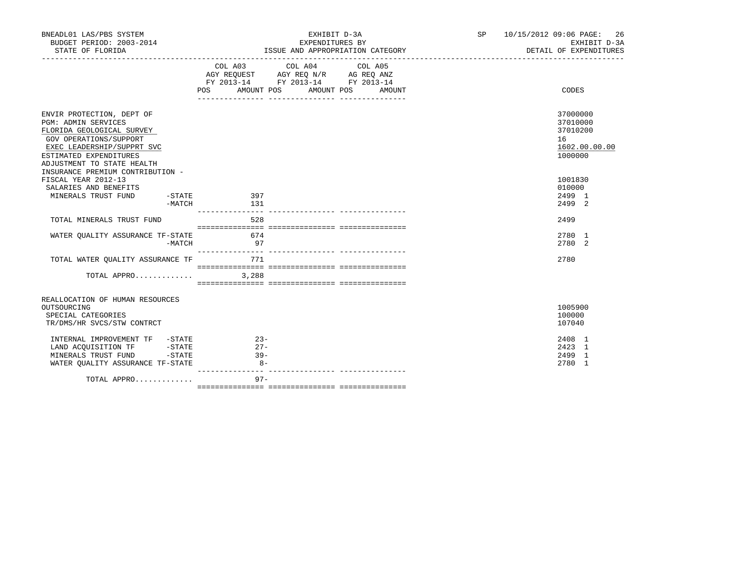| BNEADL01 LAS/PBS SYSTEM<br>BUDGET PERIOD: 2003-2014<br>STATE OF FLORIDA                                                                                                                              | EXHIBIT D-3A<br>EXPENDITURES BY<br>ISSUE AND APPROPRIATION CATEGORY                                                                                   | SP <sub>2</sub><br>10/15/2012 09:06 PAGE:<br>26<br>EXHIBIT D-3A<br>DETAIL OF EXPENDITURES |
|------------------------------------------------------------------------------------------------------------------------------------------------------------------------------------------------------|-------------------------------------------------------------------------------------------------------------------------------------------------------|-------------------------------------------------------------------------------------------|
|                                                                                                                                                                                                      | COL A03 COL A04 COL A05<br>AGY REQUEST AGY REQ N/R AG REQ ANZ<br>FY 2013-14 FY 2013-14 FY 2013-14<br><b>POS</b><br>AMOUNT POS<br>AMOUNT POS<br>AMOUNT | CODES                                                                                     |
|                                                                                                                                                                                                      |                                                                                                                                                       |                                                                                           |
| ENVIR PROTECTION, DEPT OF<br><b>PGM: ADMIN SERVICES</b><br>FLORIDA GEOLOGICAL SURVEY<br>GOV OPERATIONS/SUPPORT<br>EXEC LEADERSHIP/SUPPRT SVC<br>ESTIMATED EXPENDITURES<br>ADJUSTMENT TO STATE HEALTH |                                                                                                                                                       | 37000000<br>37010000<br>37010200<br>16<br>1602.00.00.00<br>1000000                        |
| INSURANCE PREMIUM CONTRIBUTION -<br>FISCAL YEAR 2012-13<br>SALARIES AND BENEFITS<br>MINERALS TRUST FUND<br>-MATCH                                                                                    | $-STATE$ 397<br>131                                                                                                                                   | 1001830<br>010000<br>2499 1<br>2499 2                                                     |
|                                                                                                                                                                                                      | _______________                                                                                                                                       |                                                                                           |
| TOTAL MINERALS TRUST FUND                                                                                                                                                                            | 528                                                                                                                                                   | 2499                                                                                      |
| WATER OUALITY ASSURANCE TF-STATE<br>$-MATCH$                                                                                                                                                         | 674<br>97                                                                                                                                             | 2780 1<br>2780 2                                                                          |
| TOTAL WATER OUALITY ASSURANCE TF                                                                                                                                                                     | 771                                                                                                                                                   | 2780                                                                                      |
| TOTAL APPRO                                                                                                                                                                                          | 3,288                                                                                                                                                 |                                                                                           |
| REALLOCATION OF HUMAN RESOURCES                                                                                                                                                                      |                                                                                                                                                       |                                                                                           |
| OUTSOURCING<br>SPECIAL CATEGORIES<br>TR/DMS/HR SVCS/STW CONTRCT                                                                                                                                      |                                                                                                                                                       | 1005900<br>100000<br>107040                                                               |
| INTERNAL IMPROVEMENT TF -STATE<br>LAND ACOUISITION TF -STATE<br>$-STATE$<br>MINERALS TRUST FUND<br>WATER OUALITY ASSURANCE TF-STATE                                                                  | $23 -$<br>$27 -$<br>$39 -$<br>$8 -$                                                                                                                   | 2408 1<br>2423 1<br>2499 1<br>2780 1                                                      |
| TOTAL APPRO                                                                                                                                                                                          | $97 -$                                                                                                                                                |                                                                                           |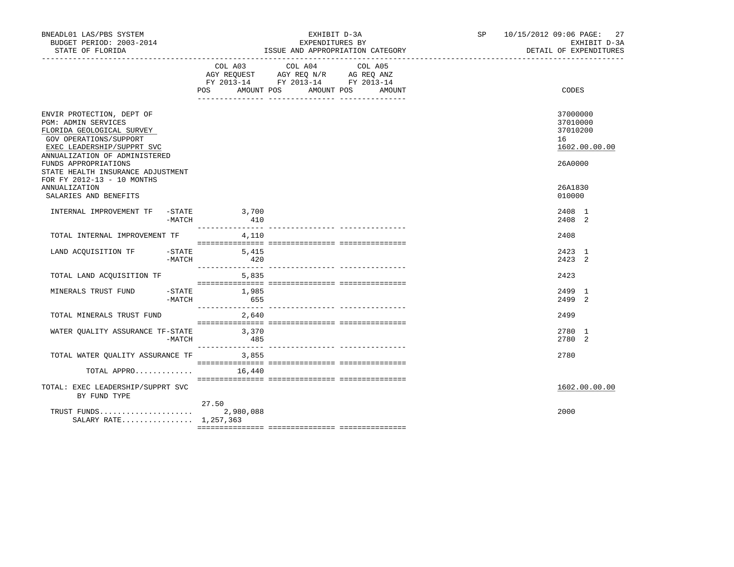| BNEADL01 LAS/PBS SYSTEM<br>BUDGET PERIOD: 2003-2014<br>STATE OF FLORIDA                                                                                                                               |                    | EXHIBIT D-3A<br>EXPENDITURES BY<br>ISSUE AND APPROPRIATION CATEGORY                                                                         | SP 10/15/2012 09:06 PAGE: 27<br>EXHIBIT D-3A<br>DETAIL OF EXPENDITURES |
|-------------------------------------------------------------------------------------------------------------------------------------------------------------------------------------------------------|--------------------|---------------------------------------------------------------------------------------------------------------------------------------------|------------------------------------------------------------------------|
|                                                                                                                                                                                                       |                    | COL A03 COL A04<br>COL A05<br>AGY REQUEST AGY REQ N/R AG REQ ANZ<br>FY 2013-14 FY 2013-14 FY 2013-14<br>POS AMOUNT POS AMOUNT POS<br>AMOUNT | CODES                                                                  |
| ENVIR PROTECTION, DEPT OF<br><b>PGM: ADMIN SERVICES</b><br>FLORIDA GEOLOGICAL SURVEY<br>GOV OPERATIONS/SUPPORT<br>EXEC LEADERSHIP/SUPPRT SVC<br>ANNUALIZATION OF ADMINISTERED<br>FUNDS APPROPRIATIONS |                    |                                                                                                                                             | 37000000<br>37010000<br>37010200<br>16<br>1602.00.00.00<br>26A0000     |
| STATE HEALTH INSURANCE ADJUSTMENT<br>FOR FY 2012-13 - 10 MONTHS<br><b>ANNUALIZATION</b><br>SALARIES AND BENEFITS                                                                                      |                    |                                                                                                                                             | 26A1830<br>010000                                                      |
| INTERNAL IMPROVEMENT TF -STATE 3,700<br>-MATCH                                                                                                                                                        | 410                |                                                                                                                                             | 2408 1<br>2408 2                                                       |
| TOTAL INTERNAL IMPROVEMENT TF                                                                                                                                                                         | 4,110              |                                                                                                                                             | 2408                                                                   |
| LAND ACQUISITION TF - STATE<br>-MATCH                                                                                                                                                                 | 5,415<br>420       |                                                                                                                                             | 2423 1<br>$2423$ 2                                                     |
| TOTAL LAND ACQUISITION TF                                                                                                                                                                             | 5,835              |                                                                                                                                             | 2423                                                                   |
| MINERALS TRUST FUND -STATE 1,985<br>-MATCH                                                                                                                                                            | 655                |                                                                                                                                             | 2499 1<br>2499 2                                                       |
| TOTAL MINERALS TRUST FUND                                                                                                                                                                             | 2,640              |                                                                                                                                             | 2499                                                                   |
| WATER QUALITY ASSURANCE TF-STATE 3,370<br>-MATCH                                                                                                                                                      | 485                |                                                                                                                                             | 2780 1<br>2780 2                                                       |
| TOTAL WATER OUALITY ASSURANCE TF 3,855                                                                                                                                                                |                    |                                                                                                                                             | 2780                                                                   |
| TOTAL APPRO                                                                                                                                                                                           | 16,440             |                                                                                                                                             |                                                                        |
| TOTAL: EXEC LEADERSHIP/SUPPRT SVC<br>BY FUND TYPE                                                                                                                                                     |                    |                                                                                                                                             | 1602.00.00.00                                                          |
| TRUST FUNDS<br>SALARY RATE 1,257,363                                                                                                                                                                  | 27.50<br>2,980,088 |                                                                                                                                             | 2000                                                                   |
|                                                                                                                                                                                                       |                    |                                                                                                                                             |                                                                        |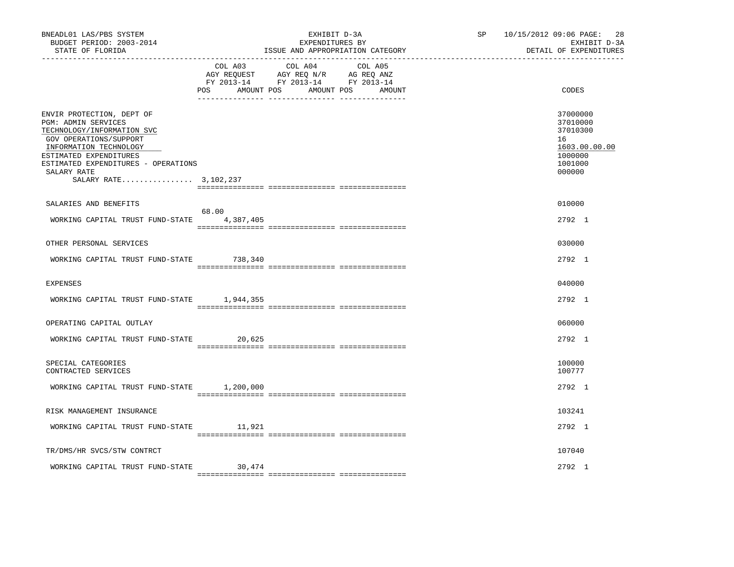| BNEADL01 LAS/PBS SYSTEM<br>BUDGET PERIOD: 2003-2014<br>STATE OF FLORIDA                                                                                                                                                                            |                       | EXHIBIT D-3A<br>EXPENDITURES BY<br>ISSUE AND APPROPRIATION CATEGORY                                                       | SP | 10/15/2012 09:06 PAGE:<br>28<br>EXHIBIT D-3A<br>DETAIL OF EXPENDITURES                  |
|----------------------------------------------------------------------------------------------------------------------------------------------------------------------------------------------------------------------------------------------------|-----------------------|---------------------------------------------------------------------------------------------------------------------------|----|-----------------------------------------------------------------------------------------|
|                                                                                                                                                                                                                                                    | COL A03<br><b>POS</b> | COL A04 COL A05<br>AGY REQUEST AGY REQ N/R AG REQ ANZ<br>FY 2013-14 FY 2013-14 FY 2013-14<br>AMOUNT POS AMOUNT POS AMOUNT |    | CODES                                                                                   |
| ENVIR PROTECTION, DEPT OF<br><b>PGM: ADMIN SERVICES</b><br>TECHNOLOGY/INFORMATION SVC<br>GOV OPERATIONS/SUPPORT<br>INFORMATION TECHNOLOGY<br>ESTIMATED EXPENDITURES<br>ESTIMATED EXPENDITURES - OPERATIONS<br>SALARY RATE<br>SALARY RATE 3,102,237 |                       |                                                                                                                           |    | 37000000<br>37010000<br>37010300<br>16<br>1603.00.00.00<br>1000000<br>1001000<br>000000 |
| SALARIES AND BENEFITS                                                                                                                                                                                                                              |                       |                                                                                                                           |    | 010000                                                                                  |
| WORKING CAPITAL TRUST FUND-STATE 4,387,405                                                                                                                                                                                                         | 68.00                 |                                                                                                                           |    | 2792 1                                                                                  |
| OTHER PERSONAL SERVICES                                                                                                                                                                                                                            |                       |                                                                                                                           |    | 030000                                                                                  |
| WORKING CAPITAL TRUST FUND-STATE 738,340                                                                                                                                                                                                           |                       |                                                                                                                           |    | 2792 1                                                                                  |
| <b>EXPENSES</b>                                                                                                                                                                                                                                    |                       |                                                                                                                           |    | 040000                                                                                  |
| WORKING CAPITAL TRUST FUND-STATE 1,944,355                                                                                                                                                                                                         |                       |                                                                                                                           |    | 2792 1                                                                                  |
| OPERATING CAPITAL OUTLAY                                                                                                                                                                                                                           |                       |                                                                                                                           |    | 060000                                                                                  |
| WORKING CAPITAL TRUST FUND-STATE                                                                                                                                                                                                                   | 20,625                |                                                                                                                           |    | 2792 1                                                                                  |
| SPECIAL CATEGORIES<br>CONTRACTED SERVICES                                                                                                                                                                                                          |                       |                                                                                                                           |    | 100000<br>100777                                                                        |
| WORKING CAPITAL TRUST FUND-STATE 1,200,000                                                                                                                                                                                                         |                       |                                                                                                                           |    | 2792 1                                                                                  |
| RISK MANAGEMENT INSURANCE                                                                                                                                                                                                                          |                       |                                                                                                                           |    | 103241                                                                                  |
| WORKING CAPITAL TRUST FUND-STATE                                                                                                                                                                                                                   | 11,921                |                                                                                                                           |    | 2792 1                                                                                  |
| TR/DMS/HR SVCS/STW CONTRCT                                                                                                                                                                                                                         |                       |                                                                                                                           |    | 107040                                                                                  |
| WORKING CAPITAL TRUST FUND-STATE                                                                                                                                                                                                                   | 30,474                |                                                                                                                           |    | $2792 \quad 1$                                                                          |
|                                                                                                                                                                                                                                                    |                       |                                                                                                                           |    |                                                                                         |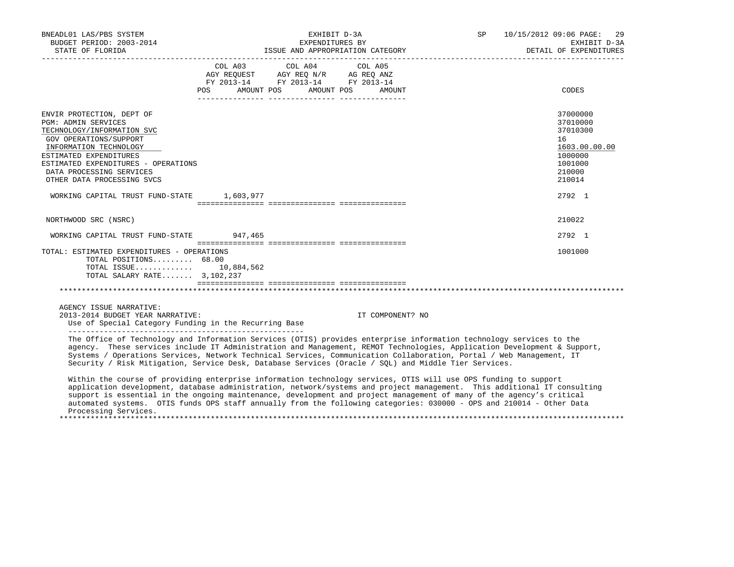| BNEADL01 LAS/PBS SYSTEM<br>BUDGET PERIOD: 2003-2014                                                                                                                                                                                                                  |                                                                                                                                                                                                                                                      | EXHIBIT D-3A<br>EXPENDITURES BY                                                                                                                                                                                                                                                                                                                                                                                                                                                                                                                                                                                                                                                                                                                                                                                                                                                                                                                                             | <b>SP</b> | 10/15/2012 09:06 PAGE:<br>29<br>EXHIBIT D-3A<br>DETAIL OF EXPENDITURES                            |
|----------------------------------------------------------------------------------------------------------------------------------------------------------------------------------------------------------------------------------------------------------------------|------------------------------------------------------------------------------------------------------------------------------------------------------------------------------------------------------------------------------------------------------|-----------------------------------------------------------------------------------------------------------------------------------------------------------------------------------------------------------------------------------------------------------------------------------------------------------------------------------------------------------------------------------------------------------------------------------------------------------------------------------------------------------------------------------------------------------------------------------------------------------------------------------------------------------------------------------------------------------------------------------------------------------------------------------------------------------------------------------------------------------------------------------------------------------------------------------------------------------------------------|-----------|---------------------------------------------------------------------------------------------------|
|                                                                                                                                                                                                                                                                      | COL A03 COL A04 COL A05<br>$\begin{tabular}{lllllll} AGY & \texttt{REQUEST} & \texttt{AGY} & \texttt{REG} & \texttt{N/R} & \texttt{AG} & \texttt{REG} & \texttt{ANZ} \end{tabular}$<br>FY 2013-14 FY 2013-14 FY 2013-14<br>POS AMOUNT POS AMOUNT POS | AMOUNT                                                                                                                                                                                                                                                                                                                                                                                                                                                                                                                                                                                                                                                                                                                                                                                                                                                                                                                                                                      |           | CODES                                                                                             |
| ENVIR PROTECTION, DEPT OF<br><b>PGM: ADMIN SERVICES</b><br>TECHNOLOGY/INFORMATION SVC<br>GOV OPERATIONS/SUPPORT<br>INFORMATION TECHNOLOGY<br>ESTIMATED EXPENDITURES<br>ESTIMATED EXPENDITURES - OPERATIONS<br>DATA PROCESSING SERVICES<br>OTHER DATA PROCESSING SVCS |                                                                                                                                                                                                                                                      |                                                                                                                                                                                                                                                                                                                                                                                                                                                                                                                                                                                                                                                                                                                                                                                                                                                                                                                                                                             |           | 37000000<br>37010000<br>37010300<br>16<br>1603.00.00.00<br>1000000<br>1001000<br>210000<br>210014 |
| WORKING CAPITAL TRUST FUND-STATE 1,603,977                                                                                                                                                                                                                           |                                                                                                                                                                                                                                                      |                                                                                                                                                                                                                                                                                                                                                                                                                                                                                                                                                                                                                                                                                                                                                                                                                                                                                                                                                                             |           | 2792 1                                                                                            |
| NORTHWOOD SRC (NSRC)                                                                                                                                                                                                                                                 |                                                                                                                                                                                                                                                      |                                                                                                                                                                                                                                                                                                                                                                                                                                                                                                                                                                                                                                                                                                                                                                                                                                                                                                                                                                             |           | 210022                                                                                            |
| WORKING CAPITAL TRUST FUND-STATE 947,465                                                                                                                                                                                                                             |                                                                                                                                                                                                                                                      |                                                                                                                                                                                                                                                                                                                                                                                                                                                                                                                                                                                                                                                                                                                                                                                                                                                                                                                                                                             |           | 2792 1                                                                                            |
| TOTAL: ESTIMATED EXPENDITURES - OPERATIONS<br>TOTAL POSITIONS 68.00<br>TOTAL ISSUE 10,884,562<br>TOTAL SALARY RATE 3,102,237                                                                                                                                         |                                                                                                                                                                                                                                                      |                                                                                                                                                                                                                                                                                                                                                                                                                                                                                                                                                                                                                                                                                                                                                                                                                                                                                                                                                                             |           | 1001000                                                                                           |
| AGENCY ISSUE NARRATIVE:<br>2013-2014 BUDGET YEAR NARRATIVE:<br>Use of Special Category Funding in the Recurring Base                                                                                                                                                 |                                                                                                                                                                                                                                                      | IT COMPONENT? NO                                                                                                                                                                                                                                                                                                                                                                                                                                                                                                                                                                                                                                                                                                                                                                                                                                                                                                                                                            |           |                                                                                                   |
| Processing Services.                                                                                                                                                                                                                                                 |                                                                                                                                                                                                                                                      | The Office of Technology and Information Services (OTIS) provides enterprise information technology services to the<br>agency. These services include IT Administration and Management, REMOT Technologies, Application Development & Support,<br>Systems / Operations Services, Network Technical Services, Communication Collaboration, Portal / Web Management, IT<br>Security / Risk Mitigation, Service Desk, Database Services (Oracle / SOL) and Middle Tier Services.<br>Within the course of providing enterprise information technology services, OTIS will use OPS funding to support<br>application development, database administration, network/systems and project management. This additional IT consulting<br>support is essential in the ongoing maintenance, development and project management of many of the agency's critical<br>automated systems. OTIS funds OPS staff annually from the following categories: 030000 - OPS and 210014 - Other Data |           |                                                                                                   |
|                                                                                                                                                                                                                                                                      |                                                                                                                                                                                                                                                      |                                                                                                                                                                                                                                                                                                                                                                                                                                                                                                                                                                                                                                                                                                                                                                                                                                                                                                                                                                             |           |                                                                                                   |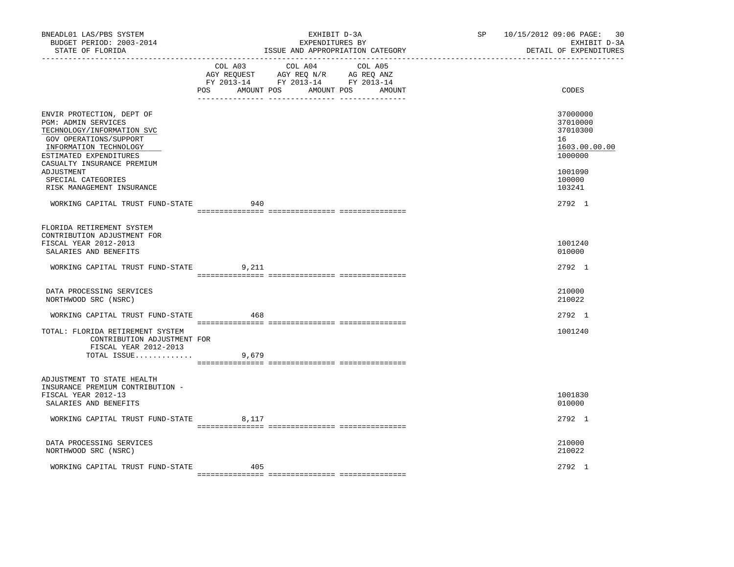| BNEADL01 LAS/PBS SYSTEM<br>BUDGET PERIOD: 2003-2014<br>STATE OF FLORIDA<br>________________                                                                                                                                                                                                     |       | EXHIBIT D-3A<br>EXPENDITURES BY<br>ISSUE AND APPROPRIATION CATEGORY                                                                   | SP | 10/15/2012 09:06 PAGE: 30<br>EXHIBIT D-3A<br>DETAIL OF EXPENDITURES                                         |
|-------------------------------------------------------------------------------------------------------------------------------------------------------------------------------------------------------------------------------------------------------------------------------------------------|-------|---------------------------------------------------------------------------------------------------------------------------------------|----|-------------------------------------------------------------------------------------------------------------|
|                                                                                                                                                                                                                                                                                                 |       | COL A03 COL A04 COL A05<br>AGY REQUEST AGY REQ N/R AG REQ ANZ<br>FY 2013-14 FY 2013-14 FY 2013-14<br>POS AMOUNT POS AMOUNT POS AMOUNT |    | CODES                                                                                                       |
| ENVIR PROTECTION, DEPT OF<br>PGM: ADMIN SERVICES<br>TECHNOLOGY/INFORMATION SVC<br>GOV OPERATIONS/SUPPORT<br>INFORMATION TECHNOLOGY<br>ESTIMATED EXPENDITURES<br>CASUALTY INSURANCE PREMIUM<br>ADJUSTMENT<br>SPECIAL CATEGORIES<br>RISK MANAGEMENT INSURANCE<br>WORKING CAPITAL TRUST FUND-STATE | 940   |                                                                                                                                       |    | 37000000<br>37010000<br>37010300<br>16<br>1603.00.00.00<br>1000000<br>1001090<br>100000<br>103241<br>2792 1 |
| FLORIDA RETIREMENT SYSTEM<br>CONTRIBUTION ADJUSTMENT FOR<br>FISCAL YEAR 2012-2013<br>SALARIES AND BENEFITS                                                                                                                                                                                      |       |                                                                                                                                       |    | 1001240<br>010000                                                                                           |
| WORKING CAPITAL TRUST FUND-STATE                                                                                                                                                                                                                                                                | 9,211 |                                                                                                                                       |    | 2792 1                                                                                                      |
| DATA PROCESSING SERVICES<br>NORTHWOOD SRC (NSRC)                                                                                                                                                                                                                                                |       |                                                                                                                                       |    | 210000<br>210022                                                                                            |
| WORKING CAPITAL TRUST FUND-STATE                                                                                                                                                                                                                                                                | 468   |                                                                                                                                       |    | 2792 1                                                                                                      |
| TOTAL: FLORIDA RETIREMENT SYSTEM<br>CONTRIBUTION ADJUSTMENT FOR<br>FISCAL YEAR 2012-2013<br>TOTAL ISSUE                                                                                                                                                                                         | 9,679 |                                                                                                                                       |    | 1001240                                                                                                     |
| ADJUSTMENT TO STATE HEALTH<br>INSURANCE PREMIUM CONTRIBUTION -<br>FISCAL YEAR 2012-13<br>SALARIES AND BENEFITS                                                                                                                                                                                  |       |                                                                                                                                       |    | 1001830<br>010000                                                                                           |
| WORKING CAPITAL TRUST FUND-STATE                                                                                                                                                                                                                                                                | 8,117 |                                                                                                                                       |    | 2792 1                                                                                                      |
| DATA PROCESSING SERVICES<br>NORTHWOOD SRC (NSRC)                                                                                                                                                                                                                                                |       |                                                                                                                                       |    | 210000<br>210022                                                                                            |
| WORKING CAPITAL TRUST FUND-STATE                                                                                                                                                                                                                                                                | 405   |                                                                                                                                       |    | 2792 1                                                                                                      |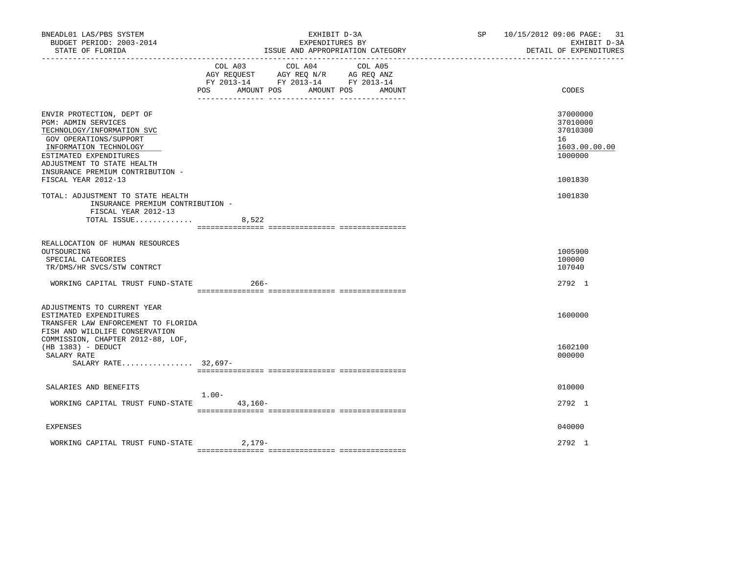| BNEADL01 LAS/PBS SYSTEM<br>BUDGET PERIOD: 2003-2014<br>STATE OF FLORIDA                                                                                                                                                                                      | EXHIBIT D-3A<br>EXPENDITURES BY<br>ISSUE AND APPROPRIATION CATEGORY                                                                               | SP 10/15/2012 09:06 PAGE: 31<br>EXHIBIT D-3A<br>DETAIL OF EXPENDITURES        |
|--------------------------------------------------------------------------------------------------------------------------------------------------------------------------------------------------------------------------------------------------------------|---------------------------------------------------------------------------------------------------------------------------------------------------|-------------------------------------------------------------------------------|
|                                                                                                                                                                                                                                                              | COL A04<br>COL A03<br>COL A05<br>AGY REQUEST AGY REQ N/R AG REQ ANZ<br>FY 2013-14 FY 2013-14 FY 2013-14<br>POS AMOUNT POS<br>AMOUNT POS<br>AMOUNT | CODES                                                                         |
| ENVIR PROTECTION, DEPT OF<br><b>PGM: ADMIN SERVICES</b><br>TECHNOLOGY/INFORMATION SVC<br>GOV OPERATIONS/SUPPORT<br>INFORMATION TECHNOLOGY<br>ESTIMATED EXPENDITURES<br>ADJUSTMENT TO STATE HEALTH<br>INSURANCE PREMIUM CONTRIBUTION -<br>FISCAL YEAR 2012-13 |                                                                                                                                                   | 37000000<br>37010000<br>37010300<br>16<br>1603.00.00.00<br>1000000<br>1001830 |
| TOTAL: ADJUSTMENT TO STATE HEALTH<br>INSURANCE PREMIUM CONTRIBUTION -<br>FISCAL YEAR 2012-13<br>TOTAL ISSUE                                                                                                                                                  | 8,522                                                                                                                                             | 1001830                                                                       |
| REALLOCATION OF HUMAN RESOURCES<br>OUTSOURCING<br>SPECIAL CATEGORIES<br>TR/DMS/HR SVCS/STW CONTRCT                                                                                                                                                           |                                                                                                                                                   | 1005900<br>100000<br>107040                                                   |
| WORKING CAPITAL TRUST FUND-STATE                                                                                                                                                                                                                             | $266 -$                                                                                                                                           | 2792 1                                                                        |
| ADJUSTMENTS TO CURRENT YEAR<br>ESTIMATED EXPENDITURES<br>TRANSFER LAW ENFORCEMENT TO FLORIDA<br>FISH AND WILDLIFE CONSERVATION                                                                                                                               |                                                                                                                                                   | 1600000                                                                       |
| COMMISSION, CHAPTER 2012-88, LOF,<br>$(HB 1383) - DEDUCT$<br>SALARY RATE<br>SALARY RATE 32,697-                                                                                                                                                              |                                                                                                                                                   | 1602100<br>000000                                                             |
| SALARIES AND BENEFITS                                                                                                                                                                                                                                        |                                                                                                                                                   | 010000                                                                        |
| WORKING CAPITAL TRUST FUND-STATE                                                                                                                                                                                                                             | $1.00-$<br>$43,160-$                                                                                                                              | 2792 1                                                                        |
| <b>EXPENSES</b>                                                                                                                                                                                                                                              |                                                                                                                                                   | 040000                                                                        |
| WORKING CAPITAL TRUST FUND-STATE                                                                                                                                                                                                                             | 2,179-                                                                                                                                            | 2792 1                                                                        |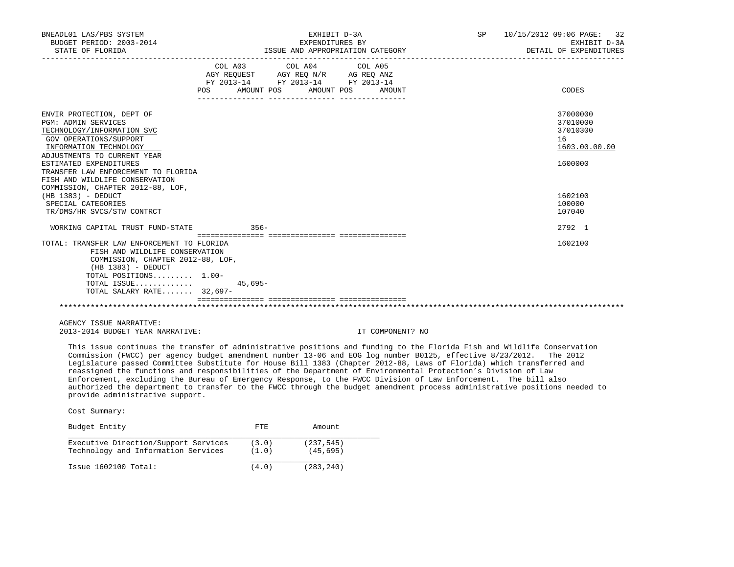| BNEADL01 LAS/PBS SYSTEM<br>BUDGET PERIOD: 2003-2014<br>STATE OF FLORIDA                                                                                                                                                                                                                                                                                                                      | EXHIBIT D-3A<br>EXPENDITURES BY<br>ISSUE AND APPROPRIATION CATEGORY                                                                      |        | SP 10/15/2012 09:06 PAGE: 32<br>EXHIBIT D-3A<br>DETAIL OF EXPENDITURES                            |
|----------------------------------------------------------------------------------------------------------------------------------------------------------------------------------------------------------------------------------------------------------------------------------------------------------------------------------------------------------------------------------------------|------------------------------------------------------------------------------------------------------------------------------------------|--------|---------------------------------------------------------------------------------------------------|
|                                                                                                                                                                                                                                                                                                                                                                                              | COL A03 COL A04 COL A05<br>AGY REQUEST AGY REQ N/R AG REQ ANZ<br>FY 2013-14 FY 2013-14 FY 2013-14<br><b>POS</b><br>AMOUNT POS AMOUNT POS | AMOUNT | CODES                                                                                             |
| ENVIR PROTECTION, DEPT OF<br><b>PGM: ADMIN SERVICES</b><br>TECHNOLOGY/INFORMATION SVC<br>GOV OPERATIONS/SUPPORT<br>INFORMATION TECHNOLOGY<br>ADJUSTMENTS TO CURRENT YEAR<br>ESTIMATED EXPENDITURES<br>TRANSFER LAW ENFORCEMENT TO FLORIDA<br>FISH AND WILDLIFE CONSERVATION<br>COMMISSION, CHAPTER 2012-88, LOF,<br>$(HB 1383) - DEDUCT$<br>SPECIAL CATEGORIES<br>TR/DMS/HR SVCS/STW CONTRCT |                                                                                                                                          |        | 37000000<br>37010000<br>37010300<br>16<br>1603.00.00.00<br>1600000<br>1602100<br>100000<br>107040 |
| WORKING CAPITAL TRUST FUND-STATE 356-                                                                                                                                                                                                                                                                                                                                                        |                                                                                                                                          |        | 2792 1                                                                                            |
| TOTAL: TRANSFER LAW ENFORCEMENT TO FLORIDA<br>FISH AND WILDLIFE CONSERVATION<br>COMMISSION, CHAPTER 2012-88, LOF,<br>$(HB 1383) - DEDUCT$<br>TOTAL POSITIONS 1.00-<br>TOTAL ISSUE<br>TOTAL SALARY RATE 32,697-                                                                                                                                                                               | 45,695-                                                                                                                                  |        | 1602100                                                                                           |
|                                                                                                                                                                                                                                                                                                                                                                                              |                                                                                                                                          |        |                                                                                                   |

 AGENCY ISSUE NARRATIVE: 2013-2014 BUDGET YEAR NARRATIVE: IT COMPONENT? NO

 This issue continues the transfer of administrative positions and funding to the Florida Fish and Wildlife Conservation Commission (FWCC) per agency budget amendment number 13-06 and EOG log number B0125, effective 8/23/2012. The 2012 Legislature passed Committee Substitute for House Bill 1383 (Chapter 2012-88, Laws of Florida) which transferred and reassigned the functions and responsibilities of the Department of Environmental Protection's Division of Law Enforcement, excluding the Bureau of Emergency Response, to the FWCC Division of Law Enforcement. The bill also authorized the department to transfer to the FWCC through the budget amendment process administrative positions needed to provide administrative support.

| Budget Entity                        | FTE.  | Amount     |
|--------------------------------------|-------|------------|
| Executive Direction/Support Services | (3.0) | (237, 545) |
| Technology and Information Services  | (1.0) | (45, 695)  |
| $Issue$ 1602100 $Total:$             | (4.0) | (283, 240) |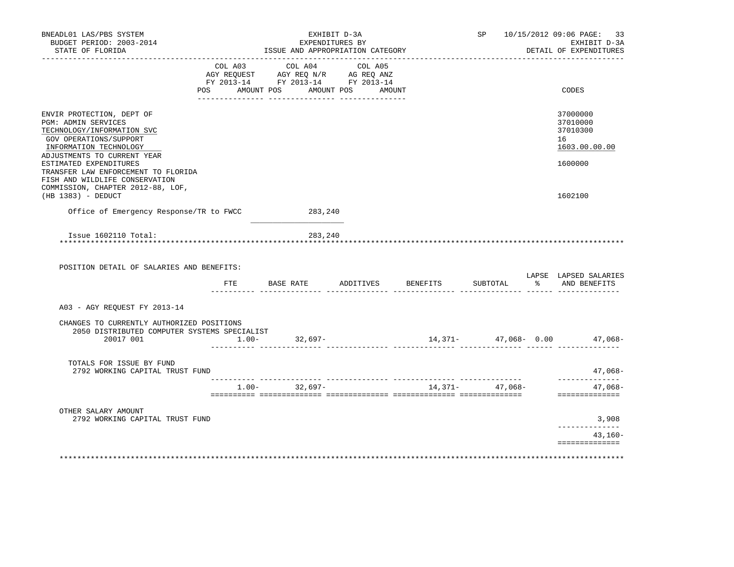| BNEADL01 LAS/PBS SYSTEM<br>BUDGET PERIOD: 2003-2014<br>STATE OF FLORIDA                                                                                           | EXHIBIT D-3A<br>EXPENDITURES BY<br>ISSUE AND APPROPRIATION CATEGORY |                                                                                                                                       |           |          |                                                | SP 10/15/2012 09:06 PAGE: 33<br>EXHIBIT D-3A<br>DETAIL OF EXPENDITURES |  |
|-------------------------------------------------------------------------------------------------------------------------------------------------------------------|---------------------------------------------------------------------|---------------------------------------------------------------------------------------------------------------------------------------|-----------|----------|------------------------------------------------|------------------------------------------------------------------------|--|
|                                                                                                                                                                   |                                                                     | COL A03 COL A04 COL A05<br>AGY REQUEST AGY REQ N/R AG REQ ANZ<br>FY 2013-14 FY 2013-14 FY 2013-14<br>POS AMOUNT POS AMOUNT POS AMOUNT |           |          |                                                | CODES                                                                  |  |
| ENVIR PROTECTION, DEPT OF<br>PGM: ADMIN SERVICES<br>TECHNOLOGY/INFORMATION SVC<br>GOV OPERATIONS/SUPPORT<br>INFORMATION TECHNOLOGY<br>ADJUSTMENTS TO CURRENT YEAR |                                                                     |                                                                                                                                       |           |          |                                                | 37000000<br>37010000<br>37010300<br>16<br>1603.00.00.00                |  |
| ESTIMATED EXPENDITURES<br>TRANSFER LAW ENFORCEMENT TO FLORIDA<br>FISH AND WILDLIFE CONSERVATION<br>COMMISSION, CHAPTER 2012-88, LOF,<br>(HB 1383) - DEDUCT        |                                                                     |                                                                                                                                       |           |          |                                                | 1600000<br>1602100                                                     |  |
| Office of Emergency Response/TR to FWCC                                                                                                                           |                                                                     | 283,240                                                                                                                               |           |          |                                                |                                                                        |  |
| Issue 1602110 Total:<br>**************************************                                                                                                    |                                                                     | 283,240                                                                                                                               |           |          |                                                |                                                                        |  |
| POSITION DETAIL OF SALARIES AND BENEFITS:                                                                                                                         | FTE                                                                 | BASE RATE                                                                                                                             | ADDITIVES | BENEFITS | SUBTOTAL                                       | LAPSE LAPSED SALARIES<br>% AND BENEFITS                                |  |
| A03 - AGY REQUEST FY 2013-14                                                                                                                                      |                                                                     |                                                                                                                                       |           |          |                                                |                                                                        |  |
| CHANGES TO CURRENTLY AUTHORIZED POSITIONS<br>2050 DISTRIBUTED COMPUTER SYSTEMS SPECIALIST<br>20017 001                                                            |                                                                     | $1.00 - 32,697 -$                                                                                                                     |           |          |                                                | $14,371 47,068-$ 0.00 $47,068-$                                        |  |
| TOTALS FOR ISSUE BY FUND<br>2792 WORKING CAPITAL TRUST FUND                                                                                                       |                                                                     |                                                                                                                                       |           |          |                                                | 47,068-                                                                |  |
|                                                                                                                                                                   |                                                                     | $1.00 - 32,697 -$                                                                                                                     |           |          | --------- --------------- -<br>14,371- 47,068- | . _ _ _ _ _ _ _ _ _ _<br>47,068-<br>==============                     |  |
| OTHER SALARY AMOUNT<br>2792 WORKING CAPITAL TRUST FUND                                                                                                            |                                                                     |                                                                                                                                       |           |          |                                                | 3,908                                                                  |  |
|                                                                                                                                                                   |                                                                     |                                                                                                                                       |           |          |                                                | . _ _ _ _ _ _ _ _ _ _ _ _<br>43,160-<br>==============                 |  |
|                                                                                                                                                                   |                                                                     |                                                                                                                                       |           |          |                                                |                                                                        |  |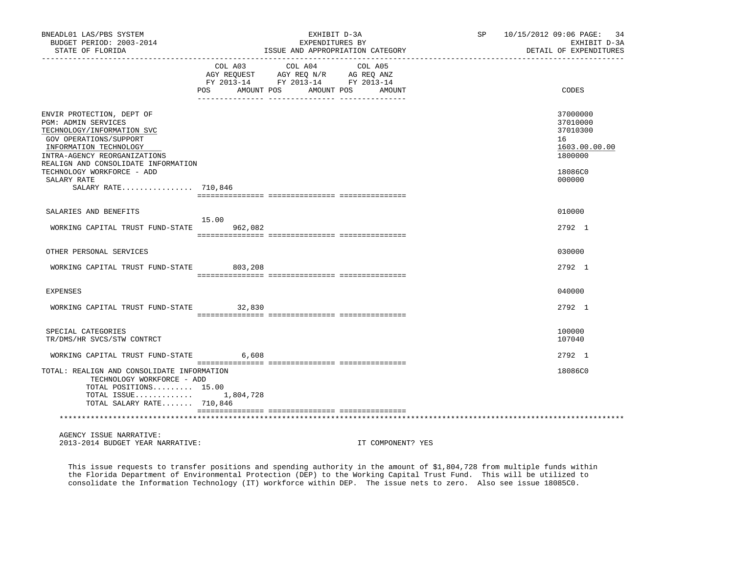| BNEADL01 LAS/PBS SYSTEM<br>BUDGET PERIOD: 2003-2014<br>STATE OF FLORIDA                                                                                                                                                                                                              |                          | EXHIBIT D-3A<br>EXPENDITURES BY<br>ISSUE AND APPROPRIATION CATEGORY                                                          | SP 10/15/2012 09:06 PAGE: 34<br>EXHIBIT D-3A<br>DETAIL OF EXPENDITURES                  |
|--------------------------------------------------------------------------------------------------------------------------------------------------------------------------------------------------------------------------------------------------------------------------------------|--------------------------|------------------------------------------------------------------------------------------------------------------------------|-----------------------------------------------------------------------------------------|
|                                                                                                                                                                                                                                                                                      | <b>POS</b><br>AMOUNT POS | COL A03 COL A04<br>COL A05<br>AGY REQUEST AGY REQ N/R AG REQ ANZ<br>FY 2013-14 FY 2013-14 FY 2013-14<br>AMOUNT POS<br>AMOUNT | CODES                                                                                   |
| ENVIR PROTECTION, DEPT OF<br><b>PGM: ADMIN SERVICES</b><br>TECHNOLOGY/INFORMATION SVC<br>GOV OPERATIONS/SUPPORT<br>INFORMATION TECHNOLOGY<br>INTRA-AGENCY REORGANIZATIONS<br>REALIGN AND CONSOLIDATE INFORMATION<br>TECHNOLOGY WORKFORCE - ADD<br>SALARY RATE<br>SALARY RATE 710,846 |                          |                                                                                                                              | 37000000<br>37010000<br>37010300<br>16<br>1603.00.00.00<br>1800000<br>18086C0<br>000000 |
| SALARIES AND BENEFITS                                                                                                                                                                                                                                                                |                          |                                                                                                                              | 010000                                                                                  |
| WORKING CAPITAL TRUST FUND-STATE 962,082                                                                                                                                                                                                                                             | 15.00                    |                                                                                                                              | 2792 1                                                                                  |
| OTHER PERSONAL SERVICES                                                                                                                                                                                                                                                              |                          |                                                                                                                              | 030000                                                                                  |
| WORKING CAPITAL TRUST FUND-STATE 803,208                                                                                                                                                                                                                                             |                          |                                                                                                                              | 2792 1                                                                                  |
| EXPENSES                                                                                                                                                                                                                                                                             |                          |                                                                                                                              | 040000                                                                                  |
| WORKING CAPITAL TRUST FUND-STATE 32,830                                                                                                                                                                                                                                              |                          |                                                                                                                              | 2792 1                                                                                  |
| SPECIAL CATEGORIES<br>TR/DMS/HR SVCS/STW CONTRCT                                                                                                                                                                                                                                     |                          |                                                                                                                              | 100000<br>107040                                                                        |
| WORKING CAPITAL TRUST FUND-STATE                                                                                                                                                                                                                                                     | 6,608                    |                                                                                                                              | 2792 1                                                                                  |
| TOTAL: REALIGN AND CONSOLIDATE INFORMATION<br>TECHNOLOGY WORKFORCE - ADD<br>TOTAL POSITIONS 15.00<br>TOTAL ISSUE $1,804,728$<br>TOTAL SALARY RATE 710,846                                                                                                                            |                          |                                                                                                                              | 18086C0                                                                                 |
| AGENCY ISSUE NARRATIVE:                                                                                                                                                                                                                                                              |                          |                                                                                                                              |                                                                                         |
| 2013-2014 BUDGET YEAR NARRATIVE:                                                                                                                                                                                                                                                     |                          | IT COMPONENT? YES                                                                                                            |                                                                                         |

 This issue requests to transfer positions and spending authority in the amount of \$1,804,728 from multiple funds within the Florida Department of Environmental Protection (DEP) to the Working Capital Trust Fund. This will be utilized to consolidate the Information Technology (IT) workforce within DEP. The issue nets to zero. Also see issue 18085C0.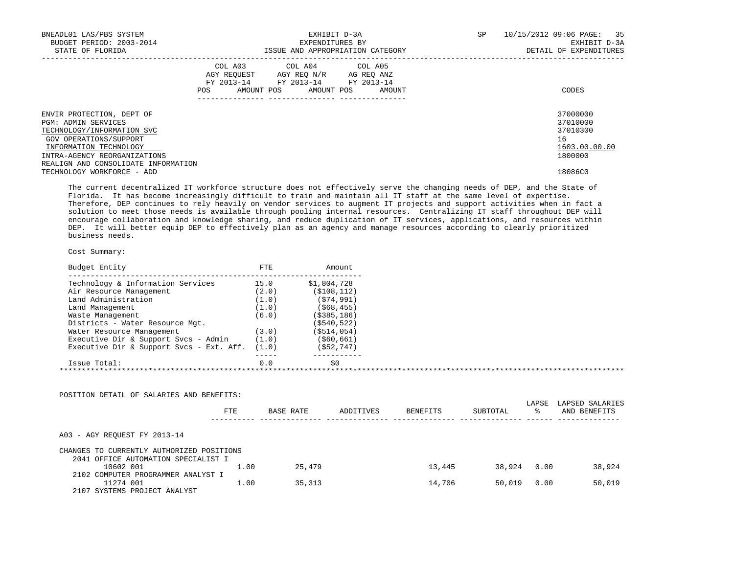| BNEADL01 LAS/PBS SYSTEM<br>BUDGET PERIOD: 2003-2014<br>STATE OF FLORIDA                                                                                                                                          |     | EXHIBIT D-3A<br>EXPENDITURES BY<br>ISSUE AND APPROPRIATION CATEGORY                                                        |        | SP | 10/15/2012 09:06 PAGE: 35<br>EXHIBIT D-3A<br>DETAIL OF EXPENDITURES |
|------------------------------------------------------------------------------------------------------------------------------------------------------------------------------------------------------------------|-----|----------------------------------------------------------------------------------------------------------------------------|--------|----|---------------------------------------------------------------------|
|                                                                                                                                                                                                                  | POS | COL A03 COL A04 COL A05<br>AGY REOUEST AGY REO N/R AG REO ANZ<br>FY 2013-14 FY 2013-14 FY 2013-14<br>AMOUNT POS AMOUNT POS | AMOUNT |    | CODES                                                               |
| ENVIR PROTECTION, DEPT OF<br><b>PGM: ADMIN SERVICES</b><br>TECHNOLOGY/INFORMATION SVC<br>GOV OPERATIONS/SUPPORT<br>INFORMATION TECHNOLOGY<br>INTRA-AGENCY REORGANIZATIONS<br>REALIGN AND CONSOLIDATE INFORMATION |     |                                                                                                                            |        |    | 37000000<br>37010000<br>37010300<br>16<br>1603.00.00.00<br>1800000  |
| TECHNOLOGY WORKFORCE - ADD                                                                                                                                                                                       |     |                                                                                                                            |        |    | 18086C0                                                             |

 The current decentralized IT workforce structure does not effectively serve the changing needs of DEP, and the State of Florida. It has become increasingly difficult to train and maintain all IT staff at the same level of expertise. Therefore, DEP continues to rely heavily on vendor services to augment IT projects and support activities when in fact a solution to meet those needs is available through pooling internal resources. Centralizing IT staff throughout DEP will encourage collaboration and knowledge sharing, and reduce duplication of IT services, applications, and resources within DEP. It will better equip DEP to effectively plan as an agency and manage resources according to clearly prioritized business needs.

| Budget Entity                            | FTE   | Amount         |  |
|------------------------------------------|-------|----------------|--|
| Technology & Information Services        | 15.0  | \$1,804,728    |  |
| Air Resource Management                  | (2.0) | ( \$108, 112)  |  |
| Land Administration                      | (1.0) | (574, 991)     |  |
| Land Management                          | (1.0) | (568, 455)     |  |
| Waste Management                         | (6.0) | $($ \$385,186) |  |
| Districts - Water Resource Mgt.          |       | ( \$540, 522)  |  |
| Water Resource Management                | (3.0) | $($ \$514,054) |  |
| Executive Dir & Support Svcs - Admin     | (1.0) | ( \$60, 661)   |  |
| Executive Dir & Support Svcs - Ext. Aff. | (1.0) | ( \$52, 747)   |  |
| Issue Total:                             | 0.0   | \$0            |  |

| POSITION DETAIL OF SALARIES AND BENEFITS: |      |           |           |                 |          |             |                                 |
|-------------------------------------------|------|-----------|-----------|-----------------|----------|-------------|---------------------------------|
|                                           | FTE  | BASE RATE | ADDITIVES | <b>BENEFITS</b> | SUBTOTAL | LAPSE<br>°≈ | LAPSED SALARIES<br>AND BENEFITS |
| A03 - AGY REOUEST FY 2013-14              |      |           |           |                 |          |             |                                 |
| CHANGES TO CURRENTLY AUTHORIZED POSITIONS |      |           |           |                 |          |             |                                 |
| 2041 OFFICE AUTOMATION SPECIALIST I       |      |           |           |                 |          |             |                                 |
| 10602 001                                 | 1.00 | 25,479    |           | 13,445          | 38,924   | 0.00        | 38,924                          |
| 2102 COMPUTER PROGRAMMER ANALYST I        |      |           |           |                 |          |             |                                 |
| 11274 001                                 | 1.00 | 35,313    |           | 14,706          | 50,019   | 0.00        | 50,019                          |
| SYSTEMS PROJECT ANALYST<br>2107           |      |           |           |                 |          |             |                                 |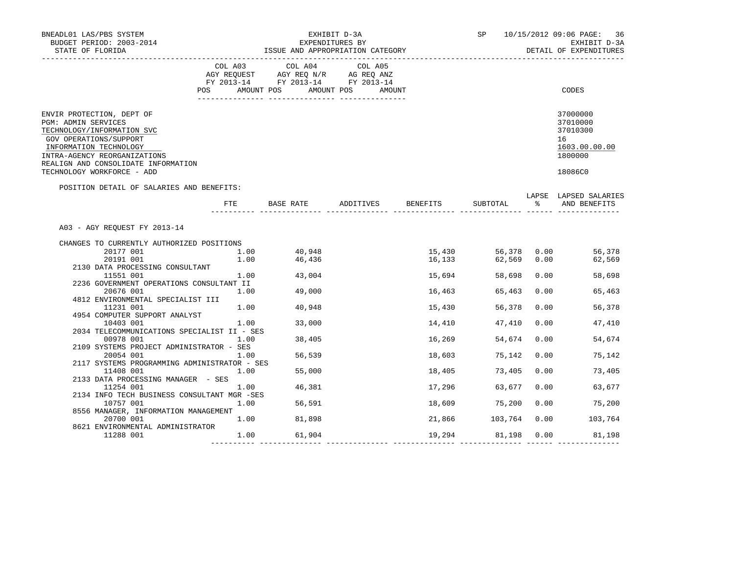| BNEADL01 LAS/PBS SYSTEM<br>BUDGET PERIOD: 2003-2014<br>STATE OF FLORIDA                                                                                                                          |                                                          | EXHIBIT D-3A<br>EXPENDITURES BY<br>ISSUE AND APPROPRIATION CATEGORY |                                                                                                   |                                  |        |               |      | SP 10/15/2012 09:06 PAGE: 36<br>EXHIBIT D-3A<br>DETAIL OF EXPENDITURES        |  |
|--------------------------------------------------------------------------------------------------------------------------------------------------------------------------------------------------|----------------------------------------------------------|---------------------------------------------------------------------|---------------------------------------------------------------------------------------------------|----------------------------------|--------|---------------|------|-------------------------------------------------------------------------------|--|
|                                                                                                                                                                                                  |                                                          |                                                                     | COL A03 COL A04 COL A05<br>AGY REQUEST AGY REQ N/R AG REQ ANZ<br>FY 2013-14 FY 2013-14 FY 2013-14 | POS AMOUNT POS AMOUNT POS AMOUNT |        |               |      | CODES                                                                         |  |
|                                                                                                                                                                                                  |                                                          |                                                                     |                                                                                                   |                                  |        |               |      |                                                                               |  |
| ENVIR PROTECTION, DEPT OF<br>PGM: ADMIN SERVICES<br>TECHNOLOGY/INFORMATION SVC<br>GOV OPERATIONS/SUPPORT<br>INFORMATION TECHNOLOGY<br>INTRA-AGENCY REORGANIZATIONS<br>TECHNOLOGY WORKFORCE - ADD | REALIGN AND CONSOLIDATE INFORMATION                      |                                                                     |                                                                                                   |                                  |        |               |      | 37000000<br>37010000<br>37010300<br>16<br>1603.00.00.00<br>1800000<br>18086C0 |  |
|                                                                                                                                                                                                  | POSITION DETAIL OF SALARIES AND BENEFITS:                |                                                                     |                                                                                                   |                                  |        |               |      |                                                                               |  |
|                                                                                                                                                                                                  |                                                          | FTE                                                                 | BASE RATE                                                                                         | ADDITIVES BENEFITS               |        | SUBTOTAL      |      | LAPSE LAPSED SALARIES<br>AND BENEFITS                                         |  |
|                                                                                                                                                                                                  | A03 - AGY REQUEST FY 2013-14                             |                                                                     |                                                                                                   |                                  |        |               |      |                                                                               |  |
|                                                                                                                                                                                                  | CHANGES TO CURRENTLY AUTHORIZED POSITIONS                |                                                                     |                                                                                                   |                                  |        |               |      |                                                                               |  |
|                                                                                                                                                                                                  | 20177 001<br>1.00                                        |                                                                     | 40,948                                                                                            |                                  | 15,430 |               |      | 56,378 0.00<br>56,378                                                         |  |
|                                                                                                                                                                                                  | 20191 001                                                |                                                                     | 1.00 46,436                                                                                       |                                  | 16,133 |               |      | 62,569 0.00 62,569                                                            |  |
|                                                                                                                                                                                                  | 2130 DATA PROCESSING CONSULTANT                          |                                                                     |                                                                                                   |                                  |        |               |      |                                                                               |  |
|                                                                                                                                                                                                  | 11551 001                                                |                                                                     | $1.00$ 43,004                                                                                     |                                  | 15,694 | 58,698        | 0.00 | 58,698                                                                        |  |
|                                                                                                                                                                                                  | 2236 GOVERNMENT OPERATIONS CONSULTANT II                 |                                                                     |                                                                                                   |                                  |        |               |      |                                                                               |  |
|                                                                                                                                                                                                  | 20676 001                                                | 1.00                                                                | 49,000                                                                                            |                                  | 16,463 | 65,463        | 0.00 | 65,463                                                                        |  |
|                                                                                                                                                                                                  | 4812 ENVIRONMENTAL SPECIALIST III                        |                                                                     |                                                                                                   |                                  |        |               |      |                                                                               |  |
|                                                                                                                                                                                                  | 11231 001                                                |                                                                     | 1.00 40,948                                                                                       |                                  | 15,430 | 56,378        | 0.00 | 56,378                                                                        |  |
|                                                                                                                                                                                                  | 4954 COMPUTER SUPPORT ANALYST                            |                                                                     | 1.00 33,000                                                                                       |                                  |        |               | 0.00 |                                                                               |  |
|                                                                                                                                                                                                  | 10403 001<br>2034 TELECOMMUNICATIONS SPECIALIST II - SES |                                                                     |                                                                                                   |                                  | 14,410 | 47,410        |      | 47,410                                                                        |  |
|                                                                                                                                                                                                  | 00978 001                                                | 1.00                                                                | 38,405                                                                                            |                                  | 16,269 | 54,674        | 0.00 | 54,674                                                                        |  |
|                                                                                                                                                                                                  | 2109 SYSTEMS PROJECT ADMINISTRATOR - SES                 |                                                                     |                                                                                                   |                                  |        |               |      |                                                                               |  |
|                                                                                                                                                                                                  | 1.00<br>20054 001                                        |                                                                     | 56,539                                                                                            |                                  | 18,603 | 75,142        | 0.00 | 75,142                                                                        |  |
|                                                                                                                                                                                                  | 2117 SYSTEMS PROGRAMMING ADMINISTRATOR - SES             |                                                                     |                                                                                                   |                                  |        |               |      |                                                                               |  |
|                                                                                                                                                                                                  | 11408 001<br>1.00                                        |                                                                     | 55,000                                                                                            |                                  | 18,405 | 73,405        | 0.00 | 73,405                                                                        |  |
|                                                                                                                                                                                                  | 2133 DATA PROCESSING MANAGER - SES                       |                                                                     |                                                                                                   |                                  |        |               |      |                                                                               |  |
|                                                                                                                                                                                                  | 1.00<br>11254 001                                        |                                                                     | 46,381                                                                                            |                                  | 17,296 | 63,677        | 0.00 | 63,677                                                                        |  |
|                                                                                                                                                                                                  | 2134 INFO TECH BUSINESS CONSULTANT MGR -SES              |                                                                     |                                                                                                   |                                  |        |               |      |                                                                               |  |
|                                                                                                                                                                                                  | 10757 001                                                | 1.00                                                                | 56,591                                                                                            |                                  |        | 18,609 75,200 | 0.00 | 75,200                                                                        |  |
|                                                                                                                                                                                                  | 8556 MANAGER, INFORMATION MANAGEMENT                     |                                                                     |                                                                                                   |                                  |        |               |      |                                                                               |  |
|                                                                                                                                                                                                  | 20700 001                                                | $1.00$ 81,898                                                       |                                                                                                   |                                  | 21,866 | 103,764       | 0.00 | 103,764                                                                       |  |
|                                                                                                                                                                                                  | 8621 ENVIRONMENTAL ADMINISTRATOR                         |                                                                     |                                                                                                   |                                  |        |               |      |                                                                               |  |
|                                                                                                                                                                                                  | 11288 001                                                |                                                                     | 1.00 61,904                                                                                       |                                  |        |               |      | 19,294 81,198 0.00 81,198                                                     |  |
|                                                                                                                                                                                                  |                                                          |                                                                     |                                                                                                   |                                  |        |               |      |                                                                               |  |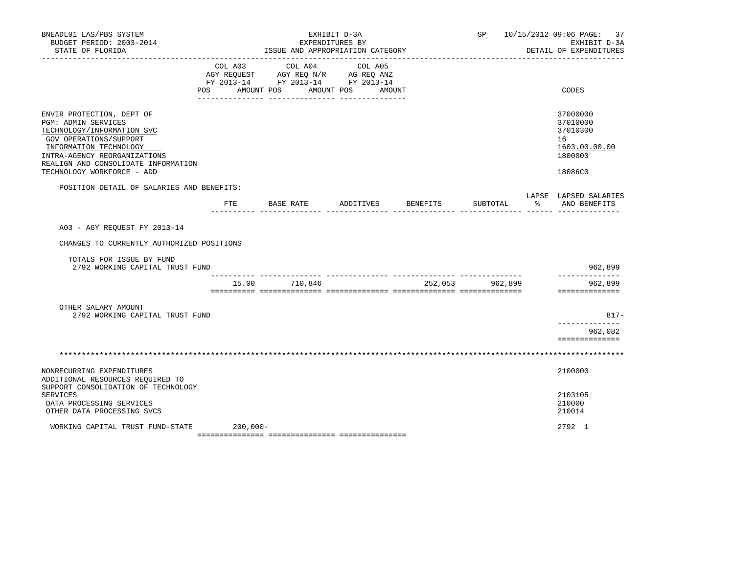| BNEADL01 LAS/PBS SYSTEM<br>BUDGET PERIOD: 2003-2014<br>STATE OF FLORIDA                                                                                                                                                                 |          | ISSUE AND APPROPRIATION CATEGORY                                                                                                      | EXHIBIT D-3A<br>EXPENDITURES BY |                 | SP 10/15/2012 09:06 PAGE: 37<br>EXHIBIT D-3A<br>DETAIL OF EXPENDITURES        |
|-----------------------------------------------------------------------------------------------------------------------------------------------------------------------------------------------------------------------------------------|----------|---------------------------------------------------------------------------------------------------------------------------------------|---------------------------------|-----------------|-------------------------------------------------------------------------------|
|                                                                                                                                                                                                                                         |          | COL A03 COL A04 COL A05<br>AGY REQUEST AGY REQ N/R AG REQ ANZ<br>FY 2013-14 FY 2013-14 FY 2013-14<br>POS AMOUNT POS AMOUNT POS AMOUNT |                                 |                 | CODES                                                                         |
| ENVIR PROTECTION, DEPT OF<br>PGM: ADMIN SERVICES<br>TECHNOLOGY/INFORMATION SVC<br>GOV OPERATIONS/SUPPORT<br>INFORMATION TECHNOLOGY<br>INTRA-AGENCY REORGANIZATIONS<br>REALIGN AND CONSOLIDATE INFORMATION<br>TECHNOLOGY WORKFORCE - ADD |          |                                                                                                                                       |                                 |                 | 37000000<br>37010000<br>37010300<br>16<br>1603.00.00.00<br>1800000<br>18086C0 |
| POSITION DETAIL OF SALARIES AND BENEFITS:                                                                                                                                                                                               |          |                                                                                                                                       |                                 |                 |                                                                               |
|                                                                                                                                                                                                                                         | ETE      | BASE RATE                                                                                                                             | ADDITIVES BENEFITS              | SUBTOTAL        | LAPSE LAPSED SALARIES<br>% AND BENEFITS                                       |
| A03 - AGY REOUEST FY 2013-14<br>CHANGES TO CURRENTLY AUTHORIZED POSITIONS                                                                                                                                                               |          |                                                                                                                                       |                                 |                 |                                                                               |
| TOTALS FOR ISSUE BY FUND<br>2792 WORKING CAPITAL TRUST FUND                                                                                                                                                                             |          |                                                                                                                                       |                                 |                 | 962,899                                                                       |
|                                                                                                                                                                                                                                         |          | 15.00 710,846                                                                                                                         |                                 | 252,053 962,899 | -------------<br>962,899<br>==============                                    |
| OTHER SALARY AMOUNT<br>2792 WORKING CAPITAL TRUST FUND                                                                                                                                                                                  |          |                                                                                                                                       |                                 |                 | $817 -$<br>--------------                                                     |
|                                                                                                                                                                                                                                         |          |                                                                                                                                       |                                 |                 | 962,082<br>==============                                                     |
|                                                                                                                                                                                                                                         |          |                                                                                                                                       |                                 |                 |                                                                               |
| NONRECURRING EXPENDITURES<br>ADDITIONAL RESOURCES REOUIRED TO<br>SUPPORT CONSOLIDATION OF TECHNOLOGY<br><b>SERVICES</b>                                                                                                                 |          |                                                                                                                                       |                                 |                 | 2100000<br>2103105                                                            |
| DATA PROCESSING SERVICES<br>OTHER DATA PROCESSING SVCS                                                                                                                                                                                  |          |                                                                                                                                       |                                 |                 | 210000<br>210014                                                              |
| WORKING CAPITAL TRUST FUND-STATE                                                                                                                                                                                                        | 200,000- |                                                                                                                                       |                                 |                 | 2792 1                                                                        |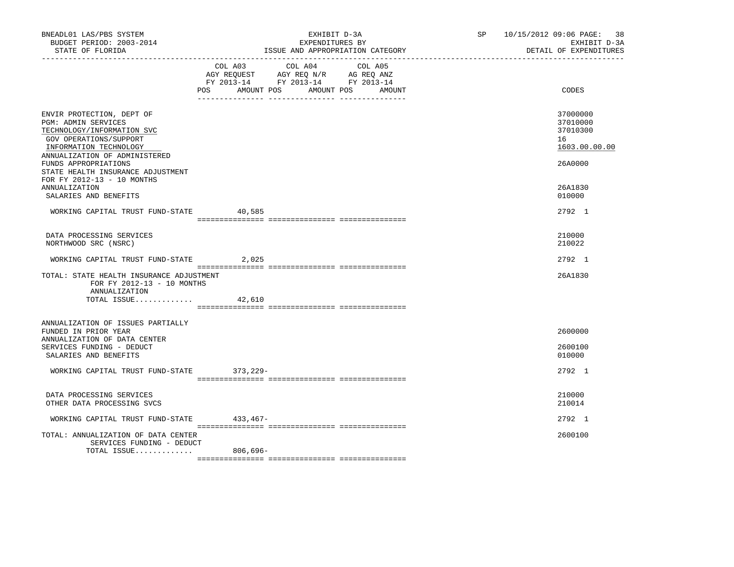| BNEADL01 LAS/PBS SYSTEM<br>BUDGET PERIOD: 2003-2014<br>STATE OF FLORIDA                                                                                             |                              | EXHIBIT D-3A<br>EXPENDITURES BY                                                   | ISSUE AND APPROPRIATION CATEGORY | SP and the set of the set of the set of the set of the set of the set of the set of the set of the set of the set of the set of the set of the set of the set of the set of the set of the set of the set of the set of the se | 10/15/2012 09:06 PAGE: 38<br>EXHIBIT D-3A<br>DETAIL OF EXPENDITURES |
|---------------------------------------------------------------------------------------------------------------------------------------------------------------------|------------------------------|-----------------------------------------------------------------------------------|----------------------------------|--------------------------------------------------------------------------------------------------------------------------------------------------------------------------------------------------------------------------------|---------------------------------------------------------------------|
|                                                                                                                                                                     | COL A03<br>POS<br>AMOUNT POS | COL A04<br>AGY REQUEST AGY REQ N/R AG REQ ANZ<br>FY 2013-14 FY 2013-14 FY 2013-14 | COL A05<br>AMOUNT POS<br>AMOUNT  |                                                                                                                                                                                                                                | CODES                                                               |
| ENVIR PROTECTION, DEPT OF<br>PGM: ADMIN SERVICES<br>TECHNOLOGY/INFORMATION SVC<br>GOV OPERATIONS/SUPPORT<br>INFORMATION TECHNOLOGY<br>ANNUALIZATION OF ADMINISTERED |                              |                                                                                   |                                  |                                                                                                                                                                                                                                | 37000000<br>37010000<br>37010300<br>16<br>1603.00.00.00             |
| FUNDS APPROPRIATIONS<br>STATE HEALTH INSURANCE ADJUSTMENT<br>FOR FY 2012-13 - 10 MONTHS                                                                             |                              |                                                                                   |                                  |                                                                                                                                                                                                                                | 26A0000                                                             |
| <b>ANNUALIZATION</b><br>SALARIES AND BENEFITS                                                                                                                       |                              |                                                                                   |                                  |                                                                                                                                                                                                                                | 26A1830<br>010000                                                   |
| WORKING CAPITAL TRUST FUND-STATE                                                                                                                                    | 40,585                       |                                                                                   |                                  |                                                                                                                                                                                                                                | 2792 1                                                              |
| DATA PROCESSING SERVICES<br>NORTHWOOD SRC (NSRC)                                                                                                                    |                              |                                                                                   |                                  |                                                                                                                                                                                                                                | 210000<br>210022                                                    |
| WORKING CAPITAL TRUST FUND-STATE                                                                                                                                    | 2,025                        |                                                                                   |                                  |                                                                                                                                                                                                                                | 2792 1                                                              |
| TOTAL: STATE HEALTH INSURANCE ADJUSTMENT<br>FOR FY 2012-13 - 10 MONTHS<br>ANNUALIZATION<br>TOTAL ISSUE                                                              | 42,610                       |                                                                                   |                                  |                                                                                                                                                                                                                                | 26A1830                                                             |
| ANNUALIZATION OF ISSUES PARTIALLY                                                                                                                                   |                              |                                                                                   |                                  |                                                                                                                                                                                                                                |                                                                     |
| FUNDED IN PRIOR YEAR<br>ANNUALIZATION OF DATA CENTER<br>SERVICES FUNDING - DEDUCT<br>SALARIES AND BENEFITS                                                          |                              |                                                                                   |                                  |                                                                                                                                                                                                                                | 2600000<br>2600100<br>010000                                        |
| WORKING CAPITAL TRUST FUND-STATE                                                                                                                                    | 373,229-                     |                                                                                   |                                  |                                                                                                                                                                                                                                | 2792 1                                                              |
| DATA PROCESSING SERVICES<br>OTHER DATA PROCESSING SVCS                                                                                                              |                              |                                                                                   |                                  |                                                                                                                                                                                                                                | 210000<br>210014                                                    |
| WORKING CAPITAL TRUST FUND-STATE                                                                                                                                    | 433,467-                     |                                                                                   |                                  |                                                                                                                                                                                                                                | 2792 1                                                              |
| TOTAL: ANNUALIZATION OF DATA CENTER<br>SERVICES FUNDING - DEDUCT<br>TOTAL ISSUE                                                                                     | 806,696-                     |                                                                                   |                                  |                                                                                                                                                                                                                                | 2600100                                                             |
|                                                                                                                                                                     |                              |                                                                                   |                                  |                                                                                                                                                                                                                                |                                                                     |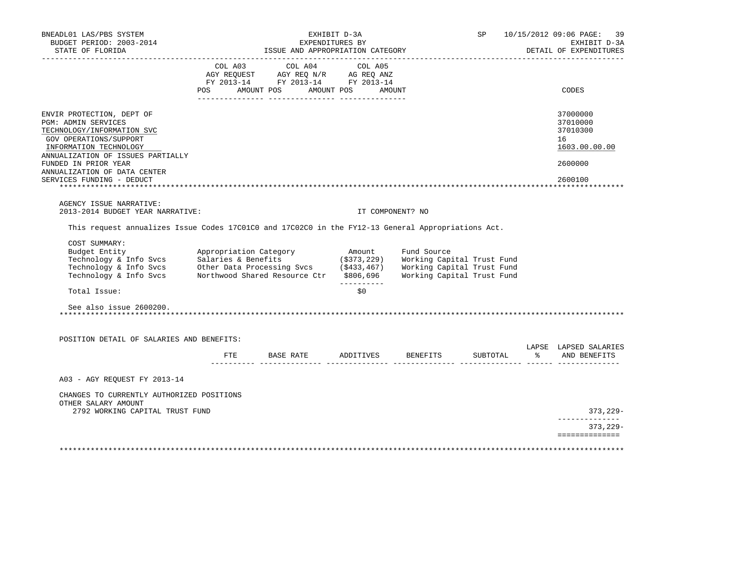| BNEADL01 LAS/PBS SYSTEM<br>BUDGET PERIOD: 2003-2014<br>STATE OF FLORIDA                                                                                                                                                                                                          |                        | ISSUE AND APPROPRIATION CATEGORY                                                                                                                                                                                                                           | EXHIBIT D-3A<br>EXPENDITURES BY |                  | SP                                              | 10/15/2012 09:06 PAGE:<br>-39<br>EXHIBIT D-3A<br>DETAIL OF EXPENDITURES       |
|----------------------------------------------------------------------------------------------------------------------------------------------------------------------------------------------------------------------------------------------------------------------------------|------------------------|------------------------------------------------------------------------------------------------------------------------------------------------------------------------------------------------------------------------------------------------------------|---------------------------------|------------------|-------------------------------------------------|-------------------------------------------------------------------------------|
|                                                                                                                                                                                                                                                                                  |                        | COL A03 COL A04 COL A05<br>$\begin{tabular}{lllllll} \bf AGY \,\, REQUEST \,\, &\bf AGY \,\, REQ \,\, N/R &\bf AG \,\, REQ \,\, ANZ \\ \bf FY \,\, 2013-14 &\bf FY \,\, 2013-14 &\bf FY \,\, 2013-14 \\ \end{tabular}$<br>POS AMOUNT POS AMOUNT POS AMOUNT |                                 |                  |                                                 | CODES                                                                         |
| ENVIR PROTECTION, DEPT OF<br>PGM: ADMIN SERVICES<br>TECHNOLOGY/INFORMATION SVC<br>GOV OPERATIONS/SUPPORT<br>INFORMATION TECHNOLOGY<br>ANNUALIZATION OF ISSUES PARTIALLY<br>FUNDED IN PRIOR YEAR<br>ANNUALIZATION OF DATA CENTER<br>SERVICES FUNDING - DEDUCT                     |                        |                                                                                                                                                                                                                                                            |                                 |                  |                                                 | 37000000<br>37010000<br>37010300<br>16<br>1603.00.00.00<br>2600000<br>2600100 |
| AGENCY ISSUE NARRATIVE:<br>2013-2014 BUDGET YEAR NARRATIVE:                                                                                                                                                                                                                      |                        |                                                                                                                                                                                                                                                            |                                 | IT COMPONENT? NO |                                                 |                                                                               |
| This request annualizes Issue Codes 17C01C0 and 17C02C0 in the FY12-13 General Appropriations Act.                                                                                                                                                                               |                        |                                                                                                                                                                                                                                                            |                                 |                  |                                                 |                                                                               |
| COST SUMMARY:<br>Budget Entity<br>Technology & Info Svcs<br>Technology & Info Svcs<br>Technology & Info Svcs<br>Technology & Info Svcs<br>Morthwood Shared Resource Ctr \$806,696<br>Morking Capital Trust Fund<br>Technology & Info Svcs<br>Northwood Shared Resource Ctr \$806 | Appropriation Category |                                                                                                                                                                                                                                                            | Amount                          | Fund Source      |                                                 |                                                                               |
| Total Issue:                                                                                                                                                                                                                                                                     |                        |                                                                                                                                                                                                                                                            | -----------<br>\$0\$            |                  |                                                 |                                                                               |
| See also issue 2600200.                                                                                                                                                                                                                                                          |                        |                                                                                                                                                                                                                                                            |                                 |                  |                                                 |                                                                               |
| POSITION DETAIL OF SALARIES AND BENEFITS:                                                                                                                                                                                                                                        |                        |                                                                                                                                                                                                                                                            |                                 |                  |                                                 | LAPSE LAPSED SALARIES                                                         |
|                                                                                                                                                                                                                                                                                  |                        | FTE BASE RATE ADDITIVES BENEFITS                                                                                                                                                                                                                           |                                 |                  | SUBTOTAL<br>______ ________________ ______ ____ | % AND BENEFITS                                                                |
| A03 - AGY REOUEST FY 2013-14                                                                                                                                                                                                                                                     |                        |                                                                                                                                                                                                                                                            |                                 |                  |                                                 |                                                                               |
| CHANGES TO CURRENTLY AUTHORIZED POSITIONS<br>OTHER SALARY AMOUNT                                                                                                                                                                                                                 |                        |                                                                                                                                                                                                                                                            |                                 |                  |                                                 |                                                                               |
| 2792 WORKING CAPITAL TRUST FUND                                                                                                                                                                                                                                                  |                        |                                                                                                                                                                                                                                                            |                                 |                  |                                                 | $373, 229 -$<br>-------------                                                 |
|                                                                                                                                                                                                                                                                                  |                        |                                                                                                                                                                                                                                                            |                                 |                  |                                                 | $373,229-$<br>==============                                                  |
|                                                                                                                                                                                                                                                                                  |                        |                                                                                                                                                                                                                                                            |                                 |                  |                                                 |                                                                               |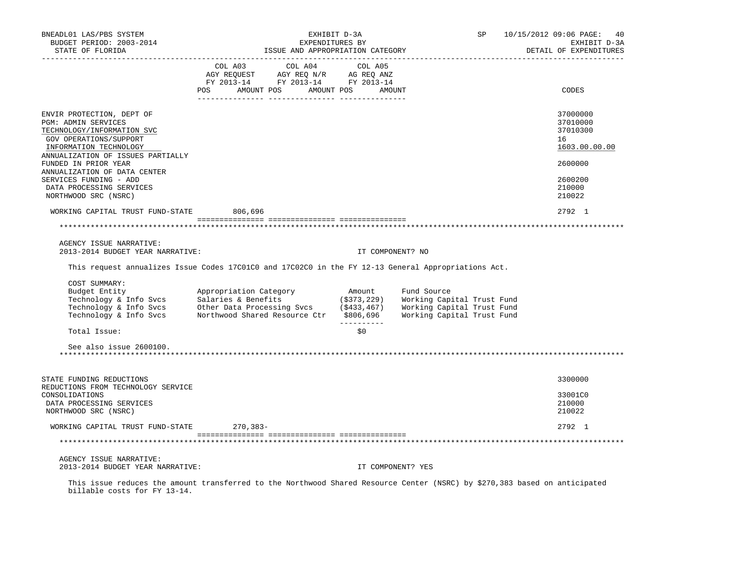| BNEADL01 LAS/PBS SYSTEM<br>BUDGET PERIOD: 2003-2014<br>STATE OF FLORIDA                                                                                                 |                                                                                                                                                                                                                                                                       | EXHIBIT D-3A<br>EXPENDITURES BY<br>ISSUE AND APPROPRIATION CATEGORY | SP 10/15/2012 09:06 PAGE: | 40<br>EXHIBIT D-3A<br>DETAIL OF EXPENDITURES            |
|-------------------------------------------------------------------------------------------------------------------------------------------------------------------------|-----------------------------------------------------------------------------------------------------------------------------------------------------------------------------------------------------------------------------------------------------------------------|---------------------------------------------------------------------|---------------------------|---------------------------------------------------------|
|                                                                                                                                                                         | $\begin{tabular}{lcccc} COL A03 & COL A04 & COL A05 \\ AGY REQUEST & AGY REQ N/R & AG REQ ANZ \\ FY & 2013-14 & FY & 2013-14 & FY & 2013-14 \end{tabular}$                                                                                                            |                                                                     |                           |                                                         |
|                                                                                                                                                                         | POS AMOUNT POS AMOUNT POS AMOUNT                                                                                                                                                                                                                                      |                                                                     |                           | CODES                                                   |
| ENVIR PROTECTION, DEPT OF<br>PGM: ADMIN SERVICES<br>TECHNOLOGY/INFORMATION SVC<br>GOV OPERATIONS/SUPPORT<br>INFORMATION TECHNOLOGY<br>ANNUALIZATION OF ISSUES PARTIALLY |                                                                                                                                                                                                                                                                       |                                                                     |                           | 37000000<br>37010000<br>37010300<br>16<br>1603.00.00.00 |
| FUNDED IN PRIOR YEAR<br>ANNUALIZATION OF DATA CENTER                                                                                                                    |                                                                                                                                                                                                                                                                       |                                                                     |                           | 2600000                                                 |
| SERVICES FUNDING - ADD<br>DATA PROCESSING SERVICES<br>NORTHWOOD SRC (NSRC)                                                                                              |                                                                                                                                                                                                                                                                       |                                                                     |                           | 2600200<br>210000<br>210022                             |
| WORKING CAPITAL TRUST FUND-STATE 806,696                                                                                                                                |                                                                                                                                                                                                                                                                       |                                                                     |                           | 2792 1                                                  |
|                                                                                                                                                                         |                                                                                                                                                                                                                                                                       |                                                                     |                           |                                                         |
| AGENCY ISSUE NARRATIVE:<br>2013-2014 BUDGET YEAR NARRATIVE:                                                                                                             |                                                                                                                                                                                                                                                                       | IT COMPONENT? NO                                                    |                           |                                                         |
|                                                                                                                                                                         | This request annualizes Issue Codes 17C01C0 and 17C02C0 in the FY 12-13 General Appropriations Act.                                                                                                                                                                   |                                                                     |                           |                                                         |
| COST SUMMARY:<br>Budget Entity                                                                                                                                          | Appropriation Category Mount<br>Technology & Info Svcs Salaries & Benefits (\$373,229) Working Capital Trust Fund<br>Technology & Info Svcs Other Data Processing Svcs (\$433,467) Working Capital Trust Fund<br>Technology & Info Svcs Northwood Shared Resource Ctr | Fund Source<br>-----------                                          |                           |                                                         |
| Total Issue:                                                                                                                                                            |                                                                                                                                                                                                                                                                       | \$0\$                                                               |                           |                                                         |
| See also issue 2600100.                                                                                                                                                 |                                                                                                                                                                                                                                                                       |                                                                     |                           |                                                         |
| STATE FUNDING REDUCTIONS<br>REDUCTIONS FROM TECHNOLOGY SERVICE                                                                                                          |                                                                                                                                                                                                                                                                       |                                                                     |                           | 3300000                                                 |
| CONSOLIDATIONS<br>DATA PROCESSING SERVICES<br>NORTHWOOD SRC (NSRC)                                                                                                      |                                                                                                                                                                                                                                                                       |                                                                     |                           | 33001C0<br>210000<br>210022                             |
| WORKING CAPITAL TRUST FUND-STATE 270,383-                                                                                                                               |                                                                                                                                                                                                                                                                       |                                                                     |                           | 2792 1                                                  |
|                                                                                                                                                                         |                                                                                                                                                                                                                                                                       |                                                                     |                           |                                                         |
| AGENCY ISSUE NARRATIVE:<br>2013-2014 BUDGET YEAR NARRATIVE:                                                                                                             |                                                                                                                                                                                                                                                                       | IT COMPONENT? YES                                                   |                           |                                                         |

 This issue reduces the amount transferred to the Northwood Shared Resource Center (NSRC) by \$270,383 based on anticipated billable costs for FY 13-14.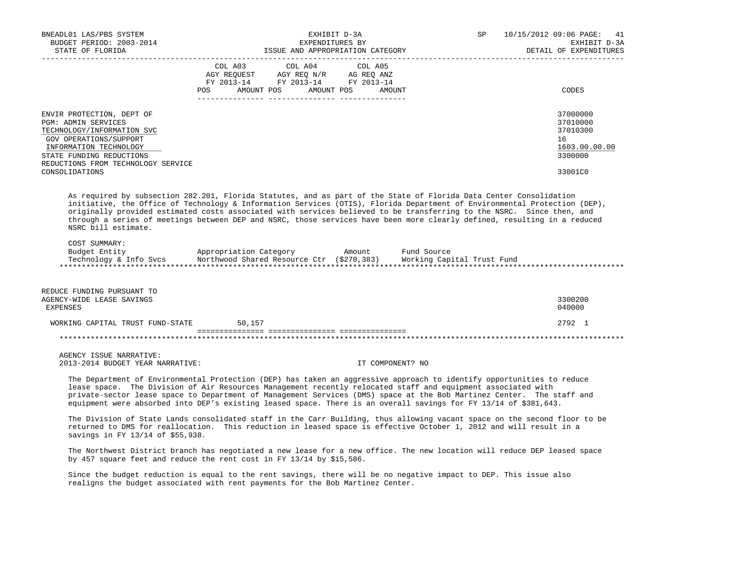| BNEADL01 LAS/PBS SYSTEM<br>BUDGET PERIOD: 2003-2014<br>STATE OF FLORIDA                                                                                                                                                                                                                                                                                                                                                                                                                                                                                                                                                                                                                                                                             |         | EXHIBIT D-3A<br>EXPENDITURES BY                                                                                                                                                                                                                | ISSUE AND APPROPRIATION CATEGORY | SP | 10/15/2012 09:06 PAGE:<br>41<br>EXHIBIT D-3A<br>DETAIL OF EXPENDITURES |
|-----------------------------------------------------------------------------------------------------------------------------------------------------------------------------------------------------------------------------------------------------------------------------------------------------------------------------------------------------------------------------------------------------------------------------------------------------------------------------------------------------------------------------------------------------------------------------------------------------------------------------------------------------------------------------------------------------------------------------------------------------|---------|------------------------------------------------------------------------------------------------------------------------------------------------------------------------------------------------------------------------------------------------|----------------------------------|----|------------------------------------------------------------------------|
|                                                                                                                                                                                                                                                                                                                                                                                                                                                                                                                                                                                                                                                                                                                                                     | COL A03 | COL A04<br>$\begin{tabular}{lllllllll} \bf AGY \,\,\, REQUEST \,\,\, & \bf AGY \,\, REQ \,\, N/R & \,\, AC \,\, REQ \,\, ANZ \\ \bf FY \,\, 2013-14 & \bf FY \,\, 2013-14 & \bf FY \,\, 2013-14 \\ \end{tabular}$<br>POS AMOUNT POS AMOUNT POS | COL A05<br>AMOUNT                |    | CODES                                                                  |
| ENVIR PROTECTION, DEPT OF<br>PGM: ADMIN SERVICES<br>TECHNOLOGY/INFORMATION SVC<br>GOV OPERATIONS/SUPPORT<br>INFORMATION TECHNOLOGY<br>STATE FUNDING REDUCTIONS<br>REDUCTIONS FROM TECHNOLOGY SERVICE                                                                                                                                                                                                                                                                                                                                                                                                                                                                                                                                                |         |                                                                                                                                                                                                                                                |                                  |    | 37000000<br>37010000<br>37010300<br>16<br>1603.00.00.00<br>3300000     |
| CONSOLIDATIONS                                                                                                                                                                                                                                                                                                                                                                                                                                                                                                                                                                                                                                                                                                                                      |         |                                                                                                                                                                                                                                                |                                  |    | 33001C0                                                                |
| As required by subsection 282.201, Florida Statutes, and as part of the State of Florida Data Center Consolidation<br>initiative, the Office of Technology & Information Services (OTIS), Florida Department of Environmental Protection (DEP),<br>originally provided estimated costs associated with services believed to be transferring to the NSRC. Since then, and<br>through a series of meetings between DEP and NSRC, those services have been more clearly defined, resulting in a reduced<br>NSRC bill estimate.<br>COST SUMMARY:<br>Budget Entity               Appropriation Category         Amount       Fund Source           Technology & Info Svcs       Northwood Shared Resource Ctr (\$270,383)     Working Capital Trust Fund |         |                                                                                                                                                                                                                                                |                                  |    |                                                                        |
| REDUCE FUNDING PURSUANT TO<br>AGENCY-WIDE LEASE SAVINGS<br>EXPENSES                                                                                                                                                                                                                                                                                                                                                                                                                                                                                                                                                                                                                                                                                 |         |                                                                                                                                                                                                                                                |                                  |    | 3300200<br>040000                                                      |
| WORKING CAPITAL TRUST FUND-STATE                                                                                                                                                                                                                                                                                                                                                                                                                                                                                                                                                                                                                                                                                                                    | 50,157  |                                                                                                                                                                                                                                                |                                  |    | 2792 1                                                                 |
|                                                                                                                                                                                                                                                                                                                                                                                                                                                                                                                                                                                                                                                                                                                                                     |         |                                                                                                                                                                                                                                                |                                  |    |                                                                        |
| AGENCY ISSUE NARRATIVE:<br>2013-2014 BUDGET YEAR NARRATIVE:                                                                                                                                                                                                                                                                                                                                                                                                                                                                                                                                                                                                                                                                                         |         |                                                                                                                                                                                                                                                | IT COMPONENT? NO                 |    |                                                                        |
| The Department of Environmental Protection (DEP) has taken an aggressive approach to identify opportunities to reduce<br>lease space. The Division of Air Resources Management recently relocated staff and equipment associated with<br>private-sector lease space to Department of Management Services (DMS) space at the Bob Martinez Center. The staff and<br>equipment were absorbed into DEP's existing leased space. There is an overall savings for FY 13/14 of \$381,643.                                                                                                                                                                                                                                                                  |         |                                                                                                                                                                                                                                                |                                  |    |                                                                        |
| The Division of State Lands consolidated staff in the Carr Building, thus allowing vacant space on the second floor to be<br>returned to DMS for reallocation. This reduction in leased space is effective October 1, 2012 and will result in a<br>savings in FY 13/14 of \$55,938.                                                                                                                                                                                                                                                                                                                                                                                                                                                                 |         |                                                                                                                                                                                                                                                |                                  |    |                                                                        |
| The Northwest District branch has negotiated a new lease for a new office. The new location will reduce DEP leased space<br>by 457 square feet and reduce the rent cost in FY 13/14 by \$15,586.                                                                                                                                                                                                                                                                                                                                                                                                                                                                                                                                                    |         |                                                                                                                                                                                                                                                |                                  |    |                                                                        |
| Since the budget reduction is equal to the rent savings, there will be no negative impact to DEP. This issue also<br>realigns the budget associated with rent payments for the Bob Martinez Center.                                                                                                                                                                                                                                                                                                                                                                                                                                                                                                                                                 |         |                                                                                                                                                                                                                                                |                                  |    |                                                                        |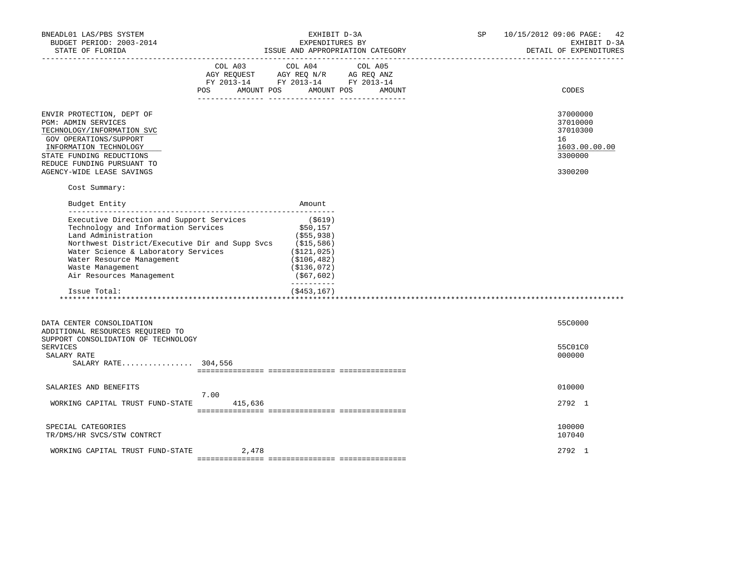| BNEADL01 LAS/PBS SYSTEM<br>BUDGET PERIOD: 2003-2014<br>STATE OF FLORIDA<br>-------------------                                                                                                                                                                                               |                          | EXHIBIT D-3A<br>EXPENDITURES BY                                                                                                                                                                                                                 | ISSUE AND APPROPRIATION CATEGORY | SP | 10/15/2012 09:06 PAGE: 42<br>EXHIBIT D-3A<br>DETAIL OF EXPENDITURES           |
|----------------------------------------------------------------------------------------------------------------------------------------------------------------------------------------------------------------------------------------------------------------------------------------------|--------------------------|-------------------------------------------------------------------------------------------------------------------------------------------------------------------------------------------------------------------------------------------------|----------------------------------|----|-------------------------------------------------------------------------------|
|                                                                                                                                                                                                                                                                                              | AMOUNT POS<br><b>POS</b> | COL A03 COL A04 COL A05<br>$\begin{tabular}{lllllllll} \bf AGY \,\,\, REQUEST \,\,\, & \bf AGY \,\, REQ \,\, N/R & \,\, AC \,\, REQ \,\, ANZ \\ \bf FY \,\, 2013-14 & \bf FY \,\, 2013-14 & \bf FY \,\, 2013-14 \\ \end{tabular}$<br>AMOUNT POS | AMOUNT                           |    | CODES                                                                         |
| ENVIR PROTECTION, DEPT OF<br><b>PGM: ADMIN SERVICES</b><br>TECHNOLOGY/INFORMATION SVC<br>GOV OPERATIONS/SUPPORT<br>INFORMATION TECHNOLOGY<br>STATE FUNDING REDUCTIONS<br>REDUCE FUNDING PURSUANT TO<br>AGENCY-WIDE LEASE SAVINGS                                                             |                          |                                                                                                                                                                                                                                                 |                                  |    | 37000000<br>37010000<br>37010300<br>16<br>1603.00.00.00<br>3300000<br>3300200 |
| Cost Summary:                                                                                                                                                                                                                                                                                |                          |                                                                                                                                                                                                                                                 |                                  |    |                                                                               |
| Budget Entity                                                                                                                                                                                                                                                                                |                          | Amount                                                                                                                                                                                                                                          |                                  |    |                                                                               |
| Executive Direction and Support Services<br>Technology and Information Services<br>Land Administration<br>Northwest District/Executive Dir and Supp Svcs<br>Water Science & Laboratory Services<br>Water Resource Management<br>Waste Management<br>Air Resources Management<br>Issue Total: |                          | ( \$619)<br>\$50,157<br>( \$55, 938)<br>(\$15,586)<br>( \$121, 025)<br>( \$106, 482)<br>( \$136, 072)<br>( \$67, 602)<br>----------<br>$($ \$453,167)                                                                                           |                                  |    |                                                                               |
|                                                                                                                                                                                                                                                                                              |                          |                                                                                                                                                                                                                                                 |                                  |    |                                                                               |
| DATA CENTER CONSOLIDATION<br>ADDITIONAL RESOURCES REQUIRED TO<br>SUPPORT CONSOLIDATION OF TECHNOLOGY                                                                                                                                                                                         |                          |                                                                                                                                                                                                                                                 |                                  |    | 55C0000                                                                       |
| <b>SERVICES</b><br>SALARY RATE<br>SALARY RATE 304,556                                                                                                                                                                                                                                        |                          |                                                                                                                                                                                                                                                 |                                  |    | 55C01C0<br>000000                                                             |
|                                                                                                                                                                                                                                                                                              |                          |                                                                                                                                                                                                                                                 |                                  |    |                                                                               |
| SALARIES AND BENEFITS                                                                                                                                                                                                                                                                        | 7.00                     |                                                                                                                                                                                                                                                 |                                  |    | 010000                                                                        |
| WORKING CAPITAL TRUST FUND-STATE                                                                                                                                                                                                                                                             | 415,636                  |                                                                                                                                                                                                                                                 |                                  |    | 2792 1                                                                        |
| SPECIAL CATEGORIES<br>TR/DMS/HR SVCS/STW CONTRCT                                                                                                                                                                                                                                             |                          |                                                                                                                                                                                                                                                 |                                  |    | 100000<br>107040                                                              |
| WORKING CAPITAL TRUST FUND-STATE                                                                                                                                                                                                                                                             | 2,478                    |                                                                                                                                                                                                                                                 |                                  |    | 2792 1                                                                        |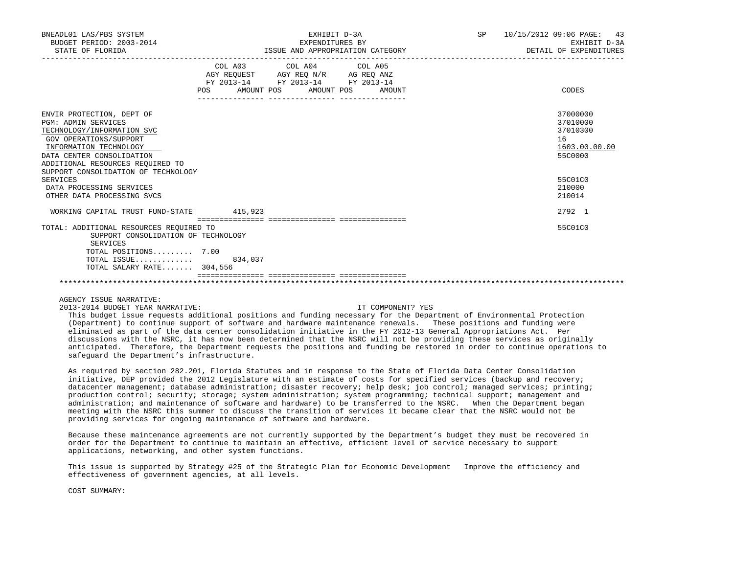| BNEADL01 LAS/PBS SYSTEM<br>BUDGET PERIOD: 2003-2014<br>STATE OF FLORIDA |                           | EXHIBIT D-3A<br>EXPENDITURES BY                                                                   | ISSUE AND APPROPRIATION CATEGORY | SP 10/15/2012 09:06 PAGE: 43<br>EXHIBIT D-3A<br>DETAIL OF EXPENDITURES |
|-------------------------------------------------------------------------|---------------------------|---------------------------------------------------------------------------------------------------|----------------------------------|------------------------------------------------------------------------|
|                                                                         | POS AMOUNT POS AMOUNT POS | COL A03 COL A04 COL A05<br>AGY REQUEST AGY REQ N/R AG REQ ANZ<br>FY 2013-14 FY 2013-14 FY 2013-14 | AMOUNT                           | CODES                                                                  |
| ENVIR PROTECTION, DEPT OF<br><b>PGM: ADMIN SERVICES</b>                 |                           |                                                                                                   |                                  | 37000000<br>37010000                                                   |
| TECHNOLOGY/INFORMATION SVC                                              |                           |                                                                                                   |                                  | 37010300                                                               |
| GOV OPERATIONS/SUPPORT                                                  |                           |                                                                                                   |                                  | 16                                                                     |
| INFORMATION TECHNOLOGY                                                  |                           |                                                                                                   |                                  | 1603.00.00.00                                                          |
| DATA CENTER CONSOLIDATION                                               |                           |                                                                                                   |                                  | 55C0000                                                                |
| ADDITIONAL RESOURCES REQUIRED TO                                        |                           |                                                                                                   |                                  |                                                                        |
| SUPPORT CONSOLIDATION OF TECHNOLOGY                                     |                           |                                                                                                   |                                  |                                                                        |
| SERVICES                                                                |                           |                                                                                                   |                                  | 5500100                                                                |
| DATA PROCESSING SERVICES                                                |                           |                                                                                                   |                                  | 210000                                                                 |
| OTHER DATA PROCESSING SVCS                                              |                           |                                                                                                   |                                  | 210014                                                                 |
| WORKING CAPITAL TRUST FUND-STATE 415,923                                |                           |                                                                                                   |                                  | 2792 1                                                                 |
| TOTAL: ADDITIONAL RESOURCES REQUIRED TO                                 |                           |                                                                                                   |                                  | 55C01C0                                                                |
| SUPPORT CONSOLIDATION OF TECHNOLOGY<br>SERVICES                         |                           |                                                                                                   |                                  |                                                                        |
| TOTAL POSITIONS 7.00                                                    |                           |                                                                                                   |                                  |                                                                        |
| TOTAL ISSUE 834,037                                                     |                           |                                                                                                   |                                  |                                                                        |
| TOTAL SALARY RATE 304,556                                               |                           |                                                                                                   |                                  |                                                                        |
|                                                                         |                           |                                                                                                   |                                  |                                                                        |

AGENCY ISSUE NARRATIVE:

2013-2014 BUDGET YEAR NARRATIVE: IT COMPONENT? YES

 This budget issue requests additional positions and funding necessary for the Department of Environmental Protection (Department) to continue support of software and hardware maintenance renewals. These positions and funding were eliminated as part of the data center consolidation initiative in the FY 2012-13 General Appropriations Act. Per discussions with the NSRC, it has now been determined that the NSRC will not be providing these services as originally anticipated. Therefore, the Department requests the positions and funding be restored in order to continue operations to safeguard the Department's infrastructure.

\*\*\*\*\*\*\*\*\*\*\*\*\*\*\*\*\*\*\*\*\*\*\*\*\*\*\*\*\*\*\*\*\*\*\*\*\*\*\*\*\*\*\*\*\*\*\*\*\*\*\*\*\*\*\*\*\*\*\*\*\*\*\*\*\*\*\*\*\*\*\*\*\*\*\*\*\*\*\*\*\*\*\*\*\*\*\*\*\*\*\*\*\*\*\*\*\*\*\*\*\*\*\*\*\*\*\*\*\*\*\*\*\*\*\*\*\*\*\*\*\*\*\*\*\*\*\*

 As required by section 282.201, Florida Statutes and in response to the State of Florida Data Center Consolidation initiative, DEP provided the 2012 Legislature with an estimate of costs for specified services (backup and recovery; datacenter management; database administration; disaster recovery; help desk; job control; managed services; printing; production control; security; storage; system administration; system programming; technical support; management and administration; and maintenance of software and hardware) to be transferred to the NSRC. When the Department began meeting with the NSRC this summer to discuss the transition of services it became clear that the NSRC would not be providing services for ongoing maintenance of software and hardware.

 Because these maintenance agreements are not currently supported by the Department's budget they must be recovered in order for the Department to continue to maintain an effective, efficient level of service necessary to support applications, networking, and other system functions.

This issue is supported by Strategy #25 of the Strategic Plan for Economic Development Improve the efficiency and effectiveness of government agencies, at all levels.

COST SUMMARY: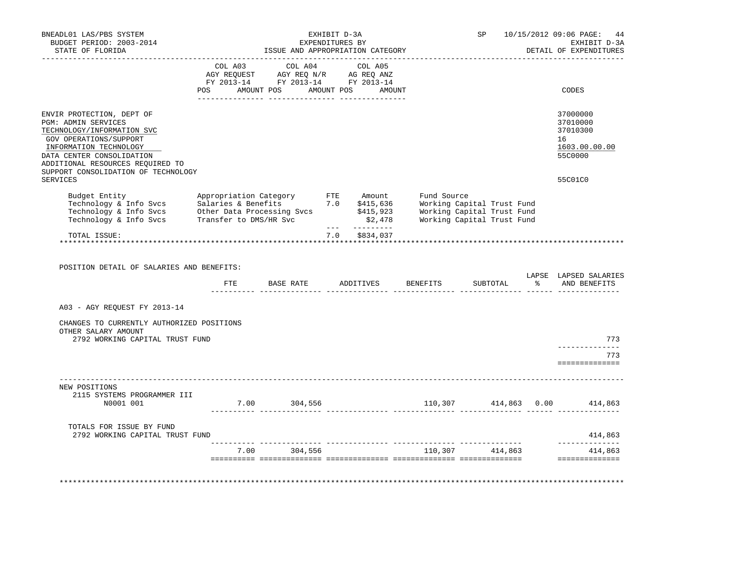| BNEADL01 LAS/PBS SYSTEM<br>BUDGET PERIOD: 2003-2014<br>STATE OF FLORIDA                                                                                                                                                                                              |  | ISSUE AND APPROPRIATION CATEGORY                                                                                                                                                               | EXHIBIT D-3A<br>EXPENDITURES BY |               |  | SP |  | 10/15/2012 09:06 PAGE:<br>44<br>EXHIBIT D-3A<br>DETAIL OF EXPENDITURES        |
|----------------------------------------------------------------------------------------------------------------------------------------------------------------------------------------------------------------------------------------------------------------------|--|------------------------------------------------------------------------------------------------------------------------------------------------------------------------------------------------|---------------------------------|---------------|--|----|--|-------------------------------------------------------------------------------|
|                                                                                                                                                                                                                                                                      |  | $\begin{tabular}{lcccc} COL A03 & COL A04 & COL A05 \\ AGY REQUEST & AGY REQ N/R & AG REQ ANZ \\ FY & 2013-14 & FY & 2013-14 & FY & 2013-14 \end{tabular}$<br>POS AMOUNT POS AMOUNT POS AMOUNT |                                 |               |  |    |  | CODES                                                                         |
| ENVIR PROTECTION, DEPT OF<br><b>PGM: ADMIN SERVICES</b><br>TECHNOLOGY/INFORMATION SVC<br>GOV OPERATIONS/SUPPORT<br>INFORMATION TECHNOLOGY<br>DATA CENTER CONSOLIDATION<br>ADDITIONAL RESOURCES REQUIRED TO<br>SUPPORT CONSOLIDATION OF TECHNOLOGY<br><b>SERVICES</b> |  |                                                                                                                                                                                                |                                 |               |  |    |  | 37000000<br>37010000<br>37010300<br>16<br>1603.00.00.00<br>55C0000<br>55C01C0 |
| Budget Entity appropriation Category FTE Amount Fund Source<br>Technology & Info Svcs Salaries & Benefits 7.0 \$415,636 Working Capital Trust Fund<br>Technology & Info Svcs Other Data Processing Svcs \$415,923 Working Capital Tr                                 |  |                                                                                                                                                                                                |                                 |               |  |    |  |                                                                               |
| TOTAL ISSUE:                                                                                                                                                                                                                                                         |  |                                                                                                                                                                                                |                                 | 7.0 \$834,037 |  |    |  |                                                                               |
| POSITION DETAIL OF SALARIES AND BENEFITS:                                                                                                                                                                                                                            |  | FTE BASE RATE ADDITIVES BENEFITS                                                                                                                                                               |                                 |               |  |    |  | LAPSE LAPSED SALARIES<br>SUBTOTAL % AND BENEFITS                              |
| A03 - AGY REQUEST FY 2013-14                                                                                                                                                                                                                                         |  |                                                                                                                                                                                                |                                 |               |  |    |  |                                                                               |
| CHANGES TO CURRENTLY AUTHORIZED POSITIONS<br>OTHER SALARY AMOUNT<br>2792 WORKING CAPITAL TRUST FUND                                                                                                                                                                  |  |                                                                                                                                                                                                |                                 |               |  |    |  | 773                                                                           |
|                                                                                                                                                                                                                                                                      |  |                                                                                                                                                                                                |                                 |               |  |    |  | --------------<br>773<br>==============                                       |
| NEW POSITIONS<br>2115 SYSTEMS PROGRAMMER III<br>N0001 001                                                                                                                                                                                                            |  | $7.00$ 304,556                                                                                                                                                                                 |                                 |               |  |    |  | 110,307 414,863 0.00 414,863                                                  |
|                                                                                                                                                                                                                                                                      |  |                                                                                                                                                                                                |                                 |               |  |    |  |                                                                               |
| TOTALS FOR ISSUE BY FUND<br>2792 WORKING CAPITAL TRUST FUND                                                                                                                                                                                                          |  |                                                                                                                                                                                                |                                 |               |  |    |  | 414,863<br>--------------                                                     |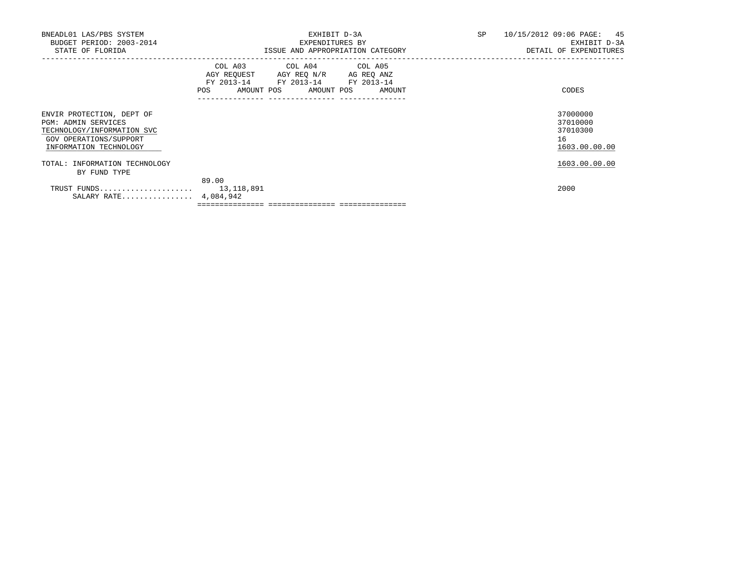| BNEADL01 LAS/PBS SYSTEM<br>BUDGET PERIOD: 2003-2014<br>STATE OF FLORIDA                                                                   | EXHIBIT D-3A<br>EXPENDITURES BY<br>ISSUE AND APPROPRIATION CATEGORY                                                                                                                                                                                 | SP<br>10/15/2012 09:06 PAGE: 45<br>EXHIBIT D-3A<br>DETAIL OF EXPENDITURES |
|-------------------------------------------------------------------------------------------------------------------------------------------|-----------------------------------------------------------------------------------------------------------------------------------------------------------------------------------------------------------------------------------------------------|---------------------------------------------------------------------------|
|                                                                                                                                           | COL A03 COL A04 COL A05<br>AGY REQUEST AGY REQ N/R AG REQ ANZ<br>FY 2013-14 FY 2013-14 FY 2013-14<br>AMOUNT POS AMOUNT POS AMOUNT<br>POS FOR THE POST OF THE STATE STATE STATE STATE STATE STATE STATE STATE STATE STATE STATE STATE STATE STATE ST | CODES                                                                     |
| ENVIR PROTECTION, DEPT OF<br><b>PGM: ADMIN SERVICES</b><br>TECHNOLOGY/INFORMATION SVC<br>GOV OPERATIONS/SUPPORT<br>INFORMATION TECHNOLOGY |                                                                                                                                                                                                                                                     | 37000000<br>37010000<br>37010300<br>16<br>1603.00.00.00                   |
| TOTAL: INFORMATION TECHNOLOGY<br>BY FUND TYPE                                                                                             |                                                                                                                                                                                                                                                     | 1603.00.00.00                                                             |
| TRUST FUNDS 13,118,891<br>SALARY RATE 4,084,942                                                                                           | 89.00                                                                                                                                                                                                                                               | 2000                                                                      |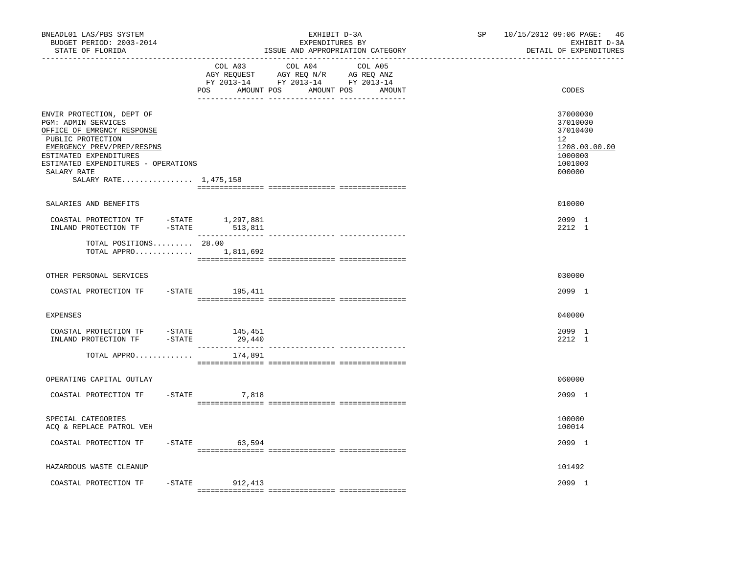| BNEADL01 LAS/PBS SYSTEM<br>BUDGET PERIOD: 2003-2014<br>STATE OF FLORIDA<br>------------------                                                                                                                                              |                              | EXHIBIT D-3A<br>EXPENDITURES BY<br>ISSUE AND APPROPRIATION CATEGORY<br>________________ | SP and the set of the set of the set of the set of the set of the set of the set of the set of the set of the set of the set of the set of the set of the set of the set of the set of the set of the set of the set of the se | 10/15/2012 09:06 PAGE: 46<br>EXHIBIT D-3A<br>DETAIL OF EXPENDITURES                                  |
|--------------------------------------------------------------------------------------------------------------------------------------------------------------------------------------------------------------------------------------------|------------------------------|-----------------------------------------------------------------------------------------|--------------------------------------------------------------------------------------------------------------------------------------------------------------------------------------------------------------------------------|------------------------------------------------------------------------------------------------------|
|                                                                                                                                                                                                                                            | COL A03<br>POS<br>AMOUNT POS | COL A04<br>COL A05<br>AMOUNT POS<br>AMOUNT                                              |                                                                                                                                                                                                                                | CODES                                                                                                |
| ENVIR PROTECTION, DEPT OF<br>PGM: ADMIN SERVICES<br>OFFICE OF EMRGNCY RESPONSE<br>PUBLIC PROTECTION<br>EMERGENCY PREV/PREP/RESPNS<br>ESTIMATED EXPENDITURES<br>ESTIMATED EXPENDITURES - OPERATIONS<br>SALARY RATE<br>SALARY RATE 1,475,158 |                              |                                                                                         |                                                                                                                                                                                                                                | 37000000<br>37010000<br>37010400<br>12 <sup>°</sup><br>1208.00.00.00<br>1000000<br>1001000<br>000000 |
| SALARIES AND BENEFITS                                                                                                                                                                                                                      |                              |                                                                                         |                                                                                                                                                                                                                                | 010000                                                                                               |
| COASTAL PROTECTION TF -STATE 1,297,881<br>INLAND PROTECTION TF - STATE                                                                                                                                                                     | 513,811                      |                                                                                         |                                                                                                                                                                                                                                | 2099 1<br>2212 1                                                                                     |
| TOTAL POSITIONS 28.00<br>TOTAL APPRO $1,811,692$                                                                                                                                                                                           |                              | ---------------- ----------------                                                       |                                                                                                                                                                                                                                |                                                                                                      |
| OTHER PERSONAL SERVICES                                                                                                                                                                                                                    |                              |                                                                                         |                                                                                                                                                                                                                                | 030000                                                                                               |
| COASTAL PROTECTION TF                                                                                                                                                                                                                      | $-$ STATE 195, 411           |                                                                                         |                                                                                                                                                                                                                                | 2099 1                                                                                               |
| <b>EXPENSES</b>                                                                                                                                                                                                                            |                              |                                                                                         |                                                                                                                                                                                                                                | 040000                                                                                               |
| COASTAL PROTECTION TF -STATE 145,451<br>$-$ STATE<br>INLAND PROTECTION TF                                                                                                                                                                  | 29,440                       |                                                                                         |                                                                                                                                                                                                                                | 2099 1<br>2212 1                                                                                     |
| TOTAL APPRO                                                                                                                                                                                                                                | 174,891                      |                                                                                         |                                                                                                                                                                                                                                |                                                                                                      |
| OPERATING CAPITAL OUTLAY                                                                                                                                                                                                                   |                              |                                                                                         |                                                                                                                                                                                                                                | 060000                                                                                               |
| COASTAL PROTECTION TF                                                                                                                                                                                                                      | $-STATE$<br>7,818            |                                                                                         |                                                                                                                                                                                                                                | 2099 1                                                                                               |
| SPECIAL CATEGORIES<br>ACQ & REPLACE PATROL VEH                                                                                                                                                                                             |                              |                                                                                         |                                                                                                                                                                                                                                | 100000<br>100014                                                                                     |
| COASTAL PROTECTION TF                                                                                                                                                                                                                      | $-$ STATE 63,594             |                                                                                         |                                                                                                                                                                                                                                | 2099 1                                                                                               |
| HAZARDOUS WASTE CLEANUP                                                                                                                                                                                                                    |                              |                                                                                         |                                                                                                                                                                                                                                | 101492                                                                                               |
| COASTAL PROTECTION TF                                                                                                                                                                                                                      | – STATE<br>912,413           |                                                                                         |                                                                                                                                                                                                                                | 2099 1                                                                                               |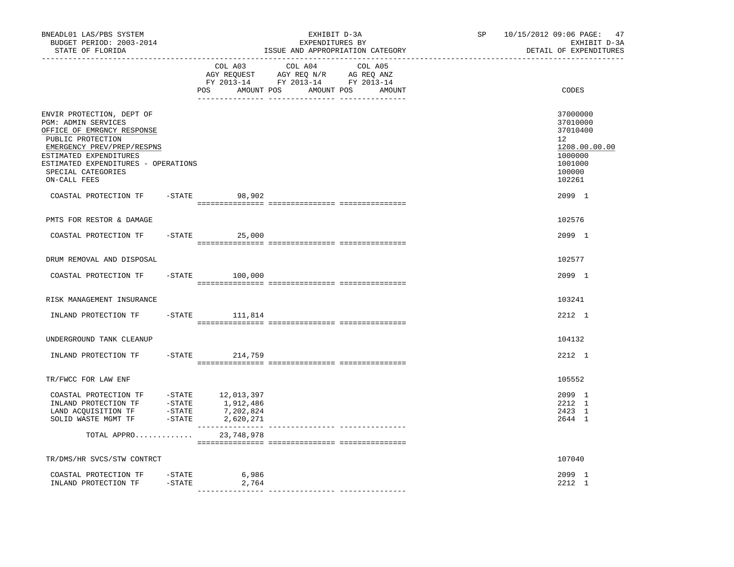| BNEADL01 LAS/PBS SYSTEM<br>BUDGET PERIOD: 2003-2014<br>STATE OF FLORIDA                                                                                                                                                                         |                                |                                               | EXPENDITURES BY                                                                   | EXHIBIT D-3A<br>ISSUE AND APPROPRIATION CATEGORY | SP | 10/15/2012 09:06 PAGE:<br>47<br>EXHIBIT D-3A<br>DETAIL OF EXPENDITURES                                          |
|-------------------------------------------------------------------------------------------------------------------------------------------------------------------------------------------------------------------------------------------------|--------------------------------|-----------------------------------------------|-----------------------------------------------------------------------------------|--------------------------------------------------|----|-----------------------------------------------------------------------------------------------------------------|
|                                                                                                                                                                                                                                                 |                                | __________________________________<br>COL A03 | COL A04<br>AGY REQUEST AGY REQ N/R AG REQ ANZ<br>FY 2013-14 FY 2013-14 FY 2013-14 | COL A05<br>POS AMOUNT POS AMOUNT POS AMOUNT      |    | CODES                                                                                                           |
| ENVIR PROTECTION, DEPT OF<br><b>PGM: ADMIN SERVICES</b><br>OFFICE OF EMRGNCY RESPONSE<br>PUBLIC PROTECTION<br>EMERGENCY PREV/PREP/RESPNS<br>ESTIMATED EXPENDITURES<br>ESTIMATED EXPENDITURES - OPERATIONS<br>SPECIAL CATEGORIES<br>ON-CALL FEES |                                |                                               |                                                                                   |                                                  |    | 37000000<br>37010000<br>37010400<br>12 <sup>12</sup><br>1208.00.00.00<br>1000000<br>1001000<br>100000<br>102261 |
| COASTAL PROTECTION TF -STATE 98,902                                                                                                                                                                                                             |                                |                                               |                                                                                   |                                                  |    | 2099 1                                                                                                          |
| PMTS FOR RESTOR & DAMAGE                                                                                                                                                                                                                        |                                |                                               |                                                                                   |                                                  |    | 102576                                                                                                          |
| COASTAL PROTECTION TF                                                                                                                                                                                                                           |                                | $-STATE$ 25,000                               |                                                                                   |                                                  |    | 2099 1                                                                                                          |
| DRUM REMOVAL AND DISPOSAL                                                                                                                                                                                                                       |                                |                                               |                                                                                   |                                                  |    | 102577                                                                                                          |
| COASTAL PROTECTION TF                                                                                                                                                                                                                           |                                | $-STATE$ 100,000                              |                                                                                   |                                                  |    | 2099 1                                                                                                          |
| RISK MANAGEMENT INSURANCE                                                                                                                                                                                                                       |                                |                                               |                                                                                   |                                                  |    | 103241                                                                                                          |
| INLAND PROTECTION TF                                                                                                                                                                                                                            |                                | $-$ STATE 111,814                             |                                                                                   |                                                  |    | 2212 1                                                                                                          |
| UNDERGROUND TANK CLEANUP                                                                                                                                                                                                                        |                                |                                               |                                                                                   |                                                  |    | 104132                                                                                                          |
| INLAND PROTECTION TF                                                                                                                                                                                                                            |                                | -STATE 214,759                                |                                                                                   |                                                  |    | 2212 1                                                                                                          |
| TR/FWCC FOR LAW ENF                                                                                                                                                                                                                             |                                |                                               |                                                                                   |                                                  |    | 105552                                                                                                          |
| SOLID WASTE MGMT TF                                                                                                                                                                                                                             | $-$ STATE                      | 2,620,271<br>_______________                  |                                                                                   |                                                  |    | 2099 1<br>2212 1<br>2423 1<br>2644 1                                                                            |
| TOTAL APPRO                                                                                                                                                                                                                                     |                                | 23,748,978                                    |                                                                                   |                                                  |    |                                                                                                                 |
| TR/DMS/HR SVCS/STW CONTRCT                                                                                                                                                                                                                      |                                |                                               |                                                                                   |                                                  |    | 107040                                                                                                          |
| COASTAL PROTECTION TF<br>INLAND PROTECTION TF                                                                                                                                                                                                   | $-\mathtt{STATE}$<br>$-$ STATE | 6,986<br>2,764                                |                                                                                   |                                                  |    | 2099 1<br>2212 1                                                                                                |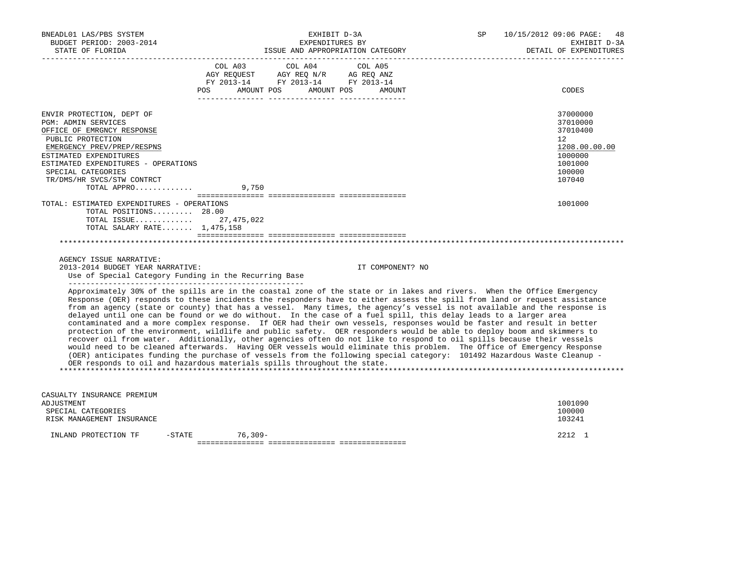| BNEADL01 LAS/PBS SYSTEM<br>BUDGET PERIOD: 2003-2014<br>STATE OF FLORIDA<br>----------------------                                                                                                                                                                                                                                                                                                                                                                                                                                                                                                                                                                                                                                                                                                                                                                                                                                                                                                                                                                                                                                                                                                                |           | EXHIBIT D-3A<br>EXPENDITURES BY                                                                   | ISSUE AND APPROPRIATION CATEGORY | SP | 10/15/2012 09:06 PAGE:<br>DETAIL OF EXPENDITURES                                            | 48<br>EXHIBIT D-3A |
|------------------------------------------------------------------------------------------------------------------------------------------------------------------------------------------------------------------------------------------------------------------------------------------------------------------------------------------------------------------------------------------------------------------------------------------------------------------------------------------------------------------------------------------------------------------------------------------------------------------------------------------------------------------------------------------------------------------------------------------------------------------------------------------------------------------------------------------------------------------------------------------------------------------------------------------------------------------------------------------------------------------------------------------------------------------------------------------------------------------------------------------------------------------------------------------------------------------|-----------|---------------------------------------------------------------------------------------------------|----------------------------------|----|---------------------------------------------------------------------------------------------|--------------------|
|                                                                                                                                                                                                                                                                                                                                                                                                                                                                                                                                                                                                                                                                                                                                                                                                                                                                                                                                                                                                                                                                                                                                                                                                                  | POS FOR   | COL A03 COL A04 COL A05<br>AGY REQUEST AGY REQ N/R AG REQ ANZ<br>FY 2013-14 FY 2013-14 FY 2013-14 | AMOUNT POS AMOUNT POS AMOUNT     |    | CODES                                                                                       |                    |
| ENVIR PROTECTION, DEPT OF<br><b>PGM: ADMIN SERVICES</b><br>OFFICE OF EMRGNCY RESPONSE<br>PUBLIC PROTECTION<br>EMERGENCY PREV/PREP/RESPNS<br>ESTIMATED EXPENDITURES<br>ESTIMATED EXPENDITURES - OPERATIONS<br>SPECIAL CATEGORIES<br>TR/DMS/HR SVCS/STW CONTRCT<br>TOTAL APPRO<br>TOTAL: ESTIMATED EXPENDITURES - OPERATIONS<br>TOTAL POSITIONS 28.00                                                                                                                                                                                                                                                                                                                                                                                                                                                                                                                                                                                                                                                                                                                                                                                                                                                              | 9,750     |                                                                                                   |                                  |    | 37000000<br>37010000<br>37010400<br>12<br>1000000<br>1001000<br>100000<br>107040<br>1001000 | 1208.00.00.00      |
| TOTAL ISSUE 27,475,022<br>TOTAL SALARY RATE 1,475,158                                                                                                                                                                                                                                                                                                                                                                                                                                                                                                                                                                                                                                                                                                                                                                                                                                                                                                                                                                                                                                                                                                                                                            |           |                                                                                                   |                                  |    |                                                                                             |                    |
| AGENCY ISSUE NARRATIVE:<br>2013-2014 BUDGET YEAR NARRATIVE:<br>Use of Special Category Funding in the Recurring Base                                                                                                                                                                                                                                                                                                                                                                                                                                                                                                                                                                                                                                                                                                                                                                                                                                                                                                                                                                                                                                                                                             |           |                                                                                                   | IT COMPONENT? NO                 |    |                                                                                             |                    |
| Approximately 30% of the spills are in the coastal zone of the state or in lakes and rivers. When the Office Emergency<br>Response (OER) responds to these incidents the responders have to either assess the spill from land or request assistance<br>from an agency (state or county) that has a vessel. Many times, the agency's vessel is not available and the response is<br>delayed until one can be found or we do without. In the case of a fuel spill, this delay leads to a larger area<br>contaminated and a more complex response. If OER had their own vessels, responses would be faster and result in better<br>protection of the environment, wildlife and public safety. OER responders would be able to deploy boom and skimmers to<br>recover oil from water. Additionally, other agencies often do not like to respond to oil spills because their vessels<br>would need to be cleaned afterwards. Having OER vessels would eliminate this problem. The Office of Emergency Response<br>(OER) anticipates funding the purchase of vessels from the following special category: 101492 Hazardous Waste Cleanup -<br>OER responds to oil and hazardous materials spills throughout the state. |           |                                                                                                   |                                  |    |                                                                                             |                    |
| CASUALTY INSURANCE PREMIUM<br>ADJUSTMENT<br>SPECIAL CATEGORIES<br>RISK MANAGEMENT INSURANCE                                                                                                                                                                                                                                                                                                                                                                                                                                                                                                                                                                                                                                                                                                                                                                                                                                                                                                                                                                                                                                                                                                                      |           |                                                                                                   |                                  |    | 1001090<br>100000<br>103241                                                                 |                    |
| $-$ STATE<br>INLAND PROTECTION TF                                                                                                                                                                                                                                                                                                                                                                                                                                                                                                                                                                                                                                                                                                                                                                                                                                                                                                                                                                                                                                                                                                                                                                                | $76,309-$ |                                                                                                   |                                  |    | 2212 1                                                                                      |                    |

=============== =============== ===============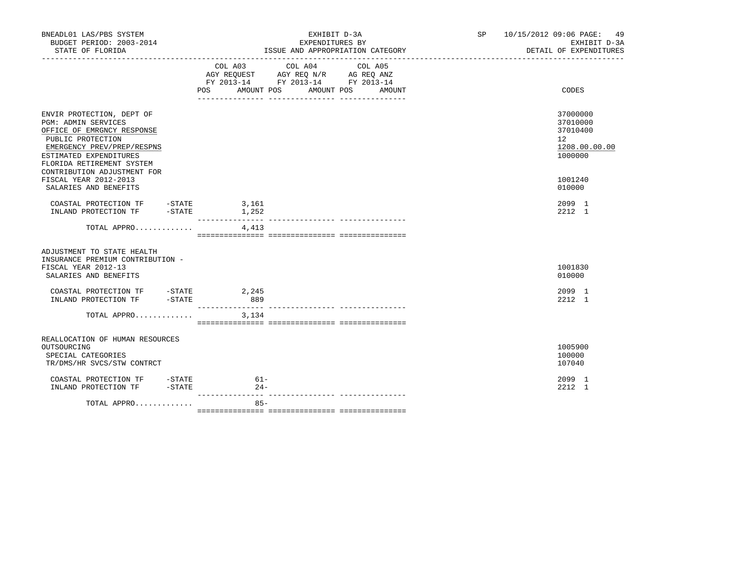| BNEADL01 LAS/PBS SYSTEM<br>BUDGET PERIOD: 2003-2014<br>STATE OF FLORIDA                                                                                                                                                                                 |               | EXHIBIT D-3A<br>EXPENDITURES BY<br>ISSUE AND APPROPRIATION CATEGORY                                                                                                                                                                                                                                                                                |        | SP 10/15/2012 09:06 PAGE: 49<br>EXHIBIT D-3A<br>DETAIL OF EXPENDITURES                     |
|---------------------------------------------------------------------------------------------------------------------------------------------------------------------------------------------------------------------------------------------------------|---------------|----------------------------------------------------------------------------------------------------------------------------------------------------------------------------------------------------------------------------------------------------------------------------------------------------------------------------------------------------|--------|--------------------------------------------------------------------------------------------|
|                                                                                                                                                                                                                                                         |               | $\begin{tabular}{lllllllllll} &\multicolumn{4}{c}{\text{COL A03}} &\multicolumn{4}{c}{\text{COL A04}} &\multicolumn{4}{c}{\text{COL A05}} \\ \multicolumn{4}{c}{\text{AGY REQUEST}} &\multicolumn{4}{c}{\text{AGY REQ N/R}} &\multicolumn{4}{c}{\text{AG REQ ANZ}} \end{tabular}$<br>FY 2013-14 FY 2013-14 FY 2013-14<br>POS AMOUNT POS AMOUNT POS | AMOUNT | CODES                                                                                      |
| ENVIR PROTECTION, DEPT OF<br><b>PGM: ADMIN SERVICES</b><br>OFFICE OF EMRGNCY RESPONSE<br>PUBLIC PROTECTION<br>EMERGENCY PREV/PREP/RESPNS<br>ESTIMATED EXPENDITURES<br>FLORIDA RETIREMENT SYSTEM<br>CONTRIBUTION ADJUSTMENT FOR<br>FISCAL YEAR 2012-2013 |               |                                                                                                                                                                                                                                                                                                                                                    |        | 37000000<br>37010000<br>37010400<br>12 <sup>°</sup><br>1208.00.00.00<br>1000000<br>1001240 |
| SALARIES AND BENEFITS<br>COASTAL PROTECTION TF - STATE<br>INLAND PROTECTION TF -STATE 1,252                                                                                                                                                             | 3,161         |                                                                                                                                                                                                                                                                                                                                                    |        | 010000<br>2099 1<br>2212 1                                                                 |
| TOTAL APPRO                                                                                                                                                                                                                                             | 4,413         |                                                                                                                                                                                                                                                                                                                                                    |        |                                                                                            |
| ADJUSTMENT TO STATE HEALTH<br>INSURANCE PREMIUM CONTRIBUTION -<br>FISCAL YEAR 2012-13<br>SALARIES AND BENEFITS                                                                                                                                          |               |                                                                                                                                                                                                                                                                                                                                                    |        | 1001830<br>010000                                                                          |
| COASTAL PROTECTION TF - STATE 2,245<br>INLAND PROTECTION TF -STATE                                                                                                                                                                                      | 889           |                                                                                                                                                                                                                                                                                                                                                    |        | 2099 1<br>2212 1                                                                           |
| TOTAL APPRO $3,134$                                                                                                                                                                                                                                     |               |                                                                                                                                                                                                                                                                                                                                                    |        |                                                                                            |
| REALLOCATION OF HUMAN RESOURCES<br>OUTSOURCING<br>SPECIAL CATEGORIES<br>TR/DMS/HR SVCS/STW CONTRCT                                                                                                                                                      |               |                                                                                                                                                                                                                                                                                                                                                    |        | 1005900<br>100000<br>107040                                                                |
| COASTAL PROTECTION TF -STATE<br>INLAND PROTECTION TF -STATE                                                                                                                                                                                             | 61-<br>$24 -$ |                                                                                                                                                                                                                                                                                                                                                    |        | 2099 1<br>2212 1                                                                           |
| TOTAL APPRO                                                                                                                                                                                                                                             | $85 -$        |                                                                                                                                                                                                                                                                                                                                                    |        |                                                                                            |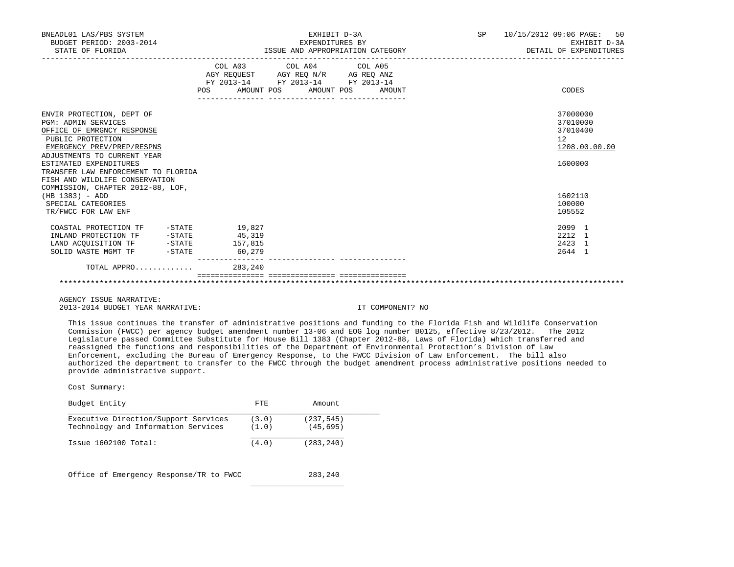| BNEADL01 LAS/PBS SYSTEM<br>BUDGET PERIOD: 2003-2014<br>STATE OF FLORIDA                                                                                                                                                                                                    |         | EXHIBIT D-3A<br>EXPENDITURES BY<br>ISSUE AND APPROPRIATION CATEGORY                                                                   | SP 10/15/2012 09:06 PAGE: 50<br>EXHIBIT D-3A<br>DETAIL OF EXPENDITURES |
|----------------------------------------------------------------------------------------------------------------------------------------------------------------------------------------------------------------------------------------------------------------------------|---------|---------------------------------------------------------------------------------------------------------------------------------------|------------------------------------------------------------------------|
|                                                                                                                                                                                                                                                                            |         | COL A03 COL A04 COL A05<br>AGY REQUEST AGY REQ N/R AG REQ ANZ<br>FY 2013-14 FY 2013-14 FY 2013-14<br>POS AMOUNT POS AMOUNT POS AMOUNT | CODES                                                                  |
| ENVIR PROTECTION, DEPT OF<br><b>PGM: ADMIN SERVICES</b><br>OFFICE OF EMRGNCY RESPONSE<br>PUBLIC PROTECTION<br>EMERGENCY PREV/PREP/RESPNS<br>ADJUSTMENTS TO CURRENT YEAR<br>ESTIMATED EXPENDITURES<br>TRANSFER LAW ENFORCEMENT TO FLORIDA<br>FISH AND WILDLIFE CONSERVATION |         |                                                                                                                                       | 37000000<br>37010000<br>37010400<br>12<br>1208.00.00.00<br>1600000     |
| COMMISSION, CHAPTER 2012-88, LOF,<br>$(HB 1383) - ADD$<br>SPECIAL CATEGORIES<br>TR/FWCC FOR LAW ENF                                                                                                                                                                        |         |                                                                                                                                       | 1602110<br>100000<br>105552                                            |
| COASTAL PROTECTION TF $-$ -STATE 19,827<br>INLAND PROTECTION TF -STATE 45,319<br>LAND ACQUISITION TF -STATE 157,815<br>SOLID WASTE MGMT TF -STATE                                                                                                                          | 60, 279 |                                                                                                                                       | 2099 1<br>2212 1<br>2423 1<br>2644 1                                   |
| TOTAL APPRO                                                                                                                                                                                                                                                                | 283,240 | ================================                                                                                                      |                                                                        |
| AGENCY ISSUE NARRATIVE:                                                                                                                                                                                                                                                    |         |                                                                                                                                       |                                                                        |

2013-2014 BUDGET YEAR NARRATIVE: IT COMPONENT? NO

 This issue continues the transfer of administrative positions and funding to the Florida Fish and Wildlife Conservation Commission (FWCC) per agency budget amendment number 13-06 and EOG log number B0125, effective 8/23/2012. The 2012 Legislature passed Committee Substitute for House Bill 1383 (Chapter 2012-88, Laws of Florida) which transferred and reassigned the functions and responsibilities of the Department of Environmental Protection's Division of Law Enforcement, excluding the Bureau of Emergency Response, to the FWCC Division of Law Enforcement. The bill also authorized the department to transfer to the FWCC through the budget amendment process administrative positions needed to provide administrative support.

| Budget Entity                           | FTE.  | Amount     |
|-----------------------------------------|-------|------------|
| Executive Direction/Support Services    | (3.0) | (237, 545) |
| Technology and Information Services     | (1.0) | (45, 695)  |
| $Issue$ 1602100 Total:                  | (4.0) | (283,240)  |
| Office of Emergency Response/TR to FWCC |       | 283,240    |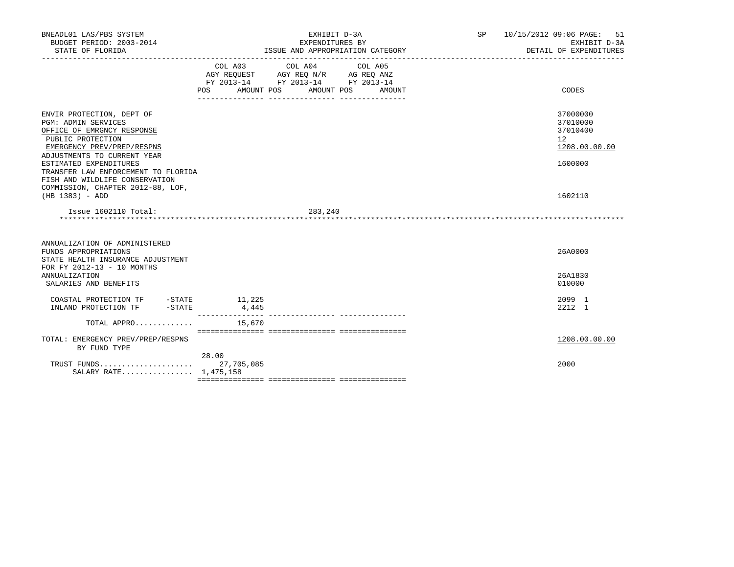| BNEADL01 LAS/PBS SYSTEM<br>BUDGET PERIOD: 2003-2014<br>STATE OF FLORIDA                                                                                                                                                                                                    | EXHIBIT D-3A<br>EXPENDITURES BY<br>ISSUE AND APPROPRIATION CATEGORY                                                                                  | SP<br>10/15/2012 09:06 PAGE: | 51<br>EXHIBIT D-3A<br>DETAIL OF EXPENDITURES                                    |
|----------------------------------------------------------------------------------------------------------------------------------------------------------------------------------------------------------------------------------------------------------------------------|------------------------------------------------------------------------------------------------------------------------------------------------------|------------------------------|---------------------------------------------------------------------------------|
|                                                                                                                                                                                                                                                                            | COL A03<br>COL A04<br>COL A05<br>AGY REOUEST AGY REO N/R AG REO ANZ<br>FY 2013-14 FY 2013-14 FY 2013-14<br>POS<br>AMOUNT POS<br>AMOUNT POS<br>AMOUNT |                              | CODES                                                                           |
| ENVIR PROTECTION, DEPT OF<br><b>PGM: ADMIN SERVICES</b><br>OFFICE OF EMRGNCY RESPONSE<br>PUBLIC PROTECTION<br>EMERGENCY PREV/PREP/RESPNS<br>ADJUSTMENTS TO CURRENT YEAR<br>ESTIMATED EXPENDITURES<br>TRANSFER LAW ENFORCEMENT TO FLORIDA<br>FISH AND WILDLIFE CONSERVATION |                                                                                                                                                      |                              | 37000000<br>37010000<br>37010400<br>12 <sup>°</sup><br>1208.00.00.00<br>1600000 |
| COMMISSION, CHAPTER 2012-88, LOF,<br>$(HB 1383) - ADD$<br>Issue 1602110 Total:                                                                                                                                                                                             | 283,240                                                                                                                                              |                              | 1602110                                                                         |
|                                                                                                                                                                                                                                                                            |                                                                                                                                                      |                              |                                                                                 |
| ANNUALIZATION OF ADMINISTERED<br>FUNDS APPROPRIATIONS<br>STATE HEALTH INSURANCE ADJUSTMENT<br>FOR FY 2012-13 - 10 MONTHS                                                                                                                                                   |                                                                                                                                                      |                              | 26A0000                                                                         |
| <b>ANNUALIZATION</b><br>SALARIES AND BENEFITS                                                                                                                                                                                                                              |                                                                                                                                                      |                              | 26A1830<br>010000                                                               |
| INLAND PROTECTION TF                                                                                                                                                                                                                                                       | 11,225<br>4,445                                                                                                                                      |                              | 2099 1<br>2212 1                                                                |
| TOTAL APPRO                                                                                                                                                                                                                                                                | 15,670                                                                                                                                               |                              |                                                                                 |
| TOTAL: EMERGENCY PREV/PREP/RESPNS<br>BY FUND TYPE                                                                                                                                                                                                                          |                                                                                                                                                      |                              | 1208.00.00.00                                                                   |
| TRUST FUNDS<br>SALARY RATE 1,475,158                                                                                                                                                                                                                                       | 28.00<br>27,705,085                                                                                                                                  |                              | 2000                                                                            |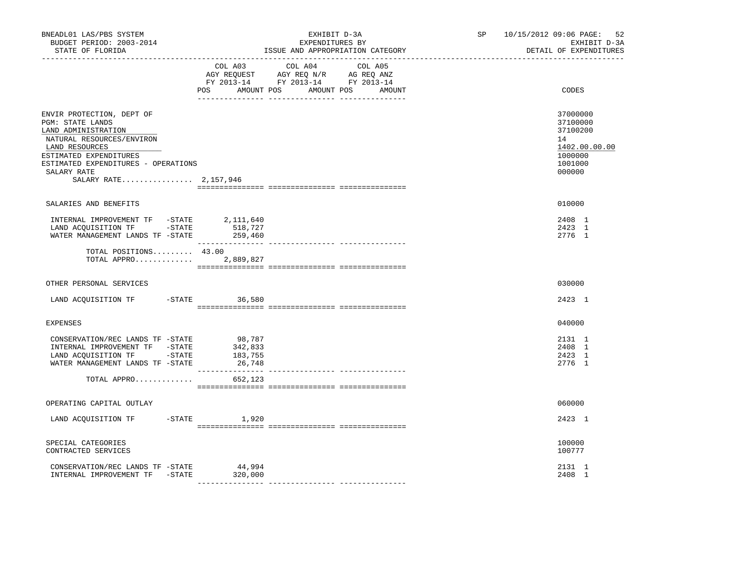| BNEADL01 LAS/PBS SYSTEM<br>BUDGET PERIOD: 2003-2014<br>STATE OF FLORIDA                                                                                                                                                      |                                                   | EXHIBIT D-3A<br>EXPENDITURES BY<br>ISSUE AND APPROPRIATION CATEGORY                                                                   | SP 10/15/2012 09:06 PAGE: 52<br>EXHIBIT D-3A<br>DETAIL OF EXPENDITURES                  |
|------------------------------------------------------------------------------------------------------------------------------------------------------------------------------------------------------------------------------|---------------------------------------------------|---------------------------------------------------------------------------------------------------------------------------------------|-----------------------------------------------------------------------------------------|
|                                                                                                                                                                                                                              |                                                   | COL A03 COL A04 COL A05<br>AGY REQUEST AGY REQ N/R AG REQ ANZ<br>FY 2013-14 FY 2013-14 FY 2013-14<br>POS AMOUNT POS AMOUNT POS AMOUNT | CODES                                                                                   |
| ENVIR PROTECTION, DEPT OF<br>PGM: STATE LANDS<br>LAND ADMINISTRATION<br>NATURAL RESOURCES/ENVIRON<br>LAND RESOURCES<br>ESTIMATED EXPENDITURES<br>ESTIMATED EXPENDITURES - OPERATIONS<br>SALARY RATE<br>SALARY RATE 2,157,946 |                                                   |                                                                                                                                       | 37000000<br>37100000<br>37100200<br>14<br>1402.00.00.00<br>1000000<br>1001000<br>000000 |
| SALARIES AND BENEFITS                                                                                                                                                                                                        |                                                   |                                                                                                                                       | 010000                                                                                  |
| WATER MANAGEMENT LANDS TF -STATE                                                                                                                                                                                             | 518,727<br>259,460                                |                                                                                                                                       | 2408 1<br>2423 1<br>2776 1                                                              |
| TOTAL POSITIONS 43.00<br>TOTAL APPRO 2,889,827                                                                                                                                                                               |                                                   |                                                                                                                                       |                                                                                         |
| OTHER PERSONAL SERVICES                                                                                                                                                                                                      |                                                   |                                                                                                                                       | 030000                                                                                  |
| LAND ACQUISITION TF -STATE 36,580                                                                                                                                                                                            |                                                   |                                                                                                                                       | 2423 1                                                                                  |
| <b>EXPENSES</b>                                                                                                                                                                                                              |                                                   |                                                                                                                                       | 040000                                                                                  |
| CONSERVATION/REC LANDS TF -STATE<br>INTERNAL IMPROVEMENT TF -STATE<br>LAND ACQUISITION TF -STATE<br>WATER MANAGEMENT LANDS TF -STATE<br>TOTAL APPRO                                                                          | 98,787<br>342,833<br>183,755<br>26,748<br>652,123 |                                                                                                                                       | 2131 1<br>2408 1<br>2423 1<br>2776 1                                                    |
|                                                                                                                                                                                                                              |                                                   |                                                                                                                                       |                                                                                         |
| OPERATING CAPITAL OUTLAY                                                                                                                                                                                                     |                                                   |                                                                                                                                       | 060000                                                                                  |
| LAND ACQUISITION TF -STATE 1,920                                                                                                                                                                                             |                                                   |                                                                                                                                       | 2423 1                                                                                  |
| SPECIAL CATEGORIES<br>CONTRACTED SERVICES                                                                                                                                                                                    |                                                   |                                                                                                                                       | 100000<br>100777                                                                        |
| CONSERVATION/REC LANDS TF -STATE<br>INTERNAL IMPROVEMENT TF -STATE                                                                                                                                                           | 44,994<br>320,000                                 |                                                                                                                                       | 2131 1<br>2408 1                                                                        |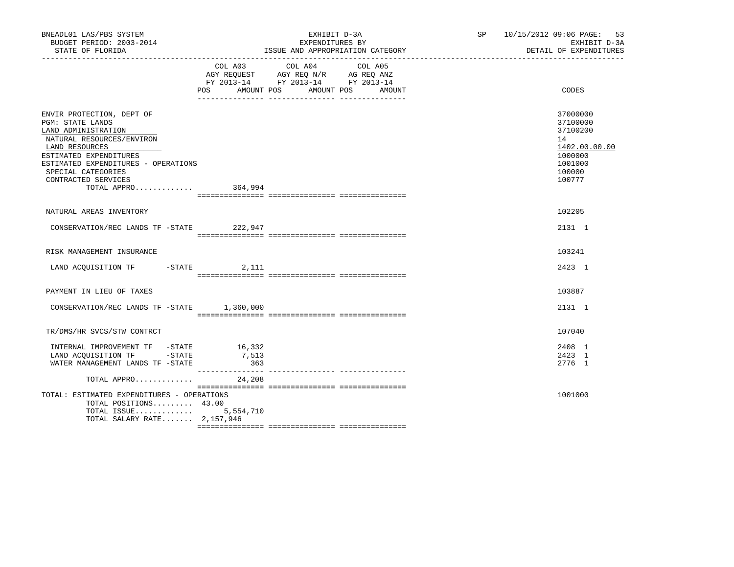| BNEADL01 LAS/PBS SYSTEM<br>BUDGET PERIOD: 2003-2014<br>STATE OF FLORIDA                                                                                                                                                                                  |                        | EXHIBIT D-3A<br>EXPENDITURES BY<br>ISSUE AND APPROPRIATION CATEGORY                                                                  | SP 10/15/2012 09:06 PAGE: 53<br>EXHIBIT D-3A<br>DETAIL OF EXPENDITURES                            |
|----------------------------------------------------------------------------------------------------------------------------------------------------------------------------------------------------------------------------------------------------------|------------------------|--------------------------------------------------------------------------------------------------------------------------------------|---------------------------------------------------------------------------------------------------|
|                                                                                                                                                                                                                                                          | POS                    | COL A03 COL A04 COL A05<br>AGY REQUEST AGY REQ N/R AG REQ ANZ<br>FY 2013-14 FY 2013-14 FY 2013-14<br>AMOUNT POS AMOUNT POS<br>AMOUNT | CODES                                                                                             |
| ENVIR PROTECTION, DEPT OF<br>PGM: STATE LANDS<br>LAND ADMINISTRATION<br>NATURAL RESOURCES/ENVIRON<br>LAND RESOURCES<br>ESTIMATED EXPENDITURES<br>ESTIMATED EXPENDITURES - OPERATIONS<br>SPECIAL CATEGORIES<br>CONTRACTED SERVICES<br>TOTAL APPRO 364,994 |                        |                                                                                                                                      | 37000000<br>37100000<br>37100200<br>14<br>1402.00.00.00<br>1000000<br>1001000<br>100000<br>100777 |
| NATURAL AREAS INVENTORY                                                                                                                                                                                                                                  |                        |                                                                                                                                      | 102205                                                                                            |
| CONSERVATION/REC LANDS TF -STATE 222,947                                                                                                                                                                                                                 |                        |                                                                                                                                      | 2131 1                                                                                            |
| RISK MANAGEMENT INSURANCE                                                                                                                                                                                                                                |                        |                                                                                                                                      | 103241                                                                                            |
| LAND ACQUISITION TF -STATE 2,111                                                                                                                                                                                                                         |                        |                                                                                                                                      | 2423 1                                                                                            |
| PAYMENT IN LIEU OF TAXES                                                                                                                                                                                                                                 |                        |                                                                                                                                      | 103887                                                                                            |
| CONSERVATION/REC LANDS TF -STATE 1,360,000                                                                                                                                                                                                               |                        |                                                                                                                                      | 2131 1                                                                                            |
| TR/DMS/HR SVCS/STW CONTRCT                                                                                                                                                                                                                               |                        |                                                                                                                                      | 107040                                                                                            |
| INTERNAL IMPROVEMENT TF -STATE<br>LAND ACQUISITION TF -STATE<br>WATER MANAGEMENT LANDS TF -STATE                                                                                                                                                         | 16,332<br>7,513<br>363 |                                                                                                                                      | 2408 1<br>2423 1<br>2776 1                                                                        |
| TOTAL APPRO                                                                                                                                                                                                                                              | 24,208                 |                                                                                                                                      |                                                                                                   |
| TOTAL: ESTIMATED EXPENDITURES - OPERATIONS<br>TOTAL POSITIONS 43.00<br>TOTAL ISSUE<br>TOTAL SALARY RATE 2,157,946                                                                                                                                        | 5,554,710              |                                                                                                                                      | 1001000                                                                                           |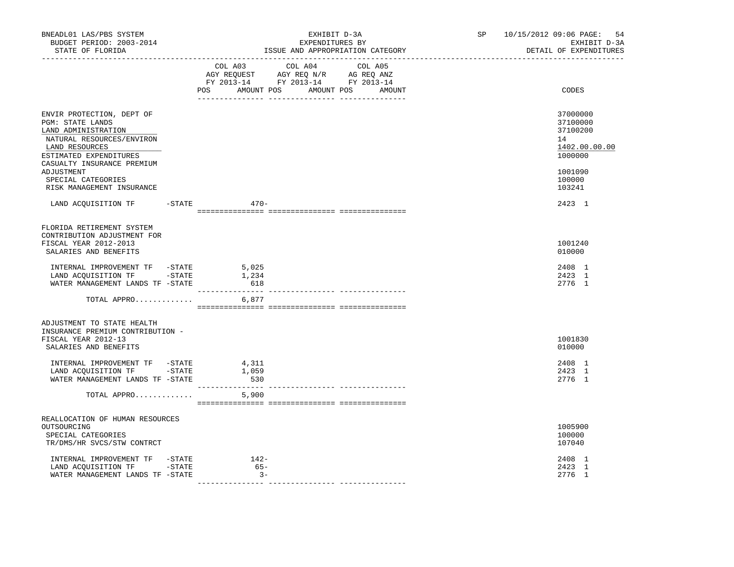| BNEADL01 LAS/PBS SYSTEM<br>BUDGET PERIOD: 2003-2014<br>STATE OF FLORIDA<br>----------------                                                                                                                     | EXHIBIT D-3A<br>EXPENDITURES BY<br>ISSUE AND APPROPRIATION CATEGORY                                                                   | SP 10/15/2012 09:06 PAGE:<br>-54<br>EXHIBIT D-3A<br>DETAIL OF EXPENDITURES              |
|-----------------------------------------------------------------------------------------------------------------------------------------------------------------------------------------------------------------|---------------------------------------------------------------------------------------------------------------------------------------|-----------------------------------------------------------------------------------------|
|                                                                                                                                                                                                                 | COL A03 COL A04 COL A05<br>AGY REQUEST AGY REQ N/R AG REQ ANZ<br>FY 2013-14 FY 2013-14 FY 2013-14<br>POS AMOUNT POS AMOUNT POS AMOUNT | CODES                                                                                   |
| ENVIR PROTECTION, DEPT OF<br>PGM: STATE LANDS<br>LAND ADMINISTRATION<br>NATURAL RESOURCES/ENVIRON<br>LAND RESOURCES<br>ESTIMATED EXPENDITURES<br>CASUALTY INSURANCE PREMIUM<br>ADJUSTMENT<br>SPECIAL CATEGORIES |                                                                                                                                       | 37000000<br>37100000<br>37100200<br>14<br>1402.00.00.00<br>1000000<br>1001090<br>100000 |
| RISK MANAGEMENT INSURANCE<br>LAND ACQUISITION TF -STATE 470-                                                                                                                                                    |                                                                                                                                       | 103241                                                                                  |
|                                                                                                                                                                                                                 |                                                                                                                                       | 2423 1                                                                                  |
| FLORIDA RETIREMENT SYSTEM<br>CONTRIBUTION ADJUSTMENT FOR<br>FISCAL YEAR 2012-2013<br>SALARIES AND BENEFITS                                                                                                      |                                                                                                                                       | 1001240<br>010000                                                                       |
| INTERNAL IMPROVEMENT TF -STATE<br>LAND ACOUISITION TF -STATE<br>WATER MANAGEMENT LANDS TF -STATE                                                                                                                | 5,025<br>1,234<br>618                                                                                                                 | 2408 1<br>2423 1<br>2776 1                                                              |
| TOTAL APPRO                                                                                                                                                                                                     | 6,877                                                                                                                                 |                                                                                         |
| ADJUSTMENT TO STATE HEALTH<br>INSURANCE PREMIUM CONTRIBUTION -<br>FISCAL YEAR 2012-13                                                                                                                           |                                                                                                                                       | 1001830                                                                                 |
| SALARIES AND BENEFITS                                                                                                                                                                                           |                                                                                                                                       | 010000                                                                                  |
| INTERNAL IMPROVEMENT TF -STATE<br>LAND ACQUISITION TF -STATE<br>WATER MANAGEMENT LANDS TF -STATE                                                                                                                | 4,311<br>1,059<br>530                                                                                                                 | 2408 1<br>2423 1<br>2776 1                                                              |
| TOTAL APPRO                                                                                                                                                                                                     | 5,900                                                                                                                                 |                                                                                         |
| REALLOCATION OF HUMAN RESOURCES<br>OUTSOURCING<br>SPECIAL CATEGORIES<br>TR/DMS/HR SVCS/STW CONTRCT                                                                                                              |                                                                                                                                       | 1005900<br>100000<br>107040                                                             |
| INTERNAL IMPROVEMENT TF -STATE<br>LAND ACQUISITION TF -STATE<br>WATER MANAGEMENT LANDS TF -STATE                                                                                                                | $142-$<br>$65-$<br>$3 -$                                                                                                              | 2408 1<br>2423 1<br>2776 1                                                              |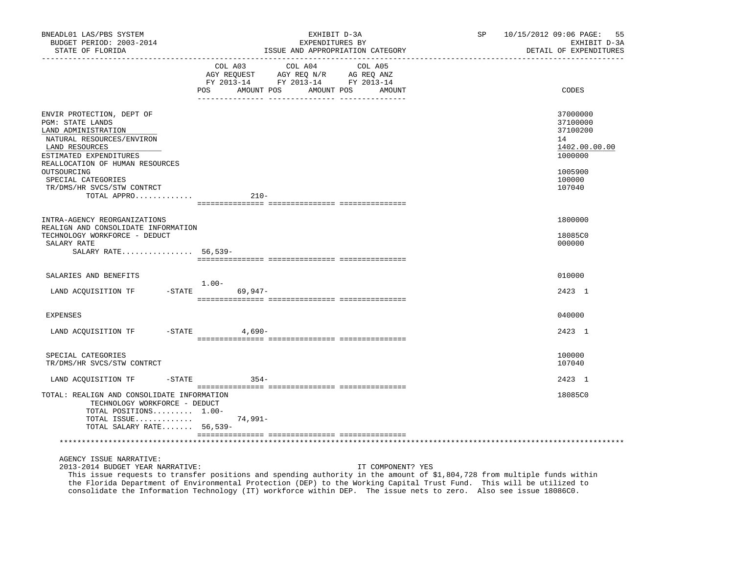| BNEADL01 LAS/PBS SYSTEM<br>BUDGET PERIOD: 2003-2014<br>STATE OF FLORIDA                                                                          | EXHIBIT D-3A<br>EXPENDITURES BY<br>ISSUE AND APPROPRIATION CATEGORY                                                                            | SP 10/15/2012 09:06 PAGE: 55<br>EXHIBIT D-3A<br>DETAIL OF EXPENDITURES |
|--------------------------------------------------------------------------------------------------------------------------------------------------|------------------------------------------------------------------------------------------------------------------------------------------------|------------------------------------------------------------------------|
|                                                                                                                                                  | COL A03 COL A04 COL A05<br>AGY REQUEST AGY REQ N/R AG REQ ANZ<br>FY 2013-14 FY 2013-14 FY 2013-14<br>POS<br>AMOUNT POS<br>AMOUNT POS<br>AMOUNT | CODES                                                                  |
| ENVIR PROTECTION, DEPT OF<br>PGM: STATE LANDS<br>LAND ADMINISTRATION<br>NATURAL RESOURCES/ENVIRON<br>LAND RESOURCES<br>ESTIMATED EXPENDITURES    |                                                                                                                                                | 37000000<br>37100000<br>37100200<br>14<br>1402.00.00.00<br>1000000     |
| REALLOCATION OF HUMAN RESOURCES<br>OUTSOURCING<br>SPECIAL CATEGORIES<br>TR/DMS/HR SVCS/STW CONTRCT<br>TOTAL APPRO                                | $210-$                                                                                                                                         | 1005900<br>100000<br>107040                                            |
|                                                                                                                                                  |                                                                                                                                                |                                                                        |
| INTRA-AGENCY REORGANIZATIONS                                                                                                                     |                                                                                                                                                | 1800000                                                                |
| REALIGN AND CONSOLIDATE INFORMATION<br>TECHNOLOGY WORKFORCE - DEDUCT<br>SALARY RATE<br>SALARY RATE 56,539-                                       |                                                                                                                                                | 18085C0<br>000000                                                      |
|                                                                                                                                                  |                                                                                                                                                |                                                                        |
| SALARIES AND BENEFITS                                                                                                                            |                                                                                                                                                | 010000                                                                 |
| LAND ACQUISITION TF                                                                                                                              | 1.00-<br>-STATE 69,947-                                                                                                                        | 2423 1                                                                 |
| <b>EXPENSES</b>                                                                                                                                  |                                                                                                                                                | 040000                                                                 |
| LAND ACQUISITION TF -STATE 4,690-                                                                                                                |                                                                                                                                                | 2423 1                                                                 |
| SPECIAL CATEGORIES<br>TR/DMS/HR SVCS/STW CONTRCT                                                                                                 |                                                                                                                                                | 100000<br>107040                                                       |
| LAND ACOUISITION TF                                                                                                                              | $-STATE$ 354-                                                                                                                                  | 2423 1                                                                 |
| TOTAL: REALIGN AND CONSOLIDATE INFORMATION<br>TECHNOLOGY WORKFORCE - DEDUCT<br>TOTAL POSITIONS 1.00-<br>TOTAL ISSUE<br>TOTAL SALARY RATE 56,539- | 74,991-                                                                                                                                        | 18085C0                                                                |
|                                                                                                                                                  |                                                                                                                                                |                                                                        |
| AGENCY ISSUE NARRATIVE:                                                                                                                          |                                                                                                                                                |                                                                        |

2013-2014 BUDGET YEAR NARRATIVE: IT COMPONENT? YES

 This issue requests to transfer positions and spending authority in the amount of \$1,804,728 from multiple funds within the Florida Department of Environmental Protection (DEP) to the Working Capital Trust Fund. This will be utilized to consolidate the Information Technology (IT) workforce within DEP. The issue nets to zero. Also see issue 18086C0.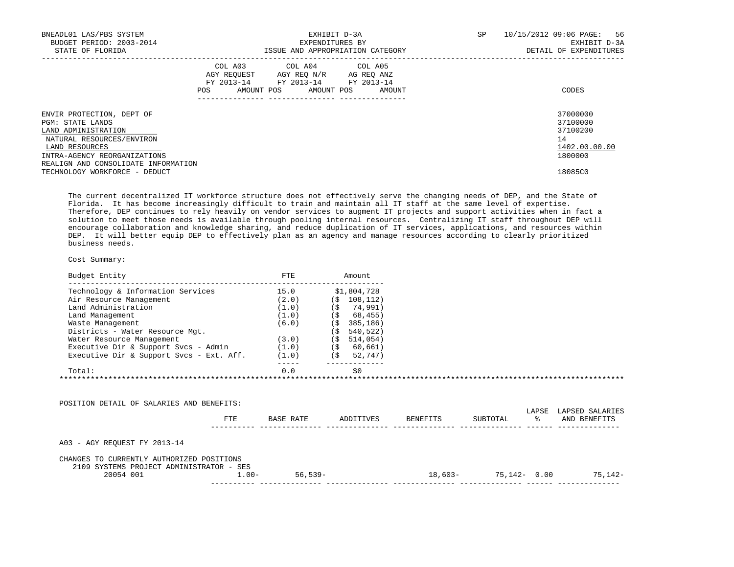| BNEADL01 LAS/PBS SYSTEM<br>BUDGET PERIOD: 2003-2014<br>STATE OF FLORIDA                                                                                                                    |                   | EXHIBIT D-3A<br>EXPENDITURES BY<br>ISSUE AND APPROPRIATION CATEGORY                                             | SP     | 10/15/2012 09:06 PAGE:<br>56<br>EXHIBIT D-3A<br>DETAIL OF EXPENDITURES |                                                                    |
|--------------------------------------------------------------------------------------------------------------------------------------------------------------------------------------------|-------------------|-----------------------------------------------------------------------------------------------------------------|--------|------------------------------------------------------------------------|--------------------------------------------------------------------|
|                                                                                                                                                                                            | FY 2013-14<br>POS | COL A03 COL A04 COL A05<br>AGY REQUEST AGY REO N/R AG REO ANZ<br>FY 2013-14 FY 2013-14<br>AMOUNT POS AMOUNT POS | AMOUNT |                                                                        | CODES                                                              |
| ENVIR PROTECTION, DEPT OF<br>PGM: STATE LANDS<br>LAND ADMINISTRATION<br>NATURAL RESOURCES/ENVIRON<br>LAND RESOURCES<br>INTRA-AGENCY REORGANIZATIONS<br>REALIGN AND CONSOLIDATE INFORMATION |                   |                                                                                                                 |        |                                                                        | 37000000<br>37100000<br>37100200<br>14<br>1402.00.00.00<br>1800000 |
| TECHNOLOGY WORKFORCE - DEDUCT                                                                                                                                                              |                   |                                                                                                                 |        |                                                                        | 18085C0                                                            |

 The current decentralized IT workforce structure does not effectively serve the changing needs of DEP, and the State of Florida. It has become increasingly difficult to train and maintain all IT staff at the same level of expertise. Therefore, DEP continues to rely heavily on vendor services to augment IT projects and support activities when in fact a solution to meet those needs is available through pooling internal resources. Centralizing IT staff throughout DEP will encourage collaboration and knowledge sharing, and reduce duplication of IT services, applications, and resources within DEP. It will better equip DEP to effectively plan as an agency and manage resources according to clearly prioritized business needs.

| Budget Entity                            | FTE   | Amount          |  |
|------------------------------------------|-------|-----------------|--|
| Technology & Information Services        | 15.0  | \$1,804,728     |  |
| Air Resource Management                  | (2.0) | 108,112)<br>(\$ |  |
| Land Administration                      | (1.0) | 74,991)<br>( \$ |  |
| Land Management                          | (1.0) | 68,455)<br>(\$  |  |
| Waste Management                         | (6.0) | 385,186)<br>( S |  |
| Districts - Water Resource Mgt.          |       | 540,522)<br>' S |  |
| Water Resource Management                | (3.0) | 514,054)<br>( S |  |
| Executive Dir & Support Svcs - Admin     | (1.0) | 60,661)<br>(\$  |  |
| Executive Dir & Support Svcs - Ext. Aff. | (1.0) | (\$<br>52,747)  |  |
| Total:                                   | 0.0   | \$0             |  |

| POSITION DETAIL OF SALARIES AND BENEFITS:                                             |          |            |           |           |                 |             |                                 |
|---------------------------------------------------------------------------------------|----------|------------|-----------|-----------|-----------------|-------------|---------------------------------|
|                                                                                       | FTE.     | BASE RATE  | ADDITIVES | BENEFITS  | SUBTOTAL        | LAPSE<br>°≈ | LAPSED SALARIES<br>AND BENEFITS |
| A03 - AGY REQUEST FY 2013-14                                                          |          |            |           |           |                 |             |                                 |
| CHANGES TO CURRENTLY AUTHORIZED POSITIONS<br>2109 SYSTEMS PROJECT ADMINISTRATOR - SES |          |            |           |           |                 |             |                                 |
| 20054 001                                                                             | $1.00 -$ | $56.539 -$ |           | $18,603-$ | $75.142 - 0.00$ |             | 75,142-                         |
|                                                                                       |          |            |           |           |                 |             |                                 |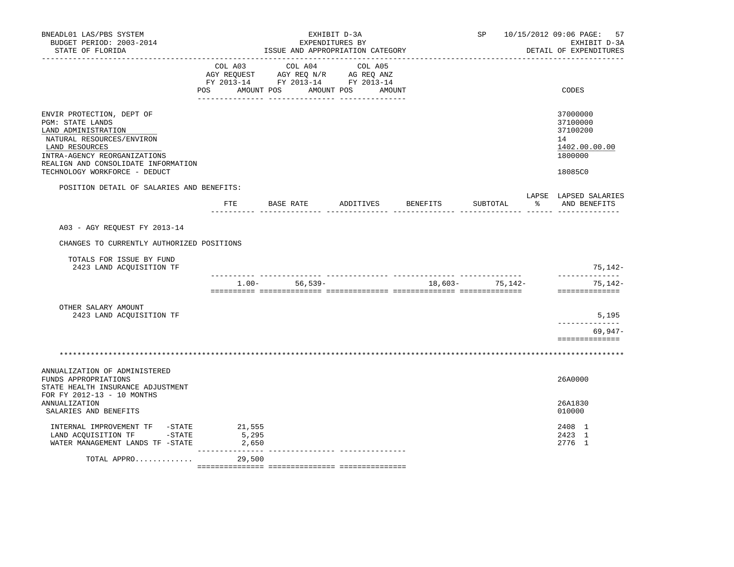| BNEADL01 LAS/PBS SYSTEM<br>BUDGET PERIOD: 2003-2014<br>STATE OF FLORIDA                                                                                                                                                     | EXHIBIT D-3A<br>EXPENDITURES BY<br>ISSUE AND APPROPRIATION CATEGORY |                                                                                                                                       |  |                    |                 | SP 10/15/2012 09:06 PAGE:<br>57<br>EXHIBIT D-3A<br>DETAIL OF EXPENDITURES     |
|-----------------------------------------------------------------------------------------------------------------------------------------------------------------------------------------------------------------------------|---------------------------------------------------------------------|---------------------------------------------------------------------------------------------------------------------------------------|--|--------------------|-----------------|-------------------------------------------------------------------------------|
|                                                                                                                                                                                                                             |                                                                     | COL A03 COL A04 COL A05<br>AGY REQUEST AGY REQ N/R AG REQ ANZ<br>FY 2013-14 FY 2013-14 FY 2013-14<br>POS AMOUNT POS AMOUNT POS AMOUNT |  |                    |                 | CODES                                                                         |
| ENVIR PROTECTION, DEPT OF<br>PGM: STATE LANDS<br>LAND ADMINISTRATION<br>NATURAL RESOURCES/ENVIRON<br>LAND RESOURCES<br>INTRA-AGENCY REORGANIZATIONS<br>REALIGN AND CONSOLIDATE INFORMATION<br>TECHNOLOGY WORKFORCE - DEDUCT |                                                                     |                                                                                                                                       |  |                    |                 | 37000000<br>37100000<br>37100200<br>14<br>1402.00.00.00<br>1800000<br>18085C0 |
| POSITION DETAIL OF SALARIES AND BENEFITS:                                                                                                                                                                                   |                                                                     | FTE BASE RATE                                                                                                                         |  | ADDITIVES BENEFITS | SUBTOTAL        | LAPSE LAPSED SALARIES<br>% AND BENEFITS                                       |
| A03 - AGY REOUEST FY 2013-14<br>CHANGES TO CURRENTLY AUTHORIZED POSITIONS<br>TOTALS FOR ISSUE BY FUND                                                                                                                       |                                                                     |                                                                                                                                       |  |                    |                 | $75,142-$                                                                     |
| 2423 LAND ACQUISITION TF                                                                                                                                                                                                    |                                                                     | $1.00 - 56.539 -$                                                                                                                     |  |                    | 18,603- 75,142- | --------------<br>75,142-<br>==============                                   |
| OTHER SALARY AMOUNT<br>2423 LAND ACQUISITION TF                                                                                                                                                                             |                                                                     |                                                                                                                                       |  |                    |                 | 5,195<br>. _ _ _ _ _ _ _ _ _ _ _ _ _<br>$69,947-$<br>==============           |
|                                                                                                                                                                                                                             |                                                                     |                                                                                                                                       |  |                    |                 |                                                                               |
| ANNUALIZATION OF ADMINISTERED<br>FUNDS APPROPRIATIONS<br>STATE HEALTH INSURANCE ADJUSTMENT                                                                                                                                  |                                                                     |                                                                                                                                       |  |                    |                 | 26A0000                                                                       |
| FOR FY 2012-13 - 10 MONTHS<br>ANNUALIZATION<br>SALARIES AND BENEFITS                                                                                                                                                        |                                                                     |                                                                                                                                       |  |                    |                 | 26A1830<br>010000                                                             |
| INTERNAL IMPROVEMENT TF -STATE<br>LAND ACQUISITION TF -STATE<br>WATER MANAGEMENT LANDS TF -STATE                                                                                                                            | 21,555<br>5,295<br>2,650                                            |                                                                                                                                       |  |                    |                 | 2408 1<br>2423 1<br>2776 1                                                    |
| TOTAL APPRO                                                                                                                                                                                                                 | 29,500                                                              |                                                                                                                                       |  |                    |                 |                                                                               |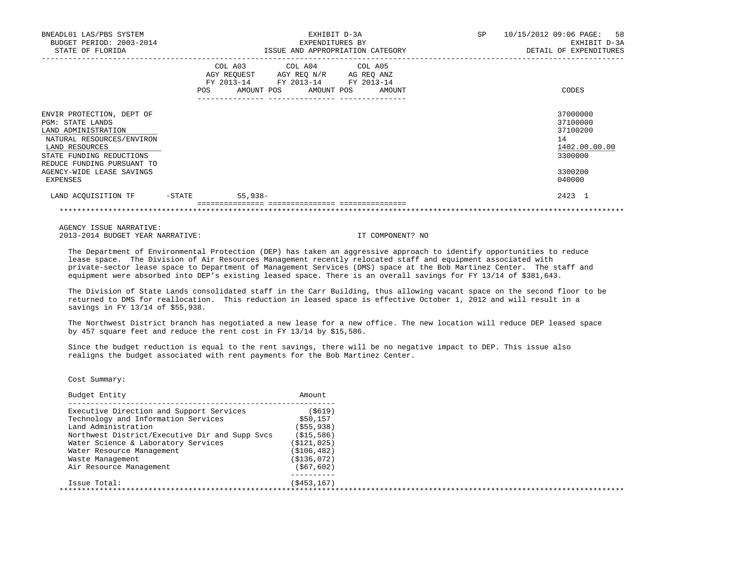| BNEADL01 LAS/PBS SYSTEM<br>BUDGET PERIOD: 2003-2014<br>STATE OF FLORIDA                                                                                                                                                       |        | EXHIBIT D-3A<br>EXPENDITURES BY<br>ISSUE AND APPROPRIATION CATEGORY                                                               |  |  | 10/15/2012 09:06 PAGE: 58<br>EXHIBIT D-3A<br>DETAIL OF EXPENDITURES                     |
|-------------------------------------------------------------------------------------------------------------------------------------------------------------------------------------------------------------------------------|--------|-----------------------------------------------------------------------------------------------------------------------------------|--|--|-----------------------------------------------------------------------------------------|
|                                                                                                                                                                                                                               | POS    | COL A03 COL A04 COL A05<br>AGY REQUEST AGY REQ N/R AG REQ ANZ<br>FY 2013-14 FY 2013-14 FY 2013-14<br>AMOUNT POS AMOUNT POS AMOUNT |  |  | CODES                                                                                   |
| ENVIR PROTECTION, DEPT OF<br><b>PGM: STATE LANDS</b><br>LAND ADMINISTRATION<br>NATURAL RESOURCES/ENVIRON<br>LAND RESOURCES<br>STATE FUNDING REDUCTIONS<br>REDUCE FUNDING PURSUANT TO<br>AGENCY-WIDE LEASE SAVINGS<br>EXPENSES |        |                                                                                                                                   |  |  | 37000000<br>37100000<br>37100200<br>14<br>1402.00.00.00<br>3300000<br>3300200<br>040000 |
| LAND ACOUISITION TF                                                                                                                                                                                                           | -STATE | $55,938-$                                                                                                                         |  |  | 2423 1                                                                                  |

 AGENCY ISSUE NARRATIVE: 2013-2014 BUDGET YEAR NARRATIVE: IT COMPONENT? NO

 The Department of Environmental Protection (DEP) has taken an aggressive approach to identify opportunities to reduce lease space. The Division of Air Resources Management recently relocated staff and equipment associated with private-sector lease space to Department of Management Services (DMS) space at the Bob Martinez Center. The staff and equipment were absorbed into DEP's existing leased space. There is an overall savings for FY 13/14 of \$381,643.

\*\*\*\*\*\*\*\*\*\*\*\*\*\*\*\*\*\*\*\*\*\*\*\*\*\*\*\*\*\*\*\*\*\*\*\*\*\*\*\*\*\*\*\*\*\*\*\*\*\*\*\*\*\*\*\*\*\*\*\*\*\*\*\*\*\*\*\*\*\*\*\*\*\*\*\*\*\*\*\*\*\*\*\*\*\*\*\*\*\*\*\*\*\*\*\*\*\*\*\*\*\*\*\*\*\*\*\*\*\*\*\*\*\*\*\*\*\*\*\*\*\*\*\*\*\*\*

 The Division of State Lands consolidated staff in the Carr Building, thus allowing vacant space on the second floor to be returned to DMS for reallocation. This reduction in leased space is effective October 1, 2012 and will result in a savings in FY 13/14 of \$55,938.

 The Northwest District branch has negotiated a new lease for a new office. The new location will reduce DEP leased space by 457 square feet and reduce the rent cost in FY 13/14 by \$15,586.

 Since the budget reduction is equal to the rent savings, there will be no negative impact to DEP. This issue also realigns the budget associated with rent payments for the Bob Martinez Center.

| Budget Entity                                  | Amount        |  |
|------------------------------------------------|---------------|--|
| Executive Direction and Support Services       | ( \$619)      |  |
| Technology and Information Services            | \$50,157      |  |
| Land Administration                            | ( \$55, 938)  |  |
| Northwest District/Executive Dir and Supp Svcs | (S15, 586)    |  |
| Water Science & Laboratory Services            | ( \$121, 025) |  |
| Water Resource Management                      | ( \$106, 482) |  |
| Waste Management                               | (S136,072)    |  |
| Air Resource Management                        | ( \$67, 602)  |  |
| Issue Total:                                   | (S453, 167)   |  |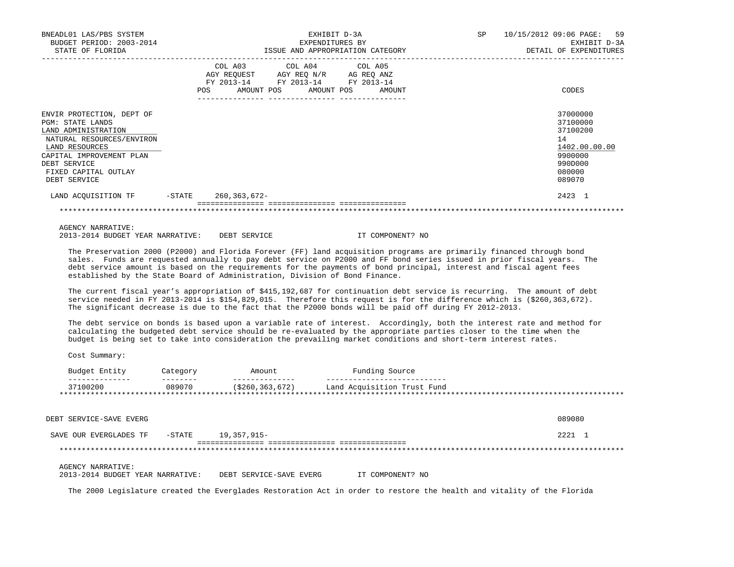| BNEADL01 LAS/PBS SYSTEM<br>BUDGET PERIOD: 2003-2014                                                                        |           |                              |                                                                                                         | EXHIBIT D-3A<br>EXPENDITURES BY  | SP | 10/15/2012 09:06 PAGE: 59<br>EXHIBIT D-3A               |
|----------------------------------------------------------------------------------------------------------------------------|-----------|------------------------------|---------------------------------------------------------------------------------------------------------|----------------------------------|----|---------------------------------------------------------|
| STATE OF FLORIDA                                                                                                           |           |                              |                                                                                                         | ISSUE AND APPROPRIATION CATEGORY |    | DETAIL OF EXPENDITURES                                  |
|                                                                                                                            |           | COL A03<br>AMOUNT POS<br>POS | COL A04 COL A05<br>AGY REQUEST AGY REO N/R AG REO ANZ<br>FY 2013-14 FY 2013-14 FY 2013-14<br>AMOUNT POS | AMOUNT                           |    | CODES                                                   |
| ENVIR PROTECTION, DEPT OF<br><b>PGM: STATE LANDS</b><br>LAND ADMINISTRATION<br>NATURAL RESOURCES/ENVIRON<br>LAND RESOURCES |           |                              |                                                                                                         |                                  |    | 37000000<br>37100000<br>37100200<br>14<br>1402.00.00.00 |
| CAPITAL IMPROVEMENT PLAN<br>DEBT SERVICE<br>FIXED CAPITAL OUTLAY<br>DEBT SERVICE                                           |           |                              |                                                                                                         |                                  |    | 9900000<br>990D000<br>080000<br>089070                  |
| LAND ACOUISITION TF                                                                                                        | $-$ STATE | 260, 363, 672-               |                                                                                                         |                                  |    | 2423 1                                                  |
|                                                                                                                            |           |                              |                                                                                                         |                                  |    |                                                         |

AGENCY NARRATIVE:

2013-2014 BUDGET YEAR NARRATIVE: DEBT SERVICE IT COMPONENT? NO

 The Preservation 2000 (P2000) and Florida Forever (FF) land acquisition programs are primarily financed through bond sales. Funds are requested annually to pay debt service on P2000 and FF bond series issued in prior fiscal years. The debt service amount is based on the requirements for the payments of bond principal, interest and fiscal agent fees established by the State Board of Administration, Division of Bond Finance.

 The current fiscal year's appropriation of \$415,192,687 for continuation debt service is recurring. The amount of debt service needed in FY 2013-2014 is \$154,829,015. Therefore this request is for the difference which is (\$260,363,672). The significant decrease is due to the fact that the P2000 bonds will be paid off during FY 2012-2013.

 The debt service on bonds is based upon a variable rate of interest. Accordingly, both the interest rate and method for calculating the budgeted debt service should be re-evaluated by the appropriate parties closer to the time when the budget is being set to take into consideration the prevailing market conditions and short-term interest rates.

Cost Summary:

| Fntity<br>Budget                                                    | ategory:           | Amount                        | Source<br>Fundınc                      |                   |
|---------------------------------------------------------------------|--------------------|-------------------------------|----------------------------------------|-------------------|
| . _ _ _ _ _ _ _ _ _ _ _<br>37100200<br>**************************** | --------<br>089070 | ----------<br>(\$260,363,672) | -------<br>Land Acquisition Trust Fund | * * * * * * * * * |
|                                                                     |                    |                               |                                        |                   |

 DEBT SERVICE-SAVE EVERG 089080 SAVE OUR EVERGLADES TF -STATE 19,357,915-<br>
2221 1 =============== =============== =============== \*\*\*\*\*\*\*\*\*\*\*\*\*\*\*\*\*\*\*\*\*\*\*\*\*\*\*\*\*\*\*\*\*\*\*\*\*\*\*\*\*\*\*\*\*\*\*\*\*\*\*\*\*\*\*\*\*\*\*\*\*\*\*\*\*\*\*\*\*\*\*\*\*\*\*\*\*\*\*\*\*\*\*\*\*\*\*\*\*\*\*\*\*\*\*\*\*\*\*\*\*\*\*\*\*\*\*\*\*\*\*\*\*\*\*\*\*\*\*\*\*\*\*\*\*\*\* AGENCY NARRATIVE: 2013-2014 BUDGET YEAR NARRATIVE: DEBT SERVICE-SAVE EVERG IT COMPONENT? NO

The 2000 Legislature created the Everglades Restoration Act in order to restore the health and vitality of the Florida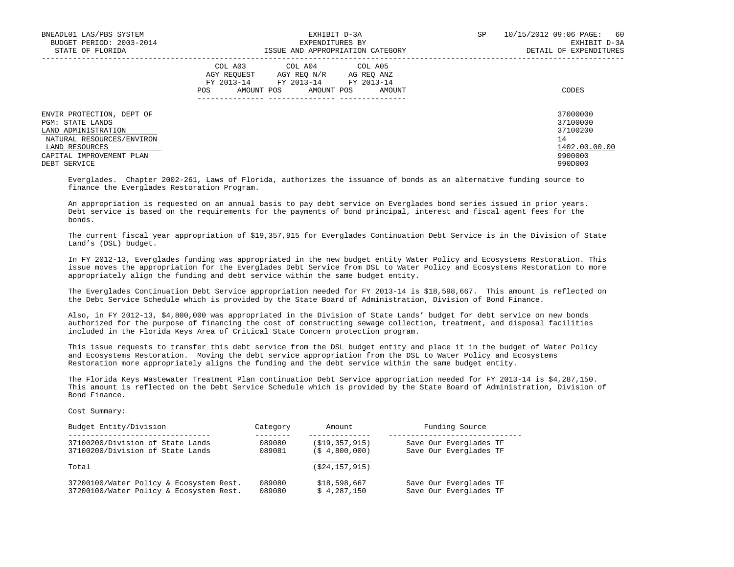| BNEADL01 LAS/PBS SYSTEM<br>BUDGET PERIOD: 2003-2014<br>STATE OF FLORIDA                                                                                                | EXHIBIT D-3A<br>EXPENDITURES BY<br>ISSUE AND APPROPRIATION CATEGORY                                                                                        | SP<br>10/15/2012 09:06 PAGE:<br>60<br>EXHIBIT D-3A<br>DETAIL OF EXPENDITURES  |
|------------------------------------------------------------------------------------------------------------------------------------------------------------------------|------------------------------------------------------------------------------------------------------------------------------------------------------------|-------------------------------------------------------------------------------|
|                                                                                                                                                                        | COL A03 COL A04 COL A05<br>AGY REOUEST<br>AGY REO N/R<br>AG REO ANZ<br>FY 2013-14<br>FY 2013-14<br>FY 2013-14<br>AMOUNT POS<br>AMOUNT POS<br>POS<br>AMOUNT | CODES                                                                         |
| ENVIR PROTECTION, DEPT OF<br><b>PGM: STATE LANDS</b><br>LAND ADMINISTRATION<br>NATURAL RESOURCES/ENVIRON<br>LAND RESOURCES<br>CAPITAL IMPROVEMENT PLAN<br>DEBT SERVICE |                                                                                                                                                            | 37000000<br>37100000<br>37100200<br>14<br>1402.00.00.00<br>9900000<br>990D000 |

 Everglades. Chapter 2002-261, Laws of Florida, authorizes the issuance of bonds as an alternative funding source to finance the Everglades Restoration Program.

 An appropriation is requested on an annual basis to pay debt service on Everglades bond series issued in prior years. Debt service is based on the requirements for the payments of bond principal, interest and fiscal agent fees for the bonds.

 The current fiscal year appropriation of \$19,357,915 for Everglades Continuation Debt Service is in the Division of State Land's (DSL) budget.

 In FY 2012-13, Everglades funding was appropriated in the new budget entity Water Policy and Ecosystems Restoration. This issue moves the appropriation for the Everglades Debt Service from DSL to Water Policy and Ecosystems Restoration to more appropriately align the funding and debt service within the same budget entity.

 The Everglades Continuation Debt Service appropriation needed for FY 2013-14 is \$18,598,667. This amount is reflected on the Debt Service Schedule which is provided by the State Board of Administration, Division of Bond Finance.

 Also, in FY 2012-13, \$4,800,000 was appropriated in the Division of State Lands' budget for debt service on new bonds authorized for the purpose of financing the cost of constructing sewage collection, treatment, and disposal facilities included in the Florida Keys Area of Critical State Concern protection program.

 This issue requests to transfer this debt service from the DSL budget entity and place it in the budget of Water Policy and Ecosystems Restoration. Moving the debt service appropriation from the DSL to Water Policy and Ecosystems Restoration more appropriately aligns the funding and the debt service within the same budget entity.

 The Florida Keys Wastewater Treatment Plan continuation Debt Service appropriation needed for FY 2013-14 is \$4,287,150. This amount is reflected on the Debt Service Schedule which is provided by the State Board of Administration, Division of Bond Finance.

| Budget Entity/Division                  | Category | Amount            | Funding Source         |
|-----------------------------------------|----------|-------------------|------------------------|
| 37100200/Division of State Lands        | 089080   | ( \$19, 357, 915) | Save Our Everglades TF |
| 37100200/Division of State Lands        | 089081   | (S, 4, 800, 000)  | Save Our Everglades TF |
| Total                                   |          | (524, 157, 915)   |                        |
| 37200100/Water Policy & Ecosystem Rest. | 089080   | \$18,598,667      | Save Our Everglades TF |
| 37200100/Water Policy & Ecosystem Rest. | 089080   | \$4.287.150       | Save Our Everglades TF |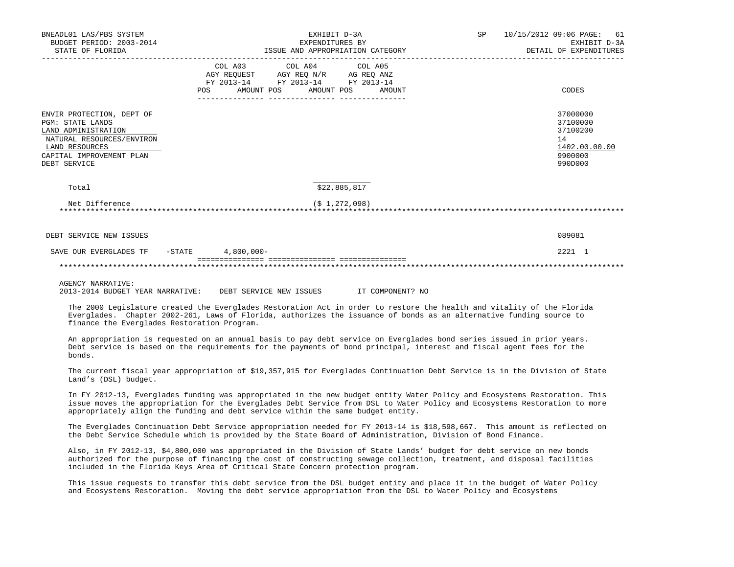| BNEADL01 LAS/PBS SYSTEM<br>BUDGET PERIOD: 2003-2014<br>STATE OF FLORIDA                                                                                                | EXHIBIT D-3A<br>EXPENDITURES BY<br>ISSUE AND APPROPRIATION CATEGORY                                                                         | 10/15/2012 09:06 PAGE: 61<br>SP <sub>3</sub><br>EXHIBIT D-3A<br>DETAIL OF EXPENDITURES |
|------------------------------------------------------------------------------------------------------------------------------------------------------------------------|---------------------------------------------------------------------------------------------------------------------------------------------|----------------------------------------------------------------------------------------|
|                                                                                                                                                                        | COL A03 COL A04 COL A05<br>AGY REQUEST AGY REQ N/R AG REQ ANZ<br>FY 2013-14 FY 2013-14 FY 2013-14<br>POS<br>AMOUNT POS AMOUNT POS<br>AMOUNT | CODES                                                                                  |
| ENVIR PROTECTION, DEPT OF<br><b>PGM: STATE LANDS</b><br>LAND ADMINISTRATION<br>NATURAL RESOURCES/ENVIRON<br>LAND RESOURCES<br>CAPITAL IMPROVEMENT PLAN<br>DEBT SERVICE |                                                                                                                                             | 37000000<br>37100000<br>37100200<br>14<br>1402.00.00.00<br>9900000<br>990D000          |
| Total                                                                                                                                                                  | \$22,885,817                                                                                                                                |                                                                                        |
| Net Difference                                                                                                                                                         | $(S_1, 272, 098)$                                                                                                                           |                                                                                        |
| DEBT SERVICE NEW ISSUES                                                                                                                                                |                                                                                                                                             | 089081                                                                                 |
| SAVE OUR EVERGLADES TF - STATE 4,800,000-                                                                                                                              |                                                                                                                                             | 2221 1                                                                                 |
|                                                                                                                                                                        |                                                                                                                                             |                                                                                        |
| $1.0017011$ $11.001$ $1.001$                                                                                                                                           |                                                                                                                                             |                                                                                        |

AGENCY NARRATIVE:

2013-2014 BUDGET YEAR NARRATIVE: DEBT SERVICE NEW ISSUES IT COMPONENT? NO

 The 2000 Legislature created the Everglades Restoration Act in order to restore the health and vitality of the Florida Everglades. Chapter 2002-261, Laws of Florida, authorizes the issuance of bonds as an alternative funding source to finance the Everglades Restoration Program.

 An appropriation is requested on an annual basis to pay debt service on Everglades bond series issued in prior years. Debt service is based on the requirements for the payments of bond principal, interest and fiscal agent fees for the bonds.

 The current fiscal year appropriation of \$19,357,915 for Everglades Continuation Debt Service is in the Division of State Land's (DSL) budget.

 In FY 2012-13, Everglades funding was appropriated in the new budget entity Water Policy and Ecosystems Restoration. This issue moves the appropriation for the Everglades Debt Service from DSL to Water Policy and Ecosystems Restoration to more appropriately align the funding and debt service within the same budget entity.

 The Everglades Continuation Debt Service appropriation needed for FY 2013-14 is \$18,598,667. This amount is reflected on the Debt Service Schedule which is provided by the State Board of Administration, Division of Bond Finance.

 Also, in FY 2012-13, \$4,800,000 was appropriated in the Division of State Lands' budget for debt service on new bonds authorized for the purpose of financing the cost of constructing sewage collection, treatment, and disposal facilities included in the Florida Keys Area of Critical State Concern protection program.

 This issue requests to transfer this debt service from the DSL budget entity and place it in the budget of Water Policy and Ecosystems Restoration. Moving the debt service appropriation from the DSL to Water Policy and Ecosystems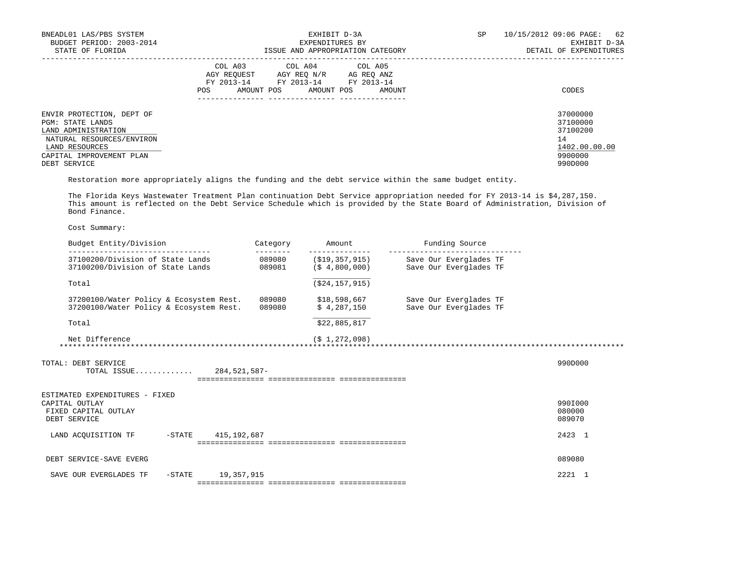| BNEADL01 LAS/PBS SYSTEM<br>BUDGET PERIOD: 2003-2014<br>STATE OF FLORIDA                                                                                                | EXHIBIT D-3A<br>EXPENDITURES BY<br>ISSUE AND APPROPRIATION CATEGORY                                                                                        | SP<br>10/15/2012 09:06 PAGE:<br>62<br>EXHIBIT D-3A<br>DETAIL OF EXPENDITURES  |
|------------------------------------------------------------------------------------------------------------------------------------------------------------------------|------------------------------------------------------------------------------------------------------------------------------------------------------------|-------------------------------------------------------------------------------|
|                                                                                                                                                                        | COL A03 COL A04 COL A05<br>AGY REOUEST<br>AGY REO N/R<br>AG REO ANZ<br>FY 2013-14<br>FY 2013-14<br>FY 2013-14<br>AMOUNT POS<br>AMOUNT POS<br>POS<br>AMOUNT | CODES                                                                         |
| ENVIR PROTECTION, DEPT OF<br><b>PGM: STATE LANDS</b><br>LAND ADMINISTRATION<br>NATURAL RESOURCES/ENVIRON<br>LAND RESOURCES<br>CAPITAL IMPROVEMENT PLAN<br>DEBT SERVICE |                                                                                                                                                            | 37000000<br>37100000<br>37100200<br>14<br>1402.00.00.00<br>9900000<br>990D000 |

Restoration more appropriately aligns the funding and the debt service within the same budget entity.

 The Florida Keys Wastewater Treatment Plan continuation Debt Service appropriation needed for FY 2013-14 is \$4,287,150. This amount is reflected on the Debt Service Schedule which is provided by the State Board of Administration, Division of Bond Finance.

| Budget Entity/Division                                                                   | Category<br>-------- | Amount                                        | Funding Source                                   |                             |
|------------------------------------------------------------------------------------------|----------------------|-----------------------------------------------|--------------------------------------------------|-----------------------------|
| 37100200/Division of State Lands<br>37100200/Division of State Lands                     | 089080<br>089081     | (\$19,357,915)<br>(S <sub>4</sub> , 800, 000) | Save Our Everglades TF<br>Save Our Everglades TF |                             |
| Total                                                                                    |                      | ( \$24, 157, 915)                             |                                                  |                             |
| 37200100/Water Policy & Ecosystem Rest.<br>37200100/Water Policy & Ecosystem Rest.       | 089080<br>089080     | \$18,598,667<br>\$4,287,150                   | Save Our Everglades TF<br>Save Our Everglades TF |                             |
| Total                                                                                    |                      | \$22,885,817                                  |                                                  |                             |
| Net Difference                                                                           |                      | $(S_1, 272, 098)$                             |                                                  |                             |
| TOTAL: DEBT SERVICE<br>TOTAL ISSUE 284,521,587-                                          |                      |                                               |                                                  | 990D000                     |
| ESTIMATED EXPENDITURES - FIXED<br>CAPITAL OUTLAY<br>FIXED CAPITAL OUTLAY<br>DEBT SERVICE |                      |                                               |                                                  | 990I000<br>080000<br>089070 |
| 415,192,687<br>LAND ACOUISITION TF<br>$-$ STATE                                          |                      |                                               |                                                  | 2423 1                      |
| DEBT SERVICE-SAVE EVERG                                                                  |                      |                                               |                                                  | 089080                      |
| 19,357,915<br>SAVE OUR EVERGLADES TF<br>$-$ STATE                                        |                      |                                               |                                                  | 2221 1                      |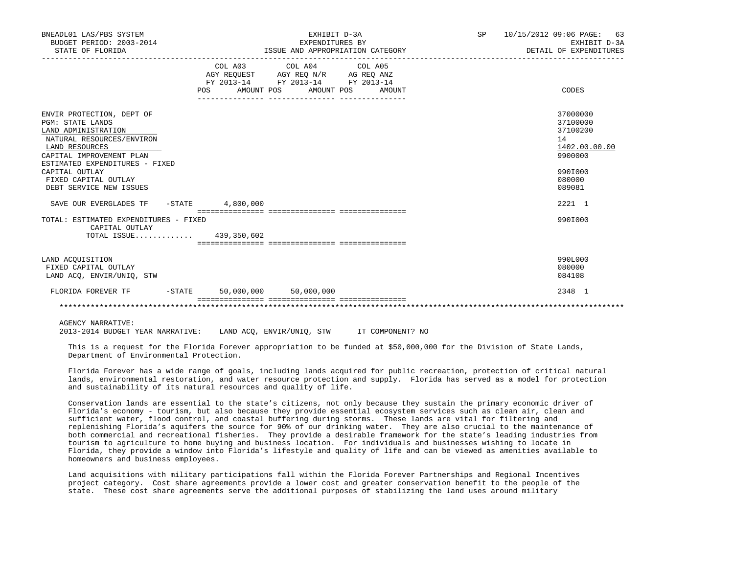| BNEADL01 LAS/PBS SYSTEM<br>BUDGET PERIOD: 2003-2014<br>STATE OF FLORIDA                                                                                                                                                                                       | EXHIBIT D-3A<br>EXPENDITURES BY<br>ISSUE AND APPROPRIATION CATEGORY<br>__________________________ |                                                                                                                                       |  | SP 10/15/2012 09:06 PAGE: 63<br>EXHIBIT D-3A<br>DETAIL OF EXPENDITURES                            |
|---------------------------------------------------------------------------------------------------------------------------------------------------------------------------------------------------------------------------------------------------------------|---------------------------------------------------------------------------------------------------|---------------------------------------------------------------------------------------------------------------------------------------|--|---------------------------------------------------------------------------------------------------|
|                                                                                                                                                                                                                                                               |                                                                                                   | COL A03 COL A04 COL A05<br>AGY REQUEST AGY REQ N/R AG REQ ANZ<br>FY 2013-14 FY 2013-14 FY 2013-14<br>POS AMOUNT POS AMOUNT POS AMOUNT |  | CODES                                                                                             |
| ENVIR PROTECTION, DEPT OF<br><b>PGM: STATE LANDS</b><br>LAND ADMINISTRATION<br>NATURAL RESOURCES/ENVIRON<br>LAND RESOURCES<br>CAPITAL IMPROVEMENT PLAN<br>ESTIMATED EXPENDITURES - FIXED<br>CAPITAL OUTLAY<br>FIXED CAPITAL OUTLAY<br>DEBT SERVICE NEW ISSUES |                                                                                                   |                                                                                                                                       |  | 37000000<br>37100000<br>37100200<br>14<br>1402.00.00.00<br>9900000<br>990I000<br>080000<br>089081 |
| SAVE OUR EVERGLADES TF                                                                                                                                                                                                                                        | -STATE 4,800,000                                                                                  |                                                                                                                                       |  | 2221 1                                                                                            |
| TOTAL: ESTIMATED EXPENDITURES - FIXED<br>CAPITAL OUTLAY<br>TOTAL ISSUE 439,350,602                                                                                                                                                                            |                                                                                                   |                                                                                                                                       |  | 990I000                                                                                           |
| LAND ACOUISITION<br>FIXED CAPITAL OUTLAY<br>LAND ACO, ENVIR/UNIO, STW                                                                                                                                                                                         |                                                                                                   |                                                                                                                                       |  | 990L000<br>080000<br>084108                                                                       |
| FLORIDA FOREVER TF                                                                                                                                                                                                                                            | $-STATE$ 50,000,000 50,000,000                                                                    |                                                                                                                                       |  | 2348 1                                                                                            |
|                                                                                                                                                                                                                                                               |                                                                                                   |                                                                                                                                       |  |                                                                                                   |

AGENCY NARRATIVE:

2013-2014 BUDGET YEAR NARRATIVE: LAND ACQ, ENVIR/UNIQ, STW IT COMPONENT? NO

 This is a request for the Florida Forever appropriation to be funded at \$50,000,000 for the Division of State Lands, Department of Environmental Protection.

 Florida Forever has a wide range of goals, including lands acquired for public recreation, protection of critical natural lands, environmental restoration, and water resource protection and supply. Florida has served as a model for protection and sustainability of its natural resources and quality of life.

 Conservation lands are essential to the state's citizens, not only because they sustain the primary economic driver of Florida's economy - tourism, but also because they provide essential ecosystem services such as clean air, clean and sufficient water, flood control, and coastal buffering during storms. These lands are vital for filtering and replenishing Florida's aquifers the source for 90% of our drinking water. They are also crucial to the maintenance of both commercial and recreational fisheries. They provide a desirable framework for the state's leading industries from tourism to agriculture to home buying and business location. For individuals and businesses wishing to locate in Florida, they provide a window into Florida's lifestyle and quality of life and can be viewed as amenities available to homeowners and business employees.

 Land acquisitions with military participations fall within the Florida Forever Partnerships and Regional Incentives project category. Cost share agreements provide a lower cost and greater conservation benefit to the people of the state. These cost share agreements serve the additional purposes of stabilizing the land uses around military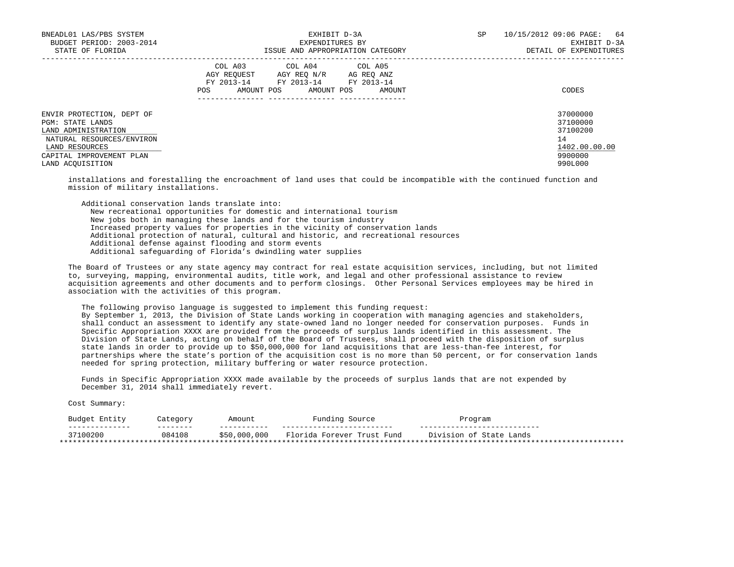| BNEADL01 LAS/PBS SYSTEM<br>BUDGET PERIOD: 2003-2014<br>STATE OF FLORIDA                                                                                             | EXHIBIT D-3A<br>EXPENDITURES BY<br>ISSUE AND APPROPRIATION CATEGORY                                                                               | 10/15/2012 09:06 PAGE:<br>64<br>SP<br>EXHIBIT D-3A<br>DETAIL OF EXPENDITURES  |
|---------------------------------------------------------------------------------------------------------------------------------------------------------------------|---------------------------------------------------------------------------------------------------------------------------------------------------|-------------------------------------------------------------------------------|
|                                                                                                                                                                     | COL A03 COL A04 COL A05<br>AGY REOUEST<br>AGY REO N/R<br>AG REO ANZ<br>FY 2013-14 FY 2013-14 FY 2013-14<br>POS<br>AMOUNT POS AMOUNT POS<br>AMOUNT | CODES                                                                         |
| ENVIR PROTECTION, DEPT OF<br>PGM: STATE LANDS<br>LAND ADMINISTRATION<br>NATURAL RESOURCES/ENVIRON<br>LAND RESOURCES<br>CAPITAL IMPROVEMENT PLAN<br>LAND ACOUISITION |                                                                                                                                                   | 37000000<br>37100000<br>37100200<br>14<br>1402.00.00.00<br>9900000<br>990L000 |

 installations and forestalling the encroachment of land uses that could be incompatible with the continued function and mission of military installations.

 Additional conservation lands translate into: New recreational opportunities for domestic and international tourism New jobs both in managing these lands and for the tourism industry Increased property values for properties in the vicinity of conservation lands Additional protection of natural, cultural and historic, and recreational resources Additional defense against flooding and storm events Additional safeguarding of Florida's dwindling water supplies

 The Board of Trustees or any state agency may contract for real estate acquisition services, including, but not limited to, surveying, mapping, environmental audits, title work, and legal and other professional assistance to review acquisition agreements and other documents and to perform closings. Other Personal Services employees may be hired in association with the activities of this program.

 The following proviso language is suggested to implement this funding request: By September 1, 2013, the Division of State Lands working in cooperation with managing agencies and stakeholders, shall conduct an assessment to identify any state-owned land no longer needed for conservation purposes. Funds in Specific Appropriation XXXX are provided from the proceeds of surplus lands identified in this assessment. The Division of State Lands, acting on behalf of the Board of Trustees, shall proceed with the disposition of surplus

 state lands in order to provide up to \$50,000,000 for land acquisitions that are less-than-fee interest, for partnerships where the state's portion of the acquisition cost is no more than 50 percent, or for conservation lands needed for spring protection, military buffering or water resource protection.

 Funds in Specific Appropriation XXXX made available by the proceeds of surplus lands that are not expended by December 31, 2014 shall immediately revert.

| Entity<br>Budget                | Jategory | Amount       | Funding<br>Source                  | Program                               |
|---------------------------------|----------|--------------|------------------------------------|---------------------------------------|
| --------------                  | -------- | --------     | -------                            | ----                                  |
| 37100200                        | 084108   | \$50,000,000 | Florida<br>. Forever Trust<br>Fund | Division of<br>$I$ State $I$<br>Lands |
| ******************************* |          |              |                                    | ***********************               |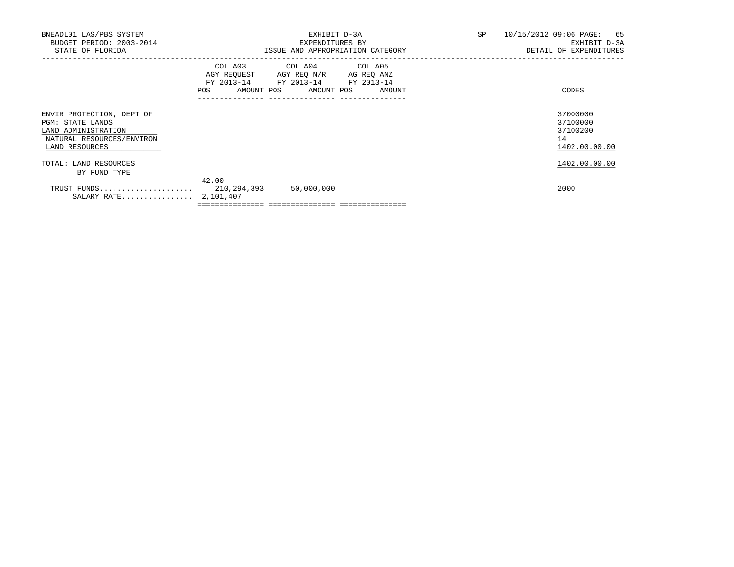| BNEADL01 LAS/PBS SYSTEM<br>BUDGET PERIOD: 2003-2014<br>STATE OF FLORIDA                                                    |       | EXHIBIT D-3A<br>EXPENDITURES BY<br>ISSUE AND APPROPRIATION CATEGORY                                                               | SP | 10/15/2012 09:06 PAGE: 65<br>EXHIBIT D-3A<br>DETAIL OF EXPENDITURES |
|----------------------------------------------------------------------------------------------------------------------------|-------|-----------------------------------------------------------------------------------------------------------------------------------|----|---------------------------------------------------------------------|
|                                                                                                                            | POS   | COL A03 COL A04 COL A05<br>AGY REQUEST AGY REQ N/R AG REQ ANZ<br>FY 2013-14 FY 2013-14 FY 2013-14<br>AMOUNT POS AMOUNT POS AMOUNT |    | CODES                                                               |
| ENVIR PROTECTION, DEPT OF<br><b>PGM: STATE LANDS</b><br>LAND ADMINISTRATION<br>NATURAL RESOURCES/ENVIRON<br>LAND RESOURCES |       |                                                                                                                                   |    | 37000000<br>37100000<br>37100200<br>14<br>1402.00.00.00             |
| TOTAL: LAND RESOURCES<br>BY FUND TYPE                                                                                      |       |                                                                                                                                   |    | 1402.00.00.00                                                       |
| SALARY RATE 2,101,407                                                                                                      | 42.00 | 50,000,000                                                                                                                        |    | 2000                                                                |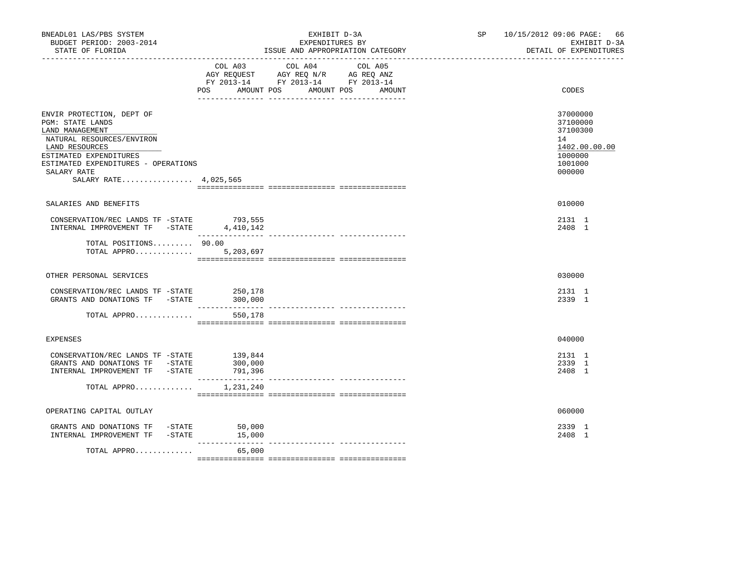| BNEADL01 LAS/PBS SYSTEM<br>BUDGET PERIOD: 2003-2014<br>STATE OF FLORIDA                                                                                                                                                  |                         | EXHIBIT D-3A<br>EXPENDITURES BY<br>ISSUE AND APPROPRIATION CATEGORY                                                                                                                                                                             | SP <sub>2</sub> | 10/15/2012 09:06 PAGE: 66<br>EXHIBIT D-3A<br>DETAIL OF EXPENDITURES                     |
|--------------------------------------------------------------------------------------------------------------------------------------------------------------------------------------------------------------------------|-------------------------|-------------------------------------------------------------------------------------------------------------------------------------------------------------------------------------------------------------------------------------------------|-----------------|-----------------------------------------------------------------------------------------|
|                                                                                                                                                                                                                          | POS AMOUNT POS          | COL A03 COL A04 COL A05<br>$\begin{tabular}{lllllll} AGY & \texttt{REQUEST} & \texttt{AGY} & \texttt{REG} & \texttt{N/R} & \texttt{AG} & \texttt{REQ} & \texttt{ANZ} \end{tabular}$<br>FY 2013-14 FY 2013-14 FY 2013-14<br>AMOUNT POS<br>AMOUNT |                 | CODES                                                                                   |
| ENVIR PROTECTION, DEPT OF<br>PGM: STATE LANDS<br>LAND MANAGEMENT<br>NATURAL RESOURCES/ENVIRON<br>LAND RESOURCES<br>ESTIMATED EXPENDITURES<br>ESTIMATED EXPENDITURES - OPERATIONS<br>SALARY RATE<br>SALARY RATE 4,025,565 |                         |                                                                                                                                                                                                                                                 |                 | 37000000<br>37100000<br>37100300<br>14<br>1402.00.00.00<br>1000000<br>1001000<br>000000 |
| SALARIES AND BENEFITS                                                                                                                                                                                                    |                         |                                                                                                                                                                                                                                                 |                 | 010000                                                                                  |
| CONSERVATION/REC LANDS TF -STATE 793,555<br>INTERNAL IMPROVEMENT TF -STATE 4,410,142                                                                                                                                     |                         |                                                                                                                                                                                                                                                 |                 | 2131 1<br>2408 1                                                                        |
| TOTAL POSITIONS 90.00<br>TOTAL APPRO 5,203,697                                                                                                                                                                           |                         |                                                                                                                                                                                                                                                 |                 |                                                                                         |
| OTHER PERSONAL SERVICES                                                                                                                                                                                                  |                         |                                                                                                                                                                                                                                                 |                 | 030000                                                                                  |
| CONSERVATION/REC LANDS TF -STATE<br>GRANTS AND DONATIONS TF -STATE                                                                                                                                                       | 250,178<br>300,000      |                                                                                                                                                                                                                                                 |                 | 2131 1<br>2339 1                                                                        |
| TOTAL APPRO                                                                                                                                                                                                              | 550,178                 |                                                                                                                                                                                                                                                 |                 |                                                                                         |
| <b>EXPENSES</b>                                                                                                                                                                                                          |                         |                                                                                                                                                                                                                                                 |                 | 040000                                                                                  |
| CONSERVATION/REC LANDS TF -STATE 139,844<br>GRANTS AND DONATIONS TF -STATE<br>INTERNAL IMPROVEMENT TF -STATE                                                                                                             | 300,000<br>791,396      |                                                                                                                                                                                                                                                 |                 | 2131 1<br>2339 1<br>2408 1                                                              |
| TOTAL APPRO                                                                                                                                                                                                              | 1,231,240               |                                                                                                                                                                                                                                                 |                 |                                                                                         |
| OPERATING CAPITAL OUTLAY                                                                                                                                                                                                 |                         |                                                                                                                                                                                                                                                 |                 | 060000                                                                                  |
| GRANTS AND DONATIONS TF -STATE<br>INTERNAL IMPROVEMENT TF -STATE 15,000                                                                                                                                                  | 50,000<br>_____________ |                                                                                                                                                                                                                                                 |                 | 2339 1<br>2408 1                                                                        |
| TOTAL APPRO                                                                                                                                                                                                              | 65,000                  | .ii istoolaastaalist taastaalistaali                                                                                                                                                                                                            |                 |                                                                                         |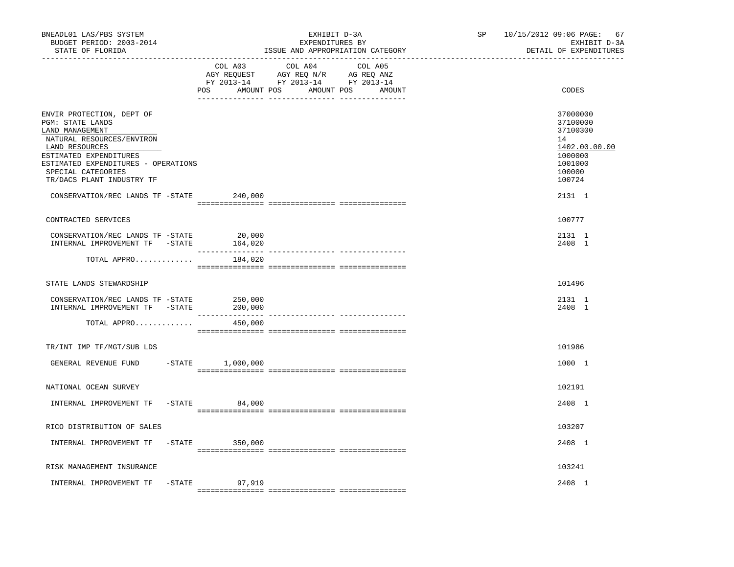| BNEADL01 LAS/PBS SYSTEM<br>BUDGET PERIOD: 2003-2014<br>STATE OF FLORIDA<br>-----------------                                                                                                                                                                            |                                        | EXHIBIT D-3A<br>EXPENDITURES BY<br>ISSUE AND APPROPRIATION CATEGORY                                                                                                                                                                                                                           | SP and the set of the set of the set of the set of the set of the set of the set of the set of the set of the set of the set of the set of the set of the set of the set of the set of the set of the set of the set of the se | 10/15/2012 09:06 PAGE: 67<br>EXHIBIT D-3A<br>DETAIL OF EXPENDITURES                                         |
|-------------------------------------------------------------------------------------------------------------------------------------------------------------------------------------------------------------------------------------------------------------------------|----------------------------------------|-----------------------------------------------------------------------------------------------------------------------------------------------------------------------------------------------------------------------------------------------------------------------------------------------|--------------------------------------------------------------------------------------------------------------------------------------------------------------------------------------------------------------------------------|-------------------------------------------------------------------------------------------------------------|
|                                                                                                                                                                                                                                                                         | COL A03<br>POS                         | COL A04<br>COL A05<br>$\begin{tabular}{lllllll} \bf AGY \;\; RegUEST \hspace{1cm} AGY \;\; REG \;\; N/R \hspace{1cm} \bf AG \;\; REG \;\; ANZ \end{tabular}$ $\begin{tabular}{lllllllllll} \bf FY \;\; 2013-14 \hspace{1cm} FY \;\; 2013-14 \end{tabular}$<br>AMOUNT POS AMOUNT POS<br>AMOUNT |                                                                                                                                                                                                                                | CODES                                                                                                       |
| ENVIR PROTECTION, DEPT OF<br>PGM: STATE LANDS<br>LAND MANAGEMENT<br>NATURAL RESOURCES/ENVIRON<br>LAND RESOURCES<br>ESTIMATED EXPENDITURES<br>ESTIMATED EXPENDITURES - OPERATIONS<br>SPECIAL CATEGORIES<br>TR/DACS PLANT INDUSTRY TF<br>CONSERVATION/REC LANDS TF -STATE | 240,000                                |                                                                                                                                                                                                                                                                                               |                                                                                                                                                                                                                                | 37000000<br>37100000<br>37100300<br>14<br>1402.00.00.00<br>1000000<br>1001000<br>100000<br>100724<br>2131 1 |
| CONTRACTED SERVICES                                                                                                                                                                                                                                                     |                                        |                                                                                                                                                                                                                                                                                               |                                                                                                                                                                                                                                | 100777                                                                                                      |
| CONSERVATION/REC LANDS TF -STATE<br>INTERNAL IMPROVEMENT TF -STATE                                                                                                                                                                                                      | 20,000<br>164,020                      |                                                                                                                                                                                                                                                                                               |                                                                                                                                                                                                                                | 2131 1<br>2408 1                                                                                            |
| TOTAL APPRO                                                                                                                                                                                                                                                             | 184,020                                |                                                                                                                                                                                                                                                                                               |                                                                                                                                                                                                                                |                                                                                                             |
| STATE LANDS STEWARDSHIP                                                                                                                                                                                                                                                 |                                        |                                                                                                                                                                                                                                                                                               |                                                                                                                                                                                                                                | 101496                                                                                                      |
| CONSERVATION/REC LANDS TF -STATE<br>INTERNAL IMPROVEMENT TF -STATE                                                                                                                                                                                                      | 250,000<br>200,000<br>________________ |                                                                                                                                                                                                                                                                                               |                                                                                                                                                                                                                                | 2131 1<br>2408 1                                                                                            |
| TOTAL APPRO                                                                                                                                                                                                                                                             | 450,000                                |                                                                                                                                                                                                                                                                                               |                                                                                                                                                                                                                                |                                                                                                             |
| TR/INT IMP TF/MGT/SUB LDS                                                                                                                                                                                                                                               |                                        |                                                                                                                                                                                                                                                                                               |                                                                                                                                                                                                                                | 101986                                                                                                      |
| GENERAL REVENUE FUND                                                                                                                                                                                                                                                    | $-STATE$ 1,000,000                     |                                                                                                                                                                                                                                                                                               |                                                                                                                                                                                                                                | 1000 1                                                                                                      |
| NATIONAL OCEAN SURVEY                                                                                                                                                                                                                                                   |                                        |                                                                                                                                                                                                                                                                                               |                                                                                                                                                                                                                                | 102191                                                                                                      |
| INTERNAL IMPROVEMENT TF                                                                                                                                                                                                                                                 | $-$ STATE 84,000                       |                                                                                                                                                                                                                                                                                               |                                                                                                                                                                                                                                | 2408 1                                                                                                      |
| RICO DISTRIBUTION OF SALES                                                                                                                                                                                                                                              |                                        |                                                                                                                                                                                                                                                                                               |                                                                                                                                                                                                                                | 103207                                                                                                      |
| INTERNAL IMPROVEMENT TF                                                                                                                                                                                                                                                 | $-STATE$ 350,000                       |                                                                                                                                                                                                                                                                                               |                                                                                                                                                                                                                                | 2408 1                                                                                                      |
| RISK MANAGEMENT INSURANCE                                                                                                                                                                                                                                               |                                        |                                                                                                                                                                                                                                                                                               |                                                                                                                                                                                                                                | 103241                                                                                                      |
| INTERNAL IMPROVEMENT TF                                                                                                                                                                                                                                                 | -STATE 97,919                          |                                                                                                                                                                                                                                                                                               |                                                                                                                                                                                                                                | 2408 1                                                                                                      |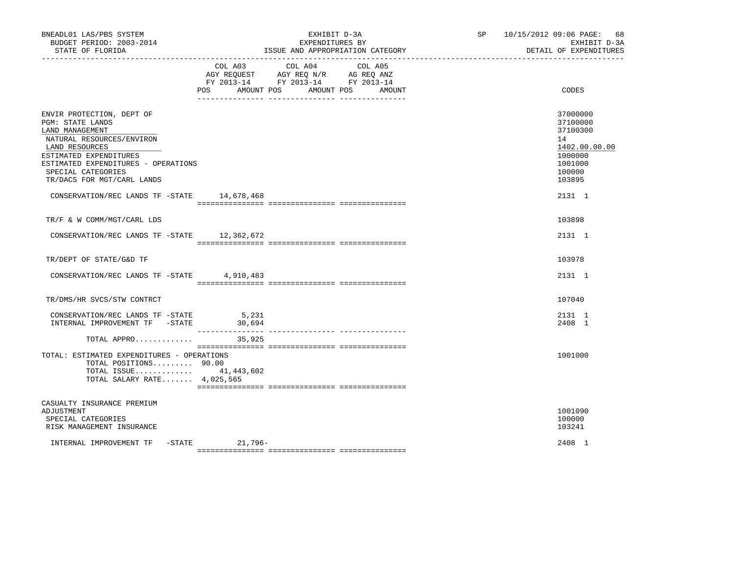| BNEADL01 LAS/PBS SYSTEM<br>BUDGET PERIOD: 2003-2014<br>STATE OF FLORIDA                                                                                                                                                                                                             |                      | EXHIBIT D-3A<br>EXPENDITURES BY<br>ISSUE AND APPROPRIATION CATEGORY                                             |        | SP 10/15/2012 09:06 PAGE: 68<br>EXHIBIT D-3A<br>DETAIL OF EXPENDITURES                                      |
|-------------------------------------------------------------------------------------------------------------------------------------------------------------------------------------------------------------------------------------------------------------------------------------|----------------------|-----------------------------------------------------------------------------------------------------------------|--------|-------------------------------------------------------------------------------------------------------------|
|                                                                                                                                                                                                                                                                                     | POS DO<br>AMOUNT POS | COL A03 COL A04 COL A05<br>AGY REQUEST AGY REQ N/R AG REQ ANZ<br>FY 2013-14 FY 2013-14 FY 2013-14<br>AMOUNT POS | AMOUNT | CODES                                                                                                       |
| ENVIR PROTECTION, DEPT OF<br>PGM: STATE LANDS<br>LAND MANAGEMENT<br>NATURAL RESOURCES/ENVIRON<br>LAND RESOURCES<br>ESTIMATED EXPENDITURES<br>ESTIMATED EXPENDITURES - OPERATIONS<br>SPECIAL CATEGORIES<br>TR/DACS FOR MGT/CARL LANDS<br>CONSERVATION/REC LANDS TF -STATE 14,678,468 |                      |                                                                                                                 |        | 37000000<br>37100000<br>37100300<br>14<br>1402.00.00.00<br>1000000<br>1001000<br>100000<br>103895<br>2131 1 |
| TR/F & W COMM/MGT/CARL LDS                                                                                                                                                                                                                                                          |                      |                                                                                                                 |        | 103898                                                                                                      |
| CONSERVATION/REC LANDS TF -STATE 12,362,672                                                                                                                                                                                                                                         |                      |                                                                                                                 |        | 2131 1                                                                                                      |
| TR/DEPT OF STATE/G&D TF                                                                                                                                                                                                                                                             |                      |                                                                                                                 |        | 103978                                                                                                      |
| CONSERVATION/REC LANDS TF -STATE                                                                                                                                                                                                                                                    | 4,910,483            |                                                                                                                 |        | 2131 1                                                                                                      |
| TR/DMS/HR SVCS/STW CONTRCT                                                                                                                                                                                                                                                          |                      |                                                                                                                 |        | 107040                                                                                                      |
| CONSERVATION/REC LANDS TF -STATE 5,231<br>INTERNAL IMPROVEMENT TF -STATE                                                                                                                                                                                                            | 30,694               |                                                                                                                 |        | 2131 1<br>2408 1                                                                                            |
| TOTAL APPRO                                                                                                                                                                                                                                                                         | 35,925               |                                                                                                                 |        |                                                                                                             |
| TOTAL: ESTIMATED EXPENDITURES - OPERATIONS<br>TOTAL POSITIONS 90.00<br>TOTAL ISSUE $41,443,602$<br>TOTAL SALARY RATE 4,025,565                                                                                                                                                      |                      |                                                                                                                 |        | 1001000                                                                                                     |
| CASUALTY INSURANCE PREMIUM<br>ADJUSTMENT<br>SPECIAL CATEGORIES<br>RISK MANAGEMENT INSURANCE                                                                                                                                                                                         |                      |                                                                                                                 |        | 1001090<br>100000<br>103241                                                                                 |
| INTERNAL IMPROVEMENT TF -STATE 21,796-                                                                                                                                                                                                                                              |                      |                                                                                                                 |        | 2408 1                                                                                                      |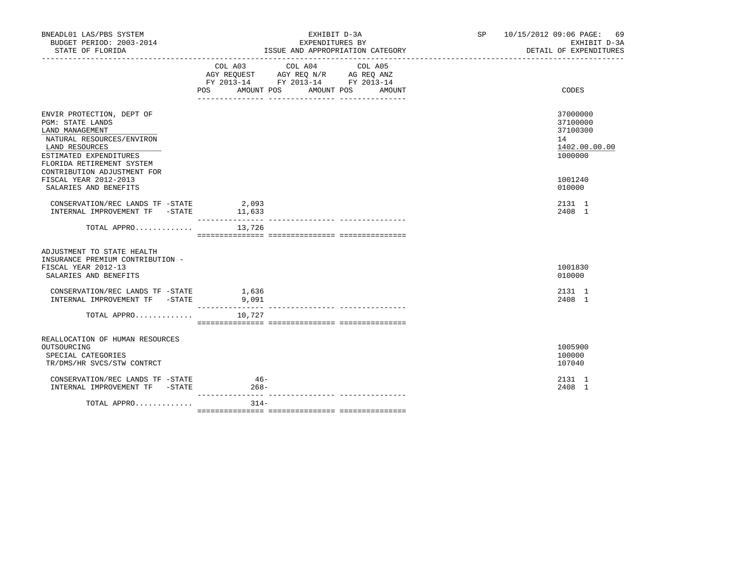| BNEADL01 LAS/PBS SYSTEM<br>BUDGET PERIOD: 2003-2014<br>STATE OF FLORIDA                                                                                                                                                                                 | EXHIBIT D-3A<br>EXPENDITURES BY<br>ISSUE AND APPROPRIATION CATEGORY                                                                                                                                                                                                                                                                                          | SP 10/15/2012 09:06 PAGE: 69<br>EXHIBIT D-3A<br>DETAIL OF EXPENDITURES                  |
|---------------------------------------------------------------------------------------------------------------------------------------------------------------------------------------------------------------------------------------------------------|--------------------------------------------------------------------------------------------------------------------------------------------------------------------------------------------------------------------------------------------------------------------------------------------------------------------------------------------------------------|-----------------------------------------------------------------------------------------|
|                                                                                                                                                                                                                                                         | $\begin{tabular}{lllllllllll} &\multicolumn{4}{c}{\text{COL A03}} &\multicolumn{4}{c}{\text{COL A04}} &\multicolumn{4}{c}{\text{COL A05}} \\ \multicolumn{4}{c}{\text{AGY REQUEST}} &\multicolumn{4}{c}{\text{AGY REQ N/R}} &\multicolumn{4}{c}{\text{AG REQ ANZ}} \end{tabular}$<br>FY 2013-14 FY 2013-14 FY 2013-14<br>POS AMOUNT POS AMOUNT POS<br>AMOUNT | CODES                                                                                   |
| ENVIR PROTECTION, DEPT OF<br>PGM: STATE LANDS<br>LAND MANAGEMENT<br>NATURAL RESOURCES/ENVIRON<br>LAND RESOURCES<br>ESTIMATED EXPENDITURES<br>FLORIDA RETIREMENT SYSTEM<br>CONTRIBUTION ADJUSTMENT FOR<br>FISCAL YEAR 2012-2013<br>SALARIES AND BENEFITS |                                                                                                                                                                                                                                                                                                                                                              | 37000000<br>37100000<br>37100300<br>14<br>1402.00.00.00<br>1000000<br>1001240<br>010000 |
| CONSERVATION/REC LANDS TF -STATE 2,093<br>INTERNAL IMPROVEMENT TF -STATE 11,633                                                                                                                                                                         |                                                                                                                                                                                                                                                                                                                                                              | 2131 1<br>2408 1                                                                        |
| TOTAL APPRO $13,726$                                                                                                                                                                                                                                    |                                                                                                                                                                                                                                                                                                                                                              |                                                                                         |
| ADJUSTMENT TO STATE HEALTH<br>INSURANCE PREMIUM CONTRIBUTION -<br>FISCAL YEAR 2012-13<br>SALARIES AND BENEFITS                                                                                                                                          |                                                                                                                                                                                                                                                                                                                                                              | 1001830<br>010000                                                                       |
| CONSERVATION/REC LANDS TF -STATE 1,636<br>INTERNAL IMPROVEMENT TF -STATE                                                                                                                                                                                | 9,091                                                                                                                                                                                                                                                                                                                                                        | 2131 1<br>2408 1                                                                        |
| TOTAL APPRO                                                                                                                                                                                                                                             | 10,727                                                                                                                                                                                                                                                                                                                                                       |                                                                                         |
| REALLOCATION OF HUMAN RESOURCES<br>OUTSOURCING<br>SPECIAL CATEGORIES<br>TR/DMS/HR SVCS/STW CONTRCT                                                                                                                                                      |                                                                                                                                                                                                                                                                                                                                                              | 1005900<br>100000<br>107040                                                             |
| CONSERVATION/REC LANDS TF -STATE<br>INTERNAL IMPROVEMENT TF -STATE                                                                                                                                                                                      | $46-$<br>$268 -$                                                                                                                                                                                                                                                                                                                                             | 2131 1<br>2408 1                                                                        |
| TOTAL APPRO                                                                                                                                                                                                                                             | $314-$                                                                                                                                                                                                                                                                                                                                                       |                                                                                         |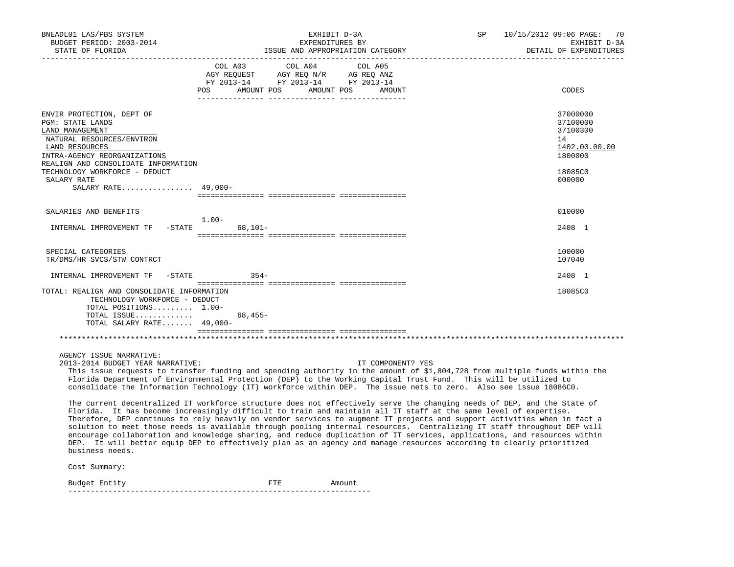| BNEADL01 LAS/PBS SYSTEM<br>BUDGET PERIOD: 2003-2014<br>STATE OF FLORIDA                                                                                                                                                                                         | EXHIBIT D-3A<br>SP<br>EXPENDITURES BY<br>ISSUE AND APPROPRIATION CATEGORY                                                                                                                                                                                                                                                                                                                                                                                                                                                                                                                                                                                                                                                                                                                                                                                                                                                                                                                                                                                                                                                                          | 10/15/2012 09:06 PAGE:<br>70<br>EXHIBIT D-3A<br>DETAIL OF EXPENDITURES                  |
|-----------------------------------------------------------------------------------------------------------------------------------------------------------------------------------------------------------------------------------------------------------------|----------------------------------------------------------------------------------------------------------------------------------------------------------------------------------------------------------------------------------------------------------------------------------------------------------------------------------------------------------------------------------------------------------------------------------------------------------------------------------------------------------------------------------------------------------------------------------------------------------------------------------------------------------------------------------------------------------------------------------------------------------------------------------------------------------------------------------------------------------------------------------------------------------------------------------------------------------------------------------------------------------------------------------------------------------------------------------------------------------------------------------------------------|-----------------------------------------------------------------------------------------|
|                                                                                                                                                                                                                                                                 | COL A03<br>COL A04<br>COL A05<br>AGY REQUEST AGY REQ N/R AG REQ ANZ<br>FY 2013-14 FY 2013-14 FY 2013-14<br>AMOUNT POS AMOUNT POS<br>POS<br>AMOUNT                                                                                                                                                                                                                                                                                                                                                                                                                                                                                                                                                                                                                                                                                                                                                                                                                                                                                                                                                                                                  | CODES                                                                                   |
| ENVIR PROTECTION, DEPT OF<br>PGM: STATE LANDS<br>LAND MANAGEMENT<br>NATURAL RESOURCES/ENVIRON<br>LAND RESOURCES<br>INTRA-AGENCY REORGANIZATIONS<br>REALIGN AND CONSOLIDATE INFORMATION<br>TECHNOLOGY WORKFORCE - DEDUCT<br>SALARY RATE<br>SALARY RATE $49,000-$ |                                                                                                                                                                                                                                                                                                                                                                                                                                                                                                                                                                                                                                                                                                                                                                                                                                                                                                                                                                                                                                                                                                                                                    | 37000000<br>37100000<br>37100300<br>14<br>1402.00.00.00<br>1800000<br>18085C0<br>000000 |
| SALARIES AND BENEFITS                                                                                                                                                                                                                                           | $1.00-$                                                                                                                                                                                                                                                                                                                                                                                                                                                                                                                                                                                                                                                                                                                                                                                                                                                                                                                                                                                                                                                                                                                                            | 010000                                                                                  |
| INTERNAL IMPROVEMENT TF -STATE                                                                                                                                                                                                                                  | $68,101 -$                                                                                                                                                                                                                                                                                                                                                                                                                                                                                                                                                                                                                                                                                                                                                                                                                                                                                                                                                                                                                                                                                                                                         | 2408 1                                                                                  |
| SPECIAL CATEGORIES<br>TR/DMS/HR SVCS/STW CONTRCT                                                                                                                                                                                                                |                                                                                                                                                                                                                                                                                                                                                                                                                                                                                                                                                                                                                                                                                                                                                                                                                                                                                                                                                                                                                                                                                                                                                    | 100000<br>107040                                                                        |
| INTERNAL IMPROVEMENT TF<br>-STATE                                                                                                                                                                                                                               | $354-$                                                                                                                                                                                                                                                                                                                                                                                                                                                                                                                                                                                                                                                                                                                                                                                                                                                                                                                                                                                                                                                                                                                                             | 2408 1                                                                                  |
| TOTAL: REALIGN AND CONSOLIDATE INFORMATION<br>TECHNOLOGY WORKFORCE - DEDUCT<br>TOTAL POSITIONS 1.00-<br>TOTAL ISSUE<br>TOTAL SALARY RATE 49,000-                                                                                                                | 68,455-                                                                                                                                                                                                                                                                                                                                                                                                                                                                                                                                                                                                                                                                                                                                                                                                                                                                                                                                                                                                                                                                                                                                            | 18085C0                                                                                 |
|                                                                                                                                                                                                                                                                 |                                                                                                                                                                                                                                                                                                                                                                                                                                                                                                                                                                                                                                                                                                                                                                                                                                                                                                                                                                                                                                                                                                                                                    |                                                                                         |
| AGENCY ISSUE NARRATIVE:<br>2013-2014 BUDGET YEAR NARRATIVE:<br>business needs.                                                                                                                                                                                  | IT COMPONENT? YES<br>This issue requests to transfer funding and spending authority in the amount of \$1,804,728 from multiple funds within the<br>Florida Department of Environmental Protection (DEP) to the Working Capital Trust Fund. This will be utilized to<br>consolidate the Information Technology (IT) workforce within DEP. The issue nets to zero. Also see issue 18086C0.<br>The current decentralized IT workforce structure does not effectively serve the changing needs of DEP, and the State of<br>Florida. It has become increasingly difficult to train and maintain all IT staff at the same level of expertise.<br>Therefore, DEP continues to rely heavily on vendor services to augment IT projects and support activities when in fact a<br>solution to meet those needs is available through pooling internal resources. Centralizing IT staff throughout DEP will<br>encourage collaboration and knowledge sharing, and reduce duplication of IT services, applications, and resources within<br>DEP. It will better equip DEP to effectively plan as an agency and manage resources according to clearly prioritized |                                                                                         |
| Cost Summary:                                                                                                                                                                                                                                                   |                                                                                                                                                                                                                                                                                                                                                                                                                                                                                                                                                                                                                                                                                                                                                                                                                                                                                                                                                                                                                                                                                                                                                    |                                                                                         |

Budget Entity **FILL EXECUTE:** Amount --------------------------------------------------------------------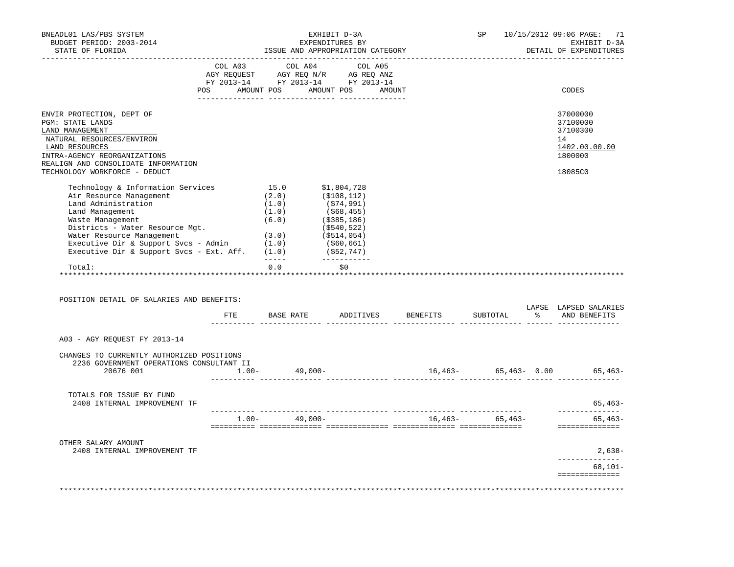| BNEADL01 LAS/PBS SYSTEM<br>BUDGET PERIOD: 2003-2014<br>STATE OF FLORIDA                                                                                                                                 |                                                                                                                                                            |                                                                                            | EXHIBIT D-3A<br>EXPENDITURES BY |              | ISSUE AND APPROPRIATION CATEGORY       | SP                | 10/15/2012 09:06 PAGE:<br>71<br>EXHIBIT D-3A<br>DETAIL OF EXPENDITURES |
|---------------------------------------------------------------------------------------------------------------------------------------------------------------------------------------------------------|------------------------------------------------------------------------------------------------------------------------------------------------------------|--------------------------------------------------------------------------------------------|---------------------------------|--------------|----------------------------------------|-------------------|------------------------------------------------------------------------|
|                                                                                                                                                                                                         | $\begin{tabular}{lcccc} COL A03 & COL A04 & COL A05 \\ AGY REQUEST & AGY REQ N/R & AG REQ ANZ \\ FY & 2013-14 & FY & 2013-14 & FY & 2013-14 \end{tabular}$ |                                                                                            |                                 |              |                                        |                   |                                                                        |
|                                                                                                                                                                                                         |                                                                                                                                                            |                                                                                            |                                 |              |                                        |                   |                                                                        |
|                                                                                                                                                                                                         | POS AMOUNT POS AMOUNT POS AMOUNT                                                                                                                           |                                                                                            |                                 |              |                                        |                   | CODES                                                                  |
| ENVIR PROTECTION, DEPT OF                                                                                                                                                                               |                                                                                                                                                            |                                                                                            |                                 |              |                                        |                   | 37000000                                                               |
| PGM: STATE LANDS<br>LAND MANAGEMENT                                                                                                                                                                     |                                                                                                                                                            |                                                                                            |                                 |              |                                        |                   | 37100000<br>37100300                                                   |
| NATURAL RESOURCES/ENVIRON                                                                                                                                                                               |                                                                                                                                                            |                                                                                            |                                 |              |                                        |                   | 14                                                                     |
| LAND RESOURCES<br>INTRA-AGENCY REORGANIZATIONS                                                                                                                                                          |                                                                                                                                                            |                                                                                            |                                 |              |                                        |                   | 1402.00.00.00<br>1800000                                               |
| REALIGN AND CONSOLIDATE INFORMATION                                                                                                                                                                     |                                                                                                                                                            |                                                                                            |                                 |              |                                        |                   |                                                                        |
| TECHNOLOGY WORKFORCE - DEDUCT                                                                                                                                                                           |                                                                                                                                                            |                                                                                            |                                 |              |                                        |                   | 18085C0                                                                |
| Technology & Information Services                                                                                                                                                                       |                                                                                                                                                            | $15.0$ $$1,804,728$                                                                        |                                 |              |                                        |                   |                                                                        |
| Air Resource Management<br>Land Administration                                                                                                                                                          |                                                                                                                                                            | $(2.0)$ $(5108,112)$<br>$(1.0)$ $(574,991)$<br>$(1.0)$ $(568,455)$<br>$(6.0)$ $(5385,186)$ |                                 |              |                                        |                   |                                                                        |
| Land Management                                                                                                                                                                                         |                                                                                                                                                            |                                                                                            |                                 |              |                                        |                   |                                                                        |
| Waste Management                                                                                                                                                                                        |                                                                                                                                                            |                                                                                            |                                 |              |                                        |                   |                                                                        |
|                                                                                                                                                                                                         |                                                                                                                                                            |                                                                                            |                                 |              |                                        |                   |                                                                        |
|                                                                                                                                                                                                         |                                                                                                                                                            |                                                                                            |                                 |              |                                        |                   |                                                                        |
|                                                                                                                                                                                                         |                                                                                                                                                            |                                                                                            |                                 |              |                                        |                   |                                                                        |
| Mabic Management (3.0) (\$540,522)<br>Water Resource Management (3.0) (\$514,054)<br>Executive Dir & Support Svcs - Admin (1.0) (\$60,661)<br>Executive Dir & Support Svcs - Ext. Aff. (1.0) (\$52,747) |                                                                                                                                                            | $- - - - - -$                                                                              |                                 | ------------ |                                        |                   |                                                                        |
| Total:<br>*************************************                                                                                                                                                         |                                                                                                                                                            | *************                                                                              | $0.0$ \$0                       |              |                                        |                   |                                                                        |
| POSITION DETAIL OF SALARIES AND BENEFITS:                                                                                                                                                               |                                                                                                                                                            |                                                                                            |                                 |              |                                        |                   | LAPSE LAPSED SALARIES                                                  |
|                                                                                                                                                                                                         |                                                                                                                                                            |                                                                                            |                                 |              | FTE BASE RATE ADDITIVES BENEFITS       |                   | SUBTOTAL % AND BENEFITS                                                |
| A03 - AGY REQUEST FY 2013-14                                                                                                                                                                            |                                                                                                                                                            |                                                                                            |                                 |              |                                        |                   |                                                                        |
| CHANGES TO CURRENTLY AUTHORIZED POSITIONS                                                                                                                                                               |                                                                                                                                                            |                                                                                            |                                 |              |                                        |                   |                                                                        |
| 2236 GOVERNMENT OPERATIONS CONSULTANT II                                                                                                                                                                |                                                                                                                                                            |                                                                                            |                                 |              |                                        |                   |                                                                        |
| 20676 001 1.00- 49,000-                                                                                                                                                                                 |                                                                                                                                                            |                                                                                            |                                 |              |                                        |                   | $16,463 65,463-$ 0.00 $65,463-$                                        |
| TOTALS FOR ISSUE BY FUND                                                                                                                                                                                |                                                                                                                                                            |                                                                                            |                                 |              |                                        |                   |                                                                        |
| 2408 INTERNAL IMPROVEMENT TF                                                                                                                                                                            |                                                                                                                                                            |                                                                                            |                                 |              |                                        |                   | 65,463-<br>______________                                              |
|                                                                                                                                                                                                         |                                                                                                                                                            | $1.00 - 49,000 -$                                                                          |                                 |              |                                        | $16,463-$ 65,463- | $65.463-$<br>==============                                            |
| OTHER SALARY AMOUNT                                                                                                                                                                                     |                                                                                                                                                            |                                                                                            |                                 |              |                                        |                   |                                                                        |
| 2408 INTERNAL IMPROVEMENT TF                                                                                                                                                                            |                                                                                                                                                            |                                                                                            |                                 |              |                                        |                   | $2,638-$<br>______________                                             |
|                                                                                                                                                                                                         |                                                                                                                                                            |                                                                                            |                                 |              |                                        |                   | $68,101-$<br>==============                                            |
|                                                                                                                                                                                                         |                                                                                                                                                            |                                                                                            |                                 |              | ************************************** |                   | *********************                                                  |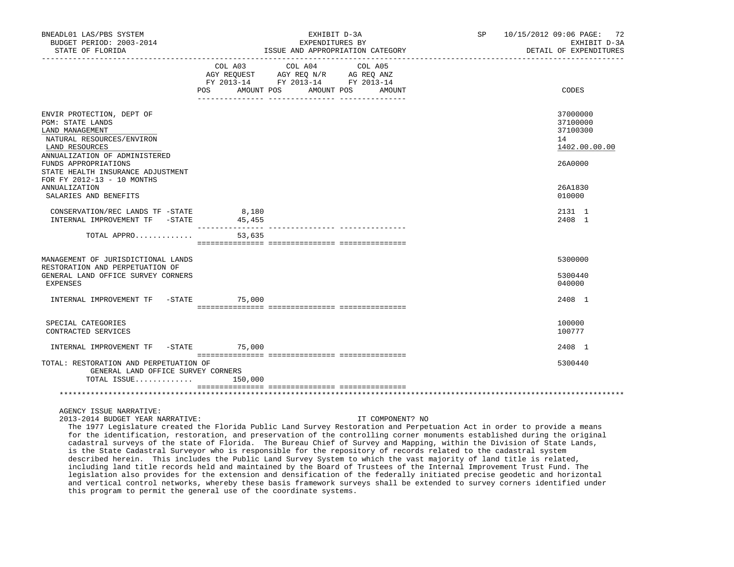| BNEADL01 LAS/PBS SYSTEM<br>BUDGET PERIOD: 2003-2014                                                                                                                                                                      |                  | EXHIBIT D-3A<br>EXPENDITURES BY                                                                                                       | SP 10/15/2012 09:06 PAGE: 72<br>EXHIBIT D-3A            |
|--------------------------------------------------------------------------------------------------------------------------------------------------------------------------------------------------------------------------|------------------|---------------------------------------------------------------------------------------------------------------------------------------|---------------------------------------------------------|
| STATE OF FLORIDA                                                                                                                                                                                                         |                  | ISSUE AND APPROPRIATION CATEGORY                                                                                                      | DETAIL OF EXPENDITURES                                  |
|                                                                                                                                                                                                                          |                  | COL A03 COL A04 COL A05<br>AGY REQUEST AGY REQ N/R AG REQ ANZ<br>FY 2013-14 FY 2013-14 FY 2013-14<br>POS AMOUNT POS AMOUNT POS AMOUNT | CODES                                                   |
| ENVIR PROTECTION, DEPT OF<br><b>PGM: STATE LANDS</b><br>LAND MANAGEMENT<br>NATURAL RESOURCES/ENVIRON<br>LAND RESOURCES<br>ANNUALIZATION OF ADMINISTERED                                                                  |                  |                                                                                                                                       | 37000000<br>37100000<br>37100300<br>14<br>1402.00.00.00 |
| FUNDS APPROPRIATIONS<br>STATE HEALTH INSURANCE ADJUSTMENT<br>FOR FY 2012-13 - 10 MONTHS<br>ANNUALIZATION<br>SALARIES AND BENEFITS                                                                                        |                  |                                                                                                                                       | 26A0000<br>26A1830<br>010000                            |
| $\begin{tabular}{lllllllll} \multicolumn{2}{c}{\textbf{CONSERVATION/REC} & \textbf{LANDS TF} & -STATE & & 8,180 \\ \multicolumn{2}{c}{\textbf{INTERNAL} & \textbf{IMPROVEMENT TF} & -STATE} & & 45,455 \\ \end{tabular}$ | ________________ |                                                                                                                                       | 2131 1<br>2408 1                                        |
| TOTAL APPRO                                                                                                                                                                                                              | 53,635           |                                                                                                                                       |                                                         |
| MANAGEMENT OF JURISDICTIONAL LANDS                                                                                                                                                                                       |                  |                                                                                                                                       | 5300000                                                 |
| RESTORATION AND PERPETUATION OF<br>GENERAL LAND OFFICE SURVEY CORNERS<br><b>EXPENSES</b>                                                                                                                                 |                  |                                                                                                                                       | 5300440<br>040000                                       |
| INTERNAL IMPROVEMENT TF -STATE 75,000                                                                                                                                                                                    |                  |                                                                                                                                       | 2408 1                                                  |
| SPECIAL CATEGORIES<br>CONTRACTED SERVICES                                                                                                                                                                                |                  |                                                                                                                                       | 100000<br>100777                                        |
| INTERNAL IMPROVEMENT TF -STATE 75,000                                                                                                                                                                                    |                  |                                                                                                                                       | 2408 1                                                  |
| TOTAL: RESTORATION AND PERPETUATION OF<br>GENERAL LAND OFFICE SURVEY CORNERS<br>TOTAL ISSUE                                                                                                                              | 150,000          |                                                                                                                                       | 5300440                                                 |
|                                                                                                                                                                                                                          |                  |                                                                                                                                       |                                                         |

AGENCY ISSUE NARRATIVE:

2013-2014 BUDGET YEAR NARRATIVE: IT COMPONENT? NO

 The 1977 Legislature created the Florida Public Land Survey Restoration and Perpetuation Act in order to provide a means for the identification, restoration, and preservation of the controlling corner monuments established during the original cadastral surveys of the state of Florida. The Bureau Chief of Survey and Mapping, within the Division of State Lands, is the State Cadastral Surveyor who is responsible for the repository of records related to the cadastral system described herein. This includes the Public Land Survey System to which the vast majority of land title is related, including land title records held and maintained by the Board of Trustees of the Internal Improvement Trust Fund. The legislation also provides for the extension and densification of the federally initiated precise geodetic and horizontal and vertical control networks, whereby these basis framework surveys shall be extended to survey corners identified under this program to permit the general use of the coordinate systems.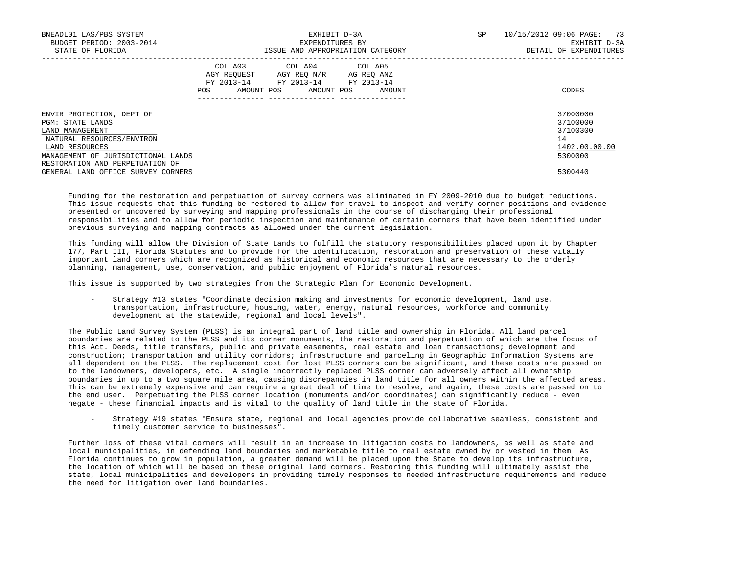| BNEADL01 LAS/PBS SYSTEM<br>BUDGET PERIOD: 2003-2014<br>STATE OF FLORIDA                                                                                                                  | EXHIBIT D-3A<br>EXPENDITURES BY<br>ISSUE AND APPROPRIATION CATEGORY                                                                            | 10/15/2012 09:06 PAGE:<br>SP.<br>73<br>EXHIBIT D-3A<br>DETAIL OF EXPENDITURES |
|------------------------------------------------------------------------------------------------------------------------------------------------------------------------------------------|------------------------------------------------------------------------------------------------------------------------------------------------|-------------------------------------------------------------------------------|
|                                                                                                                                                                                          | COL A03 COL A04 COL A05<br>AGY REOUEST<br>AGY REO N/R<br>AG REO ANZ<br>FY 2013-14 FY 2013-14 FY 2013-14<br>POS<br>AMOUNT POS AMOUNT POS AMOUNT | CODES                                                                         |
| ENVIR PROTECTION, DEPT OF<br>PGM: STATE LANDS<br>LAND MANAGEMENT<br>NATURAL RESOURCES/ENVIRON<br>LAND RESOURCES<br>MANAGEMENT OF JURISDICTIONAL LANDS<br>RESTORATION AND PERPETUATION OF |                                                                                                                                                | 37000000<br>37100000<br>37100300<br>14<br>1402.00.00.00<br>5300000            |
| GENERAL LAND OFFICE SURVEY CORNERS                                                                                                                                                       |                                                                                                                                                | 5300440                                                                       |

 Funding for the restoration and perpetuation of survey corners was eliminated in FY 2009-2010 due to budget reductions. This issue requests that this funding be restored to allow for travel to inspect and verify corner positions and evidence presented or uncovered by surveying and mapping professionals in the course of discharging their professional responsibilities and to allow for periodic inspection and maintenance of certain corners that have been identified under previous surveying and mapping contracts as allowed under the current legislation.

 This funding will allow the Division of State Lands to fulfill the statutory responsibilities placed upon it by Chapter 177, Part III, Florida Statutes and to provide for the identification, restoration and preservation of these vitally important land corners which are recognized as historical and economic resources that are necessary to the orderly planning, management, use, conservation, and public enjoyment of Florida's natural resources.

This issue is supported by two strategies from the Strategic Plan for Economic Development.

 - Strategy #13 states "Coordinate decision making and investments for economic development, land use, transportation, infrastructure, housing, water, energy, natural resources, workforce and community development at the statewide, regional and local levels".

 The Public Land Survey System (PLSS) is an integral part of land title and ownership in Florida. All land parcel boundaries are related to the PLSS and its corner monuments, the restoration and perpetuation of which are the focus of this Act. Deeds, title transfers, public and private easements, real estate and loan transactions; development and construction; transportation and utility corridors; infrastructure and parceling in Geographic Information Systems are all dependent on the PLSS. The replacement cost for lost PLSS corners can be significant, and these costs are passed on to the landowners, developers, etc. A single incorrectly replaced PLSS corner can adversely affect all ownership boundaries in up to a two square mile area, causing discrepancies in land title for all owners within the affected areas. This can be extremely expensive and can require a great deal of time to resolve, and again, these costs are passed on to the end user. Perpetuating the PLSS corner location (monuments and/or coordinates) can significantly reduce - even negate - these financial impacts and is vital to the quality of land title in the state of Florida.

 - Strategy #19 states "Ensure state, regional and local agencies provide collaborative seamless, consistent and timely customer service to businesses".

 Further loss of these vital corners will result in an increase in litigation costs to landowners, as well as state and local municipalities, in defending land boundaries and marketable title to real estate owned by or vested in them. As Florida continues to grow in population, a greater demand will be placed upon the State to develop its infrastructure, the location of which will be based on these original land corners. Restoring this funding will ultimately assist the state, local municipalities and developers in providing timely responses to needed infrastructure requirements and reduce the need for litigation over land boundaries.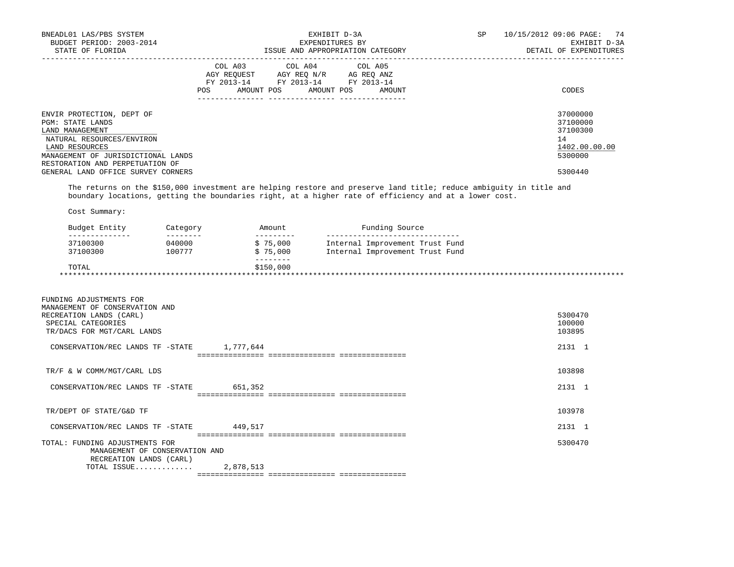| BNEADL01 LAS/PBS SYSTEM<br>BUDGET PERIOD: 2003-2014<br>STATE OF FLORIDA                                                                                                                  |                                  | EXHIBIT D-3A<br>EXPENDITURES BY                                                                                                                            | ISSUE AND APPROPRIATION CATEGORY                                                     | SP | 10/15/2012 09:06 PAGE:<br>DETAIL OF EXPENDITURES                   | 74<br>EXHIBIT D-3A |
|------------------------------------------------------------------------------------------------------------------------------------------------------------------------------------------|----------------------------------|------------------------------------------------------------------------------------------------------------------------------------------------------------|--------------------------------------------------------------------------------------|----|--------------------------------------------------------------------|--------------------|
|                                                                                                                                                                                          | POS AMOUNT POS AMOUNT POS AMOUNT | $\begin{tabular}{lcccc} COL A03 & COL A04 & COL A05 \\ AGY REQUEST & AGY REQ N/R & AG REQ ANZ \\ FY & 2013-14 & FY & 2013-14 & FY & 2013-14 \end{tabular}$ |                                                                                      |    | CODES                                                              |                    |
| ENVIR PROTECTION, DEPT OF<br>PGM: STATE LANDS<br>LAND MANAGEMENT<br>NATURAL RESOURCES/ENVIRON<br>LAND RESOURCES<br>MANAGEMENT OF JURISDICTIONAL LANDS<br>RESTORATION AND PERPETUATION OF |                                  |                                                                                                                                                            |                                                                                      |    | 37000000<br>37100000<br>37100300<br>14<br>1402.00.00.00<br>5300000 |                    |
| GENERAL LAND OFFICE SURVEY CORNERS<br>The returns on the \$150,000 investment are helping restore and preserve land title; reduce ambiguity in title and                                 |                                  |                                                                                                                                                            |                                                                                      |    | 5300440                                                            |                    |
| boundary locations, getting the boundaries right, at a higher rate of efficiency and at a lower cost.<br>Cost Summary:                                                                   |                                  |                                                                                                                                                            |                                                                                      |    |                                                                    |                    |
| Budget Entity Category                                                                                                                                                                   |                                  | Amount                                                                                                                                                     | Funding Source<br>----------------------------                                       |    |                                                                    |                    |
| _________<br>_______________<br>37100300<br>040000<br>37100300 100777                                                                                                                    |                                  | ----------                                                                                                                                                 | \$75,000 Internal Improvement Trust Fund<br>\$75,000 Internal Improvement Trust Fund |    |                                                                    |                    |
| TOTAL                                                                                                                                                                                    |                                  | $- - - - - - - - - -$<br>\$150,000                                                                                                                         |                                                                                      |    |                                                                    |                    |
| FUNDING ADJUSTMENTS FOR<br>MANAGEMENT OF CONSERVATION AND<br>RECREATION LANDS (CARL)<br>SPECIAL CATEGORIES<br>TR/DACS FOR MGT/CARL LANDS<br>CONSERVATION/REC LANDS TF -STATE 1,777,644   |                                  |                                                                                                                                                            |                                                                                      |    | 5300470<br>100000<br>103895<br>2131 1                              |                    |
|                                                                                                                                                                                          |                                  |                                                                                                                                                            |                                                                                      |    |                                                                    |                    |
| TR/F & W COMM/MGT/CARL LDS                                                                                                                                                               |                                  |                                                                                                                                                            |                                                                                      |    | 103898                                                             |                    |
| CONSERVATION/REC LANDS TF -STATE 651,352                                                                                                                                                 |                                  |                                                                                                                                                            |                                                                                      |    | 2131 1                                                             |                    |
| TR/DEPT OF STATE/G&D TF                                                                                                                                                                  |                                  |                                                                                                                                                            |                                                                                      |    | 103978                                                             |                    |
| CONSERVATION/REC LANDS TF -STATE 449,517                                                                                                                                                 |                                  |                                                                                                                                                            |                                                                                      |    | 2131 1                                                             |                    |
| TOTAL: FUNDING ADJUSTMENTS FOR<br>MANAGEMENT OF CONSERVATION AND<br>RECREATION LANDS (CARL)<br>TOTAL ISSUE                                                                               | 2,878,513                        |                                                                                                                                                            |                                                                                      |    | 5300470                                                            |                    |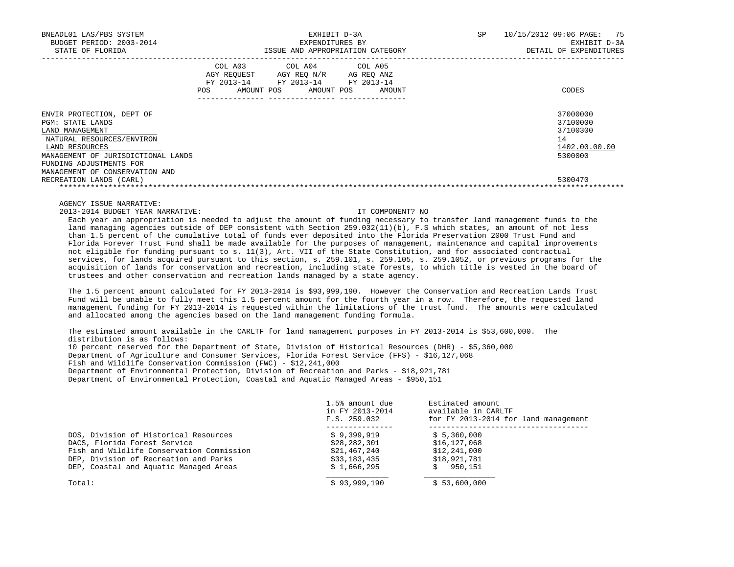| BNEADL01 LAS/PBS SYSTEM<br>BUDGET PERIOD: 2003-2014<br>STATE OF FLORIDA                                                                               | <b>SP</b><br>EXHIBIT D-3A<br>EXPENDITURES BY<br>ISSUE AND APPROPRIATION CATEGORY                                                                        | 75<br>10/15/2012 09:06 PAGE:<br>EXHIBIT D-3A<br>DETAIL OF EXPENDITURES |
|-------------------------------------------------------------------------------------------------------------------------------------------------------|---------------------------------------------------------------------------------------------------------------------------------------------------------|------------------------------------------------------------------------|
|                                                                                                                                                       | COL A03<br>COL A04 COL A05<br>AGY REOUEST<br>AGY REO N/R<br>AG REO ANZ<br>FY 2013-14 FY 2013-14 FY 2013-14<br>POS<br>AMOUNT POS<br>AMOUNT POS<br>AMOUNT | CODES                                                                  |
| ENVIR PROTECTION, DEPT OF<br>PGM: STATE LANDS<br>LAND MANAGEMENT<br>NATURAL RESOURCES/ENVIRON<br>LAND RESOURCES<br>MANAGEMENT OF JURISDICTIONAL LANDS |                                                                                                                                                         | 37000000<br>37100000<br>37100300<br>14<br>1402.00.00.00<br>5300000     |
| FUNDING ADJUSTMENTS FOR<br>MANAGEMENT OF CONSERVATION AND<br>RECREATION LANDS (CARL)                                                                  |                                                                                                                                                         | 5300470                                                                |

AGENCY ISSUE NARRATIVE:

2013-2014 BUDGET YEAR NARRATIVE: IT COMPONENT? NO

 Each year an appropriation is needed to adjust the amount of funding necessary to transfer land management funds to the land managing agencies outside of DEP consistent with Section 259.032(11)(b), F.S which states, an amount of not less than 1.5 percent of the cumulative total of funds ever deposited into the Florida Preservation 2000 Trust Fund and Florida Forever Trust Fund shall be made available for the purposes of management, maintenance and capital improvements not eligible for funding pursuant to s. 11(3), Art. VII of the State Constitution, and for associated contractual services, for lands acquired pursuant to this section, s. 259.101, s. 259.105, s. 259.1052, or previous programs for the acquisition of lands for conservation and recreation, including state forests, to which title is vested in the board of trustees and other conservation and recreation lands managed by a state agency.

 The 1.5 percent amount calculated for FY 2013-2014 is \$93,999,190. However the Conservation and Recreation Lands Trust Fund will be unable to fully meet this 1.5 percent amount for the fourth year in a row. Therefore, the requested land management funding for FY 2013-2014 is requested within the limitations of the trust fund. The amounts were calculated and allocated among the agencies based on the land management funding formula.

 The estimated amount available in the CARLTF for land management purposes in FY 2013-2014 is \$53,600,000. The distribution is as follows: 10 percent reserved for the Department of State, Division of Historical Resources (DHR) - \$5,360,000 Department of Agriculture and Consumer Services, Florida Forest Service (FFS) - \$16,127,068 Fish and Wildlife Conservation Commission (FWC) - \$12,241,000 Department of Environmental Protection, Division of Recreation and Parks - \$18,921,781 Department of Environmental Protection, Coastal and Aquatic Managed Areas - \$950,151

|                                           | 1.5% amount due<br>in FY 2013-2014<br>F.S. 259.032 | Estimated amount<br>available in CARLTF<br>for FY 2013-2014 for land management |  |  |
|-------------------------------------------|----------------------------------------------------|---------------------------------------------------------------------------------|--|--|
| DOS, Division of Historical Resources     | \$9,399,919                                        | \$5,360,000                                                                     |  |  |
| DACS, Florida Forest Service              | \$28,282,301                                       | \$16,127,068                                                                    |  |  |
| Fish and Wildlife Conservation Commission | \$21,467,240                                       | \$12,241,000                                                                    |  |  |
| DEP, Division of Recreation and Parks     | \$33,183,435                                       | \$18,921,781                                                                    |  |  |
| DEP, Coastal and Aquatic Managed Areas    | \$1,666,295                                        | 950,151                                                                         |  |  |
| Total:                                    | \$93,999,190                                       | \$53,600,000                                                                    |  |  |
|                                           |                                                    |                                                                                 |  |  |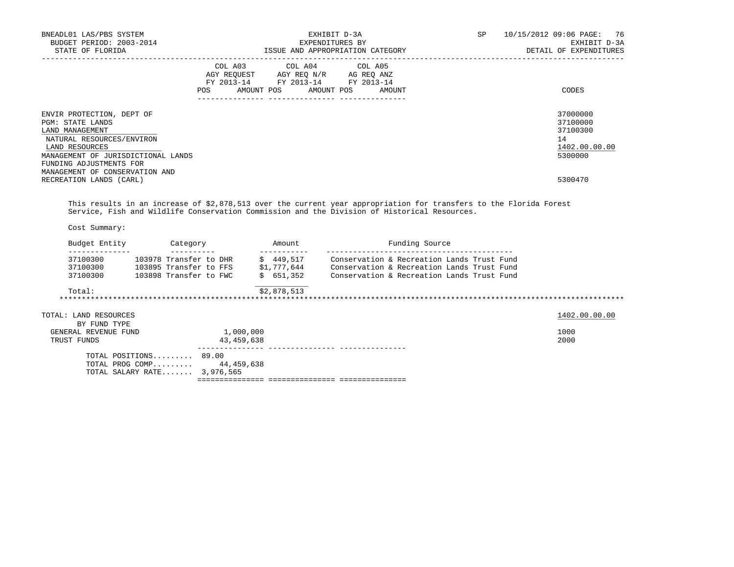| BNEADL01 LAS/PBS SYSTEM<br>BUDGET PERIOD: 2003-2014                                                                                                                                                                                                                                                |                         |                                  | EXHIBIT D-3A<br>EXPENDITURES BY                                                             | SP | 10/15/2012 09:06 PAGE: 76<br>EXHIBIT D-3A<br>DETAIL OF EXPENDITURES |
|----------------------------------------------------------------------------------------------------------------------------------------------------------------------------------------------------------------------------------------------------------------------------------------------------|-------------------------|----------------------------------|---------------------------------------------------------------------------------------------|----|---------------------------------------------------------------------|
|                                                                                                                                                                                                                                                                                                    | COL A03<br>POS          | COL A04<br>AMOUNT POS AMOUNT POS | COL A05<br>AGY REQUEST AGY REQ N/R AG REQ ANZ<br>FY 2013-14 FY 2013-14 FY 2013-14<br>AMOUNT |    | CODES                                                               |
| ENVIR PROTECTION, DEPT OF<br><b>PGM: STATE LANDS</b><br>LAND MANAGEMENT<br>NATURAL RESOURCES/ENVIRON<br>LAND RESOURCES<br>MANAGEMENT OF JURISDICTIONAL LANDS<br>FUNDING ADJUSTMENTS FOR<br>MANAGEMENT OF CONSERVATION AND                                                                          |                         |                                  |                                                                                             |    | 37000000<br>37100000<br>37100300<br>14<br>1402.00.00.00<br>5300000  |
| RECREATION LANDS (CARL)                                                                                                                                                                                                                                                                            |                         |                                  |                                                                                             |    | 5300470                                                             |
| This results in an increase of \$2,878,513 over the current year appropriation for transfers to the Florida Forest<br>Service, Fish and Wildlife Conservation Commission and the Division of Historical Resources.                                                                                 |                         |                                  |                                                                                             |    |                                                                     |
| Cost Summary:                                                                                                                                                                                                                                                                                      |                         |                                  |                                                                                             |    |                                                                     |
| Budget Entity Category Manount<br>_______________                                                                                                                                                                                                                                                  |                         | _____________                    | Funding Source                                                                              |    |                                                                     |
| 37100300 103978 Transfer to DHR \$ 449,517 Conservation & Recreation Lands Trust Fund<br>37100300 103895 Transfer to FFS $\frac{1}{51}$ , 777, 644 Conservation & Recreation Lands Trust Fund<br>37100300 103898 Transfer to FWC $\frac{1}{5}$ 651, 352 Conservation & Recreation Lands Trust Fund |                         |                                  |                                                                                             |    |                                                                     |
| Total:                                                                                                                                                                                                                                                                                             |                         | \$2,878,513                      |                                                                                             |    |                                                                     |
| TOTAL: LAND RESOURCES<br>BY FUND TYPE                                                                                                                                                                                                                                                              |                         |                                  |                                                                                             |    | 1402.00.00.00                                                       |
| GENERAL REVENUE FUND<br>TRUST FUNDS                                                                                                                                                                                                                                                                | 1,000,000<br>43,459,638 |                                  |                                                                                             |    | 1000<br>2000                                                        |
| TOTAL POSITIONS 89.00<br>TOTAL PROG COMP 44,459,638<br>TOTAL SALARY RATE 3,976,565                                                                                                                                                                                                                 |                         |                                  |                                                                                             |    |                                                                     |
|                                                                                                                                                                                                                                                                                                    |                         |                                  |                                                                                             |    |                                                                     |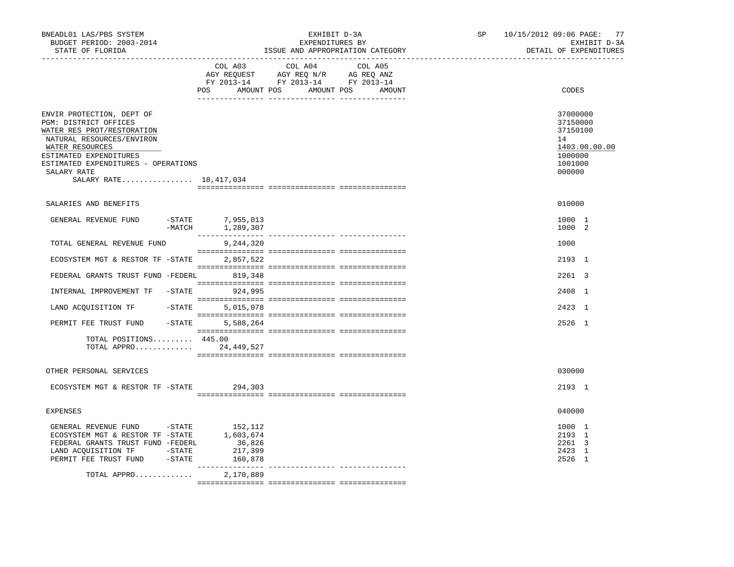| BNEADL01 LAS/PBS SYSTEM<br>BUDGET PERIOD: 2003-2014<br>STATE OF FLORIDA                                                                                                                                                                      |                                                     | EXHIBIT D-3A<br>EXPENDITURES BY<br>ISSUE AND APPROPRIATION CATEGORY                                                                   | SP 10/15/2012 09:06 PAGE: 77<br>EXHIBIT D-3A<br>DETAIL OF EXPENDITURES                  |
|----------------------------------------------------------------------------------------------------------------------------------------------------------------------------------------------------------------------------------------------|-----------------------------------------------------|---------------------------------------------------------------------------------------------------------------------------------------|-----------------------------------------------------------------------------------------|
|                                                                                                                                                                                                                                              |                                                     | COL A03 COL A04 COL A05<br>AGY REQUEST AGY REQ N/R AG REQ ANZ<br>FY 2013-14 FY 2013-14 FY 2013-14<br>POS AMOUNT POS AMOUNT POS AMOUNT | CODES                                                                                   |
| ENVIR PROTECTION, DEPT OF<br>PGM: DISTRICT OFFICES<br>WATER RES PROT/RESTORATION<br>NATURAL RESOURCES/ENVIRON<br>WATER RESOURCES<br>ESTIMATED EXPENDITURES<br>ESTIMATED EXPENDITURES - OPERATIONS<br>SALARY RATE<br>SALARY RATE 18, 417, 034 |                                                     |                                                                                                                                       | 37000000<br>37150000<br>37150100<br>14<br>1403.00.00.00<br>1000000<br>1001000<br>000000 |
| SALARIES AND BENEFITS                                                                                                                                                                                                                        |                                                     |                                                                                                                                       | 010000                                                                                  |
| GENERAL REVENUE FUND                                                                                                                                                                                                                         | -STATE 7,955,013<br>$-MATCH$ 1, 289, 307            |                                                                                                                                       | 1000 1<br>1000 2                                                                        |
| TOTAL GENERAL REVENUE FUND                                                                                                                                                                                                                   | 9,244,320                                           |                                                                                                                                       | 1000                                                                                    |
| ECOSYSTEM MGT & RESTOR TF -STATE                                                                                                                                                                                                             | 2,857,522                                           |                                                                                                                                       | 2193 1                                                                                  |
| FEDERAL GRANTS TRUST FUND -FEDERL                                                                                                                                                                                                            | 819,348                                             |                                                                                                                                       | 2261 3                                                                                  |
| INTERNAL IMPROVEMENT TF -STATE 924,995                                                                                                                                                                                                       |                                                     |                                                                                                                                       | 2408 1                                                                                  |
| LAND ACQUISITION TF                                                                                                                                                                                                                          | $-$ STATE<br>5,015,078                              |                                                                                                                                       | 2423 1                                                                                  |
| PERMIT FEE TRUST FUND                                                                                                                                                                                                                        | $-$ STATE<br>5,588,264                              |                                                                                                                                       | 2526 1                                                                                  |
| TOTAL POSITIONS 445.00<br>TOTAL APPRO 24,449,527                                                                                                                                                                                             |                                                     |                                                                                                                                       |                                                                                         |
| OTHER PERSONAL SERVICES                                                                                                                                                                                                                      |                                                     |                                                                                                                                       | 030000                                                                                  |
| ECOSYSTEM MGT & RESTOR TF - STATE 294,303                                                                                                                                                                                                    |                                                     |                                                                                                                                       | 2193 1                                                                                  |
| <b>EXPENSES</b>                                                                                                                                                                                                                              |                                                     |                                                                                                                                       | 040000                                                                                  |
| GENERAL REVENUE FUND -STATE<br>ECOSYSTEM MGT & RESTOR TF -STATE 1,603,674<br>FEDERAL GRANTS TRUST FUND -FEDERL<br>LAND ACQUISITION TF -STATE<br>PERMIT FEE TRUST FUND -STATE                                                                 | 152,112<br>36,826<br>217,399<br>160,878<br>________ | ---------------- ----------------                                                                                                     | 1000 1<br>2193 1<br>2261 3<br>2423 1<br>2526 1                                          |
| TOTAL APPRO                                                                                                                                                                                                                                  | 2,170,889                                           |                                                                                                                                       |                                                                                         |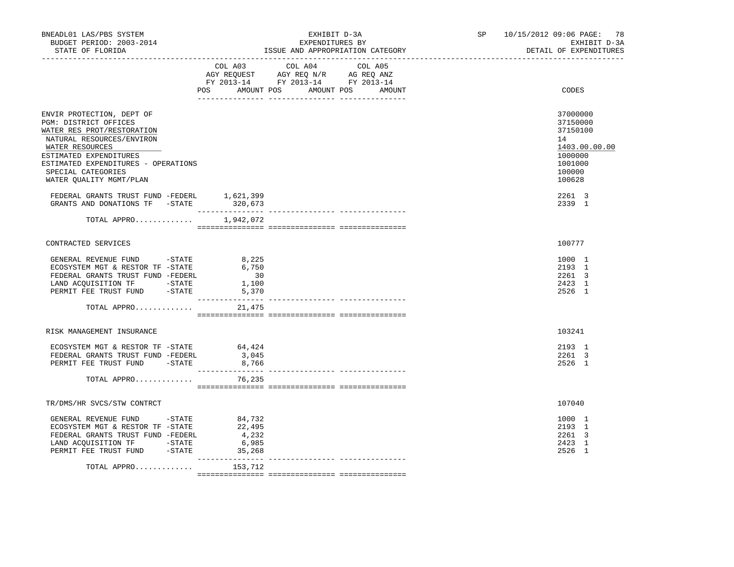| BNEADL01 LAS/PBS SYSTEM<br>BUDGET PERIOD: 2003-2014<br>STATE OF FLORIDA                                                                                                                           |                                                                       | EXHIBIT D-3A<br>EXPENDITURES BY<br>ISSUE AND APPROPRIATION CATEGORY                                  |  |  | SP 10/15/2012 09:06 PAGE: 78<br>EXHIBIT D-3A<br>DETAIL OF EXPENDITURES        |
|---------------------------------------------------------------------------------------------------------------------------------------------------------------------------------------------------|-----------------------------------------------------------------------|------------------------------------------------------------------------------------------------------|--|--|-------------------------------------------------------------------------------|
|                                                                                                                                                                                                   | POS AMOUNT POS AMOUNT POS AMOUNT                                      | COL A03 COL A04 COL A05<br>CO AGY REQUEST AGY REQ N/R AG REQ ANZ<br>FY 2013-14 FY 2013-14 FY 2013-14 |  |  | CODES                                                                         |
|                                                                                                                                                                                                   |                                                                       |                                                                                                      |  |  |                                                                               |
| ENVIR PROTECTION, DEPT OF<br>PGM: DISTRICT OFFICES<br>WATER RES PROT/RESTORATION<br>NATURAL RESOURCES/ENVIRON<br>WATER RESOURCES<br>ESTIMATED EXPENDITURES<br>ESTIMATED EXPENDITURES - OPERATIONS |                                                                       |                                                                                                      |  |  | 37000000<br>37150000<br>37150100<br>14<br>1403.00.00.00<br>1000000<br>1001000 |
| SPECIAL CATEGORIES<br>WATER QUALITY MGMT/PLAN                                                                                                                                                     |                                                                       |                                                                                                      |  |  | 100000<br>100628                                                              |
| ${\tt FEDERAL} \quad {\tt GRANTS} \quad {\tt FUND-FEDERL} \qquad \qquad 1,621,399 \\ {\tt GRANTS} \quad {\tt AND} \quad {\tt DONATIONS} \quad {\tt TF} \qquad -{\tt STATE} \qquad \qquad 320,673$ |                                                                       |                                                                                                      |  |  | 2261 3<br>2339 1                                                              |
| TOTAL APPRO $1,942,072$                                                                                                                                                                           |                                                                       |                                                                                                      |  |  |                                                                               |
| CONTRACTED SERVICES                                                                                                                                                                               |                                                                       |                                                                                                      |  |  | 100777                                                                        |
| GENERAL REVENUE FUND -STATE<br>ECOSYSTEM MGT & RESTOR TF -STATE<br>FEDERAL GRANTS TRUST FUND -FEDERL<br>LAND ACQUISITION TF -STATE<br>PERMIT FEE TRUST FUND -STATE                                | 8,225<br>6,750<br>$\begin{array}{c} 30 \\ 1,100 \end{array}$<br>5,370 |                                                                                                      |  |  | 1000 1<br>2193 1<br>2261 3<br>2423 1<br>2526 1                                |
| TOTAL APPRO                                                                                                                                                                                       | 21,475                                                                |                                                                                                      |  |  |                                                                               |
| RISK MANAGEMENT INSURANCE                                                                                                                                                                         |                                                                       |                                                                                                      |  |  | 103241                                                                        |
| ECOSYSTEM MGT & RESTOR TF - STATE 64,424<br>FEDERAL GRANTS TRUST FUND -FEDERL<br>PERMIT FEE TRUST FUND -STATE                                                                                     | 3,045<br>8,766                                                        |                                                                                                      |  |  | 2193 1<br>2261 3<br>2526 1                                                    |
| TOTAL APPRO 76,235                                                                                                                                                                                |                                                                       |                                                                                                      |  |  |                                                                               |
| TR/DMS/HR SVCS/STW CONTRCT                                                                                                                                                                        |                                                                       |                                                                                                      |  |  | 107040                                                                        |
| GENERAL REVENUE FUND -STATE 84,732<br>ECOSYSTEM MGT & RESTOR TF -STATE<br>FEDERAL GRANTS TRUST FUND -FEDERL<br>LAND ACQUISITION TF - STATE<br>PERMIT FEE TRUST FUND -STATE 35,268                 | 22,495<br>4,232<br>6,985                                              |                                                                                                      |  |  | 1000 1<br>2193 1<br>2261 3<br>2423 1<br>2526 1                                |
| TOTAL APPRO                                                                                                                                                                                       | 153,712                                                               |                                                                                                      |  |  |                                                                               |
|                                                                                                                                                                                                   |                                                                       |                                                                                                      |  |  |                                                                               |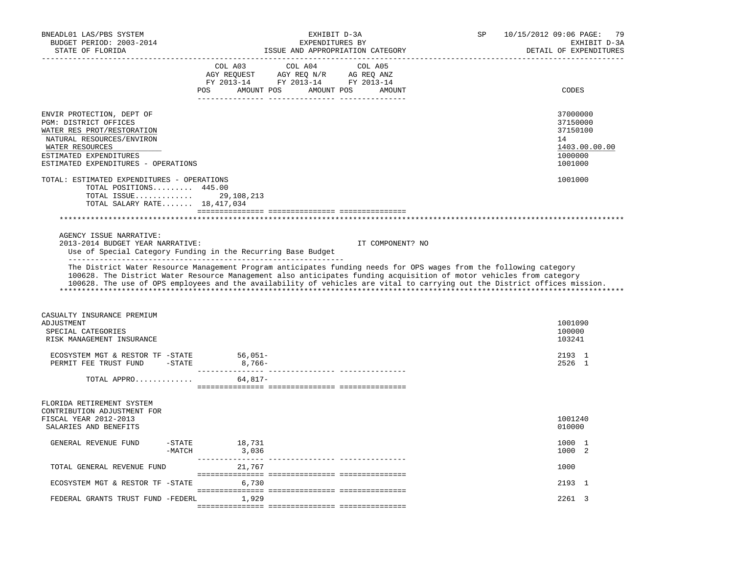| BNEADL01 LAS/PBS SYSTEM<br>BUDGET PERIOD: 2003-2014<br>STATE OF FLORIDA                                                                                                                           |                                          | EXHIBIT D-3A<br>EXPENDITURES BY<br>ISSUE AND APPROPRIATION CATEGORY                                                                                                                                                                                           | SP | 10/15/2012 09:06 PAGE:<br>79<br>EXHIBIT D-3A<br>DETAIL OF EXPENDITURES        |
|---------------------------------------------------------------------------------------------------------------------------------------------------------------------------------------------------|------------------------------------------|---------------------------------------------------------------------------------------------------------------------------------------------------------------------------------------------------------------------------------------------------------------|----|-------------------------------------------------------------------------------|
|                                                                                                                                                                                                   | COL A03                                  | COL A04<br>COL A05<br>POS AMOUNT POS AMOUNT POS<br>AMOUNT                                                                                                                                                                                                     |    | CODES                                                                         |
| ENVIR PROTECTION, DEPT OF<br>PGM: DISTRICT OFFICES<br>WATER RES PROT/RESTORATION<br>NATURAL RESOURCES/ENVIRON<br>WATER RESOURCES<br>ESTIMATED EXPENDITURES<br>ESTIMATED EXPENDITURES - OPERATIONS |                                          |                                                                                                                                                                                                                                                               |    | 37000000<br>37150000<br>37150100<br>14<br>1403.00.00.00<br>1000000<br>1001000 |
| TOTAL: ESTIMATED EXPENDITURES - OPERATIONS<br>TOTAL POSITIONS 445.00<br>TOTAL SALARY RATE 18,417,034                                                                                              | TOTAL ISSUE 29, 108, 213                 |                                                                                                                                                                                                                                                               |    | 1001000                                                                       |
|                                                                                                                                                                                                   |                                          |                                                                                                                                                                                                                                                               |    |                                                                               |
| AGENCY ISSUE NARRATIVE:<br>2013-2014 BUDGET YEAR NARRATIVE:<br>Use of Special Category Funding in the Recurring Base Budget                                                                       |                                          | IT COMPONENT? NO<br>The District Water Resource Management Program anticipates funding needs for OPS wages from the following category<br>100628. The District Water Resource Management also anticipates funding acquisition of motor vehicles from category |    |                                                                               |
|                                                                                                                                                                                                   |                                          | 100628. The use of OPS employees and the availability of vehicles are vital to carrying out the District offices mission.                                                                                                                                     |    |                                                                               |
| CASUALTY INSURANCE PREMIUM<br>ADJUSTMENT<br>SPECIAL CATEGORIES<br>RISK MANAGEMENT INSURANCE                                                                                                       |                                          |                                                                                                                                                                                                                                                               |    | 1001090<br>100000<br>103241                                                   |
| ECOSYSTEM MGT & RESTOR TF -STATE<br>PERMIT FEE TRUST FUND -STATE                                                                                                                                  | $56,051-$<br>$8,766-$                    |                                                                                                                                                                                                                                                               |    | 2193 1<br>2526 1                                                              |
| TOTAL APPRO                                                                                                                                                                                       | 64,817-                                  |                                                                                                                                                                                                                                                               |    |                                                                               |
| FLORIDA RETIREMENT SYSTEM<br>CONTRIBUTION ADJUSTMENT FOR<br>FISCAL YEAR 2012-2013<br>SALARIES AND BENEFITS                                                                                        |                                          |                                                                                                                                                                                                                                                               |    | 1001240<br>010000                                                             |
| GENERAL REVENUE FUND                                                                                                                                                                              | 18,731<br>$-$ STATE<br>3,036<br>$-MATCH$ |                                                                                                                                                                                                                                                               |    | 1000 1<br>1000 2                                                              |
| TOTAL GENERAL REVENUE FUND                                                                                                                                                                        | 21,767                                   |                                                                                                                                                                                                                                                               |    | 1000                                                                          |
| ECOSYSTEM MGT & RESTOR TF -STATE                                                                                                                                                                  | 6,730                                    |                                                                                                                                                                                                                                                               |    | 2193 1                                                                        |
| FEDERAL GRANTS TRUST FUND -FEDERL                                                                                                                                                                 | 1,929                                    |                                                                                                                                                                                                                                                               |    | 2261 3                                                                        |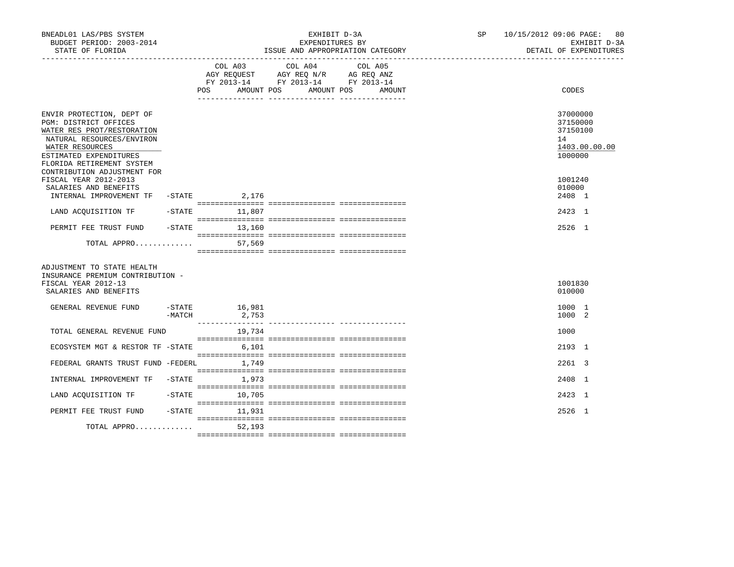| BNEADL01 LAS/PBS SYSTEM<br>BUDGET PERIOD: 2003-2014<br>STATE OF FLORIDA                                                                                                                                                |           |                                     | EXHIBIT D-3A<br>EXPENDITURES BY<br>ISSUE AND APPROPRIATION CATEGORY                                                                                            | SP and the set of the set of the set of the set of the set of the set of the set of the set of the set of the set of the set of the set of the set of the set of the set of the set of the set of the set of the set of the se | 10/15/2012 09:06 PAGE: 80<br>EXHIBIT D-3A<br>DETAIL OF EXPENDITURES |
|------------------------------------------------------------------------------------------------------------------------------------------------------------------------------------------------------------------------|-----------|-------------------------------------|----------------------------------------------------------------------------------------------------------------------------------------------------------------|--------------------------------------------------------------------------------------------------------------------------------------------------------------------------------------------------------------------------------|---------------------------------------------------------------------|
|                                                                                                                                                                                                                        |           | COL A03<br>AMOUNT POS<br><b>POS</b> | ______________________________________<br>COL A04<br>COL A05<br>AGY REQUEST AGY REQ N/R AG REQ ANZ<br>FY 2013-14 FY 2013-14 FY 2013-14<br>AMOUNT POS<br>AMOUNT |                                                                                                                                                                                                                                | CODES                                                               |
| ENVIR PROTECTION, DEPT OF<br>PGM: DISTRICT OFFICES<br>WATER RES PROT/RESTORATION<br>NATURAL RESOURCES/ENVIRON<br>WATER RESOURCES<br>ESTIMATED EXPENDITURES<br>FLORIDA RETIREMENT SYSTEM<br>CONTRIBUTION ADJUSTMENT FOR |           |                                     |                                                                                                                                                                |                                                                                                                                                                                                                                | 37000000<br>37150000<br>37150100<br>14<br>1403.00.00.00<br>1000000  |
| FISCAL YEAR 2012-2013<br>SALARIES AND BENEFITS<br>INTERNAL IMPROVEMENT TF                                                                                                                                              |           | $-$ STATE 2, 176                    |                                                                                                                                                                |                                                                                                                                                                                                                                | 1001240<br>010000<br>2408 1                                         |
| LAND ACQUISITION TF                                                                                                                                                                                                    | $-$ STATE | 11,807                              |                                                                                                                                                                |                                                                                                                                                                                                                                | 2423 1                                                              |
| PERMIT FEE TRUST FUND                                                                                                                                                                                                  |           | $-STATE$<br>13,160                  |                                                                                                                                                                |                                                                                                                                                                                                                                | 2526 1                                                              |
| TOTAL APPRO                                                                                                                                                                                                            |           | 57,569                              |                                                                                                                                                                |                                                                                                                                                                                                                                |                                                                     |
| ADJUSTMENT TO STATE HEALTH<br>INSURANCE PREMIUM CONTRIBUTION -<br>FISCAL YEAR 2012-13<br>SALARIES AND BENEFITS                                                                                                         |           |                                     |                                                                                                                                                                |                                                                                                                                                                                                                                | 1001830<br>010000                                                   |
| GENERAL REVENUE FUND                                                                                                                                                                                                   | $-MATCH$  | $-$ STATE 16,981<br>2,753           |                                                                                                                                                                |                                                                                                                                                                                                                                | 1000 1<br>1000 2                                                    |
| TOTAL GENERAL REVENUE FUND                                                                                                                                                                                             |           | 19,734                              |                                                                                                                                                                |                                                                                                                                                                                                                                | 1000                                                                |
| ECOSYSTEM MGT & RESTOR TF -STATE 6,101                                                                                                                                                                                 |           |                                     |                                                                                                                                                                |                                                                                                                                                                                                                                | 2193 1                                                              |
| FEDERAL GRANTS TRUST FUND -FEDERL 1,749                                                                                                                                                                                |           |                                     |                                                                                                                                                                |                                                                                                                                                                                                                                | 2261 3                                                              |
| INTERNAL IMPROVEMENT TF                                                                                                                                                                                                | $-$ STATE | 1,973                               |                                                                                                                                                                |                                                                                                                                                                                                                                | 2408 1                                                              |
| LAND ACOUISITION TF                                                                                                                                                                                                    | $-$ STATE | 10,705                              |                                                                                                                                                                |                                                                                                                                                                                                                                | 2423 1                                                              |
| PERMIT FEE TRUST FUND                                                                                                                                                                                                  | $-$ STATE | 11,931                              |                                                                                                                                                                |                                                                                                                                                                                                                                | 2526 1                                                              |
| TOTAL APPRO                                                                                                                                                                                                            |           | 52,193                              |                                                                                                                                                                |                                                                                                                                                                                                                                |                                                                     |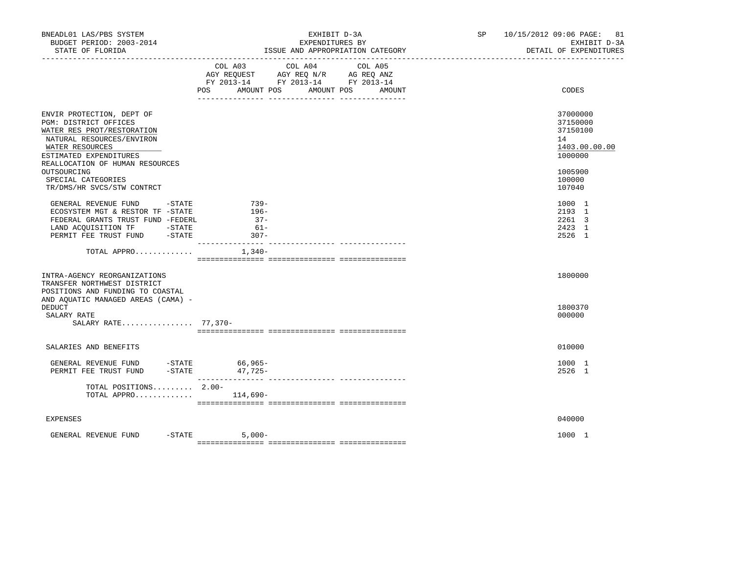| BNEADL01 LAS/PBS SYSTEM<br>BUDGET PERIOD: 2003-2014<br>STATE OF FLORIDA                                                                                                                                                                                          | EXHIBIT D-3A<br>EXPENDITURES BY<br>ISSUE AND APPROPRIATION CATEGORY                                                                                  | SP 10/15/2012 09:06 PAGE: 81<br>EXHIBIT D-3A<br>DETAIL OF EXPENDITURES                            |
|------------------------------------------------------------------------------------------------------------------------------------------------------------------------------------------------------------------------------------------------------------------|------------------------------------------------------------------------------------------------------------------------------------------------------|---------------------------------------------------------------------------------------------------|
|                                                                                                                                                                                                                                                                  | COL A04<br>COL A03<br>COL A05<br>AGY REQUEST AGY REQ N/R AG REQ ANZ<br>FY 2013-14 FY 2013-14 FY 2013-14<br>AMOUNT POS<br>POS<br>AMOUNT POS<br>AMOUNT | CODES                                                                                             |
| ENVIR PROTECTION, DEPT OF<br>PGM: DISTRICT OFFICES<br>WATER RES PROT/RESTORATION<br>NATURAL RESOURCES/ENVIRON<br>WATER RESOURCES<br>ESTIMATED EXPENDITURES<br>REALLOCATION OF HUMAN RESOURCES<br>OUTSOURCING<br>SPECIAL CATEGORIES<br>TR/DMS/HR SVCS/STW CONTRCT |                                                                                                                                                      | 37000000<br>37150000<br>37150100<br>14<br>1403.00.00.00<br>1000000<br>1005900<br>100000<br>107040 |
| GENERAL REVENUE FUND -STATE<br>ECOSYSTEM MGT & RESTOR TF -STATE<br>FEDERAL GRANTS TRUST FUND -FEDERL<br>LAND ACQUISITION TF -STATE<br>PERMIT FEE TRUST FUND -STATE                                                                                               | 739-<br>196-<br>$37 -$<br>$61-$<br>$307 -$                                                                                                           | 1000 1<br>2193 1<br>2261 3<br>2423 1<br>2526 1                                                    |
| TOTAL APPRO                                                                                                                                                                                                                                                      | --------- -----<br>1,340-                                                                                                                            |                                                                                                   |
| INTRA-AGENCY REORGANIZATIONS<br>TRANSFER NORTHWEST DISTRICT<br>POSITIONS AND FUNDING TO COASTAL<br>AND AQUATIC MANAGED AREAS (CAMA) -                                                                                                                            |                                                                                                                                                      | 1800000                                                                                           |
| <b>DEDUCT</b><br>SALARY RATE<br>SALARY RATE 77,370-                                                                                                                                                                                                              |                                                                                                                                                      | 1800370<br>000000                                                                                 |
| SALARIES AND BENEFITS                                                                                                                                                                                                                                            |                                                                                                                                                      | 010000                                                                                            |
| GENERAL REVENUE FUND -STATE 66,965-<br>PERMIT FEE TRUST FUND                                                                                                                                                                                                     | $-$ STATE 47, 725 –                                                                                                                                  | 1000 1<br>2526 1                                                                                  |
| TOTAL POSITIONS 2.00-<br>TOTAL APPRO $114,690-$                                                                                                                                                                                                                  |                                                                                                                                                      |                                                                                                   |
| <b>EXPENSES</b>                                                                                                                                                                                                                                                  |                                                                                                                                                      | 040000                                                                                            |
| $-STATE$<br>GENERAL REVENUE FUND                                                                                                                                                                                                                                 | $5.000 -$                                                                                                                                            | 1000 1                                                                                            |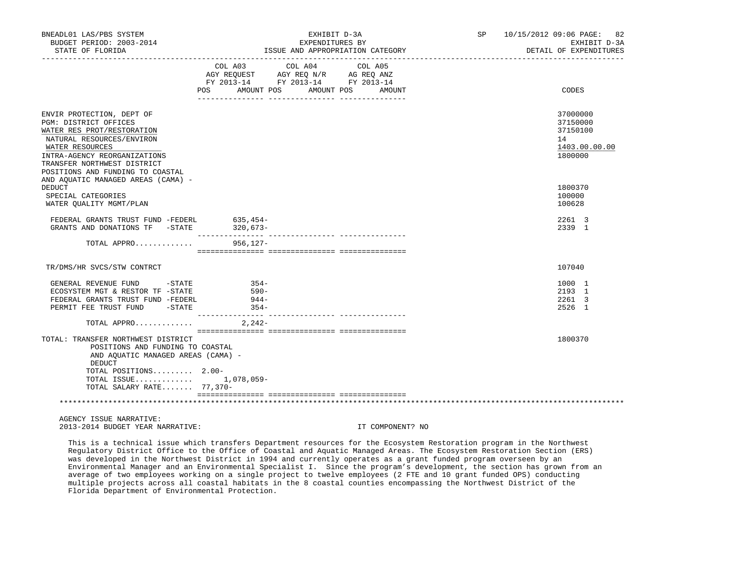| BNEADL01 LAS/PBS SYSTEM<br>BUDGET PERIOD: 2003-2014<br>STATE OF FLORIDA                                                                                                                                                             | EXHIBIT D-3A<br>EXPENDITURES BY<br>ISSUE AND APPROPRIATION CATEGORY                                                                  |        | SP 10/15/2012 09:06 PAGE: 82<br>EXHIBIT D-3A<br>DETAIL OF EXPENDITURES |
|-------------------------------------------------------------------------------------------------------------------------------------------------------------------------------------------------------------------------------------|--------------------------------------------------------------------------------------------------------------------------------------|--------|------------------------------------------------------------------------|
|                                                                                                                                                                                                                                     | COL A03 COL A04<br>COL A05<br>AGY REQUEST AGY REQ N/R AG REQ ANZ<br>FY 2013-14 FY 2013-14 FY 2013-14<br>POS AMOUNT POS<br>AMOUNT POS | AMOUNT | CODES                                                                  |
| ENVIR PROTECTION, DEPT OF<br>PGM: DISTRICT OFFICES<br>WATER RES PROT/RESTORATION<br>NATURAL RESOURCES/ENVIRON<br>WATER RESOURCES<br>INTRA-AGENCY REORGANIZATIONS<br>TRANSFER NORTHWEST DISTRICT<br>POSITIONS AND FUNDING TO COASTAL |                                                                                                                                      |        | 37000000<br>37150000<br>37150100<br>14<br>1403.00.00.00<br>1800000     |
| AND AQUATIC MANAGED AREAS (CAMA) -<br><b>DEDUCT</b><br>SPECIAL CATEGORIES<br>WATER QUALITY MGMT/PLAN                                                                                                                                |                                                                                                                                      |        | 1800370<br>100000<br>100628                                            |
| FEDERAL GRANTS TRUST FUND -FEDERL 635,454-<br>GRANTS AND DONATIONS TF -STATE                                                                                                                                                        | $320,673-$                                                                                                                           |        | 2261 3<br>2339 1                                                       |
| TOTAL APPRO                                                                                                                                                                                                                         | 956,127–                                                                                                                             |        |                                                                        |
| TR/DMS/HR SVCS/STW CONTRCT                                                                                                                                                                                                          |                                                                                                                                      |        | 107040                                                                 |
| GENERAL REVENUE FUND -STATE<br>ECOSYSTEM MGT & RESTOR TF -STATE<br>FEDERAL GRANTS TRUST FUND -FEDERL<br>PERMIT FEE TRUST FUND -STATE                                                                                                | $354-$<br>- 590 -<br>$944-$<br>$354-$                                                                                                |        | 1000 1<br>2193 1<br>2261 3<br>2526 1                                   |
| TOTAL APPRO                                                                                                                                                                                                                         | $2,242-$                                                                                                                             |        |                                                                        |
| TOTAL: TRANSFER NORTHWEST DISTRICT<br>POSITIONS AND FUNDING TO COASTAL<br>AND AQUATIC MANAGED AREAS (CAMA) -<br>DEDUCT<br>TOTAL POSITIONS 2.00-<br>TOTAL ISSUE 1,078,059-<br>TOTAL SALARY RATE 77,370-                              |                                                                                                                                      |        | 1800370                                                                |
|                                                                                                                                                                                                                                     |                                                                                                                                      |        |                                                                        |
| AGENCY ISSUE NARRATIVE:                                                                                                                                                                                                             |                                                                                                                                      |        |                                                                        |

2013-2014 BUDGET YEAR NARRATIVE: IT COMPONENT? NO

 This is a technical issue which transfers Department resources for the Ecosystem Restoration program in the Northwest Regulatory District Office to the Office of Coastal and Aquatic Managed Areas. The Ecosystem Restoration Section (ERS) was developed in the Northwest District in 1994 and currently operates as a grant funded program overseen by an Environmental Manager and an Environmental Specialist I. Since the program's development, the section has grown from an average of two employees working on a single project to twelve employees (2 FTE and 10 grant funded OPS) conducting multiple projects across all coastal habitats in the 8 coastal counties encompassing the Northwest District of the Florida Department of Environmental Protection.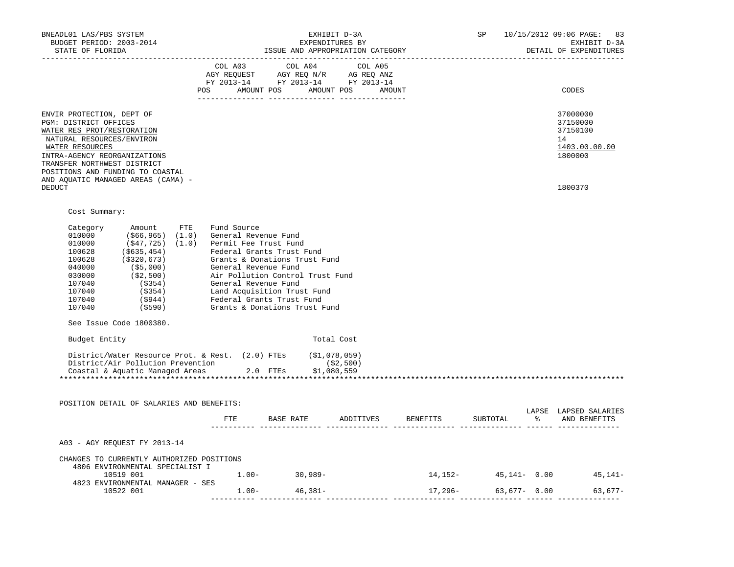| POS AMOUNT POS AMOUNT POS AMOUNT<br>CODES<br>ENVIR PROTECTION, DEPT OF<br>37000000<br>PGM: DISTRICT OFFICES<br>37150000<br>37150100<br>WATER RES PROT/RESTORATION<br>NATURAL RESOURCES/ENVIRON<br>14<br>WATER RESOURCES<br>1800000<br>INTRA-AGENCY REORGANIZATIONS<br>TRANSFER NORTHWEST DISTRICT<br>POSITIONS AND FUNDING TO COASTAL<br>AND AQUATIC MANAGED AREAS (CAMA) -<br><b>DEDUCT</b><br>1800370<br>Cost Summary:<br>Category Amount FTE<br>Fund Source<br>Category Amount FTE Fund Source<br>010000 (\$6,965) (1.0) General Revenue Fund<br>010000 (\$47,725) (1.0) Permit Fee Trust Fund<br>100628 (\$320,673) Grants & Donations Trust Fund<br>040000 (\$5,000) General Revenue Fund<br>030000 (\$2,<br>See Issue Code 1800380.<br>Budget Entity<br>Total Cost<br>District/Water Resource Prot. & Rest. (2.0) FTEs (\$1,078,059)<br>District/Air Pollution Prevention (\$2,500)<br>Coastal & Aquatic Managed Areas 2.0 FTEs \$1,080,559<br>POSITION DETAIL OF SALARIES AND BENEFITS:<br>LAPSE LAPSED SALARIES<br>% AND BENEFITS<br>ETE<br>BASE RATE ADDITIVES BENEFITS<br>SUBTOTAL<br>A03 - AGY REOUEST FY 2013-14<br>CHANGES TO CURRENTLY AUTHORIZED POSITIONS<br>4806 ENVIRONMENTAL SPECIALIST I<br>$1.00 - 30,989 -$<br>$14,152 45,141-$ 0.00 $45,141-$<br>10519 001<br>4823 ENVIRONMENTAL MANAGER - SES | BNEADL01 LAS/PBS SYSTEM<br>BUDGET PERIOD: 2003-2014<br>STATE OF FLORIDA | EXPENDITURES BY<br>ISSUE AND APPROPRIATION CATEGORY | EXHIBIT D-3A |  | SP 10/15/2012 09:06 PAGE: 83<br>EXHIBIT D-3A<br>DETAIL OF EXPENDITURES |
|-----------------------------------------------------------------------------------------------------------------------------------------------------------------------------------------------------------------------------------------------------------------------------------------------------------------------------------------------------------------------------------------------------------------------------------------------------------------------------------------------------------------------------------------------------------------------------------------------------------------------------------------------------------------------------------------------------------------------------------------------------------------------------------------------------------------------------------------------------------------------------------------------------------------------------------------------------------------------------------------------------------------------------------------------------------------------------------------------------------------------------------------------------------------------------------------------------------------------------------------------------------------------------------------------------------------------|-------------------------------------------------------------------------|-----------------------------------------------------|--------------|--|------------------------------------------------------------------------|
|                                                                                                                                                                                                                                                                                                                                                                                                                                                                                                                                                                                                                                                                                                                                                                                                                                                                                                                                                                                                                                                                                                                                                                                                                                                                                                                       |                                                                         |                                                     |              |  |                                                                        |
|                                                                                                                                                                                                                                                                                                                                                                                                                                                                                                                                                                                                                                                                                                                                                                                                                                                                                                                                                                                                                                                                                                                                                                                                                                                                                                                       |                                                                         |                                                     |              |  | 1403.00.00.00                                                          |
|                                                                                                                                                                                                                                                                                                                                                                                                                                                                                                                                                                                                                                                                                                                                                                                                                                                                                                                                                                                                                                                                                                                                                                                                                                                                                                                       |                                                                         |                                                     |              |  |                                                                        |
|                                                                                                                                                                                                                                                                                                                                                                                                                                                                                                                                                                                                                                                                                                                                                                                                                                                                                                                                                                                                                                                                                                                                                                                                                                                                                                                       |                                                                         |                                                     |              |  |                                                                        |
|                                                                                                                                                                                                                                                                                                                                                                                                                                                                                                                                                                                                                                                                                                                                                                                                                                                                                                                                                                                                                                                                                                                                                                                                                                                                                                                       |                                                                         |                                                     |              |  |                                                                        |
|                                                                                                                                                                                                                                                                                                                                                                                                                                                                                                                                                                                                                                                                                                                                                                                                                                                                                                                                                                                                                                                                                                                                                                                                                                                                                                                       |                                                                         |                                                     |              |  |                                                                        |
|                                                                                                                                                                                                                                                                                                                                                                                                                                                                                                                                                                                                                                                                                                                                                                                                                                                                                                                                                                                                                                                                                                                                                                                                                                                                                                                       |                                                                         |                                                     |              |  |                                                                        |
|                                                                                                                                                                                                                                                                                                                                                                                                                                                                                                                                                                                                                                                                                                                                                                                                                                                                                                                                                                                                                                                                                                                                                                                                                                                                                                                       |                                                                         |                                                     |              |  |                                                                        |
|                                                                                                                                                                                                                                                                                                                                                                                                                                                                                                                                                                                                                                                                                                                                                                                                                                                                                                                                                                                                                                                                                                                                                                                                                                                                                                                       |                                                                         |                                                     |              |  |                                                                        |
|                                                                                                                                                                                                                                                                                                                                                                                                                                                                                                                                                                                                                                                                                                                                                                                                                                                                                                                                                                                                                                                                                                                                                                                                                                                                                                                       |                                                                         |                                                     |              |  |                                                                        |
|                                                                                                                                                                                                                                                                                                                                                                                                                                                                                                                                                                                                                                                                                                                                                                                                                                                                                                                                                                                                                                                                                                                                                                                                                                                                                                                       |                                                                         |                                                     |              |  |                                                                        |
|                                                                                                                                                                                                                                                                                                                                                                                                                                                                                                                                                                                                                                                                                                                                                                                                                                                                                                                                                                                                                                                                                                                                                                                                                                                                                                                       |                                                                         |                                                     |              |  |                                                                        |
| $1.00 - 46,381 -$<br>$17,296-$ 63,677- 0.00<br>10522 001                                                                                                                                                                                                                                                                                                                                                                                                                                                                                                                                                                                                                                                                                                                                                                                                                                                                                                                                                                                                                                                                                                                                                                                                                                                              |                                                                         |                                                     |              |  | 63,677-                                                                |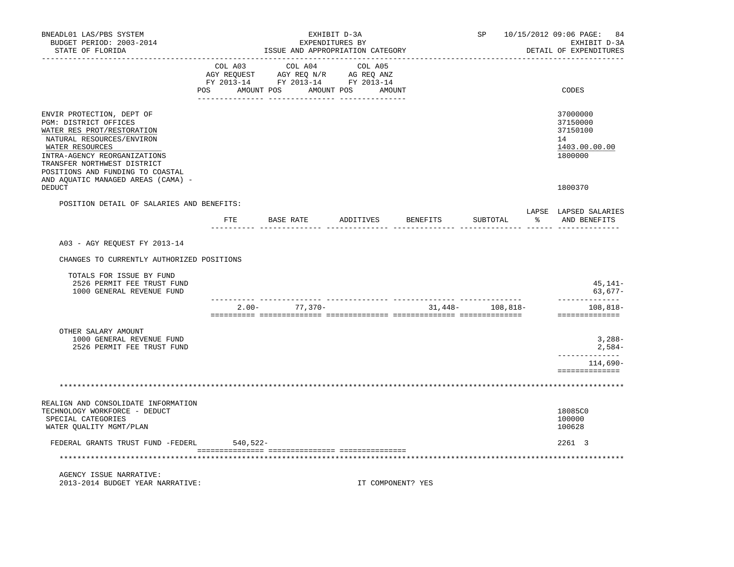| BNEADL01 LAS/PBS SYSTEM<br>BUDGET PERIOD: 2003-2014<br>STATE OF FLORIDA                                                                                                                                                             |          |                   | EXHIBIT D-3A<br>EXPENDITURES BY<br>ISSUE AND APPROPRIATION CATEGORY                                                                                                                                                                                                           |         |                    | SP                | 10/15/2012 09:06 PAGE: 84<br>EXHIBIT D-3A<br>DETAIL OF EXPENDITURES |
|-------------------------------------------------------------------------------------------------------------------------------------------------------------------------------------------------------------------------------------|----------|-------------------|-------------------------------------------------------------------------------------------------------------------------------------------------------------------------------------------------------------------------------------------------------------------------------|---------|--------------------|-------------------|---------------------------------------------------------------------|
| -----------------                                                                                                                                                                                                                   | COL A03  |                   | COL A04<br>COLORS COLORS COLORS AGRICULATION AND MANY REQUEST AGY REQ AND AGRICULATION AND MANY AGRICULATION AND MANY AGRICULATION AND A SALE AND A SALE AND A SALE AND A SALE AND A SALE AND A SALE AND A SALE AND A SALE AND A SALE AND<br>POS AMOUNT POS AMOUNT POS AMOUNT | COL A05 |                    |                   | CODES                                                               |
| ENVIR PROTECTION, DEPT OF<br>PGM: DISTRICT OFFICES<br>WATER RES PROT/RESTORATION<br>NATURAL RESOURCES/ENVIRON<br>WATER RESOURCES<br>INTRA-AGENCY REORGANIZATIONS<br>TRANSFER NORTHWEST DISTRICT<br>POSITIONS AND FUNDING TO COASTAL |          |                   |                                                                                                                                                                                                                                                                               |         |                    |                   | 37000000<br>37150000<br>37150100<br>14<br>1403.00.00.00<br>1800000  |
| AND AQUATIC MANAGED AREAS (CAMA) -<br><b>DEDUCT</b>                                                                                                                                                                                 |          |                   |                                                                                                                                                                                                                                                                               |         |                    |                   | 1800370                                                             |
| POSITION DETAIL OF SALARIES AND BENEFITS:                                                                                                                                                                                           | FTE      | BASE RATE         |                                                                                                                                                                                                                                                                               |         | ADDITIVES BENEFITS | SUBTOTAL          | LAPSE LAPSED SALARIES<br>% AND BENEFITS                             |
| A03 - AGY REQUEST FY 2013-14                                                                                                                                                                                                        |          |                   |                                                                                                                                                                                                                                                                               |         |                    |                   |                                                                     |
| CHANGES TO CURRENTLY AUTHORIZED POSITIONS                                                                                                                                                                                           |          |                   |                                                                                                                                                                                                                                                                               |         |                    |                   |                                                                     |
| TOTALS FOR ISSUE BY FUND<br>2526 PERMIT FEE TRUST FUND<br>1000 GENERAL REVENUE FUND                                                                                                                                                 |          |                   |                                                                                                                                                                                                                                                                               |         |                    |                   | 45,141–<br>$63,677-$                                                |
|                                                                                                                                                                                                                                     |          | $2.00 - 77,370 -$ |                                                                                                                                                                                                                                                                               |         |                    | $31,448-108,818-$ | ______________<br>108,818–<br>==============                        |
| OTHER SALARY AMOUNT<br>1000 GENERAL REVENUE FUND<br>2526 PERMIT FEE TRUST FUND                                                                                                                                                      |          |                   |                                                                                                                                                                                                                                                                               |         |                    |                   | $3,288-$<br>$2,584-$                                                |
|                                                                                                                                                                                                                                     |          |                   |                                                                                                                                                                                                                                                                               |         |                    |                   | ____________<br>114,690-<br>==============                          |
|                                                                                                                                                                                                                                     |          |                   |                                                                                                                                                                                                                                                                               |         |                    |                   |                                                                     |
| REALIGN AND CONSOLIDATE INFORMATION<br>TECHNOLOGY WORKFORCE - DEDUCT<br>SPECIAL CATEGORIES<br>WATER OUALITY MGMT/PLAN                                                                                                               |          |                   |                                                                                                                                                                                                                                                                               |         |                    |                   | 18085C0<br>100000<br>100628                                         |
| FEDERAL GRANTS TRUST FUND -FEDERL                                                                                                                                                                                                   | 540,522- |                   |                                                                                                                                                                                                                                                                               |         |                    |                   | 2261 3                                                              |
|                                                                                                                                                                                                                                     |          |                   |                                                                                                                                                                                                                                                                               |         |                    |                   |                                                                     |
| AGENCY ISSUE NARRATIVE:<br>2013-2014 BUDGET YEAR NARRATIVE:                                                                                                                                                                         |          |                   |                                                                                                                                                                                                                                                                               |         | IT COMPONENT? YES  |                   |                                                                     |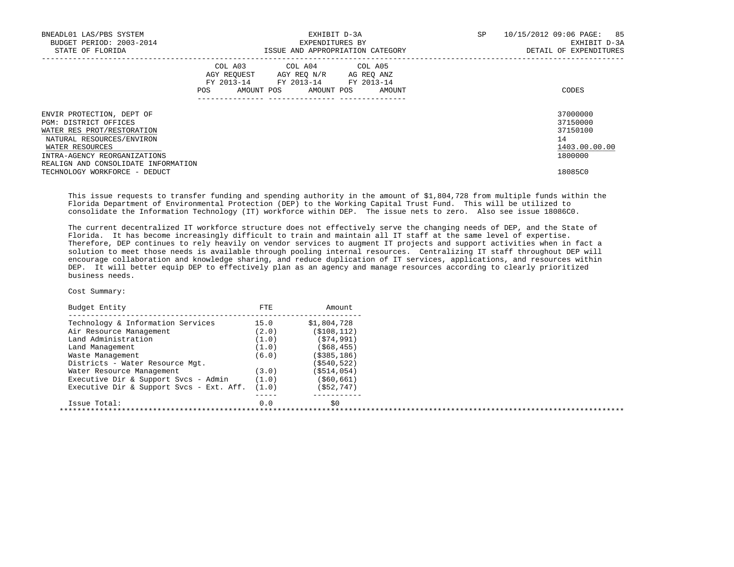| BNEADL01 LAS/PBS SYSTEM<br>BUDGET PERIOD: 2003-2014<br>STATE OF FLORIDA                                                                                          |     | EXHIBIT D-3A<br>EXPENDITURES BY                                                                                            | ISSUE AND APPROPRIATION CATEGORY | SP | 10/15/2012 09:06 PAGE:<br>85<br>EXHIBIT D-3A<br>DETAIL OF EXPENDITURES |
|------------------------------------------------------------------------------------------------------------------------------------------------------------------|-----|----------------------------------------------------------------------------------------------------------------------------|----------------------------------|----|------------------------------------------------------------------------|
|                                                                                                                                                                  | POS | COL A03 COL A04 COL A05<br>AGY REQUEST AGY REO N/R AG REO ANZ<br>FY 2013-14 FY 2013-14 FY 2013-14<br>AMOUNT POS AMOUNT POS | AMOUNT                           |    | CODES                                                                  |
| ENVIR PROTECTION, DEPT OF<br>PGM: DISTRICT OFFICES<br>WATER RES PROT/RESTORATION<br>NATURAL RESOURCES/ENVIRON<br>WATER RESOURCES<br>INTRA-AGENCY REORGANIZATIONS |     |                                                                                                                            |                                  |    | 37000000<br>37150000<br>37150100<br>14<br>1403.00.00.00<br>1800000     |
| REALIGN AND CONSOLIDATE INFORMATION<br>TECHNOLOGY WORKFORCE - DEDUCT                                                                                             |     |                                                                                                                            |                                  |    | 18085C0                                                                |

 This issue requests to transfer funding and spending authority in the amount of \$1,804,728 from multiple funds within the Florida Department of Environmental Protection (DEP) to the Working Capital Trust Fund. This will be utilized to consolidate the Information Technology (IT) workforce within DEP. The issue nets to zero. Also see issue 18086C0.

 The current decentralized IT workforce structure does not effectively serve the changing needs of DEP, and the State of Florida. It has become increasingly difficult to train and maintain all IT staff at the same level of expertise. Therefore, DEP continues to rely heavily on vendor services to augment IT projects and support activities when in fact a solution to meet those needs is available through pooling internal resources. Centralizing IT staff throughout DEP will encourage collaboration and knowledge sharing, and reduce duplication of IT services, applications, and resources within DEP. It will better equip DEP to effectively plan as an agency and manage resources according to clearly prioritized business needs.

## Cost Summary:

| Budget Entity                            | FTE   | Amount.        |  |
|------------------------------------------|-------|----------------|--|
| Technology & Information Services        | 15.0  | \$1,804,728    |  |
| Air Resource Management                  | (2.0) | ( \$108, 112)  |  |
| Land Administration                      | (1.0) | (S74, 991)     |  |
| Land Management                          | (1.0) | ( \$68, 455)   |  |
| Waste Management                         | (6.0) | $($ \$385,186) |  |
| Districts - Water Resource Mgt.          |       | $($ \$540,522) |  |
| Water Resource Management                | (3.0) | $($ \$514,054) |  |
| Executive Dir & Support Svcs - Admin     | (1.0) | ( \$60, 661)   |  |
| Executive Dir & Support Svcs - Ext. Aff. | (1.0) | (552, 747)     |  |
| Issue Total:                             | 0.0   | \$0            |  |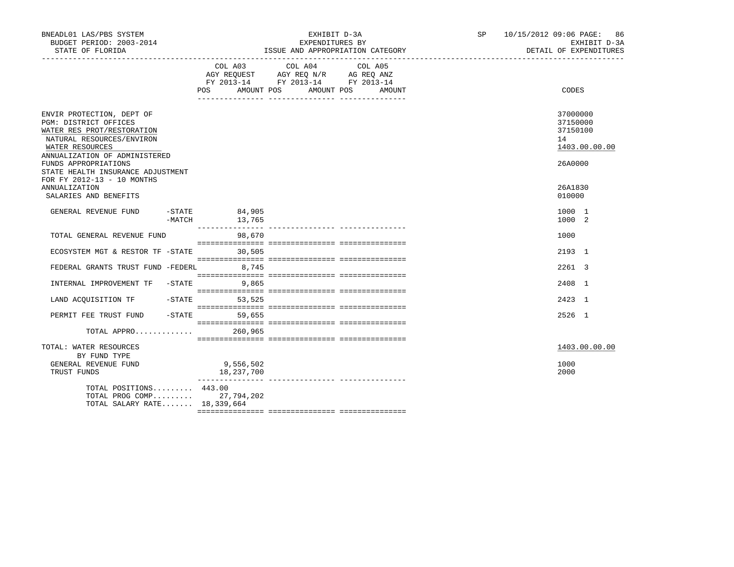| BNEADL01 LAS/PBS SYSTEM<br>BUDGET PERIOD: 2003-2014<br>STATE OF FLORIDA                                                                                                                                                                                      |                                               | EXHIBIT D-3A<br>EXPENDITURES BY<br>ISSUE AND APPROPRIATION CATEGORY                                                                                                                                                                                                                                                                                                                                                                 | SP 10/15/2012 09:06 PAGE: 86<br>EXHIBIT D-3A<br>DETAIL OF EXPENDITURES |
|--------------------------------------------------------------------------------------------------------------------------------------------------------------------------------------------------------------------------------------------------------------|-----------------------------------------------|-------------------------------------------------------------------------------------------------------------------------------------------------------------------------------------------------------------------------------------------------------------------------------------------------------------------------------------------------------------------------------------------------------------------------------------|------------------------------------------------------------------------|
|                                                                                                                                                                                                                                                              |                                               | COL A03 COL A04<br>COL A05<br>AGY REQUEST AGY REQ N/R AG REQ ANZ<br>FY 2013-14 FY 2013-14 FY 2013-14<br>POS AMOUNT POS AMOUNT POS<br>AMOUNT                                                                                                                                                                                                                                                                                         | CODES                                                                  |
| ENVIR PROTECTION, DEPT OF<br>PGM: DISTRICT OFFICES<br>WATER RES PROT/RESTORATION<br>NATURAL RESOURCES/ENVIRON<br>WATER RESOURCES<br>ANNUALIZATION OF ADMINISTERED<br>FUNDS APPROPRIATIONS<br>STATE HEALTH INSURANCE ADJUSTMENT<br>FOR FY 2012-13 - 10 MONTHS |                                               |                                                                                                                                                                                                                                                                                                                                                                                                                                     | 37000000<br>37150000<br>37150100<br>14<br>1403.00.00.00<br>26A0000     |
| <b>ANNUALIZATION</b><br>SALARIES AND BENEFITS                                                                                                                                                                                                                |                                               |                                                                                                                                                                                                                                                                                                                                                                                                                                     | 26A1830<br>010000                                                      |
| GENERAL REVENUE FUND                                                                                                                                                                                                                                         | 571 84,905 - 774 5 و 13,765<br>- MATCH 13,765 |                                                                                                                                                                                                                                                                                                                                                                                                                                     | 1000 1<br>1000 2                                                       |
| TOTAL GENERAL REVENUE FUND                                                                                                                                                                                                                                   | 98,670                                        |                                                                                                                                                                                                                                                                                                                                                                                                                                     | 1000                                                                   |
| ECOSYSTEM MGT & RESTOR TF -STATE 30,505                                                                                                                                                                                                                      |                                               | $\begin{minipage}{0.03\textwidth} \begin{tabular}{l} \textbf{1} & \textbf{2} & \textbf{3} & \textbf{5} & \textbf{6} & \textbf{7} & \textbf{8} & \textbf{9} & \textbf{9} & \textbf{9} & \textbf{9} & \textbf{9} & \textbf{9} & \textbf{9} & \textbf{9} & \textbf{9} & \textbf{9} & \textbf{9} & \textbf{9} & \textbf{9} & \textbf{9} & \textbf{9} & \textbf{9} & \textbf{9} & \textbf{9} & \textbf{9} & \textbf{9} & \textbf{9} & \$ | 2193 1                                                                 |
| FEDERAL GRANTS TRUST FUND -FEDERL 8,745                                                                                                                                                                                                                      |                                               |                                                                                                                                                                                                                                                                                                                                                                                                                                     | 2261 3                                                                 |
| INTERNAL IMPROVEMENT TF -STATE 9,865                                                                                                                                                                                                                         |                                               |                                                                                                                                                                                                                                                                                                                                                                                                                                     | 2408 1                                                                 |
| LAND ACQUISITION TF -STATE 53,525                                                                                                                                                                                                                            |                                               |                                                                                                                                                                                                                                                                                                                                                                                                                                     | 2423 1                                                                 |
| PERMIT FEE TRUST FUND                                                                                                                                                                                                                                        | $-STATE$ 59,655                               |                                                                                                                                                                                                                                                                                                                                                                                                                                     | 2526 1                                                                 |
| TOTAL APPRO 260,965                                                                                                                                                                                                                                          |                                               |                                                                                                                                                                                                                                                                                                                                                                                                                                     |                                                                        |
| TOTAL: WATER RESOURCES<br>BY FUND TYPE                                                                                                                                                                                                                       |                                               |                                                                                                                                                                                                                                                                                                                                                                                                                                     | 1403.00.00.00                                                          |
| GENERAL REVENUE FUND<br>TRUST FUNDS                                                                                                                                                                                                                          | 9,556,502<br>18,237,700                       |                                                                                                                                                                                                                                                                                                                                                                                                                                     | 1000<br>2000                                                           |
| TOTAL POSITIONS 443.00<br>TOTAL PROG COMP 27,794,202<br>TOTAL SALARY RATE 18,339,664                                                                                                                                                                         |                                               |                                                                                                                                                                                                                                                                                                                                                                                                                                     |                                                                        |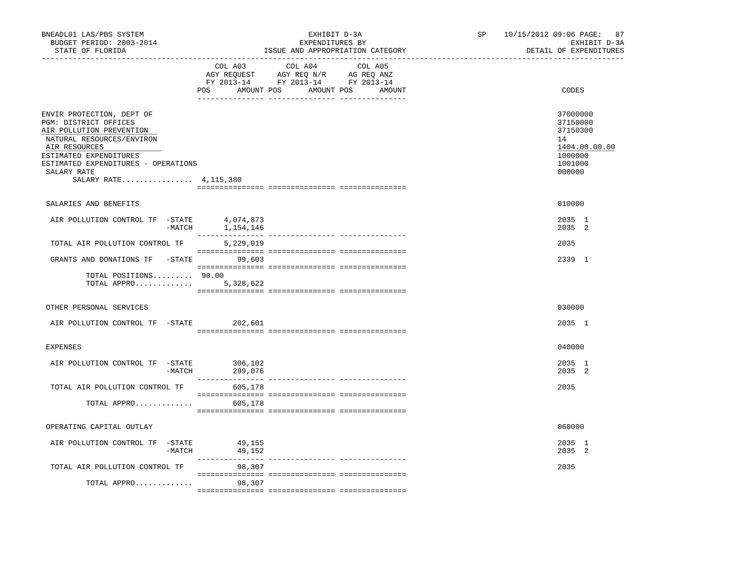| BNEADL01 LAS/PBS SYSTEM<br>BUDGET PERIOD: 2003-2014<br>STATE OF FLORIDA<br>------------------                                                                                                                                           |                    | EXHIBIT D-3A<br>EXPENDITURES BY<br>ISSUE AND APPROPRIATION CATEGORY | SP and the set of the set of the set of the set of the set of the set of the set of the set of the set of the set of the set of the set of the set of the set of the set of the set of the set of the set of the set of the se | 10/15/2012 09:06 PAGE: 87<br>EXHIBIT D-3A<br>DETAIL OF EXPENDITURES                     |
|-----------------------------------------------------------------------------------------------------------------------------------------------------------------------------------------------------------------------------------------|--------------------|---------------------------------------------------------------------|--------------------------------------------------------------------------------------------------------------------------------------------------------------------------------------------------------------------------------|-----------------------------------------------------------------------------------------|
|                                                                                                                                                                                                                                         | COL A03<br>POS     | COL A04<br>COL A05<br>AMOUNT POS AMOUNT POS<br>AMOUNT               |                                                                                                                                                                                                                                | CODES                                                                                   |
| ENVIR PROTECTION, DEPT OF<br>PGM: DISTRICT OFFICES<br>AIR POLLUTION PREVENTION<br>NATURAL RESOURCES/ENVIRON<br>AIR RESOURCES<br>ESTIMATED EXPENDITURES<br>ESTIMATED EXPENDITURES - OPERATIONS<br>SALARY RATE<br>SALARY RATE 4, 115, 380 |                    |                                                                     |                                                                                                                                                                                                                                | 37000000<br>37150000<br>37150300<br>14<br>1404.00.00.00<br>1000000<br>1001000<br>000000 |
| SALARIES AND BENEFITS                                                                                                                                                                                                                   |                    |                                                                     |                                                                                                                                                                                                                                | 010000                                                                                  |
| AIR POLLUTION CONTROL TF -STATE 4,074,873<br>-MATCH                                                                                                                                                                                     | 1,154,146          |                                                                     |                                                                                                                                                                                                                                | 2035 1<br>2035 2                                                                        |
| TOTAL AIR POLLUTION CONTROL TF                                                                                                                                                                                                          | 5,229,019          |                                                                     |                                                                                                                                                                                                                                | 2035                                                                                    |
| GRANTS AND DONATIONS TF -STATE 99,603                                                                                                                                                                                                   |                    |                                                                     |                                                                                                                                                                                                                                | 2339 1                                                                                  |
| TOTAL POSITIONS 90.00<br>TOTAL APPRO                                                                                                                                                                                                    | 5,328,622          |                                                                     |                                                                                                                                                                                                                                |                                                                                         |
| OTHER PERSONAL SERVICES                                                                                                                                                                                                                 |                    |                                                                     |                                                                                                                                                                                                                                | 030000                                                                                  |
| AIR POLLUTION CONTROL TF -STATE                                                                                                                                                                                                         | 202,601            |                                                                     |                                                                                                                                                                                                                                | 2035 1                                                                                  |
| EXPENSES                                                                                                                                                                                                                                |                    |                                                                     |                                                                                                                                                                                                                                | 040000                                                                                  |
| AIR POLLUTION CONTROL TF -STATE<br>$-MATCH$                                                                                                                                                                                             | 306,102<br>299,076 |                                                                     |                                                                                                                                                                                                                                | 2035 1<br>2035 2                                                                        |
| TOTAL AIR POLLUTION CONTROL TF                                                                                                                                                                                                          | 605,178            |                                                                     |                                                                                                                                                                                                                                | 2035                                                                                    |
| TOTAL APPRO                                                                                                                                                                                                                             | 605,178            |                                                                     |                                                                                                                                                                                                                                |                                                                                         |
| OPERATING CAPITAL OUTLAY                                                                                                                                                                                                                |                    |                                                                     |                                                                                                                                                                                                                                | 060000                                                                                  |
| AIR POLLUTION CONTROL TF -STATE<br>$-MATCH$                                                                                                                                                                                             | 49,155<br>49,152   |                                                                     |                                                                                                                                                                                                                                | 2035 1<br>2035 2                                                                        |
| TOTAL AIR POLLUTION CONTROL TF                                                                                                                                                                                                          | 98,307             |                                                                     |                                                                                                                                                                                                                                | 2035                                                                                    |
| TOTAL APPRO                                                                                                                                                                                                                             | 98,307             |                                                                     |                                                                                                                                                                                                                                |                                                                                         |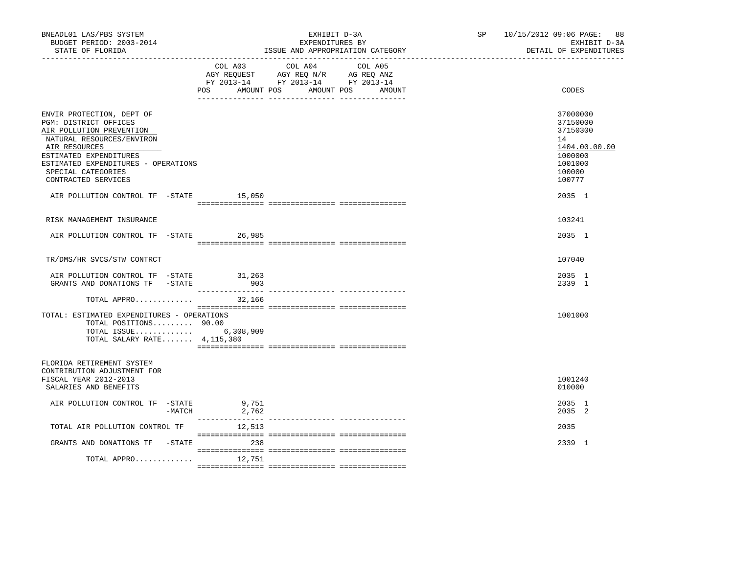| BNEADL01 LAS/PBS SYSTEM<br>BUDGET PERIOD: 2003-2014<br>STATE OF FLORIDA                                                                                                                                                                    |                          | EXHIBIT D-3A<br>EXPENDITURES BY<br>ISSUE AND APPROPRIATION CATEGORY                                                                  | SP <sub>2</sub> | 10/15/2012 09:06 PAGE: 88<br>EXHIBIT D-3A<br>DETAIL OF EXPENDITURES                               |
|--------------------------------------------------------------------------------------------------------------------------------------------------------------------------------------------------------------------------------------------|--------------------------|--------------------------------------------------------------------------------------------------------------------------------------|-----------------|---------------------------------------------------------------------------------------------------|
|                                                                                                                                                                                                                                            | POS                      | COL A03 COL A04<br>COL A05<br>AGY REQUEST AGY REQ N/R AG REQ ANZ<br>FY 2013-14 FY 2013-14 FY 2013-14<br>AMOUNT POS AMOUNT POS AMOUNT |                 | CODES                                                                                             |
| ENVIR PROTECTION, DEPT OF<br>PGM: DISTRICT OFFICES<br>AIR POLLUTION PREVENTION<br>NATURAL RESOURCES/ENVIRON<br>AIR RESOURCES<br>ESTIMATED EXPENDITURES<br>ESTIMATED EXPENDITURES - OPERATIONS<br>SPECIAL CATEGORIES<br>CONTRACTED SERVICES |                          |                                                                                                                                      |                 | 37000000<br>37150000<br>37150300<br>14<br>1404.00.00.00<br>1000000<br>1001000<br>100000<br>100777 |
| AIR POLLUTION CONTROL TF -STATE 15,050                                                                                                                                                                                                     |                          |                                                                                                                                      |                 | 2035 1                                                                                            |
| RISK MANAGEMENT INSURANCE                                                                                                                                                                                                                  |                          |                                                                                                                                      |                 | 103241                                                                                            |
| AIR POLLUTION CONTROL TF -STATE 26,985                                                                                                                                                                                                     |                          |                                                                                                                                      |                 | 2035 1                                                                                            |
| TR/DMS/HR SVCS/STW CONTRCT                                                                                                                                                                                                                 |                          |                                                                                                                                      |                 | 107040                                                                                            |
| AIR POLLUTION CONTROL TF -STATE<br>GRANTS AND DONATIONS TF -STATE                                                                                                                                                                          | 31,263<br>903            |                                                                                                                                      |                 | 2035 1<br>2339 1                                                                                  |
| TOTAL APPRO                                                                                                                                                                                                                                | 32,166                   |                                                                                                                                      |                 |                                                                                                   |
| TOTAL: ESTIMATED EXPENDITURES - OPERATIONS<br>TOTAL POSITIONS 90.00<br>TOTAL ISSUE 6,308,909<br>TOTAL SALARY RATE $4,115,380$                                                                                                              |                          |                                                                                                                                      |                 | 1001000                                                                                           |
| FLORIDA RETIREMENT SYSTEM<br>CONTRIBUTION ADJUSTMENT FOR<br>FISCAL YEAR 2012-2013<br>SALARIES AND BENEFITS                                                                                                                                 |                          |                                                                                                                                      |                 | 1001240<br>010000                                                                                 |
| AIR POLLUTION CONTROL TF -STATE                                                                                                                                                                                                            | 9,751<br>-MATCH<br>2,762 |                                                                                                                                      |                 | 2035 1<br>2035 2                                                                                  |
| TOTAL AIR POLLUTION CONTROL TF                                                                                                                                                                                                             | 12,513                   |                                                                                                                                      |                 | 2035                                                                                              |
| GRANTS AND DONATIONS TF -STATE 6738                                                                                                                                                                                                        |                          |                                                                                                                                      |                 | 2339 1                                                                                            |
| TOTAL APPRO $12,751$                                                                                                                                                                                                                       |                          |                                                                                                                                      |                 |                                                                                                   |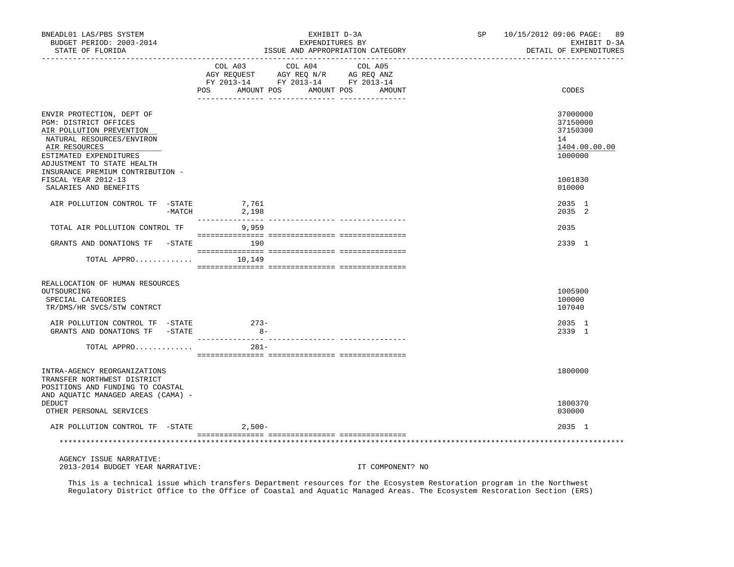| BNEADL01 LAS/PBS SYSTEM<br>BUDGET PERIOD: 2003-2014<br>STATE OF FLORIDA                                                                                                              | EXHIBIT D-3A<br>EXPENDITURES BY<br>ISSUE AND APPROPRIATION CATEGORY                                                                               | SP<br>10/15/2012 09:06 PAGE: 89<br>EXHIBIT D-3A<br>DETAIL OF EXPENDITURES |
|--------------------------------------------------------------------------------------------------------------------------------------------------------------------------------------|---------------------------------------------------------------------------------------------------------------------------------------------------|---------------------------------------------------------------------------|
|                                                                                                                                                                                      | COL A03 COL A04<br>COL A05<br>AGY REQUEST AGY REQ N/R AG REQ ANZ<br>FY 2013-14 FY 2013-14 FY 2013-14<br>POS<br>AMOUNT POS<br>AMOUNT POS<br>AMOUNT | CODES                                                                     |
| ENVIR PROTECTION, DEPT OF<br>PGM: DISTRICT OFFICES<br>AIR POLLUTION PREVENTION<br>NATURAL RESOURCES/ENVIRON<br>AIR RESOURCES<br>ESTIMATED EXPENDITURES<br>ADJUSTMENT TO STATE HEALTH |                                                                                                                                                   | 37000000<br>37150000<br>37150300<br>14<br>1404.00.00.00<br>1000000        |
| INSURANCE PREMIUM CONTRIBUTION -<br>FISCAL YEAR 2012-13<br>SALARIES AND BENEFITS                                                                                                     |                                                                                                                                                   | 1001830<br>010000                                                         |
| AIR POLLUTION CONTROL TF -STATE<br>-MATCH                                                                                                                                            | 7,761<br>2,198                                                                                                                                    | 2035 1<br>2035 2                                                          |
| TOTAL AIR POLLUTION CONTROL TF                                                                                                                                                       | 9,959                                                                                                                                             | 2035                                                                      |
| GRANTS AND DONATIONS TF -STATE                                                                                                                                                       | 190                                                                                                                                               | 2339 1                                                                    |
| TOTAL APPRO                                                                                                                                                                          | 10,149                                                                                                                                            |                                                                           |
| REALLOCATION OF HUMAN RESOURCES<br>OUTSOURCING<br>SPECIAL CATEGORIES<br>TR/DMS/HR SVCS/STW CONTRCT                                                                                   |                                                                                                                                                   | 1005900<br>100000<br>107040                                               |
| AIR POLLUTION CONTROL TF -STATE<br>GRANTS AND DONATIONS TF -STATE                                                                                                                    | $273-$<br>$8 -$                                                                                                                                   | 2035 1<br>2339 1                                                          |
| TOTAL APPRO                                                                                                                                                                          | $281 -$                                                                                                                                           |                                                                           |
| INTRA-AGENCY REORGANIZATIONS<br>TRANSFER NORTHWEST DISTRICT<br>POSITIONS AND FUNDING TO COASTAL<br>AND AQUATIC MANAGED AREAS (CAMA) -                                                |                                                                                                                                                   | 1800000                                                                   |
| <b>DEDUCT</b><br>OTHER PERSONAL SERVICES                                                                                                                                             |                                                                                                                                                   | 1800370<br>030000                                                         |
| AIR POLLUTION CONTROL TF -STATE                                                                                                                                                      | $2,500-$                                                                                                                                          | 2035 1                                                                    |
|                                                                                                                                                                                      |                                                                                                                                                   |                                                                           |
| AGENCY ISSUE NARRATIVE:                                                                                                                                                              |                                                                                                                                                   |                                                                           |

2013-2014 BUDGET YEAR NARRATIVE: IT COMPONENT? NO

 This is a technical issue which transfers Department resources for the Ecosystem Restoration program in the Northwest Regulatory District Office to the Office of Coastal and Aquatic Managed Areas. The Ecosystem Restoration Section (ERS)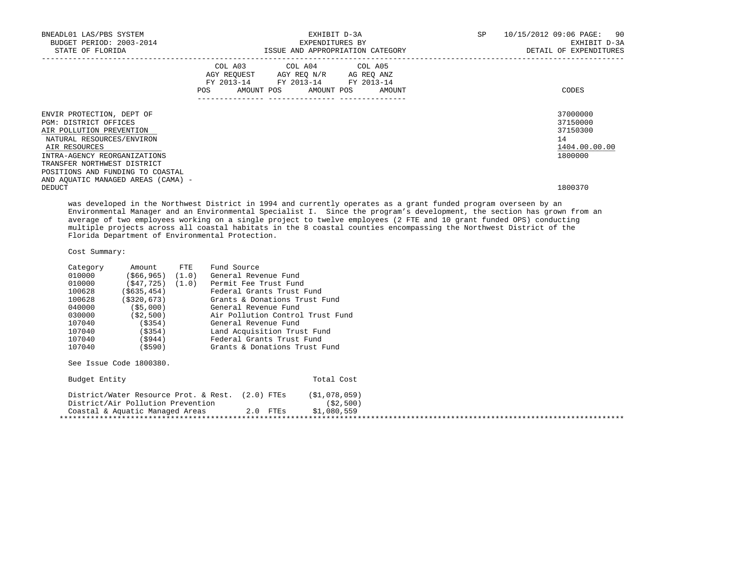| BNEADL01 LAS/PBS SYSTEM<br>BUDGET PERIOD: 2003-2014<br>STATE OF FLORIDA                                                                                                                     |                                                                                                                | EXPENDITURES BY                                                                                                                   | EXHIBIT D-3A<br>ISSUE AND APPROPRIATION CATEGORY | SP | 10/15/2012 09:06 PAGE: 90<br>EXHIBIT D-3A<br>DETAIL OF EXPENDITURES |
|---------------------------------------------------------------------------------------------------------------------------------------------------------------------------------------------|----------------------------------------------------------------------------------------------------------------|-----------------------------------------------------------------------------------------------------------------------------------|--------------------------------------------------|----|---------------------------------------------------------------------|
|                                                                                                                                                                                             | POS FOR THE POST OF THE STATE STATE STATE STATE STATE STATE STATE STATE STATE STATE STATE STATE STATE STATE ST | COL A03 COL A04 COL A05<br>AGY REOUEST AGY REO N/R AG REO ANZ<br>FY 2013-14 FY 2013-14 FY 2013-14<br>AMOUNT POS AMOUNT POS AMOUNT |                                                  |    | CODES                                                               |
| ENVIR PROTECTION, DEPT OF<br>PGM: DISTRICT OFFICES<br>AIR POLLUTION PREVENTION<br>NATURAL RESOURCES/ENVIRON<br>AIR RESOURCES<br>INTRA-AGENCY REORGANIZATIONS<br>TRANSFER NORTHWEST DISTRICT |                                                                                                                |                                                                                                                                   |                                                  | 14 | 37000000<br>37150000<br>37150300<br>1404.00.00.00<br>1800000        |
| POSITIONS AND FUNDING TO COASTAL<br>AND AQUATIC MANAGED AREAS (CAMA) -<br>DEDUCT                                                                                                            |                                                                                                                |                                                                                                                                   |                                                  |    | 1800370                                                             |

 was developed in the Northwest District in 1994 and currently operates as a grant funded program overseen by an Environmental Manager and an Environmental Specialist I. Since the program's development, the section has grown from an average of two employees working on a single project to twelve employees (2 FTE and 10 grant funded OPS) conducting multiple projects across all coastal habitats in the 8 coastal counties encompassing the Northwest District of the Florida Department of Environmental Protection.

Cost Summary:

| Category | Amount               | $_{\rm FTE}$ | Fund Source                      |
|----------|----------------------|--------------|----------------------------------|
| 010000   | $(566, 965)$ $(1.0)$ |              | General Revenue Fund             |
| 010000   | $(547, 725)$ $(1.0)$ |              | Permit Fee Trust Fund            |
| 100628   | ( \$635, 454)        |              | Federal Grants Trust Fund        |
| 100628   | (S320, 673)          |              | Grants & Donations Trust Fund    |
| 040000   | ( \$5,000)           |              | General Revenue Fund             |
| 030000   | (S2, 500)            |              | Air Pollution Control Trust Fund |
| 107040   | (S354)               |              | General Revenue Fund             |
| 107040   | ( \$354)             |              | Land Acquisition Trust Fund      |
| 107040   | (5944)               |              | Federal Grants Trust Fund        |
| 107040   | (\$590)              |              | Grants & Donations Trust Fund    |

See Issue Code 1800380.

| Budget Entity                                                                         |            | Total Cost                |  |
|---------------------------------------------------------------------------------------|------------|---------------------------|--|
| District/Water Resource Prot. & Rest. (2.0) FTEs<br>District/Air Pollution Prevention |            | (S1,078,059)<br>(S2, 500) |  |
| Coastal & Aquatic Managed Areas                                                       | $2.0$ FTEs | \$1,080,559               |  |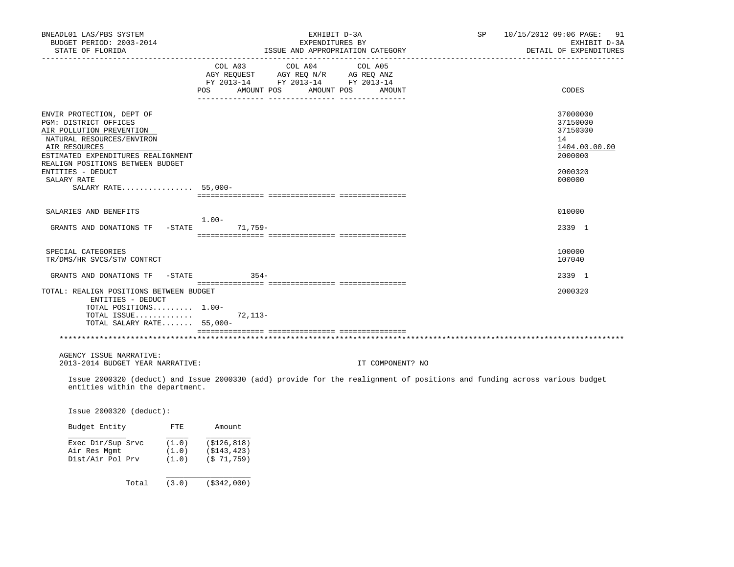| BNEADL01 LAS/PBS SYSTEM<br>BUDGET PERIOD: 2003-2014<br>STATE OF FLORIDA                                                                                                                                                                                           | EXHIBIT D-3A<br>EXPENDITURES BY<br>ISSUE AND APPROPRIATION CATEGORY                                                                           | SP 10/15/2012 09:06 PAGE: 91<br>EXHIBIT D-3A<br>DETAIL OF EXPENDITURES                  |
|-------------------------------------------------------------------------------------------------------------------------------------------------------------------------------------------------------------------------------------------------------------------|-----------------------------------------------------------------------------------------------------------------------------------------------|-----------------------------------------------------------------------------------------|
|                                                                                                                                                                                                                                                                   | COL A03<br>COL A04<br>COL A05<br>AGY REQUEST AGY REQ N/R AG REQ ANZ<br>FY 2013-14 FY 2013-14 FY 2013-14<br>POS AMOUNT POS AMOUNT POS AMOUNT   | CODES                                                                                   |
| ENVIR PROTECTION, DEPT OF<br>PGM: DISTRICT OFFICES<br>AIR POLLUTION PREVENTION<br>NATURAL RESOURCES/ENVIRON<br>AIR RESOURCES<br>ESTIMATED EXPENDITURES REALIGNMENT<br>REALIGN POSITIONS BETWEEN BUDGET<br>ENTITIES - DEDUCT<br>SALARY RATE<br>SALARY RATE 55,000- |                                                                                                                                               | 37000000<br>37150000<br>37150300<br>14<br>1404.00.00.00<br>2000000<br>2000320<br>000000 |
| SALARIES AND BENEFITS<br>GRANTS AND DONATIONS TF -STATE 71,759-                                                                                                                                                                                                   | $1.00 -$                                                                                                                                      | 010000<br>2339 1                                                                        |
| SPECIAL CATEGORIES<br>TR/DMS/HR SVCS/STW CONTRCT                                                                                                                                                                                                                  |                                                                                                                                               | 100000<br>107040                                                                        |
| GRANTS AND DONATIONS TF<br>$-$ STATE<br>TOTAL: REALIGN POSITIONS BETWEEN BUDGET<br>ENTITIES - DEDUCT<br>TOTAL POSITIONS 1.00-<br>TOTAL ISSUE<br>TOTAL SALARY RATE 55,000-                                                                                         | $354-$<br>$72.113 -$                                                                                                                          | 2339 1<br>2000320                                                                       |
| AGENCY ISSUE NARRATIVE:                                                                                                                                                                                                                                           |                                                                                                                                               |                                                                                         |
| 2013-2014 BUDGET YEAR NARRATIVE:<br>entities within the department.<br>Issue 2000320 (deduct):                                                                                                                                                                    | IT COMPONENT? NO<br>Issue 2000320 (deduct) and Issue 2000330 (add) provide for the realignment of positions and funding across various budget |                                                                                         |

| Exec Dir/Sup Srvc | (1.0) | ( \$126, 818) |
|-------------------|-------|---------------|
| Air Res Mqmt      | (1.0) | (S143, 423)   |
| Dist/Air Pol Prv  | (1.0) | (S 71, 759)   |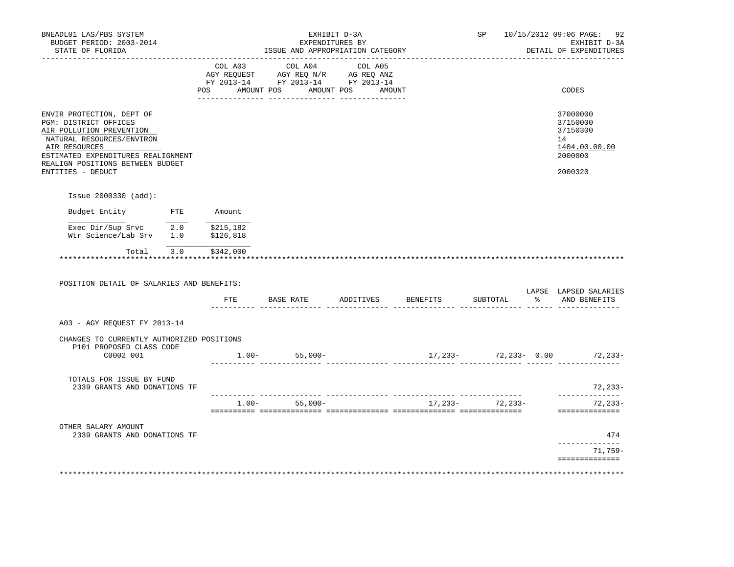| BNEADL01 LAS/PBS SYSTEM<br>BUDGET PERIOD: 2003-2014<br>STATE OF FLORIDA<br>_________________                                                                                                       |  |                     | ISSUE AND APPROPRIATION CATEGORY                                                                                                                                                                                                                                                                                                                                                                                                                                                                       | EXHIBIT D-3A<br>EXPENDITURES BY |                              |                                            | SP 10/15/2012 09:06 PAGE: 92<br>EXHIBIT D-3A<br>DETAIL OF EXPENDITURES |
|----------------------------------------------------------------------------------------------------------------------------------------------------------------------------------------------------|--|---------------------|--------------------------------------------------------------------------------------------------------------------------------------------------------------------------------------------------------------------------------------------------------------------------------------------------------------------------------------------------------------------------------------------------------------------------------------------------------------------------------------------------------|---------------------------------|------------------------------|--------------------------------------------|------------------------------------------------------------------------|
|                                                                                                                                                                                                    |  |                     | $\begin{tabular}{lllllllllllll} &\multicolumn{4}{c}{\text{COL A03}} &\multicolumn{4}{c}{\text{COL A04}} &\multicolumn{4}{c}{\text{COL A05}}\\ &\multicolumn{4}{c}{\text{AGY REQUEST}} &\multicolumn{4}{c}{\text{AGY REQ}} &\multicolumn{4}{c}{\text{N}}\\ \multicolumn{4}{c}{\text{AGY REQUEST}} &\multicolumn{4}{c}{\text{AGY REQ}} &\multicolumn{4}{c}{\text{N}}\\ \multicolumn{4}{c}{\text{AGT REC}} &\multicolumn{4}{c}{\text{AGT REC}} &\multicolumn{4}{c}{\$<br>FY 2013-14 FY 2013-14 FY 2013-14 |                                 |                              |                                            |                                                                        |
|                                                                                                                                                                                                    |  | POS                 | AMOUNT POS AMOUNT POS                                                                                                                                                                                                                                                                                                                                                                                                                                                                                  | AMOUNT                          |                              |                                            | CODES                                                                  |
| ENVIR PROTECTION, DEPT OF<br>PGM: DISTRICT OFFICES<br>AIR POLLUTION PREVENTION<br>NATURAL RESOURCES/ENVIRON<br>AIR RESOURCES                                                                       |  |                     |                                                                                                                                                                                                                                                                                                                                                                                                                                                                                                        |                                 |                              |                                            | 37000000<br>37150000<br>37150300<br>14<br>1404.00.00.00                |
| ESTIMATED EXPENDITURES REALIGNMENT<br>REALIGN POSITIONS BETWEEN BUDGET<br>ENTITIES - DEDUCT                                                                                                        |  |                     |                                                                                                                                                                                                                                                                                                                                                                                                                                                                                                        |                                 |                              |                                            | 2000000<br>2000320                                                     |
| Issue 2000330 (add):                                                                                                                                                                               |  |                     |                                                                                                                                                                                                                                                                                                                                                                                                                                                                                                        |                                 |                              |                                            |                                                                        |
| Budget Entity FTE                                                                                                                                                                                  |  | Amount              |                                                                                                                                                                                                                                                                                                                                                                                                                                                                                                        |                                 |                              |                                            |                                                                        |
|                                                                                                                                                                                                    |  |                     |                                                                                                                                                                                                                                                                                                                                                                                                                                                                                                        |                                 |                              |                                            |                                                                        |
| $\begin{tabular}{lllllllllll} \texttt{Exec Dir/Sup Srvc} & \texttt{2.0} & \texttt{\$215,182} \\ \texttt{Wtr Science/Lab Srv} & \texttt{1.0} & \texttt{\$126,818} \end{tabular}$<br>*************** |  | Total 3.0 \$342,000 |                                                                                                                                                                                                                                                                                                                                                                                                                                                                                                        |                                 |                              |                                            |                                                                        |
| POSITION DETAIL OF SALARIES AND BENEFITS:                                                                                                                                                          |  | FTE                 |                                                                                                                                                                                                                                                                                                                                                                                                                                                                                                        |                                 | BASE RATE ADDITIVES BENEFITS | SUBTOTAL<br>_____ _______________ __ _____ | % AND BENEFITS                                                         |
| A03 - AGY REQUEST FY 2013-14                                                                                                                                                                       |  |                     |                                                                                                                                                                                                                                                                                                                                                                                                                                                                                                        |                                 |                              |                                            | LAPSE LAPSED SALARIES                                                  |
| CHANGES TO CURRENTLY AUTHORIZED POSITIONS                                                                                                                                                          |  |                     |                                                                                                                                                                                                                                                                                                                                                                                                                                                                                                        |                                 |                              |                                            |                                                                        |
| P101 PROPOSED CLASS CODE<br>C0002 001                                                                                                                                                              |  |                     | $1.00 - 55,000 -$                                                                                                                                                                                                                                                                                                                                                                                                                                                                                      |                                 |                              |                                            |                                                                        |
| TOTALS FOR ISSUE BY FUND<br>2339 GRANTS AND DONATIONS TF                                                                                                                                           |  |                     |                                                                                                                                                                                                                                                                                                                                                                                                                                                                                                        |                                 |                              |                                            |                                                                        |
|                                                                                                                                                                                                    |  |                     | ________ _______________<br>$1.00 -$<br>$55,000-$                                                                                                                                                                                                                                                                                                                                                                                                                                                      |                                 |                              | 17, 233 - 72, 233 -                        | $17,233-72,233-0.00$ 72, $233-$<br>______________<br>72,233-           |
| OTHER SALARY AMOUNT<br>2339 GRANTS AND DONATIONS TF                                                                                                                                                |  |                     |                                                                                                                                                                                                                                                                                                                                                                                                                                                                                                        |                                 |                              |                                            | 72,233-<br>==============<br>474                                       |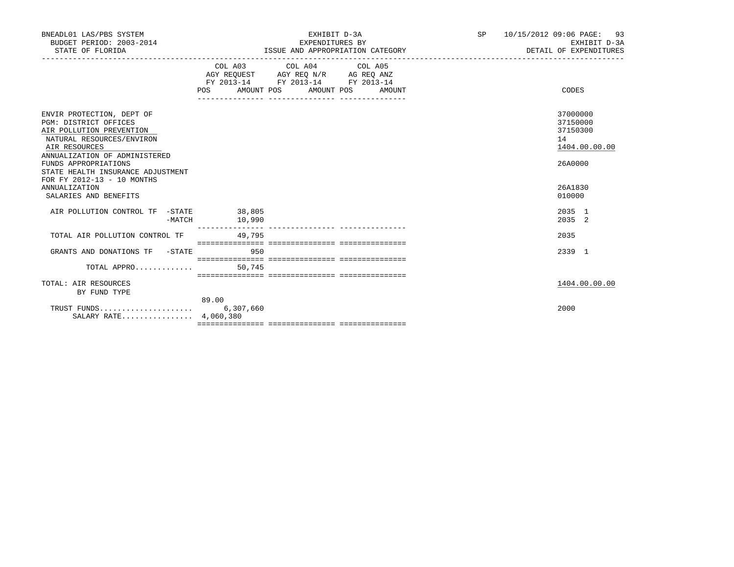|        | EXPENDITURES BY                                                                                                                                                                                                                              |                                                                                                                                                                                                                                                                                                 | 10/15/2012 09:06 PAGE: 93<br>EXHIBIT D-3A<br>DETAIL OF EXPENDITURES |
|--------|----------------------------------------------------------------------------------------------------------------------------------------------------------------------------------------------------------------------------------------------|-------------------------------------------------------------------------------------------------------------------------------------------------------------------------------------------------------------------------------------------------------------------------------------------------|---------------------------------------------------------------------|
|        |                                                                                                                                                                                                                                              |                                                                                                                                                                                                                                                                                                 | CODES                                                               |
|        |                                                                                                                                                                                                                                              |                                                                                                                                                                                                                                                                                                 | 37000000<br>37150000<br>37150300<br>14<br>1404.00.00.00<br>26A0000  |
|        |                                                                                                                                                                                                                                              |                                                                                                                                                                                                                                                                                                 | 26A1830<br>010000                                                   |
| 10,990 |                                                                                                                                                                                                                                              |                                                                                                                                                                                                                                                                                                 | 2035 1<br>2035 2                                                    |
| 49,795 |                                                                                                                                                                                                                                              |                                                                                                                                                                                                                                                                                                 | 2035                                                                |
| 950    |                                                                                                                                                                                                                                              |                                                                                                                                                                                                                                                                                                 | 2339 1                                                              |
|        |                                                                                                                                                                                                                                              |                                                                                                                                                                                                                                                                                                 |                                                                     |
|        |                                                                                                                                                                                                                                              |                                                                                                                                                                                                                                                                                                 | 1404.00.00.00                                                       |
|        |                                                                                                                                                                                                                                              |                                                                                                                                                                                                                                                                                                 | 2000                                                                |
|        | STATE HEALTH INSURANCE ADJUSTMENT<br>AIR POLLUTION CONTROL TF -STATE 38,805<br>$-MATCH$<br>TOTAL AIR POLLUTION CONTROL TF<br>GRANTS AND DONATIONS TF -STATE<br>TOTAL APPRO $\ldots \ldots \ldots$ . 50,745<br>89.00<br>SALARY RATE 4,060,380 | ISSUE AND APPROPRIATION CATEGORY<br>COL A03 COL A04 COL A05<br>$\begin{tabular}{lllllll} AGY & \texttt{REQUEST} & \texttt{AGY} & \texttt{REG} & \texttt{N/R} & \texttt{AG} & \texttt{REG} & \texttt{ANZ} \end{tabular}$<br>FY 2013-14 FY 2013-14 FY 2013-14<br>POS AMOUNT POS AMOUNT POS AMOUNT |                                                                     |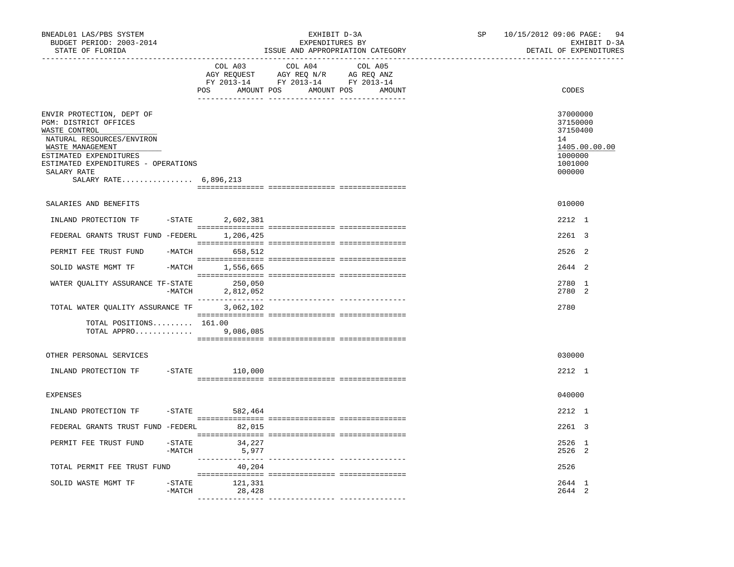| BNEADL01 LAS/PBS SYSTEM<br>BUDGET PERIOD: 2003-2014<br>STATE OF FLORIDA                                                                                                                                                       |                     |                   | EXHIBIT D-3A<br>EXPENDITURES BY<br>ISSUE AND APPROPRIATION CATEGORY                                                   |         | SP <sub>2</sub> | 10/15/2012 09:06 PAGE: 94<br>EXHIBIT D-3A<br>DETAIL OF EXPENDITURES                     |
|-------------------------------------------------------------------------------------------------------------------------------------------------------------------------------------------------------------------------------|---------------------|-------------------|-----------------------------------------------------------------------------------------------------------------------|---------|-----------------|-----------------------------------------------------------------------------------------|
|                                                                                                                                                                                                                               |                     | COL A03           | COL A04<br>AGY REQUEST AGY REQ N/R AG REQ ANZ<br>FY 2013-14 FY 2013-14 FY 2013-14<br>POS AMOUNT POS AMOUNT POS AMOUNT | COL A05 |                 | CODES                                                                                   |
| ENVIR PROTECTION, DEPT OF<br>PGM: DISTRICT OFFICES<br>WASTE CONTROL<br>NATURAL RESOURCES/ENVIRON<br>WASTE MANAGEMENT<br>ESTIMATED EXPENDITURES<br>ESTIMATED EXPENDITURES - OPERATIONS<br>SALARY RATE<br>SALARY RATE 6,896,213 |                     |                   |                                                                                                                       |         |                 | 37000000<br>37150000<br>37150400<br>14<br>1405.00.00.00<br>1000000<br>1001000<br>000000 |
| SALARIES AND BENEFITS                                                                                                                                                                                                         |                     |                   |                                                                                                                       |         |                 | 010000                                                                                  |
| INLAND PROTECTION TF -STATE                                                                                                                                                                                                   |                     | 2,602,381         |                                                                                                                       |         |                 | 2212 1                                                                                  |
| FEDERAL GRANTS TRUST FUND -FEDERL 1,206,425                                                                                                                                                                                   |                     |                   |                                                                                                                       |         |                 | 2261 3                                                                                  |
| PERMIT FEE TRUST FUND                                                                                                                                                                                                         |                     | $-MATCH$ 658, 512 |                                                                                                                       |         |                 | 2526 2                                                                                  |
| SOLID WASTE MGMT TF                                                                                                                                                                                                           |                     | -MATCH 1,556,665  |                                                                                                                       |         |                 | 2644 2                                                                                  |
| WATER OUALITY ASSURANCE TF-STATE 250,050                                                                                                                                                                                      |                     | -MATCH 2,812,052  |                                                                                                                       |         |                 | 2780 1<br>2780 2                                                                        |
| TOTAL WATER OUALITY ASSURANCE TF 3,062,102                                                                                                                                                                                    |                     |                   |                                                                                                                       |         |                 | 2780                                                                                    |
| $TOTAL$ $POSTIIONS$ $161.00$<br>TOTAL APPRO                                                                                                                                                                                   |                     | 9,086,085         |                                                                                                                       |         |                 |                                                                                         |
| OTHER PERSONAL SERVICES                                                                                                                                                                                                       |                     |                   |                                                                                                                       |         |                 | 030000                                                                                  |
| INLAND PROTECTION TF                                                                                                                                                                                                          |                     | $-STATE$ 110,000  |                                                                                                                       |         |                 | 2212 1                                                                                  |
| <b>EXPENSES</b>                                                                                                                                                                                                               |                     |                   |                                                                                                                       |         |                 | 040000                                                                                  |
| INLAND PROTECTION TF                                                                                                                                                                                                          |                     | $-$ STATE 582,464 |                                                                                                                       |         |                 | 2212 1                                                                                  |
| FEDERAL GRANTS TRUST FUND -FEDERL                                                                                                                                                                                             |                     | 82,015            |                                                                                                                       |         |                 | 2261 3                                                                                  |
| PERMIT FEE TRUST FUND                                                                                                                                                                                                         | $-$ STATE<br>-MATCH | 34,227<br>5,977   |                                                                                                                       |         |                 | 2526 1<br>2526 2                                                                        |
| TOTAL PERMIT FEE TRUST FUND                                                                                                                                                                                                   |                     | 40,204            |                                                                                                                       |         |                 | 2526                                                                                    |
| SOLID WASTE MGMT TF                                                                                                                                                                                                           | $-$ STATE<br>-MATCH | 121,331<br>28,428 |                                                                                                                       |         |                 | 2644 1<br>2644 2                                                                        |
|                                                                                                                                                                                                                               |                     |                   |                                                                                                                       |         |                 |                                                                                         |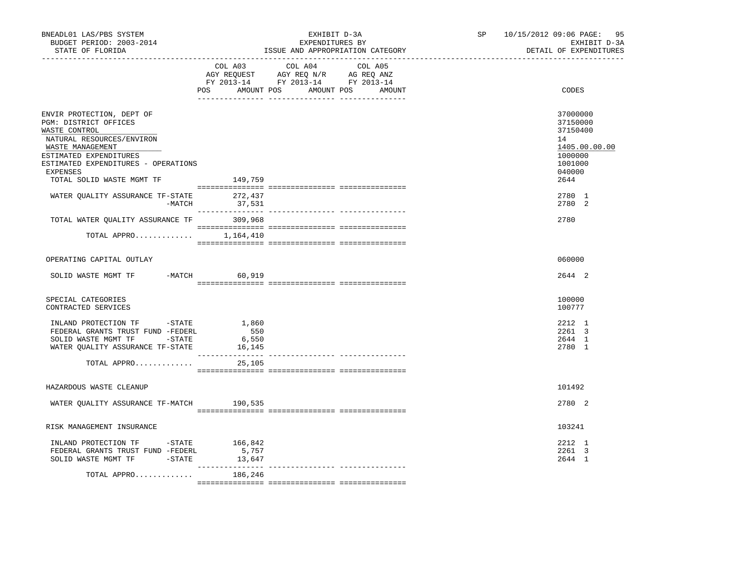| BNEADL01 LAS/PBS SYSTEM<br>BUDGET PERIOD: 2003-2014<br>STATE OF FLORIDA                                                                                                                                                               |                                 | EXHIBIT D-3A<br>EXPENDITURES BY<br>ISSUE AND APPROPRIATION CATEGORY                                                                                                                                                                                                                                                                                                                                                                 | SP 10/15/2012 09:06 PAGE: 95<br>EXHIBIT D-3A<br>DETAIL OF EXPENDITURES                          |
|---------------------------------------------------------------------------------------------------------------------------------------------------------------------------------------------------------------------------------------|---------------------------------|-------------------------------------------------------------------------------------------------------------------------------------------------------------------------------------------------------------------------------------------------------------------------------------------------------------------------------------------------------------------------------------------------------------------------------------|-------------------------------------------------------------------------------------------------|
|                                                                                                                                                                                                                                       |                                 | COL A03 COL A04 COL A05<br>AGY REQUEST AGY REQ N/R AG REQ ANZ<br>FY 2013-14 FY 2013-14 FY 2013-14<br>POS AMOUNT POS AMOUNT POS AMOUNT                                                                                                                                                                                                                                                                                               | CODES                                                                                           |
| ENVIR PROTECTION, DEPT OF<br>PGM: DISTRICT OFFICES<br>WASTE CONTROL<br>NATURAL RESOURCES/ENVIRON<br>WASTE MANAGEMENT<br>ESTIMATED EXPENDITURES<br>ESTIMATED EXPENDITURES - OPERATIONS<br><b>EXPENSES</b><br>TOTAL SOLID WASTE MGMT TF | 149,759                         |                                                                                                                                                                                                                                                                                                                                                                                                                                     | 37000000<br>37150000<br>37150400<br>14<br>1405.00.00.00<br>1000000<br>1001000<br>040000<br>2644 |
| $\begin{tabular}{lllllll} \texttt{WATER} & \texttt{QUALITY} & \texttt{ASSURANCE} & \texttt{TF-STATE} & \texttt{272,437} \\ & - \texttt{MATCH} & \texttt{37,531} \\ \end{tabular}$                                                     |                                 | $\begin{minipage}{0.03\textwidth} \begin{tabular}{l} \textbf{1} & \textbf{2} & \textbf{3} & \textbf{5} & \textbf{5} & \textbf{6} & \textbf{6} & \textbf{7} & \textbf{8} & \textbf{8} & \textbf{9} & \textbf{9} & \textbf{9} & \textbf{9} & \textbf{9} & \textbf{9} & \textbf{9} & \textbf{9} & \textbf{9} & \textbf{9} & \textbf{9} & \textbf{9} & \textbf{9} & \textbf{9} & \textbf{9} & \textbf{9} & \textbf{9} & \textbf{9} & \$ | 2780 1<br>2780 2                                                                                |
| TOTAL WATER QUALITY ASSURANCE TF 309,968<br>TOTAL APPRO $1,164,410$                                                                                                                                                                   |                                 |                                                                                                                                                                                                                                                                                                                                                                                                                                     | 2780                                                                                            |
| OPERATING CAPITAL OUTLAY                                                                                                                                                                                                              |                                 |                                                                                                                                                                                                                                                                                                                                                                                                                                     | 060000                                                                                          |
| SOLID WASTE MGMT TF                                                                                                                                                                                                                   | -MATCH 60,919                   |                                                                                                                                                                                                                                                                                                                                                                                                                                     | 2644 2                                                                                          |
| SPECIAL CATEGORIES<br>CONTRACTED SERVICES                                                                                                                                                                                             |                                 |                                                                                                                                                                                                                                                                                                                                                                                                                                     | 100000<br>100777                                                                                |
| INLAND PROTECTION TF -STATE<br>FEDERAL GRANTS TRUST FUND -FEDERL<br>SOLID WASTE MGMT TF -STATE<br>WATER QUALITY ASSURANCE TF-STATE                                                                                                    | 1,860<br>550<br>6,550<br>16,145 |                                                                                                                                                                                                                                                                                                                                                                                                                                     | 2212 1<br>2261 3<br>2644 1<br>2780 1                                                            |
| TOTAL APPRO                                                                                                                                                                                                                           | 25,105                          |                                                                                                                                                                                                                                                                                                                                                                                                                                     |                                                                                                 |
| HAZARDOUS WASTE CLEANUP                                                                                                                                                                                                               |                                 |                                                                                                                                                                                                                                                                                                                                                                                                                                     | 101492                                                                                          |
| WATER QUALITY ASSURANCE TF-MATCH                                                                                                                                                                                                      | 190,535                         |                                                                                                                                                                                                                                                                                                                                                                                                                                     | 2780 2                                                                                          |
| RISK MANAGEMENT INSURANCE                                                                                                                                                                                                             |                                 |                                                                                                                                                                                                                                                                                                                                                                                                                                     | 103241                                                                                          |
| INLAND PROTECTION TF -STATE 166,842<br>FEDERAL GRANTS TRUST FUND -FEDERL<br>SOLID WASTE MGMT TF -STATE                                                                                                                                | 5,757<br>13,647                 |                                                                                                                                                                                                                                                                                                                                                                                                                                     | 2212 1<br>2261 3<br>2644 1                                                                      |
| TOTAL APPRO                                                                                                                                                                                                                           | 186,246                         |                                                                                                                                                                                                                                                                                                                                                                                                                                     |                                                                                                 |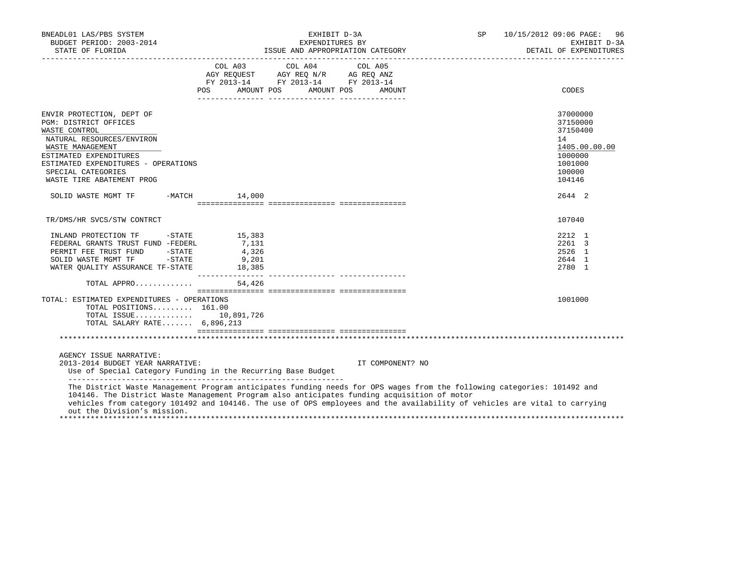| BNEADL01 LAS/PBS SYSTEM<br>BUDGET PERIOD: 2003-2014<br>STATE OF FLORIDA PERPENDITION CATEGORY PERPENDITUDE TRACK DETAIL OF EXPENDITUDE TRACK THE SERVE AND APPROPRIATION CATEGORY                                                                                                                                                                                                  |         | EXHIBIT D-3A<br>EXPENDITURES BY                                                                                               |                  | SP and the set of the set of the set of the set of the set of the set of the set of the set of the set of the set of the set of the set of the set of the set of the set of the set of the set of the set of the set of the se | 10/15/2012 09:06 PAGE:<br>96<br>EXHIBIT D-3A<br>DETAIL OF EXPENDITURES                            |
|------------------------------------------------------------------------------------------------------------------------------------------------------------------------------------------------------------------------------------------------------------------------------------------------------------------------------------------------------------------------------------|---------|-------------------------------------------------------------------------------------------------------------------------------|------------------|--------------------------------------------------------------------------------------------------------------------------------------------------------------------------------------------------------------------------------|---------------------------------------------------------------------------------------------------|
|                                                                                                                                                                                                                                                                                                                                                                                    | COL A03 | COL A04 COL A05<br>AGY REQUEST AGY REQ N/R AG REQ ANZ<br>FY 2013-14 FY 2013-14 FY 2013-14<br>POS AMOUNT POS AMOUNT POS AMOUNT |                  |                                                                                                                                                                                                                                | CODES                                                                                             |
| ENVIR PROTECTION, DEPT OF<br>PGM: DISTRICT OFFICES<br>WASTE CONTROL<br>NATURAL RESOURCES/ENVIRON<br>WASTE MANAGEMENT<br>ESTIMATED EXPENDITURES<br>ESTIMATED EXPENDITURES - OPERATIONS<br>SPECIAL CATEGORIES<br>WASTE TIRE ABATEMENT PROG                                                                                                                                           |         |                                                                                                                               |                  |                                                                                                                                                                                                                                | 37000000<br>37150000<br>37150400<br>14<br>1405.00.00.00<br>1000000<br>1001000<br>100000<br>104146 |
| SOLID WASTE MGMT TF -MATCH 14,000                                                                                                                                                                                                                                                                                                                                                  |         |                                                                                                                               |                  |                                                                                                                                                                                                                                | 2644 2                                                                                            |
| TR/DMS/HR SVCS/STW CONTRCT                                                                                                                                                                                                                                                                                                                                                         |         |                                                                                                                               |                  |                                                                                                                                                                                                                                | 107040                                                                                            |
| PERMIT FEE TRUST FUND -STATE 4,326<br>SOLID WASTE MGMT TF -STATE 9,201<br>WATER QUALITY ASSURANCE TF-STATE 18,385<br>TOTAL APPRO $54,426$                                                                                                                                                                                                                                          |         |                                                                                                                               |                  |                                                                                                                                                                                                                                | 2212 1<br>2261 3<br>2526 1<br>2644 1<br>2780 1                                                    |
| TOTAL: ESTIMATED EXPENDITURES - OPERATIONS<br>TOTAL POSITIONS $161.00$<br>TOTAL ISSUE 10,891,726<br>TOTAL SALARY RATE 6,896,213                                                                                                                                                                                                                                                    |         |                                                                                                                               |                  |                                                                                                                                                                                                                                | 1001000                                                                                           |
|                                                                                                                                                                                                                                                                                                                                                                                    |         |                                                                                                                               |                  |                                                                                                                                                                                                                                |                                                                                                   |
| AGENCY ISSUE NARRATIVE:<br>2013-2014 BUDGET YEAR NARRATIVE:<br>Use of Special Category Funding in the Recurring Base Budget                                                                                                                                                                                                                                                        |         |                                                                                                                               | IT COMPONENT? NO |                                                                                                                                                                                                                                |                                                                                                   |
| The District Waste Management Program anticipates funding needs for OPS wages from the following categories: 101492 and<br>104146. The District Waste Management Program also anticipates funding acquisition of motor<br>vehicles from category 101492 and 104146. The use of OPS employees and the availability of vehicles are vital to carrying<br>out the Division's mission. |         |                                                                                                                               |                  |                                                                                                                                                                                                                                |                                                                                                   |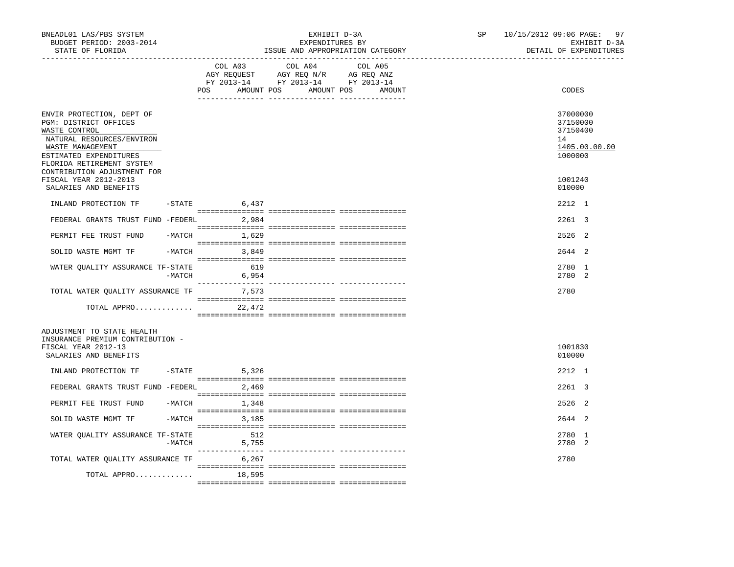| BNEADL01 LAS/PBS SYSTEM<br>BUDGET PERIOD: 2003-2014<br>STATE OF FLORIDA                                                                                                     | EXHIBIT D-3A<br>EXPENDITURES BY<br>ISSUE AND APPROPRIATION CATEGORY |                          |                                                                                                                       | SP and the set of the set of the set of the set of the set of the set of the set of the set of the set of the set of the set of the set of the set of the set of the set of the set of the set of the set of the set of the se | 10/15/2012 09:06 PAGE: 97<br>EXHIBIT D-3A<br>DETAIL OF EXPENDITURES |                                                                    |
|-----------------------------------------------------------------------------------------------------------------------------------------------------------------------------|---------------------------------------------------------------------|--------------------------|-----------------------------------------------------------------------------------------------------------------------|--------------------------------------------------------------------------------------------------------------------------------------------------------------------------------------------------------------------------------|---------------------------------------------------------------------|--------------------------------------------------------------------|
|                                                                                                                                                                             |                                                                     | COL A03                  | COL A04<br>AGY REQUEST AGY REQ N/R AG REQ ANZ<br>FY 2013-14 FY 2013-14 FY 2013-14<br>POS AMOUNT POS AMOUNT POS AMOUNT | COL A05                                                                                                                                                                                                                        |                                                                     | CODES                                                              |
| ENVIR PROTECTION, DEPT OF<br>PGM: DISTRICT OFFICES<br>WASTE CONTROL<br>NATURAL RESOURCES/ENVIRON<br>WASTE MANAGEMENT<br>ESTIMATED EXPENDITURES<br>FLORIDA RETIREMENT SYSTEM |                                                                     |                          |                                                                                                                       |                                                                                                                                                                                                                                |                                                                     | 37000000<br>37150000<br>37150400<br>14<br>1405.00.00.00<br>1000000 |
| CONTRIBUTION ADJUSTMENT FOR<br>FISCAL YEAR 2012-2013<br>SALARIES AND BENEFITS                                                                                               |                                                                     |                          |                                                                                                                       |                                                                                                                                                                                                                                |                                                                     | 1001240<br>010000                                                  |
| INLAND PROTECTION TF                                                                                                                                                        |                                                                     | $-$ STATE 6,437          |                                                                                                                       |                                                                                                                                                                                                                                |                                                                     | 2212 1                                                             |
| FEDERAL GRANTS TRUST FUND -FEDERL 2,984                                                                                                                                     |                                                                     |                          |                                                                                                                       |                                                                                                                                                                                                                                |                                                                     | 2261 3                                                             |
| PERMIT FEE TRUST FUND                                                                                                                                                       | $-MATCH$                                                            | 1,629                    |                                                                                                                       |                                                                                                                                                                                                                                |                                                                     | 2526 2                                                             |
| SOLID WASTE MGMT TF                                                                                                                                                         |                                                                     | $-MATCH$ 3,849           |                                                                                                                       |                                                                                                                                                                                                                                |                                                                     | 2644 2                                                             |
| WATER QUALITY ASSURANCE TF-STATE                                                                                                                                            | -MATCH                                                              | 619<br>6,954             |                                                                                                                       |                                                                                                                                                                                                                                |                                                                     | 2780 1<br>2780 2                                                   |
| TOTAL WATER QUALITY ASSURANCE TF 7,573                                                                                                                                      |                                                                     |                          |                                                                                                                       |                                                                                                                                                                                                                                |                                                                     | 2780                                                               |
| TOTAL APPRO                                                                                                                                                                 |                                                                     | 22,472                   |                                                                                                                       |                                                                                                                                                                                                                                |                                                                     |                                                                    |
| ADJUSTMENT TO STATE HEALTH<br>INSURANCE PREMIUM CONTRIBUTION -<br>FISCAL YEAR 2012-13<br>SALARIES AND BENEFITS                                                              |                                                                     |                          |                                                                                                                       |                                                                                                                                                                                                                                |                                                                     | 1001830<br>010000                                                  |
| INLAND PROTECTION TF                                                                                                                                                        |                                                                     | $-$ STATE 5,326          |                                                                                                                       |                                                                                                                                                                                                                                |                                                                     | 2212 1                                                             |
| FEDERAL GRANTS TRUST FUND -FEDERL 2,469                                                                                                                                     |                                                                     |                          |                                                                                                                       |                                                                                                                                                                                                                                |                                                                     | 2261 3                                                             |
| PERMIT FEE TRUST FUND                                                                                                                                                       |                                                                     | $-MATCH$ 1,348           |                                                                                                                       |                                                                                                                                                                                                                                |                                                                     | 2526 2                                                             |
| SOLID WASTE MGMT TF                                                                                                                                                         |                                                                     | $-MATCH$ 3, 185          |                                                                                                                       |                                                                                                                                                                                                                                |                                                                     | 2644 2                                                             |
| WATER OUALITY ASSURANCE TF-STATE                                                                                                                                            |                                                                     | 512<br>$-MATCH$<br>5,755 |                                                                                                                       |                                                                                                                                                                                                                                |                                                                     | 2780 1<br>2780 2                                                   |
| TOTAL WATER QUALITY ASSURANCE TF 6,267                                                                                                                                      |                                                                     |                          |                                                                                                                       |                                                                                                                                                                                                                                |                                                                     | 2780                                                               |
| TOTAL APPRO                                                                                                                                                                 |                                                                     | 18,595                   |                                                                                                                       |                                                                                                                                                                                                                                |                                                                     |                                                                    |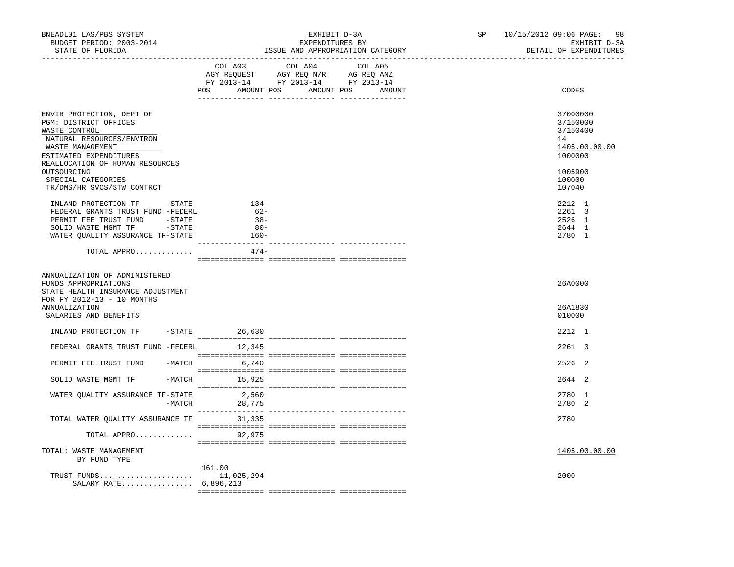| BNEADL01 LAS/PBS SYSTEM<br>BUDGET PERIOD: 2003-2014<br>STATE OF FLORIDA                                                                                            |        |                                               | EXHIBIT D-3A<br>EXPENDITURES BY<br>ISSUE AND APPROPRIATION CATEGORY                                                              | SP and the set of the set of the set of the set of the set of the set of the set of the set of the set of the set of the set of the set of the set of the set of the set of the set of the set of the set of the set of the se | 10/15/2012 09:06 PAGE:<br>98<br>EXHIBIT D-3A<br>DETAIL OF EXPENDITURES |
|--------------------------------------------------------------------------------------------------------------------------------------------------------------------|--------|-----------------------------------------------|----------------------------------------------------------------------------------------------------------------------------------|--------------------------------------------------------------------------------------------------------------------------------------------------------------------------------------------------------------------------------|------------------------------------------------------------------------|
|                                                                                                                                                                    |        | COL A03                                       | COL A04<br>COL A05<br>AGY REQUEST AGY REQ N/R AG REQ ANZ<br>FY 2013-14 FY 2013-14 FY 2013-14<br>POS AMOUNT POS AMOUNT POS AMOUNT |                                                                                                                                                                                                                                | CODES                                                                  |
| ENVIR PROTECTION, DEPT OF<br>PGM: DISTRICT OFFICES<br>WASTE CONTROL<br>NATURAL RESOURCES/ENVIRON<br>WASTE MANAGEMENT<br>ESTIMATED EXPENDITURES                     |        |                                               |                                                                                                                                  |                                                                                                                                                                                                                                | 37000000<br>37150000<br>37150400<br>14<br>1405.00.00.00<br>1000000     |
| REALLOCATION OF HUMAN RESOURCES<br>OUTSOURCING<br>SPECIAL CATEGORIES<br>TR/DMS/HR SVCS/STW CONTRCT                                                                 |        |                                               |                                                                                                                                  |                                                                                                                                                                                                                                | 1005900<br>100000<br>107040                                            |
| INLAND PROTECTION TF -STATE<br>FEDERAL GRANTS TRUST FUND -FEDERL<br>PERMIT FEE TRUST FUND<br>SOLID WASTE MGMT TF -STATE<br>WATER QUALITY ASSURANCE TF-STATE        | -STATE | $134-$<br>$62-$<br>$-38-$<br>$80 -$<br>- 160- |                                                                                                                                  |                                                                                                                                                                                                                                | 2212 1<br>2261 3<br>2526 1<br>2644 1<br>2780 1                         |
| TOTAL APPRO                                                                                                                                                        |        | $474-$                                        |                                                                                                                                  |                                                                                                                                                                                                                                |                                                                        |
| ANNUALIZATION OF ADMINISTERED<br>FUNDS APPROPRIATIONS<br>STATE HEALTH INSURANCE ADJUSTMENT<br>FOR FY 2012-13 - 10 MONTHS<br>ANNUALIZATION<br>SALARIES AND BENEFITS |        |                                               |                                                                                                                                  |                                                                                                                                                                                                                                | 26A0000<br>26A1830<br>010000                                           |
| INLAND PROTECTION TF                                                                                                                                               |        | $-STATE$ 26,630                               |                                                                                                                                  |                                                                                                                                                                                                                                | 2212 1                                                                 |
| FEDERAL GRANTS TRUST FUND -FEDERL 12,345                                                                                                                           |        |                                               |                                                                                                                                  |                                                                                                                                                                                                                                | 2261 3                                                                 |
| PERMIT FEE TRUST FUND                                                                                                                                              |        | $-MATCH$ 6,740                                |                                                                                                                                  |                                                                                                                                                                                                                                | 2526 2                                                                 |
| SOLID WASTE MGMT TF                                                                                                                                                |        | $-MATCH$ 15,925                               |                                                                                                                                  |                                                                                                                                                                                                                                | 2644 2                                                                 |
| WATER OUALITY ASSURANCE TF-STATE                                                                                                                                   | -MATCH | 2,560<br>28,775                               |                                                                                                                                  |                                                                                                                                                                                                                                | 2780 1<br>2780 2                                                       |
| TOTAL WATER QUALITY ASSURANCE TF                                                                                                                                   |        | 31,335                                        |                                                                                                                                  |                                                                                                                                                                                                                                | 2780                                                                   |
| TOTAL APPRO                                                                                                                                                        |        | 92,975                                        |                                                                                                                                  |                                                                                                                                                                                                                                |                                                                        |
| TOTAL: WASTE MANAGEMENT<br>BY FUND TYPE                                                                                                                            |        |                                               |                                                                                                                                  |                                                                                                                                                                                                                                | 1405.00.00.00                                                          |
| TRUST FUNDS<br>SALARY RATE 6,896,213                                                                                                                               |        | 161.00<br>11,025,294                          |                                                                                                                                  |                                                                                                                                                                                                                                | 2000                                                                   |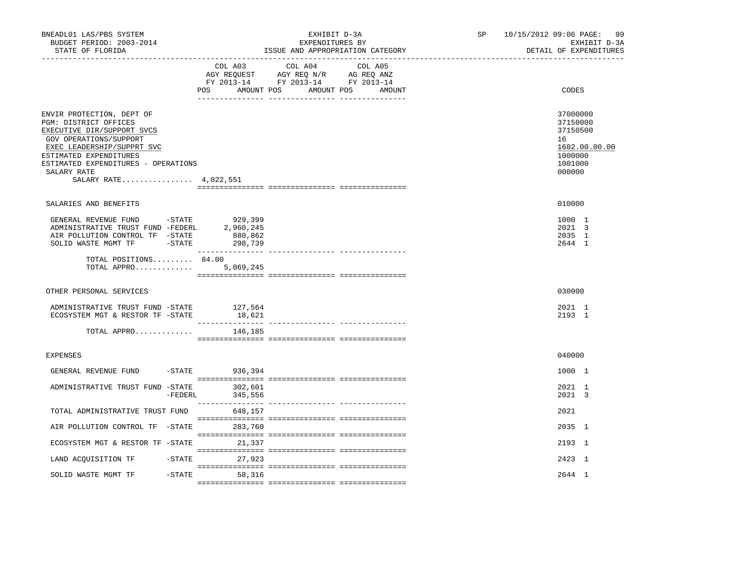| BNEADL01 LAS/PBS SYSTEM<br>BUDGET PERIOD: 2003-2014<br>STATE OF FLORIDA                                                                                                                                                                           |                                            | EXHIBIT D-3A<br>EXPENDITURES BY<br>ISSUE AND APPROPRIATION CATEGORY                                                          | SP and the set of the set of the set of the set of the set of the set of the set of the set of the set of the set of the set of the set of the set of the set of the set of the set of the set of the set of the set of the se | 10/15/2012 09:06 PAGE:<br>-99<br>EXHIBIT D-3A<br>DETAIL OF EXPENDITURES                 |
|---------------------------------------------------------------------------------------------------------------------------------------------------------------------------------------------------------------------------------------------------|--------------------------------------------|------------------------------------------------------------------------------------------------------------------------------|--------------------------------------------------------------------------------------------------------------------------------------------------------------------------------------------------------------------------------|-----------------------------------------------------------------------------------------|
|                                                                                                                                                                                                                                                   | COL A03<br>POS                             | COL A04<br>COL A05<br>AGY REQUEST AGY REQ N/R AG REQ ANZ<br>FY 2013-14 FY 2013-14 FY 2013-14<br>AMOUNT POS AMOUNT POS AMOUNT |                                                                                                                                                                                                                                | CODES                                                                                   |
| ENVIR PROTECTION, DEPT OF<br>PGM: DISTRICT OFFICES<br>EXECUTIVE DIR/SUPPORT SVCS<br>GOV OPERATIONS/SUPPORT<br>EXEC LEADERSHIP/SUPPRT SVC<br>ESTIMATED EXPENDITURES<br>ESTIMATED EXPENDITURES - OPERATIONS<br>SALARY RATE<br>SALARY RATE 4,022,551 |                                            |                                                                                                                              |                                                                                                                                                                                                                                | 37000000<br>37150000<br>37150500<br>16<br>1602.00.00.00<br>1000000<br>1001000<br>000000 |
| SALARIES AND BENEFITS                                                                                                                                                                                                                             |                                            |                                                                                                                              |                                                                                                                                                                                                                                | 010000                                                                                  |
| GENERAL REVENUE FUND -STATE<br>ADMINISTRATIVE TRUST FUND -FEDERL<br>AIR POLLUTION CONTROL TF -STATE<br>SOLID WASTE MGMT TF -STATE                                                                                                                 | 929,399<br>2,960,245<br>880,862<br>298,739 |                                                                                                                              |                                                                                                                                                                                                                                | 1000 1<br>2021 3<br>2035 1<br>2644 1                                                    |
| TOTAL POSITIONS 84.00<br>TOTAL APPRO                                                                                                                                                                                                              | 5,069,245                                  |                                                                                                                              |                                                                                                                                                                                                                                |                                                                                         |
| OTHER PERSONAL SERVICES                                                                                                                                                                                                                           |                                            |                                                                                                                              |                                                                                                                                                                                                                                | 030000                                                                                  |
| ADMINISTRATIVE TRUST FUND -STATE<br>ECOSYSTEM MGT & RESTOR TF -STATE                                                                                                                                                                              | 127,564<br>18,621                          |                                                                                                                              |                                                                                                                                                                                                                                | 2021 1<br>2193 1                                                                        |
| TOTAL APPRO                                                                                                                                                                                                                                       | 146,185                                    |                                                                                                                              |                                                                                                                                                                                                                                |                                                                                         |
| <b>EXPENSES</b>                                                                                                                                                                                                                                   |                                            |                                                                                                                              |                                                                                                                                                                                                                                | 040000                                                                                  |
| GENERAL REVENUE FUND                                                                                                                                                                                                                              | -STATE 936,394                             |                                                                                                                              |                                                                                                                                                                                                                                | 1000 1                                                                                  |
| ADMINISTRATIVE TRUST FUND -STATE<br>-FEDERL                                                                                                                                                                                                       | 302,601<br>345,556                         |                                                                                                                              |                                                                                                                                                                                                                                | 2021 1<br>2021 3                                                                        |
| TOTAL ADMINISTRATIVE TRUST FUND                                                                                                                                                                                                                   | 648,157                                    |                                                                                                                              |                                                                                                                                                                                                                                | 2021                                                                                    |
| AIR POLLUTION CONTROL TF -STATE                                                                                                                                                                                                                   | 283,760                                    |                                                                                                                              |                                                                                                                                                                                                                                | 2035 1                                                                                  |
| ECOSYSTEM MGT & RESTOR TF -STATE                                                                                                                                                                                                                  | 21,337                                     |                                                                                                                              |                                                                                                                                                                                                                                | 2193 1                                                                                  |
| LAND ACQUISITION TF                                                                                                                                                                                                                               | -STATE 27,923                              |                                                                                                                              |                                                                                                                                                                                                                                | 2423 1                                                                                  |
| SOLID WASTE MGMT TF                                                                                                                                                                                                                               | $-STATE$<br>58,316                         |                                                                                                                              |                                                                                                                                                                                                                                | 2644 1                                                                                  |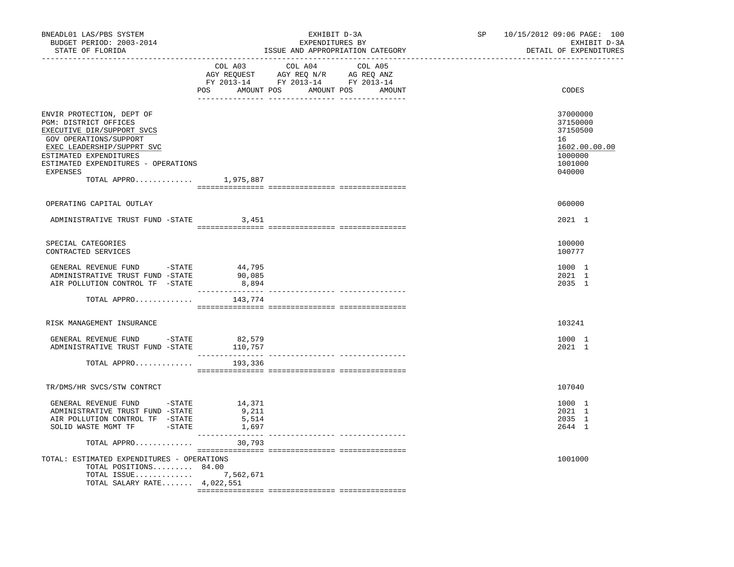| BNEADL01 LAS/PBS SYSTEM<br>BUDGET PERIOD: 2003-2014<br>STATE OF FLORIDA                                                                                                                                                                          | EXHIBIT D-3A<br>EXPENDITURES BY<br>ISSUE AND APPROPRIATION CATEGORY |                                                                                                                       |         |  | SP | 10/15/2012 09:06 PAGE: 100<br>EXHIBIT D-3A<br>DETAIL OF EXPENDITURES                    |
|--------------------------------------------------------------------------------------------------------------------------------------------------------------------------------------------------------------------------------------------------|---------------------------------------------------------------------|-----------------------------------------------------------------------------------------------------------------------|---------|--|----|-----------------------------------------------------------------------------------------|
|                                                                                                                                                                                                                                                  | COL A03                                                             | COL A04<br>AGY REQUEST AGY REQ N/R AG REQ ANZ<br>FY 2013-14 FY 2013-14 FY 2013-14<br>POS AMOUNT POS AMOUNT POS AMOUNT | COL A05 |  |    | CODES                                                                                   |
| ENVIR PROTECTION, DEPT OF<br>PGM: DISTRICT OFFICES<br>EXECUTIVE DIR/SUPPORT SVCS<br>GOV OPERATIONS/SUPPORT<br>EXEC LEADERSHIP/SUPPRT SVC<br>ESTIMATED EXPENDITURES<br>ESTIMATED EXPENDITURES - OPERATIONS<br>EXPENSES<br>TOTAL APPRO $1,975,887$ |                                                                     |                                                                                                                       |         |  |    | 37000000<br>37150000<br>37150500<br>16<br>1602.00.00.00<br>1000000<br>1001000<br>040000 |
| OPERATING CAPITAL OUTLAY                                                                                                                                                                                                                         |                                                                     |                                                                                                                       |         |  |    | 060000                                                                                  |
| ADMINISTRATIVE TRUST FUND -STATE 3,451                                                                                                                                                                                                           |                                                                     |                                                                                                                       |         |  |    | 2021 1                                                                                  |
| SPECIAL CATEGORIES<br>CONTRACTED SERVICES                                                                                                                                                                                                        |                                                                     |                                                                                                                       |         |  |    | 100000<br>100777                                                                        |
| GENERAL REVENUE FUND -STATE 44,795<br>ADMINISTRATIVE TRUST FUND -STATE<br>AIR POLLUTION CONTROL TF -STATE                                                                                                                                        | 90,085<br>8,894                                                     |                                                                                                                       |         |  |    | 1000 1<br>2021 1<br>2035 1                                                              |
| TOTAL APPRO                                                                                                                                                                                                                                      | 143,774                                                             |                                                                                                                       |         |  |    |                                                                                         |
| RISK MANAGEMENT INSURANCE                                                                                                                                                                                                                        |                                                                     |                                                                                                                       |         |  |    | 103241                                                                                  |
| GENERAL REVENUE FUND - STATE<br>ADMINISTRATIVE TRUST FUND -STATE 110,757                                                                                                                                                                         | 82,579                                                              |                                                                                                                       |         |  |    | 1000 1<br>2021 1                                                                        |
| TOTAL APPRO                                                                                                                                                                                                                                      | 193,336                                                             |                                                                                                                       |         |  |    |                                                                                         |
| TR/DMS/HR SVCS/STW CONTRCT                                                                                                                                                                                                                       |                                                                     |                                                                                                                       |         |  |    | 107040                                                                                  |
| GENERAL REVENUE FUND -STATE<br>ADMINISTRATIVE TRUST FUND -STATE<br>AIR POLLUTION CONTROL TF -STATE<br>SOLID WASTE MGMT TF -STATE                                                                                                                 | 14,371<br>9,211<br>5,514<br>1,697                                   |                                                                                                                       |         |  |    | 1000 1<br>2021 1<br>2035 1<br>2644 1                                                    |
| TOTAL APPRO                                                                                                                                                                                                                                      | 30,793                                                              |                                                                                                                       |         |  |    |                                                                                         |
| TOTAL: ESTIMATED EXPENDITURES - OPERATIONS<br>TOTAL POSITIONS 84.00<br>TOTAL ISSUE 7,562,671<br>TOTAL SALARY RATE $4,022,551$                                                                                                                    |                                                                     |                                                                                                                       |         |  |    | 1001000                                                                                 |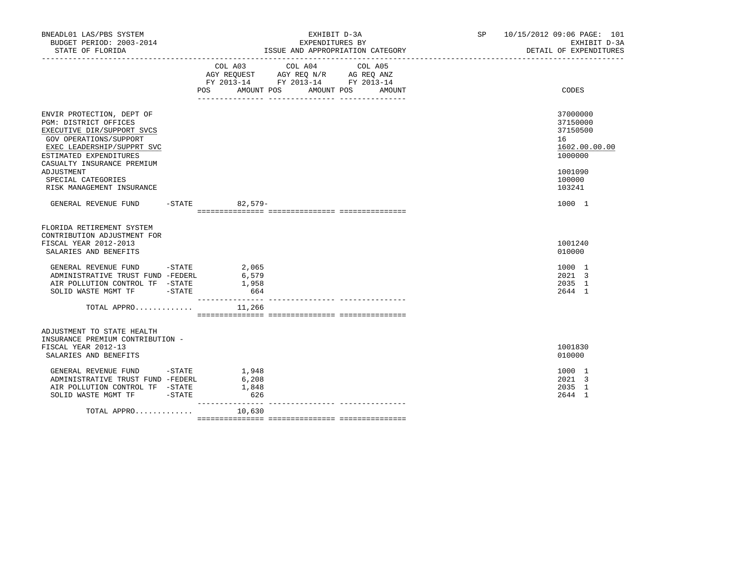| BNEADL01 LAS/PBS SYSTEM<br>BUDGET PERIOD: 2003-2014<br>STATE OF FLORIDA                                                                                                                                                                                           | EXHIBIT D-3A<br>EXPENDITURES BY<br>ISSUE AND APPROPRIATION CATEGORY                                                                            | SP 10/15/2012 09:06 PAGE: 101<br>EXHIBIT D-3A<br>DETAIL OF EXPENDITURES                           |
|-------------------------------------------------------------------------------------------------------------------------------------------------------------------------------------------------------------------------------------------------------------------|------------------------------------------------------------------------------------------------------------------------------------------------|---------------------------------------------------------------------------------------------------|
|                                                                                                                                                                                                                                                                   | COL A03<br>COL A04<br>COL A05<br>AGY REQUEST AGY REQ N/R AG REQ ANZ<br>FY 2013-14 FY 2013-14 FY 2013-14<br>POS AMOUNT POS AMOUNT POS<br>AMOUNT | CODES                                                                                             |
| ENVIR PROTECTION, DEPT OF<br>PGM: DISTRICT OFFICES<br>EXECUTIVE DIR/SUPPORT SVCS<br>GOV OPERATIONS/SUPPORT<br>EXEC LEADERSHIP/SUPPRT SVC<br>ESTIMATED EXPENDITURES<br>CASUALTY INSURANCE PREMIUM<br>ADJUSTMENT<br>SPECIAL CATEGORIES<br>RISK MANAGEMENT INSURANCE |                                                                                                                                                | 37000000<br>37150000<br>37150500<br>16<br>1602.00.00.00<br>1000000<br>1001090<br>100000<br>103241 |
| GENERAL REVENUE FUND -STATE 82,579-                                                                                                                                                                                                                               |                                                                                                                                                | 1000 1                                                                                            |
| FLORIDA RETIREMENT SYSTEM<br>CONTRIBUTION ADJUSTMENT FOR<br>FISCAL YEAR 2012-2013<br>SALARIES AND BENEFITS                                                                                                                                                        |                                                                                                                                                | 1001240<br>010000                                                                                 |
| GENERAL REVENUE FUND -STATE<br>ADMINISTRATIVE TRUST FUND -FEDERL<br>AIR POLLUTION CONTROL TF -STATE<br>SOLID WASTE MGMT TF -STATE                                                                                                                                 | 2,065<br>6,579<br>1,958<br>664                                                                                                                 | 1000 1<br>2021 3<br>2035 1<br>2644 1                                                              |
| TOTAL APPRO                                                                                                                                                                                                                                                       | 11,266                                                                                                                                         |                                                                                                   |
| ADJUSTMENT TO STATE HEALTH<br>INSURANCE PREMIUM CONTRIBUTION -<br>FISCAL YEAR 2012-13<br>SALARIES AND BENEFITS                                                                                                                                                    |                                                                                                                                                | 1001830<br>010000                                                                                 |
| GENERAL REVENUE FUND -STATE<br>ADMINISTRATIVE TRUST FUND -FEDERL<br>AIR POLLUTION CONTROL TF -STATE<br>SOLID WASTE MGMT TF -STATE                                                                                                                                 | 1,948<br>6,208<br>1,848<br>626                                                                                                                 | 1000 1<br>2021 3<br>2035 1<br>2644 1                                                              |
| TOTAL APPRO $10,630$                                                                                                                                                                                                                                              |                                                                                                                                                |                                                                                                   |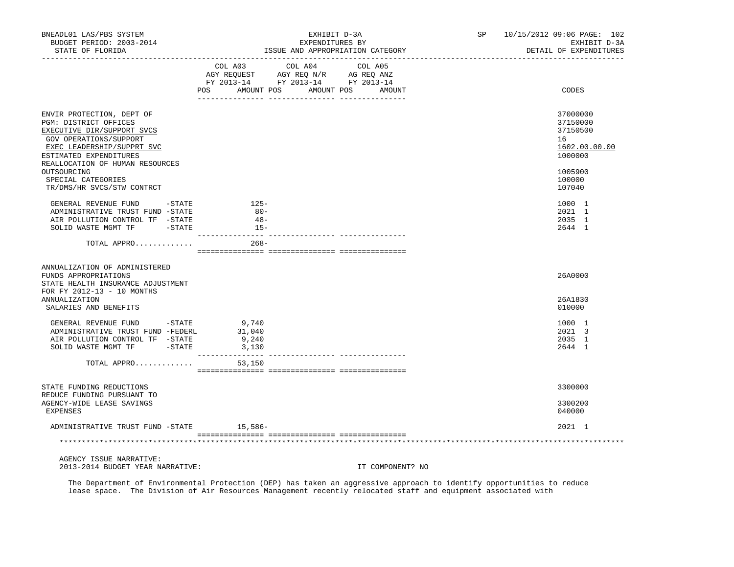| BNEADL01 LAS/PBS SYSTEM<br>BUDGET PERIOD: 2003-2014<br>STATE OF FLORIDA<br>------------------                                                                                                                                              | EXHIBIT D-3A<br>EXPENDITURES BY<br>ISSUE AND APPROPRIATION CATEGORY<br>_________________________________ |                                       |                  | SP | 10/15/2012 09:06 PAGE: 102<br>EXHIBIT D-3A<br>DETAIL OF EXPENDITURES                    |
|--------------------------------------------------------------------------------------------------------------------------------------------------------------------------------------------------------------------------------------------|----------------------------------------------------------------------------------------------------------|---------------------------------------|------------------|----|-----------------------------------------------------------------------------------------|
|                                                                                                                                                                                                                                            | AGY REQUEST AGY REQ N/R AG REQ ANZ<br>FY 2013-14 FY 2013-14 FY 2013-14<br>POS FOR<br>AMOUNT POS          | COL A03 COL A04 COL A05<br>AMOUNT POS | AMOUNT           |    | CODES                                                                                   |
| ENVIR PROTECTION, DEPT OF<br>PGM: DISTRICT OFFICES<br>EXECUTIVE DIR/SUPPORT SVCS<br>GOV OPERATIONS/SUPPORT<br>EXEC LEADERSHIP/SUPPRT SVC<br>ESTIMATED EXPENDITURES<br>REALLOCATION OF HUMAN RESOURCES<br>OUTSOURCING<br>SPECIAL CATEGORIES |                                                                                                          |                                       |                  |    | 37000000<br>37150000<br>37150500<br>16<br>1602.00.00.00<br>1000000<br>1005900<br>100000 |
| TR/DMS/HR SVCS/STW CONTRCT<br>GENERAL REVENUE FUND - STATE<br>ADMINISTRATIVE TRUST FUND -STATE<br>AIR POLLUTION CONTROL TF -STATE<br>SOLID WASTE MGMT TF<br>$-$ STATE                                                                      | $125-$<br>$80 -$<br>$48-$<br>$15-$                                                                       |                                       |                  |    | 107040<br>1000 1<br>2021 1<br>2035 1<br>2644 1                                          |
| TOTAL APPRO                                                                                                                                                                                                                                | --------------- --<br>$268 -$                                                                            |                                       |                  |    |                                                                                         |
| ANNUALIZATION OF ADMINISTERED<br>FUNDS APPROPRIATIONS<br>STATE HEALTH INSURANCE ADJUSTMENT<br>FOR FY 2012-13 - 10 MONTHS<br>ANNUALIZATION                                                                                                  |                                                                                                          |                                       |                  |    | 26A0000<br>26A1830                                                                      |
| SALARIES AND BENEFITS                                                                                                                                                                                                                      |                                                                                                          |                                       |                  |    | 010000                                                                                  |
| GENERAL REVENUE FUND - STATE<br>ADMINISTRATIVE TRUST FUND -FEDERL<br>AIR POLLUTION CONTROL TF -STATE<br>SOLID WASTE MGMT TF -STATE                                                                                                         | 9,740<br>31,040<br>9,240<br>3,130                                                                        |                                       |                  |    | 1000 1<br>2021 3<br>2035 1<br>2644 1                                                    |
| TOTAL APPRO                                                                                                                                                                                                                                | 53,150                                                                                                   |                                       |                  |    |                                                                                         |
|                                                                                                                                                                                                                                            |                                                                                                          |                                       |                  |    |                                                                                         |
| STATE FUNDING REDUCTIONS<br>REDUCE FUNDING PURSUANT TO<br>AGENCY-WIDE LEASE SAVINGS<br>EXPENSES                                                                                                                                            |                                                                                                          |                                       |                  |    | 3300000<br>3300200<br>040000                                                            |
| ADMINISTRATIVE TRUST FUND -STATE                                                                                                                                                                                                           | 15,586-                                                                                                  |                                       |                  |    | 2021 1                                                                                  |
|                                                                                                                                                                                                                                            |                                                                                                          |                                       |                  |    |                                                                                         |
| AGENCY ISSUE NARRATIVE:<br>2013-2014 BUDGET YEAR NARRATIVE:                                                                                                                                                                                |                                                                                                          |                                       | IT COMPONENT? NO |    |                                                                                         |

 The Department of Environmental Protection (DEP) has taken an aggressive approach to identify opportunities to reduce lease space. The Division of Air Resources Management recently relocated staff and equipment associated with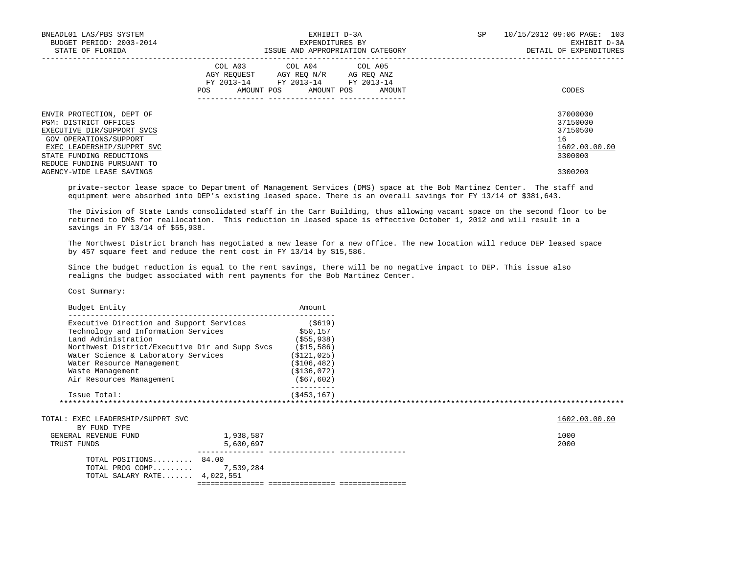| BNEADL01 LAS/PBS SYSTEM<br>BUDGET PERIOD: 2003-2014<br>STATE OF FLORIDA | EXHIBIT D-3A<br>EXPENDITURES BY<br>ISSUE AND APPROPRIATION CATEGORY                                                                               | 10/15/2012 09:06 PAGE: 103<br>SP<br>EXHIBIT D-3A<br>DETAIL OF EXPENDITURES |
|-------------------------------------------------------------------------|---------------------------------------------------------------------------------------------------------------------------------------------------|----------------------------------------------------------------------------|
|                                                                         | COL A03<br>COL A04 COL A05<br>AGY REQUEST AGY REQ N/R AG REQ ANZ<br>FY 2013-14<br>FY 2013-14 FY 2013-14<br>AMOUNT POS AMOUNT POS<br>POS<br>AMOUNT | CODES                                                                      |
| ENVIR PROTECTION, DEPT OF<br>PGM: DISTRICT OFFICES                      |                                                                                                                                                   | 37000000<br>37150000                                                       |
| EXECUTIVE DIR/SUPPORT SVCS                                              |                                                                                                                                                   | 37150500                                                                   |
| GOV OPERATIONS/SUPPORT                                                  |                                                                                                                                                   | 16                                                                         |
| EXEC LEADERSHIP/SUPPRT SVC                                              |                                                                                                                                                   | 1602.00.00.00                                                              |
| STATE FUNDING REDUCTIONS                                                |                                                                                                                                                   | 3300000                                                                    |
| REDUCE FUNDING PURSUANT TO                                              |                                                                                                                                                   |                                                                            |
| AGENCY-WIDE LEASE SAVINGS                                               |                                                                                                                                                   | 3300200                                                                    |

 private-sector lease space to Department of Management Services (DMS) space at the Bob Martinez Center. The staff and equipment were absorbed into DEP's existing leased space. There is an overall savings for FY 13/14 of \$381,643.

 The Division of State Lands consolidated staff in the Carr Building, thus allowing vacant space on the second floor to be returned to DMS for reallocation. This reduction in leased space is effective October 1, 2012 and will result in a savings in FY 13/14 of \$55,938.

 The Northwest District branch has negotiated a new lease for a new office. The new location will reduce DEP leased space by 457 square feet and reduce the rent cost in FY 13/14 by \$15,586.

 Since the budget reduction is equal to the rent savings, there will be no negative impact to DEP. This issue also realigns the budget associated with rent payments for the Bob Martinez Center.

Cost Summary:

| Budget Entity                                  |           | Amount        |               |
|------------------------------------------------|-----------|---------------|---------------|
| Executive Direction and Support Services       |           | ( \$619)      |               |
| Technology and Information Services            |           | \$50,157      |               |
| Land Administration                            |           | $($ \$55,938) |               |
| Northwest District/Executive Dir and Supp Svcs |           | ( \$15, 586)  |               |
| Water Science & Laboratory Services            |           | ( \$121, 025) |               |
| Water Resource Management                      |           | ( \$106, 482) |               |
| Waste Management                               |           | ( \$136, 072) |               |
| Air Resources Management                       |           | ( \$67, 602)  |               |
| Issue Total:                                   |           | ( \$453, 167) |               |
|                                                |           |               |               |
| TOTAL: EXEC LEADERSHIP/SUPPRT SVC              |           |               | 1602.00.00.00 |
| BY FUND TYPE                                   |           |               |               |
| GENERAL REVENUE FUND                           | 1,938,587 |               | 1000          |
| TRUST FUNDS                                    | 5,600,697 |               | 2000          |
| TOTAL POSITIONS 84.00                          |           |               |               |
| TOTAL PROG COMP 7,539,284                      |           |               |               |
| TOTAL SALARY RATE 4,022,551                    |           |               |               |
|                                                |           |               |               |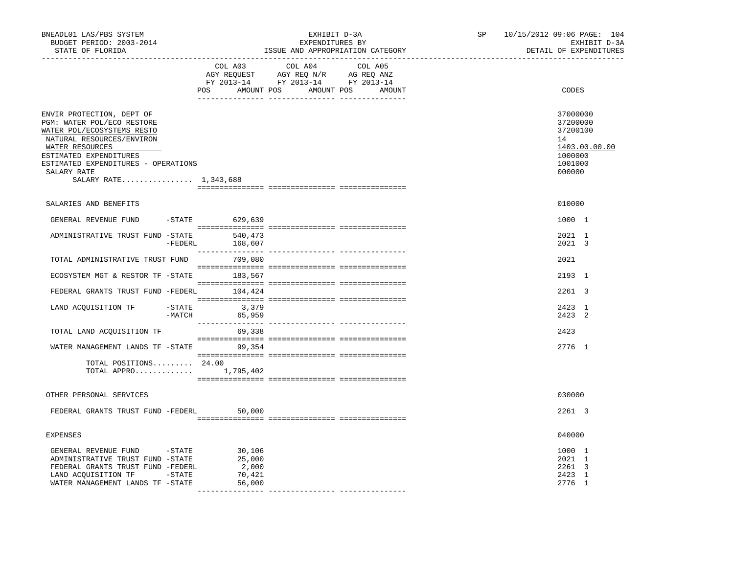| BNEADL01 LAS/PBS SYSTEM<br>BUDGET PERIOD: 2003-2014<br>STATE OF FLORIDA                                                                                                                                                                        |          | _________________________________             | EXHIBIT D-3A<br>EXPENDITURES BY<br>ISSUE AND APPROPRIATION CATEGORY                                                   |         | SP | 10/15/2012 09:06 PAGE: 104<br>EXHIBIT D-3A<br>DETAIL OF EXPENDITURES                    |
|------------------------------------------------------------------------------------------------------------------------------------------------------------------------------------------------------------------------------------------------|----------|-----------------------------------------------|-----------------------------------------------------------------------------------------------------------------------|---------|----|-----------------------------------------------------------------------------------------|
|                                                                                                                                                                                                                                                |          | COL A03                                       | COL A04<br>AGY REQUEST AGY REQ N/R AG REQ ANZ<br>FY 2013-14 FY 2013-14 FY 2013-14<br>POS AMOUNT POS AMOUNT POS AMOUNT | COL A05 |    | CODES                                                                                   |
| ENVIR PROTECTION, DEPT OF<br>PGM: WATER POL/ECO RESTORE<br>WATER POL/ECOSYSTEMS RESTO<br>NATURAL RESOURCES/ENVIRON<br>WATER RESOURCES<br>ESTIMATED EXPENDITURES<br>ESTIMATED EXPENDITURES - OPERATIONS<br>SALARY RATE<br>SALARY RATE 1,343,688 |          |                                               |                                                                                                                       |         |    | 37000000<br>37200000<br>37200100<br>14<br>1403.00.00.00<br>1000000<br>1001000<br>000000 |
| SALARIES AND BENEFITS                                                                                                                                                                                                                          |          |                                               |                                                                                                                       |         |    | 010000                                                                                  |
| GENERAL REVENUE FUND -STATE 629,639                                                                                                                                                                                                            |          |                                               |                                                                                                                       |         |    | 1000 1                                                                                  |
| ADMINISTRATIVE TRUST FUND -STATE                                                                                                                                                                                                               |          | 540,473<br>-FEDERL 168,607                    |                                                                                                                       |         |    | 2021 1<br>2021 3                                                                        |
| TOTAL ADMINISTRATIVE TRUST FUND 709,080                                                                                                                                                                                                        |          |                                               |                                                                                                                       |         |    | 2021                                                                                    |
| ECOSYSTEM MGT & RESTOR TF -STATE                                                                                                                                                                                                               |          | 183,567                                       |                                                                                                                       |         |    | 2193 1                                                                                  |
| FEDERAL GRANTS TRUST FUND -FEDERL 104,424                                                                                                                                                                                                      |          |                                               |                                                                                                                       |         |    | 2261 3                                                                                  |
| LAND ACQUISITION TF -STATE 3,379                                                                                                                                                                                                               | $-MATCH$ | 65,959                                        |                                                                                                                       |         |    | 2423 1<br>2423 2                                                                        |
| TOTAL LAND ACQUISITION TF                                                                                                                                                                                                                      |          | 69,338                                        |                                                                                                                       |         |    | 2423                                                                                    |
| WATER MANAGEMENT LANDS TF -STATE 99,354                                                                                                                                                                                                        |          |                                               |                                                                                                                       |         |    | 2776 1                                                                                  |
| TOTAL POSITIONS 24.00<br>TOTAL APPRO $1,795,402$                                                                                                                                                                                               |          |                                               |                                                                                                                       |         |    |                                                                                         |
| OTHER PERSONAL SERVICES                                                                                                                                                                                                                        |          |                                               |                                                                                                                       |         |    | 030000                                                                                  |
| FEDERAL GRANTS TRUST FUND -FEDERL                                                                                                                                                                                                              |          | 50,000                                        |                                                                                                                       |         |    | 2261 3                                                                                  |
| <b>EXPENSES</b>                                                                                                                                                                                                                                |          |                                               |                                                                                                                       |         |    | 040000                                                                                  |
| GENERAL REVENUE FUND -STATE<br>ADMINISTRATIVE TRUST FUND -STATE<br>FEDERAL GRANTS TRUST FUND -FEDERL<br>LAND ACQUISITION TF -STATE<br>WATER MANAGEMENT LANDS TF -STATE                                                                         |          | 30,106<br>25,000<br>2,000<br>70,421<br>56,000 |                                                                                                                       |         |    | 1000 1<br>2021 1<br>2261 3<br>2423 1<br>2776 1                                          |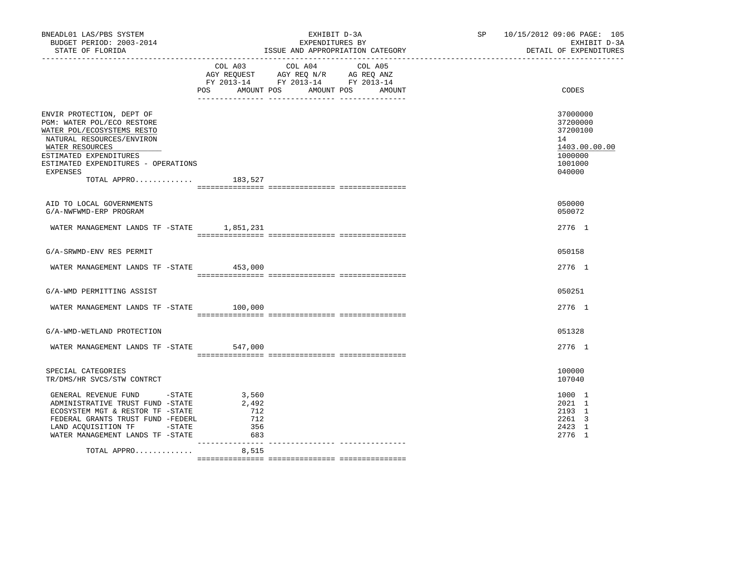| BNEADL01 LAS/PBS SYSTEM<br>BUDGET PERIOD: 2003-2014<br>STATE OF FLORIDA<br>________________                                                                                                                                              |                                                                                                                        | EXHIBIT D-3A<br>EXPENDITURES BY<br>ISSUE AND APPROPRIATION CATEGORY |        | SP 10/15/2012 09:06 PAGE: 105<br>EXHIBIT D-3A<br>DETAIL OF EXPENDITURES                 |
|------------------------------------------------------------------------------------------------------------------------------------------------------------------------------------------------------------------------------------------|------------------------------------------------------------------------------------------------------------------------|---------------------------------------------------------------------|--------|-----------------------------------------------------------------------------------------|
|                                                                                                                                                                                                                                          | COL A03 COL A04 COL A05<br>AGY REQUEST AGY REQ N/R AG REQ ANZ<br>FY 2013-14 FY 2013-14 FY 2013-14<br>AMOUNT POS<br>POS | AMOUNT POS                                                          | AMOUNT | CODES                                                                                   |
| ENVIR PROTECTION, DEPT OF<br>PGM: WATER POL/ECO RESTORE<br>WATER POL/ECOSYSTEMS RESTO<br>NATURAL RESOURCES/ENVIRON<br>WATER RESOURCES<br>ESTIMATED EXPENDITURES<br>ESTIMATED EXPENDITURES - OPERATIONS<br><b>EXPENSES</b><br>TOTAL APPRO | 183,527                                                                                                                |                                                                     |        | 37000000<br>37200000<br>37200100<br>14<br>1403.00.00.00<br>1000000<br>1001000<br>040000 |
| AID TO LOCAL GOVERNMENTS<br>G/A-NWFWMD-ERP PROGRAM                                                                                                                                                                                       |                                                                                                                        |                                                                     |        | 050000<br>050072                                                                        |
| WATER MANAGEMENT LANDS TF -STATE 1,851,231                                                                                                                                                                                               |                                                                                                                        |                                                                     |        | 2776 1                                                                                  |
| G/A-SRWMD-ENV RES PERMIT                                                                                                                                                                                                                 |                                                                                                                        |                                                                     |        | 050158                                                                                  |
| WATER MANAGEMENT LANDS TF -STATE 453,000                                                                                                                                                                                                 |                                                                                                                        |                                                                     |        | 2776 1                                                                                  |
| G/A-WMD PERMITTING ASSIST                                                                                                                                                                                                                |                                                                                                                        |                                                                     |        | 050251                                                                                  |
| WATER MANAGEMENT LANDS TF -STATE 100,000                                                                                                                                                                                                 |                                                                                                                        |                                                                     |        | 2776 1                                                                                  |
| G/A-WMD-WETLAND PROTECTION                                                                                                                                                                                                               |                                                                                                                        |                                                                     |        | 051328                                                                                  |
| WATER MANAGEMENT LANDS TF -STATE 547,000                                                                                                                                                                                                 |                                                                                                                        |                                                                     |        | 2776 1                                                                                  |
| SPECIAL CATEGORIES<br>TR/DMS/HR SVCS/STW CONTRCT                                                                                                                                                                                         |                                                                                                                        |                                                                     |        | 100000<br>107040                                                                        |
| GENERAL REVENUE FUND - STATE<br>ADMINISTRATIVE TRUST FUND -STATE<br>ECOSYSTEM MGT & RESTOR TF -STATE<br>FEDERAL GRANTS TRUST FUND -FEDERL<br>LAND ACQUISITION TF -STATE<br>WATER MANAGEMENT LANDS TF -STATE                              | 3,560<br>2,492<br>712<br>712<br>356<br>683                                                                             |                                                                     |        | 1000 1<br>2021 1<br>2193 1<br>2261 3<br>2423 1<br>2776 1                                |
| TOTAL APPRO                                                                                                                                                                                                                              | 8,515                                                                                                                  |                                                                     |        |                                                                                         |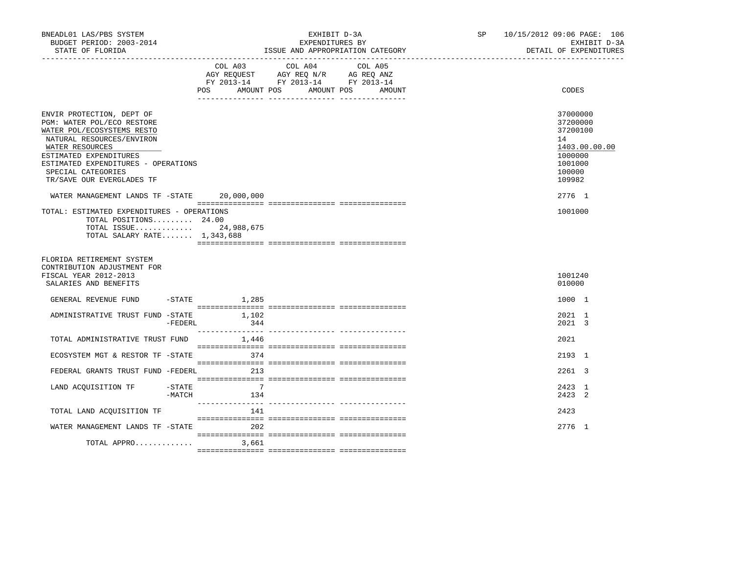| BNEADL01 LAS/PBS SYSTEM<br>BUDGET PERIOD: 2003-2014<br>STATE OF FLORIDA                                                                                                                                                                                                                                  | EXHIBIT D-3A<br>EXPENDITURES BY<br>ISSUE AND APPROPRIATION CATEGORY |                          | SP and the set of the set of the set of the set of the set of the set of the set of the set of the set of the set of the set of the set of the set of the set of the set of the set of the set of the set of the set of the se | 10/15/2012 09:06 PAGE: 106<br>EXHIBIT D-3A<br>DETAIL OF EXPENDITURES |  |                                                                                                             |
|----------------------------------------------------------------------------------------------------------------------------------------------------------------------------------------------------------------------------------------------------------------------------------------------------------|---------------------------------------------------------------------|--------------------------|--------------------------------------------------------------------------------------------------------------------------------------------------------------------------------------------------------------------------------|----------------------------------------------------------------------|--|-------------------------------------------------------------------------------------------------------------|
|                                                                                                                                                                                                                                                                                                          |                                                                     | <b>POS</b><br>AMOUNT POS | COL A03 COL A04 COL A05<br>AGY REQUEST AGY REQ N/R AG REQ ANZ<br>FY 2013-14 FY 2013-14 FY 2013-14                                                                                                                              | AMOUNT POS<br>AMOUNT                                                 |  | CODES                                                                                                       |
| ENVIR PROTECTION, DEPT OF<br>PGM: WATER POL/ECO RESTORE<br>WATER POL/ECOSYSTEMS RESTO<br>NATURAL RESOURCES/ENVIRON<br>WATER RESOURCES<br>ESTIMATED EXPENDITURES<br>ESTIMATED EXPENDITURES - OPERATIONS<br>SPECIAL CATEGORIES<br>TR/SAVE OUR EVERGLADES TF<br>WATER MANAGEMENT LANDS TF -STATE 20,000,000 |                                                                     |                          |                                                                                                                                                                                                                                |                                                                      |  | 37000000<br>37200000<br>37200100<br>14<br>1403.00.00.00<br>1000000<br>1001000<br>100000<br>109982<br>2776 1 |
| TOTAL: ESTIMATED EXPENDITURES - OPERATIONS<br>TOTAL POSITIONS 24.00<br>TOTAL ISSUE 24,988,675<br>TOTAL SALARY RATE 1,343,688                                                                                                                                                                             |                                                                     |                          |                                                                                                                                                                                                                                |                                                                      |  | 1001000                                                                                                     |
| FLORIDA RETIREMENT SYSTEM<br>CONTRIBUTION ADJUSTMENT FOR<br>FISCAL YEAR 2012-2013<br>SALARIES AND BENEFITS                                                                                                                                                                                               |                                                                     |                          |                                                                                                                                                                                                                                |                                                                      |  | 1001240<br>010000                                                                                           |
| GENERAL REVENUE FUND -STATE 1,285                                                                                                                                                                                                                                                                        |                                                                     |                          |                                                                                                                                                                                                                                |                                                                      |  | 1000 1                                                                                                      |
| ADMINISTRATIVE TRUST FUND -STATE                                                                                                                                                                                                                                                                         | -FEDERL                                                             | 1,102<br>344             |                                                                                                                                                                                                                                |                                                                      |  | 2021 1<br>2021 3                                                                                            |
| TOTAL ADMINISTRATIVE TRUST FUND 1,446                                                                                                                                                                                                                                                                    |                                                                     |                          |                                                                                                                                                                                                                                |                                                                      |  | 2021                                                                                                        |
| ECOSYSTEM MGT & RESTOR TF -STATE                                                                                                                                                                                                                                                                         |                                                                     | 374                      |                                                                                                                                                                                                                                |                                                                      |  | 2193 1                                                                                                      |
| FEDERAL GRANTS TRUST FUND -FEDERL                                                                                                                                                                                                                                                                        |                                                                     | 213                      |                                                                                                                                                                                                                                |                                                                      |  | 2261 3                                                                                                      |
| LAND ACQUISITION TF                                                                                                                                                                                                                                                                                      | $-$ STATE<br>-MATCH                                                 | 7<br>134                 |                                                                                                                                                                                                                                |                                                                      |  | 2423 1<br>2423 2                                                                                            |
| TOTAL LAND ACQUISITION TF                                                                                                                                                                                                                                                                                |                                                                     | 141                      |                                                                                                                                                                                                                                |                                                                      |  | 2423                                                                                                        |
| WATER MANAGEMENT LANDS TF -STATE 202                                                                                                                                                                                                                                                                     |                                                                     |                          |                                                                                                                                                                                                                                |                                                                      |  | 2776 1                                                                                                      |
| TOTAL APPRO                                                                                                                                                                                                                                                                                              |                                                                     | 3,661                    |                                                                                                                                                                                                                                |                                                                      |  |                                                                                                             |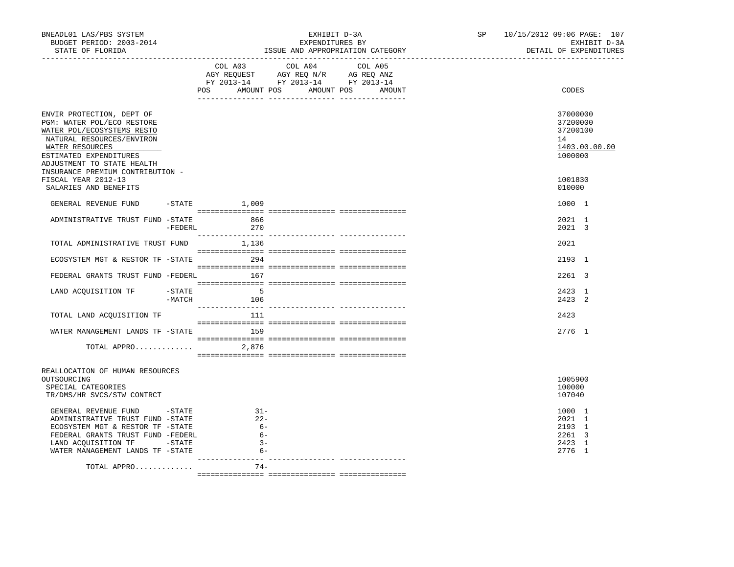| BNEADL01 LAS/PBS SYSTEM<br>BUDGET PERIOD: 2003-2014<br>STATE OF FLORIDA                                                                                         |           |                                  | EXPENDITURES BY<br>ISSUE AND APPROPRIATION CATEGORY                                               | EXHIBIT D-3A | SP <sub>2</sub> | 10/15/2012 09:06 PAGE: 107<br>EXHIBIT D-3A<br>DETAIL OF EXPENDITURES |
|-----------------------------------------------------------------------------------------------------------------------------------------------------------------|-----------|----------------------------------|---------------------------------------------------------------------------------------------------|--------------|-----------------|----------------------------------------------------------------------|
|                                                                                                                                                                 |           | POS AMOUNT POS AMOUNT POS AMOUNT | COL A03 COL A04 COL A05<br>AGY REQUEST AGY REQ N/R AG REQ ANZ<br>FY 2013-14 FY 2013-14 FY 2013-14 |              |                 | CODES                                                                |
|                                                                                                                                                                 |           |                                  |                                                                                                   |              |                 |                                                                      |
| ENVIR PROTECTION, DEPT OF<br>PGM: WATER POL/ECO RESTORE<br>WATER POL/ECOSYSTEMS RESTO<br>NATURAL RESOURCES/ENVIRON<br>WATER RESOURCES<br>ESTIMATED EXPENDITURES |           |                                  |                                                                                                   |              |                 | 37000000<br>37200000<br>37200100<br>14<br>1403.00.00.00<br>1000000   |
| ADJUSTMENT TO STATE HEALTH<br>INSURANCE PREMIUM CONTRIBUTION -<br>FISCAL YEAR 2012-13<br>SALARIES AND BENEFITS                                                  |           |                                  |                                                                                                   |              |                 | 1001830<br>010000                                                    |
| GENERAL REVENUE FUND -STATE 1,009                                                                                                                               |           |                                  |                                                                                                   |              |                 | 1000 1                                                               |
| ADMINISTRATIVE TRUST FUND -STATE 666                                                                                                                            |           |                                  |                                                                                                   |              |                 | 2021 1                                                               |
|                                                                                                                                                                 | $-FEDERL$ | 270                              |                                                                                                   |              |                 | 2021 3                                                               |
| TOTAL ADMINISTRATIVE TRUST FUND 1,136                                                                                                                           |           |                                  |                                                                                                   |              |                 | 2021                                                                 |
| ECOSYSTEM MGT & RESTOR TF -STATE 294                                                                                                                            |           |                                  |                                                                                                   |              |                 | 2193 1                                                               |
| FEDERAL GRANTS TRUST FUND -FEDERL 167                                                                                                                           |           |                                  |                                                                                                   |              |                 | 2261 3                                                               |
| LAND ACQUISITION TF -STATE                                                                                                                                      |           | 5 <sup>5</sup>                   |                                                                                                   |              |                 | 2423 1                                                               |
|                                                                                                                                                                 |           | $-MATCH$ 106                     |                                                                                                   |              |                 | 2423 2                                                               |
| TOTAL LAND ACQUISITION TF                                                                                                                                       |           | 111                              |                                                                                                   |              |                 | 2423                                                                 |
| WATER MANAGEMENT LANDS TF -STATE 159                                                                                                                            |           |                                  |                                                                                                   |              |                 | 2776 1                                                               |
|                                                                                                                                                                 |           |                                  |                                                                                                   |              |                 |                                                                      |
|                                                                                                                                                                 |           |                                  |                                                                                                   |              |                 |                                                                      |
| REALLOCATION OF HUMAN RESOURCES<br>OUTSOURCING<br>SPECIAL CATEGORIES                                                                                            |           |                                  |                                                                                                   |              |                 | 1005900<br>100000                                                    |
| TR/DMS/HR SVCS/STW CONTRCT                                                                                                                                      |           |                                  |                                                                                                   |              |                 | 107040                                                               |
| GENERAL REVENUE FUND -STATE<br>ADMINISTRATIVE TRUST FUND -STATE                                                                                                 |           | $31 -$<br>$22 -$                 |                                                                                                   |              |                 | 1000 1<br>2021 1                                                     |
| ECOSYSTEM MGT & RESTOR TF -STATE                                                                                                                                |           | - 6                              |                                                                                                   |              |                 | 2193 1                                                               |
| FEDERAL GRANTS TRUST FUND -FEDERL                                                                                                                               |           | $6 -$                            |                                                                                                   |              |                 | 2261 3                                                               |
| LAND ACQUISITION TF -STATE                                                                                                                                      |           | $-3-$                            |                                                                                                   |              |                 | 2423 1                                                               |
| WATER MANAGEMENT LANDS TF -STATE                                                                                                                                |           | 6-                               |                                                                                                   |              |                 | 2776 1                                                               |
| TOTAL APPRO                                                                                                                                                     |           | $74-$                            |                                                                                                   |              |                 |                                                                      |
|                                                                                                                                                                 |           |                                  |                                                                                                   |              |                 |                                                                      |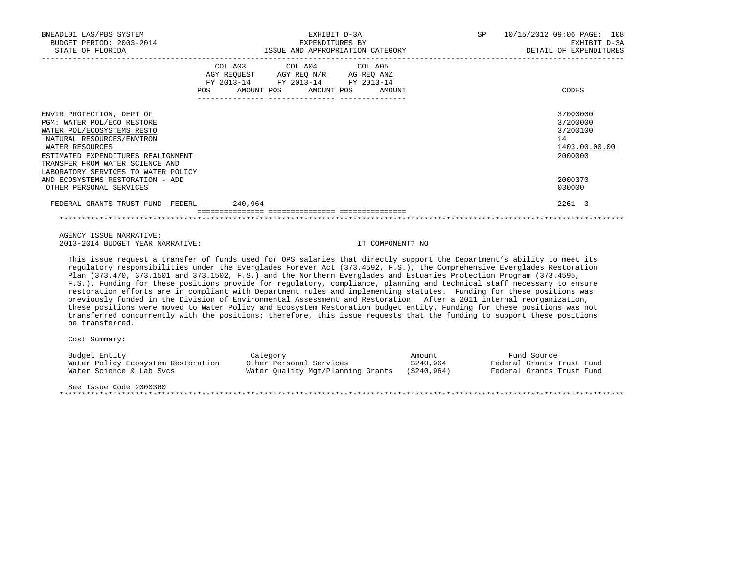| BNEADL01 LAS/PBS SYSTEM<br>BUDGET PERIOD: 2003-2014<br>STATE OF FLORIDA                                                                                                                                                                               |         | EXHIBIT D-3A<br>EXPENDITURES BY<br>ISSUE AND APPROPRIATION CATEGORY                                                               | SP | 10/15/2012 09:06 PAGE: 108<br>EXHIBIT D-3A<br>DETAIL OF EXPENDITURES |
|-------------------------------------------------------------------------------------------------------------------------------------------------------------------------------------------------------------------------------------------------------|---------|-----------------------------------------------------------------------------------------------------------------------------------|----|----------------------------------------------------------------------|
|                                                                                                                                                                                                                                                       | POS FOR | COL A03 COL A04 COL A05<br>AGY REQUEST AGY REQ N/R AG REQ ANZ<br>FY 2013-14 FY 2013-14 FY 2013-14<br>AMOUNT POS AMOUNT POS AMOUNT |    | CODES                                                                |
| ENVIR PROTECTION, DEPT OF<br>PGM: WATER POL/ECO RESTORE<br>WATER POL/ECOSYSTEMS RESTO<br>NATURAL RESOURCES/ENVIRON<br>WATER RESOURCES<br>ESTIMATED EXPENDITURES REALIGNMENT<br>TRANSFER FROM WATER SCIENCE AND<br>LABORATORY SERVICES TO WATER POLICY |         |                                                                                                                                   |    | 37000000<br>37200000<br>37200100<br>14<br>1403.00.00.00<br>2000000   |
| AND ECOSYSTEMS RESTORATION - ADD<br>OTHER PERSONAL SERVICES                                                                                                                                                                                           |         |                                                                                                                                   |    | 2000370<br>030000                                                    |
| FEDERAL GRANTS TRUST FUND -FEDERL 240,964                                                                                                                                                                                                             |         |                                                                                                                                   |    | 2261 3                                                               |
|                                                                                                                                                                                                                                                       |         |                                                                                                                                   |    |                                                                      |

 AGENCY ISSUE NARRATIVE: 2013-2014 BUDGET YEAR NARRATIVE: IT COMPONENT? NO

 This issue request a transfer of funds used for OPS salaries that directly support the Department's ability to meet its regulatory responsibilities under the Everglades Forever Act (373.4592, F.S.), the Comprehensive Everglades Restoration Plan (373.470, 373.1501 and 373.1502, F.S.) and the Northern Everglades and Estuaries Protection Program (373.4595, F.S.). Funding for these positions provide for regulatory, compliance, planning and technical staff necessary to ensure restoration efforts are in compliant with Department rules and implementing statutes. Funding for these positions was previously funded in the Division of Environmental Assessment and Restoration. After a 2011 internal reorganization, these positions were moved to Water Policy and Ecosystem Restoration budget entity. Funding for these positions was not transferred concurrently with the positions; therefore, this issue requests that the funding to support these positions be transferred.

Cost Summary:

| Budget Entity                      | Category                          | Amount     | Fund Source               |
|------------------------------------|-----------------------------------|------------|---------------------------|
| Water Policy Ecosystem Restoration | Other Personal Services           | \$240,964  | Federal Grants Trust Fund |
| Water Science & Lab Svcs           | Water Ouality Mgt/Planning Grants | (S240.964) | Federal Grants Trust Fund |
|                                    |                                   |            |                           |

See Issue Code 2000360

\*\*\*\*\*\*\*\*\*\*\*\*\*\*\*\*\*\*\*\*\*\*\*\*\*\*\*\*\*\*\*\*\*\*\*\*\*\*\*\*\*\*\*\*\*\*\*\*\*\*\*\*\*\*\*\*\*\*\*\*\*\*\*\*\*\*\*\*\*\*\*\*\*\*\*\*\*\*\*\*\*\*\*\*\*\*\*\*\*\*\*\*\*\*\*\*\*\*\*\*\*\*\*\*\*\*\*\*\*\*\*\*\*\*\*\*\*\*\*\*\*\*\*\*\*\*\*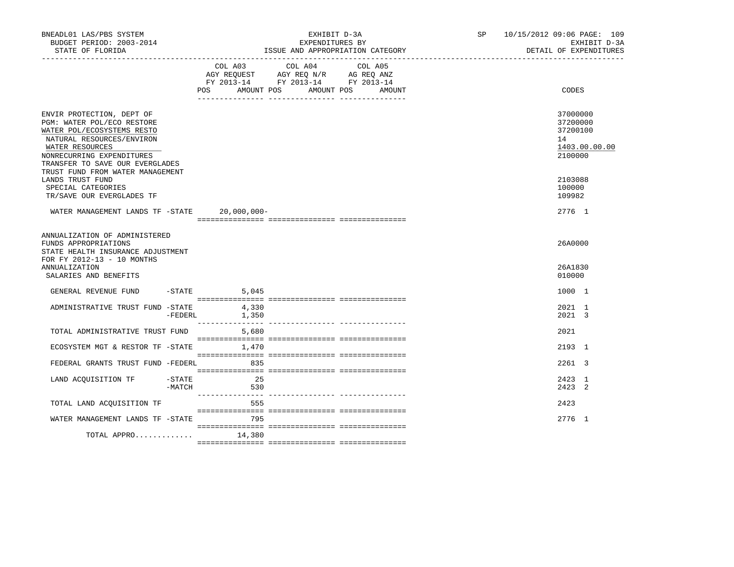| BNEADL01 LAS/PBS SYSTEM<br>BUDGET PERIOD: 2003-2014<br>STATE OF FLORIDA                                                                                                                               |                    | EXHIBIT D-3A<br>EXPENDITURES BY<br>ISSUE AND APPROPRIATION CATEGORY |                                                                                                                            |        |  | SP 10/15/2012 09:06 PAGE: 109<br>EXHIBIT D-3A<br>DETAIL OF EXPENDITURES |
|-------------------------------------------------------------------------------------------------------------------------------------------------------------------------------------------------------|--------------------|---------------------------------------------------------------------|----------------------------------------------------------------------------------------------------------------------------|--------|--|-------------------------------------------------------------------------|
|                                                                                                                                                                                                       |                    | POS                                                                 | COL A03 COL A04 COL A05<br>AGY REQUEST AGY REQ N/R AG REQ ANZ<br>FY 2013-14 FY 2013-14 FY 2013-14<br>AMOUNT POS AMOUNT POS | AMOUNT |  | CODES                                                                   |
| ENVIR PROTECTION, DEPT OF<br>PGM: WATER POL/ECO RESTORE<br>WATER POL/ECOSYSTEMS RESTO<br>NATURAL RESOURCES/ENVIRON<br>WATER RESOURCES<br>NONRECURRING EXPENDITURES<br>TRANSFER TO SAVE OUR EVERGLADES |                    |                                                                     |                                                                                                                            |        |  | 37000000<br>37200000<br>37200100<br>14<br>1403.00.00.00<br>2100000      |
| TRUST FUND FROM WATER MANAGEMENT<br>LANDS TRUST FUND<br>SPECIAL CATEGORIES<br>TR/SAVE OUR EVERGLADES TF                                                                                               |                    |                                                                     |                                                                                                                            |        |  | 2103088<br>100000<br>109982                                             |
| WATER MANAGEMENT LANDS TF -STATE 20,000,000-                                                                                                                                                          |                    |                                                                     |                                                                                                                            |        |  | 2776 1                                                                  |
| ANNUALIZATION OF ADMINISTERED<br>FUNDS APPROPRIATIONS<br>STATE HEALTH INSURANCE ADJUSTMENT<br>FOR FY 2012-13 - 10 MONTHS                                                                              |                    |                                                                     |                                                                                                                            |        |  | 26A0000                                                                 |
| ANNUALIZATION<br>SALARIES AND BENEFITS                                                                                                                                                                |                    |                                                                     |                                                                                                                            |        |  | 26A1830<br>010000                                                       |
| GENERAL REVENUE FUND -STATE                                                                                                                                                                           |                    | 5,045                                                               |                                                                                                                            |        |  | 1000 1                                                                  |
| ADMINISTRATIVE TRUST FUND -STATE                                                                                                                                                                      |                    | 4,330<br>1,350<br>$-FEDERL$                                         |                                                                                                                            |        |  | 2021 1<br>2021 3                                                        |
| TOTAL ADMINISTRATIVE TRUST FUND 5,680                                                                                                                                                                 |                    |                                                                     |                                                                                                                            |        |  | 2021                                                                    |
| ECOSYSTEM MGT & RESTOR TF -STATE                                                                                                                                                                      |                    | 1,470                                                               |                                                                                                                            |        |  | 2193 1                                                                  |
| FEDERAL GRANTS TRUST FUND -FEDERL                                                                                                                                                                     |                    | 835                                                                 |                                                                                                                            |        |  | $2261$ 3                                                                |
| LAND ACOUISITION TF                                                                                                                                                                                   | -STATE<br>$-MATCH$ | 2.5<br>530                                                          |                                                                                                                            |        |  | 2423 1<br>$2423$ 2                                                      |
| TOTAL LAND ACOUISITION TF                                                                                                                                                                             |                    | 555                                                                 |                                                                                                                            |        |  | 2423                                                                    |
| WATER MANAGEMENT LANDS TF -STATE                                                                                                                                                                      |                    | 795                                                                 |                                                                                                                            |        |  | 2776 1                                                                  |
| TOTAL APPRO                                                                                                                                                                                           |                    | 14,380                                                              |                                                                                                                            |        |  |                                                                         |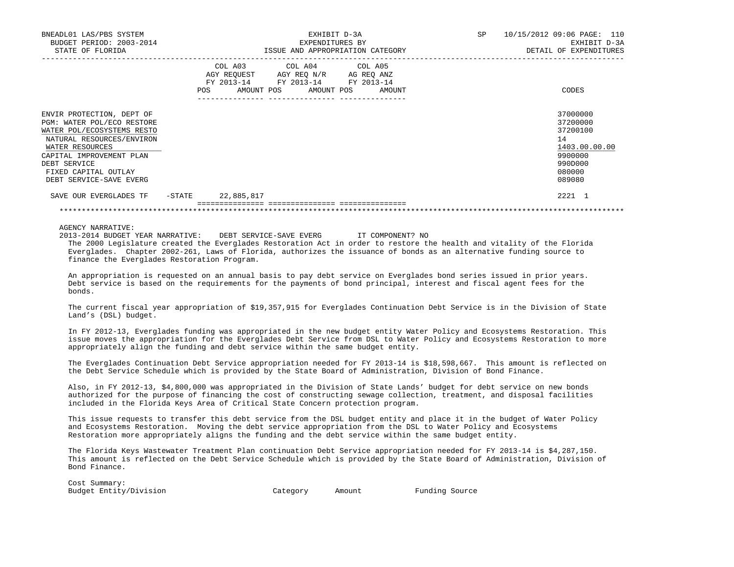| BNEADL01 LAS/PBS SYSTEM<br>BUDGET PERIOD: 2003-2014<br>STATE OF FLORIDA                                                                                                                                                              |        | EXHIBIT D-3A<br>EXPENDITURES BY<br>ISSUE AND APPROPRIATION CATEGORY |                                                                                                   |                                  |  | SP | 10/15/2012 09:06 PAGE: 110<br>EXHIBIT D-3A<br>DETAIL OF EXPENDITURES                              |
|--------------------------------------------------------------------------------------------------------------------------------------------------------------------------------------------------------------------------------------|--------|---------------------------------------------------------------------|---------------------------------------------------------------------------------------------------|----------------------------------|--|----|---------------------------------------------------------------------------------------------------|
|                                                                                                                                                                                                                                      |        |                                                                     | COL A03 COL A04 COL A05<br>AGY REQUEST AGY REQ N/R AG REQ ANZ<br>FY 2013-14 FY 2013-14 FY 2013-14 | POS AMOUNT POS AMOUNT POS AMOUNT |  |    | CODES                                                                                             |
| ENVIR PROTECTION, DEPT OF<br>PGM: WATER POL/ECO RESTORE<br>WATER POL/ECOSYSTEMS RESTO<br>NATURAL RESOURCES/ENVIRON<br>WATER RESOURCES<br>CAPITAL IMPROVEMENT PLAN<br>DEBT SERVICE<br>FIXED CAPITAL OUTLAY<br>DEBT SERVICE-SAVE EVERG |        |                                                                     |                                                                                                   |                                  |  |    | 37000000<br>37200000<br>37200100<br>14<br>1403.00.00.00<br>9900000<br>990D000<br>080000<br>089080 |
| SAVE OUR EVERGLADES TF                                                                                                                                                                                                               | -STATE | 22,885,817                                                          |                                                                                                   |                                  |  |    | 2221 1                                                                                            |

 2013-2014 BUDGET YEAR NARRATIVE: DEBT SERVICE-SAVE EVERG IT COMPONENT? NO The 2000 Legislature created the Everglades Restoration Act in order to restore the health and vitality of the Florida Everglades. Chapter 2002-261, Laws of Florida, authorizes the issuance of bonds as an alternative funding source to finance the Everglades Restoration Program.

\*\*\*\*\*\*\*\*\*\*\*\*\*\*\*\*\*\*\*\*\*\*\*\*\*\*\*\*\*\*\*\*\*\*\*\*\*\*\*\*\*\*\*\*\*\*\*\*\*\*\*\*\*\*\*\*\*\*\*\*\*\*\*\*\*\*\*\*\*\*\*\*\*\*\*\*\*\*\*\*\*\*\*\*\*\*\*\*\*\*\*\*\*\*\*\*\*\*\*\*\*\*\*\*\*\*\*\*\*\*\*\*\*\*\*\*\*\*\*\*\*\*\*\*\*\*\*

 An appropriation is requested on an annual basis to pay debt service on Everglades bond series issued in prior years. Debt service is based on the requirements for the payments of bond principal, interest and fiscal agent fees for the bonds.

 The current fiscal year appropriation of \$19,357,915 for Everglades Continuation Debt Service is in the Division of State Land's (DSL) budget.

 In FY 2012-13, Everglades funding was appropriated in the new budget entity Water Policy and Ecosystems Restoration. This issue moves the appropriation for the Everglades Debt Service from DSL to Water Policy and Ecosystems Restoration to more appropriately align the funding and debt service within the same budget entity.

 The Everglades Continuation Debt Service appropriation needed for FY 2013-14 is \$18,598,667. This amount is reflected on the Debt Service Schedule which is provided by the State Board of Administration, Division of Bond Finance.

 Also, in FY 2012-13, \$4,800,000 was appropriated in the Division of State Lands' budget for debt service on new bonds authorized for the purpose of financing the cost of constructing sewage collection, treatment, and disposal facilities included in the Florida Keys Area of Critical State Concern protection program.

 This issue requests to transfer this debt service from the DSL budget entity and place it in the budget of Water Policy and Ecosystems Restoration. Moving the debt service appropriation from the DSL to Water Policy and Ecosystems Restoration more appropriately aligns the funding and the debt service within the same budget entity.

 The Florida Keys Wastewater Treatment Plan continuation Debt Service appropriation needed for FY 2013-14 is \$4,287,150. This amount is reflected on the Debt Service Schedule which is provided by the State Board of Administration, Division of Bond Finance.

| Cost Summary:          |          |        |                |
|------------------------|----------|--------|----------------|
| Budget Entity/Division | Category | Amount | Funding Source |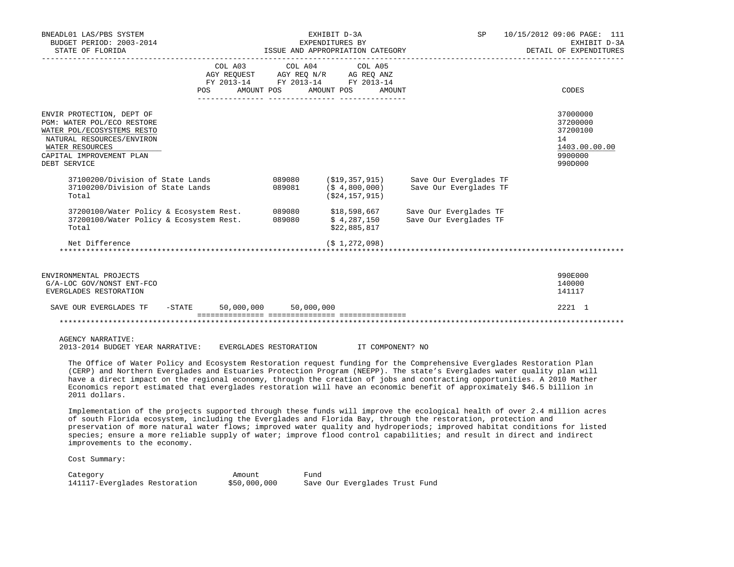| BNEADL01 LAS/PBS SYSTEM<br>BUDGET PERIOD: 2003-2014<br>STATE OF FLORIDA                                                                                                           |            |                       | EXHIBIT D-3A<br>EXPENDITURES BY<br>ISSUE AND APPROPRIATION CATEGORY                                                                                                                | SP <sub>2</sub>                                                      | 10/15/2012 09:06 PAGE: 111<br>EXHIBIT D-3A<br>DETAIL OF EXPENDITURES          |
|-----------------------------------------------------------------------------------------------------------------------------------------------------------------------------------|------------|-----------------------|------------------------------------------------------------------------------------------------------------------------------------------------------------------------------------|----------------------------------------------------------------------|-------------------------------------------------------------------------------|
| POS                                                                                                                                                                               | AMOUNT POS |                       | $\begin{tabular}{lcccc} COL A03 & COL A04 & COL A05 \\ AGY REQUEST & AGY REQ N/R & AG REQ ANZ \\ FY & 2013-14 & FY & 2013-14 & FY & 2013-14 \end{tabular}$<br>AMOUNT POS<br>AMOUNT |                                                                      | CODES                                                                         |
| ENVIR PROTECTION, DEPT OF<br>PGM: WATER POL/ECO RESTORE<br>WATER POL/ECOSYSTEMS RESTO<br>NATURAL RESOURCES/ENVIRON<br>WATER RESOURCES<br>CAPITAL IMPROVEMENT PLAN<br>DEBT SERVICE |            |                       |                                                                                                                                                                                    |                                                                      | 37000000<br>37200000<br>37200100<br>14<br>1403.00.00.00<br>9900000<br>990D000 |
| 37100200/Division of State Lands<br>37100200/Division of State Lands<br>Total                                                                                                     |            | 089081                | 089080 (\$19,357,915)<br>(5, 4, 800, 000)<br>(S24, 157, 915)                                                                                                                       | Save Our Everglades TF<br>Save Our Everglades TF                     |                                                                               |
| 37200100/Water Policy & Ecosystem Rest.<br>37200100/Water Policy & Ecosystem Rest.<br>Total                                                                                       |            | 089080                | \$4,287,150<br>\$22,885,817                                                                                                                                                        | 089080 \$18,598,667 Save Our Everglades TF<br>Save Our Everglades TF |                                                                               |
| Net Difference                                                                                                                                                                    |            |                       | (51, 272, 098)                                                                                                                                                                     |                                                                      |                                                                               |
| ENVIRONMENTAL PROJECTS<br>G/A-LOC GOV/NONST ENT-FCO<br>EVERGLADES RESTORATION                                                                                                     |            |                       |                                                                                                                                                                                    |                                                                      | 990E000<br>140000<br>141117                                                   |
| SAVE OUR EVERGLADES TF<br>$-$ STATE                                                                                                                                               |            | 50,000,000 50,000,000 |                                                                                                                                                                                    |                                                                      | 2221 1                                                                        |
|                                                                                                                                                                                   |            |                       |                                                                                                                                                                                    |                                                                      |                                                                               |

2013-2014 BUDGET YEAR NARRATIVE: EVERGLADES RESTORATION IT COMPONENT? NO

 The Office of Water Policy and Ecosystem Restoration request funding for the Comprehensive Everglades Restoration Plan (CERP) and Northern Everglades and Estuaries Protection Program (NEEPP). The state's Everglades water quality plan will have a direct impact on the regional economy, through the creation of jobs and contracting opportunities. A 2010 Mather Economics report estimated that everglades restoration will have an economic benefit of approximately \$46.5 billion in 2011 dollars.

 Implementation of the projects supported through these funds will improve the ecological health of over 2.4 million acres of south Florida ecosystem, including the Everglades and Florida Bay, through the restoration, protection and preservation of more natural water flows; improved water quality and hydroperiods; improved habitat conditions for listed species; ensure a more reliable supply of water; improve flood control capabilities; and result in direct and indirect improvements to the economy.

Cost Summary:

Category **Amount** Fund 141117-Everglades Restoration \$50,000,000 Save Our Everglades Trust Fund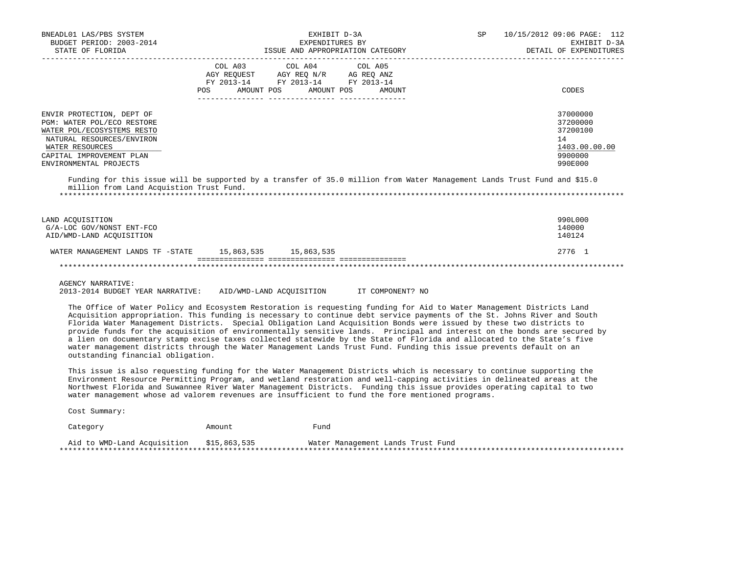| BNEADL01 LAS/PBS SYSTEM<br>BUDGET PERIOD: 2003-2014<br>STATE OF FLORIDA                                                                                                                     |                | EXHIBIT D-3A<br>EXPENDITURES BY<br>ISSUE AND APPROPRIATION CATEGORY                                                | SP     | 10/15/2012 09:06 PAGE: 112<br>EXHIBIT D-3A<br>DETAIL OF EXPENDITURES          |
|---------------------------------------------------------------------------------------------------------------------------------------------------------------------------------------------|----------------|--------------------------------------------------------------------------------------------------------------------|--------|-------------------------------------------------------------------------------|
|                                                                                                                                                                                             | COL A03<br>POS | COL A04 COL A05<br>AGY REQUEST AGY REQ N/R AG REQ ANZ<br>FY 2013-14 FY 2013-14 FY 2013-14<br>AMOUNT POS AMOUNT POS | AMOUNT | CODES                                                                         |
| ENVIR PROTECTION, DEPT OF<br>PGM: WATER POL/ECO RESTORE<br>WATER POL/ECOSYSTEMS RESTO<br>NATURAL RESOURCES/ENVIRON<br>WATER RESOURCES<br>CAPITAL IMPROVEMENT PLAN<br>ENVIRONMENTAL PROJECTS |                |                                                                                                                    |        | 37000000<br>37200000<br>37200100<br>14<br>1403.00.00.00<br>9900000<br>990E000 |
| Funding for this issue will be supported by a transfer of 35.0 million from Water Management Lands Trust Fund and \$15.0<br>million from Land Acquistion Trust Fund.                        |                |                                                                                                                    |        |                                                                               |
| LAND ACOUISITION<br>G/A-LOC GOV/NONST ENT-FCO<br>AID/WMD-LAND ACOUISITION                                                                                                                   |                |                                                                                                                    |        | 990L000<br>140000<br>140124                                                   |
| WATER MANAGEMENT LANDS TF -STATE 15,863,535 15,863,535                                                                                                                                      |                |                                                                                                                    |        | 2776 1                                                                        |
|                                                                                                                                                                                             |                |                                                                                                                    |        |                                                                               |

2013-2014 BUDGET YEAR NARRATIVE: AID/WMD-LAND ACQUISITION IT COMPONENT? NO

 The Office of Water Policy and Ecosystem Restoration is requesting funding for Aid to Water Management Districts Land Acquisition appropriation. This funding is necessary to continue debt service payments of the St. Johns River and South Florida Water Management Districts. Special Obligation Land Acquisition Bonds were issued by these two districts to provide funds for the acquisition of environmentally sensitive lands. Principal and interest on the bonds are secured by a lien on documentary stamp excise taxes collected statewide by the State of Florida and allocated to the State's five water management districts through the Water Management Lands Trust Fund. Funding this issue prevents default on an outstanding financial obligation.

 This issue is also requesting funding for the Water Management Districts which is necessary to continue supporting the Environment Resource Permitting Program, and wetland restoration and well-capping activities in delineated areas at the Northwest Florida and Suwannee River Water Management Districts. Funding this issue provides operating capital to two water management whose ad valorem revenues are insufficient to fund the fore mentioned programs.

Cost Summary:

| Category                                 | Amount | Fund                              |
|------------------------------------------|--------|-----------------------------------|
| Aid to WMD-Land Acquisition \$15,863,535 |        | Water Management Lands Trust Fund |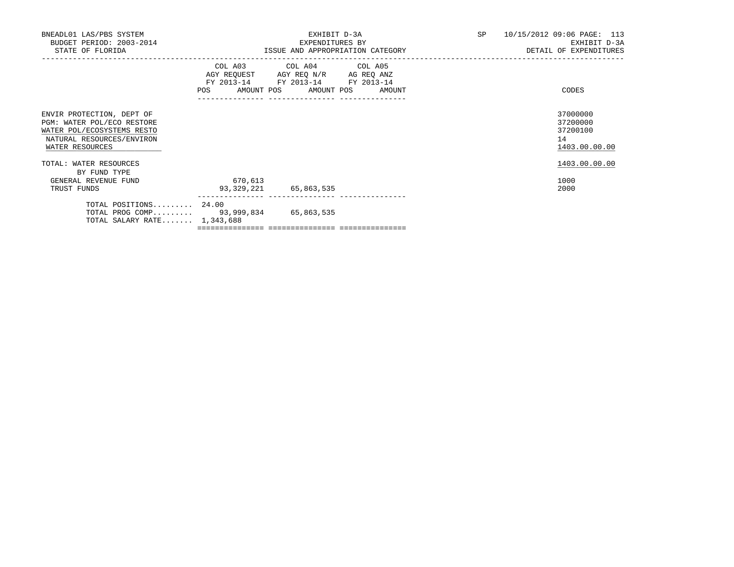| BNEADL01 LAS/PBS SYSTEM<br>BUDGET PERIOD: 2003-2014<br>STATE OF FLORIDA                                                               |                                      | EXHIBIT D-3A<br>EXPENDITURES BY<br>ISSUE AND APPROPRIATION CATEGORY                                                  |  | SP 10/15/2012 09:06 PAGE: 113<br>EXHIBIT D-3A<br>DETAIL OF EXPENDITURES |
|---------------------------------------------------------------------------------------------------------------------------------------|--------------------------------------|----------------------------------------------------------------------------------------------------------------------|--|-------------------------------------------------------------------------|
|                                                                                                                                       | POS AMOUNT POS AMOUNT POS AMOUNT     | COL A03 COL A04 COL A05<br>AGY REQUEST AGY REQ N/R AG REQ ANZ<br>FY 2013-14 FY 2013-14 FY 2013-14<br>_______________ |  | CODES                                                                   |
| ENVIR PROTECTION, DEPT OF<br>PGM: WATER POL/ECO RESTORE<br>WATER POL/ECOSYSTEMS RESTO<br>NATURAL RESOURCES/ENVIRON<br>WATER RESOURCES |                                      |                                                                                                                      |  | 37000000<br>37200000<br>37200100<br>14<br>1403.00.00.00                 |
| TOTAL: WATER RESOURCES<br>BY FUND TYPE                                                                                                |                                      |                                                                                                                      |  | 1403.00.00.00                                                           |
| GENERAL REVENUE FUND<br>TRUST FUNDS                                                                                                   | 670,613<br>93, 329, 221 65, 863, 535 |                                                                                                                      |  | 1000<br>2000                                                            |
| TOTAL POSITIONS 24.00<br>TOTAL PROG COMP 93,999,834 65,863,535<br>TOTAL SALARY RATE $1,343,688$                                       |                                      |                                                                                                                      |  |                                                                         |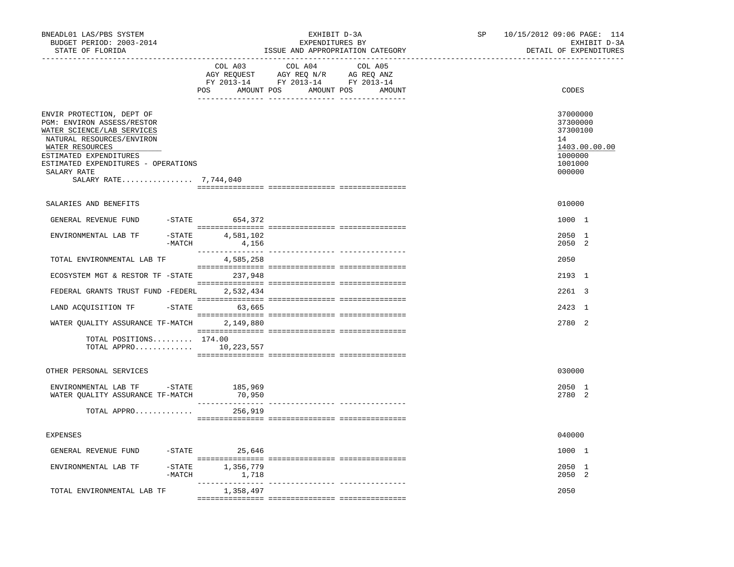| COL A03                                                      | COL A04<br>AGY REQUEST AGY REQ N/R AG REQ ANZ<br>FY 2013-14 FY 2013-14 FY 2013-14<br>POS AMOUNT POS AMOUNT POS                                                                                                                                                                                                                                                                                 | COL A05<br>AMOUNT                           |  | CODES                                                                                   |
|--------------------------------------------------------------|------------------------------------------------------------------------------------------------------------------------------------------------------------------------------------------------------------------------------------------------------------------------------------------------------------------------------------------------------------------------------------------------|---------------------------------------------|--|-----------------------------------------------------------------------------------------|
|                                                              |                                                                                                                                                                                                                                                                                                                                                                                                |                                             |  |                                                                                         |
| ESTIMATED EXPENDITURES - OPERATIONS<br>SALARY RATE 7,744,040 |                                                                                                                                                                                                                                                                                                                                                                                                |                                             |  | 37000000<br>37300000<br>37300100<br>14<br>1403.00.00.00<br>1000000<br>1001000<br>000000 |
|                                                              |                                                                                                                                                                                                                                                                                                                                                                                                |                                             |  | 010000                                                                                  |
|                                                              |                                                                                                                                                                                                                                                                                                                                                                                                |                                             |  | 1000 1                                                                                  |
| 4,156                                                        |                                                                                                                                                                                                                                                                                                                                                                                                |                                             |  | 2050 1<br>2050 2                                                                        |
| 4,585,258                                                    |                                                                                                                                                                                                                                                                                                                                                                                                |                                             |  | 2050                                                                                    |
|                                                              |                                                                                                                                                                                                                                                                                                                                                                                                |                                             |  | 2193 1                                                                                  |
|                                                              |                                                                                                                                                                                                                                                                                                                                                                                                |                                             |  | 2261 3                                                                                  |
|                                                              |                                                                                                                                                                                                                                                                                                                                                                                                |                                             |  | 2423 1                                                                                  |
| 2,149,880                                                    |                                                                                                                                                                                                                                                                                                                                                                                                |                                             |  | 2780 2                                                                                  |
|                                                              |                                                                                                                                                                                                                                                                                                                                                                                                |                                             |  |                                                                                         |
|                                                              |                                                                                                                                                                                                                                                                                                                                                                                                |                                             |  | 030000                                                                                  |
| 185,969<br>70,950                                            |                                                                                                                                                                                                                                                                                                                                                                                                |                                             |  | $2050 - 1$<br>2780 2                                                                    |
| 256,919                                                      |                                                                                                                                                                                                                                                                                                                                                                                                |                                             |  |                                                                                         |
|                                                              |                                                                                                                                                                                                                                                                                                                                                                                                |                                             |  | 040000                                                                                  |
|                                                              |                                                                                                                                                                                                                                                                                                                                                                                                |                                             |  | 1000 1                                                                                  |
| 1,356,779<br>1,718                                           |                                                                                                                                                                                                                                                                                                                                                                                                |                                             |  | 2050 1<br>2050 2                                                                        |
| 1,358,497                                                    |                                                                                                                                                                                                                                                                                                                                                                                                |                                             |  | 2050                                                                                    |
|                                                              | GENERAL REVENUE FUND -STATE 654,372<br>$-$ STATE 4,581,102<br>$-MATCH$<br>TOTAL ENVIRONMENTAL LAB TF<br>ECOSYSTEM MGT & RESTOR TF - STATE 237,948<br>$-STATE$ 63,665<br>WATER QUALITY ASSURANCE TF-MATCH<br>TOTAL POSITIONS 174.00<br>TOTAL APPRO 10, 223, 557<br>ENVIRONMENTAL LAB TF - STATE<br>WATER QUALITY ASSURANCE TF-MATCH<br>TOTAL APPRO<br>$-$ STATE 25,646<br>$-$ STATE<br>$-MATCH$ | FEDERAL GRANTS TRUST FUND -FEDERL 2,532,434 |  |                                                                                         |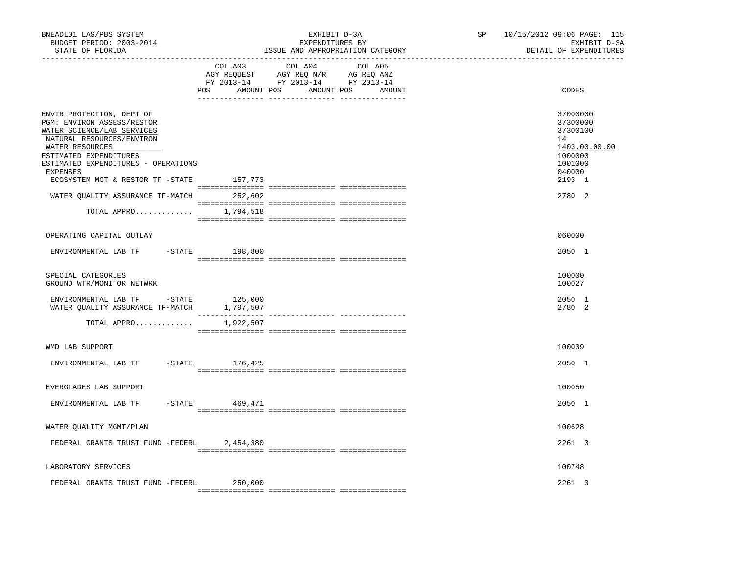| BNEADL01 LAS/PBS SYSTEM<br>BUDGET PERIOD: 2003-2014<br>STATE OF FLORIDA                                                                                                                                                                                                                            |                      | EXHIBIT D-3A<br>EXPENDITURES BY<br>ISSUE AND APPROPRIATION CATEGORY | SP and the set of the set of the set of the set of the set of the set of the set of the set of the set of the set of the set of the set of the set of the set of the set of the set of the set of the set of the set of the se | 10/15/2012 09:06 PAGE: 115<br>EXHIBIT D-3A<br>DETAIL OF EXPENDITURES                                        |
|----------------------------------------------------------------------------------------------------------------------------------------------------------------------------------------------------------------------------------------------------------------------------------------------------|----------------------|---------------------------------------------------------------------|--------------------------------------------------------------------------------------------------------------------------------------------------------------------------------------------------------------------------------|-------------------------------------------------------------------------------------------------------------|
|                                                                                                                                                                                                                                                                                                    | COL A03<br>POS       | COL A04<br>COL A05<br>AMOUNT POS AMOUNT POS<br>AMOUNT               |                                                                                                                                                                                                                                | CODES                                                                                                       |
| ENVIR PROTECTION, DEPT OF<br>PGM: ENVIRON ASSESS/RESTOR<br>WATER SCIENCE/LAB SERVICES<br>NATURAL RESOURCES/ENVIRON<br>WATER RESOURCES<br>ESTIMATED EXPENDITURES<br>ESTIMATED EXPENDITURES - OPERATIONS<br>EXPENSES<br>ECOSYSTEM MGT & RESTOR TF -STATE<br>WATER QUALITY ASSURANCE TF-MATCH 252,602 | 157,773              |                                                                     |                                                                                                                                                                                                                                | 37000000<br>37300000<br>37300100<br>14<br>1403.00.00.00<br>1000000<br>1001000<br>040000<br>2193 1<br>2780 2 |
| TOTAL APPRO $1,794,518$                                                                                                                                                                                                                                                                            |                      |                                                                     |                                                                                                                                                                                                                                |                                                                                                             |
| OPERATING CAPITAL OUTLAY                                                                                                                                                                                                                                                                           |                      |                                                                     |                                                                                                                                                                                                                                | 060000                                                                                                      |
| ENVIRONMENTAL LAB TF - STATE                                                                                                                                                                                                                                                                       | 198,800              |                                                                     |                                                                                                                                                                                                                                | 2050 1                                                                                                      |
| SPECIAL CATEGORIES<br>GROUND WTR/MONITOR NETWRK                                                                                                                                                                                                                                                    |                      |                                                                     |                                                                                                                                                                                                                                | 100000<br>100027                                                                                            |
| ENVIRONMENTAL LAB TF -STATE<br>WATER QUALITY ASSURANCE TF-MATCH                                                                                                                                                                                                                                    | 125,000<br>1,797,507 |                                                                     |                                                                                                                                                                                                                                | 2050 1<br>2780 2                                                                                            |
| TOTAL APPRO                                                                                                                                                                                                                                                                                        | 1,922,507            |                                                                     |                                                                                                                                                                                                                                |                                                                                                             |
| WMD LAB SUPPORT                                                                                                                                                                                                                                                                                    |                      |                                                                     |                                                                                                                                                                                                                                | 100039                                                                                                      |
| ENVIRONMENTAL LAB TF                                                                                                                                                                                                                                                                               | $-$ STATE 176, 425   |                                                                     |                                                                                                                                                                                                                                | 2050 1                                                                                                      |
| EVERGLADES LAB SUPPORT                                                                                                                                                                                                                                                                             |                      |                                                                     |                                                                                                                                                                                                                                | 100050                                                                                                      |
| $-STATE$<br>ENVIRONMENTAL LAB TF                                                                                                                                                                                                                                                                   | 469,471              |                                                                     |                                                                                                                                                                                                                                | 2050 1                                                                                                      |
| WATER QUALITY MGMT/PLAN                                                                                                                                                                                                                                                                            |                      |                                                                     |                                                                                                                                                                                                                                | 100628                                                                                                      |
| FEDERAL GRANTS TRUST FUND -FEDERL 2,454,380                                                                                                                                                                                                                                                        |                      |                                                                     |                                                                                                                                                                                                                                | 2261 3                                                                                                      |
| LABORATORY SERVICES                                                                                                                                                                                                                                                                                |                      |                                                                     |                                                                                                                                                                                                                                | 100748                                                                                                      |
| FEDERAL GRANTS TRUST FUND -FEDERL                                                                                                                                                                                                                                                                  | 250,000              |                                                                     |                                                                                                                                                                                                                                | 2261 3                                                                                                      |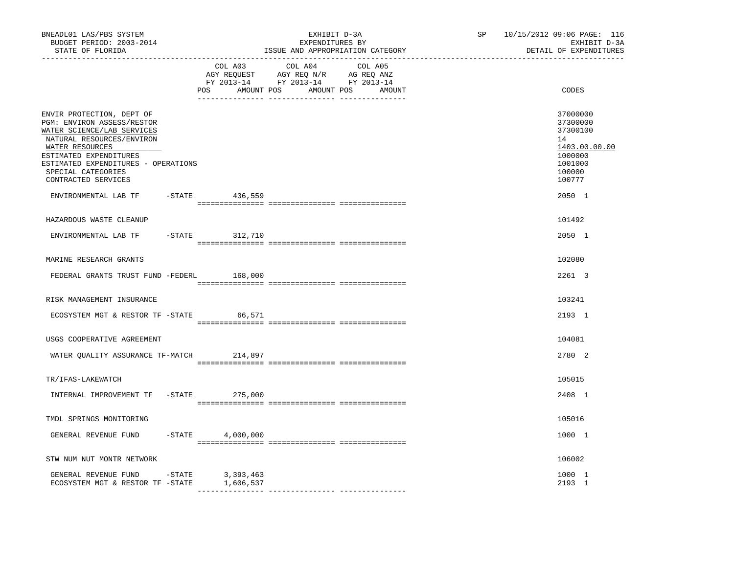| ------------------                                                                                                                                                                                                                                                                 |                                                                                                   |
|------------------------------------------------------------------------------------------------------------------------------------------------------------------------------------------------------------------------------------------------------------------------------------|---------------------------------------------------------------------------------------------------|
| COL A03<br>COL A04<br>COL A05<br>$\begin{tabular}{lllllllll} \bf AGY & \bf REQUEST & \bf AGY & \bf REQ & \bf N/R & \bf AG & \bf REQ & \bf ANZ \\ \bf FY & \tt 2013-14 & \bf FY & \tt 2013-14 & \bf FY & \tt 2013-14 \\ \end{tabular}$<br>POS<br>AMOUNT POS<br>AMOUNT POS<br>AMOUNT | CODES                                                                                             |
| ENVIR PROTECTION, DEPT OF<br>PGM: ENVIRON ASSESS/RESTOR<br>WATER SCIENCE/LAB SERVICES<br>NATURAL RESOURCES/ENVIRON<br>WATER RESOURCES<br>ESTIMATED EXPENDITURES<br>ESTIMATED EXPENDITURES - OPERATIONS<br>SPECIAL CATEGORIES<br>CONTRACTED SERVICES                                | 37000000<br>37300000<br>37300100<br>14<br>1403.00.00.00<br>1000000<br>1001000<br>100000<br>100777 |
| ENVIRONMENTAL LAB TF -STATE 436,559                                                                                                                                                                                                                                                | 2050 1                                                                                            |
| HAZARDOUS WASTE CLEANUP                                                                                                                                                                                                                                                            | 101492                                                                                            |
| $-STATE$ 312,710<br>ENVIRONMENTAL LAB TF                                                                                                                                                                                                                                           | 2050 1                                                                                            |
| MARINE RESEARCH GRANTS                                                                                                                                                                                                                                                             | 102080                                                                                            |
| FEDERAL GRANTS TRUST FUND -FEDERL<br>168,000                                                                                                                                                                                                                                       | 2261 3                                                                                            |
| RISK MANAGEMENT INSURANCE                                                                                                                                                                                                                                                          | 103241                                                                                            |
| ECOSYSTEM MGT & RESTOR TF -STATE 66,571                                                                                                                                                                                                                                            | 2193 1                                                                                            |
| USGS COOPERATIVE AGREEMENT                                                                                                                                                                                                                                                         | 104081                                                                                            |
| 214,897<br>WATER QUALITY ASSURANCE TF-MATCH                                                                                                                                                                                                                                        | 2780 2                                                                                            |
| TR/IFAS-LAKEWATCH                                                                                                                                                                                                                                                                  | 105015                                                                                            |
| INTERNAL IMPROVEMENT TF -STATE<br>275,000                                                                                                                                                                                                                                          | 2408 1                                                                                            |
| TMDL SPRINGS MONITORING                                                                                                                                                                                                                                                            | 105016                                                                                            |
| $-STATE$<br>GENERAL REVENUE FUND<br>4,000,000                                                                                                                                                                                                                                      | 1000 1                                                                                            |
| STW NUM NUT MONTR NETWORK                                                                                                                                                                                                                                                          | 106002                                                                                            |
| GENERAL REVENUE FUND -STATE 3,393,463<br>ECOSYSTEM MGT & RESTOR TF -STATE<br>1,606,537                                                                                                                                                                                             | 1000 1<br>2193 1                                                                                  |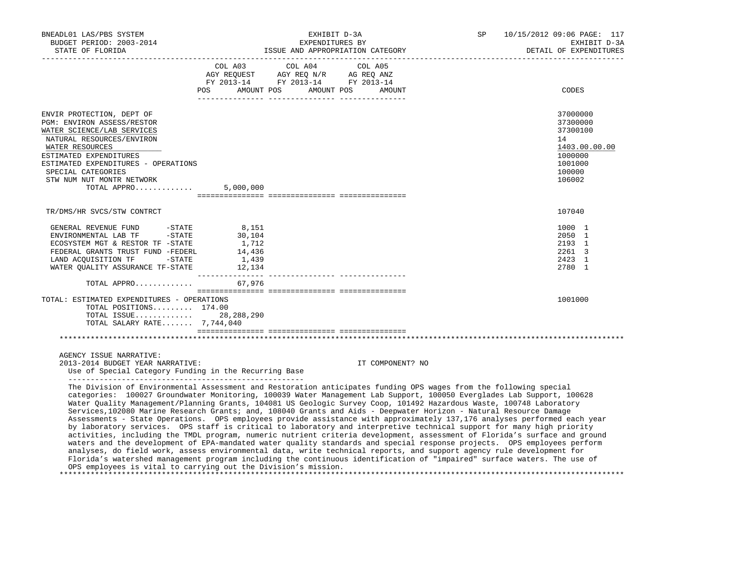| BNEADL01 LAS/PBS SYSTEM<br>BUDGET PERIOD: 2003-2014<br>STATE OF FLORIDA                                                                                                                                                                                                                                                                                                                                                                                                                                                                                                                                                                                                                                                                                                                                                                                                                                                                                                                                                                                                                                                      |                                             | EXPENDITURES BY                                                                                                            | EXHIBIT D-3A<br>ISSUE AND APPROPRIATION CATEGORY | SP | 10/15/2012 09:06 PAGE: 117<br>EXHIBIT D-3A<br>DETAIL OF EXPENDITURES                              |
|------------------------------------------------------------------------------------------------------------------------------------------------------------------------------------------------------------------------------------------------------------------------------------------------------------------------------------------------------------------------------------------------------------------------------------------------------------------------------------------------------------------------------------------------------------------------------------------------------------------------------------------------------------------------------------------------------------------------------------------------------------------------------------------------------------------------------------------------------------------------------------------------------------------------------------------------------------------------------------------------------------------------------------------------------------------------------------------------------------------------------|---------------------------------------------|----------------------------------------------------------------------------------------------------------------------------|--------------------------------------------------|----|---------------------------------------------------------------------------------------------------|
|                                                                                                                                                                                                                                                                                                                                                                                                                                                                                                                                                                                                                                                                                                                                                                                                                                                                                                                                                                                                                                                                                                                              | POS                                         | COL A03 COL A04 COL A05<br>AGY REQUEST AGY REQ N/R AG REQ ANZ<br>FY 2013-14 FY 2013-14 FY 2013-14<br>AMOUNT POS AMOUNT POS | AMOUNT                                           |    | CODES                                                                                             |
| ENVIR PROTECTION, DEPT OF<br>PGM: ENVIRON ASSESS/RESTOR<br>WATER SCIENCE/LAB SERVICES<br>NATURAL RESOURCES/ENVIRON<br>WATER RESOURCES<br>ESTIMATED EXPENDITURES<br>ESTIMATED EXPENDITURES - OPERATIONS<br>SPECIAL CATEGORIES<br>STW NUM NUT MONTR NETWORK<br>TOTAL APPRO                                                                                                                                                                                                                                                                                                                                                                                                                                                                                                                                                                                                                                                                                                                                                                                                                                                     | 5,000,000                                   |                                                                                                                            |                                                  |    | 37000000<br>37300000<br>37300100<br>14<br>1403.00.00.00<br>1000000<br>1001000<br>100000<br>106002 |
| TR/DMS/HR SVCS/STW CONTRCT                                                                                                                                                                                                                                                                                                                                                                                                                                                                                                                                                                                                                                                                                                                                                                                                                                                                                                                                                                                                                                                                                                   |                                             |                                                                                                                            |                                                  |    | 107040                                                                                            |
| GENERAL REVENUE FUND -STATE<br>ENVIRONMENTAL LAB TF -STATE<br>ECOSYSTEM MGT & RESTOR TF -STATE<br>FEDERAL GRANTS TRUST FUND -FEDERL<br>LAND ACQUISITION TF -STATE<br>TOTAL APPRO 67,976                                                                                                                                                                                                                                                                                                                                                                                                                                                                                                                                                                                                                                                                                                                                                                                                                                                                                                                                      | 8,151<br>30,104<br>1,712<br>14,436<br>1,439 |                                                                                                                            |                                                  |    | 1000 1<br>2050 1<br>2193 1<br>2261 3<br>2423 1<br>2780 1                                          |
| TOTAL: ESTIMATED EXPENDITURES - OPERATIONS<br>TOTAL POSITIONS 174.00<br>TOTAL ISSUE 28,288,290<br>TOTAL SALARY RATE 7,744,040                                                                                                                                                                                                                                                                                                                                                                                                                                                                                                                                                                                                                                                                                                                                                                                                                                                                                                                                                                                                |                                             |                                                                                                                            |                                                  |    | 1001000                                                                                           |
|                                                                                                                                                                                                                                                                                                                                                                                                                                                                                                                                                                                                                                                                                                                                                                                                                                                                                                                                                                                                                                                                                                                              |                                             |                                                                                                                            |                                                  |    |                                                                                                   |
| AGENCY ISSUE NARRATIVE:<br>2013-2014 BUDGET YEAR NARRATIVE:<br>Use of Special Category Funding in the Recurring Base                                                                                                                                                                                                                                                                                                                                                                                                                                                                                                                                                                                                                                                                                                                                                                                                                                                                                                                                                                                                         |                                             |                                                                                                                            | IT COMPONENT? NO                                 |    |                                                                                                   |
| The Division of Environmental Assessment and Restoration anticipates funding OPS wages from the following special<br>categories: 100027 Groundwater Monitoring, 100039 Water Management Lab Support, 100050 Everglades Lab Support, 100628<br>Water Quality Management/Planning Grants, 104081 US Geologic Survey Coop, 101492 Hazardous Waste, 100748 Laboratory<br>Services, 102080 Marine Research Grants; and, 108040 Grants and Aids - Deepwater Horizon - Natural Resource Damage<br>Assessments - State Operations. OPS employees provide assistance with approximately 137,176 analyses performed each year<br>by laboratory services. OPS staff is critical to laboratory and interpretive technical support for many high priority<br>activities, including the TMDL program, numeric nutrient criteria development, assessment of Florida's surface and ground<br>waters and the development of EPA-mandated water quality standards and special response projects. OPS employees perform<br>analyses, do field work, assess environmental data, write technical reports, and support agency rule development for |                                             |                                                                                                                            |                                                  |    |                                                                                                   |

Florida's watershed management program including the continuous identification of "impaired" surface waters. The use of

\*\*\*\*\*\*\*\*\*\*\*\*\*\*\*\*\*\*\*\*\*\*\*\*\*\*\*\*\*\*\*\*\*\*\*\*\*\*\*\*\*\*\*\*\*\*\*\*\*\*\*\*\*\*\*\*\*\*\*\*\*\*\*\*\*\*\*\*\*\*\*\*\*\*\*\*\*\*\*\*\*\*\*\*\*\*\*\*\*\*\*\*\*\*\*\*\*\*\*\*\*\*\*\*\*\*\*\*\*\*\*\*\*\*\*\*\*\*\*\*\*\*\*\*\*\*\*

OPS employees is vital to carrying out the Division's mission.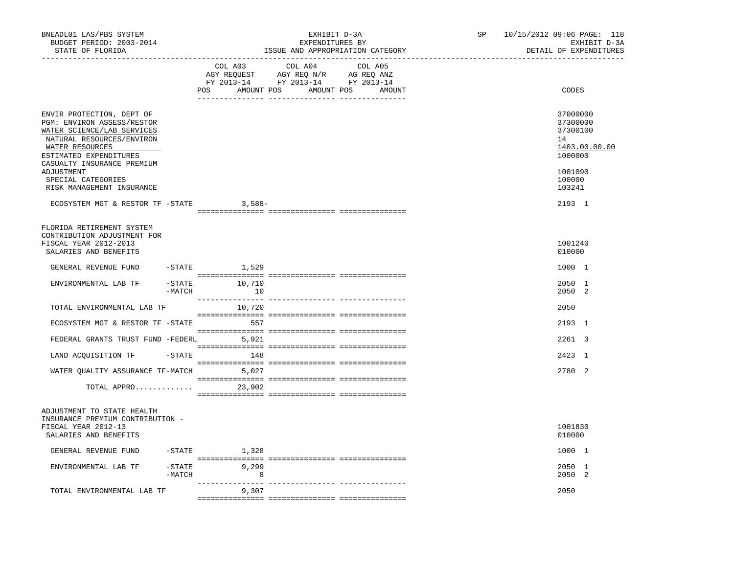| BNEADL01 LAS/PBS SYSTEM<br>BUDGET PERIOD: 2003-2014<br>STATE OF FLORIDA                                                                                                                                                                                        |                     | ---------------------------                 | EXHIBIT D-3A<br>EXPENDITURES BY                                                                                                                                                                                                                                                                                                                                     | ISSUE AND APPROPRIATION CATEGORY | SP<br>-------------------- | 10/15/2012 09:06 PAGE: 118<br>EXHIBIT D-3A<br>DETAIL OF EXPENDITURES                              |
|----------------------------------------------------------------------------------------------------------------------------------------------------------------------------------------------------------------------------------------------------------------|---------------------|---------------------------------------------|---------------------------------------------------------------------------------------------------------------------------------------------------------------------------------------------------------------------------------------------------------------------------------------------------------------------------------------------------------------------|----------------------------------|----------------------------|---------------------------------------------------------------------------------------------------|
|                                                                                                                                                                                                                                                                |                     | COL A03<br>POS AMOUNT POS AMOUNT POS AMOUNT | COL A04<br>$\begin{tabular}{lllllll} \multicolumn{2}{l}{{\bf AGY}} & {\bf RcQUEST} & {\bf AGY} & {\bf RcQ} & {\bf N/R} & {\bf AGEQ} & {\bf ANZ} \\ \multicolumn{2}{l}{{\bf AGY}} & {\bf RcQUEST} & {\bf AGY} & {\bf RcQ} & {\bf N/R} & {\bf AGEQ} & {\bf ANZ} \\ \multicolumn{2}{l}{{\bf FY}} & 2013-14 & {\bf FY} & 2013-14 & {\bf FY} & 2013-14 \\ \end{tabular}$ | COL A05                          |                            | CODES                                                                                             |
| ENVIR PROTECTION, DEPT OF<br>PGM: ENVIRON ASSESS/RESTOR<br>WATER SCIENCE/LAB SERVICES<br>NATURAL RESOURCES/ENVIRON<br>WATER RESOURCES<br>ESTIMATED EXPENDITURES<br>CASUALTY INSURANCE PREMIUM<br>ADJUSTMENT<br>SPECIAL CATEGORIES<br>RISK MANAGEMENT INSURANCE |                     |                                             |                                                                                                                                                                                                                                                                                                                                                                     |                                  |                            | 37000000<br>37300000<br>37300100<br>14<br>1403.00.00.00<br>1000000<br>1001090<br>100000<br>103241 |
| ECOSYSTEM MGT & RESTOR TF -STATE 3,588-                                                                                                                                                                                                                        |                     |                                             |                                                                                                                                                                                                                                                                                                                                                                     |                                  |                            | 2193 1                                                                                            |
| FLORIDA RETIREMENT SYSTEM                                                                                                                                                                                                                                      |                     |                                             |                                                                                                                                                                                                                                                                                                                                                                     |                                  |                            |                                                                                                   |
| CONTRIBUTION ADJUSTMENT FOR<br>FISCAL YEAR 2012-2013<br>SALARIES AND BENEFITS                                                                                                                                                                                  |                     |                                             |                                                                                                                                                                                                                                                                                                                                                                     |                                  |                            | 1001240<br>010000                                                                                 |
| GENERAL REVENUE FUND                                                                                                                                                                                                                                           |                     | $-$ STATE $1,529$                           |                                                                                                                                                                                                                                                                                                                                                                     |                                  |                            | 1000 1                                                                                            |
| ENVIRONMENTAL LAB TF                                                                                                                                                                                                                                           | $-MATCH$            | $-STATE$ 10,710<br>10                       |                                                                                                                                                                                                                                                                                                                                                                     |                                  |                            | 2050 1<br>2050 2                                                                                  |
| TOTAL ENVIRONMENTAL LAB TF                                                                                                                                                                                                                                     |                     | 10,720                                      |                                                                                                                                                                                                                                                                                                                                                                     |                                  |                            | 2050                                                                                              |
| ECOSYSTEM MGT & RESTOR TF -STATE                                                                                                                                                                                                                               |                     | 557                                         |                                                                                                                                                                                                                                                                                                                                                                     |                                  |                            | 2193 1                                                                                            |
| FEDERAL GRANTS TRUST FUND -FEDERL 5,921                                                                                                                                                                                                                        |                     |                                             |                                                                                                                                                                                                                                                                                                                                                                     |                                  |                            | 2261 3                                                                                            |
| LAND ACQUISITION TF                                                                                                                                                                                                                                            |                     | $-STATE$ 148                                |                                                                                                                                                                                                                                                                                                                                                                     |                                  |                            | 2423 1                                                                                            |
| WATER QUALITY ASSURANCE TF-MATCH 5,027                                                                                                                                                                                                                         |                     |                                             |                                                                                                                                                                                                                                                                                                                                                                     |                                  |                            | 2780 2                                                                                            |
| TOTAL APPRO                                                                                                                                                                                                                                                    |                     | 23,902                                      |                                                                                                                                                                                                                                                                                                                                                                     |                                  |                            |                                                                                                   |
| ADJUSTMENT TO STATE HEALTH<br>INSURANCE PREMIUM CONTRIBUTION -<br>FISCAL YEAR 2012-13<br>SALARIES AND BENEFITS                                                                                                                                                 |                     |                                             |                                                                                                                                                                                                                                                                                                                                                                     |                                  |                            | 1001830<br>010000                                                                                 |
| GENERAL REVENUE FUND                                                                                                                                                                                                                                           | $-STATE$            | 1,328                                       |                                                                                                                                                                                                                                                                                                                                                                     |                                  |                            | 1000 1                                                                                            |
| ENVIRONMENTAL LAB TF                                                                                                                                                                                                                                           | $-$ STATE<br>-MATCH | 9,299<br>8 <sup>8</sup>                     |                                                                                                                                                                                                                                                                                                                                                                     |                                  |                            | 2050 1<br>2050 2                                                                                  |
| TOTAL ENVIRONMENTAL LAB TF                                                                                                                                                                                                                                     |                     | 9,307                                       |                                                                                                                                                                                                                                                                                                                                                                     |                                  |                            | 2050                                                                                              |
|                                                                                                                                                                                                                                                                |                     |                                             |                                                                                                                                                                                                                                                                                                                                                                     |                                  |                            |                                                                                                   |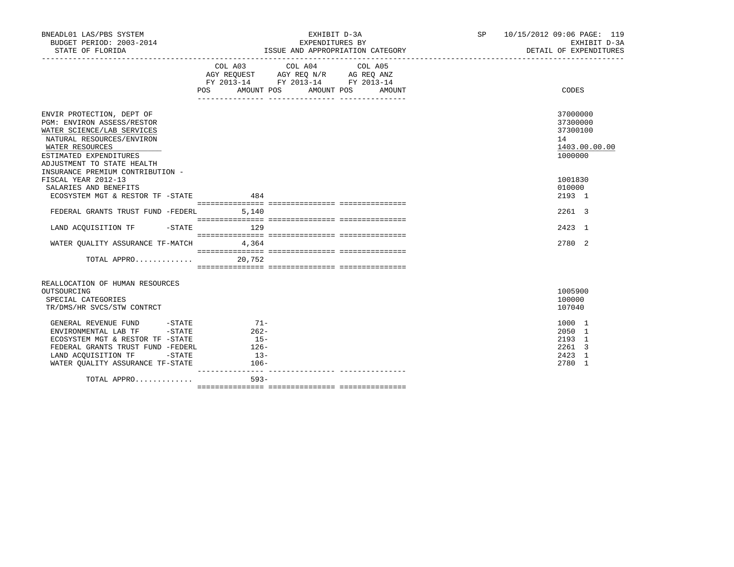| BNEADL01 LAS/PBS SYSTEM<br>BUDGET PERIOD: 2003-2014 |         | EXHIBIT D-3A<br>EXPENDITURES BY                                                                                                         | SP 10/15/2012 09:06 PAGE: 119<br>EXHIBIT D-3A |
|-----------------------------------------------------|---------|-----------------------------------------------------------------------------------------------------------------------------------------|-----------------------------------------------|
| STATE OF FLORIDA                                    |         | ISSUE AND APPROPRIATION CATEGORY                                                                                                        | DETAIL OF EXPENDITURES                        |
|                                                     | POS DO  | COL A03 COL A04 COL A05<br>AGY REQUEST AGY REQ N/R AG REQ ANZ<br>FY 2013-14 FY 2013-14 FY 2013-14<br>AMOUNT POS<br>AMOUNT POS<br>AMOUNT | CODES                                         |
| ENVIR PROTECTION, DEPT OF                           |         |                                                                                                                                         | 37000000                                      |
| PGM: ENVIRON ASSESS/RESTOR                          |         |                                                                                                                                         | 37300000                                      |
| WATER SCIENCE/LAB SERVICES                          |         |                                                                                                                                         | 37300100                                      |
| NATURAL RESOURCES/ENVIRON                           |         |                                                                                                                                         | 14                                            |
| WATER RESOURCES                                     |         |                                                                                                                                         | 1403.00.00.00                                 |
| ESTIMATED EXPENDITURES                              |         |                                                                                                                                         | 1000000                                       |
| ADJUSTMENT TO STATE HEALTH                          |         |                                                                                                                                         |                                               |
| INSURANCE PREMIUM CONTRIBUTION -                    |         |                                                                                                                                         |                                               |
| FISCAL YEAR 2012-13                                 |         |                                                                                                                                         | 1001830                                       |
| SALARIES AND BENEFITS                               |         |                                                                                                                                         | 010000                                        |
| ECOSYSTEM MGT & RESTOR TF -STATE 484                |         |                                                                                                                                         | 2193 1                                        |
| FEDERAL GRANTS TRUST FUND -FEDERL 5,140             |         |                                                                                                                                         | 2261 3                                        |
|                                                     |         |                                                                                                                                         |                                               |
| LAND ACQUISITION TF -STATE 129                      |         |                                                                                                                                         | 2423 1                                        |
|                                                     |         |                                                                                                                                         |                                               |
| WATER QUALITY ASSURANCE TF-MATCH 4,364              |         |                                                                                                                                         | 2780 2                                        |
|                                                     |         |                                                                                                                                         |                                               |
| TOTAL APPRO                                         | 20,752  |                                                                                                                                         |                                               |
|                                                     |         |                                                                                                                                         |                                               |
|                                                     |         |                                                                                                                                         |                                               |
| REALLOCATION OF HUMAN RESOURCES<br>OUTSOURCING      |         |                                                                                                                                         | 1005900                                       |
| SPECIAL CATEGORIES                                  |         |                                                                                                                                         | 100000                                        |
| TR/DMS/HR SVCS/STW CONTRCT                          |         |                                                                                                                                         | 107040                                        |
|                                                     |         |                                                                                                                                         |                                               |
| GENERAL REVENUE FUND -STATE 71-                     |         |                                                                                                                                         | 1000 1                                        |
| $-STATE$<br>ENVIRONMENTAL LAB TF                    | $262-$  |                                                                                                                                         | 2050 1                                        |
| ECOSYSTEM MGT & RESTOR TF -STATE                    | $15-$   |                                                                                                                                         | 2193 1                                        |
| FEDERAL GRANTS TRUST FUND -FEDERL                   | $126 -$ |                                                                                                                                         | 2261 3                                        |
| LAND ACOUISITION TF<br>$-$ STATE                    | $13-$   |                                                                                                                                         | 2423 1                                        |
| WATER OUALITY ASSURANCE TF-STATE                    | $106-$  |                                                                                                                                         | 2780 1                                        |
| TOTAL APPRO                                         | $593 -$ |                                                                                                                                         |                                               |
|                                                     |         |                                                                                                                                         |                                               |
|                                                     |         |                                                                                                                                         |                                               |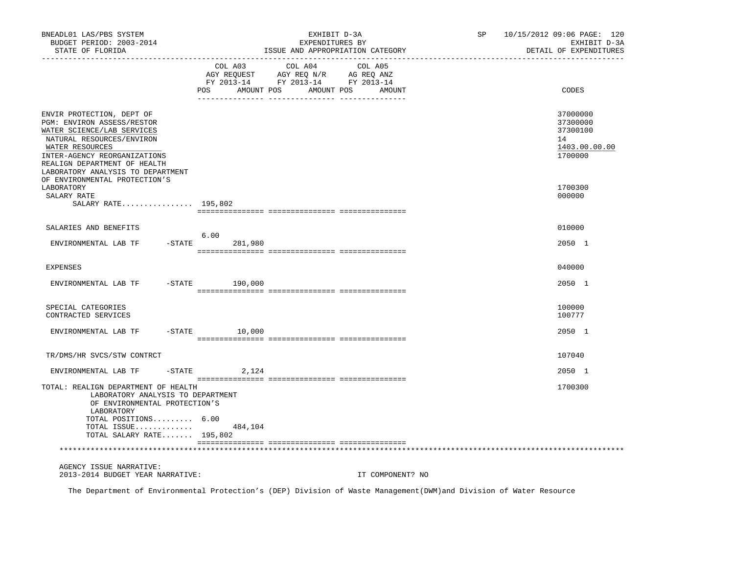| BNEADL01 LAS/PBS SYSTEM<br>BUDGET PERIOD: 2003-2014<br>STATE OF FLORIDA                                                                                                                                                                    |                              | EXHIBIT D-3A<br>EXPENDITURES BY<br>ISSUE AND APPROPRIATION CATEGORY                                                                                                                                                                                              | SP | 10/15/2012 09:06 PAGE: 120<br>EXHIBIT D-3A<br>DETAIL OF EXPENDITURES |
|--------------------------------------------------------------------------------------------------------------------------------------------------------------------------------------------------------------------------------------------|------------------------------|------------------------------------------------------------------------------------------------------------------------------------------------------------------------------------------------------------------------------------------------------------------|----|----------------------------------------------------------------------|
|                                                                                                                                                                                                                                            | COL A03<br>POS<br>AMOUNT POS | COL A04<br>COL A05<br>$\begin{tabular}{lllllllll} \bf{AGY} & \bf{REQUEST} & \bf{AGY} & \bf{REQ} & \bf{N/R} & \bf{AG} & \bf{REQ} & \bf{ANZ} \\ \bf{FY} & \bf{2013-14} & \bf{FY} & \bf{2013-14} & \bf{FY} & \bf{2013-14} \\ \end{tabular}$<br>AMOUNT POS<br>AMOUNT |    | CODES                                                                |
| ENVIR PROTECTION, DEPT OF<br>PGM: ENVIRON ASSESS/RESTOR<br>WATER SCIENCE/LAB SERVICES<br>NATURAL RESOURCES/ENVIRON<br>WATER RESOURCES<br>INTER-AGENCY REORGANIZATIONS<br>REALIGN DEPARTMENT OF HEALTH<br>LABORATORY ANALYSIS TO DEPARTMENT |                              |                                                                                                                                                                                                                                                                  |    | 37000000<br>37300000<br>37300100<br>14<br>1403.00.00.00<br>1700000   |
| OF ENVIRONMENTAL PROTECTION'S<br>LABORATORY<br>SALARY RATE<br>SALARY RATE 195,802                                                                                                                                                          |                              |                                                                                                                                                                                                                                                                  |    | 1700300<br>000000                                                    |
|                                                                                                                                                                                                                                            |                              |                                                                                                                                                                                                                                                                  |    | 010000                                                               |
| SALARIES AND BENEFITS                                                                                                                                                                                                                      | 6.00                         |                                                                                                                                                                                                                                                                  |    |                                                                      |
| ENVIRONMENTAL LAB TF                                                                                                                                                                                                                       | $-$ STATE<br>281,980         |                                                                                                                                                                                                                                                                  |    | 2050 1                                                               |
| <b>EXPENSES</b>                                                                                                                                                                                                                            |                              |                                                                                                                                                                                                                                                                  |    | 040000                                                               |
| ENVIRONMENTAL LAB TF                                                                                                                                                                                                                       | $-$ STATE<br>190,000         |                                                                                                                                                                                                                                                                  |    | 2050 1                                                               |
| SPECIAL CATEGORIES<br>CONTRACTED SERVICES                                                                                                                                                                                                  |                              |                                                                                                                                                                                                                                                                  |    | 100000<br>100777                                                     |
| ENVIRONMENTAL LAB TF                                                                                                                                                                                                                       | $-$ STATE $10,000$           |                                                                                                                                                                                                                                                                  |    | 2050 1                                                               |
| TR/DMS/HR SVCS/STW CONTRCT                                                                                                                                                                                                                 |                              |                                                                                                                                                                                                                                                                  |    | 107040                                                               |
| ENVIRONMENTAL LAB TF<br>$-$ STATE                                                                                                                                                                                                          | 2,124                        |                                                                                                                                                                                                                                                                  |    | 2050 1                                                               |
| TOTAL: REALIGN DEPARTMENT OF HEALTH<br>LABORATORY ANALYSIS TO DEPARTMENT<br>OF ENVIRONMENTAL PROTECTION'S<br>LABORATORY<br>TOTAL POSITIONS 6.00<br>TOTAL ISSUE<br>TOTAL SALARY RATE $195,802$                                              | 484,104                      |                                                                                                                                                                                                                                                                  |    | 1700300                                                              |
|                                                                                                                                                                                                                                            |                              |                                                                                                                                                                                                                                                                  |    |                                                                      |
| AGENCY ISSUE NARRATIVE:<br>2013-2014 BUDGET YEAR NARRATIVE:                                                                                                                                                                                |                              | IT COMPONENT? NO                                                                                                                                                                                                                                                 |    |                                                                      |

The Department of Environmental Protection's (DEP) Division of Waste Management(DWM)and Division of Water Resource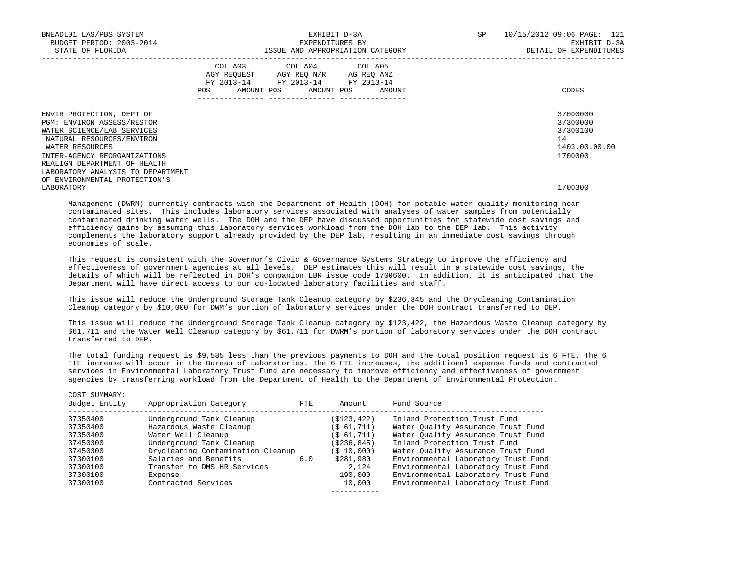| BNEADL01 LAS/PBS SYSTEM<br>BUDGET PERIOD: 2003-2014<br>STATE OF FLORIDA                                                                                                                                                                    |  | EXHIBIT D-3A<br>EXPENDITURES BY                                                                                                                                                | ISSUE AND APPROPRIATION CATEGORY | SP | 10/15/2012 09:06 PAGE: 121<br>EXHIBIT D-3A<br>DETAIL OF EXPENDITURES |
|--------------------------------------------------------------------------------------------------------------------------------------------------------------------------------------------------------------------------------------------|--|--------------------------------------------------------------------------------------------------------------------------------------------------------------------------------|----------------------------------|----|----------------------------------------------------------------------|
|                                                                                                                                                                                                                                            |  | COL A03 COL A04 COL A05<br>AGY REQUEST AGY REO N/R AG REO ANZ<br>FY 2013-14 FY 2013-14 FY 2013-14<br>POS AMOUNT POS AMOUNT POS AMOUNT<br>.____________________________________ |                                  |    | CODES                                                                |
| ENVIR PROTECTION, DEPT OF<br>PGM: ENVIRON ASSESS/RESTOR<br>WATER SCIENCE/LAB SERVICES<br>NATURAL RESOURCES/ENVIRON<br>WATER RESOURCES<br>INTER-AGENCY REORGANIZATIONS<br>REALIGN DEPARTMENT OF HEALTH<br>LABORATORY ANALYSIS TO DEPARTMENT |  |                                                                                                                                                                                |                                  |    | 37000000<br>37300000<br>37300100<br>14<br>1403.00.00.00<br>1700000   |
| OF ENVIRONMENTAL PROTECTION'S<br>LABORATORY                                                                                                                                                                                                |  |                                                                                                                                                                                |                                  |    | 1700300                                                              |

 Management (DWRM) currently contracts with the Department of Health (DOH) for potable water quality monitoring near contaminated sites. This includes laboratory services associated with analyses of water samples from potentially contaminated drinking water wells. The DOH and the DEP have discussed opportunities for statewide cost savings and efficiency gains by assuming this laboratory services workload from the DOH lab to the DEP lab. This activity complements the laboratory support already provided by the DEP lab, resulting in an immediate cost savings through economies of scale.

This request is consistent with the Governor's Civic & Governance Systems Strategy to improve the efficiency and effectiveness of government agencies at all levels. DEP estimates this will result in a statewide cost savings, the details of which will be reflected in DOH's companion LBR issue code 1700600. In addition, it is anticipated that the Department will have direct access to our co-located laboratory facilities and staff.

 This issue will reduce the Underground Storage Tank Cleanup category by \$236,845 and the Drycleaning Contamination Cleanup category by \$10,000 for DWM's portion of laboratory services under the DOH contract transferred to DEP.

 This issue will reduce the Underground Storage Tank Cleanup category by \$123,422, the Hazardous Waste Cleanup category by \$61,711 and the Water Well Cleanup category by \$61,711 for DWRM's portion of laboratory services under the DOH contract transferred to DEP.

 The total funding request is \$9,585 less than the previous payments to DOH and the total position request is 6 FTE. The 6 FTE increase will occur in the Bureau of Laboratories. The 6 FTE increases, the additional expense funds and contracted services in Environmental Laboratory Trust Fund are necessary to improve efficiency and effectiveness of government agencies by transferring workload from the Department of Health to the Department of Environmental Protection.

| COST SUMMARY:<br>Budget Entity | Appropriation Category            | FTE | Amount      | Fund Source                         |
|--------------------------------|-----------------------------------|-----|-------------|-------------------------------------|
| 37350400                       | Underground Tank Cleanup          |     | (\$123,422) | Inland Protection Trust Fund        |
| 37350400                       | Hazardous Waste Cleanup           |     | (S 61, 711) | Water Ouality Assurance Trust Fund  |
| 37350400                       | Water Well Cleanup                |     | (S 61, 711) | Water Quality Assurance Trust Fund  |
| 37450300                       | Underground Tank Cleanup          |     | (\$236,845) | Inland Protection Trust Fund        |
| 37450300                       | Drycleaning Contamination Cleanup |     | (\$10,000)  | Water Ouality Assurance Trust Fund  |
| 37300100                       | Salaries and Benefits             | 6.0 | \$281,980   | Environmental Laboratory Trust Fund |
| 37300100                       | Transfer to DMS HR Services       |     | 2,124       | Environmental Laboratory Trust Fund |
| 37300100                       | Expense                           |     | 190,000     | Environmental Laboratory Trust Fund |
| 37300100                       | Contracted Services               |     | 10,000      | Environmental Laboratory Trust Fund |
|                                |                                   |     |             |                                     |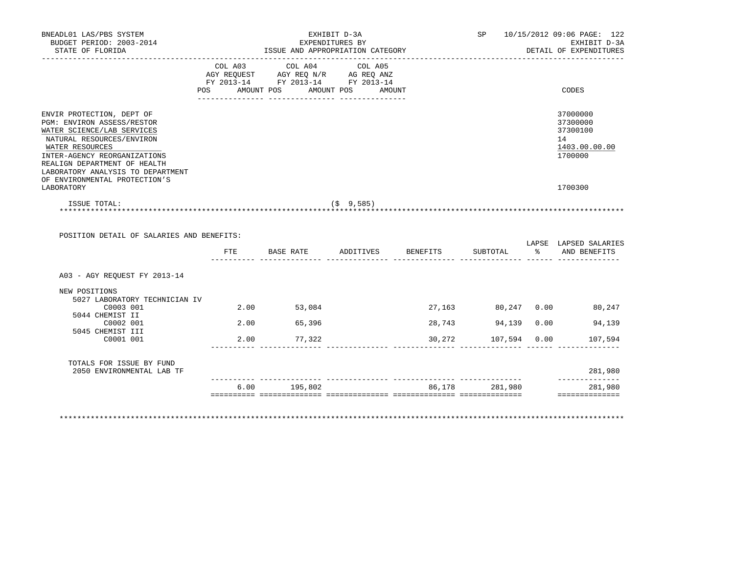| BNEADL01 LAS/PBS SYSTEM<br>BUDGET PERIOD: 2003-2014<br>STATE OF FLORIDA                                                                                                                                                                    |                              | ISSUE AND APPROPRIATION CATEGORY                                                                             | EXHIBIT D-3A<br>EXPENDITURES BY |          |                                                         |                  | SP 10/15/2012 09:06 PAGE: 122<br>EXHIBIT D-3A<br>DETAIL OF EXPENDITURES |
|--------------------------------------------------------------------------------------------------------------------------------------------------------------------------------------------------------------------------------------------|------------------------------|--------------------------------------------------------------------------------------------------------------|---------------------------------|----------|---------------------------------------------------------|------------------|-------------------------------------------------------------------------|
|                                                                                                                                                                                                                                            | COL A03<br>AMOUNT POS<br>POS | COL A04<br>AGY REQUEST AGY REQ N/R AG REQ ANZ<br>FY 2013-14 FY 2013-14 FY 2013-14<br><u>-- -------------</u> | COL A05<br>AMOUNT POS AMOUNT    |          |                                                         |                  | CODES                                                                   |
| ENVIR PROTECTION, DEPT OF<br>PGM: ENVIRON ASSESS/RESTOR<br>WATER SCIENCE/LAB SERVICES<br>NATURAL RESOURCES/ENVIRON<br>WATER RESOURCES<br>INTER-AGENCY REORGANIZATIONS<br>REALIGN DEPARTMENT OF HEALTH<br>LABORATORY ANALYSIS TO DEPARTMENT |                              |                                                                                                              |                                 |          |                                                         |                  | 37000000<br>37300000<br>37300100<br>14<br>1403.00.00.00<br>1700000      |
| OF ENVIRONMENTAL PROTECTION'S                                                                                                                                                                                                              |                              |                                                                                                              |                                 |          |                                                         |                  | 1700300                                                                 |
| LABORATORY                                                                                                                                                                                                                                 |                              |                                                                                                              |                                 |          |                                                         |                  |                                                                         |
| ISSUE TOTAL:                                                                                                                                                                                                                               |                              |                                                                                                              | $($ \$9,585)                    |          |                                                         |                  |                                                                         |
| POSITION DETAIL OF SALARIES AND BENEFITS:                                                                                                                                                                                                  |                              |                                                                                                              |                                 |          |                                                         |                  |                                                                         |
|                                                                                                                                                                                                                                            | $_{\rm FTE}$                 | BASE RATE                                                                                                    | ADDITIVES                       | BENEFITS | SUBTOTAL<br><u> ----- --------------- ------ ------</u> | $\sim$ $\approx$ | AND BENEFITS                                                            |
| A03 - AGY REOUEST FY 2013-14                                                                                                                                                                                                               |                              |                                                                                                              |                                 |          |                                                         |                  |                                                                         |
| NEW POSITIONS<br>5027 LABORATORY TECHNICIAN IV<br>C0003 001                                                                                                                                                                                |                              | 2.00 53,084                                                                                                  |                                 |          |                                                         |                  | 27,163 80,247 0.00 80,247                                               |
| 5044 CHEMIST II<br>C0002 001                                                                                                                                                                                                               |                              | 2.00 65,396                                                                                                  |                                 | 28,743   | 94,139 0.00                                             |                  | LAPSE LAPSED SALARIES<br>94,139                                         |
| 5045 CHEMIST III<br>C0001 001                                                                                                                                                                                                              |                              | 2.00 77,322                                                                                                  |                                 |          | 30,272 107,594 0.00                                     |                  | 107,594                                                                 |
| TOTALS FOR ISSUE BY FUND<br>2050 ENVIRONMENTAL LAB TF                                                                                                                                                                                      |                              |                                                                                                              |                                 |          |                                                         |                  | 281,980<br>--------------                                               |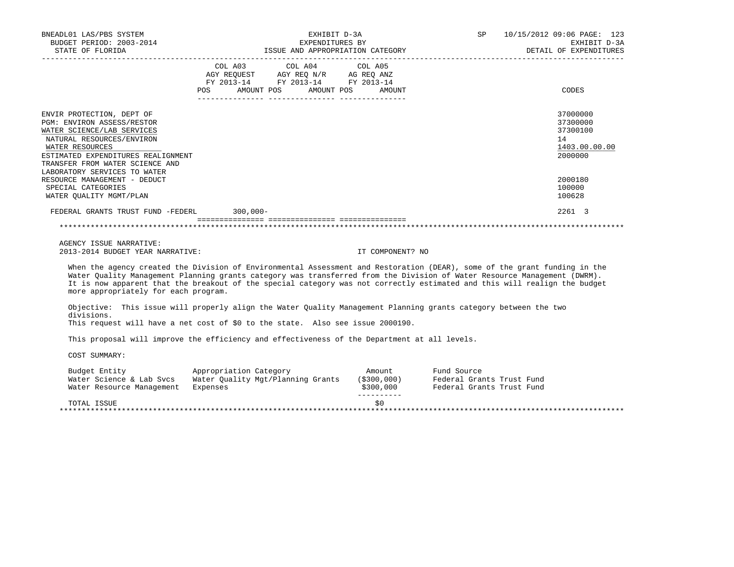| BNEADL01 LAS/PBS SYSTEM<br>BUDGET PERIOD: 2003-2014<br>STATE OF FLORIDA                                                                                                                                                                        | EXHIBIT D-3A<br>EXPENDITURES BY<br>ISSUE AND APPROPRIATION CATEGORY                                                                             | SP<br>10/15/2012 09:06 PAGE: 123<br>EXHIBIT D-3A<br>DETAIL OF EXPENDITURES |
|------------------------------------------------------------------------------------------------------------------------------------------------------------------------------------------------------------------------------------------------|-------------------------------------------------------------------------------------------------------------------------------------------------|----------------------------------------------------------------------------|
|                                                                                                                                                                                                                                                | COL A03 COL A04 COL A05<br>AGY REQUEST AGY REQ N/R AG REQ ANZ<br>FY 2013-14 FY 2013-14 FY 2013-14<br><b>POS</b><br>AMOUNT POS AMOUNT POS AMOUNT | CODES                                                                      |
| ENVIR PROTECTION, DEPT OF<br>PGM: ENVIRON ASSESS/RESTOR<br>WATER SCIENCE/LAB SERVICES<br>NATURAL RESOURCES/ENVIRON<br>WATER RESOURCES<br>ESTIMATED EXPENDITURES REALIGNMENT<br>TRANSFER FROM WATER SCIENCE AND<br>LABORATORY SERVICES TO WATER |                                                                                                                                                 | 37000000<br>37300000<br>37300100<br>14<br>1403.00.00.00<br>2000000         |
| RESOURCE MANAGEMENT - DEDUCT<br>SPECIAL CATEGORIES<br>WATER OUALITY MGMT/PLAN                                                                                                                                                                  |                                                                                                                                                 | 2000180<br>100000<br>100628                                                |
| FEDERAL GRANTS TRUST FUND -FEDERL 300,000-                                                                                                                                                                                                     |                                                                                                                                                 | 2261 3                                                                     |
|                                                                                                                                                                                                                                                |                                                                                                                                                 |                                                                            |

 When the agency created the Division of Environmental Assessment and Restoration (DEAR), some of the grant funding in the Water Quality Management Planning grants category was transferred from the Division of Water Resource Management (DWRM). It is now apparent that the breakout of the special category was not correctly estimated and this will realign the budget more appropriately for each program.

 Objective: This issue will properly align the Water Quality Management Planning grants category between the two divisions.

This request will have a net cost of \$0 to the state. Also see issue 2000190.

This proposal will improve the efficiency and effectiveness of the Department at all levels.

| Budget Entity             | Appropriation Category            | Amount      | Fund Source               |
|---------------------------|-----------------------------------|-------------|---------------------------|
| Water Science & Lab Sycs  | Water Ouality Mgt/Planning Grants | (S300, 000) | Federal Grants Trust Fund |
| Water Resource Management | Expenses                          | \$300,000   | Federal Grants Trust Fund |
|                           |                                   |             |                           |
| TOTAL ISSUE               |                                   | S0          |                           |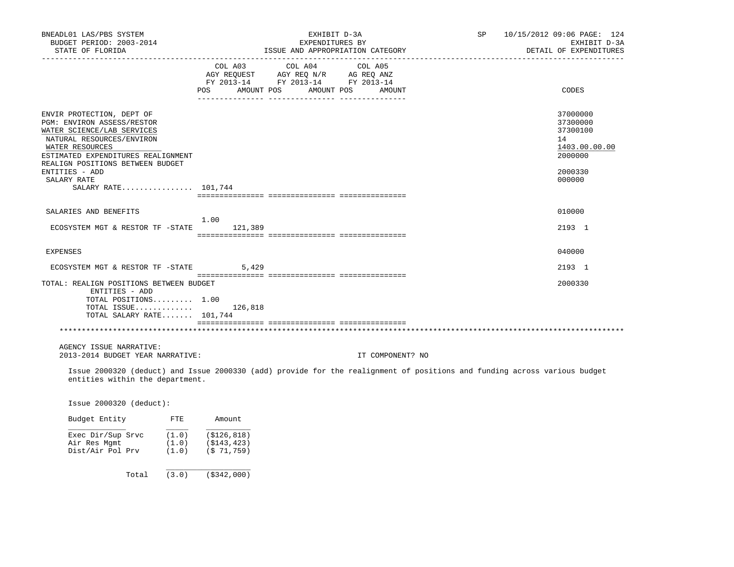| BNEADL01 LAS/PBS SYSTEM<br>BUDGET PERIOD: 2003-2014<br>STATE OF FLORIDA                                                                                                     |         | EXHIBIT D-3A<br>EXPENDITURES BY<br>ISSUE AND APPROPRIATION CATEGORY                                                   |                  | SP 10/15/2012 09:06 PAGE: 124 | EXHIBIT D-3A<br>DETAIL OF EXPENDITURES                             |
|-----------------------------------------------------------------------------------------------------------------------------------------------------------------------------|---------|-----------------------------------------------------------------------------------------------------------------------|------------------|-------------------------------|--------------------------------------------------------------------|
|                                                                                                                                                                             | COL A03 | COL A04<br>AGY REQUEST AGY REQ N/R AG REQ ANZ<br>FY 2013-14 FY 2013-14 FY 2013-14<br>POS AMOUNT POS AMOUNT POS AMOUNT | COL A05          |                               | CODES                                                              |
|                                                                                                                                                                             |         |                                                                                                                       |                  |                               |                                                                    |
| ENVIR PROTECTION, DEPT OF<br>PGM: ENVIRON ASSESS/RESTOR<br>WATER SCIENCE/LAB SERVICES<br>NATURAL RESOURCES/ENVIRON<br>WATER RESOURCES<br>ESTIMATED EXPENDITURES REALIGNMENT |         |                                                                                                                       |                  |                               | 37000000<br>37300000<br>37300100<br>14<br>1403.00.00.00<br>2000000 |
| REALIGN POSITIONS BETWEEN BUDGET<br>ENTITIES - ADD                                                                                                                          |         |                                                                                                                       |                  |                               | 2000330                                                            |
| SALARY RATE<br>SALARY RATE 101,744                                                                                                                                          |         |                                                                                                                       |                  |                               | 000000                                                             |
|                                                                                                                                                                             |         |                                                                                                                       |                  |                               |                                                                    |
| SALARIES AND BENEFITS                                                                                                                                                       | 1.00    |                                                                                                                       |                  |                               | 010000                                                             |
| ECOSYSTEM MGT & RESTOR TF -STATE 121,389                                                                                                                                    |         |                                                                                                                       |                  |                               | 2193 1                                                             |
|                                                                                                                                                                             |         |                                                                                                                       |                  |                               |                                                                    |
| <b>EXPENSES</b>                                                                                                                                                             |         |                                                                                                                       |                  |                               | 040000                                                             |
| ECOSYSTEM MGT & RESTOR TF -STATE                                                                                                                                            | 5,429   |                                                                                                                       |                  |                               | 2193 1                                                             |
| TOTAL: REALIGN POSITIONS BETWEEN BUDGET<br>ENTITIES - ADD<br>TOTAL POSITIONS 1.00<br>TOTAL ISSUE<br>TOTAL SALARY RATE 101,744                                               | 126,818 |                                                                                                                       |                  |                               | 2000330                                                            |
|                                                                                                                                                                             |         |                                                                                                                       |                  |                               |                                                                    |
|                                                                                                                                                                             |         |                                                                                                                       |                  |                               |                                                                    |
| AGENCY ISSUE NARRATIVE:<br>2013-2014 BUDGET YEAR NARRATIVE:                                                                                                                 |         |                                                                                                                       | IT COMPONENT? NO |                               |                                                                    |
| Issue 2000320 (deduct) and Issue 2000330 (add) provide for the realignment of positions and funding across various budget<br>entities within the department.                |         |                                                                                                                       |                  |                               |                                                                    |
| Issue 2000320 (deduct):                                                                                                                                                     |         |                                                                                                                       |                  |                               |                                                                    |

| Exec Dir/Sup Srvc | (1.0) | (S126, 818) |
|-------------------|-------|-------------|
| Air Res Mqmt      | (1.0) | (S143, 423) |
| Dist/Air Pol Prv  | (1.0) | (S 71, 759) |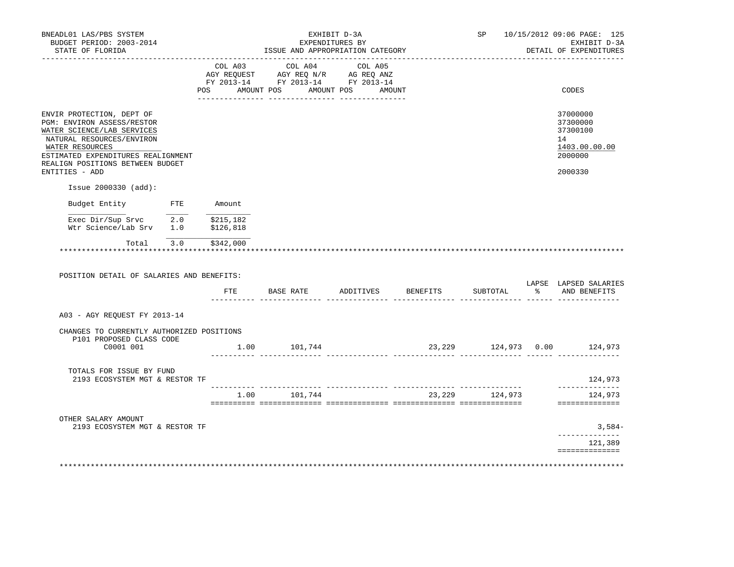| BNEADL01 LAS/PBS SYSTEM<br>BUDGET PERIOD: 2003-2014<br>STATE OF FLORIDA                                                                                                     |     |        | EXHIBIT D-3A<br>EXPENDITURES BY<br>ISSUE AND APPROPRIATION CATEGORY                                                               |  |                  |    | SP 10/15/2012 09:06 PAGE: 125<br>EXHIBIT D-3A<br>DETAIL OF EXPENDITURES |
|-----------------------------------------------------------------------------------------------------------------------------------------------------------------------------|-----|--------|-----------------------------------------------------------------------------------------------------------------------------------|--|------------------|----|-------------------------------------------------------------------------|
|                                                                                                                                                                             | POS |        | COL A03 COL A04 COL A05<br>AGY REQUEST AGY REQ N/R AG REQ ANZ<br>FY 2013-14 FY 2013-14 FY 2013-14<br>AMOUNT POS AMOUNT POS AMOUNT |  |                  |    | CODES                                                                   |
|                                                                                                                                                                             |     |        |                                                                                                                                   |  |                  |    |                                                                         |
| ENVIR PROTECTION, DEPT OF<br>PGM: ENVIRON ASSESS/RESTOR<br>WATER SCIENCE/LAB SERVICES<br>NATURAL RESOURCES/ENVIRON<br>WATER RESOURCES<br>ESTIMATED EXPENDITURES REALIGNMENT |     |        |                                                                                                                                   |  |                  |    | 37000000<br>37300000<br>37300100<br>14<br>1403.00.00.00<br>2000000      |
| REALIGN POSITIONS BETWEEN BUDGET<br>ENTITIES - ADD                                                                                                                          |     |        |                                                                                                                                   |  |                  |    | 2000330                                                                 |
| Issue 2000330 (add):                                                                                                                                                        |     |        |                                                                                                                                   |  |                  |    |                                                                         |
| Budget Entity FTE                                                                                                                                                           |     | Amount |                                                                                                                                   |  |                  |    |                                                                         |
|                                                                                                                                                                             |     |        |                                                                                                                                   |  |                  |    |                                                                         |
| Exec Dir/Sup Srvc $\overline{2.0}$ \$215,182<br>Wtr Science/Lab Srv 1.0 \$126,818                                                                                           |     |        |                                                                                                                                   |  |                  |    |                                                                         |
| Total 3.0 \$342,000<br>POSITION DETAIL OF SALARIES AND BENEFITS:                                                                                                            |     |        |                                                                                                                                   |  |                  |    |                                                                         |
|                                                                                                                                                                             |     | FTE    | BASE RATE ADDITIVES BENEFITS                                                                                                      |  | SUBTOTAL         | န္ | AND BENEFITS                                                            |
| A03 - AGY REOUEST FY 2013-14                                                                                                                                                |     |        |                                                                                                                                   |  |                  |    | LAPSE LAPSED SALARIES                                                   |
| CHANGES TO CURRENTLY AUTHORIZED POSITIONS                                                                                                                                   |     |        |                                                                                                                                   |  |                  |    |                                                                         |
| P101 PROPOSED CLASS CODE<br>C0001 001                                                                                                                                       |     |        | 1.00 101,744                                                                                                                      |  |                  |    | 23, 229 124, 973 0.00 124, 973                                          |
| TOTALS FOR ISSUE BY FUND<br>2193 ECOSYSTEM MGT & RESTOR TF                                                                                                                  |     |        |                                                                                                                                   |  |                  |    | 124,973                                                                 |
|                                                                                                                                                                             |     |        | 1.00 101,744                                                                                                                      |  | 23, 229 124, 973 |    | 124,973<br>==============                                               |
| OTHER SALARY AMOUNT                                                                                                                                                         |     |        |                                                                                                                                   |  |                  |    |                                                                         |
| 2193 ECOSYSTEM MGT & RESTOR TF                                                                                                                                              |     |        |                                                                                                                                   |  |                  |    | $3,584-$<br>______________                                              |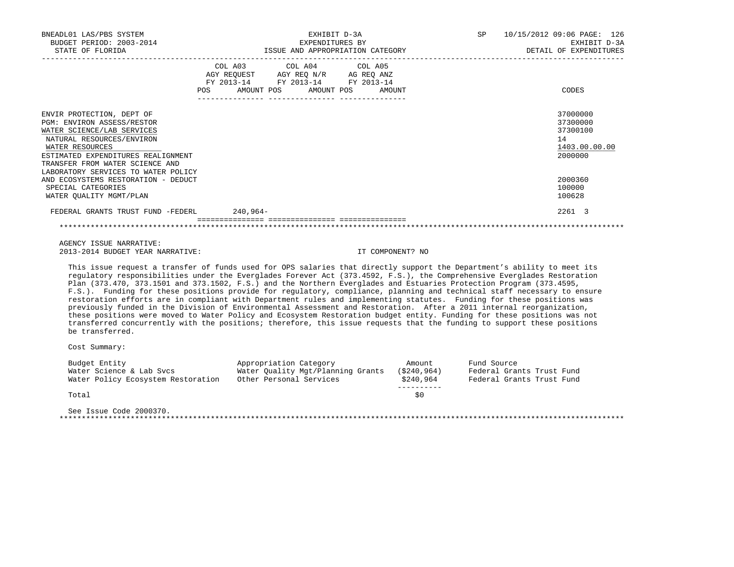| BNEADL01 LAS/PBS SYSTEM<br>BUDGET PERIOD: 2003-2014<br>STATE OF FLORIDA                                                                                                                                                                               | EXHIBIT D-3A<br>EXPENDITURES BY<br>ISSUE AND APPROPRIATION CATEGORY                                                                   | SP 10/15/2012 09:06 PAGE: 126<br>EXHIBIT D-3A<br>DETAIL OF EXPENDITURES |
|-------------------------------------------------------------------------------------------------------------------------------------------------------------------------------------------------------------------------------------------------------|---------------------------------------------------------------------------------------------------------------------------------------|-------------------------------------------------------------------------|
|                                                                                                                                                                                                                                                       | COL A03 COL A04 COL A05<br>AGY REQUEST AGY REQ N/R AG REQ ANZ<br>FY 2013-14 FY 2013-14 FY 2013-14<br>POS AMOUNT POS AMOUNT POS AMOUNT | CODES                                                                   |
| ENVIR PROTECTION, DEPT OF<br>PGM: ENVIRON ASSESS/RESTOR<br>WATER SCIENCE/LAB SERVICES<br>NATURAL RESOURCES/ENVIRON<br>WATER RESOURCES<br>ESTIMATED EXPENDITURES REALIGNMENT<br>TRANSFER FROM WATER SCIENCE AND<br>LABORATORY SERVICES TO WATER POLICY |                                                                                                                                       | 37000000<br>37300000<br>37300100<br>14<br>1403.00.00.00<br>2000000      |
| AND ECOSYSTEMS RESTORATION - DEDUCT<br>SPECIAL CATEGORIES<br>WATER OUALITY MGMT/PLAN                                                                                                                                                                  |                                                                                                                                       | 2000360<br>100000<br>100628                                             |
| FEDERAL GRANTS TRUST FUND -FEDERL 240,964-                                                                                                                                                                                                            |                                                                                                                                       | 2261 3                                                                  |
|                                                                                                                                                                                                                                                       |                                                                                                                                       |                                                                         |

 This issue request a transfer of funds used for OPS salaries that directly support the Department's ability to meet its regulatory responsibilities under the Everglades Forever Act (373.4592, F.S.), the Comprehensive Everglades Restoration Plan (373.470, 373.1501 and 373.1502, F.S.) and the Northern Everglades and Estuaries Protection Program (373.4595, F.S.). Funding for these positions provide for regulatory, compliance, planning and technical staff necessary to ensure restoration efforts are in compliant with Department rules and implementing statutes. Funding for these positions was previously funded in the Division of Environmental Assessment and Restoration. After a 2011 internal reorganization, these positions were moved to Water Policy and Ecosystem Restoration budget entity. Funding for these positions was not transferred concurrently with the positions; therefore, this issue requests that the funding to support these positions be transferred.

Cost Summary:

| Water Ouality Mgt/Planning Grants<br>Other Personal Services | (S240.964)<br>\$240,964 | Federal Grants Trust Fund |
|--------------------------------------------------------------|-------------------------|---------------------------|
|                                                              |                         |                           |
|                                                              |                         | Federal Grants Trust Fund |
|                                                              |                         |                           |
|                                                              | \$0                     |                           |
|                                                              |                         |                           |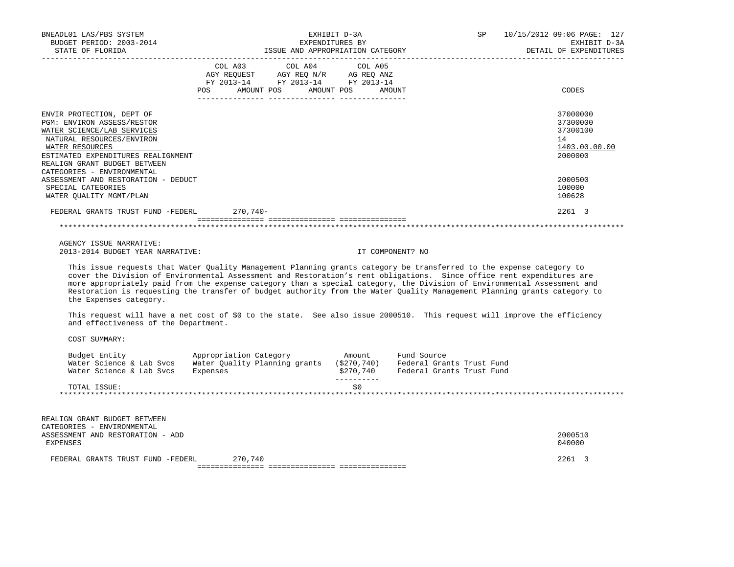| BNEADL01 LAS/PBS SYSTEM<br>BUDGET PERIOD: 2003-2014<br>STATE OF FLORIDA<br>--------------------                                                                                                             | ISSUE AND APPROPRIATION CATEGORY                                                                                                                                                                                                                                                                                                                                                                                                                                                                     | EXHIBIT D-3A<br>EXPENDITURES BY | SP                                                                    | 10/15/2012 09:06 PAGE: 127<br>EXHIBIT D-3A<br>DETAIL OF EXPENDITURES |
|-------------------------------------------------------------------------------------------------------------------------------------------------------------------------------------------------------------|------------------------------------------------------------------------------------------------------------------------------------------------------------------------------------------------------------------------------------------------------------------------------------------------------------------------------------------------------------------------------------------------------------------------------------------------------------------------------------------------------|---------------------------------|-----------------------------------------------------------------------|----------------------------------------------------------------------|
|                                                                                                                                                                                                             | COL A03 COL A04 COL A05<br>AGY REQUEST AGY REQ N/R AG REQ ANZ<br>FY 2013-14 FY 2013-14 FY 2013-14<br>POS<br>AMOUNT POS AMOUNT POS                                                                                                                                                                                                                                                                                                                                                                    |                                 | AMOUNT                                                                | CODES                                                                |
| ENVIR PROTECTION, DEPT OF<br>PGM: ENVIRON ASSESS/RESTOR<br>WATER SCIENCE/LAB SERVICES<br>NATURAL RESOURCES/ENVIRON<br>WATER RESOURCES<br>ESTIMATED EXPENDITURES REALIGNMENT<br>REALIGN GRANT BUDGET BETWEEN |                                                                                                                                                                                                                                                                                                                                                                                                                                                                                                      |                                 |                                                                       | 37000000<br>37300000<br>37300100<br>14<br>1403.00.00.00<br>2000000   |
| CATEGORIES - ENVIRONMENTAL<br>ASSESSMENT AND RESTORATION - DEDUCT<br>SPECIAL CATEGORIES<br>WATER QUALITY MGMT/PLAN                                                                                          |                                                                                                                                                                                                                                                                                                                                                                                                                                                                                                      |                                 |                                                                       | 2000500<br>100000<br>100628                                          |
| FEDERAL GRANTS TRUST FUND -FEDERL                                                                                                                                                                           | 270,740-                                                                                                                                                                                                                                                                                                                                                                                                                                                                                             |                                 |                                                                       | 2261 3                                                               |
|                                                                                                                                                                                                             |                                                                                                                                                                                                                                                                                                                                                                                                                                                                                                      |                                 |                                                                       |                                                                      |
| AGENCY ISSUE NARRATIVE:<br>2013-2014 BUDGET YEAR NARRATIVE:                                                                                                                                                 |                                                                                                                                                                                                                                                                                                                                                                                                                                                                                                      |                                 | IT COMPONENT? NO                                                      |                                                                      |
| the Expenses category.                                                                                                                                                                                      | This issue requests that Water Quality Management Planning grants category be transferred to the expense category to<br>cover the Division of Environmental Assessment and Restoration's rent obligations. Since office rent expenditures are<br>more appropriately paid from the expense category than a special category, the Division of Environmental Assessment and<br>Restoration is requesting the transfer of budget authority from the Water Ouality Management Planning grants category to |                                 |                                                                       |                                                                      |
| and effectiveness of the Department.                                                                                                                                                                        | This request will have a net cost of \$0 to the state. See also issue 2000510. This request will improve the efficiency                                                                                                                                                                                                                                                                                                                                                                              |                                 |                                                                       |                                                                      |
| COST SUMMARY:                                                                                                                                                                                               |                                                                                                                                                                                                                                                                                                                                                                                                                                                                                                      |                                 |                                                                       |                                                                      |
| Water Science & Lab Svcs                                                                                                                                                                                    | Budget Entity <b>Example 2</b> Appropriation Category <b>Amount</b><br>Water Science & Lab Svcs Water Quality Planning grants (\$270,740)<br>Expenses                                                                                                                                                                                                                                                                                                                                                | \$270,740<br>-----------        | Fund Source<br>Federal Grants Trust Fund<br>Federal Grants Trust Fund |                                                                      |
| TOTAL ISSUE:                                                                                                                                                                                                |                                                                                                                                                                                                                                                                                                                                                                                                                                                                                                      | \$0\$                           |                                                                       |                                                                      |
| REALIGN GRANT BUDGET BETWEEN                                                                                                                                                                                |                                                                                                                                                                                                                                                                                                                                                                                                                                                                                                      |                                 |                                                                       |                                                                      |
| CATEGORIES - ENVIRONMENTAL<br>ASSESSMENT AND RESTORATION - ADD<br>EXPENSES                                                                                                                                  |                                                                                                                                                                                                                                                                                                                                                                                                                                                                                                      |                                 |                                                                       | 2000510<br>040000                                                    |
| FEDERAL GRANTS TRUST FUND -FEDERL                                                                                                                                                                           | 270,740                                                                                                                                                                                                                                                                                                                                                                                                                                                                                              |                                 |                                                                       | 2261 3                                                               |
|                                                                                                                                                                                                             |                                                                                                                                                                                                                                                                                                                                                                                                                                                                                                      |                                 |                                                                       |                                                                      |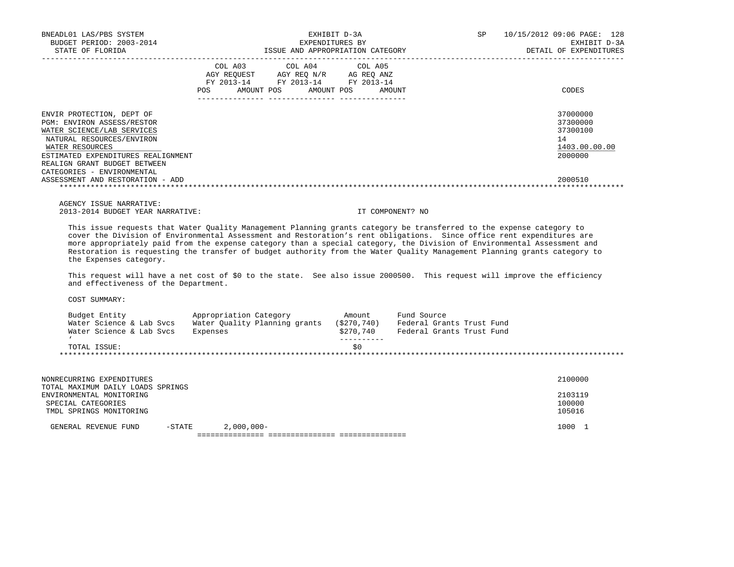| BNEADL01 LAS/PBS SYSTEM<br>BUDGET PERIOD: 2003-2014<br>STATE OF FLORIDA                                                                                                                                                                          | EXHIBIT D-3A<br>EXPENDITURES BY<br>ISSUE AND APPROPRIATION CATEGORY                                                                            | SP<br>10/15/2012 09:06 PAGE: 128<br>EXHIBIT D-3A<br>DETAIL OF EXPENDITURES |
|--------------------------------------------------------------------------------------------------------------------------------------------------------------------------------------------------------------------------------------------------|------------------------------------------------------------------------------------------------------------------------------------------------|----------------------------------------------------------------------------|
|                                                                                                                                                                                                                                                  | COL A03<br>COL A04 COL A05<br>AGY REOUEST AGY REO N/R AG REO ANZ<br>FY 2013-14 FY 2013-14 FY 2013-14<br>POS<br>AMOUNT POS AMOUNT POS<br>AMOUNT | CODES                                                                      |
| ENVIR PROTECTION, DEPT OF<br><b>PGM: ENVIRON ASSESS/RESTOR</b><br>WATER SCIENCE/LAB SERVICES<br>NATURAL RESOURCES/ENVIRON<br>WATER RESOURCES<br>ESTIMATED EXPENDITURES REALIGNMENT<br>REALIGN GRANT BUDGET BETWEEN<br>CATEGORIES - ENVIRONMENTAL |                                                                                                                                                | 37000000<br>37300000<br>37300100<br>14<br>1403.00.00.00<br>2000000         |
| ASSESSMENT AND RESTORATION - ADD                                                                                                                                                                                                                 |                                                                                                                                                | 2000510                                                                    |

 This issue requests that Water Quality Management Planning grants category be transferred to the expense category to cover the Division of Environmental Assessment and Restoration's rent obligations. Since office rent expenditures are more appropriately paid from the expense category than a special category, the Division of Environmental Assessment and Restoration is requesting the transfer of budget authority from the Water Quality Management Planning grants category to the Expenses category.

This request will have a net cost of \$0 to the state. See also issue 2000500. This request will improve the efficiency and effectiveness of the Department.

| Budget Entity            | Appropriation Category        | Amount      | Fund Source               |
|--------------------------|-------------------------------|-------------|---------------------------|
| Water Science & Lab Sycs | Water Ouality Planning grants | (S270, 740) | Federal Grants Trust Fund |
| Water Science & Lab Sycs | Expenses                      | \$270,740   | Federal Grants Trust Fund |
|                          |                               |             |                           |
| TOTAL ISSUE:             |                               | S0          |                           |

| NONRECURRING EXPENDITURES         |           |              | 2100000 |  |  |
|-----------------------------------|-----------|--------------|---------|--|--|
| TOTAL MAXIMUM DAILY LOADS SPRINGS |           |              |         |  |  |
| ENVIRONMENTAL MONITORING          |           |              | 2103119 |  |  |
| SPECIAL CATEGORIES                |           |              | 100000  |  |  |
| TMDL SPRINGS MONITORING           |           |              | 105016  |  |  |
| GENERAL REVENUE FUND              | $-$ STATE | $2,000,000-$ | 1000    |  |  |
|                                   |           |              |         |  |  |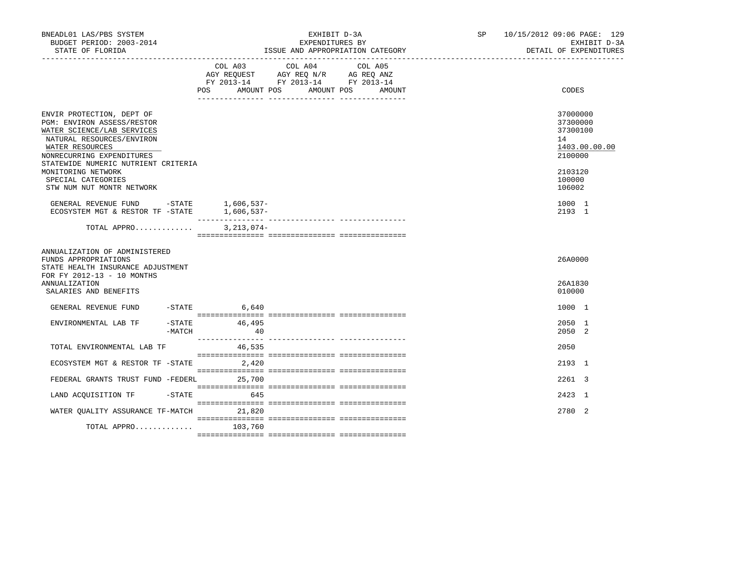| BNEADL01 LAS/PBS SYSTEM<br>BUDGET PERIOD: 2003-2014<br>STATE OF FLORIDA                                                                                                                                   |                  | EXHIBIT D-3A<br>EXPENDITURES BY<br>ISSUE AND APPROPRIATION CATEGORY |              |  | SP <sub>2</sub>                                                                                                       | 10/15/2012 09:06 PAGE: 129 |  | EXHIBIT D-3A<br>DETAIL OF EXPENDITURES |                                                   |               |
|-----------------------------------------------------------------------------------------------------------------------------------------------------------------------------------------------------------|------------------|---------------------------------------------------------------------|--------------|--|-----------------------------------------------------------------------------------------------------------------------|----------------------------|--|----------------------------------------|---------------------------------------------------|---------------|
|                                                                                                                                                                                                           |                  |                                                                     | COL A03      |  | COL A04<br>AGY REQUEST AGY REQ N/R AG REQ ANZ<br>FY 2013-14 FY 2013-14 FY 2013-14<br>POS AMOUNT POS AMOUNT POS AMOUNT | COL A05                    |  |                                        | CODES                                             |               |
| ENVIR PROTECTION, DEPT OF<br>PGM: ENVIRON ASSESS/RESTOR<br>WATER SCIENCE/LAB SERVICES<br>NATURAL RESOURCES/ENVIRON<br>WATER RESOURCES<br>NONRECURRING EXPENDITURES<br>STATEWIDE NUMERIC NUTRIENT CRITERIA |                  |                                                                     |              |  |                                                                                                                       |                            |  |                                        | 37000000<br>37300000<br>37300100<br>14<br>2100000 | 1403.00.00.00 |
| MONITORING NETWORK<br>SPECIAL CATEGORIES<br>STW NUM NUT MONTR NETWORK                                                                                                                                     |                  |                                                                     |              |  |                                                                                                                       |                            |  |                                        | 2103120<br>100000<br>106002                       |               |
| GENERAL REVENUE FUND -STATE<br>ECOSYSTEM MGT & RESTOR TF -STATE 1,606,537-                                                                                                                                |                  |                                                                     | 1,606,537-   |  |                                                                                                                       |                            |  |                                        | 1000 1<br>2193 1                                  |               |
| TOTAL APPRO                                                                                                                                                                                               |                  |                                                                     | $3,213,074-$ |  |                                                                                                                       |                            |  |                                        |                                                   |               |
| ANNUALIZATION OF ADMINISTERED<br>FUNDS APPROPRIATIONS<br>STATE HEALTH INSURANCE ADJUSTMENT<br>FOR FY 2012-13 - 10 MONTHS                                                                                  |                  |                                                                     |              |  |                                                                                                                       |                            |  |                                        | 26A0000                                           |               |
| ANNUALIZATION<br>SALARIES AND BENEFITS                                                                                                                                                                    |                  |                                                                     |              |  |                                                                                                                       |                            |  |                                        | 26A1830<br>010000                                 |               |
| GENERAL REVENUE FUND -STATE                                                                                                                                                                               |                  |                                                                     | 6,640        |  |                                                                                                                       |                            |  |                                        | 1000 1                                            |               |
| ENVIRONMENTAL LAB TF                                                                                                                                                                                      | -STATE<br>-MATCH |                                                                     | 46,495<br>40 |  |                                                                                                                       |                            |  |                                        | 2050 1<br>20502                                   |               |
| TOTAL ENVIRONMENTAL LAB TF                                                                                                                                                                                |                  |                                                                     | 46,535       |  |                                                                                                                       |                            |  |                                        | 2050                                              |               |
| ECOSYSTEM MGT & RESTOR TF -STATE                                                                                                                                                                          |                  |                                                                     | 2,420        |  |                                                                                                                       |                            |  |                                        | 2193 1                                            |               |
| FEDERAL GRANTS TRUST FUND -FEDERL 25,700                                                                                                                                                                  |                  |                                                                     |              |  |                                                                                                                       |                            |  |                                        | 2261 3                                            |               |
| LAND ACQUISITION TF                                                                                                                                                                                       |                  |                                                                     | $-STATE$ 645 |  |                                                                                                                       |                            |  |                                        | $2423 \quad 1$                                    |               |
| WATER QUALITY ASSURANCE TF-MATCH                                                                                                                                                                          |                  |                                                                     | 21,820       |  |                                                                                                                       |                            |  |                                        | 2780 2                                            |               |
| TOTAL APPRO 103,760                                                                                                                                                                                       |                  |                                                                     |              |  |                                                                                                                       |                            |  |                                        |                                                   |               |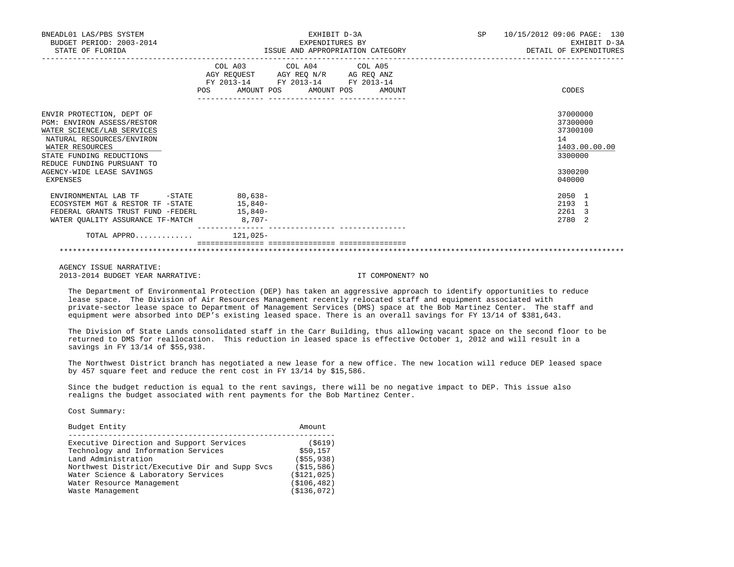| BNEADL01 LAS/PBS SYSTEM<br>BUDGET PERIOD: 2003-2014<br>STATE OF FLORIDA                                                                                                                                                                         | EXHIBIT D-3A<br>EXPENDITURES BY<br>ISSUE AND APPROPRIATION CATEGORY<br>------------                                                                                                  | SP<br>10/15/2012 09:06 PAGE: 130<br>EXHIBIT D-3A<br>DETAIL OF EXPENDITURES              |
|-------------------------------------------------------------------------------------------------------------------------------------------------------------------------------------------------------------------------------------------------|--------------------------------------------------------------------------------------------------------------------------------------------------------------------------------------|-----------------------------------------------------------------------------------------|
|                                                                                                                                                                                                                                                 | COL A03 COL A04 COL A05<br>AGY REQUEST AGY REQ N/R AG REQ ANZ<br>FY 2013-14 FY 2013-14 FY 2013-14<br><b>POS</b><br>AMOUNT POS AMOUNT POS<br>AMOUNT<br>_____________ ________________ | CODES                                                                                   |
| ENVIR PROTECTION, DEPT OF<br><b>PGM: ENVIRON ASSESS/RESTOR</b><br>WATER SCIENCE/LAB SERVICES<br>NATURAL RESOURCES/ENVIRON<br>WATER RESOURCES<br>STATE FUNDING REDUCTIONS<br>REDUCE FUNDING PURSUANT TO<br>AGENCY-WIDE LEASE SAVINGS<br>EXPENSES |                                                                                                                                                                                      | 37000000<br>37300000<br>37300100<br>14<br>1403.00.00.00<br>3300000<br>3300200<br>040000 |
| ENVIRONMENTAL LAB TF<br>ECOSYSTEM MGT & RESTOR TF -STATE<br>FEDERAL GRANTS TRUST FUND -FEDERL<br>WATER QUALITY ASSURANCE TF-MATCH 8,707-                                                                                                        | $-STATE$ 80,638-<br>$15.840 -$<br>$15.840 -$                                                                                                                                         | $2050 - 1$<br>2193 1<br>2261 3<br>2780 2                                                |
| TOTAL APPRO $\ldots \ldots \ldots$                                                                                                                                                                                                              |                                                                                                                                                                                      |                                                                                         |

 The Department of Environmental Protection (DEP) has taken an aggressive approach to identify opportunities to reduce lease space. The Division of Air Resources Management recently relocated staff and equipment associated with private-sector lease space to Department of Management Services (DMS) space at the Bob Martinez Center. The staff and equipment were absorbed into DEP's existing leased space. There is an overall savings for FY 13/14 of \$381,643.

 The Division of State Lands consolidated staff in the Carr Building, thus allowing vacant space on the second floor to be returned to DMS for reallocation. This reduction in leased space is effective October 1, 2012 and will result in a savings in FY 13/14 of \$55,938.

 The Northwest District branch has negotiated a new lease for a new office. The new location will reduce DEP leased space by 457 square feet and reduce the rent cost in FY 13/14 by \$15,586.

 Since the budget reduction is equal to the rent savings, there will be no negative impact to DEP. This issue also realigns the budget associated with rent payments for the Bob Martinez Center.

Cost Summary:

| Budget Entity                                  | Amount        |
|------------------------------------------------|---------------|
| Executive Direction and Support Services       | (S619)        |
| Technology and Information Services            | \$50,157      |
| Land Administration                            | ( \$55, 938)  |
| Northwest District/Executive Dir and Supp Svcs | (S15, 586)    |
| Water Science & Laboratory Services            | ( \$121, 025) |
| Water Resource Management                      | ( \$106, 482) |
| Waste Management                               | ( \$136, 072) |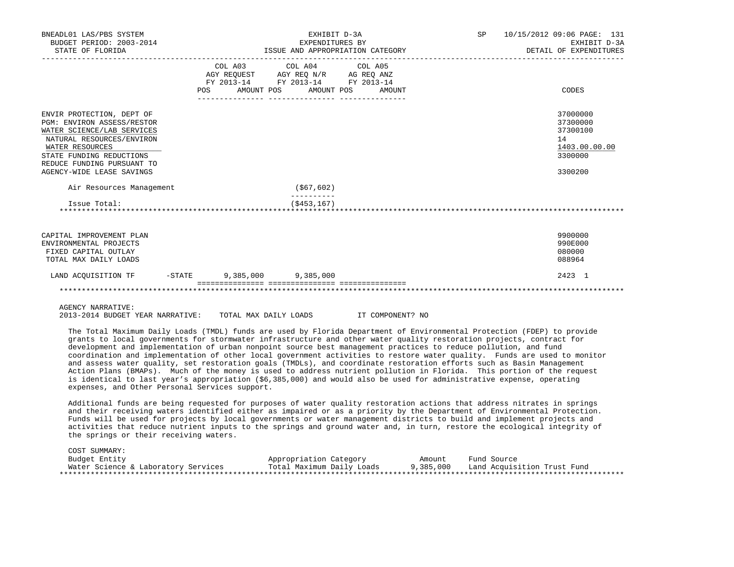| BNEADL01 LAS/PBS SYSTEM<br>BUDGET PERIOD: 2003-2014<br>STATE OF FLORIDA                                                                                                                                                      |            | EXHIBIT D-3A<br>EXPENDITURES BY<br>ISSUE AND APPROPRIATION CATEGORY |                                                                                                                                   |  |  | SP 10/15/2012 09:06 PAGE: 131<br>EXHIBIT D-3A<br>DETAIL OF EXPENDITURES       |
|------------------------------------------------------------------------------------------------------------------------------------------------------------------------------------------------------------------------------|------------|---------------------------------------------------------------------|-----------------------------------------------------------------------------------------------------------------------------------|--|--|-------------------------------------------------------------------------------|
|                                                                                                                                                                                                                              | <b>POS</b> |                                                                     | COL A03 COL A04 COL A05<br>AGY REQUEST AGY REQ N/R AG REQ ANZ<br>FY 2013-14 FY 2013-14 FY 2013-14<br>AMOUNT POS AMOUNT POS AMOUNT |  |  | CODES                                                                         |
| ENVIR PROTECTION, DEPT OF<br>PGM: ENVIRON ASSESS/RESTOR<br>WATER SCIENCE/LAB SERVICES<br>NATURAL RESOURCES/ENVIRON<br>WATER RESOURCES<br>STATE FUNDING REDUCTIONS<br>REDUCE FUNDING PURSUANT TO<br>AGENCY-WIDE LEASE SAVINGS |            |                                                                     |                                                                                                                                   |  |  | 37000000<br>37300000<br>37300100<br>14<br>1403.00.00.00<br>3300000<br>3300200 |
| Air Resources Management                                                                                                                                                                                                     |            |                                                                     | (\$67,602)                                                                                                                        |  |  |                                                                               |
| Issue Total:                                                                                                                                                                                                                 |            |                                                                     | ( \$453, 167)                                                                                                                     |  |  |                                                                               |
| CAPITAL IMPROVEMENT PLAN<br>ENVIRONMENTAL PROJECTS<br>FIXED CAPITAL OUTLAY<br>TOTAL MAX DAILY LOADS                                                                                                                          |            |                                                                     |                                                                                                                                   |  |  | 9900000<br>990E000<br>080000<br>088964                                        |
| LAND ACOUISITION TF -STATE 9,385,000 9,385,000                                                                                                                                                                               |            |                                                                     |                                                                                                                                   |  |  | 2423 1                                                                        |
|                                                                                                                                                                                                                              |            |                                                                     |                                                                                                                                   |  |  |                                                                               |
|                                                                                                                                                                                                                              |            |                                                                     |                                                                                                                                   |  |  |                                                                               |

2013-2014 BUDGET YEAR NARRATIVE: TOTAL MAX DAILY LOADS IT COMPONENT? NO

 The Total Maximum Daily Loads (TMDL) funds are used by Florida Department of Environmental Protection (FDEP) to provide grants to local governments for stormwater infrastructure and other water quality restoration projects, contract for development and implementation of urban nonpoint source best management practices to reduce pollution, and fund coordination and implementation of other local government activities to restore water quality. Funds are used to monitor and assess water quality, set restoration goals (TMDLs), and coordinate restoration efforts such as Basin Management Action Plans (BMAPs). Much of the money is used to address nutrient pollution in Florida. This portion of the request is identical to last year's appropriation (\$6,385,000) and would also be used for administrative expense, operating expenses, and Other Personal Services support.

 Additional funds are being requested for purposes of water quality restoration actions that address nitrates in springs and their receiving waters identified either as impaired or as a priority by the Department of Environmental Protection. Funds will be used for projects by local governments or water management districts to build and implement projects and activities that reduce nutrient inputs to the springs and ground water and, in turn, restore the ecological integrity of the springs or their receiving waters.

| COST SUMMARY:                       |                           |           |                             |
|-------------------------------------|---------------------------|-----------|-----------------------------|
| Budget Entity                       | Appropriation Category    | Amount    | Fund Source                 |
| Water Science & Laboratory Services | Total Maximum Daily Loads | 9,385,000 | Land Acquisition Trust Fund |
|                                     |                           |           |                             |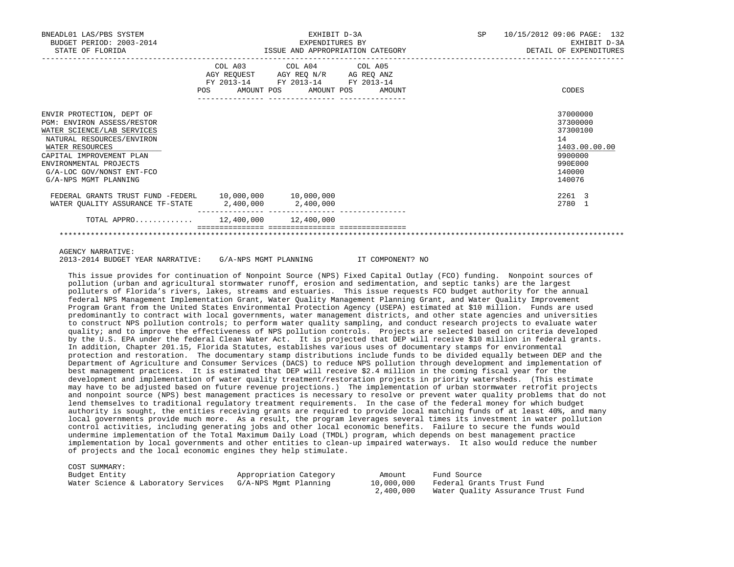| BNEADL01 LAS/PBS SYSTEM<br>BUDGET PERIOD: 2003-2014<br>STATE OF FLORIDA                                                                                                                                                                                  |     | EXHIBIT D-3A<br>EXPENDITURES BY<br>ISSUE AND APPROPRIATION CATEGORY                                                               | SP 10/15/2012 09:06 PAGE: 132<br>EXHIBIT D-3A<br>DETAIL OF EXPENDITURES                           |
|----------------------------------------------------------------------------------------------------------------------------------------------------------------------------------------------------------------------------------------------------------|-----|-----------------------------------------------------------------------------------------------------------------------------------|---------------------------------------------------------------------------------------------------|
|                                                                                                                                                                                                                                                          | POS | COL A03 COL A04 COL A05<br>AGY REQUEST AGY REQ N/R AG REQ ANZ<br>FY 2013-14 FY 2013-14 FY 2013-14<br>AMOUNT POS AMOUNT POS AMOUNT | CODES                                                                                             |
| ENVIR PROTECTION, DEPT OF<br><b>PGM: ENVIRON ASSESS/RESTOR</b><br>WATER SCIENCE/LAB SERVICES<br>NATURAL RESOURCES/ENVIRON<br>WATER RESOURCES<br>CAPITAL IMPROVEMENT PLAN<br>ENVIRONMENTAL PROJECTS<br>G/A-LOC GOV/NONST ENT-FCO<br>G/A-NPS MGMT PLANNING |     |                                                                                                                                   | 37000000<br>37300000<br>37300100<br>14<br>1403.00.00.00<br>9900000<br>990E000<br>140000<br>140076 |
| FEDERAL GRANTS TRUST FUND -FEDERL 10,000,000 10,000,000<br>WATER QUALITY ASSURANCE TF-STATE 2,400,000 2,400,000                                                                                                                                          |     |                                                                                                                                   | 2261 3<br>2780 1                                                                                  |
| TOTAL APPRO 12,400,000 12,400,000                                                                                                                                                                                                                        |     |                                                                                                                                   |                                                                                                   |

2013-2014 BUDGET YEAR NARRATIVE: G/A-NPS MGMT PLANNING IT COMPONENT? NO

 This issue provides for continuation of Nonpoint Source (NPS) Fixed Capital Outlay (FCO) funding. Nonpoint sources of pollution (urban and agricultural stormwater runoff, erosion and sedimentation, and septic tanks) are the largest polluters of Florida's rivers, lakes, streams and estuaries. This issue requests FCO budget authority for the annual federal NPS Management Implementation Grant, Water Quality Management Planning Grant, and Water Quality Improvement Program Grant from the United States Environmental Protection Agency (USEPA) estimated at \$10 million. Funds are used predominantly to contract with local governments, water management districts, and other state agencies and universities to construct NPS pollution controls; to perform water quality sampling, and conduct research projects to evaluate water quality; and to improve the effectiveness of NPS pollution controls. Projects are selected based on criteria developed by the U.S. EPA under the federal Clean Water Act. It is projected that DEP will receive \$10 million in federal grants. In addition, Chapter 201.15, Florida Statutes, establishes various uses of documentary stamps for environmental protection and restoration. The documentary stamp distributions include funds to be divided equally between DEP and the Department of Agriculture and Consumer Services (DACS) to reduce NPS pollution through development and implementation of best management practices. It is estimated that DEP will receive \$2.4 million in the coming fiscal year for the development and implementation of water quality treatment/restoration projects in priority watersheds. (This estimate may have to be adjusted based on future revenue projections.) The implementation of urban stormwater retrofit projects and nonpoint source (NPS) best management practices is necessary to resolve or prevent water quality problems that do not lend themselves to traditional regulatory treatment requirements. In the case of the federal money for which budget authority is sought, the entities receiving grants are required to provide local matching funds of at least 40%, and many local governments provide much more. As a result, the program leverages several times its investment in water pollution control activities, including generating jobs and other local economic benefits. Failure to secure the funds would undermine implementation of the Total Maximum Daily Load (TMDL) program, which depends on best management practice implementation by local governments and other entities to clean-up impaired waterways. It also would reduce the number of projects and the local economic engines they help stimulate.

COST SUMMARY:<br>Budget Entity

| Budget Entity<br>Water Science & Laboratory Services | Appropriation Category<br>G/A-NPS Mqmt Planning | Amount<br>10,000,000<br>2,400,000 | Fund Source<br>Federal Grants Trust Fund<br>Water Ouality Assurance Trust Fund |
|------------------------------------------------------|-------------------------------------------------|-----------------------------------|--------------------------------------------------------------------------------|
|                                                      |                                                 |                                   |                                                                                |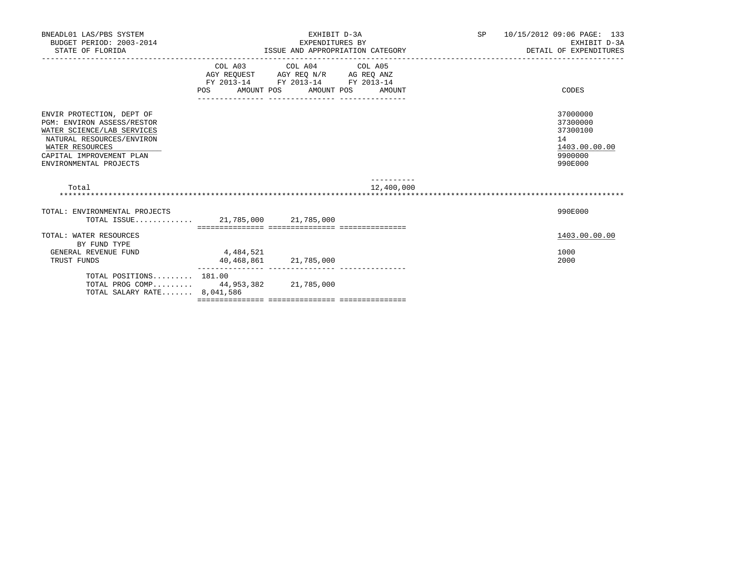| BNEADL01 LAS/PBS SYSTEM<br>BUDGET PERIOD: 2003-2014<br>STATE OF FLORIDA                                                                                                                            |                                                                                                                                                                                                                                  | EXHIBIT D-3A<br>EXPENDITURES BY<br>ISSUE AND APPROPRIATION CATEGORY | SP 10/15/2012 09:06 PAGE: 133<br>EXHIBIT D-3A<br>DETAIL OF EXPENDITURES |                                                                               |
|----------------------------------------------------------------------------------------------------------------------------------------------------------------------------------------------------|----------------------------------------------------------------------------------------------------------------------------------------------------------------------------------------------------------------------------------|---------------------------------------------------------------------|-------------------------------------------------------------------------|-------------------------------------------------------------------------------|
|                                                                                                                                                                                                    | $\begin{tabular}{lllllll} AGY & \texttt{REQUEST} & \texttt{AGY} & \texttt{REG} & \texttt{N/R} & \texttt{AG} & \texttt{REQ} & \texttt{ANZ} \end{tabular}$<br>FY 2013-14 FY 2013-14 FY 2013-14<br>POS AMOUNT POS AMOUNT POS AMOUNT | COL A03 COL A04 COL A05                                             |                                                                         | CODES                                                                         |
| ENVIR PROTECTION, DEPT OF<br><b>PGM: ENVIRON ASSESS/RESTOR</b><br>WATER SCIENCE/LAB SERVICES<br>NATURAL RESOURCES/ENVIRON<br>WATER RESOURCES<br>CAPITAL IMPROVEMENT PLAN<br>ENVIRONMENTAL PROJECTS |                                                                                                                                                                                                                                  |                                                                     |                                                                         | 37000000<br>37300000<br>37300100<br>14<br>1403.00.00.00<br>9900000<br>990E000 |
| Total                                                                                                                                                                                              |                                                                                                                                                                                                                                  |                                                                     | 12,400,000                                                              |                                                                               |
| TOTAL: ENVIRONMENTAL PROJECTS<br>TOTAL ISSUE 21,785,000 21,785,000                                                                                                                                 |                                                                                                                                                                                                                                  |                                                                     |                                                                         | 990E000                                                                       |
| TOTAL: WATER RESOURCES<br>BY FUND TYPE<br>GENERAL REVENUE FUND<br>TRUST FUNDS                                                                                                                      | 4,484,521<br>40,468,861 21,785,000                                                                                                                                                                                               |                                                                     |                                                                         | 1403.00.00.00<br>1000<br>2000                                                 |
| TOTAL POSITIONS $181.00$<br>TOTAL PROG COMP 44,953,382 21,785,000<br>TOTAL SALARY RATE 8,041,586                                                                                                   |                                                                                                                                                                                                                                  |                                                                     |                                                                         |                                                                               |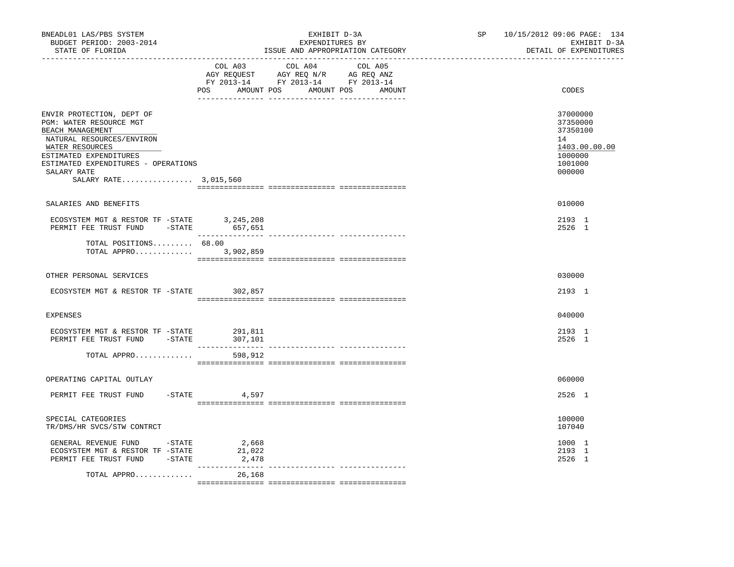| COL A03 COL A04 COL A05<br>AGY REQUEST AGY REQ N/R AG REQ ANZ<br>FY 2013-14 FY 2013-14 FY 2013-14<br>POS AMOUNT POS AMOUNT POS AMOUNT<br>CODES<br>ENVIR PROTECTION, DEPT OF<br>37000000<br>PGM: WATER RESOURCE MGT<br>37350000<br>37350100<br>BEACH MANAGEMENT<br>NATURAL RESOURCES/ENVIRON<br>14<br>WATER RESOURCES<br>ESTIMATED EXPENDITURES<br>1000000<br>ESTIMATED EXPENDITURES - OPERATIONS<br>1001000<br>000000<br>SALARY RATE<br>SALARY RATE 3,015,560<br>010000<br>SALARIES AND BENEFITS<br>$\begin{tabular}{lllllllll} \texttt{ECOS} {\tt YSTEN} & \texttt{MGT} & \texttt{& \tt RESTOR} & \tt TF & -STATE & & 3,245,208 \\ \texttt{PERMIT} & \texttt{FEE} & \texttt{RUST} & \texttt{FUND} & & -STATE & & 657,651 \\ \end{tabular}$<br>2193 1<br>2526 1<br>TOTAL POSITIONS 68.00<br>TOTAL APPRO 3,902,859<br>OTHER PERSONAL SERVICES<br>030000<br>ECOSYSTEM MGT & RESTOR TF -STATE<br>302,857<br>2193 1<br><b>EXPENSES</b><br>040000<br>2193 1<br>ECOSYSTEM MGT & RESTOR TF -STATE 291,811<br>PERMIT FEE TRUST FUND -STATE<br>307,101<br>2526 1<br>TOTAL APPRO<br>598,912<br>OPERATING CAPITAL OUTLAY<br>060000<br>PERMIT FEE TRUST FUND<br>$-$ STATE 4,597<br>2526 1<br>100000<br>SPECIAL CATEGORIES<br>TR/DMS/HR SVCS/STW CONTRCT<br>107040<br>2,668<br>GENERAL REVENUE FUND -STATE<br>1000 1<br>ECOSYSTEM MGT & RESTOR TF -STATE<br>21,022<br>2193 1<br>PERMIT FEE TRUST FUND -STATE<br>2,478<br>2526 1<br>TOTAL APPRO<br>26,168 | BNEADL01 LAS/PBS SYSTEM<br>BUDGET PERIOD: 2003-2014<br>STATE OF FLORIDA<br>----------------- | EXHIBIT D-3A<br>EXPENDITURES BY<br>ISSUE AND APPROPRIATION CATEGORY | SP 10/15/2012 09:06 PAGE: 134<br>EXHIBIT D-3A<br>DETAIL OF EXPENDITURES |
|---------------------------------------------------------------------------------------------------------------------------------------------------------------------------------------------------------------------------------------------------------------------------------------------------------------------------------------------------------------------------------------------------------------------------------------------------------------------------------------------------------------------------------------------------------------------------------------------------------------------------------------------------------------------------------------------------------------------------------------------------------------------------------------------------------------------------------------------------------------------------------------------------------------------------------------------------------------------------------------------------------------------------------------------------------------------------------------------------------------------------------------------------------------------------------------------------------------------------------------------------------------------------------------------------------------------------------------------------------------------------------------------------------------------------------------------|----------------------------------------------------------------------------------------------|---------------------------------------------------------------------|-------------------------------------------------------------------------|
|                                                                                                                                                                                                                                                                                                                                                                                                                                                                                                                                                                                                                                                                                                                                                                                                                                                                                                                                                                                                                                                                                                                                                                                                                                                                                                                                                                                                                                             |                                                                                              |                                                                     |                                                                         |
|                                                                                                                                                                                                                                                                                                                                                                                                                                                                                                                                                                                                                                                                                                                                                                                                                                                                                                                                                                                                                                                                                                                                                                                                                                                                                                                                                                                                                                             |                                                                                              |                                                                     | 1403.00.00.00                                                           |
|                                                                                                                                                                                                                                                                                                                                                                                                                                                                                                                                                                                                                                                                                                                                                                                                                                                                                                                                                                                                                                                                                                                                                                                                                                                                                                                                                                                                                                             |                                                                                              |                                                                     |                                                                         |
|                                                                                                                                                                                                                                                                                                                                                                                                                                                                                                                                                                                                                                                                                                                                                                                                                                                                                                                                                                                                                                                                                                                                                                                                                                                                                                                                                                                                                                             |                                                                                              |                                                                     |                                                                         |
|                                                                                                                                                                                                                                                                                                                                                                                                                                                                                                                                                                                                                                                                                                                                                                                                                                                                                                                                                                                                                                                                                                                                                                                                                                                                                                                                                                                                                                             |                                                                                              |                                                                     |                                                                         |
|                                                                                                                                                                                                                                                                                                                                                                                                                                                                                                                                                                                                                                                                                                                                                                                                                                                                                                                                                                                                                                                                                                                                                                                                                                                                                                                                                                                                                                             |                                                                                              |                                                                     |                                                                         |
|                                                                                                                                                                                                                                                                                                                                                                                                                                                                                                                                                                                                                                                                                                                                                                                                                                                                                                                                                                                                                                                                                                                                                                                                                                                                                                                                                                                                                                             |                                                                                              |                                                                     |                                                                         |
|                                                                                                                                                                                                                                                                                                                                                                                                                                                                                                                                                                                                                                                                                                                                                                                                                                                                                                                                                                                                                                                                                                                                                                                                                                                                                                                                                                                                                                             |                                                                                              |                                                                     |                                                                         |
|                                                                                                                                                                                                                                                                                                                                                                                                                                                                                                                                                                                                                                                                                                                                                                                                                                                                                                                                                                                                                                                                                                                                                                                                                                                                                                                                                                                                                                             |                                                                                              |                                                                     |                                                                         |
|                                                                                                                                                                                                                                                                                                                                                                                                                                                                                                                                                                                                                                                                                                                                                                                                                                                                                                                                                                                                                                                                                                                                                                                                                                                                                                                                                                                                                                             |                                                                                              |                                                                     |                                                                         |
|                                                                                                                                                                                                                                                                                                                                                                                                                                                                                                                                                                                                                                                                                                                                                                                                                                                                                                                                                                                                                                                                                                                                                                                                                                                                                                                                                                                                                                             |                                                                                              |                                                                     |                                                                         |
|                                                                                                                                                                                                                                                                                                                                                                                                                                                                                                                                                                                                                                                                                                                                                                                                                                                                                                                                                                                                                                                                                                                                                                                                                                                                                                                                                                                                                                             |                                                                                              |                                                                     |                                                                         |
|                                                                                                                                                                                                                                                                                                                                                                                                                                                                                                                                                                                                                                                                                                                                                                                                                                                                                                                                                                                                                                                                                                                                                                                                                                                                                                                                                                                                                                             |                                                                                              |                                                                     |                                                                         |
|                                                                                                                                                                                                                                                                                                                                                                                                                                                                                                                                                                                                                                                                                                                                                                                                                                                                                                                                                                                                                                                                                                                                                                                                                                                                                                                                                                                                                                             |                                                                                              |                                                                     |                                                                         |
|                                                                                                                                                                                                                                                                                                                                                                                                                                                                                                                                                                                                                                                                                                                                                                                                                                                                                                                                                                                                                                                                                                                                                                                                                                                                                                                                                                                                                                             |                                                                                              |                                                                     |                                                                         |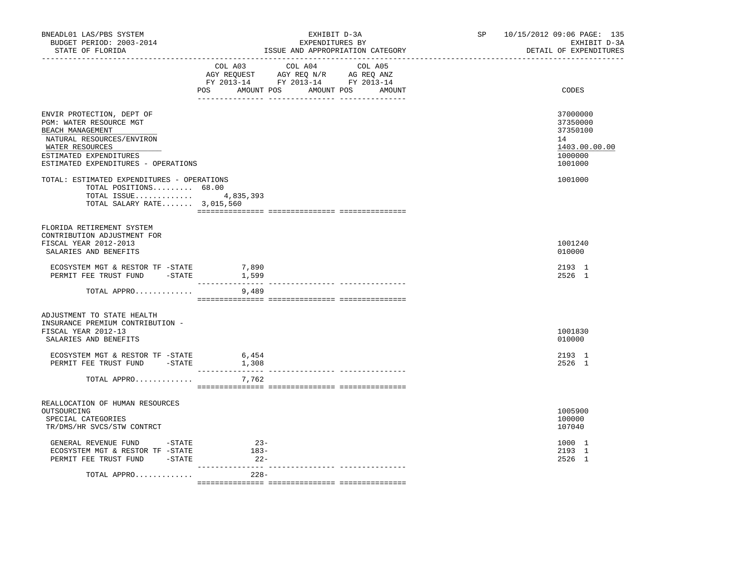| BNEADL01 LAS/PBS SYSTEM<br>BUDGET PERIOD: 2003-2014<br>STATE OF FLORIDA                                                                                                                   | EXHIBIT D-3A<br>EXPENDITURES BY<br>ISSUE AND APPROPRIATION CATEGORY                                                                   | SP 10/15/2012 09:06 PAGE: 135<br>EXHIBIT D-3A<br>DETAIL OF EXPENDITURES       |
|-------------------------------------------------------------------------------------------------------------------------------------------------------------------------------------------|---------------------------------------------------------------------------------------------------------------------------------------|-------------------------------------------------------------------------------|
|                                                                                                                                                                                           | COL A03 COL A04 COL A05<br>AGY REQUEST AGY REQ N/R AG REQ ANZ<br>FY 2013-14 FY 2013-14 FY 2013-14<br>POS AMOUNT POS AMOUNT POS AMOUNT | CODES                                                                         |
| ENVIR PROTECTION, DEPT OF<br>PGM: WATER RESOURCE MGT<br>BEACH MANAGEMENT<br>NATURAL RESOURCES/ENVIRON<br>WATER RESOURCES<br>ESTIMATED EXPENDITURES<br>ESTIMATED EXPENDITURES - OPERATIONS |                                                                                                                                       | 37000000<br>37350000<br>37350100<br>14<br>1403.00.00.00<br>1000000<br>1001000 |
| TOTAL: ESTIMATED EXPENDITURES - OPERATIONS<br>TOTAL POSITIONS 68.00<br>TOTAL ISSUE 4,835,393<br>TOTAL SALARY RATE 3,015,560                                                               |                                                                                                                                       | 1001000                                                                       |
| FLORIDA RETIREMENT SYSTEM<br>CONTRIBUTION ADJUSTMENT FOR<br>FISCAL YEAR 2012-2013<br>SALARIES AND BENEFITS                                                                                |                                                                                                                                       | 1001240<br>010000                                                             |
| ECOSYSTEM MGT & RESTOR TF -STATE<br>PERMIT FEE TRUST FUND - STATE                                                                                                                         | 7,890<br>1,599<br>----------------                                                                                                    | 2193 1<br>2526 1                                                              |
| TOTAL APPRO                                                                                                                                                                               | 9,489                                                                                                                                 |                                                                               |
| ADJUSTMENT TO STATE HEALTH<br>INSURANCE PREMIUM CONTRIBUTION -<br>FISCAL YEAR 2012-13<br>SALARIES AND BENEFITS                                                                            |                                                                                                                                       | 1001830<br>010000                                                             |
| ECOSYSTEM MGT & RESTOR TF -STATE<br>PERMIT FEE TRUST FUND -STATE                                                                                                                          | 6,454<br>1,308                                                                                                                        | 2193 1<br>2526 1                                                              |
| TOTAL APPRO                                                                                                                                                                               | 7,762                                                                                                                                 |                                                                               |
| REALLOCATION OF HUMAN RESOURCES<br>OUTSOURCING<br>SPECIAL CATEGORIES<br>TR/DMS/HR SVCS/STW CONTRCT                                                                                        |                                                                                                                                       | 1005900<br>100000<br>107040                                                   |
| GENERAL REVENUE FUND -STATE<br>ECOSYSTEM MGT & RESTOR TF -STATE<br>PERMIT FEE TRUST FUND -STATE                                                                                           | $23-$<br>$183-$<br>$22-$<br>--------------- -                                                                                         | 1000 1<br>2193 1<br>2526 1                                                    |
| TOTAL APPRO                                                                                                                                                                               | $228-$                                                                                                                                |                                                                               |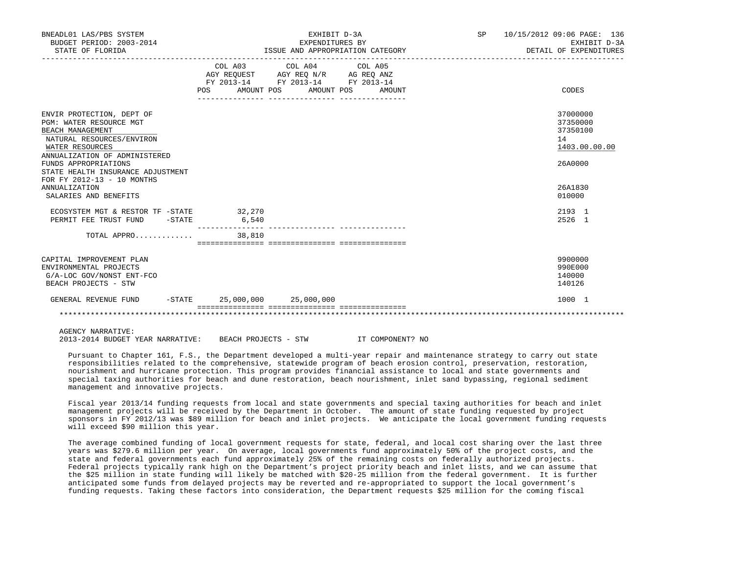| BNEADL01 LAS/PBS SYSTEM<br>BUDGET PERIOD: 2003-2014<br>STATE OF FLORIDA                                                                                                                                                                                                                               |                                | EXHIBIT D-3A<br>EXPENDITURES BY<br>ISSUE AND APPROPRIATION CATEGORY                                                                   | SP 10/15/2012 09:06 PAGE: 136<br>EXHIBIT D-3A<br>DETAIL OF EXPENDITURES                 |
|-------------------------------------------------------------------------------------------------------------------------------------------------------------------------------------------------------------------------------------------------------------------------------------------------------|--------------------------------|---------------------------------------------------------------------------------------------------------------------------------------|-----------------------------------------------------------------------------------------|
|                                                                                                                                                                                                                                                                                                       |                                | COL A03 COL A04 COL A05<br>AGY REQUEST AGY REQ N/R AG REQ ANZ<br>FY 2013-14 FY 2013-14 FY 2013-14<br>POS AMOUNT POS AMOUNT POS AMOUNT | CODES                                                                                   |
| ENVIR PROTECTION, DEPT OF<br>PGM: WATER RESOURCE MGT<br>BEACH MANAGEMENT<br>NATURAL RESOURCES/ENVIRON<br>WATER RESOURCES<br>ANNUALIZATION OF ADMINISTERED<br>FUNDS APPROPRIATIONS<br>STATE HEALTH INSURANCE ADJUSTMENT<br>FOR FY 2012-13 - 10 MONTHS<br><b>ANNUALIZATION</b><br>SALARIES AND BENEFITS |                                |                                                                                                                                       | 37000000<br>37350000<br>37350100<br>14<br>1403.00.00.00<br>26A0000<br>26A1830<br>010000 |
| ECOSYSTEM MGT & RESTOR TF - STATE 32,270<br>PERMIT FEE TRUST FUND -STATE                                                                                                                                                                                                                              | 6,540                          |                                                                                                                                       | 2193 1<br>2526 1                                                                        |
| TOTAL APPRO                                                                                                                                                                                                                                                                                           | 38,810                         |                                                                                                                                       |                                                                                         |
| CAPITAL IMPROVEMENT PLAN<br>ENVIRONMENTAL PROJECTS<br>G/A-LOC GOV/NONST ENT-FCO<br>BEACH PROJECTS - STW                                                                                                                                                                                               |                                |                                                                                                                                       | 9900000<br>990E000<br>140000<br>140126                                                  |
| GENERAL REVENUE FUND                                                                                                                                                                                                                                                                                  | $-STATE$ 25,000,000 25,000,000 |                                                                                                                                       | 1000 1                                                                                  |
|                                                                                                                                                                                                                                                                                                       |                                |                                                                                                                                       |                                                                                         |

2013-2014 BUDGET YEAR NARRATIVE: BEACH PROJECTS - STW IT COMPONENT? NO

 Pursuant to Chapter 161, F.S., the Department developed a multi-year repair and maintenance strategy to carry out state responsibilities related to the comprehensive, statewide program of beach erosion control, preservation, restoration, nourishment and hurricane protection. This program provides financial assistance to local and state governments and special taxing authorities for beach and dune restoration, beach nourishment, inlet sand bypassing, regional sediment management and innovative projects.

 Fiscal year 2013/14 funding requests from local and state governments and special taxing authorities for beach and inlet management projects will be received by the Department in October. The amount of state funding requested by project sponsors in FY 2012/13 was \$89 million for beach and inlet projects. We anticipate the local government funding requests will exceed \$90 million this year.

 The average combined funding of local government requests for state, federal, and local cost sharing over the last three years was \$279.6 million per year. On average, local governments fund approximately 50% of the project costs, and the state and federal governments each fund approximately 25% of the remaining costs on federally authorized projects. Federal projects typically rank high on the Department's project priority beach and inlet lists, and we can assume that the \$25 million in state funding will likely be matched with \$20-25 million from the federal government. It is further anticipated some funds from delayed projects may be reverted and re-appropriated to support the local government's funding requests. Taking these factors into consideration, the Department requests \$25 million for the coming fiscal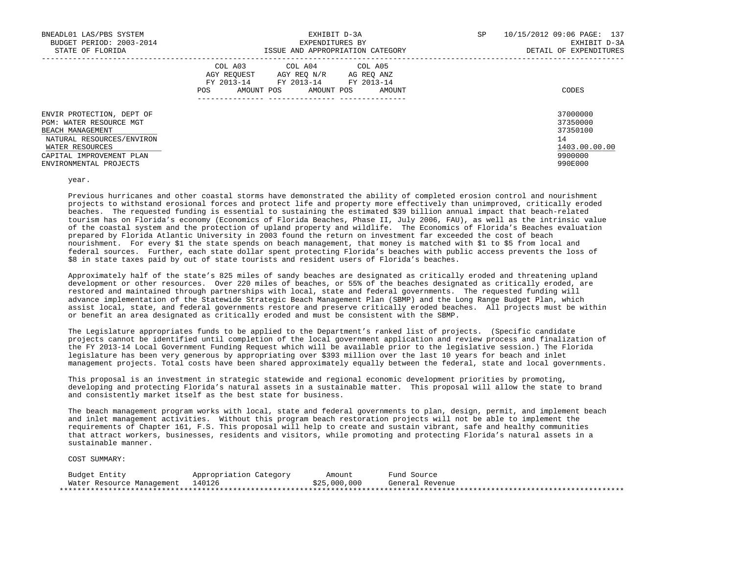| BNEADL01 LAS/PBS SYSTEM<br>BUDGET PERIOD: 2003-2014<br>STATE OF FLORIDA                                                                                                        | EXHIBIT D-3A<br>EXPENDITURES BY<br>ISSUE AND APPROPRIATION CATEGORY                                                                                     | SP<br>10/15/2012 09:06 PAGE: 137<br>EXHIBIT D-3A<br>DETAIL OF EXPENDITURES    |
|--------------------------------------------------------------------------------------------------------------------------------------------------------------------------------|---------------------------------------------------------------------------------------------------------------------------------------------------------|-------------------------------------------------------------------------------|
|                                                                                                                                                                                | COL A03 COL A04 COL A05<br>AGY REOUEST<br>AGY REO N/R<br>AG REO ANZ<br>FY 2013-14<br>FY 2013-14 FY 2013-14<br>AMOUNT POS<br>AMOUNT POS<br>POS<br>AMOUNT | CODES                                                                         |
| ENVIR PROTECTION, DEPT OF<br>PGM: WATER RESOURCE MGT<br>BEACH MANAGEMENT<br>NATURAL RESOURCES/ENVIRON<br>WATER RESOURCES<br>CAPITAL IMPROVEMENT PLAN<br>ENVIRONMENTAL PROJECTS |                                                                                                                                                         | 37000000<br>37350000<br>37350100<br>14<br>1403.00.00.00<br>9900000<br>990E000 |

year.

 Previous hurricanes and other coastal storms have demonstrated the ability of completed erosion control and nourishment projects to withstand erosional forces and protect life and property more effectively than unimproved, critically eroded beaches. The requested funding is essential to sustaining the estimated \$39 billion annual impact that beach-related tourism has on Florida's economy (Economics of Florida Beaches, Phase II, July 2006, FAU), as well as the intrinsic value of the coastal system and the protection of upland property and wildlife. The Economics of Florida's Beaches evaluation prepared by Florida Atlantic University in 2003 found the return on investment far exceeded the cost of beach nourishment. For every \$1 the state spends on beach management, that money is matched with \$1 to \$5 from local and federal sources. Further, each state dollar spent protecting Florida's beaches with public access prevents the loss of \$8 in state taxes paid by out of state tourists and resident users of Florida's beaches.

 Approximately half of the state's 825 miles of sandy beaches are designated as critically eroded and threatening upland development or other resources. Over 220 miles of beaches, or 55% of the beaches designated as critically eroded, are restored and maintained through partnerships with local, state and federal governments. The requested funding will advance implementation of the Statewide Strategic Beach Management Plan (SBMP) and the Long Range Budget Plan, which assist local, state, and federal governments restore and preserve critically eroded beaches. All projects must be within or benefit an area designated as critically eroded and must be consistent with the SBMP.

 The Legislature appropriates funds to be applied to the Department's ranked list of projects. (Specific candidate projects cannot be identified until completion of the local government application and review process and finalization of the FY 2013-14 Local Government Funding Request which will be available prior to the legislative session.) The Florida legislature has been very generous by appropriating over \$393 million over the last 10 years for beach and inlet management projects. Total costs have been shared approximately equally between the federal, state and local governments.

 This proposal is an investment in strategic statewide and regional economic development priorities by promoting, developing and protecting Florida's natural assets in a sustainable matter. This proposal will allow the state to brand and consistently market itself as the best state for business.

 The beach management program works with local, state and federal governments to plan, design, permit, and implement beach and inlet management activities. Without this program beach restoration projects will not be able to implement the requirements of Chapter 161, F.S. This proposal will help to create and sustain vibrant, safe and healthy communities that attract workers, businesses, residents and visitors, while promoting and protecting Florida's natural assets in a sustainable manner.

| Budget Entity             | Appropriation Category | Amount       | Fund Source     |
|---------------------------|------------------------|--------------|-----------------|
| Water Resource Management | 140126                 | \$25,000,000 | General Revenue |
|                           |                        |              |                 |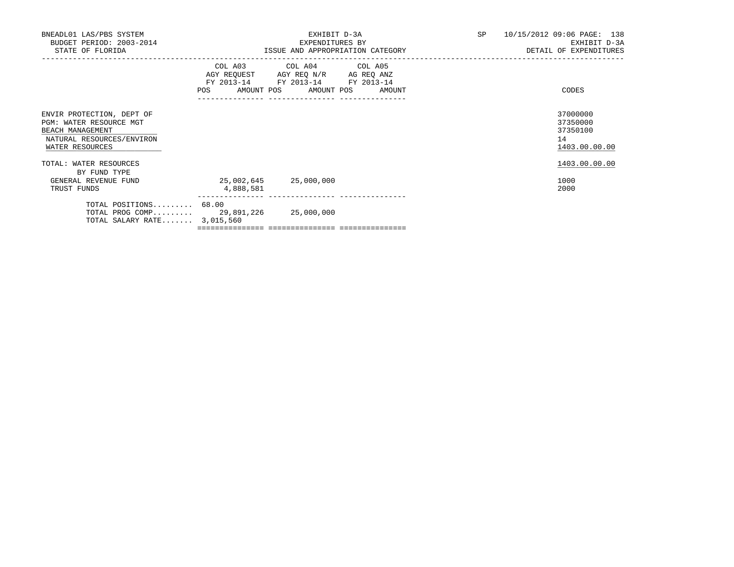| BNEADL01 LAS/PBS SYSTEM<br>BUDGET PERIOD: 2003-2014<br>STATE OF FLORIDA                                                  |                                    | EXHIBIT D-3A<br>EXPENDITURES BY<br>ISSUE AND APPROPRIATION CATEGORY                                                                   | SP | 10/15/2012 09:06 PAGE: 138<br>EXHIBIT D-3A<br>DETAIL OF EXPENDITURES |
|--------------------------------------------------------------------------------------------------------------------------|------------------------------------|---------------------------------------------------------------------------------------------------------------------------------------|----|----------------------------------------------------------------------|
|                                                                                                                          |                                    | COL A03 COL A04 COL A05<br>AGY REQUEST AGY REQ N/R AG REQ ANZ<br>FY 2013-14 FY 2013-14 FY 2013-14<br>POS AMOUNT POS AMOUNT POS AMOUNT |    | CODES                                                                |
| ENVIR PROTECTION, DEPT OF<br>PGM: WATER RESOURCE MGT<br>BEACH MANAGEMENT<br>NATURAL RESOURCES/ENVIRON<br>WATER RESOURCES |                                    |                                                                                                                                       |    | 37000000<br>37350000<br>37350100<br>14<br>1403.00.00.00              |
| TOTAL: WATER RESOURCES<br>BY FUND TYPE                                                                                   |                                    |                                                                                                                                       |    | 1403.00.00.00                                                        |
| GENERAL REVENUE FUND<br>TRUST FUNDS                                                                                      | 25,002,645 25,000,000<br>4,888,581 |                                                                                                                                       |    | 1000<br>2000                                                         |
| TOTAL POSITIONS 68.00<br>TOTAL PROG COMP 29,891,226 25,000,000<br>TOTAL SALARY RATE $3,015,560$                          |                                    |                                                                                                                                       |    |                                                                      |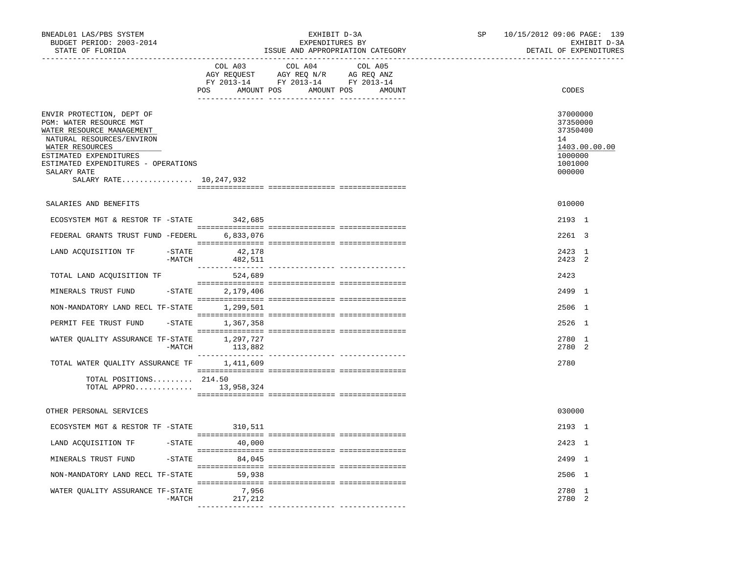| BNEADL01 LAS/PBS SYSTEM<br>BUDGET PERIOD: 2003-2014<br>STATE OF FLORIDA<br>----------------                                                                                                                                                 |          | ---------------------------------- | EXHIBIT D-3A<br>EXPENDITURES BY<br>ISSUE AND APPROPRIATION CATEGORY                                                                                                                                                                                                                                                                                                                                                                     |         | SP | 10/15/2012 09:06 PAGE: 139<br>EXHIBIT D-3A<br>DETAIL OF EXPENDITURES                    |
|---------------------------------------------------------------------------------------------------------------------------------------------------------------------------------------------------------------------------------------------|----------|------------------------------------|-----------------------------------------------------------------------------------------------------------------------------------------------------------------------------------------------------------------------------------------------------------------------------------------------------------------------------------------------------------------------------------------------------------------------------------------|---------|----|-----------------------------------------------------------------------------------------|
|                                                                                                                                                                                                                                             |          | COL A03                            | COL A04<br>$\begin{array}{ccccccccc} \text{Cou} & \text{Aou} & \text{Cou} & \text{Aou} & \text{Cou} & \text{Aou} \\ \text{AGY REQUEST} & \text{AGY REQ} & \text{N/R} & \text{AG REQ} & \text{ANZ} \\ \text{FY} & 2013-14 & \text{FY} & 2013-14 & \text{FY} & 2013-14 \end{array}$<br>POS AMOUNT POS AMOUNT POS AMOUNT                                                                                                                   | COL A05 |    | CODES                                                                                   |
| ENVIR PROTECTION, DEPT OF<br>PGM: WATER RESOURCE MGT<br>WATER RESOURCE MANAGEMENT<br>NATURAL RESOURCES/ENVIRON<br>WATER RESOURCES<br>ESTIMATED EXPENDITURES<br>ESTIMATED EXPENDITURES - OPERATIONS<br>SALARY RATE<br>SALARY RATE 10,247,932 |          |                                    |                                                                                                                                                                                                                                                                                                                                                                                                                                         |         |    | 37000000<br>37350000<br>37350400<br>14<br>1403.00.00.00<br>1000000<br>1001000<br>000000 |
| SALARIES AND BENEFITS                                                                                                                                                                                                                       |          |                                    |                                                                                                                                                                                                                                                                                                                                                                                                                                         |         |    | 010000                                                                                  |
| ECOSYSTEM MGT & RESTOR TF -STATE                                                                                                                                                                                                            |          | 342,685                            |                                                                                                                                                                                                                                                                                                                                                                                                                                         |         |    | 2193 1                                                                                  |
| FEDERAL GRANTS TRUST FUND -FEDERL                                                                                                                                                                                                           |          | 6,833,076                          |                                                                                                                                                                                                                                                                                                                                                                                                                                         |         |    | 2261 3                                                                                  |
|                                                                                                                                                                                                                                             |          |                                    |                                                                                                                                                                                                                                                                                                                                                                                                                                         |         |    |                                                                                         |
| LAND ACQUISITION TF -STATE 42,178                                                                                                                                                                                                           | $-MATCH$ | 482,511                            |                                                                                                                                                                                                                                                                                                                                                                                                                                         |         |    | 2423 1<br>2423 2                                                                        |
| TOTAL LAND ACQUISITION TF                                                                                                                                                                                                                   |          | 524,689                            |                                                                                                                                                                                                                                                                                                                                                                                                                                         |         |    | 2423                                                                                    |
| MINERALS TRUST FUND                                                                                                                                                                                                                         |          | -STATE 2,179,406                   |                                                                                                                                                                                                                                                                                                                                                                                                                                         |         |    | 2499 1                                                                                  |
| NON-MANDATORY LAND RECL TF-STATE 1,299,501                                                                                                                                                                                                  |          |                                    |                                                                                                                                                                                                                                                                                                                                                                                                                                         |         |    | 2506 1                                                                                  |
| PERMIT FEE TRUST FUND                                                                                                                                                                                                                       |          | $-STATE$ 1,367,358                 |                                                                                                                                                                                                                                                                                                                                                                                                                                         |         |    | 2526 1                                                                                  |
| WATER QUALITY ASSURANCE TF-STATE 1,297,727                                                                                                                                                                                                  |          | $-MATCH$ 113,882                   |                                                                                                                                                                                                                                                                                                                                                                                                                                         |         |    | 2780 1<br>2780 2                                                                        |
| TOTAL WATER QUALITY ASSURANCE TF                                                                                                                                                                                                            |          | 1,411,609                          |                                                                                                                                                                                                                                                                                                                                                                                                                                         |         |    | 2780                                                                                    |
| TOTAL POSITIONS $214.50$<br>TOTAL APPRO $13,958,324$                                                                                                                                                                                        |          |                                    | $\begin{minipage}{0.03\textwidth} \begin{tabular}{l} \textbf{1} & \textbf{2} & \textbf{3} & \textbf{5} & \textbf{5} & \textbf{6} & \textbf{6} & \textbf{7} & \textbf{8} & \textbf{8} & \textbf{9} & \textbf{9} & \textbf{9} & \textbf{9} & \textbf{9} & \textbf{9} & \textbf{9} & \textbf{9} & \textbf{9} & \textbf{9} & \textbf{9} & \textbf{9} & \textbf{9} & \textbf{9} & \textbf{9} & \textbf{9} & \textbf{9} & \textbf{9} & \text$ |         |    |                                                                                         |
| OTHER PERSONAL SERVICES                                                                                                                                                                                                                     |          |                                    |                                                                                                                                                                                                                                                                                                                                                                                                                                         |         |    | 030000                                                                                  |
| ECOSYSTEM MGT & RESTOR TF - STATE 310,511                                                                                                                                                                                                   |          |                                    |                                                                                                                                                                                                                                                                                                                                                                                                                                         |         |    | 2193 1                                                                                  |
| LAND ACQUISITION TF -STATE 40,000                                                                                                                                                                                                           |          |                                    |                                                                                                                                                                                                                                                                                                                                                                                                                                         |         |    | 2423 1                                                                                  |
| MINERALS TRUST FUND -STATE 84,045                                                                                                                                                                                                           |          |                                    |                                                                                                                                                                                                                                                                                                                                                                                                                                         |         |    | 2499 1                                                                                  |
| NON-MANDATORY LAND RECL TF-STATE 59,938                                                                                                                                                                                                     |          |                                    |                                                                                                                                                                                                                                                                                                                                                                                                                                         |         |    | 2506 1                                                                                  |
| WATER QUALITY ASSURANCE TF-STATE                                                                                                                                                                                                            | -MATCH   | 7,956<br>217,212                   |                                                                                                                                                                                                                                                                                                                                                                                                                                         |         |    | 2780 1<br>2780 2                                                                        |
|                                                                                                                                                                                                                                             |          |                                    |                                                                                                                                                                                                                                                                                                                                                                                                                                         |         |    |                                                                                         |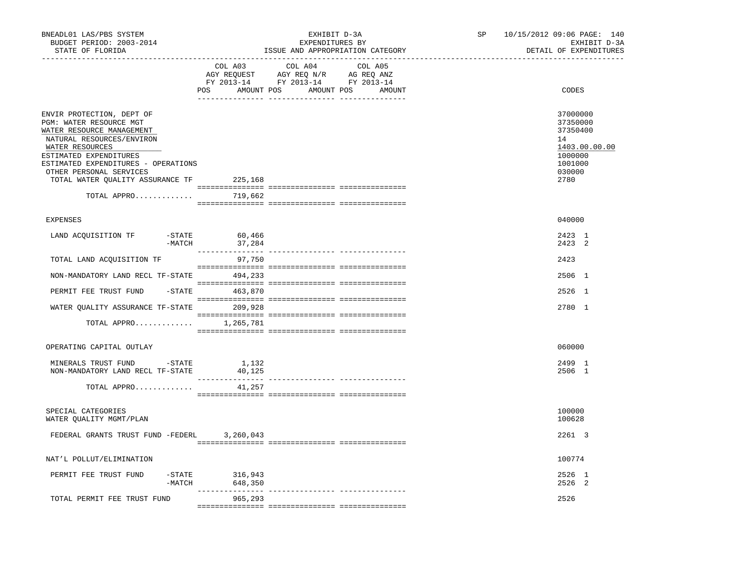| BNEADL01 LAS/PBS SYSTEM<br>BUDGET PERIOD: 2003-2014<br>STATE OF FLORIDA                                                                                                                                                                                                   |                                                                                                                | EXHIBIT D-3A<br>EXPENDITURES BY<br>ISSUE AND APPROPRIATION CATEGORY | SP<br>----------------------- | 10/15/2012 09:06 PAGE: 140<br>EXHIBIT D-3A<br>DETAIL OF EXPENDITURES                            |
|---------------------------------------------------------------------------------------------------------------------------------------------------------------------------------------------------------------------------------------------------------------------------|----------------------------------------------------------------------------------------------------------------|---------------------------------------------------------------------|-------------------------------|-------------------------------------------------------------------------------------------------|
|                                                                                                                                                                                                                                                                           | COL A03<br>COL A04<br>AGY REQUEST AGY REQ N/R AG REQ ANZ<br>FY 2013-14 FY 2013-14 FY 2013-14<br>POS AMOUNT POS | COL A05<br>AMOUNT POS<br>AMOUNT                                     |                               | CODES                                                                                           |
| ENVIR PROTECTION, DEPT OF<br>PGM: WATER RESOURCE MGT<br>WATER RESOURCE MANAGEMENT<br>NATURAL RESOURCES/ENVIRON<br>WATER RESOURCES<br>ESTIMATED EXPENDITURES<br>ESTIMATED EXPENDITURES - OPERATIONS<br>OTHER PERSONAL SERVICES<br>TOTAL WATER QUALITY ASSURANCE TF 225,168 |                                                                                                                |                                                                     |                               | 37000000<br>37350000<br>37350400<br>14<br>1403.00.00.00<br>1000000<br>1001000<br>030000<br>2780 |
| TOTAL APPRO                                                                                                                                                                                                                                                               | 719,662                                                                                                        |                                                                     |                               |                                                                                                 |
| <b>EXPENSES</b>                                                                                                                                                                                                                                                           |                                                                                                                |                                                                     |                               | 040000                                                                                          |
| LAND ACQUISITION TF<br>$-STATE$<br>$-MATCH$                                                                                                                                                                                                                               | 60,466<br>37,284                                                                                               |                                                                     |                               | 2423 1<br>2423 2                                                                                |
| TOTAL LAND ACQUISITION TF                                                                                                                                                                                                                                                 | 97,750                                                                                                         |                                                                     |                               | 2423                                                                                            |
| NON-MANDATORY LAND RECL TF-STATE 494,233                                                                                                                                                                                                                                  |                                                                                                                |                                                                     |                               | 2506 1                                                                                          |
| PERMIT FEE TRUST FUND                                                                                                                                                                                                                                                     | $-STATE$ 463,870                                                                                               |                                                                     |                               | 2526 1                                                                                          |
| WATER QUALITY ASSURANCE TF-STATE 209,928                                                                                                                                                                                                                                  |                                                                                                                |                                                                     |                               | 2780 1                                                                                          |
| TOTAL APPRO                                                                                                                                                                                                                                                               | 1,265,781                                                                                                      |                                                                     |                               |                                                                                                 |
| OPERATING CAPITAL OUTLAY                                                                                                                                                                                                                                                  |                                                                                                                |                                                                     |                               | 060000                                                                                          |
| MINERALS TRUST FUND -STATE 1,132<br>NON-MANDATORY LAND RECL TF-STATE<br>TOTAL APPRO                                                                                                                                                                                       | 40,125<br>________________<br>41,257                                                                           | ---------------- ----------------                                   |                               | 2499 1<br>2506 1                                                                                |
| SPECIAL CATEGORIES<br>WATER QUALITY MGMT/PLAN                                                                                                                                                                                                                             |                                                                                                                |                                                                     |                               | 100000<br>100628                                                                                |
| FEDERAL GRANTS TRUST FUND -FEDERL 3,260,043                                                                                                                                                                                                                               |                                                                                                                |                                                                     |                               | 2261 3                                                                                          |
| NAT'L POLLUT/ELIMINATION                                                                                                                                                                                                                                                  |                                                                                                                |                                                                     |                               | 100774                                                                                          |
| PERMIT FEE TRUST FUND<br>$-$ STATE<br>$-MATCH$                                                                                                                                                                                                                            | 316,943<br>648,350                                                                                             |                                                                     |                               | 2526 1<br>2526 2                                                                                |
| TOTAL PERMIT FEE TRUST FUND                                                                                                                                                                                                                                               | 965,293                                                                                                        |                                                                     |                               | 2526                                                                                            |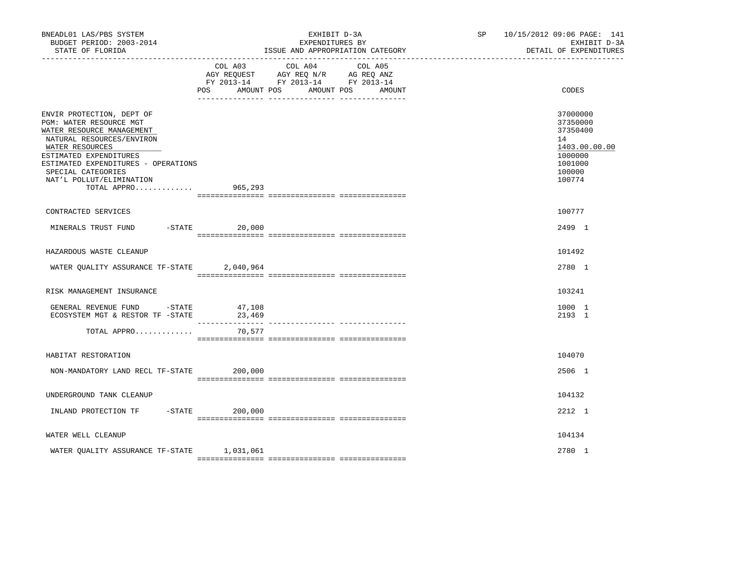| BNEADL01 LAS/PBS SYSTEM<br>BUDGET PERIOD: 2003-2014<br>STATE OF FLORIDA                                                                                                                                                                                                     |                  | EXHIBIT D-3A<br>EXPENDITURES BY<br>ISSUE AND APPROPRIATION CATEGORY                                                       | SP <sub>2</sub> | 10/15/2012 09:06 PAGE: 141<br>EXHIBIT D-3A<br>DETAIL OF EXPENDITURES                              |
|-----------------------------------------------------------------------------------------------------------------------------------------------------------------------------------------------------------------------------------------------------------------------------|------------------|---------------------------------------------------------------------------------------------------------------------------|-----------------|---------------------------------------------------------------------------------------------------|
|                                                                                                                                                                                                                                                                             | POS AMOUNT POS   | COL A03 COL A04 COL A05<br>AGY REQUEST AGY REQ N/R AG REQ ANZ<br>FY 2013-14 FY 2013-14 FY 2013-14<br>AMOUNT POS<br>AMOUNT |                 | CODES                                                                                             |
| ENVIR PROTECTION, DEPT OF<br>PGM: WATER RESOURCE MGT<br>WATER RESOURCE MANAGEMENT<br>NATURAL RESOURCES/ENVIRON<br>WATER RESOURCES<br>ESTIMATED EXPENDITURES<br>ESTIMATED EXPENDITURES - OPERATIONS<br>SPECIAL CATEGORIES<br>NAT'L POLLUT/ELIMINATION<br>TOTAL APPRO 965,293 |                  |                                                                                                                           |                 | 37000000<br>37350000<br>37350400<br>14<br>1403.00.00.00<br>1000000<br>1001000<br>100000<br>100774 |
| CONTRACTED SERVICES                                                                                                                                                                                                                                                         |                  |                                                                                                                           |                 | 100777                                                                                            |
| MINERALS TRUST FUND                                                                                                                                                                                                                                                         | $-$ STATE 20,000 |                                                                                                                           |                 | 2499 1                                                                                            |
| HAZARDOUS WASTE CLEANUP                                                                                                                                                                                                                                                     |                  |                                                                                                                           |                 | 101492                                                                                            |
| WATER QUALITY ASSURANCE TF-STATE                                                                                                                                                                                                                                            | 2,040,964        |                                                                                                                           |                 | 2780 1                                                                                            |
| RISK MANAGEMENT INSURANCE                                                                                                                                                                                                                                                   |                  |                                                                                                                           |                 | 103241                                                                                            |
| GENERAL REVENUE FUND -STATE<br>ECOSYSTEM MGT & RESTOR TF - STATE 23,469                                                                                                                                                                                                     | 47,108           |                                                                                                                           |                 | 1000 1<br>2193 1                                                                                  |
| TOTAL APPRO                                                                                                                                                                                                                                                                 | 70,577           |                                                                                                                           |                 |                                                                                                   |
| HABITAT RESTORATION                                                                                                                                                                                                                                                         |                  |                                                                                                                           |                 | 104070                                                                                            |
| NON-MANDATORY LAND RECL TF-STATE                                                                                                                                                                                                                                            | 200,000          |                                                                                                                           |                 | 2506 1                                                                                            |
| UNDERGROUND TANK CLEANUP                                                                                                                                                                                                                                                    |                  |                                                                                                                           |                 | 104132                                                                                            |
| INLAND PROTECTION TF -STATE 200,000                                                                                                                                                                                                                                         |                  |                                                                                                                           |                 | 2212 1                                                                                            |
| WATER WELL CLEANUP                                                                                                                                                                                                                                                          |                  |                                                                                                                           |                 | 104134                                                                                            |
| WATER OUALITY ASSURANCE TF-STATE 1,031,061                                                                                                                                                                                                                                  |                  |                                                                                                                           |                 | 2780 1                                                                                            |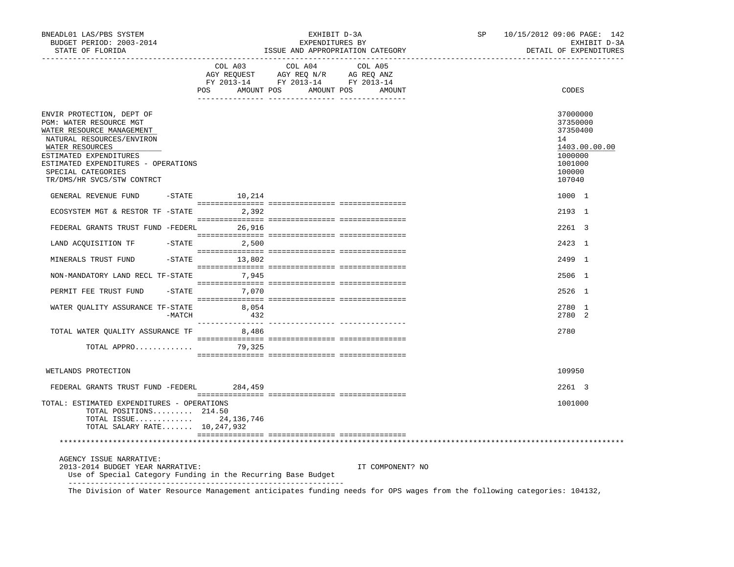| BNEADL01 LAS/PBS SYSTEM<br>BUDGET PERIOD: 2003-2014<br>STATE OF FLORIDA                                                                                                                                                                                |        |                                                                                                                                                                                                | ISSUE AND APPROPRIATION CATEGORY | EXHIBIT D-3A<br>EXPENDITURES BY |                  | SP | 10/15/2012 09:06 PAGE: 142<br>EXHIBIT D-3A<br>DETAIL OF EXPENDITURES                              |
|--------------------------------------------------------------------------------------------------------------------------------------------------------------------------------------------------------------------------------------------------------|--------|------------------------------------------------------------------------------------------------------------------------------------------------------------------------------------------------|----------------------------------|---------------------------------|------------------|----|---------------------------------------------------------------------------------------------------|
|                                                                                                                                                                                                                                                        |        | $\begin{tabular}{lcccc} COL A03 & COL A04 & COL A05 \\ AGY REQUEST & AGY REQ N/R & AG REQ ANZ \\ FY & 2013-14 & FY & 2013-14 & FY & 2013-14 \end{tabular}$<br>POS AMOUNT POS AMOUNT POS AMOUNT |                                  |                                 |                  |    | CODES                                                                                             |
| ENVIR PROTECTION, DEPT OF<br>PGM: WATER RESOURCE MGT<br>WATER RESOURCE MANAGEMENT<br>NATURAL RESOURCES/ENVIRON<br>WATER RESOURCES<br>ESTIMATED EXPENDITURES<br>ESTIMATED EXPENDITURES - OPERATIONS<br>SPECIAL CATEGORIES<br>TR/DMS/HR SVCS/STW CONTRCT |        |                                                                                                                                                                                                |                                  |                                 |                  |    | 37000000<br>37350000<br>37350400<br>14<br>1403.00.00.00<br>1000000<br>1001000<br>100000<br>107040 |
| GENERAL REVENUE FUND -STATE 10,214                                                                                                                                                                                                                     |        |                                                                                                                                                                                                |                                  |                                 |                  |    | 1000 1                                                                                            |
| ECOSYSTEM MGT & RESTOR TF -STATE 2,392                                                                                                                                                                                                                 |        |                                                                                                                                                                                                |                                  |                                 |                  |    | 2193 1                                                                                            |
| FEDERAL GRANTS TRUST FUND -FEDERL 26,916                                                                                                                                                                                                               |        |                                                                                                                                                                                                |                                  |                                 |                  |    | 2261 3                                                                                            |
| LAND ACQUISITION TF -STATE 2,500                                                                                                                                                                                                                       |        |                                                                                                                                                                                                |                                  |                                 |                  |    | 2423 1                                                                                            |
| MINERALS TRUST FUND                                                                                                                                                                                                                                    |        | $-STATE$ 13,802                                                                                                                                                                                |                                  |                                 |                  |    | 2499 1                                                                                            |
| NON-MANDATORY LAND RECL TF-STATE 7,945                                                                                                                                                                                                                 |        |                                                                                                                                                                                                |                                  |                                 |                  |    | 2506 1                                                                                            |
| PERMIT FEE TRUST FUND -STATE 7,070                                                                                                                                                                                                                     |        |                                                                                                                                                                                                |                                  |                                 |                  |    | 2526 1                                                                                            |
| WATER QUALITY ASSURANCE TF-STATE 8,054                                                                                                                                                                                                                 | -MATCH | 432                                                                                                                                                                                            |                                  |                                 |                  |    | 2780 1<br>2780 2                                                                                  |
| TOTAL WATER QUALITY ASSURANCE TF 8,486                                                                                                                                                                                                                 |        |                                                                                                                                                                                                |                                  |                                 |                  |    | 2780                                                                                              |
| TOTAL APPRO 79,325                                                                                                                                                                                                                                     |        |                                                                                                                                                                                                |                                  |                                 |                  |    |                                                                                                   |
| WETLANDS PROTECTION                                                                                                                                                                                                                                    |        |                                                                                                                                                                                                |                                  |                                 |                  |    | 109950                                                                                            |
| FEDERAL GRANTS TRUST FUND -FEDERL 284,459                                                                                                                                                                                                              |        |                                                                                                                                                                                                |                                  |                                 |                  |    | 2261 3                                                                                            |
| TOTAL: ESTIMATED EXPENDITURES - OPERATIONS<br>TOTAL POSITIONS 214.50<br>TOTAL ISSUE 24, 136, 746<br>TOTAL SALARY RATE 10, 247, 932                                                                                                                     |        |                                                                                                                                                                                                |                                  |                                 |                  |    | 1001000                                                                                           |
|                                                                                                                                                                                                                                                        |        |                                                                                                                                                                                                |                                  |                                 |                  |    |                                                                                                   |
| AGENCY ISSUE NARRATIVE:<br>2013-2014 BUDGET YEAR NARRATIVE:<br>Use of Special Category Funding in the Recurring Base Budget                                                                                                                            |        |                                                                                                                                                                                                |                                  |                                 | IT COMPONENT? NO |    |                                                                                                   |

The Division of Water Resource Management anticipates funding needs for OPS wages from the following categories: 104132,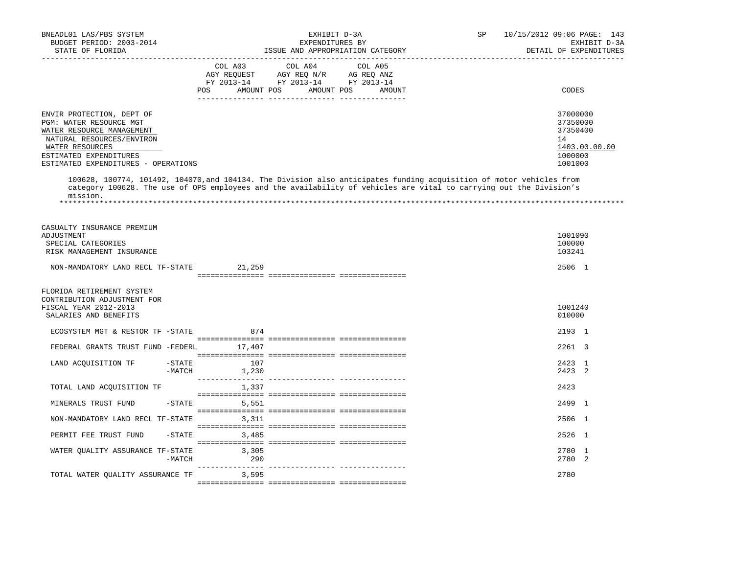| BNEADL01 LAS/PBS SYSTEM<br>BUDGET PERIOD: 2003-2014<br>STATE OF FLORIDA<br>___________________________________                                                                                     | EXHIBIT D-3A<br>EXPENDITURES BY<br>ISSUE AND APPROPRIATION CATEGORY | SP<br>10/15/2012 09:06 PAGE: 143<br>DETAIL OF EXPENDITURES                                                                         |  |                                                                               |
|----------------------------------------------------------------------------------------------------------------------------------------------------------------------------------------------------|---------------------------------------------------------------------|------------------------------------------------------------------------------------------------------------------------------------|--|-------------------------------------------------------------------------------|
|                                                                                                                                                                                                    | COL A03<br>POS FOR                                                  | COL A04<br>COL A05<br>AGY REQUEST AGY REQ N/R AG REQ ANZ<br>FY 2013-14 FY 2013-14 FY 2013-14<br>AMOUNT POS<br>AMOUNT POS<br>AMOUNT |  | CODES                                                                         |
| ENVIR PROTECTION, DEPT OF<br>PGM: WATER RESOURCE MGT<br>WATER RESOURCE MANAGEMENT<br>NATURAL RESOURCES/ENVIRON<br>WATER RESOURCES<br>ESTIMATED EXPENDITURES<br>ESTIMATED EXPENDITURES - OPERATIONS |                                                                     | 100628, 100774, 101492, 104070, and 104134. The Division also anticipates funding acquisition of motor vehicles from               |  | 37000000<br>37350000<br>37350400<br>14<br>1403.00.00.00<br>1000000<br>1001000 |
| mission.                                                                                                                                                                                           |                                                                     | category 100628. The use of OPS employees and the availability of vehicles are vital to carrying out the Division's                |  |                                                                               |
| CASUALTY INSURANCE PREMIUM<br>ADJUSTMENT<br>SPECIAL CATEGORIES<br>RISK MANAGEMENT INSURANCE                                                                                                        |                                                                     |                                                                                                                                    |  | 1001090<br>100000<br>103241                                                   |
| NON-MANDATORY LAND RECL TF-STATE                                                                                                                                                                   | 21,259                                                              |                                                                                                                                    |  | 2506 1                                                                        |
| FLORIDA RETIREMENT SYSTEM<br>CONTRIBUTION ADJUSTMENT FOR<br>FISCAL YEAR 2012-2013<br>SALARIES AND BENEFITS                                                                                         |                                                                     |                                                                                                                                    |  | 1001240<br>010000                                                             |
| ECOSYSTEM MGT & RESTOR TF -STATE                                                                                                                                                                   | 874                                                                 |                                                                                                                                    |  | 2193 1                                                                        |
| FEDERAL GRANTS TRUST FUND -FEDERL                                                                                                                                                                  | 17,407                                                              |                                                                                                                                    |  | 2261 3                                                                        |
| LAND ACOUISITION TF<br>$-$ STATE<br>$-MATCH$                                                                                                                                                       | 107<br>1,230                                                        |                                                                                                                                    |  | 2423 1<br>2423 2                                                              |
| TOTAL LAND ACQUISITION TF                                                                                                                                                                          | 1,337                                                               |                                                                                                                                    |  | 2423                                                                          |
| MINERALS TRUST FUND<br>$-$ STATE                                                                                                                                                                   | 5,551                                                               |                                                                                                                                    |  | 2499 1                                                                        |
| NON-MANDATORY LAND RECL TF-STATE                                                                                                                                                                   | 3,311                                                               |                                                                                                                                    |  | 2506 1                                                                        |
| PERMIT FEE TRUST FUND<br>$-$ STATE                                                                                                                                                                 | 3,485                                                               |                                                                                                                                    |  | $2526$ 1                                                                      |
| WATER OUALITY ASSURANCE TF-STATE<br>$-MATCH$                                                                                                                                                       | 3,305<br>290                                                        |                                                                                                                                    |  | 2780 1<br>2780 2                                                              |
| TOTAL WATER OUALITY ASSURANCE TF                                                                                                                                                                   | 3,595                                                               |                                                                                                                                    |  | 2780                                                                          |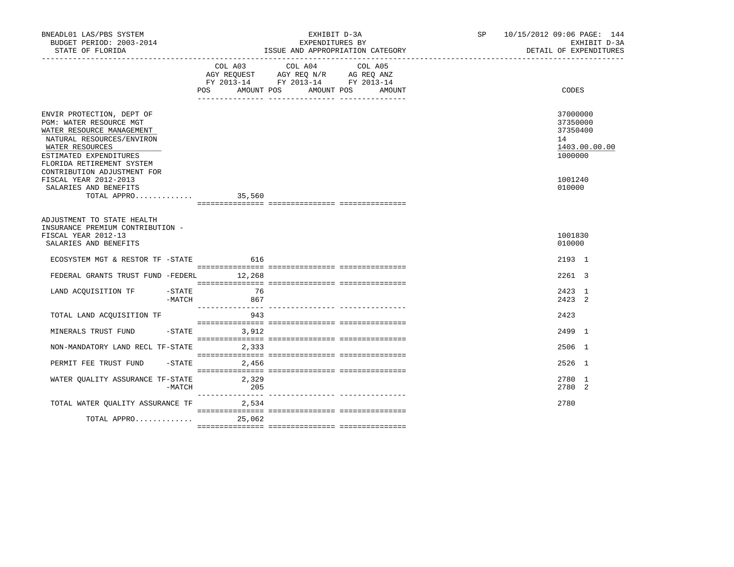| BNEADL01 LAS/PBS SYSTEM<br>BUDGET PERIOD: 2003-2014<br>STATE OF FLORIDA                                                                                                                                                 |                   | EXHIBIT D-3A<br>EXPENDITURES BY<br>ISSUE AND APPROPRIATION CATEGORY                                                                                                                                                | SP <sub>2</sub> | 10/15/2012 09:06 PAGE: 144<br>EXHIBIT D-3A<br>DETAIL OF EXPENDITURES |
|-------------------------------------------------------------------------------------------------------------------------------------------------------------------------------------------------------------------------|-------------------|--------------------------------------------------------------------------------------------------------------------------------------------------------------------------------------------------------------------|-----------------|----------------------------------------------------------------------|
|                                                                                                                                                                                                                         |                   | COL A03 COL A04<br>COL A05<br>$\begin{tabular}{lllllll} AGY & \texttt{REQUEST} & \texttt{AGY REQ N/R} & \texttt{AG REQ ANZ} \end{tabular}$<br>FY 2013-14 FY 2013-14 FY 2013-14<br>POS AMOUNT POS AMOUNT POS AMOUNT |                 | CODES                                                                |
| ENVIR PROTECTION, DEPT OF<br>PGM: WATER RESOURCE MGT<br>WATER RESOURCE MANAGEMENT<br>NATURAL RESOURCES/ENVIRON<br>WATER RESOURCES<br>ESTIMATED EXPENDITURES<br>FLORIDA RETIREMENT SYSTEM<br>CONTRIBUTION ADJUSTMENT FOR |                   |                                                                                                                                                                                                                    |                 | 37000000<br>37350000<br>37350400<br>14<br>1403.00.00.00<br>1000000   |
| FISCAL YEAR 2012-2013<br>SALARIES AND BENEFITS<br>TOTAL APPRO                                                                                                                                                           | 35,560            |                                                                                                                                                                                                                    |                 | 1001240<br>010000                                                    |
| ADJUSTMENT TO STATE HEALTH<br>INSURANCE PREMIUM CONTRIBUTION -<br>FISCAL YEAR 2012-13<br>SALARIES AND BENEFITS<br>ECOSYSTEM MGT & RESTOR TF -STATE 616                                                                  |                   |                                                                                                                                                                                                                    |                 | 1001830<br>010000<br>2193 1                                          |
| FEDERAL GRANTS TRUST FUND -FEDERL 12,268                                                                                                                                                                                |                   |                                                                                                                                                                                                                    |                 | 2261 3                                                               |
| LAND ACQUISITION TF -STATE<br>$-MATCH$                                                                                                                                                                                  | 76<br>867         |                                                                                                                                                                                                                    |                 | 2423 1<br>2423 2                                                     |
| TOTAL LAND ACQUISITION TF                                                                                                                                                                                               | 943               |                                                                                                                                                                                                                    |                 | 2423                                                                 |
| MINERALS TRUST FUND                                                                                                                                                                                                     | $-STATE$ 3,912    |                                                                                                                                                                                                                    |                 | 2499 1                                                               |
| NON-MANDATORY LAND RECL TF-STATE                                                                                                                                                                                        | 2,333             |                                                                                                                                                                                                                    |                 | 2506 1                                                               |
| PERMIT FEE TRUST FUND                                                                                                                                                                                                   | $-STATE$<br>2,456 |                                                                                                                                                                                                                    |                 | 2526 1                                                               |
| WATER QUALITY ASSURANCE TF-STATE 2,329<br>-MATCH                                                                                                                                                                        | 205               |                                                                                                                                                                                                                    |                 | 2780 1<br>2780 2                                                     |
| TOTAL WATER OUALITY ASSURANCE TF 2,534                                                                                                                                                                                  |                   |                                                                                                                                                                                                                    |                 | 2780                                                                 |
| TOTAL APPRO 25,062                                                                                                                                                                                                      |                   |                                                                                                                                                                                                                    |                 |                                                                      |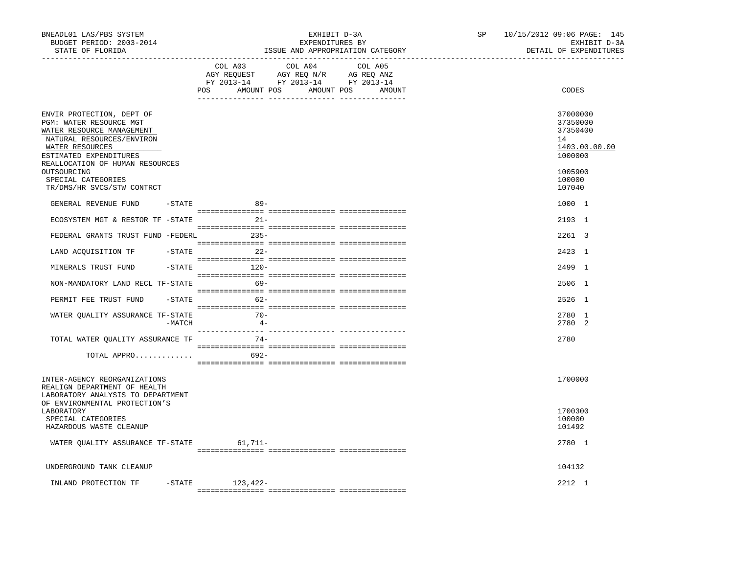| BNEADL01 LAS/PBS SYSTEM<br>BUDGET PERIOD: 2003-2014<br>STATE OF FLORIDA                                                            |           | EXHIBIT D-3A<br>EXPENDITURES BY<br>ISSUE AND APPROPRIATION CATEGORY<br>__________________________________                                                                                                                                                                                                                                                                                                                                   | SP | 10/15/2012 09:06 PAGE: 145<br>EXHIBIT D-3A<br>DETAIL OF EXPENDITURES |
|------------------------------------------------------------------------------------------------------------------------------------|-----------|---------------------------------------------------------------------------------------------------------------------------------------------------------------------------------------------------------------------------------------------------------------------------------------------------------------------------------------------------------------------------------------------------------------------------------------------|----|----------------------------------------------------------------------|
|                                                                                                                                    |           | COL A03<br>COL A04<br>COL A05<br>AGY REQUEST AGY REQ N/R AG REQ ANZ<br>FY 2013-14 FY 2013-14 FY 2013-14<br>POS AMOUNT POS AMOUNT POS AMOUNT                                                                                                                                                                                                                                                                                                 |    | CODES                                                                |
| ENVIR PROTECTION, DEPT OF<br>PGM: WATER RESOURCE MGT<br>WATER RESOURCE MANAGEMENT<br>NATURAL RESOURCES/ENVIRON<br>WATER RESOURCES  |           |                                                                                                                                                                                                                                                                                                                                                                                                                                             |    | 37000000<br>37350000<br>37350400<br>14<br>1403.00.00.00              |
| ESTIMATED EXPENDITURES<br>REALLOCATION OF HUMAN RESOURCES<br>OUTSOURCING<br>SPECIAL CATEGORIES<br>TR/DMS/HR SVCS/STW CONTRCT       |           |                                                                                                                                                                                                                                                                                                                                                                                                                                             |    | 1000000<br>1005900<br>100000<br>107040                               |
| GENERAL REVENUE FUND                                                                                                               | $-$ STATE | $89 -$                                                                                                                                                                                                                                                                                                                                                                                                                                      |    | 1000 1                                                               |
| ECOSYSTEM MGT & RESTOR TF -STATE                                                                                                   |           | $21 -$                                                                                                                                                                                                                                                                                                                                                                                                                                      |    | 2193 1                                                               |
| FEDERAL GRANTS TRUST FUND -FEDERL                                                                                                  |           | $235-$                                                                                                                                                                                                                                                                                                                                                                                                                                      |    | 2261 3                                                               |
| LAND ACQUISITION TF -STATE                                                                                                         |           | $22 -$                                                                                                                                                                                                                                                                                                                                                                                                                                      |    | 2423 1                                                               |
| MINERALS TRUST FUND                                                                                                                | $-$ STATE | $120-$                                                                                                                                                                                                                                                                                                                                                                                                                                      |    | 2499 1                                                               |
| NON-MANDATORY LAND RECL TF-STATE                                                                                                   |           | $69 -$                                                                                                                                                                                                                                                                                                                                                                                                                                      |    | 2506 1                                                               |
| PERMIT FEE TRUST FUND                                                                                                              |           | $-STATE$<br>62-                                                                                                                                                                                                                                                                                                                                                                                                                             |    | 2526 1                                                               |
| WATER QUALITY ASSURANCE TF-STATE                                                                                                   | $-MATCH$  | $70-$<br>$4 -$                                                                                                                                                                                                                                                                                                                                                                                                                              |    | 2780 1<br>2.780 2                                                    |
| TOTAL WATER QUALITY ASSURANCE TF                                                                                                   |           | $74-$                                                                                                                                                                                                                                                                                                                                                                                                                                       |    | 2780                                                                 |
| TOTAL APPRO                                                                                                                        |           | $\begin{minipage}{0.03\textwidth} \begin{tabular}{l} \textbf{1} & \textbf{2} & \textbf{3} & \textbf{5} & \textbf{5} & \textbf{6} & \textbf{6} & \textbf{7} & \textbf{8} & \textbf{8} & \textbf{9} & \textbf{9} & \textbf{9} & \textbf{9} & \textbf{9} & \textbf{9} & \textbf{9} & \textbf{9} & \textbf{9} & \textbf{9} & \textbf{9} & \textbf{9} & \textbf{9} & \textbf{9} & \textbf{9} & \textbf{9} & \textbf{9} & \textbf{9} & \$<br>692- |    |                                                                      |
| INTER-AGENCY REORGANIZATIONS<br>REALIGN DEPARTMENT OF HEALTH<br>LABORATORY ANALYSIS TO DEPARTMENT<br>OF ENVIRONMENTAL PROTECTION'S |           |                                                                                                                                                                                                                                                                                                                                                                                                                                             |    | 1700000                                                              |
| LABORATORY<br>SPECIAL CATEGORIES<br>HAZARDOUS WASTE CLEANUP                                                                        |           |                                                                                                                                                                                                                                                                                                                                                                                                                                             |    | 1700300<br>100000<br>101492                                          |
| WATER QUALITY ASSURANCE TF-STATE 61,711-                                                                                           |           |                                                                                                                                                                                                                                                                                                                                                                                                                                             |    | 2780 1                                                               |
| UNDERGROUND TANK CLEANUP                                                                                                           |           |                                                                                                                                                                                                                                                                                                                                                                                                                                             |    | 104132                                                               |
| INLAND PROTECTION TF                                                                                                               |           | $-STATE$ 123, 422-                                                                                                                                                                                                                                                                                                                                                                                                                          |    | $2212 \quad 1$                                                       |
|                                                                                                                                    |           |                                                                                                                                                                                                                                                                                                                                                                                                                                             |    |                                                                      |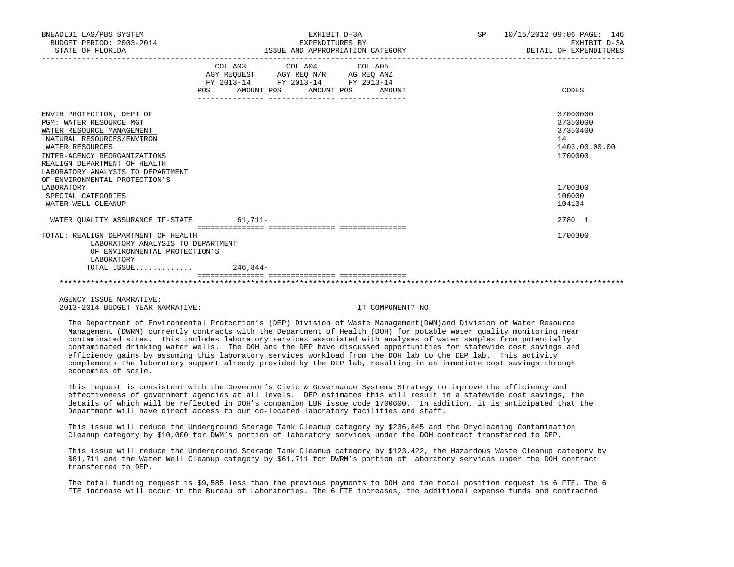| BNEADL01 LAS/PBS SYSTEM<br>BUDGET PERIOD: 2003-2014<br>STATE OF FLORIDA                                                                                                                                                                                                 | EXHIBIT D-3A<br>EXPENDITURES BY<br>ISSUE AND APPROPRIATION CATEGORY                                                                                                                                                                   | SP 10/15/2012 09:06 PAGE: 146<br>EXHIBIT D-3A<br>DETAIL OF EXPENDITURES |
|-------------------------------------------------------------------------------------------------------------------------------------------------------------------------------------------------------------------------------------------------------------------------|---------------------------------------------------------------------------------------------------------------------------------------------------------------------------------------------------------------------------------------|-------------------------------------------------------------------------|
|                                                                                                                                                                                                                                                                         | COL A03 COL A04 COL A05<br>$\begin{tabular}{lllllll} AGY & \texttt{REQUEST} & \texttt{AGY REQ} & \texttt{N/R} & \texttt{AG REQ} & \texttt{ANZ} \end{tabular}$<br>FY 2013-14 FY 2013-14 FY 2013-14<br>POS AMOUNT POS AMOUNT POS AMOUNT | CODES                                                                   |
| ENVIR PROTECTION, DEPT OF<br>PGM: WATER RESOURCE MGT<br>WATER RESOURCE MANAGEMENT<br>NATURAL RESOURCES/ENVIRON<br>WATER RESOURCES<br>INTER-AGENCY REORGANIZATIONS<br>REALIGN DEPARTMENT OF HEALTH<br>LABORATORY ANALYSIS TO DEPARTMENT<br>OF ENVIRONMENTAL PROTECTION'S |                                                                                                                                                                                                                                       | 37000000<br>37350000<br>37350400<br>14<br>1403.00.00.00<br>1700000      |
| LABORATORY<br>SPECIAL CATEGORIES<br>WATER WELL CLEANUP                                                                                                                                                                                                                  |                                                                                                                                                                                                                                       | 1700300<br>100000<br>104134                                             |
| WATER QUALITY ASSURANCE TF-STATE 61,711-                                                                                                                                                                                                                                |                                                                                                                                                                                                                                       | 2780 1                                                                  |
| TOTAL: REALIGN DEPARTMENT OF HEALTH<br>LABORATORY ANALYSIS TO DEPARTMENT<br>OF ENVIRONMENTAL PROTECTION'S<br>LABORATORY                                                                                                                                                 |                                                                                                                                                                                                                                       | 1700300                                                                 |
| TOTAL ISSUE                                                                                                                                                                                                                                                             | 246,844-                                                                                                                                                                                                                              |                                                                         |
|                                                                                                                                                                                                                                                                         |                                                                                                                                                                                                                                       |                                                                         |

 AGENCY ISSUE NARRATIVE: 2013-2014 BUDGET YEAR NARRATIVE: IT COMPONENT? NO

 The Department of Environmental Protection's (DEP) Division of Waste Management(DWM)and Division of Water Resource Management (DWRM) currently contracts with the Department of Health (DOH) for potable water quality monitoring near contaminated sites. This includes laboratory services associated with analyses of water samples from potentially contaminated drinking water wells. The DOH and the DEP have discussed opportunities for statewide cost savings and efficiency gains by assuming this laboratory services workload from the DOH lab to the DEP lab. This activity complements the laboratory support already provided by the DEP lab, resulting in an immediate cost savings through economies of scale.

 This request is consistent with the Governor's Civic & Governance Systems Strategy to improve the efficiency and effectiveness of government agencies at all levels. DEP estimates this will result in a statewide cost savings, the details of which will be reflected in DOH's companion LBR issue code 1700600. In addition, it is anticipated that the Department will have direct access to our co-located laboratory facilities and staff.

 This issue will reduce the Underground Storage Tank Cleanup category by \$236,845 and the Drycleaning Contamination Cleanup category by \$10,000 for DWM's portion of laboratory services under the DOH contract transferred to DEP.

 This issue will reduce the Underground Storage Tank Cleanup category by \$123,422, the Hazardous Waste Cleanup category by \$61,711 and the Water Well Cleanup category by \$61,711 for DWRM's portion of laboratory services under the DOH contract transferred to DEP.

 The total funding request is \$9,585 less than the previous payments to DOH and the total position request is 6 FTE. The 6 FTE increase will occur in the Bureau of Laboratories. The 6 FTE increases, the additional expense funds and contracted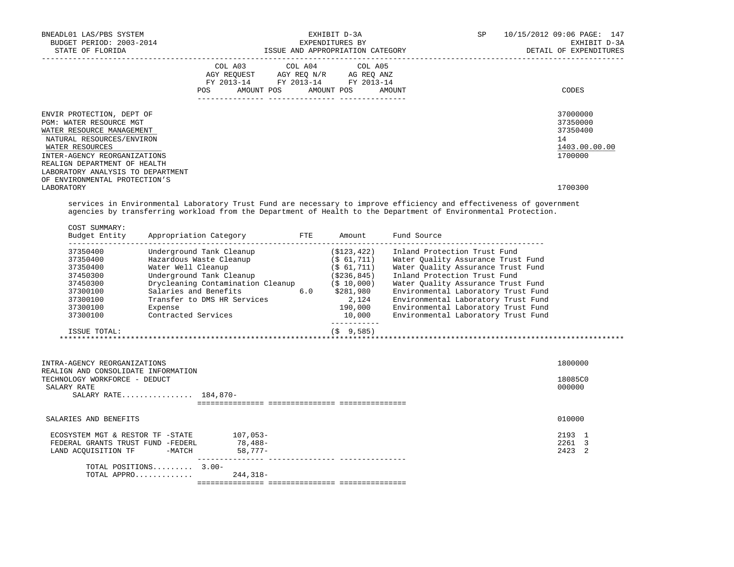| BNEADL01 LAS/PBS SYSTEM<br>BUDGET PERIOD: 2003-2014<br>STATE OF FLORIDA                                                                                                                                                                |            | EXHIBIT D-3A<br>EXPENDITURES BY                                                                                                   | ISSUE AND APPROPRIATION CATEGORY | SP | 10/15/2012 09:06 PAGE: 147<br>EXHIBIT D-3A<br>DETAIL OF EXPENDITURES |
|----------------------------------------------------------------------------------------------------------------------------------------------------------------------------------------------------------------------------------------|------------|-----------------------------------------------------------------------------------------------------------------------------------|----------------------------------|----|----------------------------------------------------------------------|
|                                                                                                                                                                                                                                        | <b>POS</b> | COL A03 COL A04 COL A05<br>AGY REOUEST AGY REO N/R AG REO ANZ<br>FY 2013-14 FY 2013-14 FY 2013-14<br>AMOUNT POS AMOUNT POS AMOUNT |                                  |    | CODES                                                                |
| ENVIR PROTECTION, DEPT OF<br>PGM: WATER RESOURCE MGT<br>WATER RESOURCE MANAGEMENT<br>NATURAL RESOURCES/ENVIRON<br>WATER RESOURCES<br>INTER-AGENCY REORGANIZATIONS<br>REALIGN DEPARTMENT OF HEALTH<br>LABORATORY ANALYSIS TO DEPARTMENT |            |                                                                                                                                   |                                  |    | 37000000<br>37350000<br>37350400<br>14<br>1403.00.00.00<br>1700000   |
| OF ENVIRONMENTAL PROTECTION'S<br>LABORATORY                                                                                                                                                                                            |            |                                                                                                                                   |                                  |    | 1700300                                                              |

 services in Environmental Laboratory Trust Fund are necessary to improve efficiency and effectiveness of government agencies by transferring workload from the Department of Health to the Department of Environmental Protection.

|                               |                       |                                           | Budget Entity Appropriation Category FTE Amount |                | Fund Source                                                                    |         |
|-------------------------------|-----------------------|-------------------------------------------|-------------------------------------------------|----------------|--------------------------------------------------------------------------------|---------|
| 37350400<br>37350400          |                       | Underground Tank Cleanup                  | Hazardous Waste Cleanup (\$ 61,711)             |                | (\$123,422) Inland Protection Trust Fund<br>Water Ouality Assurance Trust Fund |         |
| 37350400                      |                       | Water Well Cleanup                        |                                                 | $($ \$ 61,711) | Water Ouality Assurance Trust Fund                                             |         |
| 37450300                      |                       |                                           | Underground Tank Cleanup (\$236,845)            |                | Inland Protection Trust Fund                                                   |         |
| 37450300                      |                       |                                           | Drycleaning Contamination Cleanup (\$ 10,000)   |                | Water Quality Assurance Trust Fund                                             |         |
| 37300100                      |                       |                                           | Salaries and Benefits 6.0 \$281,980             |                | Environmental Laboratory Trust Fund                                            |         |
| 37300100                      |                       |                                           | Transfer to DMS HR Services                     | 2,124          | Environmental Laboratory Trust Fund                                            |         |
| 37300100                      |                       | Expense                                   |                                                 |                | 190,000 Environmental Laboratory Trust Fund                                    |         |
| 37300100                      |                       | Contracted Services                       |                                                 |                | 10,000 Environmental Laboratory Trust Fund                                     |         |
|                               | ISSUE TOTAL:          |                                           |                                                 | (S 9.585)      |                                                                                |         |
|                               |                       |                                           |                                                 |                |                                                                                |         |
|                               |                       |                                           |                                                 |                |                                                                                |         |
| INTRA-AGENCY REORGANIZATIONS  |                       | REALIGN AND CONSOLIDATE INFORMATION       |                                                 |                |                                                                                | 1800000 |
| TECHNOLOGY WORKFORCE - DEDUCT |                       |                                           |                                                 |                |                                                                                | 18085C0 |
| SALARY RATE                   |                       |                                           |                                                 |                |                                                                                | 000000  |
|                               |                       | SALARY RATE 184,870-                      |                                                 |                |                                                                                |         |
|                               |                       |                                           |                                                 |                |                                                                                |         |
|                               | SALARIES AND BENEFITS |                                           |                                                 |                |                                                                                | 010000  |
|                               |                       | ECOSYSTEM MGT & RESTOR TF -STATE 107,053- |                                                 |                |                                                                                | 2193 1  |
|                               |                       | FEDERAL GRANTS TRUST FUND -FEDERL 78,488- |                                                 |                |                                                                                | 2261 3  |
|                               |                       | LAND ACOUISITION TF -MATCH 58,777-        |                                                 |                |                                                                                | 2423 2  |
|                               |                       | TOTAL POSITIONS 3.00-                     |                                                 |                |                                                                                |         |
|                               |                       | TOTAL APPRO                               | 244,318-                                        |                |                                                                                |         |
|                               |                       |                                           |                                                 |                |                                                                                |         |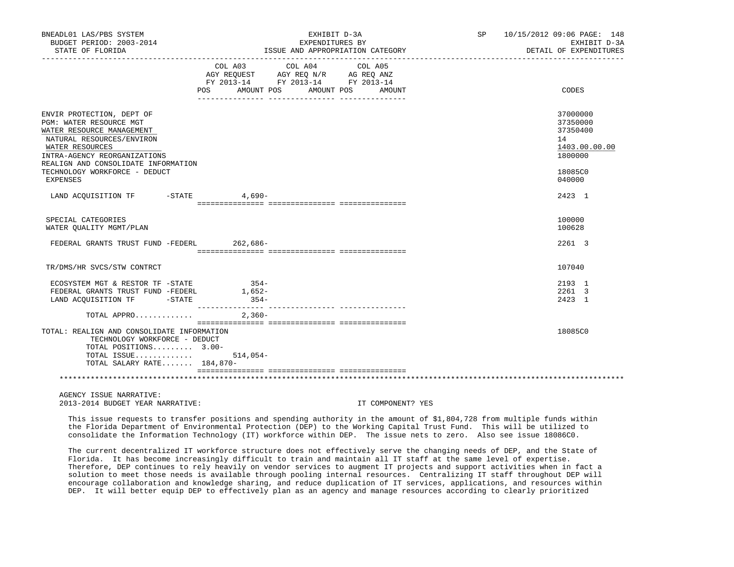| BNEADL01 LAS/PBS SYSTEM<br>BUDGET PERIOD: 2003-2014<br>STATE OF FLORIDA                                                                                                                                                                   |                                                                                                                                | EXHIBIT D-3A<br>EXPENDITURES BY<br>ISSUE AND APPROPRIATION CATEGORY                                                      | SP 10/15/2012 09:06 PAGE: 148<br>EXHIBIT D-3A<br>DETAIL OF EXPENDITURES       |
|-------------------------------------------------------------------------------------------------------------------------------------------------------------------------------------------------------------------------------------------|--------------------------------------------------------------------------------------------------------------------------------|--------------------------------------------------------------------------------------------------------------------------|-------------------------------------------------------------------------------|
|                                                                                                                                                                                                                                           | COL A03 COL A04 COL A05<br>AGY REQUEST AGY REQ N/R AG REQ ANZ<br>FY 2013-14 FY 2013-14 FY 2013-14<br>POS AMOUNT POS AMOUNT POS | AMOUNT                                                                                                                   | CODES                                                                         |
| ENVIR PROTECTION, DEPT OF<br>PGM: WATER RESOURCE MGT<br>WATER RESOURCE MANAGEMENT<br>NATURAL RESOURCES/ENVIRON<br>WATER RESOURCES<br>INTRA-AGENCY REORGANIZATIONS<br>REALIGN AND CONSOLIDATE INFORMATION<br>TECHNOLOGY WORKFORCE - DEDUCT |                                                                                                                                |                                                                                                                          | 37000000<br>37350000<br>37350400<br>14<br>1403.00.00.00<br>1800000<br>18085C0 |
| <b>EXPENSES</b><br>LAND ACQUISITION TF -STATE 4,690-                                                                                                                                                                                      |                                                                                                                                |                                                                                                                          | 040000<br>2423 1                                                              |
| SPECIAL CATEGORIES<br>WATER QUALITY MGMT/PLAN                                                                                                                                                                                             |                                                                                                                                |                                                                                                                          | 100000<br>100628                                                              |
| FEDERAL GRANTS TRUST FUND -FEDERL 262,686-                                                                                                                                                                                                |                                                                                                                                |                                                                                                                          | 2261 3                                                                        |
| TR/DMS/HR SVCS/STW CONTRCT                                                                                                                                                                                                                |                                                                                                                                |                                                                                                                          | 107040                                                                        |
| ECOSYSTEM MGT & RESTOR TF -STATE<br>FEDERAL GRANTS TRUST FUND -FEDERL 1,652-<br>LAND ACQUISITION TF - STATE                                                                                                                               | $354-$<br>$354-$                                                                                                               |                                                                                                                          | 2193 1<br>2261 3<br>2423 1                                                    |
| TOTAL APPRO $2,360-$                                                                                                                                                                                                                      |                                                                                                                                |                                                                                                                          |                                                                               |
| TOTAL: REALIGN AND CONSOLIDATE INFORMATION<br>TECHNOLOGY WORKFORCE - DEDUCT<br>TOTAL POSITIONS 3.00-<br>TOTAL ISSUE<br>TOTAL SALARY RATE 184,870-                                                                                         | $514,054-$                                                                                                                     |                                                                                                                          | 18085C0                                                                       |
|                                                                                                                                                                                                                                           |                                                                                                                                |                                                                                                                          |                                                                               |
| AGENCY ISSUE NARRATIVE:<br>2013-2014 BUDGET YEAR NARRATIVE:                                                                                                                                                                               |                                                                                                                                | IT COMPONENT? YES                                                                                                        |                                                                               |
|                                                                                                                                                                                                                                           |                                                                                                                                | This issue requests to transfer positions and spending authority in the amount of \$1,804,728 from multiple funds within |                                                                               |

 the Florida Department of Environmental Protection (DEP) to the Working Capital Trust Fund. This will be utilized to consolidate the Information Technology (IT) workforce within DEP. The issue nets to zero. Also see issue 18086C0.

 The current decentralized IT workforce structure does not effectively serve the changing needs of DEP, and the State of Florida. It has become increasingly difficult to train and maintain all IT staff at the same level of expertise. Therefore, DEP continues to rely heavily on vendor services to augment IT projects and support activities when in fact a solution to meet those needs is available through pooling internal resources. Centralizing IT staff throughout DEP will encourage collaboration and knowledge sharing, and reduce duplication of IT services, applications, and resources within DEP. It will better equip DEP to effectively plan as an agency and manage resources according to clearly prioritized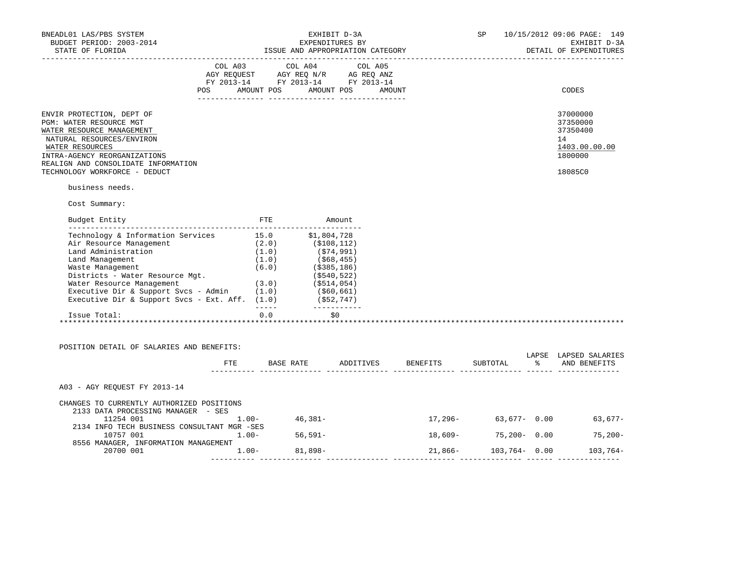| BNEADL01 LAS/PBS SYSTEM<br>BUDGET PERIOD: 2003-2014                                                                                                                                                                                            |                                                                                                                                                                                                | EXHIBIT D-3A<br>EXPENDITURES BY |  | <b>SP</b>                        |                      | 10/15/2012 09:06 PAGE: 149<br>EXHIBIT D-3A                                    |
|------------------------------------------------------------------------------------------------------------------------------------------------------------------------------------------------------------------------------------------------|------------------------------------------------------------------------------------------------------------------------------------------------------------------------------------------------|---------------------------------|--|----------------------------------|----------------------|-------------------------------------------------------------------------------|
| STATE OF FLORIDA                                                                                                                                                                                                                               |                                                                                                                                                                                                |                                 |  |                                  |                      | DETAIL OF EXPENDITURES                                                        |
|                                                                                                                                                                                                                                                | $\begin{tabular}{lcccc} CDL A03 & CDL A04 & CDL A05 \\ AGY REQUEST & AGY REQ N/R & AG REQ ANZ \\ FY & 2013-14 & FY & 2013-14 & FY & 2013-14 \end{tabular}$<br>POS AMOUNT POS AMOUNT POS AMOUNT |                                 |  |                                  |                      | CODES                                                                         |
| ENVIR PROTECTION, DEPT OF<br>PGM: WATER RESOURCE MGT<br>WATER RESOURCE MANAGEMENT<br>NATURAL RESOURCES/ENVIRON<br>WATER RESOURCES<br>INTRA-AGENCY REORGANIZATIONS<br>REALIGN AND CONSOLIDATE INFORMATION<br>TECHNOLOGY WORKFORCE - DEDUCT      |                                                                                                                                                                                                |                                 |  |                                  |                      | 37000000<br>37350000<br>37350400<br>14<br>1403.00.00.00<br>1800000<br>18085C0 |
| business needs.                                                                                                                                                                                                                                |                                                                                                                                                                                                |                                 |  |                                  |                      |                                                                               |
| Cost Summary:                                                                                                                                                                                                                                  |                                                                                                                                                                                                |                                 |  |                                  |                      |                                                                               |
| Budget Entity                                                                                                                                                                                                                                  | FTE Amount                                                                                                                                                                                     |                                 |  |                                  |                      |                                                                               |
| Technology & Information Services<br>Technology & Information Services<br>(1.0) (\$1,804,728<br>Land Administration (1.0) (\$74,991)<br>Land Management (1.0) (\$68,455)<br>Waste Management (6.0) (\$385,186)<br>Districts - Water Resource M |                                                                                                                                                                                                | _____________                   |  |                                  |                      |                                                                               |
| Issue Total:                                                                                                                                                                                                                                   | 0.0                                                                                                                                                                                            | \$0                             |  |                                  |                      |                                                                               |
| POSITION DETAIL OF SALARIES AND BENEFITS:                                                                                                                                                                                                      |                                                                                                                                                                                                |                                 |  | FTE BASE RATE ADDITIVES BENEFITS |                      | LAPSE LAPSED SALARIES<br>SUBTOTAL % AND BENEFITS                              |
| A03 - AGY REOUEST FY 2013-14                                                                                                                                                                                                                   |                                                                                                                                                                                                |                                 |  |                                  |                      |                                                                               |
| CHANGES TO CURRENTLY AUTHORIZED POSITIONS<br>2133 DATA PROCESSING MANAGER - SES<br>11254 001<br>$1.00 - 46,381 -$                                                                                                                              |                                                                                                                                                                                                |                                 |  |                                  |                      | $17,296-$ 63,677- 0.00 63,677-                                                |
| 2134 INFO TECH BUSINESS CONSULTANT MGR -SES<br>10757 001 1.00- 56,591-                                                                                                                                                                         |                                                                                                                                                                                                |                                 |  |                                  | $18,609-75,200-0.00$ | $75,200-$                                                                     |
| 8556 MANAGER, INFORMATION MANAGEMENT<br>20700 001 1.00- 81,898-                                                                                                                                                                                |                                                                                                                                                                                                |                                 |  |                                  |                      | $21,866 - 103,764 - 0.00$ 103,764-                                            |
|                                                                                                                                                                                                                                                |                                                                                                                                                                                                |                                 |  |                                  |                      |                                                                               |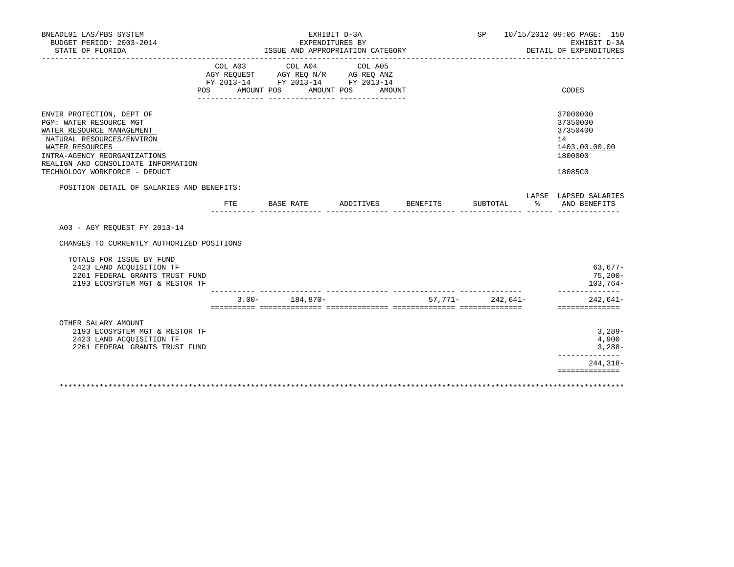| BNEADL01 LAS/PBS SYSTEM<br>BUDGET PERIOD: 2003-2014                                                                                                                                                                                       |                           |                                                                                                                                                                                                                                                                 | EXHIBIT D-3A<br>EXPENDITURES BY |                    |                                                 | SP 10/15/2012 09:06 PAGE: 150<br>EXHIBIT D-3A                                 |
|-------------------------------------------------------------------------------------------------------------------------------------------------------------------------------------------------------------------------------------------|---------------------------|-----------------------------------------------------------------------------------------------------------------------------------------------------------------------------------------------------------------------------------------------------------------|---------------------------------|--------------------|-------------------------------------------------|-------------------------------------------------------------------------------|
| STATE OF FLORIDA                                                                                                                                                                                                                          |                           | ISSUE AND APPROPRIATION CATEGORY                                                                                                                                                                                                                                |                                 |                    |                                                 | DETAIL OF EXPENDITURES                                                        |
|                                                                                                                                                                                                                                           | COL A03<br>POS AMOUNT POS | COL A04<br>$\begin{tabular}{lllllll} \bf AGY \,\, &\bf REQUEST \,\, &\bf AGY \,\, &\bf REQ \,\, &\bf N/R \,\, &\bf AG \,\, &\bf REQ \,\, &\bf ANZ \,\, \\ \bf FY \,\, &\bf 2013-14 \,\, &\bf FY \,\, &\bf 2013-14 \,\, &\bf FY \,\, &\bf 2013-14 \end{tabular}$ | COL A05<br>AMOUNT POS AMOUNT    |                    |                                                 | CODES                                                                         |
| ENVIR PROTECTION, DEPT OF<br>PGM: WATER RESOURCE MGT<br>WATER RESOURCE MANAGEMENT<br>NATURAL RESOURCES/ENVIRON<br>WATER RESOURCES<br>INTRA-AGENCY REORGANIZATIONS<br>REALIGN AND CONSOLIDATE INFORMATION<br>TECHNOLOGY WORKFORCE - DEDUCT |                           |                                                                                                                                                                                                                                                                 |                                 |                    |                                                 | 37000000<br>37350000<br>37350400<br>14<br>1403.00.00.00<br>1800000<br>18085C0 |
| POSITION DETAIL OF SALARIES AND BENEFITS:                                                                                                                                                                                                 |                           |                                                                                                                                                                                                                                                                 |                                 |                    |                                                 | LAPSE LAPSED SALARIES                                                         |
|                                                                                                                                                                                                                                           | FTE                       | BASE RATE                                                                                                                                                                                                                                                       |                                 | ADDITIVES BENEFITS | SUBTOTAL<br>______ _______________ _____ ______ | % AND BENEFITS                                                                |
| A03 - AGY REOUEST FY 2013-14                                                                                                                                                                                                              |                           |                                                                                                                                                                                                                                                                 |                                 |                    |                                                 |                                                                               |
| CHANGES TO CURRENTLY AUTHORIZED POSITIONS                                                                                                                                                                                                 |                           |                                                                                                                                                                                                                                                                 |                                 |                    |                                                 |                                                                               |
| TOTALS FOR ISSUE BY FUND<br>2423 LAND ACOUISITION TF<br>2261 FEDERAL GRANTS TRUST FUND<br>2193 ECOSYSTEM MGT & RESTOR TF                                                                                                                  |                           |                                                                                                                                                                                                                                                                 |                                 |                    |                                                 | 63,677-<br>$75,200 -$<br>$103,764-$                                           |
|                                                                                                                                                                                                                                           |                           | $3.00 - 184,870 -$                                                                                                                                                                                                                                              |                                 |                    | $57,771 - 242,641 -$                            | --------------<br>$242,641-$<br>==============                                |
| OTHER SALARY AMOUNT<br>2193 ECOSYSTEM MGT & RESTOR TF<br>2423 LAND ACOUISITION TF<br>2261 FEDERAL GRANTS TRUST FUND                                                                                                                       |                           |                                                                                                                                                                                                                                                                 |                                 |                    |                                                 | $3,289-$<br>4,900<br>$3,288-$                                                 |
|                                                                                                                                                                                                                                           |                           |                                                                                                                                                                                                                                                                 |                                 |                    |                                                 | --------------<br>$244, 318 -$                                                |
|                                                                                                                                                                                                                                           |                           |                                                                                                                                                                                                                                                                 |                                 |                    |                                                 | ==============                                                                |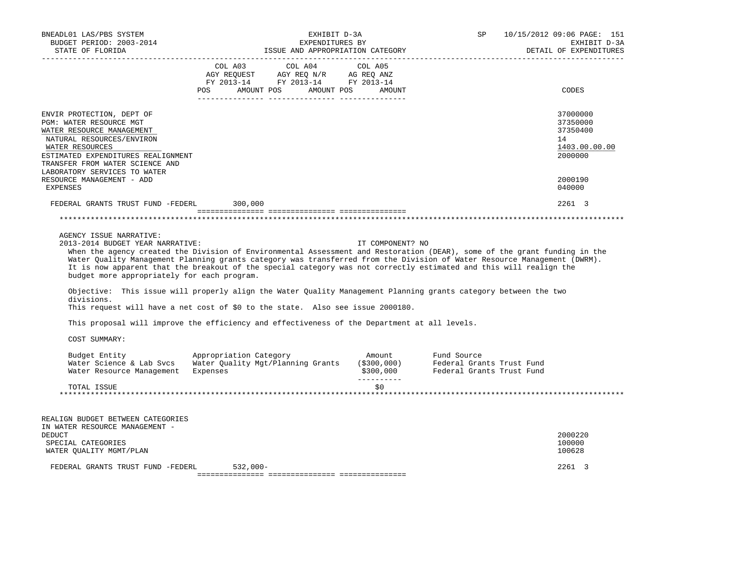| BNEADL01 LAS/PBS SYSTEM<br>BUDGET PERIOD: 2003-2014<br>STATE OF FLORIDA                                                                                                                                                                    |                                                                                     | EXHIBIT D-3A<br>EXPENDITURES BY                                                                                                                                                                                                                                                                                                                                                                                                                                                       | ISSUE AND APPROPRIATION CATEGORY   | SP                                                                                                                                                                                                                                                                                                                                                                                                                                                                                             | 10/15/2012 09:06 PAGE: 151<br>EXHIBIT D-3A<br>DETAIL OF EXPENDITURES |
|--------------------------------------------------------------------------------------------------------------------------------------------------------------------------------------------------------------------------------------------|-------------------------------------------------------------------------------------|---------------------------------------------------------------------------------------------------------------------------------------------------------------------------------------------------------------------------------------------------------------------------------------------------------------------------------------------------------------------------------------------------------------------------------------------------------------------------------------|------------------------------------|------------------------------------------------------------------------------------------------------------------------------------------------------------------------------------------------------------------------------------------------------------------------------------------------------------------------------------------------------------------------------------------------------------------------------------------------------------------------------------------------|----------------------------------------------------------------------|
|                                                                                                                                                                                                                                            | COL A03                                                                             | COL A04<br>$\begin{array}{ccccccccc}\n\text{AGY REQUEST} & & \text{GUT} & \text{GUT} & & \text{GUT} & \text{GUT} & \text{GUT} & \text{GUT} & \text{GUT} & \text{GUT} & \text{GUT} & \text{GUT} & \text{GUT} & \text{GUT} & \text{GUT} & \text{GUT} & \text{GUT} & \text{GUT} & \text{GUT} & \text{GUT} & \text{GUT} & \text{GUT} & \text{GUT} & \text{GUT} & \text{GUT} & \text{GUT} & \text{GUT} & \text{GUT} & \text{GUT} & \text{GUT} & \text$<br>POS AMOUNT POS AMOUNT POS AMOUNT | COL A05                            |                                                                                                                                                                                                                                                                                                                                                                                                                                                                                                | CODES                                                                |
| ENVIR PROTECTION, DEPT OF<br>PGM: WATER RESOURCE MGT<br>WATER RESOURCE MANAGEMENT<br>NATURAL RESOURCES/ENVIRON<br>WATER RESOURCES<br>ESTIMATED EXPENDITURES REALIGNMENT<br>TRANSFER FROM WATER SCIENCE AND<br>LABORATORY SERVICES TO WATER |                                                                                     |                                                                                                                                                                                                                                                                                                                                                                                                                                                                                       |                                    |                                                                                                                                                                                                                                                                                                                                                                                                                                                                                                | 37000000<br>37350000<br>37350400<br>14<br>1403.00.00.00<br>2000000   |
| RESOURCE MANAGEMENT - ADD<br><b>EXPENSES</b>                                                                                                                                                                                               |                                                                                     |                                                                                                                                                                                                                                                                                                                                                                                                                                                                                       |                                    |                                                                                                                                                                                                                                                                                                                                                                                                                                                                                                | 2000190<br>040000                                                    |
| FEDERAL GRANTS TRUST FUND -FEDERL 300,000                                                                                                                                                                                                  |                                                                                     |                                                                                                                                                                                                                                                                                                                                                                                                                                                                                       |                                    |                                                                                                                                                                                                                                                                                                                                                                                                                                                                                                | 2261 3                                                               |
|                                                                                                                                                                                                                                            |                                                                                     |                                                                                                                                                                                                                                                                                                                                                                                                                                                                                       |                                    |                                                                                                                                                                                                                                                                                                                                                                                                                                                                                                |                                                                      |
| AGENCY ISSUE NARRATIVE:<br>2013-2014 BUDGET YEAR NARRATIVE:<br>budget more appropriately for each program.<br>divisions.<br>This request will have a net cost of \$0 to the state. Also see issue 2000180.                                 |                                                                                     |                                                                                                                                                                                                                                                                                                                                                                                                                                                                                       | IT COMPONENT? NO                   | When the agency created the Division of Environmental Assessment and Restoration (DEAR), some of the grant funding in the<br>Water Quality Management Planning grants category was transferred from the Division of Water Resource Management (DWRM).<br>It is now apparent that the breakout of the special category was not correctly estimated and this will realign the<br>Objective: This issue will properly align the Water Quality Management Planning grants category between the two |                                                                      |
| This proposal will improve the efficiency and effectiveness of the Department at all levels.                                                                                                                                               |                                                                                     |                                                                                                                                                                                                                                                                                                                                                                                                                                                                                       |                                    |                                                                                                                                                                                                                                                                                                                                                                                                                                                                                                |                                                                      |
| COST SUMMARY:<br>Budget Entity<br>Water Science & Lab Svcs<br>Water Resource Management                                                                                                                                                    | Appropriation Category<br>Water Quality Mgt/Planning Grants (\$300,000)<br>Expenses |                                                                                                                                                                                                                                                                                                                                                                                                                                                                                       | Amount<br>\$300,000<br>----------- | Fund Source<br>Federal Grants Trust Fund<br>Federal Grants Trust Fund                                                                                                                                                                                                                                                                                                                                                                                                                          |                                                                      |
| TOTAL ISSUE                                                                                                                                                                                                                                |                                                                                     |                                                                                                                                                                                                                                                                                                                                                                                                                                                                                       | \$0                                |                                                                                                                                                                                                                                                                                                                                                                                                                                                                                                |                                                                      |
|                                                                                                                                                                                                                                            |                                                                                     |                                                                                                                                                                                                                                                                                                                                                                                                                                                                                       |                                    |                                                                                                                                                                                                                                                                                                                                                                                                                                                                                                |                                                                      |
| REALIGN BUDGET BETWEEN CATEGORIES<br>IN WATER RESOURCE MANAGEMENT -<br><b>DEDUCT</b>                                                                                                                                                       |                                                                                     |                                                                                                                                                                                                                                                                                                                                                                                                                                                                                       |                                    |                                                                                                                                                                                                                                                                                                                                                                                                                                                                                                | 2000220                                                              |
| SPECIAL CATEGORIES<br>WATER QUALITY MGMT/PLAN                                                                                                                                                                                              |                                                                                     |                                                                                                                                                                                                                                                                                                                                                                                                                                                                                       |                                    |                                                                                                                                                                                                                                                                                                                                                                                                                                                                                                | 100000<br>100628                                                     |
| FEDERAL GRANTS TRUST FUND -FEDERL                                                                                                                                                                                                          | $532.000 -$                                                                         |                                                                                                                                                                                                                                                                                                                                                                                                                                                                                       |                                    |                                                                                                                                                                                                                                                                                                                                                                                                                                                                                                | 2261 3                                                               |
|                                                                                                                                                                                                                                            |                                                                                     |                                                                                                                                                                                                                                                                                                                                                                                                                                                                                       |                                    |                                                                                                                                                                                                                                                                                                                                                                                                                                                                                                |                                                                      |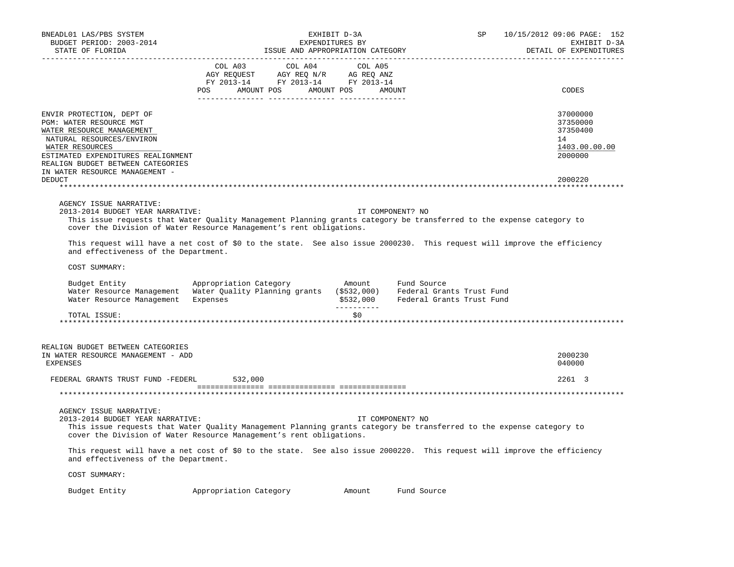| BNEADL01 LAS/PBS SYSTEM<br>BUDGET PERIOD: 2003-2014<br>STATE OF FLORIDA                                                                                                                                                                        | ISSUE AND APPROPRIATION CATEGORY                                                                                                                                                                                                                                                                                                                                                                                                                                               | EXHIBIT D-3A<br>EXPENDITURES BY |                  | SP <sub>2</sub> | 10/15/2012 09:06 PAGE: 152<br>EXHIBIT D-3A<br>DETAIL OF EXPENDITURES |
|------------------------------------------------------------------------------------------------------------------------------------------------------------------------------------------------------------------------------------------------|--------------------------------------------------------------------------------------------------------------------------------------------------------------------------------------------------------------------------------------------------------------------------------------------------------------------------------------------------------------------------------------------------------------------------------------------------------------------------------|---------------------------------|------------------|-----------------|----------------------------------------------------------------------|
|                                                                                                                                                                                                                                                | $\begin{tabular}{lllllllllll} &\multicolumn{4}{c }{\text{COL A03}} &\multicolumn{4}{c }{\text{COL A04}} &\multicolumn{4}{c }{\text{COL A05}} \\ \multicolumn{4}{c }{\text{AGY REQUEST}} &\multicolumn{4}{c }{\text{AGY REQ N/R}} &\multicolumn{4}{c }{\text{AG REQ ANZ}} \\ \multicolumn{4}{c }{\text{FGY A03--14}} &\multicolumn{4}{c }{\text{FGY A013--14}} &\multicolumn{4}{c }{\text{FC A013--14}} \\ \multicolumn{4}{c }{\text{FY 20$<br>POS AMOUNT POS AMOUNT POS AMOUNT |                                 |                  |                 | CODES                                                                |
| ENVIR PROTECTION, DEPT OF<br>PGM: WATER RESOURCE MGT<br>WATER RESOURCE MANAGEMENT<br>NATURAL RESOURCES/ENVIRON<br>WATER RESOURCES<br>ESTIMATED EXPENDITURES REALIGNMENT<br>REALIGN BUDGET BETWEEN CATEGORIES<br>IN WATER RESOURCE MANAGEMENT - |                                                                                                                                                                                                                                                                                                                                                                                                                                                                                |                                 |                  |                 | 37000000<br>37350000<br>37350400<br>14<br>1403.00.00.00<br>2000000   |
| <b>DEDUCT</b>                                                                                                                                                                                                                                  |                                                                                                                                                                                                                                                                                                                                                                                                                                                                                |                                 |                  |                 | 2000220                                                              |
| AGENCY ISSUE NARRATIVE:<br>2013-2014 BUDGET YEAR NARRATIVE:                                                                                                                                                                                    | This issue requests that Water Quality Management Planning grants category be transferred to the expense category to<br>cover the Division of Water Resource Management's rent obligations.                                                                                                                                                                                                                                                                                    |                                 | IT COMPONENT? NO |                 |                                                                      |
| and effectiveness of the Department.                                                                                                                                                                                                           | This request will have a net cost of \$0 to the state. See also issue 2000230. This request will improve the efficiency                                                                                                                                                                                                                                                                                                                                                        |                                 |                  |                 |                                                                      |
| COST SUMMARY:                                                                                                                                                                                                                                  |                                                                                                                                                                                                                                                                                                                                                                                                                                                                                |                                 |                  |                 |                                                                      |
|                                                                                                                                                                                                                                                | Budget Entity <b>Example 2</b> Appropriation Category <b>Amount</b> Fund Source<br>and Resource Management<br>Water Quality Planning grants (\$532,000) Federal Grants Trust Fund<br>Water Resource Management Expenses (\$532,000) Federal Grants Trust Fund                                                                                                                                                                                                                  |                                 |                  |                 |                                                                      |
| TOTAL ISSUE:                                                                                                                                                                                                                                   |                                                                                                                                                                                                                                                                                                                                                                                                                                                                                | \$0\$                           |                  |                 |                                                                      |
| REALIGN BUDGET BETWEEN CATEGORIES<br>IN WATER RESOURCE MANAGEMENT - ADD<br><b>EXPENSES</b>                                                                                                                                                     |                                                                                                                                                                                                                                                                                                                                                                                                                                                                                |                                 |                  |                 | 2000230<br>040000                                                    |
| FEDERAL GRANTS TRUST FUND -FEDERL 532,000                                                                                                                                                                                                      |                                                                                                                                                                                                                                                                                                                                                                                                                                                                                |                                 |                  |                 | 2261 3                                                               |
|                                                                                                                                                                                                                                                |                                                                                                                                                                                                                                                                                                                                                                                                                                                                                |                                 |                  |                 |                                                                      |
| AGENCY ISSUE NARRATIVE:<br>2013-2014 BUDGET YEAR NARRATIVE:                                                                                                                                                                                    | This issue requests that Water Quality Management Planning grants category be transferred to the expense category to<br>cover the Division of Water Resource Management's rent obligations.<br>This request will have a net cost of \$0 to the state. See also issue 2000220. This request will improve the efficiency                                                                                                                                                         | IT COMPONENT? NO                |                  |                 |                                                                      |
| and effectiveness of the Department.                                                                                                                                                                                                           |                                                                                                                                                                                                                                                                                                                                                                                                                                                                                |                                 |                  |                 |                                                                      |
| COST SUMMARY:                                                                                                                                                                                                                                  |                                                                                                                                                                                                                                                                                                                                                                                                                                                                                |                                 |                  |                 |                                                                      |
| Budget Entity                                                                                                                                                                                                                                  | Appropriation Category                                                                                                                                                                                                                                                                                                                                                                                                                                                         | Amount                          | Fund Source      |                 |                                                                      |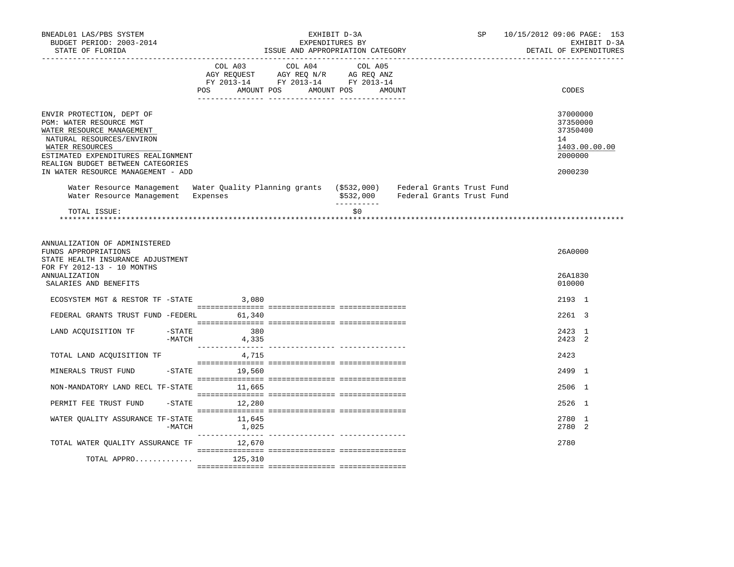| BNEADL01 LAS/PBS SYSTEM<br>BUDGET PERIOD: 2003-2014<br>STATE OF FLORIDA                                                                                                                                                                            |                                                                                                                                     | EXHIBIT D-3A<br>EXPENDITURES BY<br>ISSUE AND APPROPRIATION CATEGORY                                                                                    | SP and the set of the set of the set of the set of the set of the set of the set of the set of the set of the set of the set of the set of the set of the set of the set of the set of the set of the set of the set of the se | 10/15/2012 09:06 PAGE: 153<br>EXHIBIT D-3A<br>DETAIL OF EXPENDITURES          |
|----------------------------------------------------------------------------------------------------------------------------------------------------------------------------------------------------------------------------------------------------|-------------------------------------------------------------------------------------------------------------------------------------|--------------------------------------------------------------------------------------------------------------------------------------------------------|--------------------------------------------------------------------------------------------------------------------------------------------------------------------------------------------------------------------------------|-------------------------------------------------------------------------------|
|                                                                                                                                                                                                                                                    |                                                                                                                                     |                                                                                                                                                        |                                                                                                                                                                                                                                |                                                                               |
|                                                                                                                                                                                                                                                    | COL A03<br>COL A04<br>AGY REQUEST AGY REQ N/R AG REQ ANZ<br>FY 2013-14 FY 2013-14 FY 2013-14<br>POS<br>AMOUNT POS AMOUNT POS AMOUNT | COL A05                                                                                                                                                |                                                                                                                                                                                                                                | CODES                                                                         |
| ENVIR PROTECTION, DEPT OF<br>PGM: WATER RESOURCE MGT<br>WATER RESOURCE MANAGEMENT<br>NATURAL RESOURCES/ENVIRON<br>WATER RESOURCES<br>ESTIMATED EXPENDITURES REALIGNMENT<br>REALIGN BUDGET BETWEEN CATEGORIES<br>IN WATER RESOURCE MANAGEMENT - ADD |                                                                                                                                     |                                                                                                                                                        |                                                                                                                                                                                                                                | 37000000<br>37350000<br>37350400<br>14<br>1403.00.00.00<br>2000000<br>2000230 |
| Water Resource Management                                                                                                                                                                                                                          | Expenses                                                                                                                            | Water Resource Management Water Quality Planning grants (\$532,000) Federal Grants Trust Fund<br>\$532,000<br>Federal Grants Trust Fund<br>----------- |                                                                                                                                                                                                                                |                                                                               |
| TOTAL ISSUE:                                                                                                                                                                                                                                       |                                                                                                                                     | \$0                                                                                                                                                    |                                                                                                                                                                                                                                |                                                                               |
|                                                                                                                                                                                                                                                    |                                                                                                                                     |                                                                                                                                                        |                                                                                                                                                                                                                                |                                                                               |
| ANNUALIZATION OF ADMINISTERED<br>FUNDS APPROPRIATIONS<br>STATE HEALTH INSURANCE ADJUSTMENT<br>FOR FY 2012-13 - 10 MONTHS<br>ANNUALIZATION<br>SALARIES AND BENEFITS                                                                                 |                                                                                                                                     |                                                                                                                                                        |                                                                                                                                                                                                                                | 26A0000<br>26A1830<br>010000                                                  |
| ECOSYSTEM MGT & RESTOR TF - STATE 3,080                                                                                                                                                                                                            |                                                                                                                                     |                                                                                                                                                        |                                                                                                                                                                                                                                | 2193 1                                                                        |
| FEDERAL GRANTS TRUST FUND -FEDERL 61,340                                                                                                                                                                                                           |                                                                                                                                     |                                                                                                                                                        |                                                                                                                                                                                                                                | 2261 3                                                                        |
| LAND ACQUISITION TF -STATE<br>-MATCH                                                                                                                                                                                                               | 380<br>4,335                                                                                                                        |                                                                                                                                                        |                                                                                                                                                                                                                                | 2423 1<br>2423 2                                                              |
| TOTAL LAND ACQUISITION TF                                                                                                                                                                                                                          | 4,715                                                                                                                               |                                                                                                                                                        |                                                                                                                                                                                                                                | 2423                                                                          |
| MINERALS TRUST FUND                                                                                                                                                                                                                                | $-$ STATE 19,560                                                                                                                    |                                                                                                                                                        |                                                                                                                                                                                                                                | 2499 1                                                                        |
| NON-MANDATORY LAND RECL TF-STATE 11,665                                                                                                                                                                                                            |                                                                                                                                     |                                                                                                                                                        |                                                                                                                                                                                                                                | 2506 1                                                                        |
| PERMIT FEE TRUST FUND                                                                                                                                                                                                                              | $-STATE$ 12,280                                                                                                                     |                                                                                                                                                        |                                                                                                                                                                                                                                | 2526 1                                                                        |
| WATER OUALITY ASSURANCE TF-STATE<br>$-MATCH$                                                                                                                                                                                                       | 11,645<br>1,025                                                                                                                     |                                                                                                                                                        |                                                                                                                                                                                                                                | 2780 1<br>2780 2                                                              |
| TOTAL WATER QUALITY ASSURANCE TF 12,670                                                                                                                                                                                                            |                                                                                                                                     |                                                                                                                                                        |                                                                                                                                                                                                                                | 2780                                                                          |
| TOTAL APPRO $125,310$                                                                                                                                                                                                                              |                                                                                                                                     |                                                                                                                                                        |                                                                                                                                                                                                                                |                                                                               |
|                                                                                                                                                                                                                                                    |                                                                                                                                     |                                                                                                                                                        |                                                                                                                                                                                                                                |                                                                               |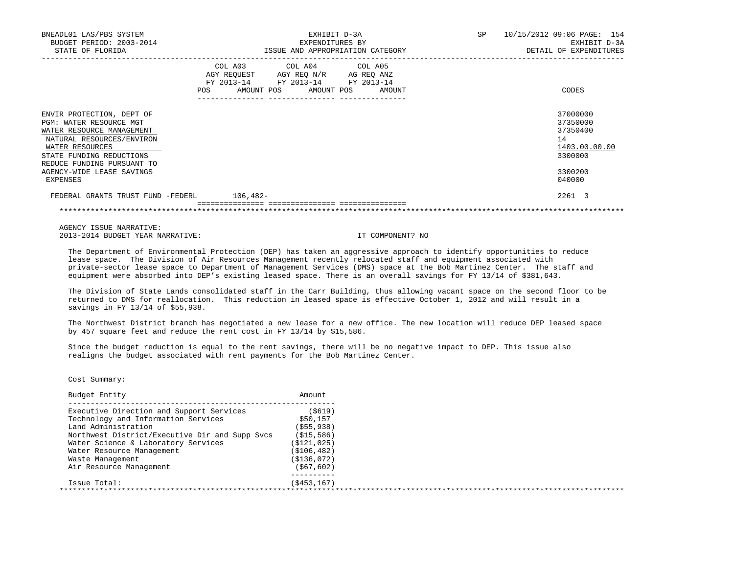| BNEADL01 LAS/PBS SYSTEM<br>BUDGET PERIOD: 2003-2014<br>STATE OF FLORIDA                                                                                                                                                              | EXHIBIT D-3A<br>EXPENDITURES BY<br>ISSUE AND APPROPRIATION CATEGORY                                                                   | SP<br>10/15/2012 09:06 PAGE: 154<br>EXHIBIT D-3A<br>DETAIL OF EXPENDITURES              |
|--------------------------------------------------------------------------------------------------------------------------------------------------------------------------------------------------------------------------------------|---------------------------------------------------------------------------------------------------------------------------------------|-----------------------------------------------------------------------------------------|
|                                                                                                                                                                                                                                      | COL A03 COL A04 COL A05<br>AGY REQUEST AGY REQ N/R AG REQ ANZ<br>FY 2013-14 FY 2013-14 FY 2013-14<br>POS AMOUNT POS AMOUNT POS AMOUNT | CODES                                                                                   |
| ENVIR PROTECTION, DEPT OF<br>PGM: WATER RESOURCE MGT<br>WATER RESOURCE MANAGEMENT<br>NATURAL RESOURCES/ENVIRON<br>WATER RESOURCES<br>STATE FUNDING REDUCTIONS<br>REDUCE FUNDING PURSUANT TO<br>AGENCY-WIDE LEASE SAVINGS<br>EXPENSES |                                                                                                                                       | 37000000<br>37350000<br>37350400<br>14<br>1403.00.00.00<br>3300000<br>3300200<br>040000 |
| FEDERAL GRANTS TRUST FUND -FEDERL 106,482-                                                                                                                                                                                           |                                                                                                                                       | 2261 3                                                                                  |

 AGENCY ISSUE NARRATIVE: 2013-2014 BUDGET YEAR NARRATIVE: IT COMPONENT? NO

 The Department of Environmental Protection (DEP) has taken an aggressive approach to identify opportunities to reduce lease space. The Division of Air Resources Management recently relocated staff and equipment associated with private-sector lease space to Department of Management Services (DMS) space at the Bob Martinez Center. The staff and equipment were absorbed into DEP's existing leased space. There is an overall savings for FY 13/14 of \$381,643.

\*\*\*\*\*\*\*\*\*\*\*\*\*\*\*\*\*\*\*\*\*\*\*\*\*\*\*\*\*\*\*\*\*\*\*\*\*\*\*\*\*\*\*\*\*\*\*\*\*\*\*\*\*\*\*\*\*\*\*\*\*\*\*\*\*\*\*\*\*\*\*\*\*\*\*\*\*\*\*\*\*\*\*\*\*\*\*\*\*\*\*\*\*\*\*\*\*\*\*\*\*\*\*\*\*\*\*\*\*\*\*\*\*\*\*\*\*\*\*\*\*\*\*\*\*\*\*

 The Division of State Lands consolidated staff in the Carr Building, thus allowing vacant space on the second floor to be returned to DMS for reallocation. This reduction in leased space is effective October 1, 2012 and will result in a savings in FY 13/14 of \$55,938.

 The Northwest District branch has negotiated a new lease for a new office. The new location will reduce DEP leased space by 457 square feet and reduce the rent cost in FY 13/14 by \$15,586.

 Since the budget reduction is equal to the rent savings, there will be no negative impact to DEP. This issue also realigns the budget associated with rent payments for the Bob Martinez Center.

Cost Summary:

| Budget Entity                                  | Amount        |  |
|------------------------------------------------|---------------|--|
| Executive Direction and Support Services       | ( \$619)      |  |
| Technology and Information Services            | \$50,157      |  |
| Land Administration                            | ( \$55, 938)  |  |
| Northwest District/Executive Dir and Supp Svcs | (S15, 586)    |  |
| Water Science & Laboratory Services            | ( \$121, 025) |  |
| Water Resource Management                      | ( \$106, 482) |  |
| Waste Management                               | (S136,072)    |  |
| Air Resource Management                        | (S67, 602)    |  |
| Issue Total:                                   | (S453, 167)   |  |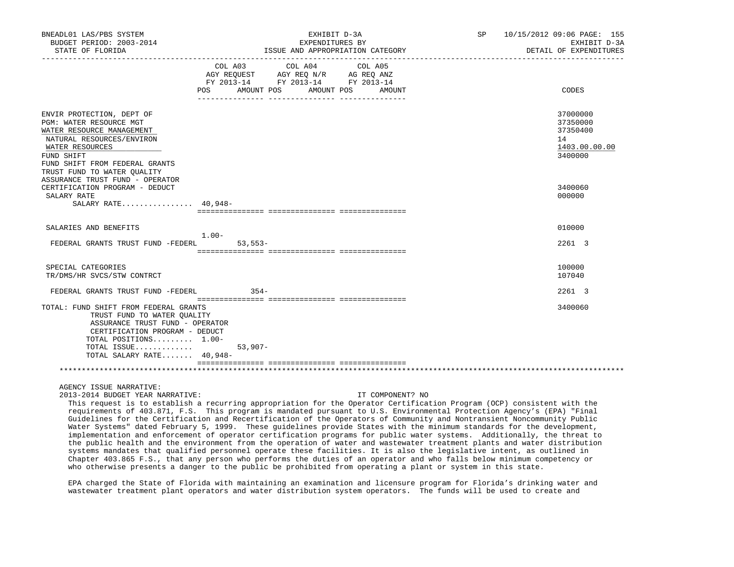| BNEADL01 LAS/PBS SYSTEM<br>BUDGET PERIOD: 2003-2014<br>STATE OF FLORIDA                                                                                                                                          |                              | EXHIBIT D-3A<br>EXPENDITURES BY<br>______________________________________         | ISSUE AND APPROPRIATION CATEGORY | SP 10/15/2012 09:06 PAGE: 155<br>EXHIBIT D-3A<br>DETAIL OF EXPENDITURES |
|------------------------------------------------------------------------------------------------------------------------------------------------------------------------------------------------------------------|------------------------------|-----------------------------------------------------------------------------------|----------------------------------|-------------------------------------------------------------------------|
|                                                                                                                                                                                                                  | COL A03<br>POS<br>AMOUNT POS | COL A04<br>AGY REQUEST AGY REQ N/R AG REQ ANZ<br>FY 2013-14 FY 2013-14 FY 2013-14 | COL A05<br>AMOUNT POS<br>AMOUNT  | CODES                                                                   |
| ENVIR PROTECTION, DEPT OF<br>PGM: WATER RESOURCE MGT<br>WATER RESOURCE MANAGEMENT<br>NATURAL RESOURCES/ENVIRON<br>WATER RESOURCES<br>FUND SHIFT<br>FUND SHIFT FROM FEDERAL GRANTS<br>TRUST FUND TO WATER QUALITY |                              |                                                                                   |                                  | 37000000<br>37350000<br>37350400<br>14<br>1403.00.00.00<br>3400000      |
| ASSURANCE TRUST FUND - OPERATOR<br>CERTIFICATION PROGRAM - DEDUCT<br>SALARY RATE<br>SALARY RATE $40.948-$                                                                                                        |                              |                                                                                   |                                  | 3400060<br>000000                                                       |
| SALARIES AND BENEFITS                                                                                                                                                                                            | $1.00-$                      |                                                                                   |                                  | 010000                                                                  |
| FEDERAL GRANTS TRUST FUND -FEDERL                                                                                                                                                                                | $53,553-$                    |                                                                                   |                                  | 2261 3                                                                  |
| SPECIAL CATEGORIES<br>TR/DMS/HR SVCS/STW CONTRCT                                                                                                                                                                 |                              |                                                                                   |                                  | 100000<br>107040                                                        |
| FEDERAL GRANTS TRUST FUND -FEDERL                                                                                                                                                                                | $354-$                       |                                                                                   |                                  | 2261 3                                                                  |
| TOTAL: FUND SHIFT FROM FEDERAL GRANTS<br>TRUST FUND TO WATER OUALITY<br>ASSURANCE TRUST FUND - OPERATOR<br>CERTIFICATION PROGRAM - DEDUCT<br>TOTAL POSITIONS $1.00-$<br>TOTAL ISSUE<br>TOTAL SALARY RATE 40,948- | $53,907-$                    |                                                                                   |                                  | 3400060                                                                 |
|                                                                                                                                                                                                                  |                              |                                                                                   |                                  |                                                                         |
|                                                                                                                                                                                                                  |                              |                                                                                   |                                  |                                                                         |

2013-2014 BUDGET YEAR NARRATIVE: IT COMPONENT? NO

 This request is to establish a recurring appropriation for the Operator Certification Program (OCP) consistent with the requirements of 403.871, F.S. This program is mandated pursuant to U.S. Environmental Protection Agency's (EPA) "Final Guidelines for the Certification and Recertification of the Operators of Community and Nontransient Noncommunity Public Water Systems" dated February 5, 1999. These quidelines provide States with the minimum standards for the development, implementation and enforcement of operator certification programs for public water systems. Additionally, the threat to the public health and the environment from the operation of water and wastewater treatment plants and water distribution systems mandates that qualified personnel operate these facilities. It is also the legislative intent, as outlined in Chapter 403.865 F.S., that any person who performs the duties of an operator and who falls below minimum competency or who otherwise presents a danger to the public be prohibited from operating a plant or system in this state.

 EPA charged the State of Florida with maintaining an examination and licensure program for Florida's drinking water and wastewater treatment plant operators and water distribution system operators. The funds will be used to create and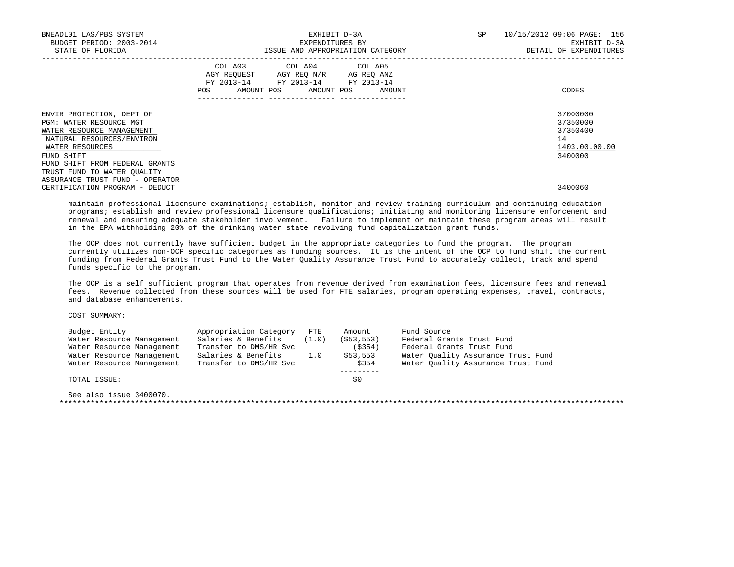| BNEADL01 LAS/PBS SYSTEM<br>BUDGET PERIOD: 2003-2014<br>STATE OF FLORIDA                                                                         | EXPENDITURES BY                                                                                                                       | EXHIBIT D-3A<br>ISSUE AND APPROPRIATION CATEGORY | SP 10/15/2012 09:06 PAGE: 156<br>EXHIBIT D-3A<br>DETAIL OF EXPENDITURES |
|-------------------------------------------------------------------------------------------------------------------------------------------------|---------------------------------------------------------------------------------------------------------------------------------------|--------------------------------------------------|-------------------------------------------------------------------------|
|                                                                                                                                                 | COL A03 COL A04 COL A05<br>AGY REQUEST AGY REO N/R AG REO ANZ<br>FY 2013-14 FY 2013-14 FY 2013-14<br>POS AMOUNT POS AMOUNT POS AMOUNT |                                                  | CODES                                                                   |
| ENVIR PROTECTION, DEPT OF<br>PGM: WATER RESOURCE MGT<br>WATER RESOURCE MANAGEMENT<br>NATURAL RESOURCES/ENVIRON<br>WATER RESOURCES<br>FUND SHIFT |                                                                                                                                       |                                                  | 37000000<br>37350000<br>37350400<br>14<br>1403.00.00.00<br>3400000      |
| FUND SHIFT FROM FEDERAL GRANTS<br>TRUST FUND TO WATER OUALITY<br>ASSURANCE TRUST FUND - OPERATOR<br>CERTIFICATION PROGRAM - DEDUCT              |                                                                                                                                       |                                                  | 3400060                                                                 |

 maintain professional licensure examinations; establish, monitor and review training curriculum and continuing education programs; establish and review professional licensure qualifications; initiating and monitoring licensure enforcement and renewal and ensuring adequate stakeholder involvement. Failure to implement or maintain these program areas will result in the EPA withholding 20% of the drinking water state revolving fund capitalization grant funds.

 The OCP does not currently have sufficient budget in the appropriate categories to fund the program. The program currently utilizes non-OCP specific categories as funding sources. It is the intent of the OCP to fund shift the current funding from Federal Grants Trust Fund to the Water Quality Assurance Trust Fund to accurately collect, track and spend funds specific to the program.

 The OCP is a self sufficient program that operates from revenue derived from examination fees, licensure fees and renewal fees. Revenue collected from these sources will be used for FTE salaries, program operating expenses, travel, contracts, and database enhancements.

| Budget Entity             | Appropriation Category | $_{\rm FTE}$ | Amount       | Fund Source                        |
|---------------------------|------------------------|--------------|--------------|------------------------------------|
| Water Resource Management | Salaries & Benefits    | (1.0)        | ( \$53, 553) | Federal Grants Trust Fund          |
| Water Resource Management | Transfer to DMS/HR Svc |              | (S354)       | Federal Grants Trust Fund          |
| Water Resource Management | Salaries & Benefits    | 1.0          | \$53,553     | Water Ouality Assurance Trust Fund |
| Water Resource Management | Transfer to DMS/HR Svc |              | \$354        | Water Ouality Assurance Trust Fund |
|                           |                        |              |              |                                    |
| TOTAL ISSUE:              |                        |              | \$0          |                                    |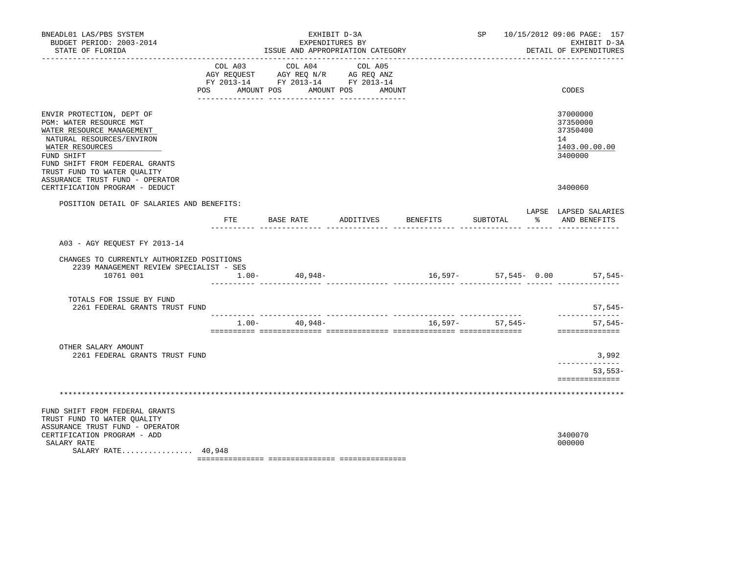| BNEADL01 LAS/PBS SYSTEM<br>BUDGET PERIOD: 2003-2014<br>STATE OF FLORIDA                                                                                                                                                                             |                                          | EXHIBIT D-3A<br>EXPENDITURES BY<br>ISSUE AND APPROPRIATION CATEGORY   |                              |                 |                                                | SP 10/15/2012 09:06 PAGE: 157<br>EXHIBIT D-3A<br>DETAIL OF EXPENDITURES |
|-----------------------------------------------------------------------------------------------------------------------------------------------------------------------------------------------------------------------------------------------------|------------------------------------------|-----------------------------------------------------------------------|------------------------------|-----------------|------------------------------------------------|-------------------------------------------------------------------------|
|                                                                                                                                                                                                                                                     | COL A03<br>AGY REQUEST<br>POS AMOUNT POS | COL A04<br>AGY REQ N/R AG REQ ANZ<br>FY 2013-14 FY 2013-14 FY 2013-14 | COL A05<br>AMOUNT POS AMOUNT |                 |                                                | CODES                                                                   |
| ENVIR PROTECTION, DEPT OF<br>PGM: WATER RESOURCE MGT<br>WATER RESOURCE MANAGEMENT<br>NATURAL RESOURCES/ENVIRON<br>WATER RESOURCES<br>FUND SHIFT<br>FUND SHIFT FROM FEDERAL GRANTS<br>TRUST FUND TO WATER OUALITY<br>ASSURANCE TRUST FUND - OPERATOR |                                          |                                                                       |                              |                 |                                                | 37000000<br>37350000<br>37350400<br>14<br>1403.00.00.00<br>3400000      |
| CERTIFICATION PROGRAM - DEDUCT                                                                                                                                                                                                                      |                                          |                                                                       |                              |                 |                                                | 3400060                                                                 |
| POSITION DETAIL OF SALARIES AND BENEFITS:                                                                                                                                                                                                           | FTE                                      | BASE RATE                                                             | ADDITIVES                    | <b>BENEFITS</b> | SUBTOTAL<br>______ _______________ _____ _____ | LAPSE LAPSED SALARIES<br>% AND BENEFITS                                 |
| A03 - AGY REOUEST FY 2013-14                                                                                                                                                                                                                        |                                          |                                                                       |                              |                 |                                                |                                                                         |
| CHANGES TO CURRENTLY AUTHORIZED POSITIONS<br>2239 MANAGEMENT REVIEW SPECIALIST - SES<br>10761 001                                                                                                                                                   | $1.00-$                                  | 40,948-                                                               |                              |                 |                                                | 16,597- 57,545- 0.00 57,545-                                            |
| TOTALS FOR ISSUE BY FUND<br>2261 FEDERAL GRANTS TRUST FUND                                                                                                                                                                                          |                                          |                                                                       |                              |                 |                                                | 57,545-                                                                 |
|                                                                                                                                                                                                                                                     | $1.00-$                                  | 40,948-                                                               |                              |                 | $16,597-57,545-$                               | --------------<br>$57,545-$<br>==============                           |
| OTHER SALARY AMOUNT<br>2261 FEDERAL GRANTS TRUST FUND                                                                                                                                                                                               |                                          |                                                                       |                              |                 |                                                | 3,992<br>-----------<br>$53, 553 -$<br>==============                   |
|                                                                                                                                                                                                                                                     |                                          |                                                                       |                              |                 |                                                |                                                                         |
| FUND SHIFT FROM FEDERAL GRANTS<br>TRUST FUND TO WATER QUALITY<br>ASSURANCE TRUST FUND - OPERATOR<br>CERTIFICATION PROGRAM - ADD<br>SALARY RATE<br>SALARY RATE 40,948                                                                                |                                          |                                                                       |                              |                 |                                                | 3400070<br>000000                                                       |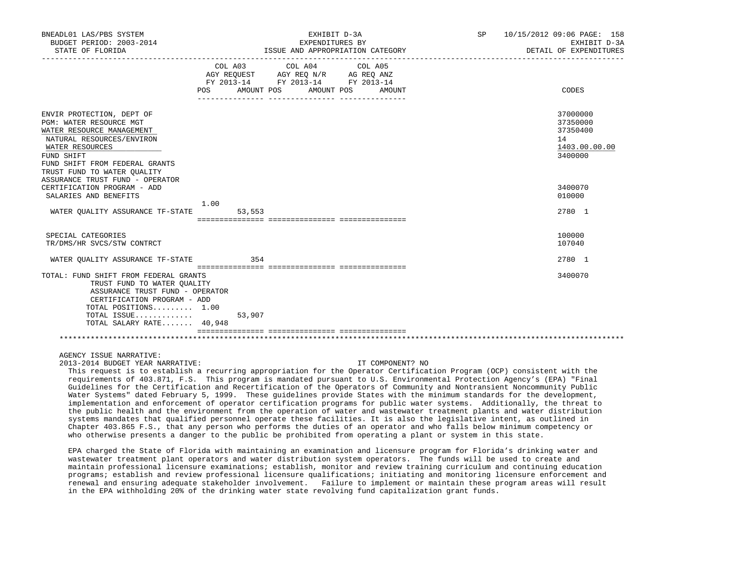| BNEADL01 LAS/PBS SYSTEM<br>BUDGET PERIOD: 2003-2014<br>STATE OF FLORIDA                                                                                                                                          | EXHIBIT D-3A<br>EXPENDITURES BY<br>ISSUE AND APPROPRIATION CATEGORY |            |  |                                                                                                                 |  | SP     | 10/15/2012 09:06 PAGE: 158<br>EXHIBIT D-3A<br>DETAIL OF EXPENDITURES |                                                                    |
|------------------------------------------------------------------------------------------------------------------------------------------------------------------------------------------------------------------|---------------------------------------------------------------------|------------|--|-----------------------------------------------------------------------------------------------------------------|--|--------|----------------------------------------------------------------------|--------------------------------------------------------------------|
|                                                                                                                                                                                                                  | POS                                                                 | AMOUNT POS |  | COL A03 COL A04 COL A05<br>AGY REQUEST AGY REQ N/R AG REQ ANZ<br>FY 2013-14 FY 2013-14 FY 2013-14<br>AMOUNT POS |  | AMOUNT |                                                                      | CODES                                                              |
| ENVIR PROTECTION, DEPT OF<br>PGM: WATER RESOURCE MGT<br>WATER RESOURCE MANAGEMENT<br>NATURAL RESOURCES/ENVIRON<br>WATER RESOURCES<br>FUND SHIFT<br>FUND SHIFT FROM FEDERAL GRANTS<br>TRUST FUND TO WATER OUALITY |                                                                     |            |  |                                                                                                                 |  |        |                                                                      | 37000000<br>37350000<br>37350400<br>14<br>1403.00.00.00<br>3400000 |
| ASSURANCE TRUST FUND - OPERATOR<br>CERTIFICATION PROGRAM - ADD<br>SALARIES AND BENEFITS                                                                                                                          | 1.00                                                                |            |  |                                                                                                                 |  |        |                                                                      | 3400070<br>010000                                                  |
| WATER QUALITY ASSURANCE TF-STATE                                                                                                                                                                                 |                                                                     | 53,553     |  |                                                                                                                 |  |        |                                                                      | 2780 1                                                             |
| SPECIAL CATEGORIES<br>TR/DMS/HR SVCS/STW CONTRCT                                                                                                                                                                 |                                                                     |            |  |                                                                                                                 |  |        |                                                                      | 100000<br>107040                                                   |
| WATER OUALITY ASSURANCE TF-STATE                                                                                                                                                                                 |                                                                     | 354        |  |                                                                                                                 |  |        |                                                                      | 2780 1                                                             |
| TOTAL: FUND SHIFT FROM FEDERAL GRANTS<br>TRUST FUND TO WATER OUALITY<br>ASSURANCE TRUST FUND - OPERATOR<br>CERTIFICATION PROGRAM - ADD<br>TOTAL POSITIONS 1.00<br>TOTAL ISSUE<br>TOTAL SALARY RATE 40,948        |                                                                     | 53,907     |  |                                                                                                                 |  |        |                                                                      | 3400070                                                            |
|                                                                                                                                                                                                                  |                                                                     |            |  |                                                                                                                 |  |        |                                                                      |                                                                    |

2013-2014 BUDGET YEAR NARRATIVE: IT COMPONENT? NO

 This request is to establish a recurring appropriation for the Operator Certification Program (OCP) consistent with the requirements of 403.871, F.S. This program is mandated pursuant to U.S. Environmental Protection Agency's (EPA) "Final Guidelines for the Certification and Recertification of the Operators of Community and Nontransient Noncommunity Public Water Systems" dated February 5, 1999. These quidelines provide States with the minimum standards for the development, implementation and enforcement of operator certification programs for public water systems. Additionally, the threat to the public health and the environment from the operation of water and wastewater treatment plants and water distribution systems mandates that qualified personnel operate these facilities. It is also the legislative intent, as outlined in Chapter 403.865 F.S., that any person who performs the duties of an operator and who falls below minimum competency or who otherwise presents a danger to the public be prohibited from operating a plant or system in this state.

 EPA charged the State of Florida with maintaining an examination and licensure program for Florida's drinking water and wastewater treatment plant operators and water distribution system operators. The funds will be used to create and maintain professional licensure examinations; establish, monitor and review training curriculum and continuing education programs; establish and review professional licensure qualifications; initiating and monitoring licensure enforcement and renewal and ensuring adequate stakeholder involvement. Failure to implement or maintain these program areas will result in the EPA withholding 20% of the drinking water state revolving fund capitalization grant funds.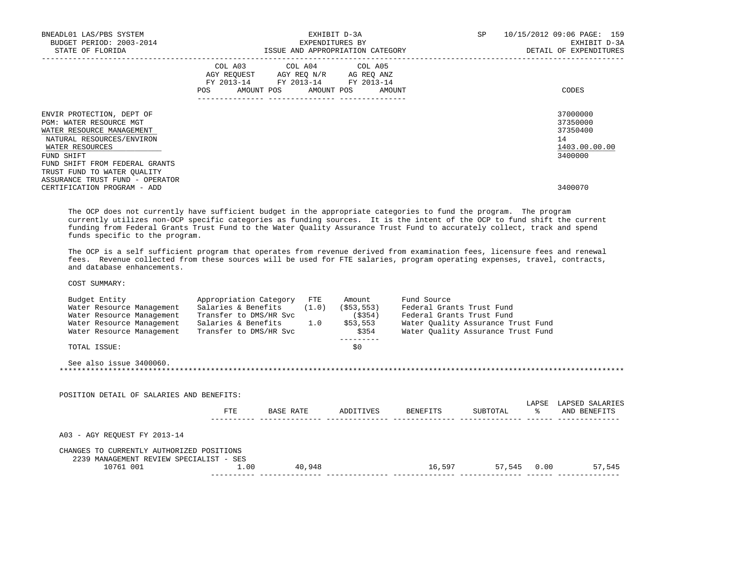| BNEADL01 LAS/PBS SYSTEM<br>BUDGET PERIOD: 2003-2014<br>STATE OF FLORIDA                                                                                                           | EXHIBIT D-3A<br>EXPENDITURES BY<br>ISSUE AND APPROPRIATION CATEGORY                                                                                      | SP<br>10/15/2012 09:06 PAGE: 159<br>EXHIBIT D-3A<br>DETAIL OF EXPENDITURES |
|-----------------------------------------------------------------------------------------------------------------------------------------------------------------------------------|----------------------------------------------------------------------------------------------------------------------------------------------------------|----------------------------------------------------------------------------|
|                                                                                                                                                                                   | COL A03 COL A04 COL A05<br>AGY REQUEST AGY REQ N/R AG REQ ANZ<br>FY 2013-14 FY 2013-14 FY 2013-14<br>POS AMOUNT POS AMOUNT POS AMOUNT<br>--------------- | CODES                                                                      |
| ENVIR PROTECTION, DEPT OF<br>PGM: WATER RESOURCE MGT<br>WATER RESOURCE MANAGEMENT<br>NATURAL RESOURCES/ENVIRON<br>WATER RESOURCES<br>FUND SHIFT<br>FUND SHIFT FROM FEDERAL GRANTS |                                                                                                                                                          | 37000000<br>37350000<br>37350400<br>14<br>1403.00.00.00<br>3400000         |
| TRUST FUND TO WATER OUALITY<br>ASSURANCE TRUST FUND - OPERATOR<br>CERTIFICATION PROGRAM - ADD                                                                                     |                                                                                                                                                          | 3400070                                                                    |

 The OCP does not currently have sufficient budget in the appropriate categories to fund the program. The program currently utilizes non-OCP specific categories as funding sources. It is the intent of the OCP to fund shift the current funding from Federal Grants Trust Fund to the Water Quality Assurance Trust Fund to accurately collect, track and spend funds specific to the program.

 The OCP is a self sufficient program that operates from revenue derived from examination fees, licensure fees and renewal fees. Revenue collected from these sources will be used for FTE salaries, program operating expenses, travel, contracts, and database enhancements.

| Budget Entity<br>Water Resource Management<br>Water Resource Management | Appropriation Category<br>Salaries & Benefits<br>Transfer to DMS/HR Svc |           | $_{\rm FTE}$ | Amount<br>$(1.0)$ $($ \$53,553)<br>$($ \$354) | Fund Source<br>Federal Grants Trust Fund<br>Federal Grants Trust Fund |             |       |                 |
|-------------------------------------------------------------------------|-------------------------------------------------------------------------|-----------|--------------|-----------------------------------------------|-----------------------------------------------------------------------|-------------|-------|-----------------|
| Water Resource Management                                               | Salaries & Benefits 1.0 \$53,553                                        |           |              |                                               | Water Quality Assurance Trust Fund                                    |             |       |                 |
| Water Resource Management                                               | Transfer to DMS/HR Svc                                                  |           |              | \$354                                         | Water Quality Assurance Trust Fund                                    |             |       |                 |
| TOTAL ISSUE:                                                            |                                                                         |           |              | \$0                                           |                                                                       |             |       |                 |
| See also issue 3400060.                                                 |                                                                         |           |              |                                               |                                                                       |             |       |                 |
|                                                                         |                                                                         |           |              |                                               |                                                                       |             |       |                 |
|                                                                         |                                                                         |           |              |                                               |                                                                       |             |       |                 |
| POSITION DETAIL OF SALARIES AND BENEFITS:                               |                                                                         |           |              |                                               |                                                                       |             |       |                 |
|                                                                         |                                                                         |           |              |                                               |                                                                       |             | LAPSE | LAPSED SALARIES |
|                                                                         | FTE                                                                     | BASE RATE |              |                                               | ADDITIVES BENEFITS                                                    | SUBTOTAL    | ိ     | AND BENEFITS    |
|                                                                         |                                                                         |           |              |                                               |                                                                       |             |       |                 |
| A03 - AGY REOUEST FY 2013-14                                            |                                                                         |           |              |                                               |                                                                       |             |       |                 |
|                                                                         |                                                                         |           |              |                                               |                                                                       |             |       |                 |
| CHANGES TO CURRENTLY AUTHORIZED POSITIONS                               |                                                                         |           |              |                                               |                                                                       |             |       |                 |
| 2239 MANAGEMENT REVIEW SPECIALIST - SES<br>10761 001                    | 1.00                                                                    | 40,948    |              |                                               | 16,597                                                                | 57,545 0.00 |       | 57,545          |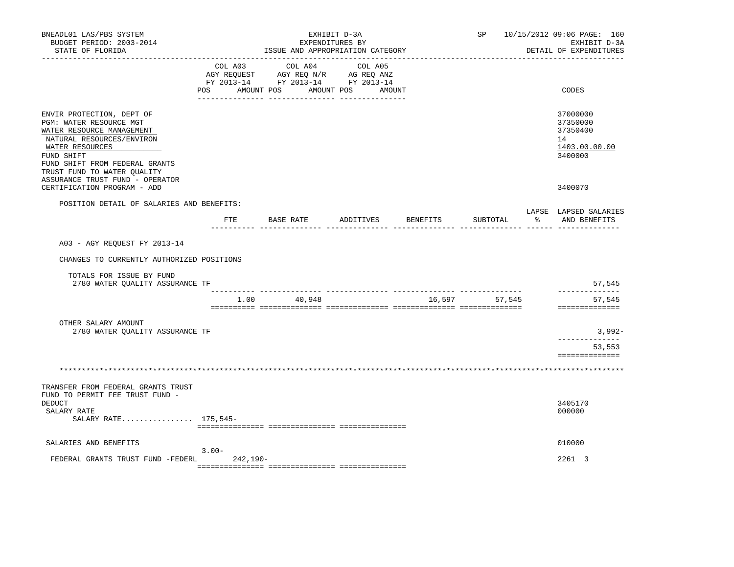| BNEADL01 LAS/PBS SYSTEM<br>BUDGET PERIOD: 2003-2014<br>STATE OF FLORIDA                                                                                                                                                                             |               | ISSUE AND APPROPRIATION CATEGORY                                                                                                                                                                                                                            | EXHIBIT D-3A<br>EXPENDITURES BY |          |               |       | SP 10/15/2012 09:06 PAGE: 160<br>EXHIBIT D-3A<br>DETAIL OF EXPENDITURES |
|-----------------------------------------------------------------------------------------------------------------------------------------------------------------------------------------------------------------------------------------------------|---------------|-------------------------------------------------------------------------------------------------------------------------------------------------------------------------------------------------------------------------------------------------------------|---------------------------------|----------|---------------|-------|-------------------------------------------------------------------------|
|                                                                                                                                                                                                                                                     | <b>POS</b>    | COL A03 COL A04 COL A05<br>$\begin{tabular}{lllllllll} \bf AGY & \bf REQUEST & \bf AGY & \bf REQ & \bf N/R & \bf AG & \bf REQ & \bf ANZ \\ \bf FY & \tt 2013-14 & \bf FY & \tt 2013-14 & \bf FY & \tt 2013-14 \\ \end{tabular}$<br>AMOUNT POS<br>AMOUNT POS | AMOUNT                          |          |               |       | CODES                                                                   |
| ENVIR PROTECTION, DEPT OF<br>PGM: WATER RESOURCE MGT<br>WATER RESOURCE MANAGEMENT<br>NATURAL RESOURCES/ENVIRON<br>WATER RESOURCES<br>FUND SHIFT<br>FUND SHIFT FROM FEDERAL GRANTS<br>TRUST FUND TO WATER QUALITY<br>ASSURANCE TRUST FUND - OPERATOR |               |                                                                                                                                                                                                                                                             |                                 |          |               |       | 37000000<br>37350000<br>37350400<br>14<br>1403.00.00.00<br>3400000      |
| CERTIFICATION PROGRAM - ADD                                                                                                                                                                                                                         |               |                                                                                                                                                                                                                                                             |                                 |          |               |       | 3400070                                                                 |
| POSITION DETAIL OF SALARIES AND BENEFITS:                                                                                                                                                                                                           | $_{\rm{FTE}}$ | BASE RATE                                                                                                                                                                                                                                                   | ADDITIVES                       | BENEFITS | SUBTOTAL      | း - ၁ | LAPSE LAPSED SALARIES<br>AND BENEFITS                                   |
| A03 - AGY REOUEST FY 2013-14                                                                                                                                                                                                                        |               |                                                                                                                                                                                                                                                             |                                 |          |               |       |                                                                         |
| CHANGES TO CURRENTLY AUTHORIZED POSITIONS                                                                                                                                                                                                           |               |                                                                                                                                                                                                                                                             |                                 |          |               |       |                                                                         |
|                                                                                                                                                                                                                                                     |               |                                                                                                                                                                                                                                                             |                                 |          |               |       |                                                                         |
| TOTALS FOR ISSUE BY FUND<br>2780 WATER QUALITY ASSURANCE TF                                                                                                                                                                                         |               |                                                                                                                                                                                                                                                             |                                 |          |               |       | 57,545                                                                  |
|                                                                                                                                                                                                                                                     |               | 1.00 40,948                                                                                                                                                                                                                                                 |                                 |          | 16,597 57,545 |       | --------------<br>57,545<br>==============                              |
| OTHER SALARY AMOUNT                                                                                                                                                                                                                                 |               |                                                                                                                                                                                                                                                             |                                 |          |               |       |                                                                         |
| 2780 WATER QUALITY ASSURANCE TF                                                                                                                                                                                                                     |               |                                                                                                                                                                                                                                                             |                                 |          |               |       | 3,992-<br>------------                                                  |
|                                                                                                                                                                                                                                                     |               |                                                                                                                                                                                                                                                             |                                 |          |               |       | 53,553<br>==============                                                |
|                                                                                                                                                                                                                                                     |               |                                                                                                                                                                                                                                                             |                                 |          |               |       |                                                                         |
| TRANSFER FROM FEDERAL GRANTS TRUST                                                                                                                                                                                                                  |               |                                                                                                                                                                                                                                                             |                                 |          |               |       |                                                                         |
| FUND TO PERMIT FEE TRUST FUND -<br>DEDUCT                                                                                                                                                                                                           |               |                                                                                                                                                                                                                                                             |                                 |          |               |       | 3405170                                                                 |
| SALARY RATE<br>SALARY RATE 175,545-                                                                                                                                                                                                                 |               |                                                                                                                                                                                                                                                             |                                 |          |               |       | 000000                                                                  |
|                                                                                                                                                                                                                                                     |               |                                                                                                                                                                                                                                                             |                                 |          |               |       |                                                                         |
| SALARIES AND BENEFITS                                                                                                                                                                                                                               | $3.00 -$      |                                                                                                                                                                                                                                                             |                                 |          |               |       | 010000                                                                  |
| FEDERAL GRANTS TRUST FUND -FEDERL                                                                                                                                                                                                                   | 242,190-      |                                                                                                                                                                                                                                                             |                                 |          |               |       | 2261 3                                                                  |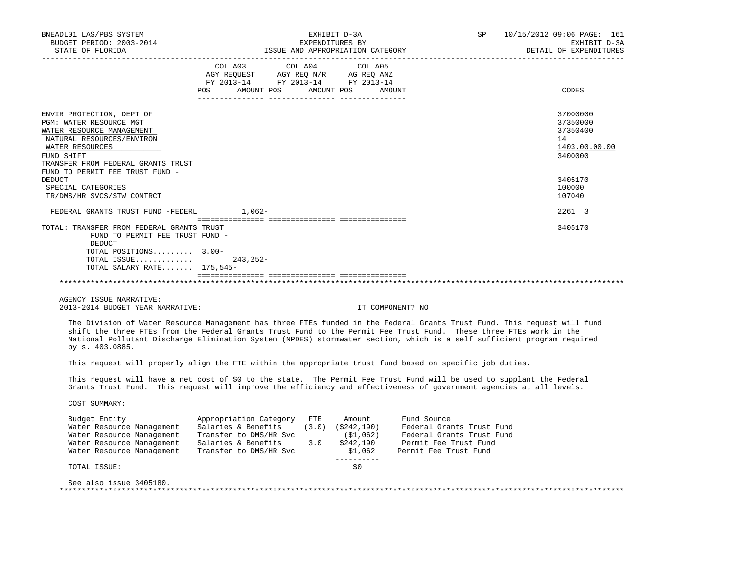| BUDGET PERIOD: 2003-2014<br>STATE OF FLORIDA                                                                                                    | EXHIBIT D-3A<br>EXPENDITURES BY<br>EXPENDITURES BY<br>ISSUE AND APPROPRIATION CATEGORY                                                                                                                                                                                                                                                                                    | SP 10/15/2012 09:06 PAGE: 161<br>EXHIBIT D-3A<br>DETAIL OF EXPENDITURES |
|-------------------------------------------------------------------------------------------------------------------------------------------------|---------------------------------------------------------------------------------------------------------------------------------------------------------------------------------------------------------------------------------------------------------------------------------------------------------------------------------------------------------------------------|-------------------------------------------------------------------------|
|                                                                                                                                                 | COL A03 COL A04 COL A05<br>AGY REQUEST AGY REQ N/R AG REQ ANZ<br>FY 2013-14 FY 2013-14 FY 2013-14<br>AMOUNT POS AMOUNT POS AMOUNT<br>POS                                                                                                                                                                                                                                  | CODES                                                                   |
|                                                                                                                                                 |                                                                                                                                                                                                                                                                                                                                                                           |                                                                         |
| ENVIR PROTECTION, DEPT OF<br>PGM: WATER RESOURCE MGT<br>WATER RESOURCE MANAGEMENT<br>NATURAL RESOURCES/ENVIRON<br>WATER RESOURCES<br>FUND SHIFT |                                                                                                                                                                                                                                                                                                                                                                           | 37000000<br>37350000<br>37350400<br>14<br>1403.00.00.00<br>3400000      |
| TRANSFER FROM FEDERAL GRANTS TRUST<br>FUND TO PERMIT FEE TRUST FUND -                                                                           |                                                                                                                                                                                                                                                                                                                                                                           |                                                                         |
| <b>DEDUCT</b><br>SPECIAL CATEGORIES<br>TR/DMS/HR SVCS/STW CONTRCT                                                                               |                                                                                                                                                                                                                                                                                                                                                                           | 3405170<br>100000<br>107040                                             |
| FEDERAL GRANTS TRUST FUND -FEDERL 1,062-                                                                                                        |                                                                                                                                                                                                                                                                                                                                                                           | 2261 3                                                                  |
| TOTAL: TRANSFER FROM FEDERAL GRANTS TRUST<br>FUND TO PERMIT FEE TRUST FUND -                                                                    |                                                                                                                                                                                                                                                                                                                                                                           | 3405170                                                                 |
| <b>DEDUCT</b><br>TOTAL POSITIONS 3.00-<br>TOTAL ISSUE $243,252-$<br>TOTAL SALARY RATE 175,545-                                                  |                                                                                                                                                                                                                                                                                                                                                                           |                                                                         |
|                                                                                                                                                 |                                                                                                                                                                                                                                                                                                                                                                           |                                                                         |
| AGENCY ISSUE NARRATIVE:<br>2013-2014 BUDGET YEAR NARRATIVE:                                                                                     | IT COMPONENT? NO                                                                                                                                                                                                                                                                                                                                                          |                                                                         |
| by s. 403.0885.                                                                                                                                 | The Division of Water Resource Management has three FTEs funded in the Federal Grants Trust Fund. This request will fund<br>shift the three FTEs from the Federal Grants Trust Fund to the Permit Fee Trust Fund. These three FTEs work in the<br>National Pollutant Discharge Elimination System (NPDES) stormwater section, which is a self sufficient program required |                                                                         |
|                                                                                                                                                 | This request will properly align the FTE within the appropriate trust fund based on specific job duties.                                                                                                                                                                                                                                                                  |                                                                         |
|                                                                                                                                                 | This request will have a net cost of \$0 to the state. The Permit Fee Trust Fund will be used to supplant the Federal<br>Grants Trust Fund. This request will improve the efficiency and effectiveness of government agencies at all levels.                                                                                                                              |                                                                         |
| COST SUMMARY:                                                                                                                                   |                                                                                                                                                                                                                                                                                                                                                                           |                                                                         |
| Budget Entity<br>Water Resource Management<br>Water Resource Management<br>Water Resource Management<br>Water Resource Management               | Appropriation Category FTE Amount Fund Source<br>Salaries & Benefits (3.0) (\$242,190) Federal Grants Trust Fund<br>Transfer to DMS/HR Svc (\$1,062) Federal Grants Trust Fund<br>Salaries & Benefits 3.0 \$242,190 Permit Fee Trust Fund<br>Transfer to DMS/HR Svc \$1,062 Permit Fee Trust Fund<br>-----------                                                          |                                                                         |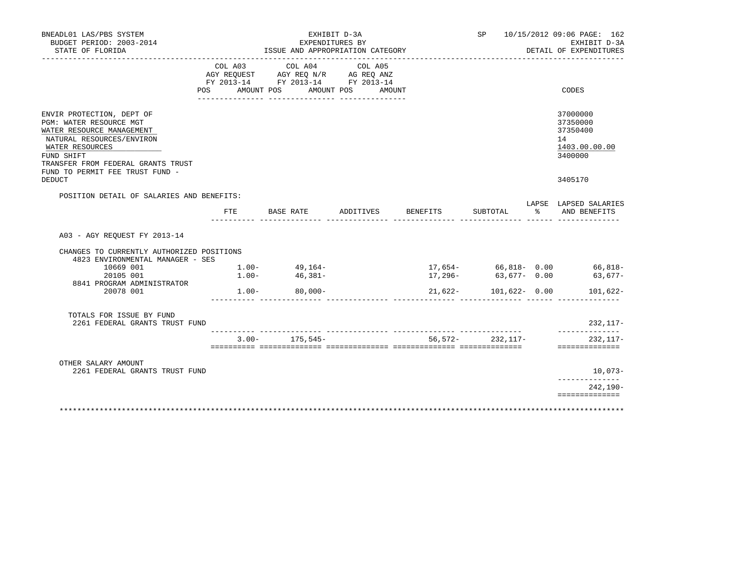| BUDGET PERIOD: 2003-2014                                                                                                                                                                                                                  |                                   | EXHIBIT D-3A                                                                                                                                                                                                                                                                                                            | EXPENDITURES BY                  |                       | SP 10/15/2012 09:06 PAGE: 162<br>EXHIBIT D-3A                                 |
|-------------------------------------------------------------------------------------------------------------------------------------------------------------------------------------------------------------------------------------------|-----------------------------------|-------------------------------------------------------------------------------------------------------------------------------------------------------------------------------------------------------------------------------------------------------------------------------------------------------------------------|----------------------------------|-----------------------|-------------------------------------------------------------------------------|
| STATE OF FLORIDA<br>______________                                                                                                                                                                                                        |                                   |                                                                                                                                                                                                                                                                                                                         | ISSUE AND APPROPRIATION CATEGORY |                       | DETAIL OF EXPENDITURES                                                        |
|                                                                                                                                                                                                                                           |                                   | $\begin{tabular}{lllllllllllll} &\multicolumn{4}{c}{\text{COL A03}} &\multicolumn{4}{c}{\text{COL A04}} &\multicolumn{4}{c}{\text{COL A05}} \\ \multicolumn{4}{c}{\text{AGY REQUEST}} &\multicolumn{4}{c}{\text{AGY REQ N/R}} &\multicolumn{4}{c}{\text{AG REQ ANZ}} \end{tabular}$<br>FY 2013-14 FY 2013-14 FY 2013-14 | POS AMOUNT POS AMOUNT POS AMOUNT |                       | CODES                                                                         |
| ENVIR PROTECTION, DEPT OF<br>PGM: WATER RESOURCE MGT<br>WATER RESOURCE MANAGEMENT<br>NATURAL RESOURCES/ENVIRON<br>WATER RESOURCES<br>FUND SHIFT<br>TRANSFER FROM FEDERAL GRANTS TRUST<br>FUND TO PERMIT FEE TRUST FUND -<br><b>DEDUCT</b> |                                   |                                                                                                                                                                                                                                                                                                                         |                                  |                       | 37000000<br>37350000<br>37350400<br>14<br>1403.00.00.00<br>3400000<br>3405170 |
| POSITION DETAIL OF SALARIES AND BENEFITS:                                                                                                                                                                                                 |                                   |                                                                                                                                                                                                                                                                                                                         |                                  |                       |                                                                               |
|                                                                                                                                                                                                                                           | FTE                               | BASE RATE                                                                                                                                                                                                                                                                                                               | ADDITIVES BENEFITS               | SUBTOTAL              | LAPSE LAPSED SALARIES<br>% AND BENEFITS                                       |
| A03 - AGY REOUEST FY 2013-14                                                                                                                                                                                                              |                                   |                                                                                                                                                                                                                                                                                                                         |                                  |                       |                                                                               |
|                                                                                                                                                                                                                                           |                                   |                                                                                                                                                                                                                                                                                                                         |                                  |                       |                                                                               |
| CHANGES TO CURRENTLY AUTHORIZED POSITIONS<br>4823 ENVIRONMENTAL MANAGER - SES                                                                                                                                                             |                                   |                                                                                                                                                                                                                                                                                                                         |                                  |                       |                                                                               |
| 10669 001                                                                                                                                                                                                                                 |                                   |                                                                                                                                                                                                                                                                                                                         |                                  |                       |                                                                               |
| 20105 001                                                                                                                                                                                                                                 | $1.00 - 49,164 - 1.00 - 46,381 -$ |                                                                                                                                                                                                                                                                                                                         |                                  |                       |                                                                               |
| 8841 PROGRAM ADMINISTRATOR<br>20078 001                                                                                                                                                                                                   |                                   | $1.00 - 80,000 -$                                                                                                                                                                                                                                                                                                       |                                  | $21,622-101,622-0.00$ | 17,654- 66,818- 0.00 66,818-<br>17,296- 63,677- 0.00 63,677-<br>101,622-      |
| TOTALS FOR ISSUE BY FUND<br>2261 FEDERAL GRANTS TRUST FUND                                                                                                                                                                                |                                   |                                                                                                                                                                                                                                                                                                                         |                                  |                       | 232,117-                                                                      |
|                                                                                                                                                                                                                                           |                                   |                                                                                                                                                                                                                                                                                                                         | $3.00 - 175,545 -$               | 56,572-232,117-       | ______________<br>232, 117-                                                   |
|                                                                                                                                                                                                                                           |                                   |                                                                                                                                                                                                                                                                                                                         |                                  |                       | ==============                                                                |
| OTHER SALARY AMOUNT<br>2261 FEDERAL GRANTS TRUST FUND                                                                                                                                                                                     |                                   |                                                                                                                                                                                                                                                                                                                         |                                  |                       | $10,073-$<br>--------------                                                   |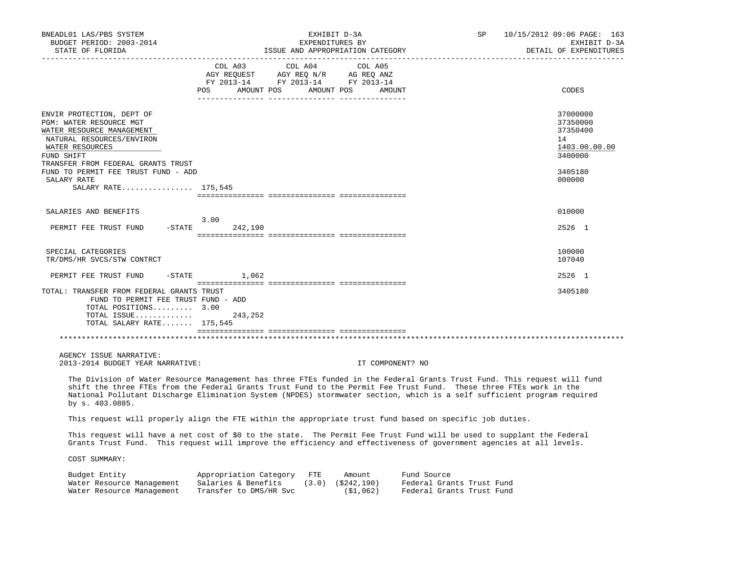| BNEADL01 LAS/PBS SYSTEM<br>BUDGET PERIOD: 2003-2014<br>STATE OF FLORIDA                                                                                                                                                                     | EXHIBIT D-3A<br>EXPENDITURES BY<br>ISSUE AND APPROPRIATION CATEGORY                                                                                                                                                                                                                                                                                                       | 10/15/2012 09:06 PAGE: 163<br>SP and the set of the set of the set of the set of the set of the set of the set of the set of the set of the set of the set of the set of the set of the set of the set of the set of the set of the set of the set of the se<br>EXHIBIT D-3A<br>DETAIL OF EXPENDITURES |
|---------------------------------------------------------------------------------------------------------------------------------------------------------------------------------------------------------------------------------------------|---------------------------------------------------------------------------------------------------------------------------------------------------------------------------------------------------------------------------------------------------------------------------------------------------------------------------------------------------------------------------|--------------------------------------------------------------------------------------------------------------------------------------------------------------------------------------------------------------------------------------------------------------------------------------------------------|
|                                                                                                                                                                                                                                             | COL A03<br>COL A04<br>COL A05<br>FY 2013-14 FY 2013-14 FY 2013-14<br>POS<br>AMOUNT POS AMOUNT POS<br>AMOUNT                                                                                                                                                                                                                                                               | CODES                                                                                                                                                                                                                                                                                                  |
| ENVIR PROTECTION, DEPT OF<br>PGM: WATER RESOURCE MGT<br>WATER RESOURCE MANAGEMENT<br>NATURAL RESOURCES/ENVIRON<br>WATER RESOURCES<br>FUND SHIFT<br>TRANSFER FROM FEDERAL GRANTS TRUST<br>FUND TO PERMIT FEE TRUST FUND - ADD<br>SALARY RATE |                                                                                                                                                                                                                                                                                                                                                                           | 37000000<br>37350000<br>37350400<br>14<br>1403.00.00.00<br>3400000<br>3405180<br>000000                                                                                                                                                                                                                |
| SALARY RATE 175,545                                                                                                                                                                                                                         |                                                                                                                                                                                                                                                                                                                                                                           |                                                                                                                                                                                                                                                                                                        |
| SALARIES AND BENEFITS                                                                                                                                                                                                                       | 3.00                                                                                                                                                                                                                                                                                                                                                                      | 010000                                                                                                                                                                                                                                                                                                 |
| PERMIT FEE TRUST FUND                                                                                                                                                                                                                       | $-$ STATE<br>242,190                                                                                                                                                                                                                                                                                                                                                      | 2526 1                                                                                                                                                                                                                                                                                                 |
| SPECIAL CATEGORIES<br>TR/DMS/HR SVCS/STW CONTRCT                                                                                                                                                                                            |                                                                                                                                                                                                                                                                                                                                                                           | 100000<br>107040                                                                                                                                                                                                                                                                                       |
| PERMIT FEE TRUST FUND                                                                                                                                                                                                                       | $-STATE$<br>1,062                                                                                                                                                                                                                                                                                                                                                         | 2526 1                                                                                                                                                                                                                                                                                                 |
| TOTAL: TRANSFER FROM FEDERAL GRANTS TRUST<br>FUND TO PERMIT FEE TRUST FUND - ADD<br>TOTAL POSITIONS 3.00<br>TOTAL ISSUE<br>TOTAL SALARY RATE 175,545                                                                                        | 243,252                                                                                                                                                                                                                                                                                                                                                                   | 3405180                                                                                                                                                                                                                                                                                                |
| AGENCY ISSUE NARRATIVE:<br>2013-2014 BUDGET YEAR NARRATIVE:                                                                                                                                                                                 | IT COMPONENT? NO                                                                                                                                                                                                                                                                                                                                                          |                                                                                                                                                                                                                                                                                                        |
| by s. 403.0885.                                                                                                                                                                                                                             | The Division of Water Resource Management has three FTEs funded in the Federal Grants Trust Fund. This request will fund<br>shift the three FTEs from the Federal Grants Trust Fund to the Permit Fee Trust Fund. These three FTEs work in the<br>National Pollutant Discharge Elimination System (NPDES) stormwater section, which is a self sufficient program required |                                                                                                                                                                                                                                                                                                        |
|                                                                                                                                                                                                                                             | This request will properly align the FTE within the appropriate trust fund based on specific job duties.                                                                                                                                                                                                                                                                  |                                                                                                                                                                                                                                                                                                        |
|                                                                                                                                                                                                                                             | This request will have a net cost of \$0 to the state. The Permit Fee Trust Fund will be used to supplant the Federal<br>Grants Trust Fund. This request will improve the efficiency and effectiveness of government agencies at all levels.                                                                                                                              |                                                                                                                                                                                                                                                                                                        |
| COST SUMMARY:                                                                                                                                                                                                                               |                                                                                                                                                                                                                                                                                                                                                                           |                                                                                                                                                                                                                                                                                                        |
| Budget Entity                                                                                                                                                                                                                               | Appropriation Category FTE<br>Fund Source<br>Amount                                                                                                                                                                                                                                                                                                                       |                                                                                                                                                                                                                                                                                                        |

 Water Resource Management Salaries & Benefits (3.0) (\$242,190) Federal Grants Trust Fund Water Resource Management Transfer to DMS/HR Svc (\$1,062) Federal Grants Trust Fund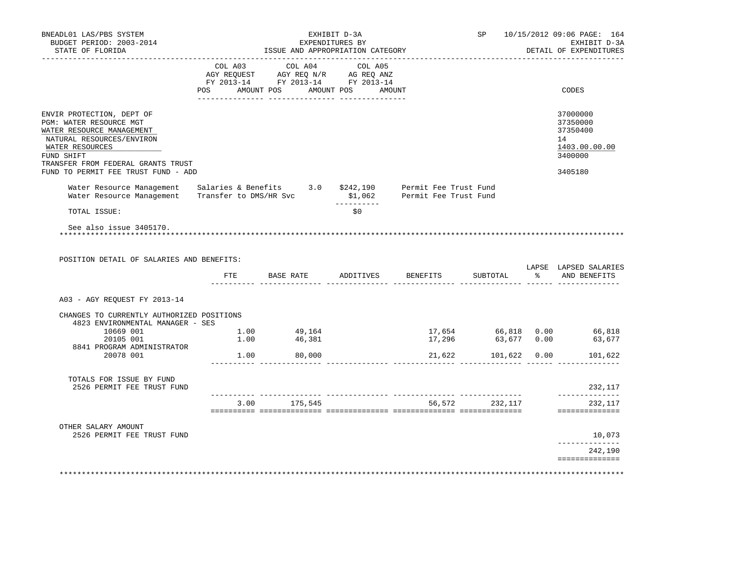| BNEADL01 LAS/PBS SYSTEM<br>BUDGET PERIOD: 2003-2014<br>STATE OF FLORIDA                                                                                                               | EXHIBIT D-3A<br>EXPENDITURES BY<br>ISSUE AND APPROPRIATION CATEGORY |                                                                                                                                                                                                                                                                                                                                                                                                                                                                               |             | SP 10/15/2012 09:06 PAGE: 164<br>EXHIBIT D-3A<br>DETAIL OF EXPENDITURES |                     |  |                                                                    |
|---------------------------------------------------------------------------------------------------------------------------------------------------------------------------------------|---------------------------------------------------------------------|-------------------------------------------------------------------------------------------------------------------------------------------------------------------------------------------------------------------------------------------------------------------------------------------------------------------------------------------------------------------------------------------------------------------------------------------------------------------------------|-------------|-------------------------------------------------------------------------|---------------------|--|--------------------------------------------------------------------|
|                                                                                                                                                                                       |                                                                     | $\begin{tabular}{lllllllllll} &\multicolumn{4}{c }{\text{COL A03}} &\multicolumn{4}{c }{\text{COL A04}} &\multicolumn{4}{c }{\text{COL A05}}\\ \multicolumn{4}{c }{\text{AGY REQUEST}} &\multicolumn{4}{c }{\text{AGY REQ N/R}} &\multicolumn{4}{c }{\text{AG REQ ANZ}}\\ \multicolumn{4}{c }{\text{FGY A03--14}} &\multicolumn{4}{c }{\text{FGY A013--14}} &\multicolumn{4}{c }{\text{FC Y A013--14}}\\ \multicolumn{4}{c }{\text{FY A0$<br>POS AMOUNT POS AMOUNT POS AMOUNT |             |                                                                         |                     |  | CODES                                                              |
|                                                                                                                                                                                       |                                                                     |                                                                                                                                                                                                                                                                                                                                                                                                                                                                               |             |                                                                         |                     |  |                                                                    |
| ENVIR PROTECTION, DEPT OF<br>PGM: WATER RESOURCE MGT<br>WATER RESOURCE MANAGEMENT<br>NATURAL RESOURCES/ENVIRON<br>WATER RESOURCES<br>FUND SHIFT<br>TRANSFER FROM FEDERAL GRANTS TRUST |                                                                     |                                                                                                                                                                                                                                                                                                                                                                                                                                                                               |             |                                                                         |                     |  | 37000000<br>37350000<br>37350400<br>14<br>1403.00.00.00<br>3400000 |
| FUND TO PERMIT FEE TRUST FUND - ADD                                                                                                                                                   |                                                                     |                                                                                                                                                                                                                                                                                                                                                                                                                                                                               |             |                                                                         |                     |  | 3405180                                                            |
| Water Resource Management Salaries & Benefits 3.0 \$242,190 Permit Fee Trust Fund<br>Water Resource Management Transfer to DMS/HR Svc \$1,062                                         |                                                                     |                                                                                                                                                                                                                                                                                                                                                                                                                                                                               | ----------- | Permit Fee Trust Fund                                                   |                     |  |                                                                    |
| TOTAL ISSUE:                                                                                                                                                                          |                                                                     |                                                                                                                                                                                                                                                                                                                                                                                                                                                                               | \$0         |                                                                         |                     |  |                                                                    |
| POSITION DETAIL OF SALARIES AND BENEFITS:                                                                                                                                             |                                                                     | FTE BASE RATE ADDITIVES BENEFITS SUBTOTAL % AND BENEFITS                                                                                                                                                                                                                                                                                                                                                                                                                      |             |                                                                         |                     |  | LAPSE LAPSED SALARIES                                              |
| A03 - AGY REQUEST FY 2013-14                                                                                                                                                          |                                                                     |                                                                                                                                                                                                                                                                                                                                                                                                                                                                               |             |                                                                         |                     |  |                                                                    |
| CHANGES TO CURRENTLY AUTHORIZED POSITIONS<br>4823 ENVIRONMENTAL MANAGER - SES                                                                                                         |                                                                     |                                                                                                                                                                                                                                                                                                                                                                                                                                                                               |             |                                                                         |                     |  |                                                                    |
| $10669$ 001<br>$20105$ 001<br>$1.00$ 46.381                                                                                                                                           |                                                                     |                                                                                                                                                                                                                                                                                                                                                                                                                                                                               |             | 17,296                                                                  | 63,677 0.00         |  | 17,654 66,818 0.00 66,818                                          |
| 8841 PROGRAM ADMINISTRATOR                                                                                                                                                            |                                                                     |                                                                                                                                                                                                                                                                                                                                                                                                                                                                               |             |                                                                         |                     |  | 63,677                                                             |
| 20078 001                                                                                                                                                                             |                                                                     | $1.00$ 80,000                                                                                                                                                                                                                                                                                                                                                                                                                                                                 |             |                                                                         | 21,622 101,622 0.00 |  | 101,622                                                            |
| TOTALS FOR ISSUE BY FUND<br>2526 PERMIT FEE TRUST FUND                                                                                                                                |                                                                     |                                                                                                                                                                                                                                                                                                                                                                                                                                                                               |             |                                                                         |                     |  | 232,117                                                            |
|                                                                                                                                                                                       |                                                                     | 3.00 175,545                                                                                                                                                                                                                                                                                                                                                                                                                                                                  |             |                                                                         | 56,572 232,117      |  | ______________<br>232,117                                          |
|                                                                                                                                                                                       |                                                                     |                                                                                                                                                                                                                                                                                                                                                                                                                                                                               |             |                                                                         |                     |  | ==============                                                     |
| OTHER SALARY AMOUNT<br>2526 PERMIT FEE TRUST FUND                                                                                                                                     |                                                                     |                                                                                                                                                                                                                                                                                                                                                                                                                                                                               |             |                                                                         |                     |  | 10,073                                                             |
|                                                                                                                                                                                       |                                                                     |                                                                                                                                                                                                                                                                                                                                                                                                                                                                               |             |                                                                         |                     |  | _______________<br>242,190<br>==============                       |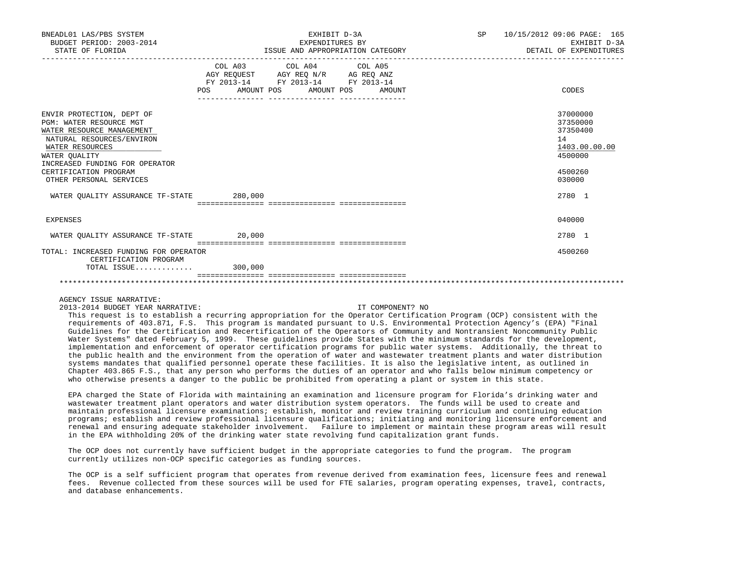| BNEADL01 LAS/PBS SYSTEM<br>BUDGET PERIOD: 2003-2014<br>STATE OF FLORIDA                                                                                                                                                                  |                   | EXHIBIT D-3A<br>EXPENDITURES BY                             | ISSUE AND APPROPRIATION CATEGORY | SP 10/15/2012 09:06 PAGE: 165<br>EXHIBIT D-3A<br>DETAIL OF EXPENDITURES                 |
|------------------------------------------------------------------------------------------------------------------------------------------------------------------------------------------------------------------------------------------|-------------------|-------------------------------------------------------------|----------------------------------|-----------------------------------------------------------------------------------------|
|                                                                                                                                                                                                                                          | AMOUNT POS<br>POS | COL A03 COL A04 COL A05<br>FY 2013-14 FY 2013-14 FY 2013-14 | AMOUNT POS<br>AMOUNT             | CODES                                                                                   |
| ENVIR PROTECTION, DEPT OF<br>PGM: WATER RESOURCE MGT<br>WATER RESOURCE MANAGEMENT<br>NATURAL RESOURCES/ENVIRON<br>WATER RESOURCES<br>WATER OUALITY<br>INCREASED FUNDING FOR OPERATOR<br>CERTIFICATION PROGRAM<br>OTHER PERSONAL SERVICES |                   |                                                             |                                  | 37000000<br>37350000<br>37350400<br>14<br>1403.00.00.00<br>4500000<br>4500260<br>030000 |
| WATER OUALITY ASSURANCE TF-STATE 280,000                                                                                                                                                                                                 |                   |                                                             |                                  | 2780 1                                                                                  |
| EXPENSES                                                                                                                                                                                                                                 |                   |                                                             |                                  | 040000                                                                                  |
| WATER QUALITY ASSURANCE TF-STATE 20,000                                                                                                                                                                                                  |                   |                                                             |                                  | 2780 1                                                                                  |
| TOTAL: INCREASED FUNDING FOR OPERATOR<br>CERTIFICATION PROGRAM<br>TOTAL ISSUE                                                                                                                                                            | 300,000           |                                                             |                                  | 4500260                                                                                 |
|                                                                                                                                                                                                                                          |                   |                                                             |                                  |                                                                                         |

2013-2014 BUDGET YEAR NARRATIVE: IT COMPONENT? NO

 This request is to establish a recurring appropriation for the Operator Certification Program (OCP) consistent with the requirements of 403.871, F.S. This program is mandated pursuant to U.S. Environmental Protection Agency's (EPA) "Final Guidelines for the Certification and Recertification of the Operators of Community and Nontransient Noncommunity Public Water Systems" dated February 5, 1999. These quidelines provide States with the minimum standards for the development, implementation and enforcement of operator certification programs for public water systems. Additionally, the threat to the public health and the environment from the operation of water and wastewater treatment plants and water distribution systems mandates that qualified personnel operate these facilities. It is also the legislative intent, as outlined in Chapter 403.865 F.S., that any person who performs the duties of an operator and who falls below minimum competency or who otherwise presents a danger to the public be prohibited from operating a plant or system in this state.

 EPA charged the State of Florida with maintaining an examination and licensure program for Florida's drinking water and wastewater treatment plant operators and water distribution system operators. The funds will be used to create and maintain professional licensure examinations; establish, monitor and review training curriculum and continuing education programs; establish and review professional licensure qualifications; initiating and monitoring licensure enforcement and renewal and ensuring adequate stakeholder involvement. Failure to implement or maintain these program areas will result in the EPA withholding 20% of the drinking water state revolving fund capitalization grant funds.

 The OCP does not currently have sufficient budget in the appropriate categories to fund the program. The program currently utilizes non-OCP specific categories as funding sources.

 The OCP is a self sufficient program that operates from revenue derived from examination fees, licensure fees and renewal fees. Revenue collected from these sources will be used for FTE salaries, program operating expenses, travel, contracts, and database enhancements.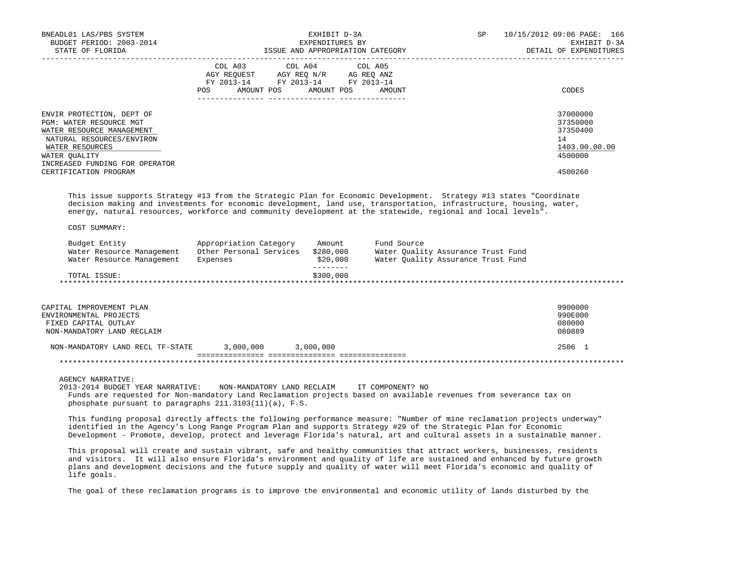| BNEADL01 LAS/PBS SYSTEM<br>BUDGET PERIOD: 2003-2014<br>STATE OF FLORIDA                                                                                                                                                                                                                                                                                                                                                                                                                    |                                                                                                            | EXHIBIT D-3A<br>EXPENDITURES BY | ISSUE AND APPROPRIATION CATEGORY                                                        | SP | 10/15/2012 09:06 PAGE: 166<br>EXHIBIT D-3A<br>DETAIL OF EXPENDITURES          |
|--------------------------------------------------------------------------------------------------------------------------------------------------------------------------------------------------------------------------------------------------------------------------------------------------------------------------------------------------------------------------------------------------------------------------------------------------------------------------------------------|------------------------------------------------------------------------------------------------------------|---------------------------------|-----------------------------------------------------------------------------------------|----|-------------------------------------------------------------------------------|
|                                                                                                                                                                                                                                                                                                                                                                                                                                                                                            | AGY REQUEST AGY REQ N/R AG REQ ANZ<br>FY 2013-14 FY 2013-14 FY 2013-14<br>POS AMOUNT POS AMOUNT POS AMOUNT | COL A03 COL A04 COL A05         |                                                                                         |    | CODES                                                                         |
| ENVIR PROTECTION, DEPT OF<br>PGM: WATER RESOURCE MGT<br>WATER RESOURCE MANAGEMENT<br>NATURAL RESOURCES/ENVIRON<br>WATER RESOURCES<br>WATER OUALITY<br>INCREASED FUNDING FOR OPERATOR<br>CERTIFICATION PROGRAM                                                                                                                                                                                                                                                                              |                                                                                                            |                                 |                                                                                         |    | 37000000<br>37350000<br>37350400<br>14<br>1403.00.00.00<br>4500000<br>4500260 |
| This issue supports Strategy #13 from the Strategic Plan for Economic Development. Strategy #13 states "Coordinate<br>decision making and investments for economic development, land use, transportation, infrastructure, housing, water,<br>energy, natural resources, workforce and community development at the statewide, regional and local levels".                                                                                                                                  |                                                                                                            |                                 |                                                                                         |    |                                                                               |
| COST SUMMARY:                                                                                                                                                                                                                                                                                                                                                                                                                                                                              |                                                                                                            |                                 |                                                                                         |    |                                                                               |
| Budget Entity<br>Water Resource Management                                                                                                                                                                                                                                                                                                                                                                                                                                                 | Appropriation Category<br>Expenses                                                                         | Amount<br>\$20,000              | Fund Source<br>Water Quality Assurance Trust Fund<br>Water Quality Assurance Trust Fund |    |                                                                               |
| TOTAL ISSUE:                                                                                                                                                                                                                                                                                                                                                                                                                                                                               |                                                                                                            | \$300,000                       |                                                                                         |    |                                                                               |
| CAPITAL IMPROVEMENT PLAN<br>ENVIRONMENTAL PROJECTS<br>FIXED CAPITAL OUTLAY<br>NON-MANDATORY LAND RECLAIM                                                                                                                                                                                                                                                                                                                                                                                   |                                                                                                            |                                 |                                                                                         |    | 9900000<br>990E000<br>080000<br>080889                                        |
| NON-MANDATORY LAND RECL TF-STATE                                                                                                                                                                                                                                                                                                                                                                                                                                                           | 3,000,000 3,000,000                                                                                        |                                 |                                                                                         |    | 2506 1                                                                        |
|                                                                                                                                                                                                                                                                                                                                                                                                                                                                                            |                                                                                                            |                                 |                                                                                         |    |                                                                               |
| <b>AGENCY NARRATIVE:</b><br>2013-2014 BUDGET YEAR NARRATIVE:<br>Funds are requested for Non-mandatory Land Reclamation projects based on available revenues from severance tax on<br>phosphate pursuant to paragraphs 211.3103(11)(a), F.S.<br>This funding proposal directly affects the following performance measure: "Number of mine reclamation projects underway"<br>identified in the Agency's Long Range Program Plan and supports Strategy #29 of the Strategic Plan for Economic | NON-MANDATORY LAND RECLAIM                                                                                 |                                 | IT COMPONENT? NO                                                                        |    |                                                                               |
| Development - Promote, develop, protect and leverage Florida's natural, art and cultural assets in a sustainable manner.                                                                                                                                                                                                                                                                                                                                                                   |                                                                                                            |                                 |                                                                                         |    |                                                                               |
| This proposal will create and sustain vibrant, safe and healthy communities that attract workers, businesses, residents<br>and visitors. It will also ensure Florida's environment and quality of life are sustained and enhanced by future growth<br>plans and development decisions and the future supply and quality of water will meet Florida's economic and quality of                                                                                                               |                                                                                                            |                                 |                                                                                         |    |                                                                               |

The goal of these reclamation programs is to improve the environmental and economic utility of lands disturbed by the

life goals.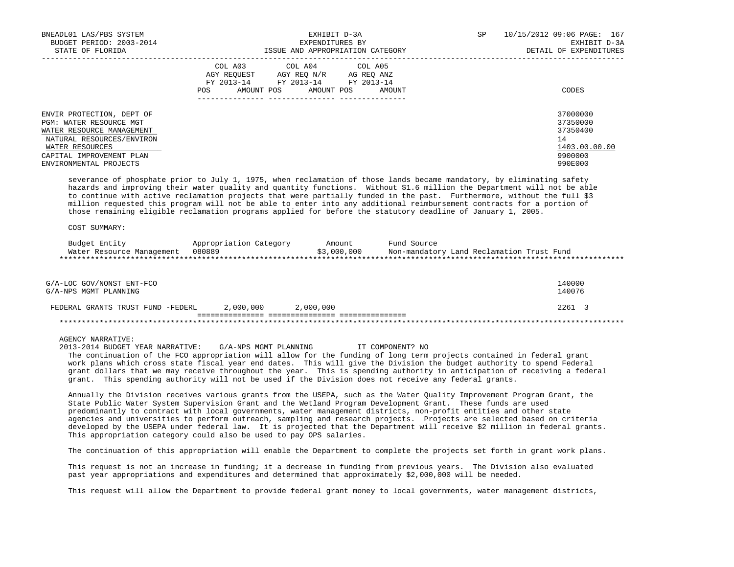| BNEADL01 LAS/PBS SYSTEM<br>BUDGET PERIOD: 2003-2014<br>STATE OF FLORIDA                                                                                       | EXHIBIT D-3A<br>EXPENDITURES BY<br>ISSUE AND APPROPRIATION CATEGORY                                                                                     | 10/15/2012 09:06 PAGE: 167<br>SP<br>EXHIBIT D-3A<br>DETAIL OF EXPENDITURES |
|---------------------------------------------------------------------------------------------------------------------------------------------------------------|---------------------------------------------------------------------------------------------------------------------------------------------------------|----------------------------------------------------------------------------|
|                                                                                                                                                               | COL A03 COL A04 COL A05<br>AGY REOUEST<br>AGY REO N/R<br>AG REO ANZ<br>FY 2013-14<br>FY 2013-14 FY 2013-14<br>AMOUNT POS<br>AMOUNT POS<br>POS<br>AMOUNT | CODES                                                                      |
| ENVIR PROTECTION, DEPT OF<br>PGM: WATER RESOURCE MGT<br>WATER RESOURCE MANAGEMENT<br>NATURAL RESOURCES/ENVIRON<br>WATER RESOURCES<br>CAPITAL IMPROVEMENT PLAN |                                                                                                                                                         | 37000000<br>37350000<br>37350400<br>14<br>1403.00.00.00<br>9900000         |
| ENVIRONMENTAL PROJECTS                                                                                                                                        |                                                                                                                                                         | 990E000                                                                    |

 severance of phosphate prior to July 1, 1975, when reclamation of those lands became mandatory, by eliminating safety hazards and improving their water quality and quantity functions. Without \$1.6 million the Department will not be able to continue with active reclamation projects that were partially funded in the past. Furthermore, without the full \$3 million requested this program will not be able to enter into any additional reimbursement contracts for a portion of those remaining eligible reclamation programs applied for before the statutory deadline of January 1, 2005.

COST SUMMARY:

| Budget Entity             | Appropriation Category | Amount      | Fund Source                               |
|---------------------------|------------------------|-------------|-------------------------------------------|
| Water Resource Management | 080889                 | \$3,000,000 | Non-mandatory Land Reclamation Trust Fund |
|                           |                        |             |                                           |

| G/A-LOC GOV/NONST ENT-FCO<br>G/A-NPS MGMT PLANNING |           |           | 140000<br>140076 |
|----------------------------------------------------|-----------|-----------|------------------|
| FEDERAL GRANTS TRUST FUND -FEDERL                  | 2,000,000 | 2,000,000 | 2261 3           |
|                                                    |           |           |                  |

### AGENCY NARRATIVE:

 2013-2014 BUDGET YEAR NARRATIVE: G/A-NPS MGMT PLANNING IT COMPONENT? NO The continuation of the FCO appropriation will allow for the funding of long term projects contained in federal grant work plans which cross state fiscal year end dates. This will give the Division the budget authority to spend Federal grant dollars that we may receive throughout the year. This is spending authority in anticipation of receiving a federal grant. This spending authority will not be used if the Division does not receive any federal grants.

 Annually the Division receives various grants from the USEPA, such as the Water Quality Improvement Program Grant, the State Public Water System Supervision Grant and the Wetland Program Development Grant. These funds are used predominantly to contract with local governments, water management districts, non-profit entities and other state agencies and universities to perform outreach, sampling and research projects. Projects are selected based on criteria developed by the USEPA under federal law. It is projected that the Department will receive \$2 million in federal grants. This appropriation category could also be used to pay OPS salaries.

The continuation of this appropriation will enable the Department to complete the projects set forth in grant work plans.

 This request is not an increase in funding; it a decrease in funding from previous years. The Division also evaluated past year appropriations and expenditures and determined that approximately \$2,000,000 will be needed.

This request will allow the Department to provide federal grant money to local governments, water management districts,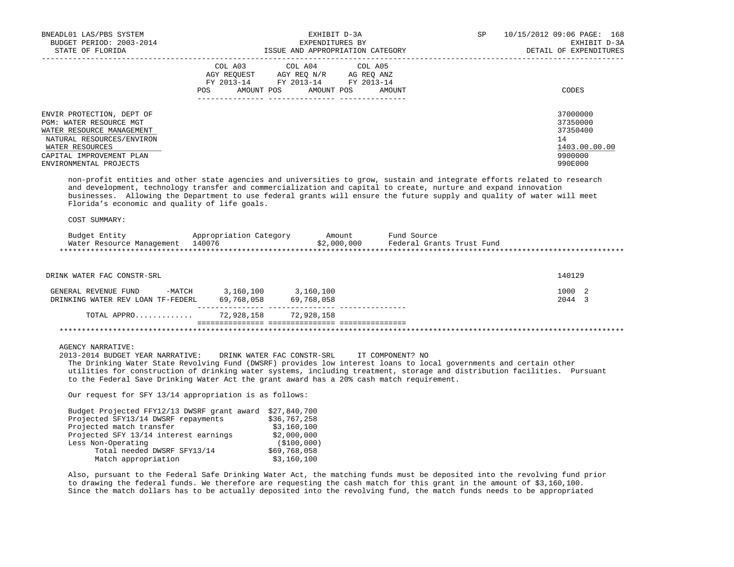| BNEADL01 LAS/PBS SYSTEM<br>BUDGET PERIOD: 2003-2014<br>STATE OF FLORIDA                                                                                                                                                                                                                                                                                                                                                |                | EXHIBIT D-3A<br>EXPENDITURES BY                                                                            |                                                                                                | SP | 10/15/2012 09:06 PAGE: 168<br>EXHIBIT D-3A<br>DETAIL OF EXPENDITURES          |
|------------------------------------------------------------------------------------------------------------------------------------------------------------------------------------------------------------------------------------------------------------------------------------------------------------------------------------------------------------------------------------------------------------------------|----------------|------------------------------------------------------------------------------------------------------------|------------------------------------------------------------------------------------------------|----|-------------------------------------------------------------------------------|
|                                                                                                                                                                                                                                                                                                                                                                                                                        | COL A03<br>POS | COL A04<br>AGY REQUEST AGY REQ N/R AG REQ ANZ<br>FY 2013-14 FY 2013-14 FY 2013-14<br>AMOUNT POS AMOUNT POS | COL A05<br>AMOUNT                                                                              |    | CODES                                                                         |
| ENVIR PROTECTION, DEPT OF<br>PGM: WATER RESOURCE MGT<br>WATER RESOURCE MANAGEMENT<br>NATURAL RESOURCES/ENVIRON<br>WATER RESOURCES<br>CAPITAL IMPROVEMENT PLAN<br>ENVIRONMENTAL PROJECTS                                                                                                                                                                                                                                |                |                                                                                                            |                                                                                                |    | 37000000<br>37350000<br>37350400<br>14<br>1403.00.00.00<br>9900000<br>990E000 |
| non-profit entities and other state agencies and universities to grow, sustain and integrate efforts related to research<br>and development, technology transfer and commercialization and capital to create, nurture and expand innovation<br>businesses. Allowing the Department to use federal grants will ensure the future supply and quality of water will meet<br>Florida's economic and quality of life goals. |                |                                                                                                            |                                                                                                |    |                                                                               |
| COST SUMMARY:                                                                                                                                                                                                                                                                                                                                                                                                          |                |                                                                                                            |                                                                                                |    |                                                                               |
| Budget Entity<br>Water Resource Management 140076                                                                                                                                                                                                                                                                                                                                                                      |                |                                                                                                            | Appropriation Category amount Fund Source<br>140076 19076 52,000,000 Federal Grants Trust Fund |    |                                                                               |
| DRINK WATER FAC CONSTR-SRL                                                                                                                                                                                                                                                                                                                                                                                             |                |                                                                                                            |                                                                                                |    | 140129                                                                        |
| GENERAL REVENUE FUND -MATCH 3,160,100 3,160,100<br>DRINKING WATER REV LOAN TF-FEDERL 69,768,058 69,768,058                                                                                                                                                                                                                                                                                                             |                |                                                                                                            |                                                                                                |    | 1000 2<br>2044 3                                                              |
| TOTAL APPRO 72,928,158 72,928,158                                                                                                                                                                                                                                                                                                                                                                                      |                |                                                                                                            |                                                                                                |    |                                                                               |
|                                                                                                                                                                                                                                                                                                                                                                                                                        |                |                                                                                                            |                                                                                                |    |                                                                               |
| <b>AGENCY NARRATIVE:</b><br>2013-2014 BUDGET YEAR NARRATIVE:<br>The Drinking Water State Revolving Fund (DWSRF) provides low interest loans to local governments and certain other<br>utilities for construction of drinking water systems, including treatment, storage and distribution facilities. Pursuant<br>to the Federal Save Drinking Water Act the grant award has a 20% cash match requirement.             |                | DRINK WATER FAC CONSTR-SRL                                                                                 | IT COMPONENT? NO                                                                               |    |                                                                               |
| Our request for SFY 13/14 appropriation is as follows:                                                                                                                                                                                                                                                                                                                                                                 |                |                                                                                                            |                                                                                                |    |                                                                               |
| Budget Projected FFY12/13 DWSRF grant award \$27,840,700<br>Projected SFY13/14 DWSRF repayments<br>Projected match transfer<br>Projected SFY 13/14 interest earnings<br>Less Non-Operating<br>Total needed DWSRF SFY13/14<br>Match appropriation                                                                                                                                                                       |                | \$36,767,258<br>\$3,160,100<br>\$2,000,000<br>(\$100,000)<br>\$69,768,058<br>\$3,160,100                   |                                                                                                |    |                                                                               |

 Also, pursuant to the Federal Safe Drinking Water Act, the matching funds must be deposited into the revolving fund prior to drawing the federal funds. We therefore are requesting the cash match for this grant in the amount of \$3,160,100. Since the match dollars has to be actually deposited into the revolving fund, the match funds needs to be appropriated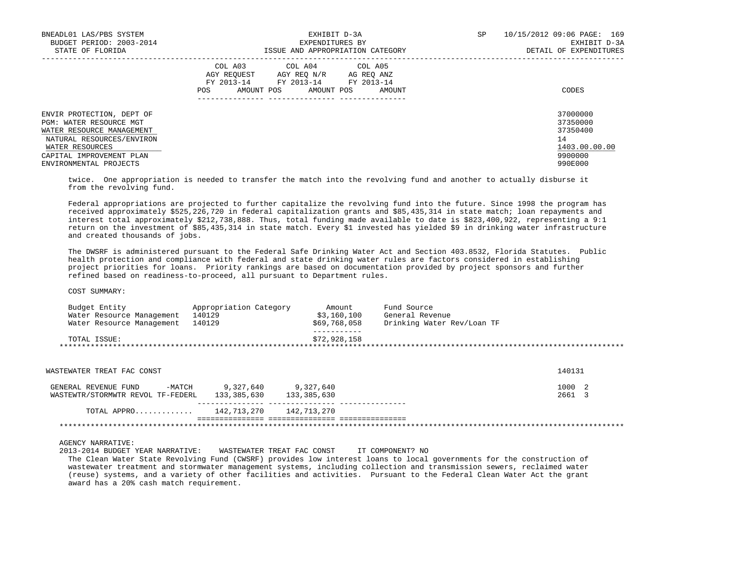| BNEADL01 LAS/PBS SYSTEM<br>BUDGET PERIOD: 2003-2014                                                                               | EXHIBIT D-3A<br>EXPENDITURES BY                                                                                                                      | 10/15/2012 09:06 PAGE: 169<br>SP<br>EXHIBIT D-3A        |  |  |
|-----------------------------------------------------------------------------------------------------------------------------------|------------------------------------------------------------------------------------------------------------------------------------------------------|---------------------------------------------------------|--|--|
| STATE OF FLORIDA                                                                                                                  | ISSUE AND APPROPRIATION CATEGORY                                                                                                                     | DETAIL OF EXPENDITURES                                  |  |  |
|                                                                                                                                   | COL A03 COL A04 COL A05<br>AGY REOUEST<br>AGY REO N/R<br>AG REO ANZ<br>FY 2013-14 FY 2013-14 FY 2013-14<br>AMOUNT POS<br>POS<br>AMOUNT POS<br>AMOUNT | CODES                                                   |  |  |
| ENVIR PROTECTION, DEPT OF<br>PGM: WATER RESOURCE MGT<br>WATER RESOURCE MANAGEMENT<br>NATURAL RESOURCES/ENVIRON<br>WATER RESOURCES |                                                                                                                                                      | 37000000<br>37350000<br>37350400<br>14<br>1403.00.00.00 |  |  |
| CAPITAL IMPROVEMENT PLAN<br>ENVIRONMENTAL PROJECTS                                                                                |                                                                                                                                                      | 9900000<br>990E000                                      |  |  |

 twice. One appropriation is needed to transfer the match into the revolving fund and another to actually disburse it from the revolving fund.

 Federal appropriations are projected to further capitalize the revolving fund into the future. Since 1998 the program has received approximately \$525,226,720 in federal capitalization grants and \$85,435,314 in state match; loan repayments and interest total approximately \$212,738,888. Thus, total funding made available to date is \$823,400,922, representing a 9:1 return on the investment of \$85,435,314 in state match. Every \$1 invested has yielded \$9 in drinking water infrastructure and created thousands of jobs.

 The DWSRF is administered pursuant to the Federal Safe Drinking Water Act and Section 403.8532, Florida Statutes. Public health protection and compliance with federal and state drinking water rules are factors considered in establishing project priorities for loans. Priority rankings are based on documentation provided by project sponsors and further refined based on readiness-to-proceed, all pursuant to Department rules.

COST SUMMARY:

| Budget Entity<br>Water Resource Management<br>Water Resource Management | Appropriation Category<br>140129<br>140129 | Amount<br>\$3,160,100<br>\$69,768,058 | Fund Source<br>General Revenue<br>Drinking Water Rev/Loan TF |                  |
|-------------------------------------------------------------------------|--------------------------------------------|---------------------------------------|--------------------------------------------------------------|------------------|
| TOTAL ISSUE:                                                            |                                            | \$72,928,158                          |                                                              |                  |
| WASTEWATER TREAT FAC CONST                                              |                                            |                                       |                                                              | 140131           |
| -MATCH<br>GENERAL REVENUE FUND<br>WASTEWTR/STORMWTR REVOL TF-FEDERL     | 9,327,640<br>133,385,630                   | 9,327,640<br>133,385,630              |                                                              | 1000 2<br>2661 3 |
| TOTAL APPRO                                                             | 142,713,270                                | 142,713,270                           |                                                              |                  |
|                                                                         |                                            |                                       |                                                              |                  |

AGENCY NARRATIVE:

2013-2014 BUDGET YEAR NARRATIVE: WASTEWATER TREAT FAC CONST IT COMPONENT? NO

 The Clean Water State Revolving Fund (CWSRF) provides low interest loans to local governments for the construction of wastewater treatment and stormwater management systems, including collection and transmission sewers, reclaimed water (reuse) systems, and a variety of other facilities and activities. Pursuant to the Federal Clean Water Act the grant award has a 20% cash match requirement.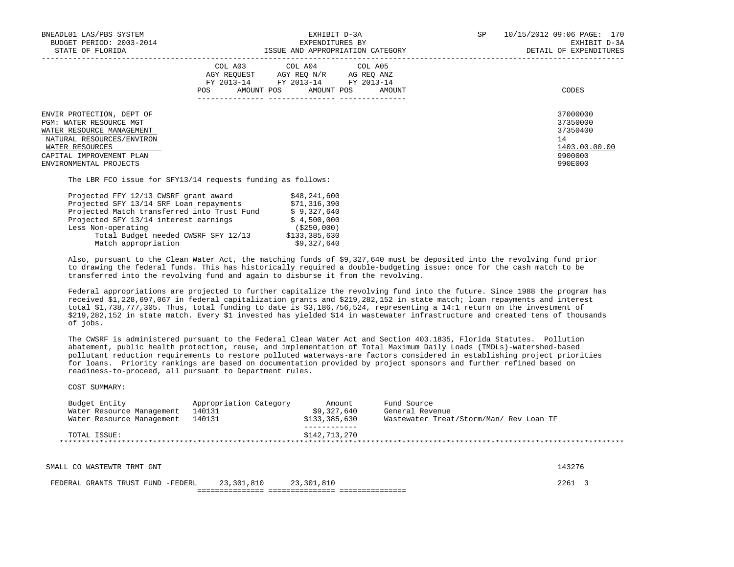| BNEADL01 LAS/PBS SYSTEM<br>BUDGET PERIOD: 2003-2014<br>STATE OF FLORIDA                                                                                                                        | EXHIBIT D-3A<br>EXPENDITURES BY<br>ISSUE AND APPROPRIATION CATEGORY                                                                            | SP<br>10/15/2012 09:06 PAGE: 170<br>EXHIBIT D-3A<br>DETAIL OF EXPENDITURES    |  |
|------------------------------------------------------------------------------------------------------------------------------------------------------------------------------------------------|------------------------------------------------------------------------------------------------------------------------------------------------|-------------------------------------------------------------------------------|--|
|                                                                                                                                                                                                | COL A03 COL A04 COL A05<br>AGY REOUEST AGY REO N/R AG REO ANZ<br>FY 2013-14 FY 2013-14 FY 2013-14<br>AMOUNT POS<br>AMOUNT POS<br>AMOUNT<br>POS | CODES                                                                         |  |
| ENVIR PROTECTION, DEPT OF<br><b>PGM: WATER RESOURCE MGT</b><br>WATER RESOURCE MANAGEMENT<br>NATURAL RESOURCES/ENVIRON<br>WATER RESOURCES<br>CAPITAL IMPROVEMENT PLAN<br>ENVIRONMENTAL PROJECTS |                                                                                                                                                | 37000000<br>37350000<br>37350400<br>14<br>1403.00.00.00<br>9900000<br>990E000 |  |

The LBR FCO issue for SFY13/14 requests funding as follows:

| Projected FFY 12/13 CWSRF grant award       | \$48,241,600  |
|---------------------------------------------|---------------|
| Projected SFY 13/14 SRF Loan repayments     | \$71,316,390  |
| Projected Match transferred into Trust Fund | \$9,327,640   |
| Projected SFY 13/14 interest earnings       | \$4.500.000   |
| Less Non-operating                          | ( \$250,000)  |
| Total Budget needed CWSRF SFY 12/13         | \$133,385,630 |
| Match appropriation                         | \$9,327,640   |

COST SUMMARY:

 Also, pursuant to the Clean Water Act, the matching funds of \$9,327,640 must be deposited into the revolving fund prior to drawing the federal funds. This has historically required a double-budgeting issue: once for the cash match to be transferred into the revolving fund and again to disburse it from the revolving.

 Federal appropriations are projected to further capitalize the revolving fund into the future. Since 1988 the program has received \$1,228,697,067 in federal capitalization grants and \$219,282,152 in state match; loan repayments and interest total \$1,738,777,305. Thus, total funding to date is \$3,186,756,524, representing a 14:1 return on the investment of \$219,282,152 in state match. Every \$1 invested has yielded \$14 in wastewater infrastructure and created tens of thousands of jobs.

 The CWSRF is administered pursuant to the Federal Clean Water Act and Section 403.1835, Florida Statutes. Pollution abatement, public health protection, reuse, and implementation of Total Maximum Daily Loads (TMDLs)-watershed-based pollutant reduction requirements to restore polluted waterways-are factors considered in establishing project priorities for loans. Priority rankings are based on documentation provided by project sponsors and further refined based on readiness-to-proceed, all pursuant to Department rules.

| Budget Entity<br>Water Resource Management<br>Water Resource Management | Appropriation Category<br>140131<br>140131 | Amount<br>\$9,327,640<br>\$133,385,630 | Fund Source<br>General Revenue<br>Wastewater Treat/Storm/Man/ Rev Loan TF |        |
|-------------------------------------------------------------------------|--------------------------------------------|----------------------------------------|---------------------------------------------------------------------------|--------|
| TOTAL ISSUE:                                                            |                                            | \$142,713,270                          |                                                                           |        |
| SMALL CO WASTEWTR TRMT GNT                                              |                                            |                                        |                                                                           | 143276 |
| -FEDERL<br>FEDERAL GRANTS TRUST FUND                                    | 23,301,810                                 | 23,301,810                             |                                                                           | 2261   |

=============== =============== ===============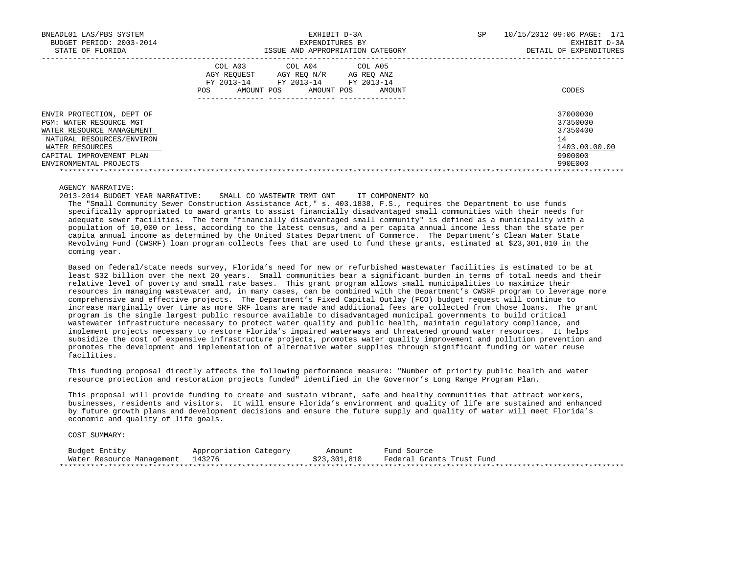| BNEADL01 LAS/PBS SYSTEM<br>BUDGET PERIOD: 2003-2014<br>STATE OF FLORIDA                                                                                                                 | EXHIBIT D-3A<br>EXPENDITURES BY<br>ISSUE AND APPROPRIATION CATEGORY                                                                                     | SP<br>10/15/2012 09:06 PAGE: 171<br>EXHIBIT D-3A<br>DETAIL OF EXPENDITURES    |
|-----------------------------------------------------------------------------------------------------------------------------------------------------------------------------------------|---------------------------------------------------------------------------------------------------------------------------------------------------------|-------------------------------------------------------------------------------|
|                                                                                                                                                                                         | COL A03<br>COL A04 COL A05<br>AGY REOUEST AGY REO N/R<br>AG REO ANZ<br>FY 2013-14<br>FY 2013-14 FY 2013-14<br>AMOUNT POS<br>POS<br>AMOUNT POS<br>AMOUNT | CODES                                                                         |
| ENVIR PROTECTION, DEPT OF<br>PGM: WATER RESOURCE MGT<br>WATER RESOURCE MANAGEMENT<br>NATURAL RESOURCES/ENVIRON<br>WATER RESOURCES<br>CAPITAL IMPROVEMENT PLAN<br>ENVIRONMENTAL PROJECTS |                                                                                                                                                         | 37000000<br>37350000<br>37350400<br>14<br>1403.00.00.00<br>9900000<br>990E000 |

# AGENCY NARRATIVE:

2013-2014 BUDGET YEAR NARRATIVE: SMALL CO WASTEWTR TRMT GNT IT COMPONENT? NO

 The "Small Community Sewer Construction Assistance Act," s. 403.1838, F.S., requires the Department to use funds specifically appropriated to award grants to assist financially disadvantaged small communities with their needs for adequate sewer facilities. The term "financially disadvantaged small community" is defined as a municipality with a population of 10,000 or less, according to the latest census, and a per capita annual income less than the state per capita annual income as determined by the United States Department of Commerce. The Department's Clean Water State Revolving Fund (CWSRF) loan program collects fees that are used to fund these grants, estimated at \$23,301,810 in the coming year.

 Based on federal/state needs survey, Florida's need for new or refurbished wastewater facilities is estimated to be at least \$32 billion over the next 20 years. Small communities bear a significant burden in terms of total needs and their relative level of poverty and small rate bases. This grant program allows small municipalities to maximize their resources in managing wastewater and, in many cases, can be combined with the Department's CWSRF program to leverage more comprehensive and effective projects. The Department's Fixed Capital Outlay (FCO) budget request will continue to increase marginally over time as more SRF loans are made and additional fees are collected from those loans. The grant program is the single largest public resource available to disadvantaged municipal governments to build critical wastewater infrastructure necessary to protect water quality and public health, maintain regulatory compliance, and implement projects necessary to restore Florida's impaired waterways and threatened ground water resources. It helps subsidize the cost of expensive infrastructure projects, promotes water quality improvement and pollution prevention and promotes the development and implementation of alternative water supplies through significant funding or water reuse facilities.

 This funding proposal directly affects the following performance measure: "Number of priority public health and water resource protection and restoration projects funded" identified in the Governor's Long Range Program Plan.

 This proposal will provide funding to create and sustain vibrant, safe and healthy communities that attract workers, businesses, residents and visitors. It will ensure Florida's environment and quality of life are sustained and enhanced by future growth plans and development decisions and ensure the future supply and quality of water will meet Florida's economic and quality of life goals.

| Budget Entity                    | Appropriation Category | Amount       | Fund Source               |
|----------------------------------|------------------------|--------------|---------------------------|
| Water Resource Management 143276 |                        | \$23,301,810 | Federal Grants Trust Fund |
|                                  |                        |              |                           |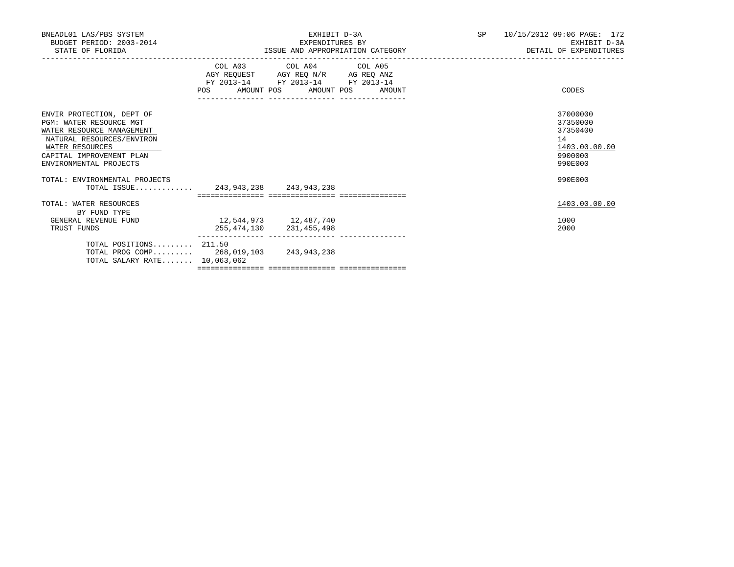| BNEADL01 LAS/PBS SYSTEM<br>BUDGET PERIOD: 2003-2014<br>STATE OF FLORIDA                                                                                                                 |                                  | EXHIBIT D-3A<br>EXPENDITURES BY<br>ISSUE AND APPROPRIATION CATEGORY                               |  | SP 10/15/2012 09:06 PAGE: 172<br>EXHIBIT D-3A<br>DETAIL OF EXPENDITURES       |
|-----------------------------------------------------------------------------------------------------------------------------------------------------------------------------------------|----------------------------------|---------------------------------------------------------------------------------------------------|--|-------------------------------------------------------------------------------|
|                                                                                                                                                                                         | POS AMOUNT POS AMOUNT POS AMOUNT | COL A03 COL A04 COL A05<br>AGY REQUEST AGY REQ N/R AG REQ ANZ<br>FY 2013-14 FY 2013-14 FY 2013-14 |  | CODES                                                                         |
| ENVIR PROTECTION, DEPT OF<br>PGM: WATER RESOURCE MGT<br>WATER RESOURCE MANAGEMENT<br>NATURAL RESOURCES/ENVIRON<br>WATER RESOURCES<br>CAPITAL IMPROVEMENT PLAN<br>ENVIRONMENTAL PROJECTS |                                  |                                                                                                   |  | 37000000<br>37350000<br>37350400<br>14<br>1403.00.00.00<br>9900000<br>990E000 |
| TOTAL: ENVIRONMENTAL PROJECTS<br>TOTAL ISSUE 243,943,238 243,943,238                                                                                                                    |                                  |                                                                                                   |  | 990E000                                                                       |
| TOTAL: WATER RESOURCES                                                                                                                                                                  |                                  |                                                                                                   |  | 1403.00.00.00                                                                 |
| BY FUND TYPE<br>GENERAL REVENUE FUND<br>TRUST FUNDS                                                                                                                                     | 12,544,973    12,487,740         | 255, 474, 130 231, 455, 498                                                                       |  | 1000<br>2000                                                                  |
| TOTAL POSITIONS $211.50$<br>TOTAL PROG COMP 268, 019, 103 243, 943, 238<br>TOTAL SALARY RATE 10,063,062                                                                                 |                                  |                                                                                                   |  |                                                                               |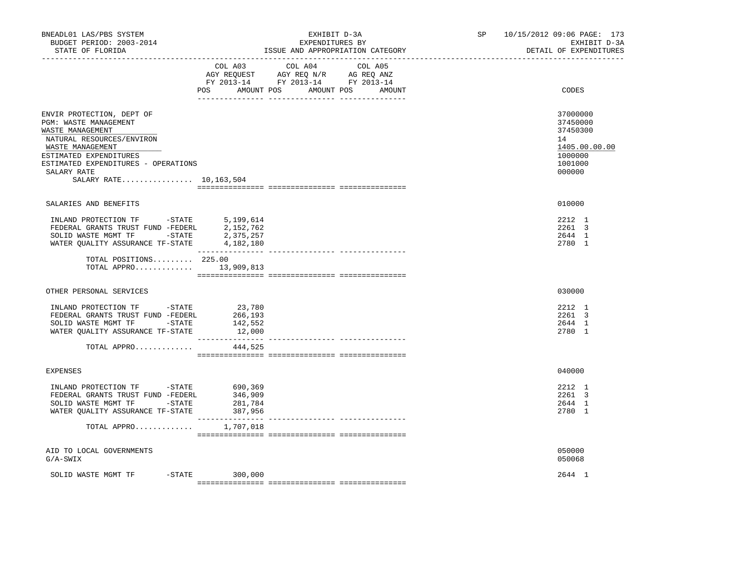| BNEADL01 LAS/PBS SYSTEM<br>BUDGET PERIOD: 2003-2014<br>STATE OF FLORIDA<br>-----------------                                                                                                                                      | EXHIBIT D-3A<br>EXPENDITURES BY<br>ISSUE AND APPROPRIATION CATEGORY                                                                      | SP 10/15/2012 09:06 PAGE: 173<br>EXHIBIT D-3A<br>DETAIL OF EXPENDITURES                 |
|-----------------------------------------------------------------------------------------------------------------------------------------------------------------------------------------------------------------------------------|------------------------------------------------------------------------------------------------------------------------------------------|-----------------------------------------------------------------------------------------|
|                                                                                                                                                                                                                                   | COL A03 COL A04<br>COL A05<br>AGY REQUEST AGY REQ N/R AG REQ ANZ<br>FY 2013-14 FY 2013-14 FY 2013-14<br>POS AMOUNT POS AMOUNT POS AMOUNT | CODES                                                                                   |
|                                                                                                                                                                                                                                   |                                                                                                                                          |                                                                                         |
| ENVIR PROTECTION, DEPT OF<br>PGM: WASTE MANAGEMENT<br>WASTE MANAGEMENT<br>NATURAL RESOURCES/ENVIRON<br>WASTE MANAGEMENT<br>ESTIMATED EXPENDITURES<br>ESTIMATED EXPENDITURES - OPERATIONS<br>SALARY RATE<br>SALARY RATE 10,163,504 |                                                                                                                                          | 37000000<br>37450000<br>37450300<br>14<br>1405.00.00.00<br>1000000<br>1001000<br>000000 |
|                                                                                                                                                                                                                                   |                                                                                                                                          |                                                                                         |
| SALARIES AND BENEFITS                                                                                                                                                                                                             |                                                                                                                                          | 010000                                                                                  |
| INLAND PROTECTION TF -STATE<br>FEDERAL GRANTS TRUST FUND -FEDERL<br>SOLID WASTE MGMT TF -STATE<br>WATER OUALITY ASSURANCE TF-STATE                                                                                                | 5,199,614<br>2,152,762<br>2,375,257<br>4,182,180                                                                                         | 2212 1<br>2261 3<br>2644 1<br>2780 1                                                    |
| TOTAL POSITIONS 225.00<br>TOTAL APPRO 13,909,813                                                                                                                                                                                  |                                                                                                                                          |                                                                                         |
| OTHER PERSONAL SERVICES                                                                                                                                                                                                           |                                                                                                                                          | 030000                                                                                  |
| INLAND PROTECTION TF -STATE<br>FEDERAL GRANTS TRUST FUND -FEDERL<br>SOLID WASTE MGMT TF -STATE<br>WATER QUALITY ASSURANCE TF-STATE                                                                                                | 23,780<br>266,193<br>142,552<br>12,000                                                                                                   | 2212 1<br>2261 3<br>2644 1<br>2780 1                                                    |
| TOTAL APPRO                                                                                                                                                                                                                       | 444,525                                                                                                                                  |                                                                                         |
|                                                                                                                                                                                                                                   |                                                                                                                                          |                                                                                         |
| <b>EXPENSES</b>                                                                                                                                                                                                                   |                                                                                                                                          | 040000                                                                                  |
| INLAND PROTECTION TF -STATE 690,369<br>FEDERAL GRANTS TRUST FUND -FEDERL<br>SOLID WASTE MGMT TF -STATE<br>WATER QUALITY ASSURANCE TF-STATE                                                                                        | 346,909<br>281,784<br>387,956                                                                                                            | 2212 1<br>2261 3<br>2644 1<br>2780 1                                                    |
| TOTAL APPRO $1,707,018$                                                                                                                                                                                                           |                                                                                                                                          |                                                                                         |
| AID TO LOCAL GOVERNMENTS<br>$G/A-SWIX$                                                                                                                                                                                            |                                                                                                                                          | 050000<br>050068                                                                        |
| SOLID WASTE MGMT TF -STATE                                                                                                                                                                                                        | 300,000                                                                                                                                  | 2644 1                                                                                  |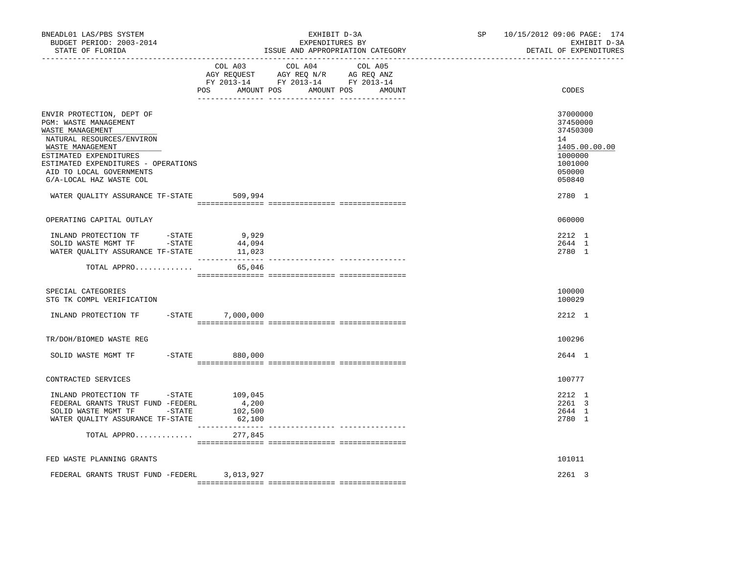| BNEADL01 LAS/PBS SYSTEM<br>BUDGET PERIOD: 2003-2014<br>STATE OF FLORIDA<br>---------------------------------                                                                                                                                                                                |                                       | EXHIBIT D-3A<br>EXPENDITURES BY<br>ISSUE AND APPROPRIATION CATEGORY                                                              | SP | 10/15/2012 09:06 PAGE: 174<br>EXHIBIT D-3A<br>DETAIL OF EXPENDITURES                                        |
|---------------------------------------------------------------------------------------------------------------------------------------------------------------------------------------------------------------------------------------------------------------------------------------------|---------------------------------------|----------------------------------------------------------------------------------------------------------------------------------|----|-------------------------------------------------------------------------------------------------------------|
|                                                                                                                                                                                                                                                                                             | COL A03                               | COL A04<br>COL A05<br>AGY REQUEST AGY REQ N/R AG REQ ANZ<br>FY 2013-14 FY 2013-14 FY 2013-14<br>POS AMOUNT POS AMOUNT POS AMOUNT |    | CODES                                                                                                       |
| ENVIR PROTECTION, DEPT OF<br>PGM: WASTE MANAGEMENT<br>WASTE MANAGEMENT<br>NATURAL RESOURCES/ENVIRON<br>WASTE MANAGEMENT<br>ESTIMATED EXPENDITURES<br>ESTIMATED EXPENDITURES - OPERATIONS<br>AID TO LOCAL GOVERNMENTS<br>G/A-LOCAL HAZ WASTE COL<br>WATER QUALITY ASSURANCE TF-STATE 509,994 |                                       |                                                                                                                                  |    | 37000000<br>37450000<br>37450300<br>14<br>1405.00.00.00<br>1000000<br>1001000<br>050000<br>050840<br>2780 1 |
|                                                                                                                                                                                                                                                                                             |                                       |                                                                                                                                  |    |                                                                                                             |
| OPERATING CAPITAL OUTLAY<br>INLAND PROTECTION TF -STATE<br>SOLID WASTE MGMT TF -STATE<br>WATER QUALITY ASSURANCE TF-STATE                                                                                                                                                                   | 9,929<br>44,094<br>11,023             |                                                                                                                                  |    | 060000<br>2212 1<br>2644 1<br>2780 1                                                                        |
| TOTAL APPRO                                                                                                                                                                                                                                                                                 | 65,046                                |                                                                                                                                  |    |                                                                                                             |
| SPECIAL CATEGORIES<br>STG TK COMPL VERIFICATION                                                                                                                                                                                                                                             |                                       |                                                                                                                                  |    | 100000<br>100029                                                                                            |
| INLAND PROTECTION TF -STATE 7,000,000                                                                                                                                                                                                                                                       |                                       |                                                                                                                                  |    | 2212 1                                                                                                      |
| TR/DOH/BIOMED WASTE REG                                                                                                                                                                                                                                                                     |                                       |                                                                                                                                  |    | 100296                                                                                                      |
| SOLID WASTE MGMT TF                                                                                                                                                                                                                                                                         | $-STATE$ 880,000                      |                                                                                                                                  |    | 2644 1                                                                                                      |
| CONTRACTED SERVICES                                                                                                                                                                                                                                                                         |                                       |                                                                                                                                  |    | 100777                                                                                                      |
| INLAND PROTECTION TF -STATE 109,045<br>FEDERAL GRANTS TRUST FUND -FEDERL<br>SOLID WASTE MGMT TF -STATE<br>WATER QUALITY ASSURANCE TF-STATE<br>TOTAL APPRO                                                                                                                                   | 4,200<br>102,500<br>62,100<br>277,845 |                                                                                                                                  |    | 2212 1<br>2261 3<br>2644 1<br>2780 1                                                                        |
| FED WASTE PLANNING GRANTS                                                                                                                                                                                                                                                                   |                                       |                                                                                                                                  |    | 101011                                                                                                      |
| FEDERAL GRANTS TRUST FUND -FEDERL 3,013,927                                                                                                                                                                                                                                                 |                                       |                                                                                                                                  |    | 2261 3                                                                                                      |
|                                                                                                                                                                                                                                                                                             |                                       |                                                                                                                                  |    |                                                                                                             |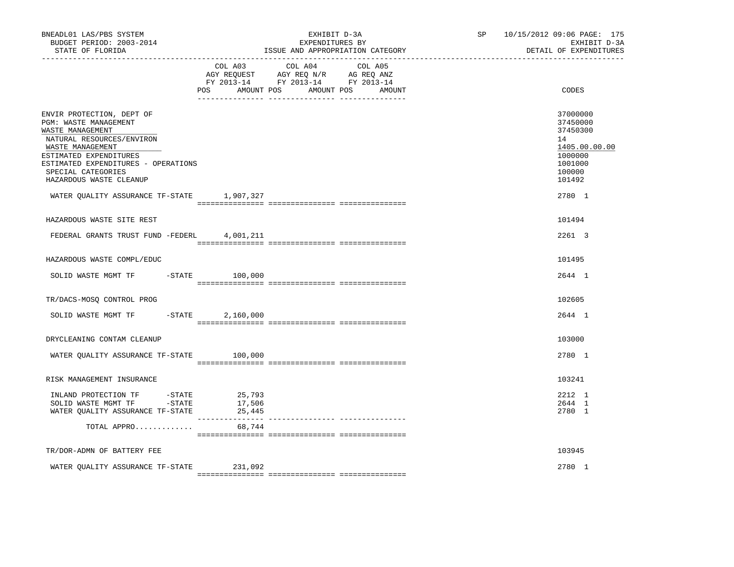| BNEADL01 LAS/PBS SYSTEM<br>BUDGET PERIOD: 2003-2014<br>STATE OF FLORIDA                                                                                                                                                                                                                 | EXHIBIT D-3A<br>EXPENDITURES BY<br>ISSUE AND APPROPRIATION CATEGORY                                                                      | SP 10/15/2012 09:06 PAGE: 175<br>EXHIBIT D-3A<br>DETAIL OF EXPENDITURES                                     |
|-----------------------------------------------------------------------------------------------------------------------------------------------------------------------------------------------------------------------------------------------------------------------------------------|------------------------------------------------------------------------------------------------------------------------------------------|-------------------------------------------------------------------------------------------------------------|
|                                                                                                                                                                                                                                                                                         | COL A03 COL A04<br>COL A05<br>AGY REQUEST AGY REQ N/R AG REQ ANZ<br>FY 2013-14 FY 2013-14 FY 2013-14<br>POS AMOUNT POS AMOUNT POS AMOUNT | CODES                                                                                                       |
| ENVIR PROTECTION, DEPT OF<br>PGM: WASTE MANAGEMENT<br>WASTE MANAGEMENT<br>NATURAL RESOURCES/ENVIRON<br>WASTE MANAGEMENT<br>ESTIMATED EXPENDITURES<br>ESTIMATED EXPENDITURES - OPERATIONS<br>SPECIAL CATEGORIES<br>HAZARDOUS WASTE CLEANUP<br>WATER QUALITY ASSURANCE TF-STATE 1,907,327 |                                                                                                                                          | 37000000<br>37450000<br>37450300<br>14<br>1405.00.00.00<br>1000000<br>1001000<br>100000<br>101492<br>2780 1 |
| HAZARDOUS WASTE SITE REST                                                                                                                                                                                                                                                               |                                                                                                                                          | 101494                                                                                                      |
| FEDERAL GRANTS TRUST FUND -FEDERL 4,001,211                                                                                                                                                                                                                                             |                                                                                                                                          | 2261 3                                                                                                      |
| HAZARDOUS WASTE COMPL/EDUC                                                                                                                                                                                                                                                              |                                                                                                                                          | 101495                                                                                                      |
| SOLID WASTE MGMT TF -STATE 100,000                                                                                                                                                                                                                                                      |                                                                                                                                          | 2644 1                                                                                                      |
| TR/DACS-MOSQ CONTROL PROG                                                                                                                                                                                                                                                               |                                                                                                                                          | 102605                                                                                                      |
| SOLID WASTE MGMT TF<br>$-STATE$                                                                                                                                                                                                                                                         | 2,160,000                                                                                                                                | 2644 1                                                                                                      |
| DRYCLEANING CONTAM CLEANUP                                                                                                                                                                                                                                                              |                                                                                                                                          | 103000                                                                                                      |
| WATER OUALITY ASSURANCE TF-STATE 100,000                                                                                                                                                                                                                                                |                                                                                                                                          | 2780 1                                                                                                      |
| RISK MANAGEMENT INSURANCE                                                                                                                                                                                                                                                               |                                                                                                                                          | 103241                                                                                                      |
| INLAND PROTECTION TF -STATE<br>SOLID WASTE MGMT TF -STATE<br>WATER QUALITY ASSURANCE TF-STATE                                                                                                                                                                                           | 25,793<br>17,506<br>25,445                                                                                                               | 2212 1<br>2644 1<br>2780 1                                                                                  |
| TOTAL APPRO                                                                                                                                                                                                                                                                             | 68,744                                                                                                                                   |                                                                                                             |
| TR/DOR-ADMN OF BATTERY FEE                                                                                                                                                                                                                                                              |                                                                                                                                          | 103945                                                                                                      |
| WATER QUALITY ASSURANCE TF-STATE                                                                                                                                                                                                                                                        | 231,092                                                                                                                                  | 2780 1                                                                                                      |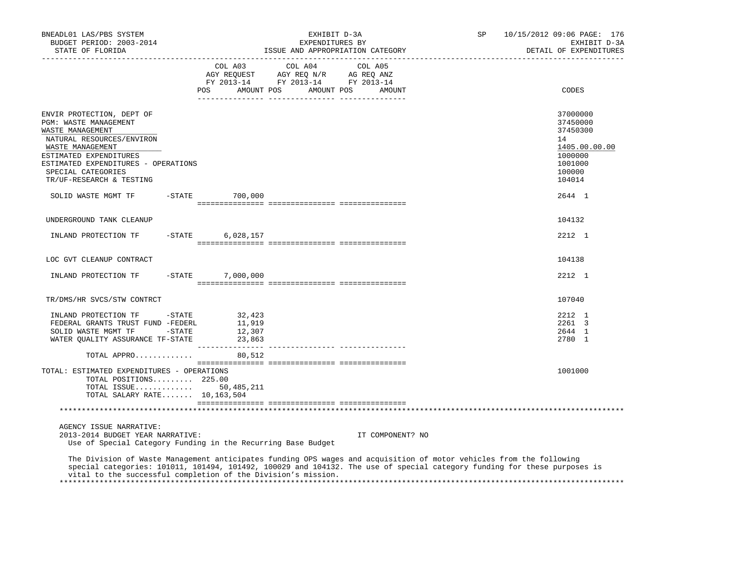| BNEADL01 LAS/PBS SYSTEM<br>BUDGET PERIOD: 2003-2014<br>STATE OF FLORIDA                                                                                                                                                                                                                                          |                       |                |                                      | EXHIBIT D-3A<br>EXPENDITURES BY  |         |                  | ISSUE AND APPROPRIATION CATEGORY | SP | 10/15/2012 09:06 PAGE: 176<br>EXHIBIT D-3A<br>DETAIL OF EXPENDITURES                                        |
|------------------------------------------------------------------------------------------------------------------------------------------------------------------------------------------------------------------------------------------------------------------------------------------------------------------|-----------------------|----------------|--------------------------------------|----------------------------------|---------|------------------|----------------------------------|----|-------------------------------------------------------------------------------------------------------------|
|                                                                                                                                                                                                                                                                                                                  |                       | COL A03<br>POS |                                      | COL A04<br>AMOUNT POS AMOUNT POS | COL A05 | AMOUNT           |                                  |    | CODES                                                                                                       |
| ENVIR PROTECTION, DEPT OF<br>PGM: WASTE MANAGEMENT<br>WASTE MANAGEMENT<br>NATURAL RESOURCES/ENVIRON<br>WASTE MANAGEMENT<br>ESTIMATED EXPENDITURES<br>ESTIMATED EXPENDITURES - OPERATIONS<br>SPECIAL CATEGORIES<br>TR/UF-RESEARCH & TESTING<br>SOLID WASTE MGMT TF                                                | $-$ STATE             |                | 700,000                              |                                  |         |                  |                                  |    | 37000000<br>37450000<br>37450300<br>14<br>1405.00.00.00<br>1000000<br>1001000<br>100000<br>104014<br>2644 1 |
|                                                                                                                                                                                                                                                                                                                  |                       |                |                                      |                                  |         |                  |                                  |    |                                                                                                             |
| UNDERGROUND TANK CLEANUP                                                                                                                                                                                                                                                                                         |                       |                |                                      |                                  |         |                  |                                  |    | 104132                                                                                                      |
| INLAND PROTECTION TF                                                                                                                                                                                                                                                                                             | -STATE                |                | 6,028,157                            |                                  |         |                  |                                  |    | 2212 1                                                                                                      |
| LOC GVT CLEANUP CONTRACT                                                                                                                                                                                                                                                                                         |                       |                |                                      |                                  |         |                  |                                  |    | 104138                                                                                                      |
| INLAND PROTECTION TF                                                                                                                                                                                                                                                                                             | -STATE                |                | 7,000,000                            |                                  |         |                  |                                  |    | 2212 1                                                                                                      |
| TR/DMS/HR SVCS/STW CONTRCT                                                                                                                                                                                                                                                                                       |                       |                |                                      |                                  |         |                  |                                  |    | 107040                                                                                                      |
| INLAND PROTECTION TF<br>FEDERAL GRANTS TRUST FUND -FEDERL<br>SOLID WASTE MGMT TF<br>WATER QUALITY ASSURANCE TF-STATE                                                                                                                                                                                             | $-$ STATE<br>$-STATE$ |                | 32,423<br>11,919<br>12,307<br>23,863 |                                  |         |                  |                                  |    | 2212 1<br>2261 3<br>2644 1<br>2780 1                                                                        |
| TOTAL APPRO                                                                                                                                                                                                                                                                                                      |                       |                | 80,512                               |                                  |         |                  |                                  |    |                                                                                                             |
| TOTAL: ESTIMATED EXPENDITURES - OPERATIONS<br>TOTAL POSITIONS 225.00<br>TOTAL ISSUE 50,485,211<br>TOTAL SALARY RATE 10,163,504                                                                                                                                                                                   |                       |                |                                      |                                  |         |                  |                                  |    | 1001000                                                                                                     |
|                                                                                                                                                                                                                                                                                                                  |                       |                |                                      |                                  |         |                  |                                  |    |                                                                                                             |
| AGENCY ISSUE NARRATIVE:<br>2013-2014 BUDGET YEAR NARRATIVE:<br>Use of Special Category Funding in the Recurring Base Budget                                                                                                                                                                                      |                       |                |                                      |                                  |         | IT COMPONENT? NO |                                  |    |                                                                                                             |
| The Division of Waste Management anticipates funding OPS wages and acquisition of motor vehicles from the following<br>special categories: 101011, 101494, 101492, 100029 and 104132. The use of special category funding for these purposes is<br>vital to the successful completion of the Division's mission. |                       |                |                                      |                                  |         |                  |                                  |    |                                                                                                             |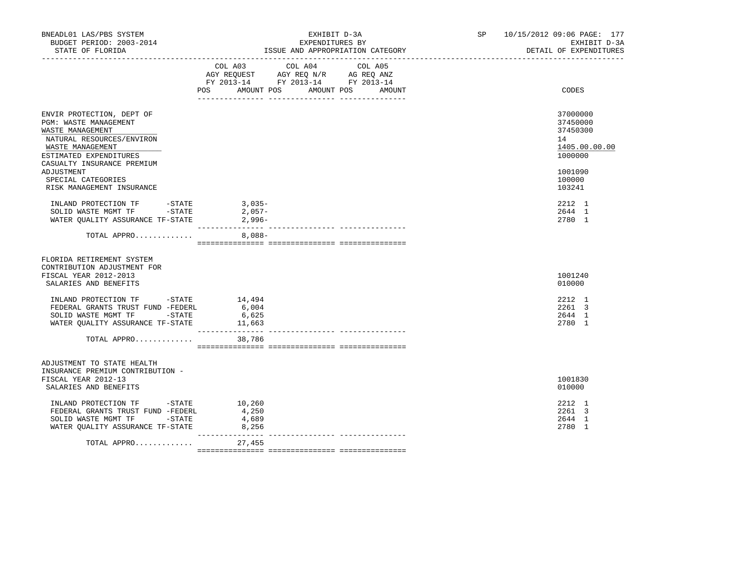| BNEADL01 LAS/PBS SYSTEM<br>BUDGET PERIOD: 2003-2014<br>STATE OF FLORIDA                                                                                         | EXHIBIT D-3A<br>EXPENDITURES BY<br>ISSUE AND APPROPRIATION CATEGORY                                                                      | 10/15/2012 09:06 PAGE: 177<br>SP <sub>2</sub><br>EXHIBIT D-3A<br>DETAIL OF EXPENDITURES |
|-----------------------------------------------------------------------------------------------------------------------------------------------------------------|------------------------------------------------------------------------------------------------------------------------------------------|-----------------------------------------------------------------------------------------|
|                                                                                                                                                                 | COL A03 COL A04 COL A05<br>AGY REQUEST AGY REQ N/R AG REQ ANZ<br>FY 2013-14 FY 2013-14 FY 2013-14<br>POS AMOUNT POS AMOUNT POS<br>AMOUNT | CODES                                                                                   |
| ENVIR PROTECTION, DEPT OF<br>PGM: WASTE MANAGEMENT<br>WASTE MANAGEMENT<br>NATURAL RESOURCES/ENVIRON<br>WASTE MANAGEMENT<br>ESTIMATED EXPENDITURES               |                                                                                                                                          | 37000000<br>37450000<br>37450300<br>14<br>1405.00.00.00<br>1000000                      |
| CASUALTY INSURANCE PREMIUM<br>ADJUSTMENT<br>SPECIAL CATEGORIES<br>RISK MANAGEMENT INSURANCE                                                                     |                                                                                                                                          | 1001090<br>100000<br>103241                                                             |
| INLAND PROTECTION TF -STATE 3,035-<br>SOLID WASTE MGMT TF -STATE<br>WATER OUALITY ASSURANCE TF-STATE                                                            | 2,057-<br>2,996-                                                                                                                         | 2212 1<br>2644 1<br>2780 1                                                              |
| TOTAL APPRO                                                                                                                                                     | $8,088-$                                                                                                                                 |                                                                                         |
| FLORIDA RETIREMENT SYSTEM<br>CONTRIBUTION ADJUSTMENT FOR<br>FISCAL YEAR 2012-2013<br>SALARIES AND BENEFITS                                                      |                                                                                                                                          | 1001240<br>010000                                                                       |
| INLAND PROTECTION TF -STATE<br>FEDERAL GRANTS TRUST FUND -FEDERL<br>SOLID WASTE MGMT TF -STATE<br>WATER QUALITY ASSURANCE TF-STATE 11,663<br>TOTAL APPRO 38,786 | 14,494<br>6,004<br>6,625                                                                                                                 | 2212 1<br>2261 3<br>2644 1<br>2780 1                                                    |
|                                                                                                                                                                 |                                                                                                                                          |                                                                                         |
| ADJUSTMENT TO STATE HEALTH<br>INSURANCE PREMIUM CONTRIBUTION -<br>FISCAL YEAR 2012-13<br>SALARIES AND BENEFITS                                                  |                                                                                                                                          | 1001830<br>010000                                                                       |
| INLAND PROTECTION TF -STATE<br>FEDERAL GRANTS TRUST FUND -FEDERL<br>SOLID WASTE MGMT TF -STATE<br>WATER QUALITY ASSURANCE TF-STATE                              | 10,260<br>4,250<br>4,689<br>8,256                                                                                                        | 2212 1<br>2261 3<br>2644 1<br>2780 1                                                    |
| TOTAL APPRO                                                                                                                                                     | _______________<br>27,455                                                                                                                |                                                                                         |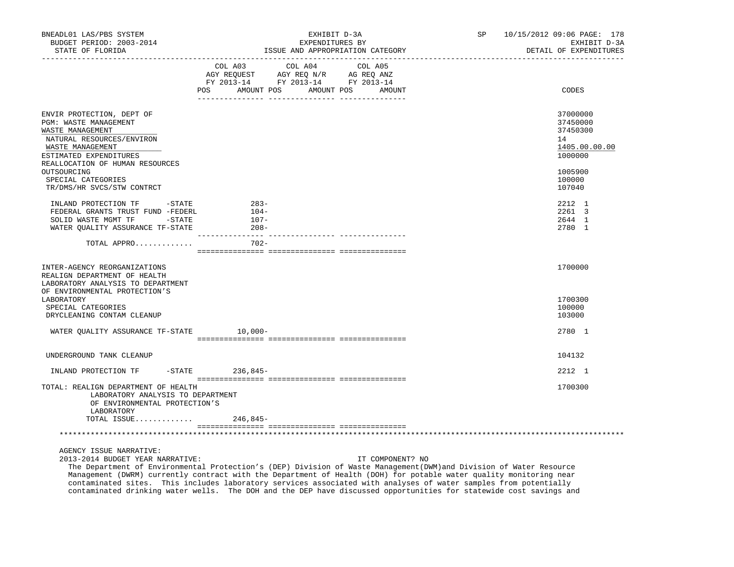| BNEADL01 LAS/PBS SYSTEM<br>BUDGET PERIOD: 2003-2014<br>STATE OF FLORIDA                                                                                                                                                                                                                | EXHIBIT D-3A<br>EXPENDITURES BY<br>ISSUE AND APPROPRIATION CATEGORY                                                                                         | SP and the set of the set of the set of the set of the set of the set of the set of the set of the set of the set of the set of the set of the set of the set of the set of the set of the set of the set of the set of the se | 10/15/2012 09:06 PAGE: 178<br>EXHIBIT D-3A<br>DETAIL OF EXPENDITURES                                        |
|----------------------------------------------------------------------------------------------------------------------------------------------------------------------------------------------------------------------------------------------------------------------------------------|-------------------------------------------------------------------------------------------------------------------------------------------------------------|--------------------------------------------------------------------------------------------------------------------------------------------------------------------------------------------------------------------------------|-------------------------------------------------------------------------------------------------------------|
|                                                                                                                                                                                                                                                                                        | COL A04<br>COL A03<br>COL A05<br>AGY REQUEST AGY REQ N/R AG REQ ANZ<br>FY 2013-14 FY 2013-14 FY 2013-14<br><b>POS</b><br>AMOUNT POS<br>AMOUNT POS<br>AMOUNT |                                                                                                                                                                                                                                | CODES                                                                                                       |
| ENVIR PROTECTION, DEPT OF<br>PGM: WASTE MANAGEMENT<br>WASTE MANAGEMENT<br>NATURAL RESOURCES/ENVIRON<br>WASTE MANAGEMENT<br>ESTIMATED EXPENDITURES<br>REALLOCATION OF HUMAN RESOURCES<br>OUTSOURCING<br>SPECIAL CATEGORIES<br>TR/DMS/HR SVCS/STW CONTRCT<br>INLAND PROTECTION TF -STATE | 283-                                                                                                                                                        |                                                                                                                                                                                                                                | 37000000<br>37450000<br>37450300<br>14<br>1405.00.00.00<br>1000000<br>1005900<br>100000<br>107040<br>2212 1 |
| FEDERAL GRANTS TRUST FUND -FEDERL<br>SOLID WASTE MGMT TF -STATE<br>WATER OUALITY ASSURANCE TF-STATE                                                                                                                                                                                    | $104-$<br>- 107-<br>$208 -$                                                                                                                                 |                                                                                                                                                                                                                                | 2261 3<br>2644 1<br>2780 1                                                                                  |
| TOTAL APPRO                                                                                                                                                                                                                                                                            | $702 -$                                                                                                                                                     |                                                                                                                                                                                                                                |                                                                                                             |
| INTER-AGENCY REORGANIZATIONS<br>REALIGN DEPARTMENT OF HEALTH<br>LABORATORY ANALYSIS TO DEPARTMENT<br>OF ENVIRONMENTAL PROTECTION'S                                                                                                                                                     |                                                                                                                                                             |                                                                                                                                                                                                                                | 1700000                                                                                                     |
| LABORATORY<br>SPECIAL CATEGORIES<br>DRYCLEANING CONTAM CLEANUP                                                                                                                                                                                                                         |                                                                                                                                                             |                                                                                                                                                                                                                                | 1700300<br>100000<br>103000                                                                                 |
| WATER QUALITY ASSURANCE TF-STATE 10,000-                                                                                                                                                                                                                                               |                                                                                                                                                             |                                                                                                                                                                                                                                | 2780 1                                                                                                      |
| UNDERGROUND TANK CLEANUP                                                                                                                                                                                                                                                               |                                                                                                                                                             |                                                                                                                                                                                                                                | 104132                                                                                                      |
| INLAND PROTECTION TF                                                                                                                                                                                                                                                                   | -STATE 236,845-                                                                                                                                             |                                                                                                                                                                                                                                | 2212 1                                                                                                      |
| TOTAL: REALIGN DEPARTMENT OF HEALTH<br>LABORATORY ANALYSIS TO DEPARTMENT<br>OF ENVIRONMENTAL PROTECTION'S<br>LABORATORY                                                                                                                                                                |                                                                                                                                                             |                                                                                                                                                                                                                                | 1700300                                                                                                     |
| TOTAL ISSUE                                                                                                                                                                                                                                                                            | 246,845-                                                                                                                                                    |                                                                                                                                                                                                                                |                                                                                                             |
|                                                                                                                                                                                                                                                                                        |                                                                                                                                                             |                                                                                                                                                                                                                                |                                                                                                             |

2013-2014 BUDGET YEAR NARRATIVE: IT COMPONENT? NO

 The Department of Environmental Protection's (DEP) Division of Waste Management(DWM)and Division of Water Resource Management (DWRM) currently contract with the Department of Health (DOH) for potable water quality monitoring near contaminated sites. This includes laboratory services associated with analyses of water samples from potentially contaminated drinking water wells. The DOH and the DEP have discussed opportunities for statewide cost savings and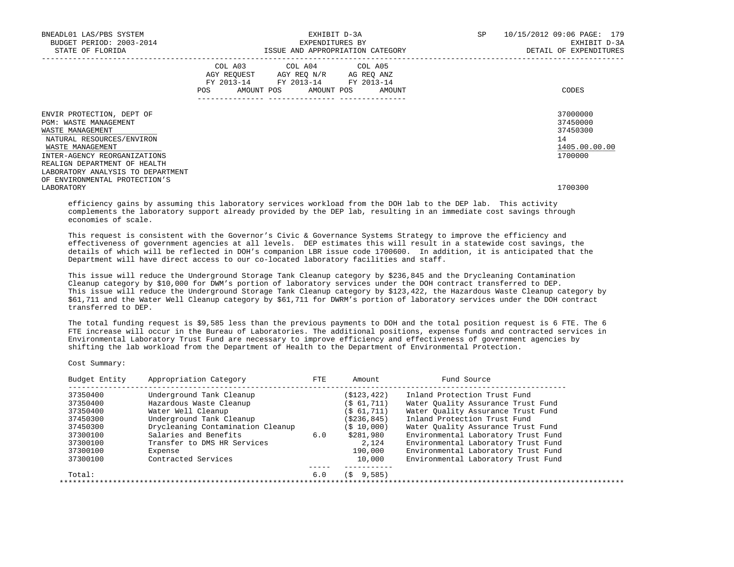| BNEADL01 LAS/PBS SYSTEM<br>BUDGET PERIOD: 2003-2014<br>STATE OF FLORIDA                                                                                                                                                      | EXHIBIT D-3A<br>EXPENDITURES BY<br>ISSUE AND APPROPRIATION CATEGORY                                                                   | SP | 10/15/2012 09:06 PAGE: 179<br>EXHIBIT D-3A<br>DETAIL OF EXPENDITURES |
|------------------------------------------------------------------------------------------------------------------------------------------------------------------------------------------------------------------------------|---------------------------------------------------------------------------------------------------------------------------------------|----|----------------------------------------------------------------------|
|                                                                                                                                                                                                                              | COL A03 COL A04 COL A05<br>AGY REQUEST AGY REQ N/R AG REQ ANZ<br>FY 2013-14 FY 2013-14 FY 2013-14<br>POS AMOUNT POS AMOUNT POS AMOUNT |    | CODES                                                                |
| ENVIR PROTECTION, DEPT OF<br>PGM: WASTE MANAGEMENT<br>WASTE MANAGEMENT<br>NATURAL RESOURCES/ENVIRON<br>WASTE MANAGEMENT<br>INTER-AGENCY REORGANIZATIONS<br>REALIGN DEPARTMENT OF HEALTH<br>LABORATORY ANALYSIS TO DEPARTMENT |                                                                                                                                       |    | 37000000<br>37450000<br>37450300<br>14<br>1405.00.00.00<br>1700000   |
| OF ENVIRONMENTAL PROTECTION'S<br>LABORATORY                                                                                                                                                                                  |                                                                                                                                       |    | 1700300                                                              |

 efficiency gains by assuming this laboratory services workload from the DOH lab to the DEP lab. This activity complements the laboratory support already provided by the DEP lab, resulting in an immediate cost savings through economies of scale.

This request is consistent with the Governor's Civic & Governance Systems Strategy to improve the efficiency and effectiveness of government agencies at all levels. DEP estimates this will result in a statewide cost savings, the details of which will be reflected in DOH's companion LBR issue code 1700600. In addition, it is anticipated that the Department will have direct access to our co-located laboratory facilities and staff.

 This issue will reduce the Underground Storage Tank Cleanup category by \$236,845 and the Drycleaning Contamination Cleanup category by \$10,000 for DWM's portion of laboratory services under the DOH contract transferred to DEP. This issue will reduce the Underground Storage Tank Cleanup category by \$123,422, the Hazardous Waste Cleanup category by \$61,711 and the Water Well Cleanup category by \$61,711 for DWRM's portion of laboratory services under the DOH contract transferred to DEP.

 The total funding request is \$9,585 less than the previous payments to DOH and the total position request is 6 FTE. The 6 FTE increase will occur in the Bureau of Laboratories. The additional positions, expense funds and contracted services in Environmental Laboratory Trust Fund are necessary to improve efficiency and effectiveness of government agencies by shifting the lab workload from the Department of Health to the Department of Environmental Protection.

Cost Summary:

| 37350400 | Underground Tank Cleanup          |     | (S123, 422) | Inland Protection Trust Fund        |
|----------|-----------------------------------|-----|-------------|-------------------------------------|
| 37350400 | Hazardous Waste Cleanup           |     | (S 61, 711) | Water Ouality Assurance Trust Fund  |
| 37350400 | Water Well Cleanup                |     | (S 61, 711) | Water Ouality Assurance Trust Fund  |
| 37450300 | Underground Tank Cleanup          |     | (S236, 845) | Inland Protection Trust Fund        |
| 37450300 | Drycleaning Contamination Cleanup |     | (S 10.000)  | Water Ouality Assurance Trust Fund  |
| 37300100 | Salaries and Benefits             | 6.0 | \$281,980   | Environmental Laboratory Trust Fund |
| 37300100 | Transfer to DMS HR Services       |     | 2,124       | Environmental Laboratory Trust Fund |
| 37300100 | Expense                           |     | 190,000     | Environmental Laboratory Trust Fund |
| 37300100 | Contracted Services               |     | 10,000      | Environmental Laboratory Trust Fund |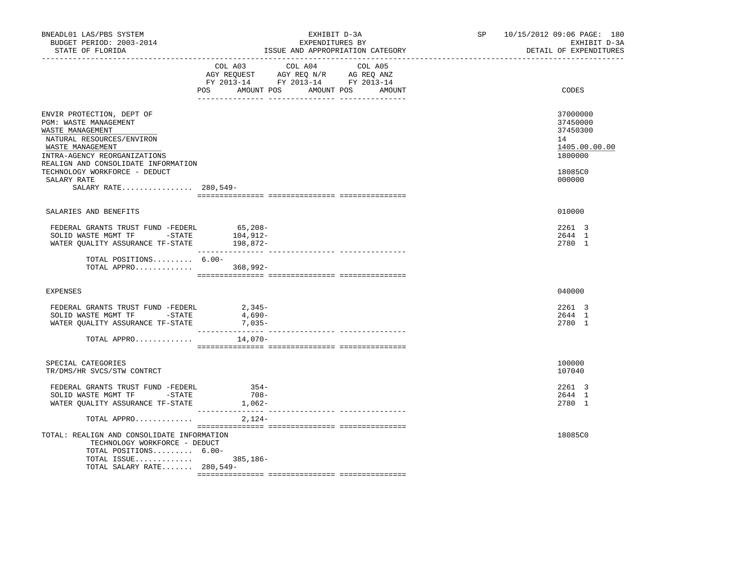| BNEADL01 LAS/PBS SYSTEM<br>BUDGET PERIOD: 2003-2014<br>STATE OF FLORIDA                                                                                    | EXHIBIT D-3A<br>EXPENDITURES BY<br>ISSUE AND APPROPRIATION CATEGORY                                                                   | SP 10/15/2012 09:06 PAGE: 180<br>EXHIBIT D-3A<br>DETAIL OF EXPENDITURES |
|------------------------------------------------------------------------------------------------------------------------------------------------------------|---------------------------------------------------------------------------------------------------------------------------------------|-------------------------------------------------------------------------|
|                                                                                                                                                            | COL A03 COL A04 COL A05<br>AGY REQUEST AGY REQ N/R AG REQ ANZ<br>FY 2013-14 FY 2013-14 FY 2013-14<br>POS AMOUNT POS AMOUNT POS AMOUNT | CODES                                                                   |
|                                                                                                                                                            |                                                                                                                                       |                                                                         |
| ENVIR PROTECTION, DEPT OF<br>PGM: WASTE MANAGEMENT<br>WASTE MANAGEMENT<br>NATURAL RESOURCES/ENVIRON<br>WASTE MANAGEMENT<br>INTRA-AGENCY REORGANIZATIONS    |                                                                                                                                       | 37000000<br>37450000<br>37450300<br>14<br>1405.00.00.00<br>1800000      |
| REALIGN AND CONSOLIDATE INFORMATION<br>TECHNOLOGY WORKFORCE - DEDUCT<br>SALARY RATE                                                                        |                                                                                                                                       | 18085C0<br>000000                                                       |
| SALARY RATE 280,549-                                                                                                                                       |                                                                                                                                       |                                                                         |
| SALARIES AND BENEFITS                                                                                                                                      |                                                                                                                                       | 010000                                                                  |
| FEDERAL GRANTS TRUST FUND -FEDERL 65,208-<br>SOLID WASTE MGMT TF -STATE<br>WATER QUALITY ASSURANCE TF-STATE 198,872-                                       | 104,912-                                                                                                                              | 2261 3<br>2644 1<br>2780 1                                              |
| TOTAL POSITIONS $6.00-$<br>TOTAL APPRO                                                                                                                     | 368,992-                                                                                                                              |                                                                         |
| EXPENSES                                                                                                                                                   |                                                                                                                                       | 040000                                                                  |
| FEDERAL GRANTS TRUST FUND -FEDERL<br>SOLID WASTE MGMT TF -STATE<br>WATER QUALITY ASSURANCE TF-STATE                                                        | $2,345-$<br>4,690-<br>$7,035-$                                                                                                        | 2261 3<br>2644 1<br>2780 1                                              |
| TOTAL APPRO                                                                                                                                                | 14,070-                                                                                                                               |                                                                         |
|                                                                                                                                                            |                                                                                                                                       |                                                                         |
| SPECIAL CATEGORIES<br>TR/DMS/HR SVCS/STW CONTRCT                                                                                                           |                                                                                                                                       | 100000<br>107040                                                        |
| FEDERAL GRANTS TRUST FUND -FEDERL<br>SOLID WASTE MGMT TF -STATE<br>WATER QUALITY ASSURANCE TF-STATE                                                        | $354-$<br>$708 -$<br>$1,062-$<br>---------- --------------- ---------                                                                 | 2261 3<br>2644 1<br>2780 1                                              |
| TOTAL APPRO                                                                                                                                                | $2,124-$                                                                                                                              |                                                                         |
| TOTAL: REALIGN AND CONSOLIDATE INFORMATION<br>TECHNOLOGY WORKFORCE - DEDUCT<br>TOTAL POSITIONS 6.00-<br>TOTAL ISSUE 385,186-<br>TOTAL SALARY RATE 280,549- |                                                                                                                                       | 18085C0                                                                 |
|                                                                                                                                                            |                                                                                                                                       |                                                                         |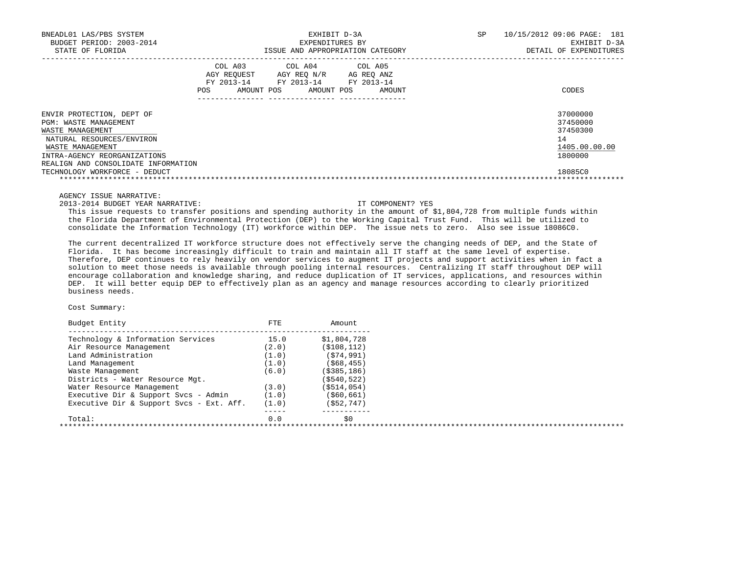| BNEADL01 LAS/PBS SYSTEM<br>BUDGET PERIOD: 2003-2014<br>STATE OF FLORIDA                                                                                                                        |                | EXPENDITURES BY                                                                                                       | EXHIBIT D-3A<br>ISSUE AND APPROPRIATION CATEGORY | SP<br>10/15/2012 09:06 PAGE: 181<br>EXHIBIT D-3A<br>DETAIL OF EXPENDITURES |
|------------------------------------------------------------------------------------------------------------------------------------------------------------------------------------------------|----------------|-----------------------------------------------------------------------------------------------------------------------|--------------------------------------------------|----------------------------------------------------------------------------|
|                                                                                                                                                                                                | COL A03<br>POS | COL A04 COL A05<br>AGY REOUEST AGY REO N/R AG REO ANZ<br>FY 2013-14 FY 2013-14 FY 2013-14<br>AMOUNT POS<br>AMOUNT POS | AMOUNT                                           | CODES                                                                      |
| ENVIR PROTECTION, DEPT OF<br>PGM: WASTE MANAGEMENT<br>WASTE MANAGEMENT<br>NATURAL RESOURCES/ENVIRON<br>WASTE MANAGEMENT<br>INTRA-AGENCY REORGANIZATIONS<br>REALIGN AND CONSOLIDATE INFORMATION |                |                                                                                                                       |                                                  | 37000000<br>37450000<br>37450300<br>14<br>1405.00.00.00<br>1800000         |
| TECHNOLOGY WORKFORCE - DEDUCT                                                                                                                                                                  |                |                                                                                                                       |                                                  | 18085C0                                                                    |

AGENCY ISSUE NARRATIVE:

2013-2014 BUDGET YEAR NARRATIVE: IT COMPONENT? YES

 This issue requests to transfer positions and spending authority in the amount of \$1,804,728 from multiple funds within the Florida Department of Environmental Protection (DEP) to the Working Capital Trust Fund. This will be utilized to consolidate the Information Technology (IT) workforce within DEP. The issue nets to zero. Also see issue 18086C0.

 The current decentralized IT workforce structure does not effectively serve the changing needs of DEP, and the State of Florida. It has become increasingly difficult to train and maintain all IT staff at the same level of expertise. Therefore, DEP continues to rely heavily on vendor services to augment IT projects and support activities when in fact a solution to meet those needs is available through pooling internal resources. Centralizing IT staff throughout DEP will encourage collaboration and knowledge sharing, and reduce duplication of IT services, applications, and resources within DEP. It will better equip DEP to effectively plan as an agency and manage resources according to clearly prioritized business needs.

| Budget Entity                            | <b>FTE</b> | Amount.       |  |
|------------------------------------------|------------|---------------|--|
| Technology & Information Services        | 15.0       | \$1,804,728   |  |
| Air Resource Management                  | (2.0)      | (S108, 112)   |  |
| Land Administration                      | (1.0)      | (574, 991)    |  |
| Land Management                          | (1.0)      | ( \$68, 455)  |  |
| Waste Management                         | (6.0)      | ( \$385, 186) |  |
| Districts - Water Resource Mgt.          |            | (S540, 522)   |  |
| Water Resource Management                | (3.0)      | (\$514,054)   |  |
| Executive Dir & Support Svcs - Admin     | (1.0)      | ( \$60, 661)  |  |
| Executive Dir & Support Svcs - Ext. Aff. | (1.0)      | ( \$52, 747)  |  |
| Total:                                   | 0.0        | \$0           |  |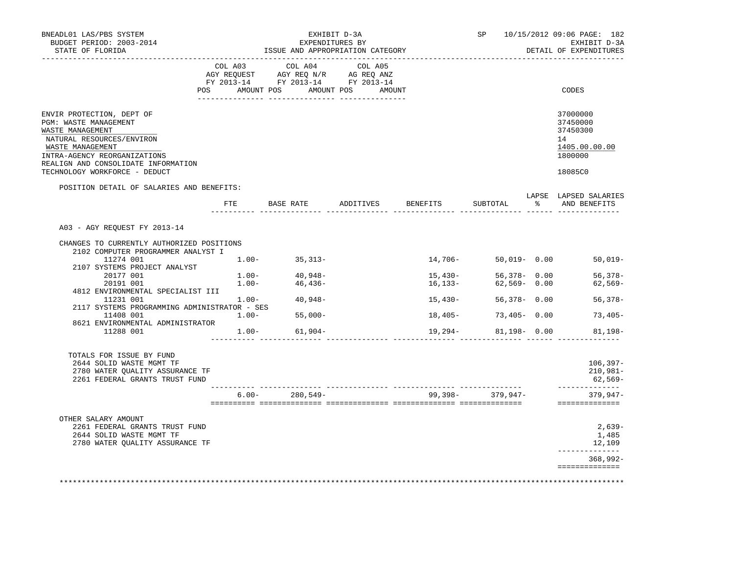| BNEADL01 LAS/PBS SYSTEM<br>BUDGET PERIOD: 2003-2014<br>STATE OF FLORIDA                                                                                                                        |              |          | ISSUE AND APPROPRIATION CATEGORY                                                     | EXHIBIT D-3A<br>EXPENDITURES BY |           |                      |     | SP 10/15/2012 09:06 PAGE: 182<br>EXHIBIT D-3A<br>DETAIL OF EXPENDITURES |
|------------------------------------------------------------------------------------------------------------------------------------------------------------------------------------------------|--------------|----------|--------------------------------------------------------------------------------------|---------------------------------|-----------|----------------------|-----|-------------------------------------------------------------------------|
|                                                                                                                                                                                                | COL A03      |          | COL A04<br>CO AGY REQUEST AGY REQ N/R AG REQ ANZ<br>FY 2013-14 FY 2013-14 FY 2013-14 | COL A05                         |           |                      |     |                                                                         |
| POS                                                                                                                                                                                            |              |          | AMOUNT POS AMOUNT POS AMOUNT                                                         |                                 |           |                      |     | CODES                                                                   |
| ENVIR PROTECTION, DEPT OF<br>PGM: WASTE MANAGEMENT<br>WASTE MANAGEMENT<br>NATURAL RESOURCES/ENVIRON<br>WASTE MANAGEMENT<br>INTRA-AGENCY REORGANIZATIONS<br>REALIGN AND CONSOLIDATE INFORMATION |              |          |                                                                                      |                                 |           |                      |     | 37000000<br>37450000<br>37450300<br>14<br>1405.00.00.00<br>1800000      |
| TECHNOLOGY WORKFORCE - DEDUCT                                                                                                                                                                  |              |          |                                                                                      |                                 |           |                      |     | 18085C0                                                                 |
| POSITION DETAIL OF SALARIES AND BENEFITS:                                                                                                                                                      |              |          |                                                                                      |                                 |           |                      |     | LAPSE LAPSED SALARIES                                                   |
|                                                                                                                                                                                                | $_{\rm FTE}$ |          | BASE RATE ADDITIVES BENEFITS                                                         |                                 |           | SUBTOTAL             | - 왕 | AND BENEFITS                                                            |
| A03 - AGY REQUEST FY 2013-14                                                                                                                                                                   |              |          |                                                                                      |                                 |           |                      |     |                                                                         |
| CHANGES TO CURRENTLY AUTHORIZED POSITIONS<br>2102 COMPUTER PROGRAMMER ANALYST I                                                                                                                |              |          |                                                                                      |                                 |           |                      |     |                                                                         |
| 11274 001<br>2107 SYSTEMS PROJECT ANALYST                                                                                                                                                      |              | $1.00 -$ | $35,313-$                                                                            |                                 | 14,706-   | 50,019- 0.00         |     | $50,019-$                                                               |
| 20177 001                                                                                                                                                                                      |              |          |                                                                                      |                                 | 15,430-   |                      |     |                                                                         |
| 20191 001                                                                                                                                                                                      |              |          | $1.00 40,948-$<br>$1.00 46,436-$                                                     |                                 | 16,133–   |                      |     | 56,378-0.00 56,378-<br>62,569-0.00 62,569-                              |
| 4812 ENVIRONMENTAL SPECIALIST III                                                                                                                                                              |              |          |                                                                                      |                                 |           |                      |     |                                                                         |
| $1.231$ 001 $1.00-$ 40,948-                                                                                                                                                                    |              |          |                                                                                      |                                 | 15,430-   | 56,378- 0.00         |     | $56,378-$                                                               |
| 2117 SYSTEMS PROGRAMMING ADMINISTRATOR - SES<br>$1.00 -$<br>11408 001                                                                                                                          |              |          | $55,000-$                                                                            |                                 | $18,405-$ | $73,405 - 0.00$      |     | 73,405-                                                                 |
| 8621 ENVIRONMENTAL ADMINISTRATOR<br>11288 001                                                                                                                                                  |              |          | $1.00 - 61,904 -$                                                                    |                                 |           | $81,198 - 0.00$      |     | $81,198-$                                                               |
|                                                                                                                                                                                                |              |          |                                                                                      |                                 | 19,294-   |                      |     |                                                                         |
| TOTALS FOR ISSUE BY FUND<br>2644 SOLID WASTE MGMT TF<br>2780 WATER QUALITY ASSURANCE TF<br>2261 FEDERAL GRANTS TRUST FUND                                                                      |              |          |                                                                                      |                                 |           |                      |     | $106,397-$<br>210,981-<br>62,569-                                       |
|                                                                                                                                                                                                |              |          | $6.00 - 280,549 -$                                                                   |                                 |           | $99,398 - 379,947 -$ |     | ----------<br>379,947-                                                  |
|                                                                                                                                                                                                |              |          |                                                                                      |                                 |           |                      |     | ==============                                                          |
| OTHER SALARY AMOUNT<br>2261 FEDERAL GRANTS TRUST FUND<br>2644 SOLID WASTE MGMT TF<br>2780 WATER QUALITY ASSURANCE TF                                                                           |              |          |                                                                                      |                                 |           |                      |     | $2,639-$<br>1,485<br>12,109                                             |
|                                                                                                                                                                                                |              |          |                                                                                      |                                 |           |                      |     | --------------<br>368,992-                                              |
|                                                                                                                                                                                                |              |          |                                                                                      |                                 |           |                      |     | ==============                                                          |
|                                                                                                                                                                                                |              |          |                                                                                      |                                 |           |                      |     |                                                                         |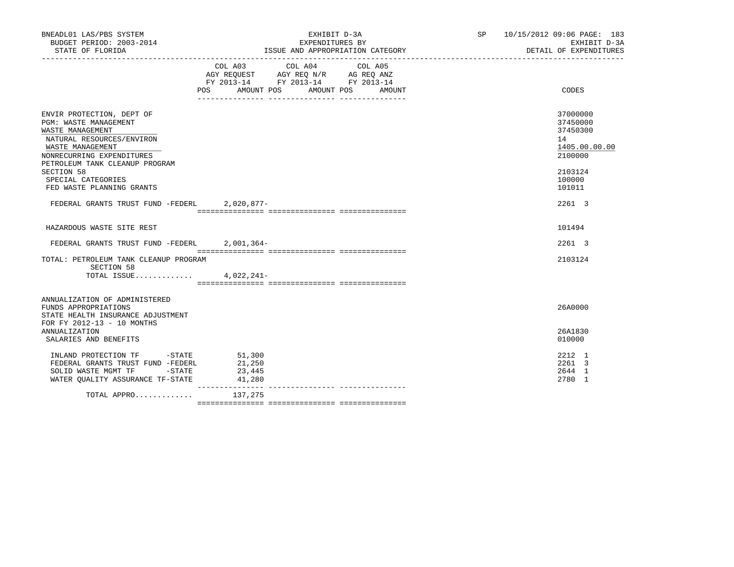| BNEADL01 LAS/PBS SYSTEM<br>BUDGET PERIOD: 2003-2014<br>STATE OF FLORIDA                                                                                                                                                                                        | EXHIBIT D-3A<br>EXPENDITURES BY<br>ISSUE AND APPROPRIATION CATEGORY                                                                                                                                                                                                                                                                                       | SP 10/15/2012 09:06 PAGE: 183<br>EXHIBIT D-3A<br>DETAIL OF EXPENDITURES                           |
|----------------------------------------------------------------------------------------------------------------------------------------------------------------------------------------------------------------------------------------------------------------|-----------------------------------------------------------------------------------------------------------------------------------------------------------------------------------------------------------------------------------------------------------------------------------------------------------------------------------------------------------|---------------------------------------------------------------------------------------------------|
|                                                                                                                                                                                                                                                                | $\begin{tabular}{lllllllllll} &\multicolumn{4}{c}{\text{COL A03}} &\multicolumn{4}{c}{\text{COL A04}} &\multicolumn{4}{c}{\text{COL A05}} \\ \multicolumn{4}{c}{\text{AGY REQUEST}} &\multicolumn{4}{c}{\text{AGY REQ N/R}} &\multicolumn{4}{c}{\text{AG REQ ANZ}} \end{tabular}$<br>FY 2013-14 FY 2013-14 FY 2013-14<br>POS AMOUNT POS AMOUNT POS AMOUNT | CODES                                                                                             |
| ENVIR PROTECTION, DEPT OF<br><b>PGM: WASTE MANAGEMENT</b><br>WASTE MANAGEMENT<br>NATURAL RESOURCES/ENVIRON<br>WASTE MANAGEMENT<br>NONRECURRING EXPENDITURES<br>PETROLEUM TANK CLEANUP PROGRAM<br>SECTION 58<br>SPECIAL CATEGORIES<br>FED WASTE PLANNING GRANTS |                                                                                                                                                                                                                                                                                                                                                           | 37000000<br>37450000<br>37450300<br>14<br>1405.00.00.00<br>2100000<br>2103124<br>100000<br>101011 |
| FEDERAL GRANTS TRUST FUND -FEDERL 2,020,877-                                                                                                                                                                                                                   |                                                                                                                                                                                                                                                                                                                                                           | 2261 3                                                                                            |
| HAZARDOUS WASTE SITE REST                                                                                                                                                                                                                                      |                                                                                                                                                                                                                                                                                                                                                           | 101494                                                                                            |
| FEDERAL GRANTS TRUST FUND -FEDERL 2,001,364-                                                                                                                                                                                                                   |                                                                                                                                                                                                                                                                                                                                                           | 2261 3                                                                                            |
| TOTAL: PETROLEUM TANK CLEANUP PROGRAM<br>SECTION 58<br>TOTAL ISSUE $4,022,241-$                                                                                                                                                                                |                                                                                                                                                                                                                                                                                                                                                           | 2103124                                                                                           |
| ANNUALIZATION OF ADMINISTERED<br>FUNDS APPROPRIATIONS<br>STATE HEALTH INSURANCE ADJUSTMENT<br>FOR FY 2012-13 - 10 MONTHS                                                                                                                                       |                                                                                                                                                                                                                                                                                                                                                           | 26A0000                                                                                           |
| <b>ANNUALIZATION</b><br>SALARIES AND BENEFITS                                                                                                                                                                                                                  |                                                                                                                                                                                                                                                                                                                                                           | 26A1830<br>010000                                                                                 |
| INLAND PROTECTION TF -STATE 51,300<br>FEDERAL GRANTS TRUST FUND -FEDERL<br>SOLID WASTE MGMT TF -STATE<br>WATER QUALITY ASSURANCE TF-STATE                                                                                                                      | 21,250<br>23,445<br>41,280                                                                                                                                                                                                                                                                                                                                | 2212 1<br>2261 3<br>2644 1<br>2780 1                                                              |
| TOTAL APPRO $137,275$                                                                                                                                                                                                                                          |                                                                                                                                                                                                                                                                                                                                                           |                                                                                                   |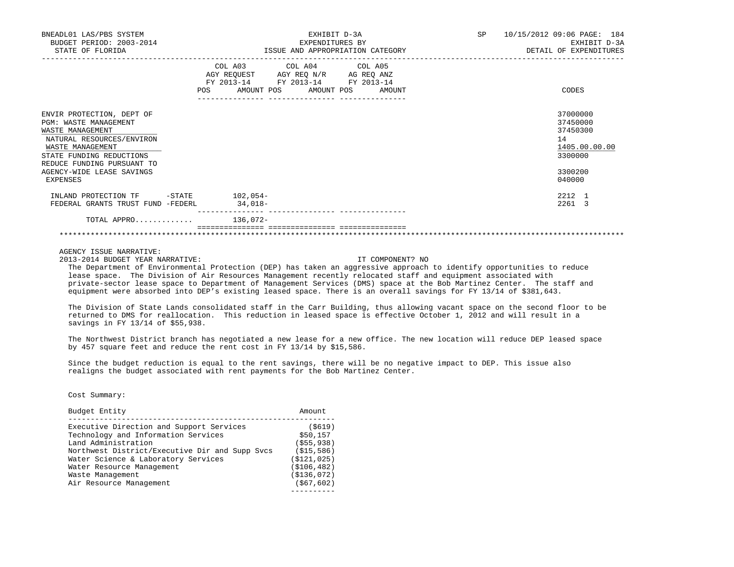| BNEADL01 LAS/PBS SYSTEM<br>BUDGET PERIOD: 2003-2014<br>STATE OF FLORIDA                                                                                                                                                           | EXHIBIT D-3A<br>EXPENDITURES BY<br>ISSUE AND APPROPRIATION CATEGORY                                                                             | 10/15/2012 09:06 PAGE: 184<br>SP<br>EXHIBIT D-3A<br>DETAIL OF EXPENDITURES              |
|-----------------------------------------------------------------------------------------------------------------------------------------------------------------------------------------------------------------------------------|-------------------------------------------------------------------------------------------------------------------------------------------------|-----------------------------------------------------------------------------------------|
|                                                                                                                                                                                                                                   | COL A03 COL A04 COL A05<br>AGY REQUEST AGY REQ N/R AG REQ ANZ<br>FY 2013-14 FY 2013-14 FY 2013-14<br>AMOUNT POS AMOUNT POS AMOUNT<br><b>POS</b> | CODES                                                                                   |
| ENVIR PROTECTION, DEPT OF<br><b>PGM: WASTE MANAGEMENT</b><br>WASTE MANAGEMENT<br>NATURAL RESOURCES/ENVIRON<br>WASTE MANAGEMENT<br>STATE FUNDING REDUCTIONS<br>REDUCE FUNDING PURSUANT TO<br>AGENCY-WIDE LEASE SAVINGS<br>EXPENSES |                                                                                                                                                 | 37000000<br>37450000<br>37450300<br>14<br>1405.00.00.00<br>3300000<br>3300200<br>040000 |
| INLAND PROTECTION TF -STATE 102,054-<br>FEDERAL GRANTS TRUST FUND -FEDERL                                                                                                                                                         | $34,018-$                                                                                                                                       | 2212 1<br>2261 3                                                                        |
| TOTAL APPRO 136,072-                                                                                                                                                                                                              |                                                                                                                                                 |                                                                                         |

\*\*\*\*\*\*\*\*\*\*\*\*\*\*\*\*\*\*\*\*\*\*\*\*\*\*\*\*\*\*\*\*\*\*\*\*\*\*\*\*\*\*\*\*\*\*\*\*\*\*\*\*\*\*\*\*\*\*\*\*\*\*\*\*\*\*\*\*\*\*\*\*\*\*\*\*\*\*\*\*\*\*\*\*\*\*\*\*\*\*\*\*\*\*\*\*\*\*\*\*\*\*\*\*\*\*\*\*\*\*\*\*\*\*\*\*\*\*\*\*\*\*\*\*\*\*\*

AGENCY ISSUE NARRATIVE:

2013-2014 BUDGET YEAR NARRATIVE: IT COMPONENT? NO

 The Department of Environmental Protection (DEP) has taken an aggressive approach to identify opportunities to reduce lease space. The Division of Air Resources Management recently relocated staff and equipment associated with private-sector lease space to Department of Management Services (DMS) space at the Bob Martinez Center. The staff and equipment were absorbed into DEP's existing leased space. There is an overall savings for FY 13/14 of \$381,643.

 The Division of State Lands consolidated staff in the Carr Building, thus allowing vacant space on the second floor to be returned to DMS for reallocation. This reduction in leased space is effective October 1, 2012 and will result in a savings in FY 13/14 of \$55,938.

 The Northwest District branch has negotiated a new lease for a new office. The new location will reduce DEP leased space by 457 square feet and reduce the rent cost in FY 13/14 by \$15,586.

 Since the budget reduction is equal to the rent savings, there will be no negative impact to DEP. This issue also realigns the budget associated with rent payments for the Bob Martinez Center.

| Budget Entity                                  | Amount        |
|------------------------------------------------|---------------|
| Executive Direction and Support Services       | (S619)        |
| Technology and Information Services            | \$50,157      |
| Land Administration                            | (S55, 938)    |
| Northwest District/Executive Dir and Supp Svcs | (S15, 586)    |
| Water Science & Laboratory Services            | (S121, 025)   |
| Water Resource Management                      | ( \$106, 482) |
| Waste Management                               | ( \$136, 072) |
| Air Resource Management                        | ( \$67, 602)  |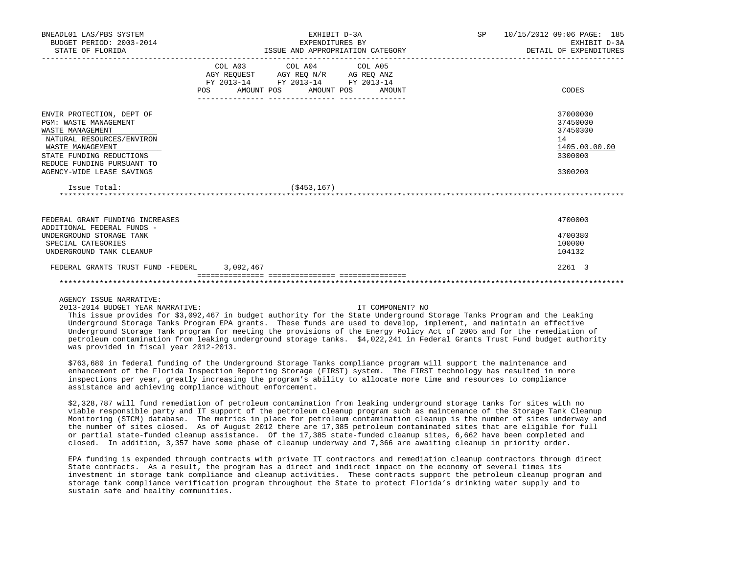| BNEADL01 LAS/PBS SYSTEM<br>BUDGET PERIOD: 2003-2014<br>STATE OF FLORIDA                                                                                                                                               | EXHIBIT D-3A<br>EXPENDITURES BY<br>ISSUE AND APPROPRIATION CATEGORY |                                                                                                                                                                                                                                                   |                  | SP 10/15/2012 09:06 PAGE: 185<br>EXHIBIT D-3A<br>DETAIL OF EXPENDITURES       |
|-----------------------------------------------------------------------------------------------------------------------------------------------------------------------------------------------------------------------|---------------------------------------------------------------------|---------------------------------------------------------------------------------------------------------------------------------------------------------------------------------------------------------------------------------------------------|------------------|-------------------------------------------------------------------------------|
|                                                                                                                                                                                                                       | POS AMOUNT POS AMOUNT POS AMOUNT                                    | COL A03 COL A04 COL A05<br>$\begin{tabular}{lllllll} \bf AGY & \bf REQUEST & \bf AGY & \bf REQ & \bf N/R & \bf AG & \bf REQ & \bf ANZ \\ \bf FY & \tt 2013-14 & \bf FY & \tt 2013-14 & \bf FY & \tt 2013-14 \\ \end{tabular}$<br>________________ | ---------------- | CODES                                                                         |
| ENVIR PROTECTION, DEPT OF<br><b>PGM: WASTE MANAGEMENT</b><br>WASTE MANAGEMENT<br>NATURAL RESOURCES/ENVIRON<br>WASTE MANAGEMENT<br>STATE FUNDING REDUCTIONS<br>REDUCE FUNDING PURSUANT TO<br>AGENCY-WIDE LEASE SAVINGS |                                                                     |                                                                                                                                                                                                                                                   |                  | 37000000<br>37450000<br>37450300<br>14<br>1405.00.00.00<br>3300000<br>3300200 |
| Issue Total:                                                                                                                                                                                                          |                                                                     | (S453, 167)                                                                                                                                                                                                                                       |                  |                                                                               |
| FEDERAL GRANT FUNDING INCREASES<br>ADDITIONAL FEDERAL FUNDS -<br>UNDERGROUND STORAGE TANK<br>SPECIAL CATEGORIES<br>UNDERGROUND TANK CLEANUP                                                                           |                                                                     |                                                                                                                                                                                                                                                   |                  | 4700000<br>4700380<br>100000<br>104132                                        |
| FEDERAL GRANTS TRUST FUND -FEDERL 3,092,467                                                                                                                                                                           |                                                                     |                                                                                                                                                                                                                                                   |                  | 2261 3                                                                        |

### AGENCY ISSUE NARRATIVE:

2013-2014 BUDGET YEAR NARRATIVE: IT COMPONENT? NO

 This issue provides for \$3,092,467 in budget authority for the State Underground Storage Tanks Program and the Leaking Underground Storage Tanks Program EPA grants. These funds are used to develop, implement, and maintain an effective Underground Storage Tank program for meeting the provisions of the Energy Policy Act of 2005 and for the remediation of petroleum contamination from leaking underground storage tanks. \$4,022,241 in Federal Grants Trust Fund budget authority was provided in fiscal year 2012-2013.

 \$763,680 in federal funding of the Underground Storage Tanks compliance program will support the maintenance and enhancement of the Florida Inspection Reporting Storage (FIRST) system. The FIRST technology has resulted in more inspections per year, greatly increasing the program's ability to allocate more time and resources to compliance assistance and achieving compliance without enforcement.

 \$2,328,787 will fund remediation of petroleum contamination from leaking underground storage tanks for sites with no viable responsible party and IT support of the petroleum cleanup program such as maintenance of the Storage Tank Cleanup Monitoring (STCM) database. The metrics in place for petroleum contamination cleanup is the number of sites underway and the number of sites closed. As of August 2012 there are 17,385 petroleum contaminated sites that are eligible for full or partial state-funded cleanup assistance. Of the 17,385 state-funded cleanup sites, 6,662 have been completed and closed. In addition, 3,357 have some phase of cleanup underway and 7,366 are awaiting cleanup in priority order.

 EPA funding is expended through contracts with private IT contractors and remediation cleanup contractors through direct State contracts. As a result, the program has a direct and indirect impact on the economy of several times its investment in storage tank compliance and cleanup activities. These contracts support the petroleum cleanup program and storage tank compliance verification program throughout the State to protect Florida's drinking water supply and to sustain safe and healthy communities.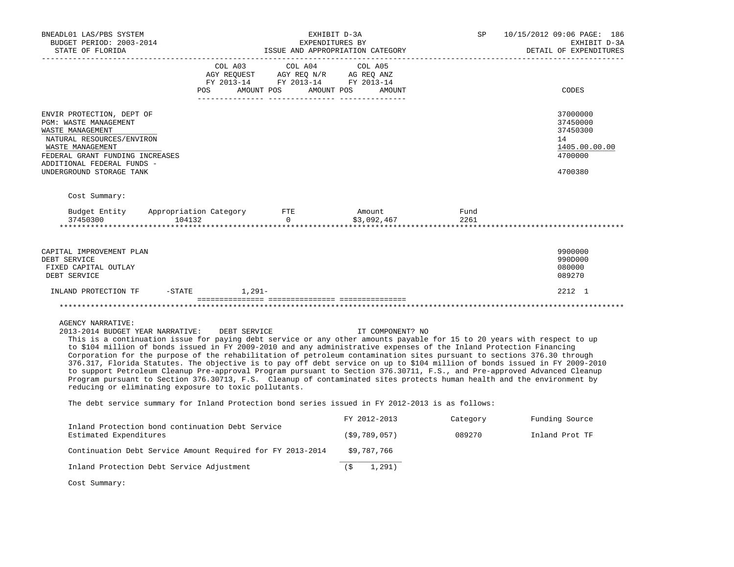| BNEADL01 LAS/PBS SYSTEM<br>BUDGET PERIOD: 2003-2014<br>STATE OF FLORIDA                                                                                                                                                                                                                                                                                                                                                                                                                                                                                                                                                                                                                                                                                                                                                                                                               |                               |                                                                                     | EXHIBIT D-3A<br>EXPENDITURES BY<br>ISSUE AND APPROPRIATION CATEGORY | SP           | 10/15/2012 09:06 PAGE: 186<br>EXHIBIT D-3A<br>DETAIL OF EXPENDITURES          |
|---------------------------------------------------------------------------------------------------------------------------------------------------------------------------------------------------------------------------------------------------------------------------------------------------------------------------------------------------------------------------------------------------------------------------------------------------------------------------------------------------------------------------------------------------------------------------------------------------------------------------------------------------------------------------------------------------------------------------------------------------------------------------------------------------------------------------------------------------------------------------------------|-------------------------------|-------------------------------------------------------------------------------------|---------------------------------------------------------------------|--------------|-------------------------------------------------------------------------------|
|                                                                                                                                                                                                                                                                                                                                                                                                                                                                                                                                                                                                                                                                                                                                                                                                                                                                                       | COL A03<br>AGY REOUEST<br>POS | COL A04<br>AGY REQ N/R AG REQ ANZ<br>FY 2013-14 FY 2013-14 FY 2013-14<br>AMOUNT POS | COL A05<br>AMOUNT POS<br>AMOUNT                                     |              | CODES                                                                         |
| ENVIR PROTECTION, DEPT OF<br>PGM: WASTE MANAGEMENT<br>WASTE MANAGEMENT<br>NATURAL RESOURCES/ENVIRON<br>WASTE MANAGEMENT<br>FEDERAL GRANT FUNDING INCREASES<br>ADDITIONAL FEDERAL FUNDS -<br>UNDERGROUND STORAGE TANK                                                                                                                                                                                                                                                                                                                                                                                                                                                                                                                                                                                                                                                                  |                               |                                                                                     |                                                                     |              | 37000000<br>37450000<br>37450300<br>14<br>1405.00.00.00<br>4700000<br>4700380 |
| Cost Summary:<br>Budget Entity<br>37450300<br>104132<br>***********************************                                                                                                                                                                                                                                                                                                                                                                                                                                                                                                                                                                                                                                                                                                                                                                                           | Appropriation Category        | FTE<br>$\Omega$<br>********************                                             | Amount<br>\$3,092,467                                               | Fund<br>2261 |                                                                               |
| CAPITAL IMPROVEMENT PLAN<br>DEBT SERVICE<br>FIXED CAPITAL OUTLAY<br>DEBT SERVICE                                                                                                                                                                                                                                                                                                                                                                                                                                                                                                                                                                                                                                                                                                                                                                                                      |                               |                                                                                     |                                                                     |              | 9900000<br>990D000<br>080000<br>089270                                        |
| INLAND PROTECTION TF<br>$-$ STATE                                                                                                                                                                                                                                                                                                                                                                                                                                                                                                                                                                                                                                                                                                                                                                                                                                                     | $1.291-$                      |                                                                                     |                                                                     |              | 2212 1                                                                        |
| <b>AGENCY NARRATIVE:</b><br>2013-2014 BUDGET YEAR NARRATIVE:<br>This is a continuation issue for paying debt service or any other amounts payable for 15 to 20 years with respect to up<br>to \$104 million of bonds issued in FY 2009-2010 and any administrative expenses of the Inland Protection Financing<br>Corporation for the purpose of the rehabilitation of petroleum contamination sites pursuant to sections 376.30 through<br>376.317, Florida Statutes. The objective is to pay off debt service on up to \$104 million of bonds issued in FY 2009-2010<br>to support Petroleum Cleanup Pre-approval Program pursuant to Section 376.30711, F.S., and Pre-approved Advanced Cleanup<br>Program pursuant to Section 376.30713, F.S. Cleanup of contaminated sites protects human health and the environment by<br>reducing or eliminating exposure to toxic pollutants. | DEBT SERVICE                  |                                                                                     | IT COMPONENT? NO                                                    |              |                                                                               |
| The debt service summary for Inland Protection bond series issued in FY 2012-2013 is as follows:                                                                                                                                                                                                                                                                                                                                                                                                                                                                                                                                                                                                                                                                                                                                                                                      |                               |                                                                                     |                                                                     |              |                                                                               |
| Inland Protection bond continuation Debt Service                                                                                                                                                                                                                                                                                                                                                                                                                                                                                                                                                                                                                                                                                                                                                                                                                                      |                               |                                                                                     | FY 2012-2013                                                        | Category     | Funding Source                                                                |
| Estimated Expenditures                                                                                                                                                                                                                                                                                                                                                                                                                                                                                                                                                                                                                                                                                                                                                                                                                                                                |                               |                                                                                     | (\$9,789,057)                                                       | 089270       | Inland Prot TF                                                                |
| Continuation Debt Service Amount Required for FY 2013-2014                                                                                                                                                                                                                                                                                                                                                                                                                                                                                                                                                                                                                                                                                                                                                                                                                            |                               |                                                                                     | \$9,787,766                                                         |              |                                                                               |
| Inland Protection Debt Service Adjustment                                                                                                                                                                                                                                                                                                                                                                                                                                                                                                                                                                                                                                                                                                                                                                                                                                             |                               |                                                                                     | 1,291)<br>(\$                                                       |              |                                                                               |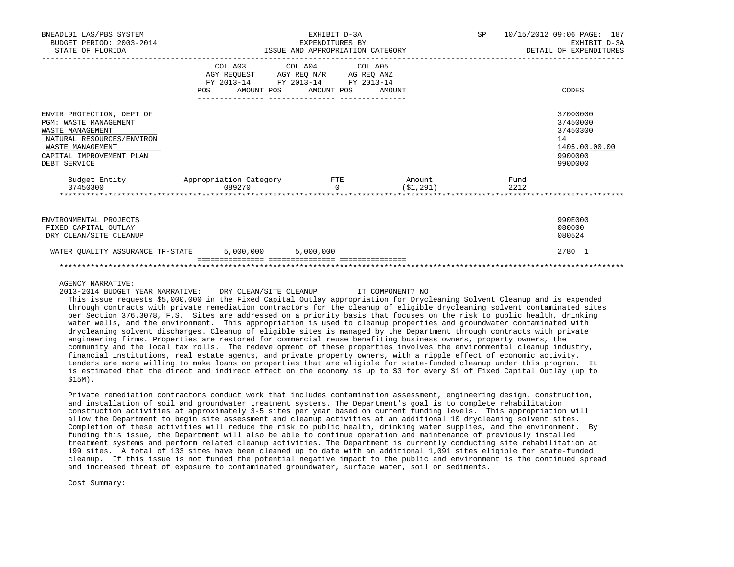| BNEADL01 LAS/PBS SYSTEM<br>BUDGET PERIOD: 2003-2014<br>STATE OF FLORIDA                                                                                                    |            | EXHIBIT D-3A<br>EXPENDITURES BY<br>ISSUE AND APPROPRIATION CATEGORY                                                                                                                                                                                                         |                     | SP | 10/15/2012 09:06 PAGE: 187<br>EXHIBIT D-3A<br>DETAIL OF EXPENDITURES          |
|----------------------------------------------------------------------------------------------------------------------------------------------------------------------------|------------|-----------------------------------------------------------------------------------------------------------------------------------------------------------------------------------------------------------------------------------------------------------------------------|---------------------|----|-------------------------------------------------------------------------------|
|                                                                                                                                                                            | <b>POS</b> | COL A03 COL A04 COL A05<br>$\begin{tabular}{lllllll} \bf AGY \;\; REQUEST \hspace{1cm} AGY \;\; REQ \;\; N/R \hspace{1cm} \bf AG \;\; REQ \;\; ANZ \\ \bf FY \;\; 2013-14 \hspace{1cm} FY \;\; 2013-14 \hspace{1cm} FY \;\; 2013-14 \end{tabular}$<br>AMOUNT POS AMOUNT POS | AMOUNT              |    | CODES                                                                         |
| ENVIR PROTECTION, DEPT OF<br><b>PGM: WASTE MANAGEMENT</b><br>WASTE MANAGEMENT<br>NATURAL RESOURCES/ENVIRON<br>WASTE MANAGEMENT<br>CAPITAL IMPROVEMENT PLAN<br>DEBT SERVICE |            |                                                                                                                                                                                                                                                                             |                     |    | 37000000<br>37450000<br>37450300<br>14<br>1405.00.00.00<br>9900000<br>990D000 |
| Budget Entity Appropriation Category FTE<br>37450300                                                                                                                       | 089270     | $\cap$                                                                                                                                                                                                                                                                      | Amount<br>(S1, 291) |    | Fund<br>2212                                                                  |
| ENVIRONMENTAL PROJECTS<br>FIXED CAPITAL OUTLAY<br>DRY CLEAN/SITE CLEANUP                                                                                                   |            |                                                                                                                                                                                                                                                                             |                     |    | 990E000<br>080000<br>080524                                                   |
| WATER OUALITY ASSURANCE TF-STATE 5,000,000 5,000,000                                                                                                                       |            |                                                                                                                                                                                                                                                                             |                     |    | 2780 1                                                                        |

# AGENCY NARRATIVE:

2013-2014 BUDGET YEAR NARRATIVE: DRY CLEAN/SITE CLEANUP IT COMPONENT? NO

 This issue requests \$5,000,000 in the Fixed Capital Outlay appropriation for Drycleaning Solvent Cleanup and is expended through contracts with private remediation contractors for the cleanup of eligible drycleaning solvent contaminated sites per Section 376.3078, F.S. Sites are addressed on a priority basis that focuses on the risk to public health, drinking water wells, and the environment. This appropriation is used to cleanup properties and groundwater contaminated with drycleaning solvent discharges. Cleanup of eligible sites is managed by the Department through contracts with private engineering firms. Properties are restored for commercial reuse benefiting business owners, property owners, the community and the local tax rolls. The redevelopment of these properties involves the environmental cleanup industry, financial institutions, real estate agents, and private property owners, with a ripple effect of economic activity. Lenders are more willing to make loans on properties that are eligible for state-funded cleanup under this program. It is estimated that the direct and indirect effect on the economy is up to \$3 for every \$1 of Fixed Capital Outlay (up to \$15M).

 Private remediation contractors conduct work that includes contamination assessment, engineering design, construction, and installation of soil and groundwater treatment systems. The Department's goal is to complete rehabilitation construction activities at approximately 3-5 sites per year based on current funding levels. This appropriation will allow the Department to begin site assessment and cleanup activities at an additional 10 drycleaning solvent sites. Completion of these activities will reduce the risk to public health, drinking water supplies, and the environment. By funding this issue, the Department will also be able to continue operation and maintenance of previously installed treatment systems and perform related cleanup activities. The Department is currently conducting site rehabilitation at 199 sites. A total of 133 sites have been cleaned up to date with an additional 1,091 sites eligible for state-funded cleanup. If this issue is not funded the potential negative impact to the public and environment is the continued spread and increased threat of exposure to contaminated groundwater, surface water, soil or sediments.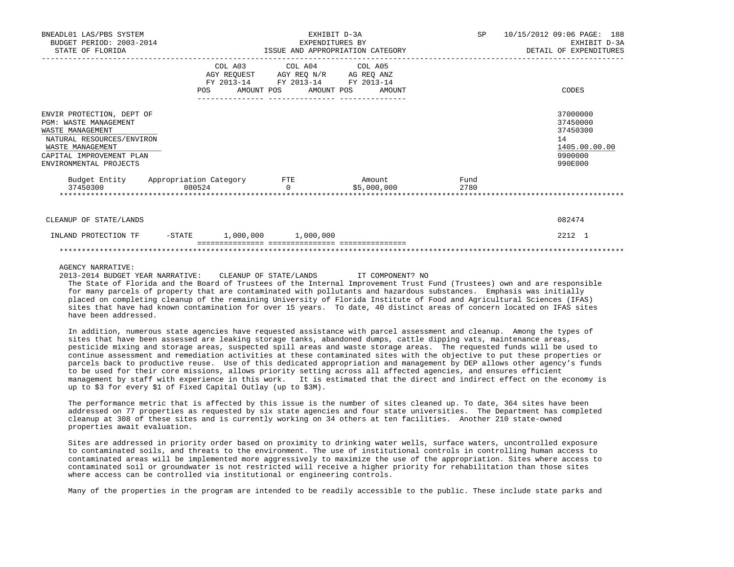| BNEADL01 LAS/PBS SYSTEM<br>BUDGET PERIOD: 2003-2014<br>STATE OF FLORIDA                                                                                                              |        | EXHIBIT D-3A<br>EXPENDITURES BY<br>ISSUE AND APPROPRIATION CATEGORY<br>------------ |                 |  |                              | SP           | 10/15/2012 09:06 PAGE: 188<br>EXHIBIT D-3A<br>DETAIL OF EXPENDITURES |                                                                               |
|--------------------------------------------------------------------------------------------------------------------------------------------------------------------------------------|--------|-------------------------------------------------------------------------------------|-----------------|--|------------------------------|--------------|----------------------------------------------------------------------|-------------------------------------------------------------------------------|
|                                                                                                                                                                                      | POS    | COL A03<br>AGY REQUEST AGY REQ N/R AG REQ ANZ<br>FY 2013-14 FY 2013-14 FY 2013-14   | COL A04 COL A05 |  | AMOUNT POS AMOUNT POS AMOUNT |              |                                                                      | CODES                                                                         |
| ENVIR PROTECTION, DEPT OF<br><b>PGM: WASTE MANAGEMENT</b><br>WASTE MANAGEMENT<br>NATURAL RESOURCES/ENVIRON<br>WASTE MANAGEMENT<br>CAPITAL IMPROVEMENT PLAN<br>ENVIRONMENTAL PROJECTS |        |                                                                                     |                 |  |                              |              |                                                                      | 37000000<br>37450000<br>37450300<br>14<br>1405.00.00.00<br>9900000<br>990E000 |
| Budget Entity Appropriation Category FTE<br>37450300 080524 0                                                                                                                        |        |                                                                                     |                 |  | <b>Amount</b><br>\$5,000,000 | Fund<br>2780 |                                                                      |                                                                               |
| CLEANUP OF STATE/LANDS                                                                                                                                                               |        |                                                                                     |                 |  |                              |              |                                                                      | 082474                                                                        |
| INLAND PROTECTION TF                                                                                                                                                                 | -STATE | $1,000,000$ $1,000,000$                                                             |                 |  |                              |              |                                                                      | 2212 1                                                                        |
|                                                                                                                                                                                      |        |                                                                                     |                 |  |                              |              |                                                                      |                                                                               |

### AGENCY NARRATIVE:

 2013-2014 BUDGET YEAR NARRATIVE: CLEANUP OF STATE/LANDS IT COMPONENT? NO The State of Florida and the Board of Trustees of the Internal Improvement Trust Fund (Trustees) own and are responsible for many parcels of property that are contaminated with pollutants and hazardous substances. Emphasis was initially placed on completing cleanup of the remaining University of Florida Institute of Food and Agricultural Sciences (IFAS) sites that have had known contamination for over 15 years. To date, 40 distinct areas of concern located on IFAS sites have been addressed.

 In addition, numerous state agencies have requested assistance with parcel assessment and cleanup. Among the types of sites that have been assessed are leaking storage tanks, abandoned dumps, cattle dipping vats, maintenance areas, pesticide mixing and storage areas, suspected spill areas and waste storage areas. The requested funds will be used to continue assessment and remediation activities at these contaminated sites with the objective to put these properties or parcels back to productive reuse. Use of this dedicated appropriation and management by DEP allows other agency's funds to be used for their core missions, allows priority setting across all affected agencies, and ensures efficient management by staff with experience in this work. It is estimated that the direct and indirect effect on the economy is up to \$3 for every \$1 of Fixed Capital Outlay (up to \$3M).

 The performance metric that is affected by this issue is the number of sites cleaned up. To date, 364 sites have been addressed on 77 properties as requested by six state agencies and four state universities. The Department has completed cleanup at 308 of these sites and is currently working on 34 others at ten facilities. Another 210 state-owned properties await evaluation.

 Sites are addressed in priority order based on proximity to drinking water wells, surface waters, uncontrolled exposure to contaminated soils, and threats to the environment. The use of institutional controls in controlling human access to contaminated areas will be implemented more aggressively to maximize the use of the appropriation. Sites where access to contaminated soil or groundwater is not restricted will receive a higher priority for rehabilitation than those sites where access can be controlled via institutional or engineering controls.

Many of the properties in the program are intended to be readily accessible to the public. These include state parks and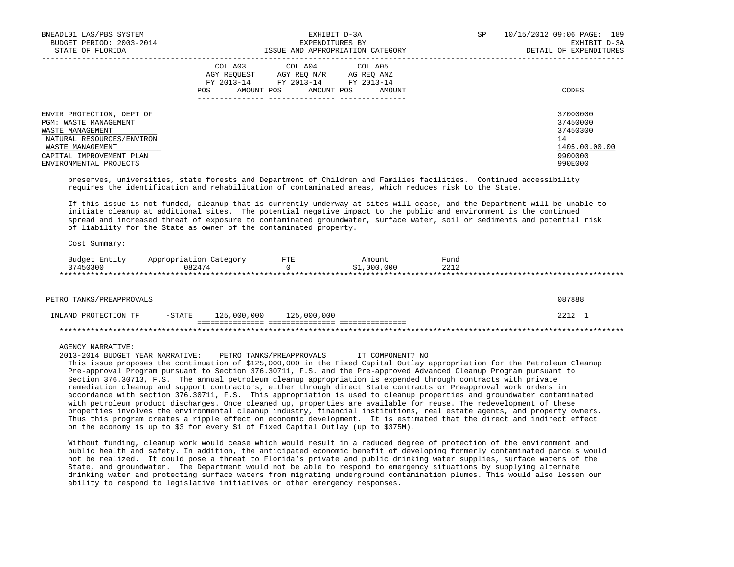| BNEADL01 LAS/PBS SYSTEM<br>BUDGET PERIOD: 2003-2014<br>STATE OF FLORIDA                                                                                                              | EXHIBIT D-3A<br>EXPENDITURES BY<br>ISSUE AND APPROPRIATION CATEGORY                                                                                     | 10/15/2012 09:06 PAGE: 189<br>SP<br>EXHIBIT D-3A<br>DETAIL OF EXPENDITURES    |
|--------------------------------------------------------------------------------------------------------------------------------------------------------------------------------------|---------------------------------------------------------------------------------------------------------------------------------------------------------|-------------------------------------------------------------------------------|
|                                                                                                                                                                                      | COL A03 COL A04 COL A05<br>AGY REOUEST<br>AGY REO N/R<br>AG REO ANZ<br>FY 2013-14 FY 2013-14<br>FY 2013-14<br>AMOUNT POS<br>AMOUNT POS<br>POS<br>AMOUNT | CODES                                                                         |
| ENVIR PROTECTION, DEPT OF<br><b>PGM: WASTE MANAGEMENT</b><br>WASTE MANAGEMENT<br>NATURAL RESOURCES/ENVIRON<br>WASTE MANAGEMENT<br>CAPITAL IMPROVEMENT PLAN<br>ENVIRONMENTAL PROJECTS |                                                                                                                                                         | 37000000<br>37450000<br>37450300<br>14<br>1405.00.00.00<br>9900000<br>990E000 |

 preserves, universities, state forests and Department of Children and Families facilities. Continued accessibility requires the identification and rehabilitation of contaminated areas, which reduces risk to the State.

 If this issue is not funded, cleanup that is currently underway at sites will cease, and the Department will be unable to initiate cleanup at additional sites. The potential negative impact to the public and environment is the continued spread and increased threat of exposure to contaminated groundwater, surface water, soil or sediments and potential risk of liability for the State as owner of the contaminated property.

Cost Summary:

| Budget Entity | Appropriation Category | FTE | Amount      | Fund         |  |
|---------------|------------------------|-----|-------------|--------------|--|
| 37450300      | 082474                 |     | \$1,000,000 | 221c<br>4414 |  |
|               |                        |     |             |              |  |

| PETRO TANKS/PREAPPROVALS |        |                         |  | 087888 |  |
|--------------------------|--------|-------------------------|--|--------|--|
| INLAND PROTECTION TF     | -STATE | 125,000,000 125,000,000 |  | 2212   |  |
|                          |        |                         |  |        |  |

AGENCY NARRATIVE:

 2013-2014 BUDGET YEAR NARRATIVE: PETRO TANKS/PREAPPROVALS IT COMPONENT? NO This issue proposes the continuation of \$125,000,000 in the Fixed Capital Outlay appropriation for the Petroleum Cleanup Pre-approval Program pursuant to Section 376.30711, F.S. and the Pre-approved Advanced Cleanup Program pursuant to Section 376.30713, F.S. The annual petroleum cleanup appropriation is expended through contracts with private remediation cleanup and support contractors, either through direct State contracts or Preapproval work orders in accordance with section 376.30711, F.S. This appropriation is used to cleanup properties and groundwater contaminated with petroleum product discharges. Once cleaned up, properties are available for reuse. The redevelopment of these properties involves the environmental cleanup industry, financial institutions, real estate agents, and property owners. Thus this program creates a ripple effect on economic development. It is estimated that the direct and indirect effect on the economy is up to \$3 for every \$1 of Fixed Capital Outlay (up to \$375M).

 Without funding, cleanup work would cease which would result in a reduced degree of protection of the environment and public health and safety. In addition, the anticipated economic benefit of developing formerly contaminated parcels would not be realized. It could pose a threat to Florida's private and public drinking water supplies, surface waters of the State, and groundwater. The Department would not be able to respond to emergency situations by supplying alternate drinking water and protecting surface waters from migrating underground contamination plumes. This would also lessen our ability to respond to legislative initiatives or other emergency responses.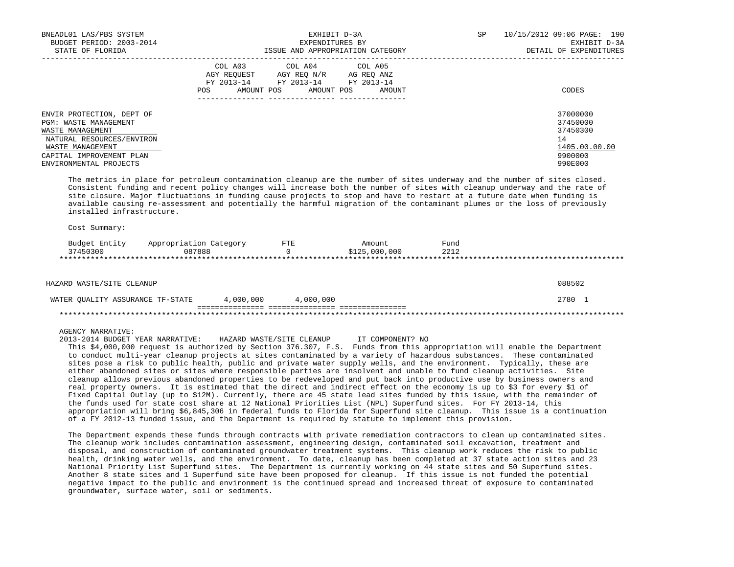| BNEADL01 LAS/PBS SYSTEM<br>BUDGET PERIOD: 2003-2014<br>STATE OF FLORIDA                                                                                                       | EXHIBIT D-3A<br>EXPENDITURES BY<br>ISSUE AND APPROPRIATION CATEGORY                                                                                  | 10/15/2012 09:06 PAGE: 190<br>SP.<br>EXHIBIT D-3A<br>DETAIL OF EXPENDITURES   |
|-------------------------------------------------------------------------------------------------------------------------------------------------------------------------------|------------------------------------------------------------------------------------------------------------------------------------------------------|-------------------------------------------------------------------------------|
|                                                                                                                                                                               | COL A03 COL A04 COL A05<br>AGY REOUEST<br>AGY REO N/R<br>AG REO ANZ<br>FY 2013-14 FY 2013-14 FY 2013-14<br>AMOUNT POS<br>AMOUNT POS<br>POS<br>AMOUNT | CODES                                                                         |
| ENVIR PROTECTION, DEPT OF<br>PGM: WASTE MANAGEMENT<br>WASTE MANAGEMENT<br>NATURAL RESOURCES/ENVIRON<br>WASTE MANAGEMENT<br>CAPITAL IMPROVEMENT PLAN<br>ENVIRONMENTAL PROJECTS |                                                                                                                                                      | 37000000<br>37450000<br>37450300<br>14<br>1405.00.00.00<br>9900000<br>990E000 |

 The metrics in place for petroleum contamination cleanup are the number of sites underway and the number of sites closed. Consistent funding and recent policy changes will increase both the number of sites with cleanup underway and the rate of site closure. Major fluctuations in funding cause projects to stop and have to restart at a future date when funding is available causing re-assessment and potentially the harmful migration of the contaminant plumes or the loss of previously installed infrastructure.

Cost Summary:

| Budget<br>Entity | Appropriation Category | FTE | Amount        | Fund |  |
|------------------|------------------------|-----|---------------|------|--|
| 37450300         | 087888                 |     | \$125,000,000 | 2212 |  |
|                  |                        |     |               |      |  |

| HAZARD WASTE/SITE CLEANUP        |           |           | 088502 |
|----------------------------------|-----------|-----------|--------|
| WATER OUALITY ASSURANCE TF-STATE | 4,000,000 | 4,000,000 | 2780   |
|                                  |           |           |        |

### AGENCY NARRATIVE:

2013-2014 BUDGET YEAR NARRATIVE: HAZARD WASTE/SITE CLEANUP IT COMPONENT? NO

 This \$4,000,000 request is authorized by Section 376.307, F.S. Funds from this appropriation will enable the Department to conduct multi-year cleanup projects at sites contaminated by a variety of hazardous substances. These contaminated sites pose a risk to public health, public and private water supply wells, and the environment. Typically, these are either abandoned sites or sites where responsible parties are insolvent and unable to fund cleanup activities. Site cleanup allows previous abandoned properties to be redeveloped and put back into productive use by business owners and real property owners. It is estimated that the direct and indirect effect on the economy is up to \$3 for every \$1 of Fixed Capital Outlay (up to \$12M). Currently, there are 45 state lead sites funded by this issue, with the remainder of the funds used for state cost share at 12 National Priorities List (NPL) Superfund sites. For FY 2013-14, this appropriation will bring \$6,845,306 in federal funds to Florida for Superfund site cleanup. This issue is a continuation of a FY 2012-13 funded issue, and the Department is required by statute to implement this provision.

 The Department expends these funds through contracts with private remediation contractors to clean up contaminated sites. The cleanup work includes contamination assessment, engineering design, contaminated soil excavation, treatment and disposal, and construction of contaminated groundwater treatment systems. This cleanup work reduces the risk to public health, drinking water wells, and the environment. To date, cleanup has been completed at 37 state action sites and 23 National Priority List Superfund sites. The Department is currently working on 44 state sites and 50 Superfund sites. Another 8 state sites and 1 Superfund site have been proposed for cleanup. If this issue is not funded the potential negative impact to the public and environment is the continued spread and increased threat of exposure to contaminated groundwater, surface water, soil or sediments.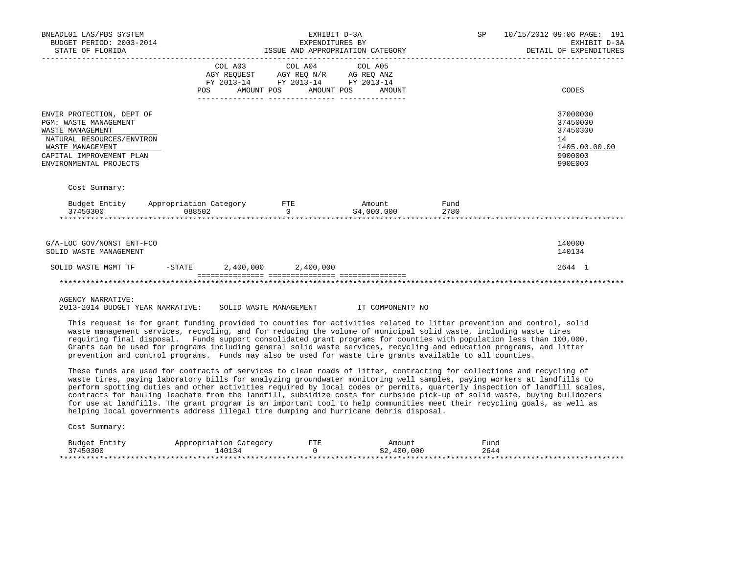| BNEADL01 LAS/PBS SYSTEM<br>BUDGET PERIOD: 2003-2014<br>STATE OF FLORIDA                                                                                                       |                                                                                                                                                                                                                                                                                                                                                                                                                                                                                                                                                                                                                                                                                                                              | EXHIBIT D-3A<br>EXPENDITURES BY<br>ISSUE AND APPROPRIATION CATEGORY                                           |                                               | SP           | 10/15/2012 09:06 PAGE: 191<br>EXHIBIT D-3A<br>DETAIL OF EXPENDITURES          |
|-------------------------------------------------------------------------------------------------------------------------------------------------------------------------------|------------------------------------------------------------------------------------------------------------------------------------------------------------------------------------------------------------------------------------------------------------------------------------------------------------------------------------------------------------------------------------------------------------------------------------------------------------------------------------------------------------------------------------------------------------------------------------------------------------------------------------------------------------------------------------------------------------------------------|---------------------------------------------------------------------------------------------------------------|-----------------------------------------------|--------------|-------------------------------------------------------------------------------|
|                                                                                                                                                                               | COL A03<br>POS                                                                                                                                                                                                                                                                                                                                                                                                                                                                                                                                                                                                                                                                                                               | COL A04<br>AGY REQUEST AGY REQ N/R AG REQ ANZ<br>FY 2013-14 FY 2013-14 FY 2013-14<br>AMOUNT POS<br>AMOUNT POS | COL A05<br>AMOUNT                             |              | CODES                                                                         |
| ENVIR PROTECTION, DEPT OF<br>PGM: WASTE MANAGEMENT<br>WASTE MANAGEMENT<br>NATURAL RESOURCES/ENVIRON<br>WASTE MANAGEMENT<br>CAPITAL IMPROVEMENT PLAN<br>ENVIRONMENTAL PROJECTS |                                                                                                                                                                                                                                                                                                                                                                                                                                                                                                                                                                                                                                                                                                                              |                                                                                                               |                                               |              | 37000000<br>37450000<br>37450300<br>14<br>1405.00.00.00<br>9900000<br>990E000 |
| Cost Summary:                                                                                                                                                                 |                                                                                                                                                                                                                                                                                                                                                                                                                                                                                                                                                                                                                                                                                                                              |                                                                                                               |                                               |              |                                                                               |
| Budget Entity<br>37450300                                                                                                                                                     | Appropriation Category<br>088502                                                                                                                                                                                                                                                                                                                                                                                                                                                                                                                                                                                                                                                                                             | ETE<br>$\Omega$                                                                                               | Amount<br>\$4,000,000<br>******************** | Fund<br>2780 |                                                                               |
| G/A-LOC GOV/NONST ENT-FCO<br>SOLID WASTE MANAGEMENT<br>SOLID WASTE MGMT TF                                                                                                    | 2,400,000<br>$-$ STATE                                                                                                                                                                                                                                                                                                                                                                                                                                                                                                                                                                                                                                                                                                       | 2,400,000                                                                                                     |                                               |              | 140000<br>140134<br>2644 1                                                    |
| <b>AGENCY NARRATIVE:</b><br>2013-2014 BUDGET YEAR NARRATIVE:                                                                                                                  |                                                                                                                                                                                                                                                                                                                                                                                                                                                                                                                                                                                                                                                                                                                              | SOLID WASTE MANAGEMENT                                                                                        | IT COMPONENT? NO                              |              |                                                                               |
|                                                                                                                                                                               | This request is for grant funding provided to counties for activities related to litter prevention and control, solid<br>waste management services, recycling, and for reducing the volume of municipal solid waste, including waste tires<br>requiring final disposal. Funds support consolidated grant programs for counties with population less than 100,000.<br>Grants can be used for programs including general solid waste services, recycling and education programs, and litter<br>prevention and control programs. Funds may also be used for waste tire grants available to all counties.                                                                                                                        |                                                                                                               |                                               |              |                                                                               |
|                                                                                                                                                                               | These funds are used for contracts of services to clean roads of litter, contracting for collections and recycling of<br>waste tires, paying laboratory bills for analyzing groundwater monitoring well samples, paying workers at landfills to<br>perform spotting duties and other activities required by local codes or permits, quarterly inspection of landfill scales,<br>contracts for hauling leachate from the landfill, subsidize costs for curbside pick-up of solid waste, buying bulldozers<br>for use at landfills. The grant program is an important tool to help communities meet their recycling goals, as well as<br>helping local governments address illegal tire dumping and hurricane debris disposal. |                                                                                                               |                                               |              |                                                                               |
| Cost Summary:                                                                                                                                                                 |                                                                                                                                                                                                                                                                                                                                                                                                                                                                                                                                                                                                                                                                                                                              |                                                                                                               |                                               |              |                                                                               |
| Budget Entity<br>37450300                                                                                                                                                     | Appropriation Category<br>140134                                                                                                                                                                                                                                                                                                                                                                                                                                                                                                                                                                                                                                                                                             | FTE<br>$\Omega$                                                                                               | Amount<br>\$2,400,000                         | Fund<br>2644 |                                                                               |

\*\*\*\*\*\*\*\*\*\*\*\*\*\*\*\*\*\*\*\*\*\*\*\*\*\*\*\*\*\*\*\*\*\*\*\*\*\*\*\*\*\*\*\*\*\*\*\*\*\*\*\*\*\*\*\*\*\*\*\*\*\*\*\*\*\*\*\*\*\*\*\*\*\*\*\*\*\*\*\*\*\*\*\*\*\*\*\*\*\*\*\*\*\*\*\*\*\*\*\*\*\*\*\*\*\*\*\*\*\*\*\*\*\*\*\*\*\*\*\*\*\*\*\*\*\*\*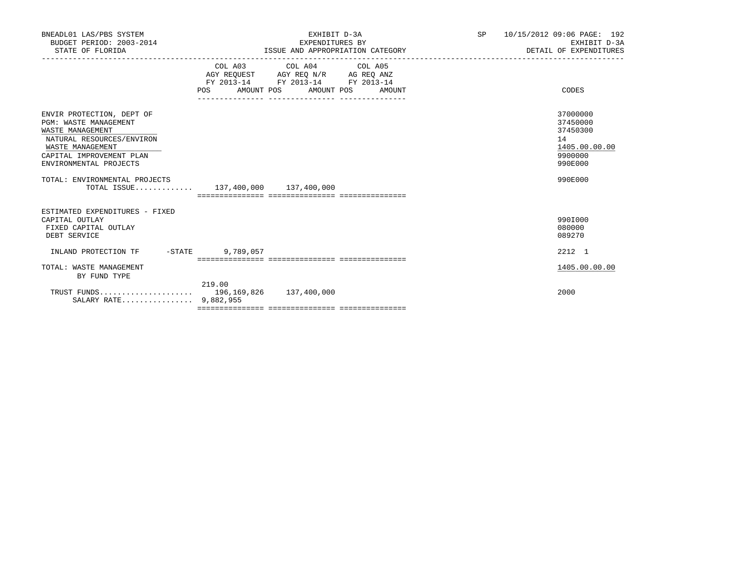| BNEADL01 LAS/PBS SYSTEM<br>BUDGET PERIOD: 2003-2014<br>STATE OF FLORIDA                                                                                                                                                                                      |           | EXHIBIT D-3A<br>EXPENDITURES BY<br>ISSUE AND APPROPRIATION CATEGORY                                                        | SP <sub>2</sub> | 10/15/2012 09:06 PAGE: 192<br>EXHIBIT D-3A<br>DETAIL OF EXPENDITURES |                                                                                          |
|--------------------------------------------------------------------------------------------------------------------------------------------------------------------------------------------------------------------------------------------------------------|-----------|----------------------------------------------------------------------------------------------------------------------------|-----------------|----------------------------------------------------------------------|------------------------------------------------------------------------------------------|
|                                                                                                                                                                                                                                                              | POS       | COL A03 COL A04 COL A05<br>AGY REQUEST AGY REQ N/R AG REQ ANZ<br>FY 2013-14 FY 2013-14 FY 2013-14<br>AMOUNT POS AMOUNT POS | AMOUNT          |                                                                      | CODES                                                                                    |
| ENVIR PROTECTION, DEPT OF<br><b>PGM: WASTE MANAGEMENT</b><br>WASTE MANAGEMENT<br>NATURAL RESOURCES/ENVIRON<br>WASTE MANAGEMENT<br>CAPITAL IMPROVEMENT PLAN<br>ENVIRONMENTAL PROJECTS<br>TOTAL: ENVIRONMENTAL PROJECTS<br>TOTAL ISSUE 137,400,000 137,400,000 |           |                                                                                                                            |                 |                                                                      | 37000000<br>37450000<br>37450300<br>14<br>1405.00.00.00<br>9900000<br>990E000<br>990E000 |
| ESTIMATED EXPENDITURES - FIXED<br>CAPITAL OUTLAY<br>FIXED CAPITAL OUTLAY<br>DEBT SERVICE                                                                                                                                                                     |           |                                                                                                                            |                 |                                                                      | 990I000<br>080000<br>089270                                                              |
| INLAND PROTECTION TF -STATE                                                                                                                                                                                                                                  | 9,789,057 |                                                                                                                            |                 |                                                                      | 2212 1                                                                                   |
| TOTAL: WASTE MANAGEMENT<br>BY FUND TYPE                                                                                                                                                                                                                      |           |                                                                                                                            |                 |                                                                      | 1405.00.00.00                                                                            |
| SALARY RATE 9,882,955                                                                                                                                                                                                                                        | 219.00    |                                                                                                                            |                 |                                                                      | 2000                                                                                     |
|                                                                                                                                                                                                                                                              |           |                                                                                                                            |                 |                                                                      |                                                                                          |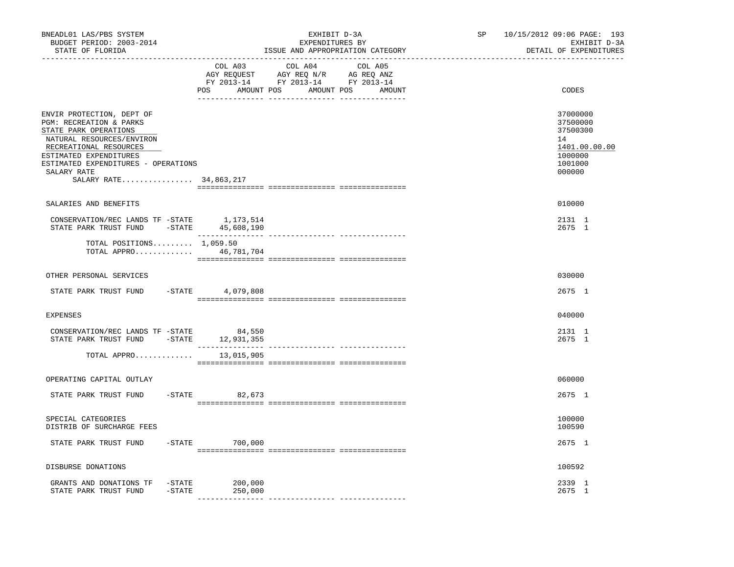| BNEADL01 LAS/PBS SYSTEM<br>BUDGET PERIOD: 2003-2014<br>STATE OF FLORIDA                                                                                                                                                                                                                    | ________________________________ | EXHIBIT D-3A<br>EXPENDITURES BY<br>ISSUE AND APPROPRIATION CATEGORY                                                                                                                                                                                                          | 10/15/2012 09:06 PAGE: 193<br><b>SP</b><br>EXHIBIT D-3A<br>DETAIL OF EXPENDITURES<br>______________________________ |                                                                                         |
|--------------------------------------------------------------------------------------------------------------------------------------------------------------------------------------------------------------------------------------------------------------------------------------------|----------------------------------|------------------------------------------------------------------------------------------------------------------------------------------------------------------------------------------------------------------------------------------------------------------------------|---------------------------------------------------------------------------------------------------------------------|-----------------------------------------------------------------------------------------|
|                                                                                                                                                                                                                                                                                            | COL A03                          | COL A04<br>COL A05<br>$\begin{tabular}{lllllllll} \bf{AGY} & \bf{REQUEST} & \bf{AGY} & \bf{REQ} & \bf{N/R} & \bf{AG} & \bf{REQ} & \bf{ANZ} \\ \bf{FY} & \bf{2013-14} & \bf{FY} & \bf{2013-14} & \bf{FY} & \bf{2013-14} \\ \end{tabular}$<br>POS AMOUNT POS AMOUNT POS AMOUNT |                                                                                                                     | CODES                                                                                   |
| ENVIR PROTECTION, DEPT OF<br>PGM: RECREATION & PARKS<br>STATE PARK OPERATIONS<br>NATURAL RESOURCES/ENVIRON<br>RECREATIONAL RESOURCES<br>ESTIMATED EXPENDITURES<br>ESTIMATED EXPENDITURES - OPERATIONS<br>SALARY RATE<br>SALARY RATE 34,863,217                                             |                                  |                                                                                                                                                                                                                                                                              |                                                                                                                     | 37000000<br>37500000<br>37500300<br>14<br>1401.00.00.00<br>1000000<br>1001000<br>000000 |
| SALARIES AND BENEFITS                                                                                                                                                                                                                                                                      |                                  |                                                                                                                                                                                                                                                                              |                                                                                                                     | 010000                                                                                  |
| $\begin{tabular}{lllllllllll} \multicolumn{2}{c}{\textbf{CONSERVATION/REC} & \textbf{LANDS} & \textbf{TF} & -\textbf{STATE} & & 1,173,514 \\ \textbf{STATE} & \textbf{PARK} & \textbf{TRUE} & \textbf{FUND} & -\textbf{STATE} & & 45,608,190 \\ \end{tabular}$                             |                                  |                                                                                                                                                                                                                                                                              |                                                                                                                     | 2131 1<br>2675 1                                                                        |
| TOTAL POSITIONS $1,059.50$<br>TOTAL APPRO 46,781,704                                                                                                                                                                                                                                       |                                  |                                                                                                                                                                                                                                                                              |                                                                                                                     |                                                                                         |
| OTHER PERSONAL SERVICES                                                                                                                                                                                                                                                                    |                                  |                                                                                                                                                                                                                                                                              |                                                                                                                     | 030000                                                                                  |
| STATE PARK TRUST FUND                                                                                                                                                                                                                                                                      | $-$ STATE 4,079,808              |                                                                                                                                                                                                                                                                              |                                                                                                                     | 2675 1                                                                                  |
| <b>EXPENSES</b>                                                                                                                                                                                                                                                                            |                                  |                                                                                                                                                                                                                                                                              |                                                                                                                     | 040000                                                                                  |
| $\begin{tabular}{lllllllll} \multicolumn{2}{c}{\textbf{CONSERVATION/REC} & \textbf{LANDS} & \textbf{TF} & -\textbf{STATE} & \textbf{84,550} \\ \multicolumn{2}{c}{\textbf{STATE} & \textbf{PARK} & \textbf{TRUE} & \textbf{FUND} & -\textbf{STATE} & \textbf{12,931,355} \\ \end{tabular}$ |                                  |                                                                                                                                                                                                                                                                              |                                                                                                                     | 2131 1<br>2675 1                                                                        |
| TOTAL APPRO                                                                                                                                                                                                                                                                                | 13,015,905                       |                                                                                                                                                                                                                                                                              |                                                                                                                     |                                                                                         |
| OPERATING CAPITAL OUTLAY                                                                                                                                                                                                                                                                   |                                  |                                                                                                                                                                                                                                                                              |                                                                                                                     | 060000                                                                                  |
| STATE PARK TRUST FUND                                                                                                                                                                                                                                                                      | $-STATE$ 82,673                  |                                                                                                                                                                                                                                                                              |                                                                                                                     | 2675 1                                                                                  |
| SPECIAL CATEGORIES<br>DISTRIB OF SURCHARGE FEES                                                                                                                                                                                                                                            |                                  |                                                                                                                                                                                                                                                                              |                                                                                                                     | 100000<br>100590                                                                        |
| STATE PARK TRUST FUND                                                                                                                                                                                                                                                                      | $-STATE$ 700,000                 |                                                                                                                                                                                                                                                                              |                                                                                                                     | 2675 1                                                                                  |
| DISBURSE DONATIONS                                                                                                                                                                                                                                                                         |                                  |                                                                                                                                                                                                                                                                              |                                                                                                                     | 100592                                                                                  |
| GRANTS AND DONATIONS TF -STATE<br>STATE PARK TRUST FUND - STATE                                                                                                                                                                                                                            | 200,000<br>250,000<br>__________ |                                                                                                                                                                                                                                                                              |                                                                                                                     | 2339 1<br>2675 1                                                                        |
|                                                                                                                                                                                                                                                                                            |                                  |                                                                                                                                                                                                                                                                              |                                                                                                                     |                                                                                         |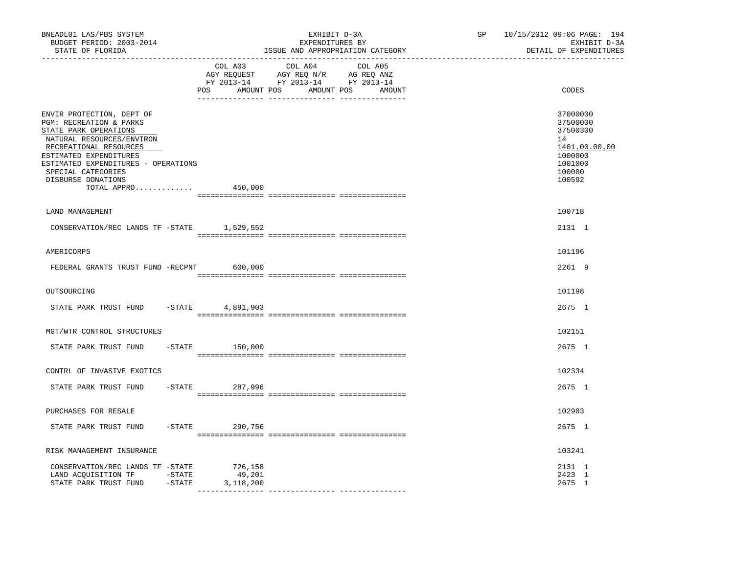| BNEADL01 LAS/PBS SYSTEM<br>BUDGET PERIOD: 2003-2014<br>STATE OF FLORIDA<br>------------------                                                                                                                                                                    |                   | EXHIBIT D-3A<br>EXPENDITURES BY<br>ISSUE AND APPROPRIATION CATEGORY                                                                 | SP and the set of the set of the set of the set of the set of the set of the set of the set of the set of the set of the set of the set of the set of the set of the set of the set of the set of the set of the set of the se | 10/15/2012 09:06 PAGE: 194<br>EXHIBIT D-3A<br>DETAIL OF EXPENDITURES                              |
|------------------------------------------------------------------------------------------------------------------------------------------------------------------------------------------------------------------------------------------------------------------|-------------------|-------------------------------------------------------------------------------------------------------------------------------------|--------------------------------------------------------------------------------------------------------------------------------------------------------------------------------------------------------------------------------|---------------------------------------------------------------------------------------------------|
|                                                                                                                                                                                                                                                                  | COL A03           | COL A04<br>COL A05<br>AGY REQUEST AGY REQ N/R AG REQ ANZ<br>FY 2013-14 FY 2013-14 FY 2013-14<br>POS AMOUNT POS AMOUNT POS<br>AMOUNT |                                                                                                                                                                                                                                | CODES                                                                                             |
| ENVIR PROTECTION, DEPT OF<br>PGM: RECREATION & PARKS<br>STATE PARK OPERATIONS<br>NATURAL RESOURCES/ENVIRON<br>RECREATIONAL RESOURCES<br>ESTIMATED EXPENDITURES<br>ESTIMATED EXPENDITURES - OPERATIONS<br>SPECIAL CATEGORIES<br>DISBURSE DONATIONS<br>TOTAL APPRO | 450,000           |                                                                                                                                     |                                                                                                                                                                                                                                | 37000000<br>37500000<br>37500300<br>14<br>1401.00.00.00<br>1000000<br>1001000<br>100000<br>100592 |
|                                                                                                                                                                                                                                                                  |                   |                                                                                                                                     |                                                                                                                                                                                                                                |                                                                                                   |
| LAND MANAGEMENT<br>CONSERVATION/REC LANDS TF -STATE 1,529,552                                                                                                                                                                                                    |                   |                                                                                                                                     |                                                                                                                                                                                                                                | 100718<br>2131 1                                                                                  |
| AMERICORPS                                                                                                                                                                                                                                                       |                   |                                                                                                                                     |                                                                                                                                                                                                                                | 101196                                                                                            |
| FEDERAL GRANTS TRUST FUND -RECPNT 600,000                                                                                                                                                                                                                        |                   |                                                                                                                                     |                                                                                                                                                                                                                                | 2261 9                                                                                            |
| OUTSOURCING                                                                                                                                                                                                                                                      |                   |                                                                                                                                     |                                                                                                                                                                                                                                | 101198                                                                                            |
| STATE PARK TRUST FUND - STATE 4,891,903                                                                                                                                                                                                                          |                   |                                                                                                                                     |                                                                                                                                                                                                                                | 2675 1                                                                                            |
| MGT/WTR CONTROL STRUCTURES                                                                                                                                                                                                                                       |                   |                                                                                                                                     |                                                                                                                                                                                                                                | 102151                                                                                            |
| STATE PARK TRUST FUND                                                                                                                                                                                                                                            | $-$ STATE 150,000 |                                                                                                                                     |                                                                                                                                                                                                                                | 2675 1                                                                                            |
| CONTRL OF INVASIVE EXOTICS                                                                                                                                                                                                                                       |                   |                                                                                                                                     |                                                                                                                                                                                                                                | 102334                                                                                            |
| STATE PARK TRUST FUND                                                                                                                                                                                                                                            | -STATE 287,996    |                                                                                                                                     |                                                                                                                                                                                                                                | 2675 1                                                                                            |
| PURCHASES FOR RESALE                                                                                                                                                                                                                                             |                   |                                                                                                                                     |                                                                                                                                                                                                                                | 102903                                                                                            |
| STATE PARK TRUST FUND                                                                                                                                                                                                                                            | -STATE 290,756    |                                                                                                                                     |                                                                                                                                                                                                                                | 2675 1                                                                                            |
| RISK MANAGEMENT INSURANCE                                                                                                                                                                                                                                        |                   |                                                                                                                                     |                                                                                                                                                                                                                                | 103241                                                                                            |
| CONSERVATION/REC LANDS TF -STATE 726,158<br>LAND ACQUISITION TF -STATE<br>STATE PARK TRUST FUND -STATE 3, 118, 200                                                                                                                                               | 49,201            |                                                                                                                                     |                                                                                                                                                                                                                                | 2131 1<br>2423 1<br>2675 1                                                                        |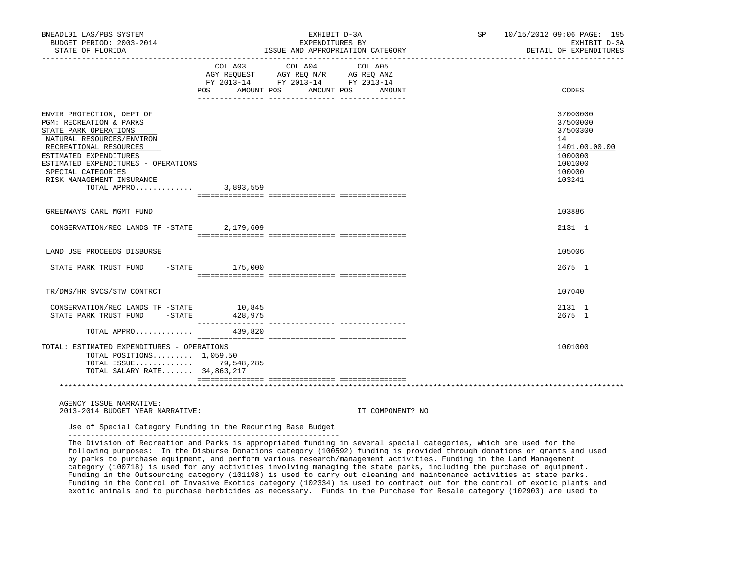| BNEADL01 LAS/PBS SYSTEM<br>BUDGET PERIOD: 2003-2014<br>STATE OF FLORIDA                                                                                                                                                                                                 |                     | EXHIBIT D-3A<br>EXPENDITURES BY<br>ISSUE AND APPROPRIATION CATEGORY                                                                                                                                                                                                                                                                             | SP 10/15/2012 09:06 PAGE: 195<br>EXHIBIT D-3A<br>DETAIL OF EXPENDITURES                           |
|-------------------------------------------------------------------------------------------------------------------------------------------------------------------------------------------------------------------------------------------------------------------------|---------------------|-------------------------------------------------------------------------------------------------------------------------------------------------------------------------------------------------------------------------------------------------------------------------------------------------------------------------------------------------|---------------------------------------------------------------------------------------------------|
|                                                                                                                                                                                                                                                                         | POS AMOUNT POS      | $\begin{tabular}{lllllllllllll} &\multicolumn{4}{c}{\text{COL A03}} &\multicolumn{4}{c}{\text{COL A04}} &\multicolumn{4}{c}{\text{COL A05}} \\ \multicolumn{4}{c}{\text{AGY REQUEST}} &\multicolumn{4}{c}{\text{AGY REQ N/R}} &\multicolumn{4}{c}{\text{AG REQ ANZ}} \end{tabular}$<br>FY 2013-14 FY 2013-14 FY 2013-14<br>AMOUNT POS<br>AMOUNT | CODES                                                                                             |
| ENVIR PROTECTION, DEPT OF<br>PGM: RECREATION & PARKS<br>STATE PARK OPERATIONS<br>NATURAL RESOURCES/ENVIRON<br>RECREATIONAL RESOURCES<br>ESTIMATED EXPENDITURES<br>ESTIMATED EXPENDITURES - OPERATIONS<br>SPECIAL CATEGORIES<br>RISK MANAGEMENT INSURANCE<br>TOTAL APPRO | 3,893,559           |                                                                                                                                                                                                                                                                                                                                                 | 37000000<br>37500000<br>37500300<br>14<br>1401.00.00.00<br>1000000<br>1001000<br>100000<br>103241 |
| GREENWAYS CARL MGMT FUND                                                                                                                                                                                                                                                |                     |                                                                                                                                                                                                                                                                                                                                                 | 103886                                                                                            |
| CONSERVATION/REC LANDS TF -STATE 2,179,609                                                                                                                                                                                                                              |                     |                                                                                                                                                                                                                                                                                                                                                 | 2131 1                                                                                            |
| LAND USE PROCEEDS DISBURSE                                                                                                                                                                                                                                              |                     |                                                                                                                                                                                                                                                                                                                                                 | 105006                                                                                            |
| STATE PARK TRUST FUND -STATE 175,000                                                                                                                                                                                                                                    |                     |                                                                                                                                                                                                                                                                                                                                                 | 2675 1                                                                                            |
| TR/DMS/HR SVCS/STW CONTRCT                                                                                                                                                                                                                                              |                     |                                                                                                                                                                                                                                                                                                                                                 | 107040                                                                                            |
| CONSERVATION/REC LANDS TF -STATE<br>STATE PARK TRUST FUND - STATE                                                                                                                                                                                                       | 10,845<br>428,975   |                                                                                                                                                                                                                                                                                                                                                 | 2131 1<br>2675 1                                                                                  |
| TOTAL APPRO                                                                                                                                                                                                                                                             | --------<br>439,820 |                                                                                                                                                                                                                                                                                                                                                 |                                                                                                   |
| TOTAL: ESTIMATED EXPENDITURES - OPERATIONS<br>TOTAL POSITIONS $1,059.50$<br>TOTAL ISSUE 79,548,285<br>TOTAL SALARY RATE 34,863,217                                                                                                                                      |                     |                                                                                                                                                                                                                                                                                                                                                 | 1001000                                                                                           |
|                                                                                                                                                                                                                                                                         |                     |                                                                                                                                                                                                                                                                                                                                                 |                                                                                                   |
| AGENCY ISSUE NARRATIVE:                                                                                                                                                                                                                                                 |                     |                                                                                                                                                                                                                                                                                                                                                 |                                                                                                   |

2013-2014 BUDGET YEAR NARRATIVE: IT COMPONENT? NO

 Use of Special Category Funding in the Recurring Base Budget -------------------------------------------------------------

 The Division of Recreation and Parks is appropriated funding in several special categories, which are used for the following purposes: In the Disburse Donations category (100592) funding is provided through donations or grants and used by parks to purchase equipment, and perform various research/management activities. Funding in the Land Management category (100718) is used for any activities involving managing the state parks, including the purchase of equipment. Funding in the Outsourcing category (101198) is used to carry out cleaning and maintenance activities at state parks. Funding in the Control of Invasive Exotics category (102334) is used to contract out for the control of exotic plants and exotic animals and to purchase herbicides as necessary. Funds in the Purchase for Resale category (102903) are used to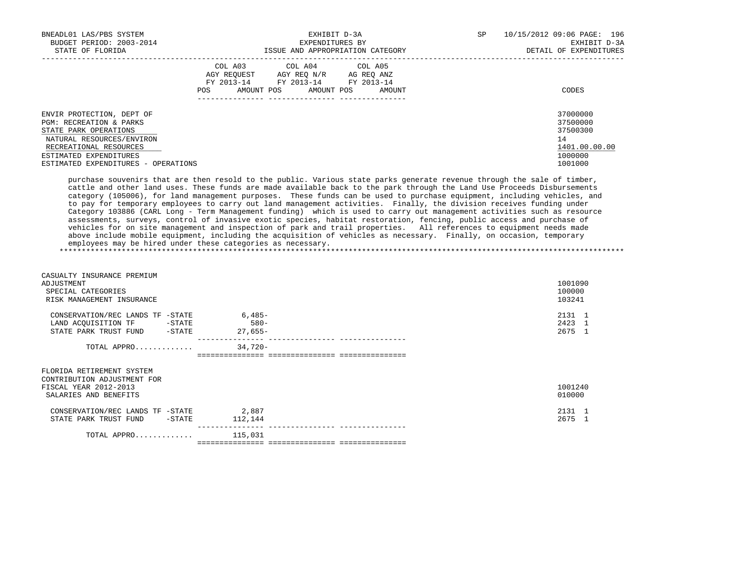| EXHIBIT D-3A<br>BNEADL01 LAS/PBS SYSTEM |                   |                                  | SP<br>10/15/2012 09:06 PAGE: 196 |              |                        |
|-----------------------------------------|-------------------|----------------------------------|----------------------------------|--------------|------------------------|
| BUDGET PERIOD: 2003-2014                |                   | EXPENDITURES BY                  |                                  | EXHIBIT D-3A |                        |
| STATE OF FLORIDA                        |                   | ISSUE AND APPROPRIATION CATEGORY |                                  |              | DETAIL OF EXPENDITURES |
|                                         |                   | COL A03 COL A04 COL A05          |                                  |              |                        |
|                                         | AGY REOUEST       | AGY REO N/R                      | AG REO ANZ                       |              |                        |
|                                         | FY 2013-14        | FY 2013-14 FY 2013-14            |                                  |              |                        |
|                                         | AMOUNT POS<br>POS | AMOUNT POS                       | AMOUNT                           |              | CODES                  |
|                                         |                   |                                  |                                  |              |                        |
| ENVIR PROTECTION, DEPT OF               |                   |                                  |                                  |              | 37000000               |
| <b>PGM: RECREATION &amp; PARKS</b>      |                   |                                  |                                  |              | 37500000               |
| STATE PARK OPERATIONS                   |                   |                                  |                                  |              | 37500300               |
| NATURAL RESOURCES/ENVIRON               |                   |                                  |                                  |              | 14                     |
| RECREATIONAL RESOURCES                  |                   |                                  |                                  |              | 1401.00.00.00          |
| ESTIMATED EXPENDITURES                  |                   |                                  |                                  |              | 1000000                |
| ESTIMATED EXPENDITURES - OPERATIONS     |                   |                                  |                                  |              | 1001000                |

 purchase souvenirs that are then resold to the public. Various state parks generate revenue through the sale of timber, cattle and other land uses. These funds are made available back to the park through the Land Use Proceeds Disbursements category (105006), for land management purposes. These funds can be used to purchase equipment, including vehicles, and to pay for temporary employees to carry out land management activities. Finally, the division receives funding under Category 103886 (CARL Long - Term Management funding) which is used to carry out management activities such as resource assessments, surveys, control of invasive exotic species, habitat restoration, fencing, public access and purchase of vehicles for on site management and inspection of park and trail properties. All references to equipment needs made above include mobile equipment, including the acquisition of vehicles as necessary. Finally, on occasion, temporary employees may be hired under these categories as necessary. \*\*\*\*\*\*\*\*\*\*\*\*\*\*\*\*\*\*\*\*\*\*\*\*\*\*\*\*\*\*\*\*\*\*\*\*\*\*\*\*\*\*\*\*\*\*\*\*\*\*\*\*\*\*\*\*\*\*\*\*\*\*\*\*\*\*\*\*\*\*\*\*\*\*\*\*\*\*\*\*\*\*\*\*\*\*\*\*\*\*\*\*\*\*\*\*\*\*\*\*\*\*\*\*\*\*\*\*\*\*\*\*\*\*\*\*\*\*\*\*\*\*\*\*\*\*\*

| CASUALTY INSURANCE PREMIUM<br>ADJUSTMENT<br>SPECIAL CATEGORIES<br>RISK MANAGEMENT INSURANCE                |                                  | 1001090<br>100000<br>103241 |
|------------------------------------------------------------------------------------------------------------|----------------------------------|-----------------------------|
| CONSERVATION/REC LANDS TF -STATE<br>LAND ACQUISITION TF -STATE<br>STATE PARK TRUST FUND -STATE             | $6,485-$<br>$580 -$<br>$27.655-$ | 2131 1<br>2423 1<br>2675 1  |
| TOTAL APPRO                                                                                                | $34,720-$                        |                             |
| FLORIDA RETIREMENT SYSTEM<br>CONTRIBUTION ADJUSTMENT FOR<br>FISCAL YEAR 2012-2013<br>SALARIES AND BENEFITS |                                  | 1001240<br>010000           |
| CONSERVATION/REC LANDS TF -STATE<br>STATE PARK TRUST FUND -STATE                                           | 2,887<br>112,144                 | 2131 1<br>2675 1            |
| TOTAL APPRO                                                                                                | 115,031                          |                             |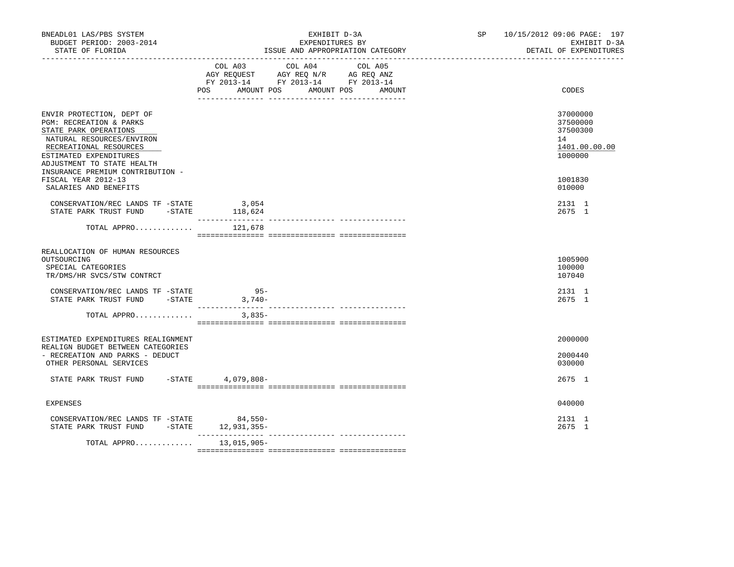| BNEADL01 LAS/PBS SYSTEM<br>BUDGET PERIOD: 2003-2014<br>STATE OF FLORIDA<br>____________________                                                                                                                                  |                                                                                                | EXHIBIT D-3A<br>EXPENDITURES BY<br>ISSUE AND APPROPRIATION CATEGORY | SP 10/15/2012 09:06 PAGE: 197<br>EXHIBIT D-3A<br>DETAIL OF EXPENDITURES |                                                                    |
|----------------------------------------------------------------------------------------------------------------------------------------------------------------------------------------------------------------------------------|------------------------------------------------------------------------------------------------|---------------------------------------------------------------------|-------------------------------------------------------------------------|--------------------------------------------------------------------|
|                                                                                                                                                                                                                                  | AGY REQUEST AGY REQ N/R AG REQ ANZ<br>FY 2013-14 FY 2013-14 FY 2013-14<br>POS DO<br>AMOUNT POS | COL A03 COL A04 COL A05                                             | AMOUNT POS<br>AMOUNT                                                    | CODES                                                              |
| ENVIR PROTECTION, DEPT OF<br>PGM: RECREATION & PARKS<br>STATE PARK OPERATIONS<br>NATURAL RESOURCES/ENVIRON<br>RECREATIONAL RESOURCES<br>ESTIMATED EXPENDITURES<br>ADJUSTMENT TO STATE HEALTH<br>INSURANCE PREMIUM CONTRIBUTION - |                                                                                                |                                                                     |                                                                         | 37000000<br>37500000<br>37500300<br>14<br>1401.00.00.00<br>1000000 |
| FISCAL YEAR 2012-13<br>SALARIES AND BENEFITS                                                                                                                                                                                     |                                                                                                |                                                                     |                                                                         | 1001830<br>010000                                                  |
| CONSERVATION/REC LANDS TF -STATE 3,054<br>STATE PARK TRUST FUND $-$ STATE $118,624$                                                                                                                                              |                                                                                                |                                                                     |                                                                         | 2131 1<br>2675 1                                                   |
| TOTAL APPRO                                                                                                                                                                                                                      | 121,678                                                                                        |                                                                     |                                                                         |                                                                    |
| REALLOCATION OF HUMAN RESOURCES<br>OUTSOURCING<br>SPECIAL CATEGORIES<br>TR/DMS/HR SVCS/STW CONTRCT                                                                                                                               |                                                                                                |                                                                     |                                                                         | 1005900<br>100000<br>107040                                        |
| CONSERVATION/REC LANDS TF -STATE<br>STATE PARK TRUST FUND -STATE 3,740-                                                                                                                                                          | $95 -$                                                                                         |                                                                     |                                                                         | 2131 1<br>2675 1                                                   |
| TOTAL APPRO                                                                                                                                                                                                                      | $3,835-$                                                                                       |                                                                     |                                                                         |                                                                    |
| ESTIMATED EXPENDITURES REALIGNMENT                                                                                                                                                                                               |                                                                                                |                                                                     |                                                                         | 2000000                                                            |
| REALIGN BUDGET BETWEEN CATEGORIES<br>- RECREATION AND PARKS - DEDUCT<br>OTHER PERSONAL SERVICES                                                                                                                                  |                                                                                                |                                                                     |                                                                         | 2000440<br>030000                                                  |
| STATE PARK TRUST FUND                                                                                                                                                                                                            | -STATE 4,079,808-                                                                              |                                                                     |                                                                         | 2675 1                                                             |
| <b>EXPENSES</b>                                                                                                                                                                                                                  |                                                                                                |                                                                     |                                                                         | 040000                                                             |
| CONSERVATION/REC LANDS TF -STATE 84,550-<br>STATE PARK TRUST FUND -STATE 12,931,355-                                                                                                                                             |                                                                                                |                                                                     |                                                                         | 2131 1<br>2675 1                                                   |
| TOTAL APPRO                                                                                                                                                                                                                      | 13,015,905-                                                                                    |                                                                     |                                                                         |                                                                    |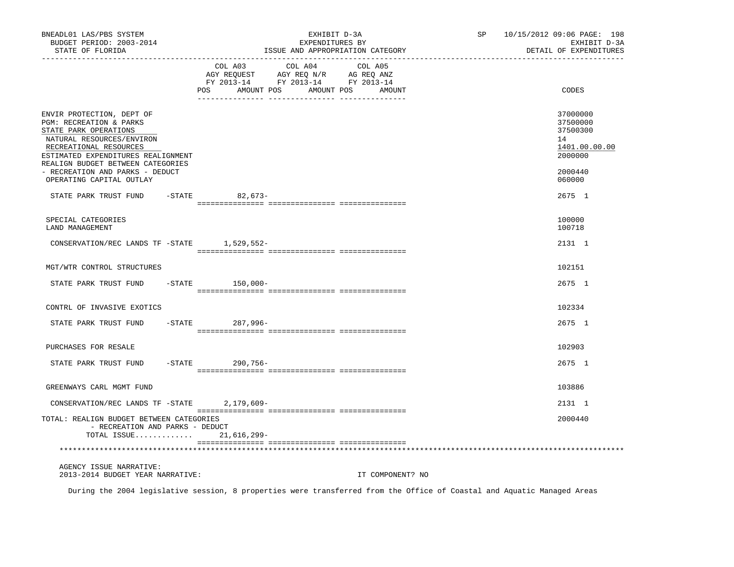| BNEADL01 LAS/PBS SYSTEM<br>BUDGET PERIOD: 2003-2014<br>STATE OF FLORIDA<br>---------------                                                                                                                                                                                     |                              | EXHIBIT D-3A<br>EXPENDITURES BY<br>ISSUE AND APPROPRIATION CATEGORY                                                  | SP 10/15/2012 09:06 PAGE: 198<br>EXHIBIT D-3A<br>DETAIL OF EXPENDITURES                 |
|--------------------------------------------------------------------------------------------------------------------------------------------------------------------------------------------------------------------------------------------------------------------------------|------------------------------|----------------------------------------------------------------------------------------------------------------------|-----------------------------------------------------------------------------------------|
|                                                                                                                                                                                                                                                                                | COL A03<br>POS<br>AMOUNT POS | COL A04<br>COL A05<br>CO AGY REQUEST AGY REQ N/R AG REQ ANZ<br>FY 2013-14 FY 2013-14 FY 2013-14<br>AMOUNT POS AMOUNT | CODES                                                                                   |
| ENVIR PROTECTION, DEPT OF<br>PGM: RECREATION & PARKS<br>STATE PARK OPERATIONS<br>NATURAL RESOURCES/ENVIRON<br>RECREATIONAL RESOURCES<br>ESTIMATED EXPENDITURES REALIGNMENT<br>REALIGN BUDGET BETWEEN CATEGORIES<br>- RECREATION AND PARKS - DEDUCT<br>OPERATING CAPITAL OUTLAY |                              |                                                                                                                      | 37000000<br>37500000<br>37500300<br>14<br>1401.00.00.00<br>2000000<br>2000440<br>060000 |
| STATE PARK TRUST FUND                                                                                                                                                                                                                                                          | -STATE 82,673-               |                                                                                                                      | 2675 1                                                                                  |
| SPECIAL CATEGORIES<br><b>LAND MANAGEMENT</b>                                                                                                                                                                                                                                   |                              |                                                                                                                      | 100000<br>100718                                                                        |
| CONSERVATION/REC LANDS TF -STATE 1,529,552-                                                                                                                                                                                                                                    |                              |                                                                                                                      | 2131 1                                                                                  |
| MGT/WTR CONTROL STRUCTURES                                                                                                                                                                                                                                                     |                              |                                                                                                                      | 102151                                                                                  |
| STATE PARK TRUST FUND                                                                                                                                                                                                                                                          | $-$ STATE $150,000-$         |                                                                                                                      | 2675 1                                                                                  |
| CONTRL OF INVASIVE EXOTICS                                                                                                                                                                                                                                                     |                              |                                                                                                                      | 102334                                                                                  |
| STATE PARK TRUST FUND                                                                                                                                                                                                                                                          | -STATE 287,996-              |                                                                                                                      | 2675 1                                                                                  |
| PURCHASES FOR RESALE                                                                                                                                                                                                                                                           |                              |                                                                                                                      | 102903                                                                                  |
| STATE PARK TRUST FUND                                                                                                                                                                                                                                                          | -STATE 290,756-              |                                                                                                                      | 2675 1                                                                                  |
| GREENWAYS CARL MGMT FUND                                                                                                                                                                                                                                                       |                              |                                                                                                                      | 103886                                                                                  |
| CONSERVATION/REC LANDS TF -STATE 2,179,609-                                                                                                                                                                                                                                    |                              |                                                                                                                      | 2131 1                                                                                  |
| TOTAL: REALIGN BUDGET BETWEEN CATEGORIES<br>- RECREATION AND PARKS - DEDUCT<br>TOTAL ISSUE                                                                                                                                                                                     | $21,616,299-$                |                                                                                                                      | 2000440                                                                                 |
|                                                                                                                                                                                                                                                                                |                              |                                                                                                                      |                                                                                         |
| AGENCY ISSUE NARRATIVE:<br>2013-2014 BUDGET YEAR NARRATIVE:                                                                                                                                                                                                                    |                              | IT COMPONENT? NO                                                                                                     |                                                                                         |

During the 2004 legislative session, 8 properties were transferred from the Office of Coastal and Aquatic Managed Areas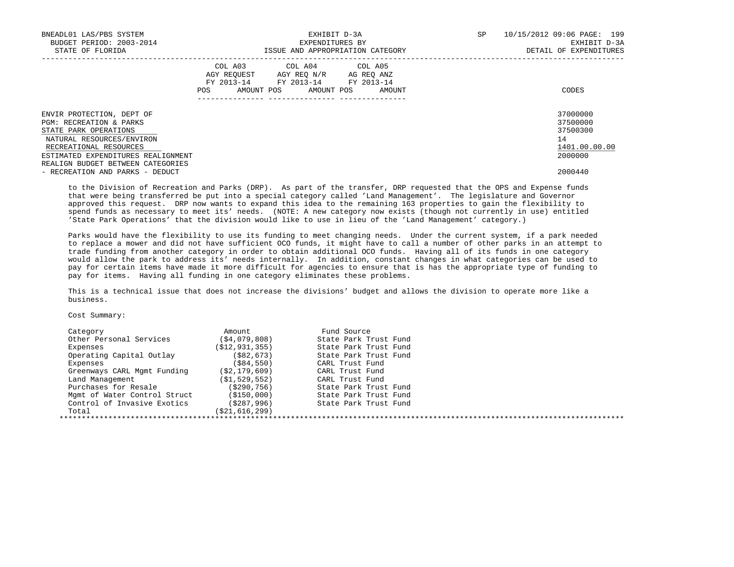| BNEADL01 LAS/PBS SYSTEM<br>BUDGET PERIOD: 2003-2014<br>STATE OF FLORIDA | EXHIBIT D-3A<br>EXPENDITURES BY<br>ISSUE AND APPROPRIATION CATEGORY |                                                                                                                 |        | SP | 10/15/2012 09:06 PAGE: 199<br>EXHIBIT D-3A<br>DETAIL OF EXPENDITURES |  |
|-------------------------------------------------------------------------|---------------------------------------------------------------------|-----------------------------------------------------------------------------------------------------------------|--------|----|----------------------------------------------------------------------|--|
|                                                                         | AMOUNT POS<br>POS                                                   | COL A03 COL A04 COL A05<br>AGY REOUEST AGY REO N/R AG REO ANZ<br>FY 2013-14 FY 2013-14 FY 2013-14<br>AMOUNT POS | AMOUNT |    | CODES                                                                |  |
| ENVIR PROTECTION, DEPT OF                                               |                                                                     |                                                                                                                 |        |    | 37000000                                                             |  |
| PGM: RECREATION & PARKS                                                 |                                                                     |                                                                                                                 |        |    | 37500000                                                             |  |
| STATE PARK OPERATIONS                                                   |                                                                     |                                                                                                                 |        |    | 37500300                                                             |  |
| NATURAL RESOURCES/ENVIRON                                               |                                                                     |                                                                                                                 |        |    | 14                                                                   |  |
| RECREATIONAL RESOURCES                                                  |                                                                     |                                                                                                                 |        |    | 1401.00.00.00                                                        |  |
| ESTIMATED EXPENDITURES REALIGNMENT                                      |                                                                     |                                                                                                                 |        |    | 2000000                                                              |  |
| REALIGN BUDGET BETWEEN CATEGORIES                                       |                                                                     |                                                                                                                 |        |    |                                                                      |  |
| - RECREATION AND PARKS - DEDUCT                                         |                                                                     |                                                                                                                 |        |    | 2000440                                                              |  |

 to the Division of Recreation and Parks (DRP). As part of the transfer, DRP requested that the OPS and Expense funds that were being transferred be put into a special category called 'Land Management'. The legislature and Governor approved this request. DRP now wants to expand this idea to the remaining 163 properties to gain the flexibility to spend funds as necessary to meet its' needs. (NOTE: A new category now exists (though not currently in use) entitled 'State Park Operations' that the division would like to use in lieu of the 'Land Management' category.)

 Parks would have the flexibility to use its funding to meet changing needs. Under the current system, if a park needed to replace a mower and did not have sufficient OCO funds, it might have to call a number of other parks in an attempt to trade funding from another category in order to obtain additional OCO funds. Having all of its funds in one category would allow the park to address its' needs internally. In addition, constant changes in what categories can be used to pay for certain items have made it more difficult for agencies to ensure that is has the appropriate type of funding to pay for items. Having all funding in one category eliminates these problems.

 This is a technical issue that does not increase the divisions' budget and allows the division to operate more like a business.

| Category                     | Amount          | Fund Source           |
|------------------------------|-----------------|-----------------------|
| Other Personal Services      | ( \$4,079,808)  | State Park Trust Fund |
| Expenses                     | (S12, 931, 355) | State Park Trust Fund |
| Operating Capital Outlay     | ( \$82, 673)    | State Park Trust Fund |
| Expenses                     | (S84, 550)      | CARL Trust Fund       |
| Greenways CARL Mgmt Funding  | ( \$2,179,609)  | CARL Trust Fund       |
| Land Management              | (S1, 529, 552)  | CARL Trust Fund       |
| Purchases for Resale         | (\$290,756)     | State Park Trust Fund |
| Mgmt of Water Control Struct | (S150, 000)     | State Park Trust Fund |
| Control of Invasive Exotics  | (S287, 996)     | State Park Trust Fund |
| Total                        | (\$21,616,299)  |                       |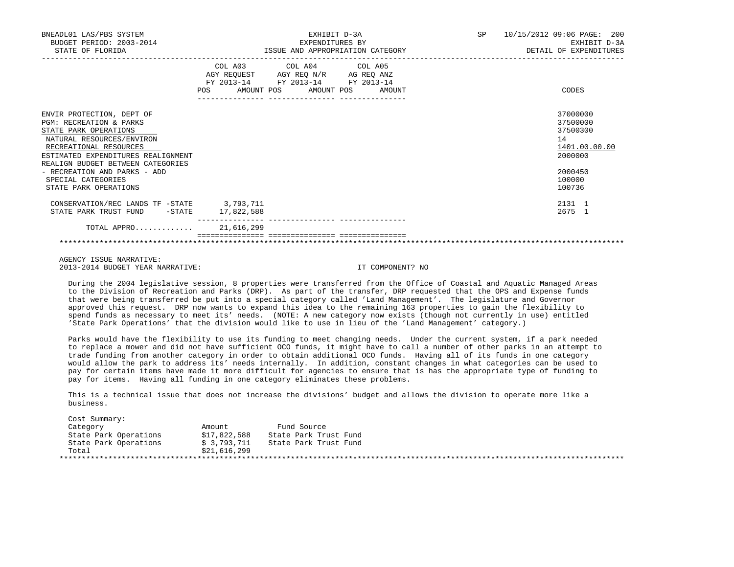| BNEADL01 LAS/PBS SYSTEM<br>BUDGET PERIOD: 2003-2014<br>STATE OF FLORIDA                                                                                                                                                                                                                        | EXHIBIT D-3A<br>EXPENDITURES BY<br>ISSUE AND APPROPRIATION CATEGORY                                                                   | 10/15/2012 09:06 PAGE: 200<br>SP<br>EXHIBIT D-3A<br>DETAIL OF EXPENDITURES                        |  |
|------------------------------------------------------------------------------------------------------------------------------------------------------------------------------------------------------------------------------------------------------------------------------------------------|---------------------------------------------------------------------------------------------------------------------------------------|---------------------------------------------------------------------------------------------------|--|
|                                                                                                                                                                                                                                                                                                | COL A03 COL A04 COL A05<br>AGY REQUEST AGY REQ N/R AG REQ ANZ<br>FY 2013-14 FY 2013-14 FY 2013-14<br>POS AMOUNT POS AMOUNT POS AMOUNT | CODES                                                                                             |  |
| ENVIR PROTECTION, DEPT OF<br>PGM: RECREATION & PARKS<br>STATE PARK OPERATIONS<br>NATURAL RESOURCES/ENVIRON<br>RECREATIONAL RESOURCES<br>ESTIMATED EXPENDITURES REALIGNMENT<br>REALIGN BUDGET BETWEEN CATEGORIES<br>- RECREATION AND PARKS - ADD<br>SPECIAL CATEGORIES<br>STATE PARK OPERATIONS |                                                                                                                                       | 37000000<br>37500000<br>37500300<br>14<br>1401.00.00.00<br>2000000<br>2000450<br>100000<br>100736 |  |
| CONSERVATION/REC LANDS TF -STATE 3,793,711<br>STATE PARK TRUST FUND -STATE                                                                                                                                                                                                                     | 17,822,588                                                                                                                            | 2131 1<br>2675 1                                                                                  |  |
| TOTAL APPRO 21,616,299                                                                                                                                                                                                                                                                         |                                                                                                                                       |                                                                                                   |  |
|                                                                                                                                                                                                                                                                                                |                                                                                                                                       |                                                                                                   |  |

 AGENCY ISSUE NARRATIVE: 2013-2014 BUDGET YEAR NARRATIVE: IT COMPONENT? NO

 During the 2004 legislative session, 8 properties were transferred from the Office of Coastal and Aquatic Managed Areas to the Division of Recreation and Parks (DRP). As part of the transfer, DRP requested that the OPS and Expense funds that were being transferred be put into a special category called 'Land Management'. The legislature and Governor approved this request. DRP now wants to expand this idea to the remaining 163 properties to gain the flexibility to spend funds as necessary to meet its' needs. (NOTE: A new category now exists (though not currently in use) entitled 'State Park Operations' that the division would like to use in lieu of the 'Land Management' category.)

 Parks would have the flexibility to use its funding to meet changing needs. Under the current system, if a park needed to replace a mower and did not have sufficient OCO funds, it might have to call a number of other parks in an attempt to trade funding from another category in order to obtain additional OCO funds. Having all of its funds in one category would allow the park to address its' needs internally. In addition, constant changes in what categories can be used to pay for certain items have made it more difficult for agencies to ensure that is has the appropriate type of funding to pay for items. Having all funding in one category eliminates these problems.

 This is a technical issue that does not increase the divisions' budget and allows the division to operate more like a business.

| Category              | Amount       | Fund Source           |
|-----------------------|--------------|-----------------------|
| State Park Operations | \$17,822,588 | State Park Trust Fund |
| State Park Operations | \$3.793.711  | State Park Trust Fund |
| Total                 | \$21,616,299 |                       |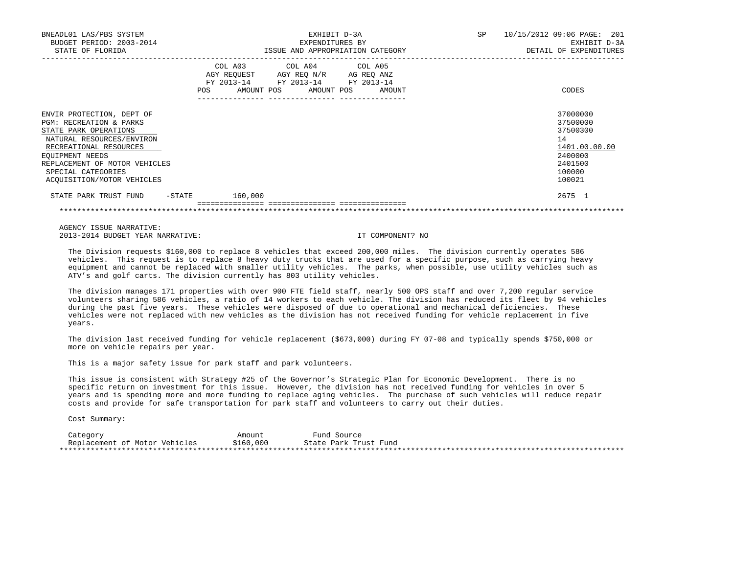| BNEADL01 LAS/PBS SYSTEM<br>BUDGET PERIOD: 2003-2014<br>STATE OF FLORIDA                                                                                                                                                                                 | EXHIBIT D-3A<br>EXPENDITURES BY<br>ISSUE AND APPROPRIATION CATEGORY                                                                      | SP<br>10/15/2012 09:06 PAGE: 201<br>EXHIBIT D-3A<br>DETAIL OF EXPENDITURES                        |  |  |
|---------------------------------------------------------------------------------------------------------------------------------------------------------------------------------------------------------------------------------------------------------|------------------------------------------------------------------------------------------------------------------------------------------|---------------------------------------------------------------------------------------------------|--|--|
|                                                                                                                                                                                                                                                         | COL A03 COL A04 COL A05<br>AGY REQUEST AGY REQ N/R AG REQ ANZ<br>FY 2013-14 FY 2013-14 FY 2013-14<br>POS<br>AMOUNT POS AMOUNT POS AMOUNT | CODES                                                                                             |  |  |
| ENVIR PROTECTION, DEPT OF<br><b>PGM: RECREATION &amp; PARKS</b><br>STATE PARK OPERATIONS<br>NATURAL RESOURCES/ENVIRON<br>RECREATIONAL RESOURCES<br>EQUIPMENT NEEDS<br>REPLACEMENT OF MOTOR VEHICLES<br>SPECIAL CATEGORIES<br>ACOUISITION/MOTOR VEHICLES |                                                                                                                                          | 37000000<br>37500000<br>37500300<br>14<br>1401.00.00.00<br>2400000<br>2401500<br>100000<br>100021 |  |  |
| -STATE<br>STATE PARK TRUST FUND                                                                                                                                                                                                                         | 160,000                                                                                                                                  | 2675 1                                                                                            |  |  |

AGENCY ISSUE NARRATIVE:

2013-2014 BUDGET YEAR NARRATIVE: IT COMPONENT? NO

 The Division requests \$160,000 to replace 8 vehicles that exceed 200,000 miles. The division currently operates 586 vehicles. This request is to replace 8 heavy duty trucks that are used for a specific purpose, such as carrying heavy equipment and cannot be replaced with smaller utility vehicles. The parks, when possible, use utility vehicles such as ATV's and golf carts. The division currently has 803 utility vehicles.

\*\*\*\*\*\*\*\*\*\*\*\*\*\*\*\*\*\*\*\*\*\*\*\*\*\*\*\*\*\*\*\*\*\*\*\*\*\*\*\*\*\*\*\*\*\*\*\*\*\*\*\*\*\*\*\*\*\*\*\*\*\*\*\*\*\*\*\*\*\*\*\*\*\*\*\*\*\*\*\*\*\*\*\*\*\*\*\*\*\*\*\*\*\*\*\*\*\*\*\*\*\*\*\*\*\*\*\*\*\*\*\*\*\*\*\*\*\*\*\*\*\*\*\*\*\*\*

 The division manages 171 properties with over 900 FTE field staff, nearly 500 OPS staff and over 7,200 regular service volunteers sharing 586 vehicles, a ratio of 14 workers to each vehicle. The division has reduced its fleet by 94 vehicles during the past five years. These vehicles were disposed of due to operational and mechanical deficiencies. These vehicles were not replaced with new vehicles as the division has not received funding for vehicle replacement in five years.

 The division last received funding for vehicle replacement (\$673,000) during FY 07-08 and typically spends \$750,000 or more on vehicle repairs per year.

This is a major safety issue for park staff and park volunteers.

 This issue is consistent with Strategy #25 of the Governor's Strategic Plan for Economic Development. There is no specific return on investment for this issue. However, the division has not received funding for vehicles in over 5 years and is spending more and more funding to replace aging vehicles. The purchase of such vehicles will reduce repair costs and provide for safe transportation for park staff and volunteers to carry out their duties.

Cost Summary:

 Category Amount Fund Source Replacement of Motor Vehicles \*\*\*\*\*\*\*\*\*\*\*\*\*\*\*\*\*\*\*\*\*\*\*\*\*\*\*\*\*\*\*\*\*\*\*\*\*\*\*\*\*\*\*\*\*\*\*\*\*\*\*\*\*\*\*\*\*\*\*\*\*\*\*\*\*\*\*\*\*\*\*\*\*\*\*\*\*\*\*\*\*\*\*\*\*\*\*\*\*\*\*\*\*\*\*\*\*\*\*\*\*\*\*\*\*\*\*\*\*\*\*\*\*\*\*\*\*\*\*\*\*\*\*\*\*\*\*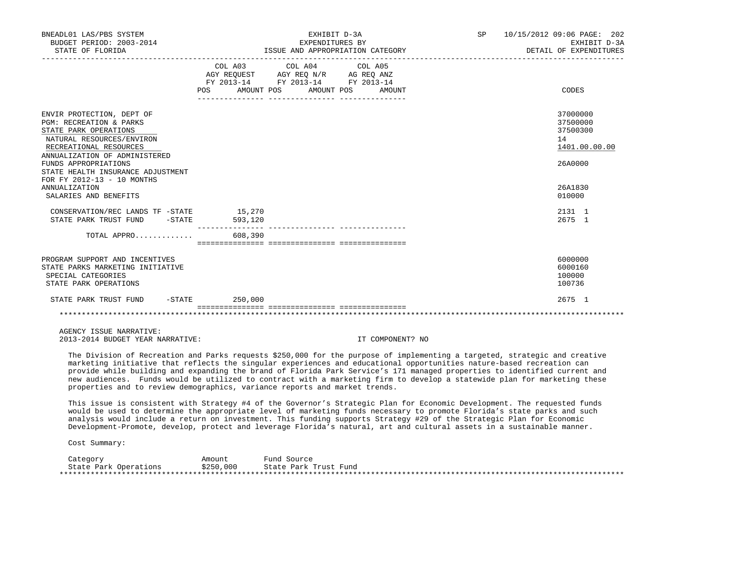| BNEADL01 LAS/PBS SYSTEM<br>BUDGET PERIOD: 2003-2014<br>STATE OF FLORIDA                                                                                                                                                                                                                                                      |                         | EXHIBIT D-3A<br>EXPENDITURES BY<br>ISSUE AND APPROPRIATION CATEGORY                                                                   | SP 10/15/2012 09:06 PAGE: 202<br>EXHIBIT D-3A<br>DETAIL OF EXPENDITURES                 |  |
|------------------------------------------------------------------------------------------------------------------------------------------------------------------------------------------------------------------------------------------------------------------------------------------------------------------------------|-------------------------|---------------------------------------------------------------------------------------------------------------------------------------|-----------------------------------------------------------------------------------------|--|
|                                                                                                                                                                                                                                                                                                                              |                         | COL A03 COL A04 COL A05<br>AGY REQUEST AGY REQ N/R AG REQ ANZ<br>FY 2013-14 FY 2013-14 FY 2013-14<br>POS AMOUNT POS AMOUNT POS AMOUNT | CODES                                                                                   |  |
| ENVIR PROTECTION, DEPT OF<br><b>PGM: RECREATION &amp; PARKS</b><br>STATE PARK OPERATIONS<br>NATURAL RESOURCES/ENVIRON<br>RECREATIONAL RESOURCES<br>ANNUALIZATION OF ADMINISTERED<br>FUNDS APPROPRIATIONS<br>STATE HEALTH INSURANCE ADJUSTMENT<br>FOR FY 2012-13 - 10 MONTHS<br><b>ANNUALIZATION</b><br>SALARIES AND BENEFITS |                         |                                                                                                                                       | 37000000<br>37500000<br>37500300<br>14<br>1401.00.00.00<br>26A0000<br>26A1830<br>010000 |  |
| CONSERVATION/REC LANDS TF -STATE 15,270<br>STATE PARK TRUST FUND - STATE                                                                                                                                                                                                                                                     | 593,120                 |                                                                                                                                       | 2131 1<br>2675 1                                                                        |  |
| TOTAL APPRO                                                                                                                                                                                                                                                                                                                  | 608,390                 |                                                                                                                                       |                                                                                         |  |
| PROGRAM SUPPORT AND INCENTIVES<br>STATE PARKS MARKETING INITIATIVE<br>SPECIAL CATEGORIES<br>STATE PARK OPERATIONS                                                                                                                                                                                                            |                         |                                                                                                                                       | 6000000<br>6000160<br>100000<br>100736                                                  |  |
| STATE PARK TRUST FUND -STATE 250,000                                                                                                                                                                                                                                                                                         | --------------- ------- |                                                                                                                                       | 2675 1                                                                                  |  |
|                                                                                                                                                                                                                                                                                                                              |                         |                                                                                                                                       |                                                                                         |  |

 AGENCY ISSUE NARRATIVE: 2013-2014 BUDGET YEAR NARRATIVE: IT COMPONENT? NO

 The Division of Recreation and Parks requests \$250,000 for the purpose of implementing a targeted, strategic and creative marketing initiative that reflects the singular experiences and educational opportunities nature-based recreation can provide while building and expanding the brand of Florida Park Service's 171 managed properties to identified current and new audiences. Funds would be utilized to contract with a marketing firm to develop a statewide plan for marketing these properties and to review demographics, variance reports and market trends.

 This issue is consistent with Strategy #4 of the Governor's Strategic Plan for Economic Development. The requested funds would be used to determine the appropriate level of marketing funds necessary to promote Florida's state parks and such analysis would include a return on investment. This funding supports Strategy #29 of the Strategic Plan for Economic Development-Promote, develop, protect and leverage Florida's natural, art and cultural assets in a sustainable manner.

Cost Summary:

Category Mmount Fund Source<br>State Park Operations \$250,000 State Park 1 State Park Operations \$250,000 State Park Trust Fund \*\*\*\*\*\*\*\*\*\*\*\*\*\*\*\*\*\*\*\*\*\*\*\*\*\*\*\*\*\*\*\*\*\*\*\*\*\*\*\*\*\*\*\*\*\*\*\*\*\*\*\*\*\*\*\*\*\*\*\*\*\*\*\*\*\*\*\*\*\*\*\*\*\*\*\*\*\*\*\*\*\*\*\*\*\*\*\*\*\*\*\*\*\*\*\*\*\*\*\*\*\*\*\*\*\*\*\*\*\*\*\*\*\*\*\*\*\*\*\*\*\*\*\*\*\*\*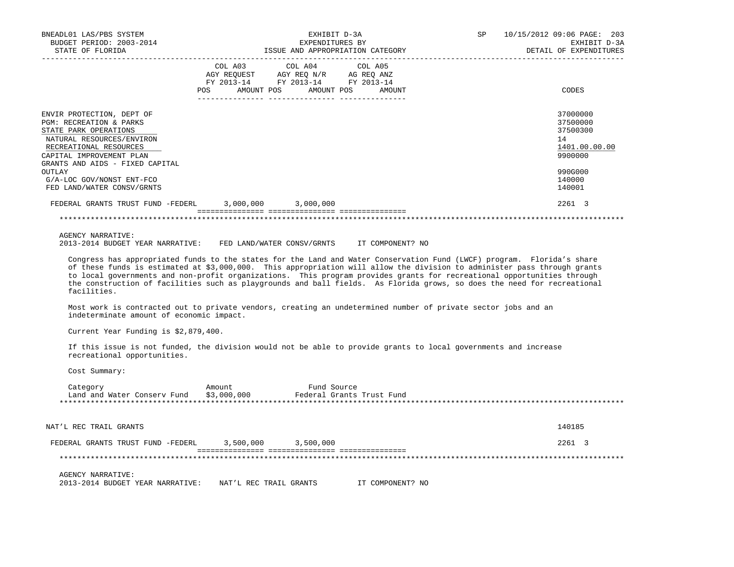| BNEADL01 LAS/PBS SYSTEM<br>BUDGET PERIOD: 2003-2014<br>STATE OF FLORIDA                                                                                                                                                                                                                                                                                                                                                                                                                                                                                                                                                                                                                                                                                                                                                                                                                                                                                                                                                                                                                               | EXHIBIT D-3A<br>EXPENDITURES BY                                                                         | ISSUE AND APPROPRIATION CATEGORY | SP | 10/15/2012 09:06 PAGE: 203<br>EXHIBIT D-3A<br>DETAIL OF EXPENDITURES                              |
|-------------------------------------------------------------------------------------------------------------------------------------------------------------------------------------------------------------------------------------------------------------------------------------------------------------------------------------------------------------------------------------------------------------------------------------------------------------------------------------------------------------------------------------------------------------------------------------------------------------------------------------------------------------------------------------------------------------------------------------------------------------------------------------------------------------------------------------------------------------------------------------------------------------------------------------------------------------------------------------------------------------------------------------------------------------------------------------------------------|---------------------------------------------------------------------------------------------------------|----------------------------------|----|---------------------------------------------------------------------------------------------------|
| <b>POS</b>                                                                                                                                                                                                                                                                                                                                                                                                                                                                                                                                                                                                                                                                                                                                                                                                                                                                                                                                                                                                                                                                                            | COL A03 COL A04<br>AGY REQUEST AGY REQ N/R AG REQ ANZ<br>FY 2013-14 FY 2013-14 FY 2013-14<br>AMOUNT POS | COL A05<br>AMOUNT POS<br>AMOUNT  |    | CODES                                                                                             |
| ENVIR PROTECTION, DEPT OF<br>PGM: RECREATION & PARKS<br>STATE PARK OPERATIONS<br>NATURAL RESOURCES/ENVIRON<br>RECREATIONAL RESOURCES<br>CAPITAL IMPROVEMENT PLAN<br>GRANTS AND AIDS - FIXED CAPITAL<br>OUTLAY<br>G/A-LOC GOV/NONST ENT-FCO<br>FED LAND/WATER CONSV/GRNTS                                                                                                                                                                                                                                                                                                                                                                                                                                                                                                                                                                                                                                                                                                                                                                                                                              |                                                                                                         |                                  |    | 37000000<br>37500000<br>37500300<br>14<br>1401.00.00.00<br>9900000<br>990G000<br>140000<br>140001 |
| FEDERAL GRANTS TRUST FUND -FEDERL 3,000,000 3,000,000                                                                                                                                                                                                                                                                                                                                                                                                                                                                                                                                                                                                                                                                                                                                                                                                                                                                                                                                                                                                                                                 |                                                                                                         |                                  |    | 2261 3                                                                                            |
| <b>AGENCY NARRATIVE:</b><br>2013-2014 BUDGET YEAR NARRATIVE: FED LAND/WATER CONSV/GRNTS IT COMPONENT? NO<br>Congress has appropriated funds to the states for the Land and Water Conservation Fund (LWCF) program. Florida's share<br>of these funds is estimated at \$3,000,000. This appropriation will allow the division to administer pass through grants<br>to local governments and non-profit organizations. This program provides grants for recreational opportunities through<br>the construction of facilities such as playgrounds and ball fields. As Florida grows, so does the need for recreational<br>facilities.<br>Most work is contracted out to private vendors, creating an undetermined number of private sector jobs and an<br>indeterminate amount of economic impact.<br>Current Year Funding is \$2,879,400.<br>If this issue is not funded, the division would not be able to provide grants to local governments and increase<br>recreational opportunities.<br>Cost Summary:<br>Category<br>Amount<br>Land and Water Conserv Fund \$3,000,000 Federal Grants Trust Fund | Fund Source                                                                                             |                                  |    |                                                                                                   |
| NAT'L REC TRAIL GRANTS                                                                                                                                                                                                                                                                                                                                                                                                                                                                                                                                                                                                                                                                                                                                                                                                                                                                                                                                                                                                                                                                                |                                                                                                         |                                  |    | 140185                                                                                            |
| FEDERAL GRANTS TRUST FUND -FEDERL                                                                                                                                                                                                                                                                                                                                                                                                                                                                                                                                                                                                                                                                                                                                                                                                                                                                                                                                                                                                                                                                     | 3,500,000<br>3,500,000                                                                                  |                                  |    | 2261 3                                                                                            |
|                                                                                                                                                                                                                                                                                                                                                                                                                                                                                                                                                                                                                                                                                                                                                                                                                                                                                                                                                                                                                                                                                                       |                                                                                                         |                                  |    |                                                                                                   |

 AGENCY NARRATIVE: 2013-2014 BUDGET YEAR NARRATIVE: NAT'L REC TRAIL GRANTS IT COMPONENT? NO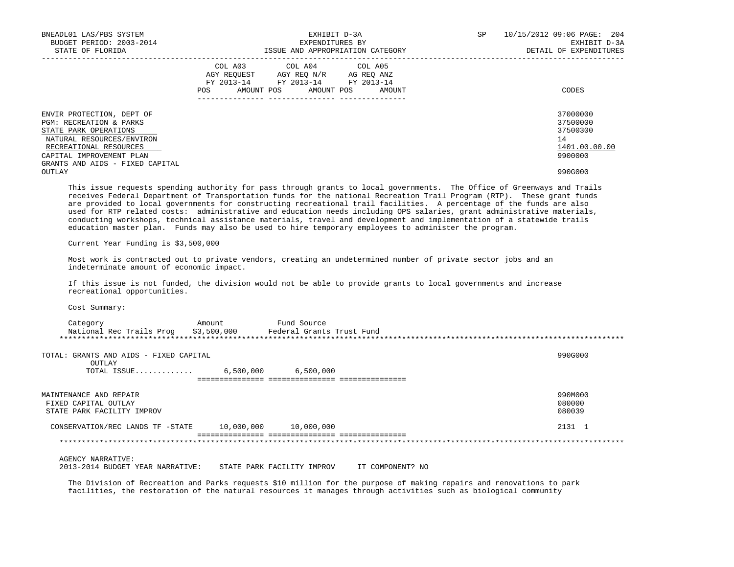| BNEADL01 LAS/PBS SYSTEM<br>BUDGET PERIOD: 2003-2014<br>STATE OF FLORIDA<br>----------------------                                                                                                                                                                                                                                                                                                                                                                                                                                                                                                                                                                                                                                                                           | EXHIBIT D-3A<br>EXPENDITURES BY<br>ISSUE AND APPROPRIATION CATEGORY |                                                                                                                                                                                                                                                                                                                                                                                                                                                                                          |  | SP | 10/15/2012 09:06 PAGE: 204<br>EXHIBIT D-3A<br>DETAIL OF EXPENDITURES          |
|-----------------------------------------------------------------------------------------------------------------------------------------------------------------------------------------------------------------------------------------------------------------------------------------------------------------------------------------------------------------------------------------------------------------------------------------------------------------------------------------------------------------------------------------------------------------------------------------------------------------------------------------------------------------------------------------------------------------------------------------------------------------------------|---------------------------------------------------------------------|------------------------------------------------------------------------------------------------------------------------------------------------------------------------------------------------------------------------------------------------------------------------------------------------------------------------------------------------------------------------------------------------------------------------------------------------------------------------------------------|--|----|-------------------------------------------------------------------------------|
|                                                                                                                                                                                                                                                                                                                                                                                                                                                                                                                                                                                                                                                                                                                                                                             |                                                                     | $\begin{tabular}{lllllllllll} &\multicolumn{4}{c}{\text{COL A03}} &\multicolumn{4}{c}{\text{COL A04}} &\multicolumn{4}{c}{\text{COL A05}}\\ &\multicolumn{4}{c}{\text{AGY REQUEST}} &\multicolumn{4}{c}{\text{AGY REQ N/R}} &\multicolumn{4}{c}{\text{AG REQ ANZ}}\\ &\multicolumn{4}{c}{\text{AGY REQ N/R}} &\multicolumn{4}{c}{\text{AG REQ ANZ}}\\ &\multicolumn{4}{c}{\text{FY 2013--14}} &\multicolumn{4}{c}{\text{FY 2013--14}} &\multicolumn$<br>POS AMOUNT POS AMOUNT POS AMOUNT |  |    | CODES                                                                         |
| ENVIR PROTECTION, DEPT OF<br>PGM: RECREATION & PARKS<br>STATE PARK OPERATIONS<br>NATURAL RESOURCES/ENVIRON<br>RECREATIONAL RESOURCES<br>CAPITAL IMPROVEMENT PLAN<br>GRANTS AND AIDS - FIXED CAPITAL<br><b>OUTLAY</b>                                                                                                                                                                                                                                                                                                                                                                                                                                                                                                                                                        |                                                                     |                                                                                                                                                                                                                                                                                                                                                                                                                                                                                          |  |    | 37000000<br>37500000<br>37500300<br>14<br>1401.00.00.00<br>9900000<br>990G000 |
| This issue requests spending authority for pass through grants to local governments. The Office of Greenways and Trails<br>receives Federal Department of Transportation funds for the national Recreation Trail Program (RTP). These grant funds<br>are provided to local governments for constructing recreational trail facilities. A percentage of the funds are also<br>used for RTP related costs: administrative and education needs including OPS salaries, grant administrative materials,<br>conducting workshops, technical assistance materials, travel and development and implementation of a statewide trails<br>education master plan. Funds may also be used to hire temporary employees to administer the program.<br>Current Year Funding is \$3,500,000 |                                                                     |                                                                                                                                                                                                                                                                                                                                                                                                                                                                                          |  |    |                                                                               |
| Most work is contracted out to private vendors, creating an undetermined number of private sector jobs and an<br>indeterminate amount of economic impact.<br>If this issue is not funded, the division would not be able to provide grants to local governments and increase<br>recreational opportunities.                                                                                                                                                                                                                                                                                                                                                                                                                                                                 |                                                                     |                                                                                                                                                                                                                                                                                                                                                                                                                                                                                          |  |    |                                                                               |
| Cost Summary:                                                                                                                                                                                                                                                                                                                                                                                                                                                                                                                                                                                                                                                                                                                                                               |                                                                     |                                                                                                                                                                                                                                                                                                                                                                                                                                                                                          |  |    |                                                                               |
|                                                                                                                                                                                                                                                                                                                                                                                                                                                                                                                                                                                                                                                                                                                                                                             |                                                                     |                                                                                                                                                                                                                                                                                                                                                                                                                                                                                          |  |    |                                                                               |
| TOTAL: GRANTS AND AIDS - FIXED CAPITAL<br>OUTLAY<br>TOTAL ISSUE 6,500,000 6,500,000                                                                                                                                                                                                                                                                                                                                                                                                                                                                                                                                                                                                                                                                                         |                                                                     |                                                                                                                                                                                                                                                                                                                                                                                                                                                                                          |  |    | 990G000                                                                       |
| MAINTENANCE AND REPAIR<br>FIXED CAPITAL OUTLAY<br>STATE PARK FACILITY IMPROV                                                                                                                                                                                                                                                                                                                                                                                                                                                                                                                                                                                                                                                                                                |                                                                     |                                                                                                                                                                                                                                                                                                                                                                                                                                                                                          |  |    | 990M000<br>080000<br>080039                                                   |
| CONSERVATION/REC LANDS TF -STATE 10,000,000 10,000,000                                                                                                                                                                                                                                                                                                                                                                                                                                                                                                                                                                                                                                                                                                                      |                                                                     |                                                                                                                                                                                                                                                                                                                                                                                                                                                                                          |  |    | 2131 1                                                                        |
|                                                                                                                                                                                                                                                                                                                                                                                                                                                                                                                                                                                                                                                                                                                                                                             |                                                                     |                                                                                                                                                                                                                                                                                                                                                                                                                                                                                          |  |    |                                                                               |
| <b>AGENCY NARRATIVE:</b><br>2013-2014 BUDGET YEAR NARRATIVE: STATE PARK FACILITY IMPROV IT COMPONENT? NO                                                                                                                                                                                                                                                                                                                                                                                                                                                                                                                                                                                                                                                                    |                                                                     |                                                                                                                                                                                                                                                                                                                                                                                                                                                                                          |  |    |                                                                               |
| The Division of Recreation and Parks requests \$10 million for the purpose of making repairs and renovations to park                                                                                                                                                                                                                                                                                                                                                                                                                                                                                                                                                                                                                                                        |                                                                     |                                                                                                                                                                                                                                                                                                                                                                                                                                                                                          |  |    |                                                                               |

facilities, the restoration of the natural resources it manages through activities such as biological community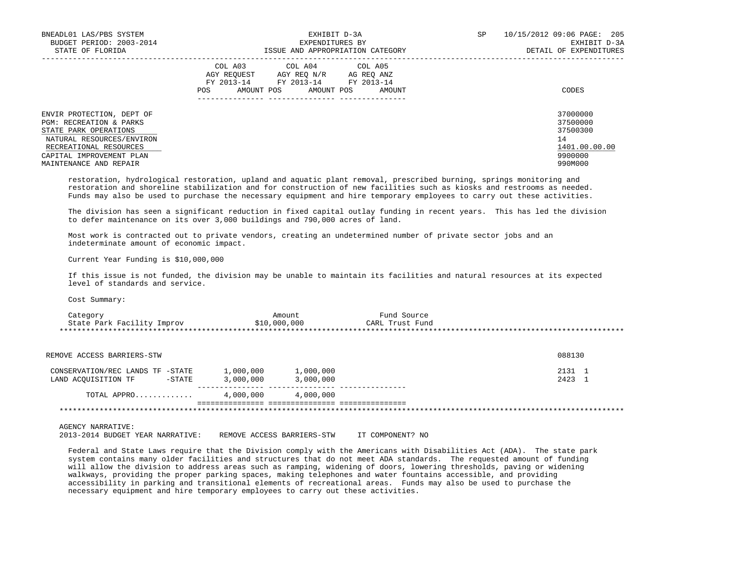| BNEADL01 LAS/PBS SYSTEM<br>BUDGET PERIOD: 2003-2014<br>STATE OF FLORIDA                                                                                                                    | EXHIBIT D-3A<br>EXPENDITURES BY<br>ISSUE AND APPROPRIATION CATEGORY                                                                            | SP<br>10/15/2012 09:06 PAGE: 205<br>EXHIBIT D-3A<br>DETAIL OF EXPENDITURES    |
|--------------------------------------------------------------------------------------------------------------------------------------------------------------------------------------------|------------------------------------------------------------------------------------------------------------------------------------------------|-------------------------------------------------------------------------------|
|                                                                                                                                                                                            | COL A03 COL A04 COL A05<br>AGY REOUEST AGY REO N/R AG REO ANZ<br>FY 2013-14 FY 2013-14 FY 2013-14<br>POS<br>AMOUNT POS<br>AMOUNT POS<br>AMOUNT | CODES                                                                         |
| ENVIR PROTECTION, DEPT OF<br>PGM: RECREATION & PARKS<br>STATE PARK OPERATIONS<br>NATURAL RESOURCES/ENVIRON<br>RECREATIONAL RESOURCES<br>CAPITAL IMPROVEMENT PLAN<br>MAINTENANCE AND REPAIR |                                                                                                                                                | 37000000<br>37500000<br>37500300<br>14<br>1401.00.00.00<br>9900000<br>990M000 |

 restoration, hydrological restoration, upland and aquatic plant removal, prescribed burning, springs monitoring and restoration and shoreline stabilization and for construction of new facilities such as kiosks and restrooms as needed. Funds may also be used to purchase the necessary equipment and hire temporary employees to carry out these activities.

 The division has seen a significant reduction in fixed capital outlay funding in recent years. This has led the division to defer maintenance on its over 3,000 buildings and 790,000 acres of land.

 Most work is contracted out to private vendors, creating an undetermined number of private sector jobs and an indeterminate amount of economic impact.

Current Year Funding is \$10,000,000

 If this issue is not funded, the division may be unable to maintain its facilities and natural resources at its expected level of standards and service.

Cost Summary:

| Category                   | Amount       | Fund Source     |  |
|----------------------------|--------------|-----------------|--|
| State Park Facility Improv | \$10,000,000 | CARL Trust Fund |  |
|                            |              |                 |  |

| REMOVE ACCESS BARRIERS-STW                                        |                        |                        | 088130           |
|-------------------------------------------------------------------|------------------------|------------------------|------------------|
| CONSERVATION/REC LANDS TF -STATE<br>LAND ACOUISITION TF<br>-STATE | 1,000,000<br>3,000,000 | 1,000,000<br>3,000,000 | 2131 1<br>2423 1 |
| TOTAL APPRO                                                       | 4,000,000              | 4,000,000              |                  |
|                                                                   |                        |                        |                  |

AGENCY NARRATIVE:

2013-2014 BUDGET YEAR NARRATIVE: REMOVE ACCESS BARRIERS-STW IT COMPONENT? NO

 Federal and State Laws require that the Division comply with the Americans with Disabilities Act (ADA). The state park system contains many older facilities and structures that do not meet ADA standards. The requested amount of funding will allow the division to address areas such as ramping, widening of doors, lowering thresholds, paving or widening walkways, providing the proper parking spaces, making telephones and water fountains accessible, and providing accessibility in parking and transitional elements of recreational areas. Funds may also be used to purchase the necessary equipment and hire temporary employees to carry out these activities.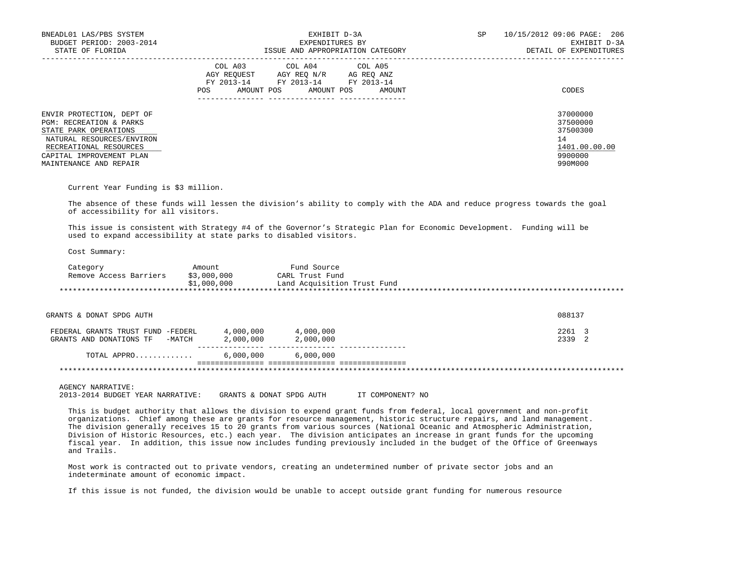| BNEADL01 LAS/PBS SYSTEM<br>BUDGET PERIOD: 2003-2014<br>STATE OF FLORIDA                                                                                                                               | EXHIBIT D-3A<br>EXPENDITURES BY<br>ISSUE AND APPROPRIATION CATEGORY                                                                                     | SP<br>10/15/2012 09:06 PAGE: 206<br>EXHIBIT D-3A<br>DETAIL OF EXPENDITURES    |
|-------------------------------------------------------------------------------------------------------------------------------------------------------------------------------------------------------|---------------------------------------------------------------------------------------------------------------------------------------------------------|-------------------------------------------------------------------------------|
|                                                                                                                                                                                                       | COL A03 COL A04 COL A05<br>AGY REOUEST<br>AGY REO N/R<br>AG REO ANZ<br>FY 2013-14<br>FY 2013-14 FY 2013-14<br>AMOUNT POS<br>AMOUNT POS<br>POS<br>AMOUNT | CODES                                                                         |
| ENVIR PROTECTION, DEPT OF<br><b>PGM: RECREATION &amp; PARKS</b><br>STATE PARK OPERATIONS<br>NATURAL RESOURCES/ENVIRON<br>RECREATIONAL RESOURCES<br>CAPITAL IMPROVEMENT PLAN<br>MAINTENANCE AND REPAIR |                                                                                                                                                         | 37000000<br>37500000<br>37500300<br>14<br>1401.00.00.00<br>9900000<br>990M000 |

## Current Year Funding is \$3 million.

 The absence of these funds will lessen the division's ability to comply with the ADA and reduce progress towards the goal of accessibility for all visitors.

 This issue is consistent with Strategy #4 of the Governor's Strategic Plan for Economic Development. Funding will be used to expand accessibility at state parks to disabled visitors.

Cost Summary:

| Category                          | Amount              | Fund Source                 |        |
|-----------------------------------|---------------------|-----------------------------|--------|
| Remove Access Barriers            | \$3,000,000         | CARL Trust Fund             |        |
|                                   | \$1,000,000         | Land Acquisition Trust Fund |        |
|                                   |                     |                             |        |
|                                   |                     |                             |        |
|                                   |                     |                             |        |
| GRANTS & DONAT SPDG AUTH          |                     |                             | 088137 |
| FEDERAL GRANTS TRUST FUND -FEDERL | 4,000,000           | 4,000,000                   | 2261 3 |
| GRANTS AND DONATIONS TF           | 2,000,000<br>-MATCH | 2,000,000                   | 2339 2 |
|                                   |                     |                             |        |
| TOTAL APPRO                       | 6,000,000           | 6,000,000                   |        |
|                                   |                     |                             |        |
|                                   |                     |                             |        |

#### AGENCY NARRATIVE:

2013-2014 BUDGET YEAR NARRATIVE: GRANTS & DONAT SPDG AUTH IT COMPONENT? NO

 This is budget authority that allows the division to expend grant funds from federal, local government and non-profit organizations. Chief among these are grants for resource management, historic structure repairs, and land management. The division generally receives 15 to 20 grants from various sources (National Oceanic and Atmospheric Administration, Division of Historic Resources, etc.) each year. The division anticipates an increase in grant funds for the upcoming fiscal year. In addition, this issue now includes funding previously included in the budget of the Office of Greenways and Trails.

 Most work is contracted out to private vendors, creating an undetermined number of private sector jobs and an indeterminate amount of economic impact.

If this issue is not funded, the division would be unable to accept outside grant funding for numerous resource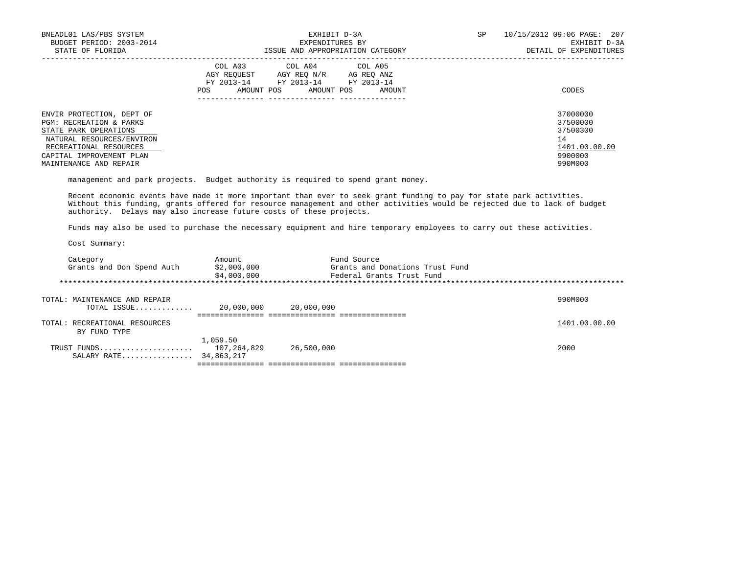| BNEADL01 LAS/PBS SYSTEM<br>BUDGET PERIOD: 2003-2014<br>STATE OF FLORIDA                                                                                                                               | EXHIBIT D-3A<br>EXPENDITURES BY<br>ISSUE AND APPROPRIATION CATEGORY                                                                                     | 10/15/2012 09:06 PAGE: 207<br>SP.<br>EXHIBIT D-3A<br>DETAIL OF EXPENDITURES   |  |
|-------------------------------------------------------------------------------------------------------------------------------------------------------------------------------------------------------|---------------------------------------------------------------------------------------------------------------------------------------------------------|-------------------------------------------------------------------------------|--|
|                                                                                                                                                                                                       | COL A03<br>COL A04 COL A05<br>AGY REOUEST<br>AGY REO N/R<br>AG REO ANZ<br>FY 2013-14 FY 2013-14 FY 2013-14<br>AMOUNT POS<br>AMOUNT POS<br>POS<br>AMOUNT | CODES                                                                         |  |
| ENVIR PROTECTION, DEPT OF<br><b>PGM: RECREATION &amp; PARKS</b><br>STATE PARK OPERATIONS<br>NATURAL RESOURCES/ENVIRON<br>RECREATIONAL RESOURCES<br>CAPITAL IMPROVEMENT PLAN<br>MAINTENANCE AND REPAIR |                                                                                                                                                         | 37000000<br>37500000<br>37500300<br>14<br>1401.00.00.00<br>9900000<br>990M000 |  |

management and park projects. Budget authority is required to spend grant money.

 Recent economic events have made it more important than ever to seek grant funding to pay for state park activities. Without this funding, grants offered for resource management and other activities would be rejected due to lack of budget authority. Delays may also increase future costs of these projects.

Funds may also be used to purchase the necessary equipment and hire temporary employees to carry out these activities.

| Category                      | Amount                       | Fund Source                     |               |
|-------------------------------|------------------------------|---------------------------------|---------------|
| Grants and Don Spend Auth     | \$2,000,000                  | Grants and Donations Trust Fund |               |
|                               | \$4,000,000                  | Federal Grants Trust Fund       |               |
|                               |                              |                                 |               |
|                               |                              |                                 |               |
| TOTAL: MAINTENANCE AND REPAIR |                              |                                 | 990M000       |
| TOTAL ISSUE                   | 20,000,000                   | 20,000,000                      |               |
|                               | ============================ |                                 |               |
| TOTAL: RECREATIONAL RESOURCES |                              |                                 | 1401.00.00.00 |
| BY FUND TYPE                  |                              |                                 |               |
|                               | 1,059.50                     |                                 |               |
| TRUST FUNDS                   | 107,264,829                  | 26,500,000                      | 2000          |
| SALARY RATE                   | 34,863,217                   |                                 |               |
|                               |                              |                                 |               |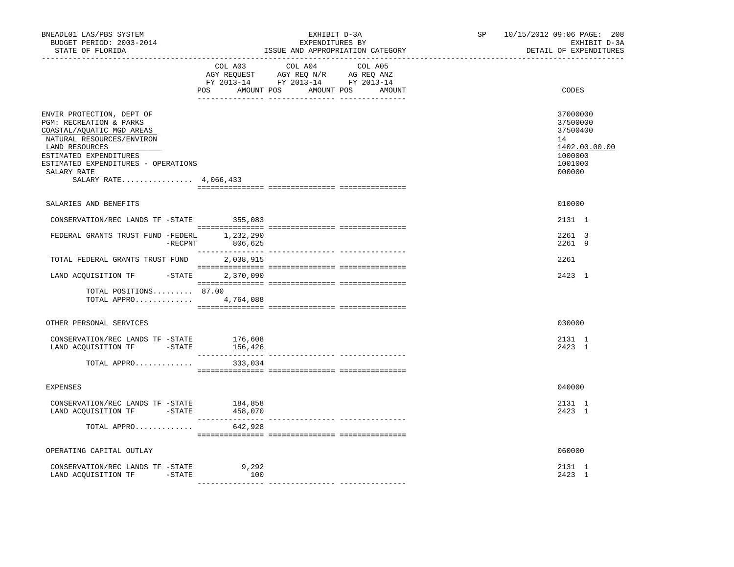| BNEADL01 LAS/PBS SYSTEM<br>BUDGET PERIOD: 2003-2014<br>STATE OF FLORIDA                                                                                                                                                                   | EXHIBIT D-3A<br>EXPENDITURES BY<br>ISSUE AND APPROPRIATION CATEGORY                                                                         | 10/15/2012 09:06 PAGE: 208<br>SP<br>EXHIBIT D-3A<br>DETAIL OF EXPENDITURES<br>------------------------------- |
|-------------------------------------------------------------------------------------------------------------------------------------------------------------------------------------------------------------------------------------------|---------------------------------------------------------------------------------------------------------------------------------------------|---------------------------------------------------------------------------------------------------------------|
|                                                                                                                                                                                                                                           | COL A04<br>COL A05<br>COL A03<br>AGY REQUEST AGY REQ N/R AG REQ ANZ<br>FY 2013-14 FY 2013-14 FY 2013-14<br>POS AMOUNT POS AMOUNT POS AMOUNT | CODES                                                                                                         |
| ENVIR PROTECTION, DEPT OF<br>PGM: RECREATION & PARKS<br>COASTAL/AQUATIC MGD AREAS<br>NATURAL RESOURCES/ENVIRON<br>LAND RESOURCES<br>ESTIMATED EXPENDITURES<br>ESTIMATED EXPENDITURES - OPERATIONS<br>SALARY RATE<br>SALARY RATE 4,066,433 |                                                                                                                                             | 37000000<br>37500000<br>37500400<br>14<br>1402.00.00.00<br>1000000<br>1001000<br>000000                       |
| SALARIES AND BENEFITS                                                                                                                                                                                                                     |                                                                                                                                             | 010000                                                                                                        |
| CONSERVATION/REC LANDS TF -STATE                                                                                                                                                                                                          | 355,083                                                                                                                                     | 2131 1                                                                                                        |
| FEDERAL GRANTS TRUST FUND -FEDERL 1, 232, 290<br>$-$ RECPNT                                                                                                                                                                               | 806,625                                                                                                                                     | 2261 3<br>2261 9                                                                                              |
| TOTAL FEDERAL GRANTS TRUST FUND                                                                                                                                                                                                           | 2,038,915                                                                                                                                   | 2261                                                                                                          |
| LAND ACQUISITION TF<br>$-$ STATE                                                                                                                                                                                                          | 2,370,090                                                                                                                                   | 2423 1                                                                                                        |
| TOTAL POSITIONS 87.00<br>TOTAL APPRO 4,764,088                                                                                                                                                                                            |                                                                                                                                             |                                                                                                               |
| OTHER PERSONAL SERVICES                                                                                                                                                                                                                   |                                                                                                                                             | 030000                                                                                                        |
| CONSERVATION/REC LANDS TF -STATE 176,608<br>LAND ACQUISITION TF -STATE                                                                                                                                                                    | 156,426                                                                                                                                     | 2131 1<br>2423 1                                                                                              |
| TOTAL APPRO                                                                                                                                                                                                                               | 333,034                                                                                                                                     |                                                                                                               |
| <b>EXPENSES</b>                                                                                                                                                                                                                           |                                                                                                                                             | 040000                                                                                                        |
| CONSERVATION/REC LANDS TF -STATE 184,858<br>LAND ACQUISITION TF - STATE 458,070                                                                                                                                                           |                                                                                                                                             | 2131 1<br>2423 1                                                                                              |
| TOTAL APPRO                                                                                                                                                                                                                               | 642,928                                                                                                                                     |                                                                                                               |
| OPERATING CAPITAL OUTLAY                                                                                                                                                                                                                  |                                                                                                                                             | 060000                                                                                                        |
| CONSERVATION/REC LANDS TF -STATE<br>LAND ACQUISITION TF -STATE                                                                                                                                                                            | 9,292<br>100                                                                                                                                | 2131 1<br>2423 1                                                                                              |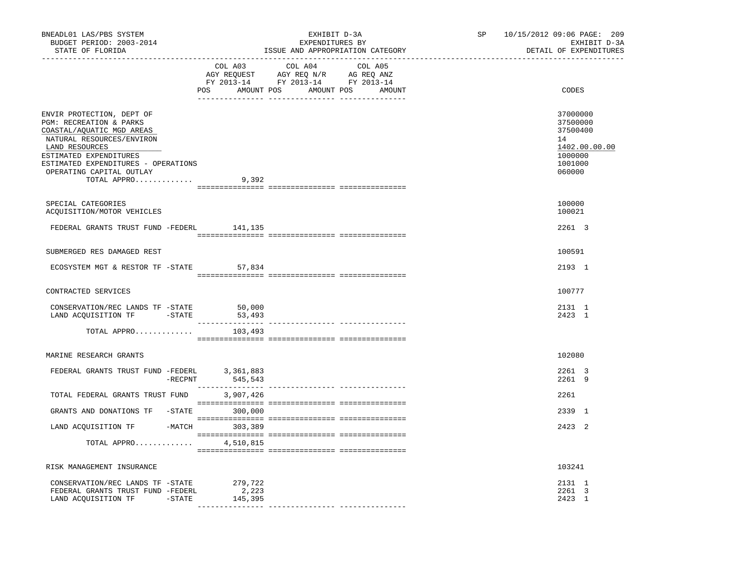| BNEADL01 LAS/PBS SYSTEM<br>BUDGET PERIOD: 2003-2014<br>STATE OF FLORIDA                                                                                                                                                                      |                                      | EXHIBIT D-3A<br>EXPENDITURES BY<br>ISSUE AND APPROPRIATION CATEGORY                                                              | SP <sub>2</sub> | 10/15/2012 09:06 PAGE: 209<br>EXHIBIT D-3A<br>DETAIL OF EXPENDITURES                    |
|----------------------------------------------------------------------------------------------------------------------------------------------------------------------------------------------------------------------------------------------|--------------------------------------|----------------------------------------------------------------------------------------------------------------------------------|-----------------|-----------------------------------------------------------------------------------------|
|                                                                                                                                                                                                                                              | COL A03                              | COL A04<br>COL A05<br>AGY REQUEST AGY REQ N/R AG REQ ANZ<br>FY 2013-14 FY 2013-14 FY 2013-14<br>POS AMOUNT POS AMOUNT POS AMOUNT |                 | CODES                                                                                   |
| ENVIR PROTECTION, DEPT OF<br>PGM: RECREATION & PARKS<br>COASTAL/AQUATIC MGD AREAS<br>NATURAL RESOURCES/ENVIRON<br>LAND RESOURCES<br>ESTIMATED EXPENDITURES<br>ESTIMATED EXPENDITURES - OPERATIONS<br>OPERATING CAPITAL OUTLAY<br>TOTAL APPRO | 9,392                                |                                                                                                                                  |                 | 37000000<br>37500000<br>37500400<br>14<br>1402.00.00.00<br>1000000<br>1001000<br>060000 |
| SPECIAL CATEGORIES<br>ACOUISITION/MOTOR VEHICLES                                                                                                                                                                                             |                                      |                                                                                                                                  |                 | 100000<br>100021                                                                        |
| FEDERAL GRANTS TRUST FUND -FEDERL 141,135                                                                                                                                                                                                    |                                      |                                                                                                                                  |                 | 2261 3                                                                                  |
| SUBMERGED RES DAMAGED REST                                                                                                                                                                                                                   |                                      |                                                                                                                                  |                 | 100591                                                                                  |
| ECOSYSTEM MGT & RESTOR TF -STATE 57,834                                                                                                                                                                                                      |                                      |                                                                                                                                  |                 | 2193 1                                                                                  |
| CONTRACTED SERVICES                                                                                                                                                                                                                          |                                      |                                                                                                                                  |                 | 100777                                                                                  |
| CONSERVATION/REC LANDS TF -STATE<br>LAND ACQUISITION TF -STATE                                                                                                                                                                               | 50,000<br>53,493                     |                                                                                                                                  |                 | 2131 1<br>2423 1                                                                        |
| TOTAL APPRO                                                                                                                                                                                                                                  | 103,493                              |                                                                                                                                  |                 |                                                                                         |
| MARINE RESEARCH GRANTS                                                                                                                                                                                                                       |                                      |                                                                                                                                  |                 | 102080                                                                                  |
| FEDERAL GRANTS TRUST FUND -FEDERL                                                                                                                                                                                                            | -FEDERL 3,361,883<br>-RECPNT 545,543 |                                                                                                                                  |                 | 2261 3<br>2261 9                                                                        |
| TOTAL FEDERAL GRANTS TRUST FUND 3,907,426                                                                                                                                                                                                    |                                      |                                                                                                                                  |                 | 2261                                                                                    |
| GRANTS AND DONATIONS TF -STATE 300,000                                                                                                                                                                                                       |                                      |                                                                                                                                  |                 | 2339 1                                                                                  |
| LAND ACQUISITION TF -MATCH 303,389                                                                                                                                                                                                           |                                      |                                                                                                                                  |                 | 2423 2                                                                                  |
| TOTAL APPRO                                                                                                                                                                                                                                  | 4,510,815                            |                                                                                                                                  |                 |                                                                                         |
| RISK MANAGEMENT INSURANCE                                                                                                                                                                                                                    |                                      |                                                                                                                                  |                 | 103241                                                                                  |
| CONSERVATION/REC LANDS TF -STATE 279,722<br>FEDERAL GRANTS TRUST FUND -FEDERL<br>LAND ACQUISITION TF -STATE                                                                                                                                  | 2,223<br>145,395                     |                                                                                                                                  |                 | 2131 1<br>2261 3<br>2423 1                                                              |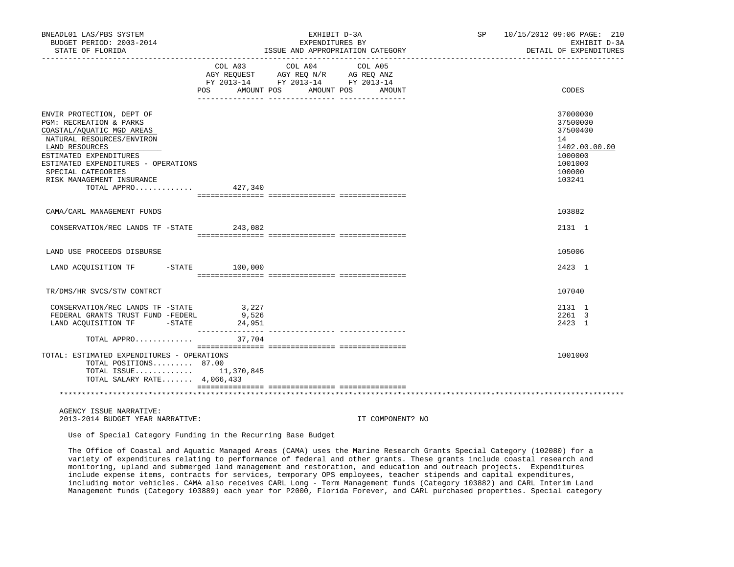| BNEADL01 LAS/PBS SYSTEM<br>BUDGET PERIOD: 2003-2014                                                                                                                                               |                | EXHIBIT D-3A<br>EXPENDITURES BY                                                                                                                                                                                                                                                                                                                                                                                                                                                                                                           | SP 10/15/2012 09:06 PAGE: 210<br>EXHIBIT D-3A                                 |
|---------------------------------------------------------------------------------------------------------------------------------------------------------------------------------------------------|----------------|-------------------------------------------------------------------------------------------------------------------------------------------------------------------------------------------------------------------------------------------------------------------------------------------------------------------------------------------------------------------------------------------------------------------------------------------------------------------------------------------------------------------------------------------|-------------------------------------------------------------------------------|
| STATE OF FLORIDA                                                                                                                                                                                  |                | ISSUE AND APPROPRIATION CATEGORY                                                                                                                                                                                                                                                                                                                                                                                                                                                                                                          | DETAIL OF EXPENDITURES<br>--------------                                      |
|                                                                                                                                                                                                   | POS AMOUNT POS | $\begin{tabular}{lllllllllll} \multicolumn{4}{l} \multicolumn{4}{c}{\text{COL A03}} & \multicolumn{4}{c}{\text{COL A04}} & \multicolumn{4}{c}{\text{COL A05}} \\ \multicolumn{4}{c}{\text{AGY REQUEST}} & \multicolumn{4}{c}{\text{AGY REQ N/R}} & \multicolumn{4}{c}{\text{AG REQ ANZ}} \\ \multicolumn{4}{c}{\text{AGY REQ N/R}} & \multicolumn{4}{c}{\text{AG REQ ANZ}} & \multicolumn{4}{c}{\text{N}} \\ \multicolumn{4}{c}{\text{AGY REQ N/R}} & \multicolumn{4}{c}{\text{$<br>FY 2013-14 FY 2013-14 FY 2013-14<br>AMOUNT POS AMOUNT | CODES                                                                         |
|                                                                                                                                                                                                   |                |                                                                                                                                                                                                                                                                                                                                                                                                                                                                                                                                           |                                                                               |
| ENVIR PROTECTION, DEPT OF<br>PGM: RECREATION & PARKS<br>COASTAL/AQUATIC MGD AREAS<br>NATURAL RESOURCES/ENVIRON<br>LAND RESOURCES<br>ESTIMATED EXPENDITURES<br>ESTIMATED EXPENDITURES - OPERATIONS |                |                                                                                                                                                                                                                                                                                                                                                                                                                                                                                                                                           | 37000000<br>37500000<br>37500400<br>14<br>1402.00.00.00<br>1000000<br>1001000 |
| SPECIAL CATEGORIES<br>RISK MANAGEMENT INSURANCE<br>TOTAL APPRO 427,340                                                                                                                            |                |                                                                                                                                                                                                                                                                                                                                                                                                                                                                                                                                           | 100000<br>103241                                                              |
| CAMA/CARL MANAGEMENT FUNDS                                                                                                                                                                        |                |                                                                                                                                                                                                                                                                                                                                                                                                                                                                                                                                           | 103882                                                                        |
| CONSERVATION/REC LANDS TF -STATE 243,082                                                                                                                                                          |                |                                                                                                                                                                                                                                                                                                                                                                                                                                                                                                                                           | 2131 1                                                                        |
| LAND USE PROCEEDS DISBURSE                                                                                                                                                                        |                |                                                                                                                                                                                                                                                                                                                                                                                                                                                                                                                                           | 105006                                                                        |
| LAND ACQUISITION TF -STATE 100,000                                                                                                                                                                |                |                                                                                                                                                                                                                                                                                                                                                                                                                                                                                                                                           | 2423 1                                                                        |
| TR/DMS/HR SVCS/STW CONTRCT                                                                                                                                                                        |                |                                                                                                                                                                                                                                                                                                                                                                                                                                                                                                                                           | 107040                                                                        |
| CONSERVATION/REC LANDS TF -STATE<br>FEDERAL GRANTS TRUST FUND -FEDERL<br>LAND ACQUISITION TF -STATE 24,951                                                                                        | 3,227<br>9,526 |                                                                                                                                                                                                                                                                                                                                                                                                                                                                                                                                           | 2131 1<br>2261 3<br>2423 1                                                    |
| TOTAL APPRO                                                                                                                                                                                       | 37,704         |                                                                                                                                                                                                                                                                                                                                                                                                                                                                                                                                           |                                                                               |
| TOTAL: ESTIMATED EXPENDITURES - OPERATIONS<br>TOTAL POSITIONS 87.00<br>TOTAL ISSUE 11,370,845<br>TOTAL SALARY RATE 4,066,433                                                                      |                |                                                                                                                                                                                                                                                                                                                                                                                                                                                                                                                                           | 1001000                                                                       |
|                                                                                                                                                                                                   |                |                                                                                                                                                                                                                                                                                                                                                                                                                                                                                                                                           |                                                                               |

 AGENCY ISSUE NARRATIVE: 2013-2014 BUDGET YEAR NARRATIVE: IT COMPONENT? NO

Use of Special Category Funding in the Recurring Base Budget

 The Office of Coastal and Aquatic Managed Areas (CAMA) uses the Marine Research Grants Special Category (102080) for a variety of expenditures relating to performance of federal and other grants. These grants include coastal research and monitoring, upland and submerged land management and restoration, and education and outreach projects. Expenditures include expense items, contracts for services, temporary OPS employees, teacher stipends and capital expenditures, including motor vehicles. CAMA also receives CARL Long - Term Management funds (Category 103882) and CARL Interim Land Management funds (Category 103889) each year for P2000, Florida Forever, and CARL purchased properties. Special category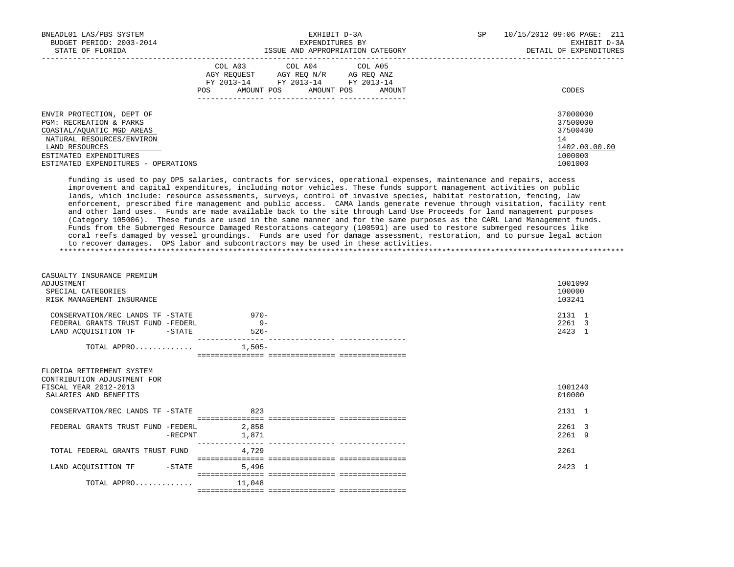| BNEADL01 LAS/PBS SYSTEM<br>EXHIBIT D-3A |                   |                                  | SP<br>10/15/2012 09:06 PAGE: 211 |              |                        |
|-----------------------------------------|-------------------|----------------------------------|----------------------------------|--------------|------------------------|
| BUDGET PERIOD: 2003-2014                |                   | EXPENDITURES BY                  |                                  | EXHIBIT D-3A |                        |
| STATE OF FLORIDA                        |                   | ISSUE AND APPROPRIATION CATEGORY |                                  |              | DETAIL OF EXPENDITURES |
|                                         |                   | COL A03 COL A04 COL A05          |                                  |              |                        |
|                                         | AGY REOUEST       | AGY REO N/R AG REO ANZ           |                                  |              |                        |
|                                         | FY 2013-14        | FY 2013-14                       | FY 2013-14                       |              |                        |
|                                         | AMOUNT POS<br>POS | AMOUNT POS                       | AMOUNT                           |              | CODES                  |
|                                         |                   |                                  |                                  |              |                        |
| ENVIR PROTECTION, DEPT OF               |                   |                                  |                                  |              | 37000000               |
| PGM: RECREATION & PARKS                 |                   |                                  |                                  |              | 37500000               |
| COASTAL/AOUATIC MGD AREAS               |                   |                                  |                                  |              | 37500400               |
| NATURAL RESOURCES/ENVIRON               |                   |                                  |                                  |              | 14                     |
| LAND RESOURCES                          |                   |                                  |                                  |              | 1402.00.00.00          |
| ESTIMATED EXPENDITURES                  |                   |                                  |                                  |              | 1000000                |
| ESTIMATED EXPENDITURES - OPERATIONS     |                   |                                  |                                  |              | 1001000                |

 funding is used to pay OPS salaries, contracts for services, operational expenses, maintenance and repairs, access improvement and capital expenditures, including motor vehicles. These funds support management activities on public lands, which include: resource assessments, surveys, control of invasive species, habitat restoration, fencing, law enforcement, prescribed fire management and public access. CAMA lands generate revenue through visitation, facility rent and other land uses. Funds are made available back to the site through Land Use Proceeds for land management purposes (Category 105006). These funds are used in the same manner and for the same purposes as the CARL Land Management funds. Funds from the Submerged Resource Damaged Restorations category (100591) are used to restore submerged resources like coral reefs damaged by vessel groundings. Funds are used for damage assessment, restoration, and to pursue legal action to recover damages. OPS labor and subcontractors may be used in these activities. \*\*\*\*\*\*\*\*\*\*\*\*\*\*\*\*\*\*\*\*\*\*\*\*\*\*\*\*\*\*\*\*\*\*\*\*\*\*\*\*\*\*\*\*\*\*\*\*\*\*\*\*\*\*\*\*\*\*\*\*\*\*\*\*\*\*\*\*\*\*\*\*\*\*\*\*\*\*\*\*\*\*\*\*\*\*\*\*\*\*\*\*\*\*\*\*\*\*\*\*\*\*\*\*\*\*\*\*\*\*\*\*\*\*\*\*\*\*\*\*\*\*\*\*\*\*\*

| CASUALTY INSURANCE PREMIUM<br>ADJUSTMENT<br>SPECIAL CATEGORIES<br>RISK MANAGEMENT INSURANCE                |          | 1001090<br>100000<br>103241 |
|------------------------------------------------------------------------------------------------------------|----------|-----------------------------|
| CONSERVATION/REC LANDS TF -STATE                                                                           | $970-$   | 2131 1                      |
| FEDERAL GRANTS TRUST FUND -FEDERL                                                                          | $9 -$    | 2261 3                      |
| LAND ACQUISITION TF<br>$-$ STATE                                                                           | $526-$   | 2423 1                      |
| TOTAL APPRO                                                                                                | $1,505-$ |                             |
|                                                                                                            |          |                             |
| FLORIDA RETIREMENT SYSTEM<br>CONTRIBUTION ADJUSTMENT FOR<br>FISCAL YEAR 2012-2013<br>SALARIES AND BENEFITS |          | 1001240<br>010000           |
| CONSERVATION/REC LANDS TF -STATE                                                                           | 823      | 2131 1                      |
|                                                                                                            |          |                             |
| FEDERAL GRANTS TRUST FUND -FEDERL                                                                          | 2,858    | 2261 3                      |
| -RECPNT                                                                                                    | 1,871    | 2261 9                      |
| TOTAL FEDERAL GRANTS TRUST FUND                                                                            | 4,729    | 2261                        |
| LAND ACQUISITION TF<br>$-STATE$                                                                            | 5,496    | 2423 1                      |
|                                                                                                            |          |                             |
| TOTAL APPRO $11,048$                                                                                       |          |                             |
|                                                                                                            |          |                             |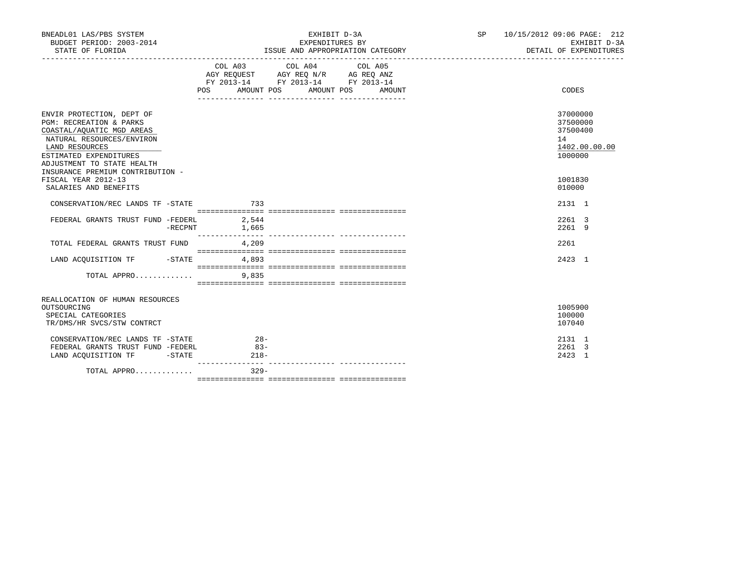| BNEADL01 LAS/PBS SYSTEM<br>BUDGET PERIOD: 2003-2014<br>STATE OF FLORIDA                                                                                                                                                                 |         | EXHIBIT D-3A<br>EXPENDITURES BY<br>ISSUE AND APPROPRIATION CATEGORY |                                                                                                                                       |  |        | ____________________________________ | SP 10/15/2012 09:06 PAGE: 212<br>EXHIBIT D-3A<br>DETAIL OF EXPENDITURES |  |
|-----------------------------------------------------------------------------------------------------------------------------------------------------------------------------------------------------------------------------------------|---------|---------------------------------------------------------------------|---------------------------------------------------------------------------------------------------------------------------------------|--|--------|--------------------------------------|-------------------------------------------------------------------------|--|
|                                                                                                                                                                                                                                         |         | POS AMOUNT POS AMOUNT POS                                           | COL A03 COL A04 COL A05<br>AGY REQUEST AGY REQ N/R AG REQ ANZ<br>FY 2013-14 FY 2013-14 FY 2013-14<br>____ _______________ ___________ |  | AMOUNT |                                      | CODES                                                                   |  |
| ENVIR PROTECTION, DEPT OF<br><b>PGM: RECREATION &amp; PARKS</b><br>COASTAL/AQUATIC MGD AREAS<br>NATURAL RESOURCES/ENVIRON<br>LAND RESOURCES<br>ESTIMATED EXPENDITURES<br>ADJUSTMENT TO STATE HEALTH<br>INSURANCE PREMIUM CONTRIBUTION - |         |                                                                     |                                                                                                                                       |  |        |                                      | 37000000<br>37500000<br>37500400<br>14<br>1402.00.00.00<br>1000000      |  |
| FISCAL YEAR 2012-13<br>SALARIES AND BENEFITS                                                                                                                                                                                            |         |                                                                     |                                                                                                                                       |  |        |                                      | 1001830<br>010000                                                       |  |
| CONSERVATION/REC LANDS TF -STATE 733                                                                                                                                                                                                    |         |                                                                     |                                                                                                                                       |  |        |                                      | 2131 1                                                                  |  |
| FEDERAL GRANTS TRUST FUND -FEDERL 2,544                                                                                                                                                                                                 | -RECPNT | 1,665                                                               |                                                                                                                                       |  |        |                                      | 2261 3<br>22619                                                         |  |
| TOTAL FEDERAL GRANTS TRUST FUND                                                                                                                                                                                                         |         | 4,209                                                               |                                                                                                                                       |  |        |                                      | 2261                                                                    |  |
| LAND ACQUISITION TF -STATE 4,893                                                                                                                                                                                                        |         |                                                                     |                                                                                                                                       |  |        |                                      | 2423 1                                                                  |  |
| TOTAL APPRO                                                                                                                                                                                                                             |         | 9,835                                                               |                                                                                                                                       |  |        |                                      |                                                                         |  |
| REALLOCATION OF HUMAN RESOURCES<br>OUTSOURCING<br>SPECIAL CATEGORIES<br>TR/DMS/HR SVCS/STW CONTRCT                                                                                                                                      |         |                                                                     |                                                                                                                                       |  |        |                                      | 1005900<br>100000<br>107040                                             |  |
| CONSERVATION/REC LANDS TF -STATE<br>FEDERAL GRANTS TRUST FUND -FEDERL<br>LAND ACQUISITION TF -STATE                                                                                                                                     |         | $28 -$<br>$83 -$<br>$218-$                                          |                                                                                                                                       |  |        |                                      | 2131 1<br>2261 3<br>2423 1                                              |  |
| TOTAL APPRO                                                                                                                                                                                                                             |         | $329 -$                                                             |                                                                                                                                       |  |        |                                      |                                                                         |  |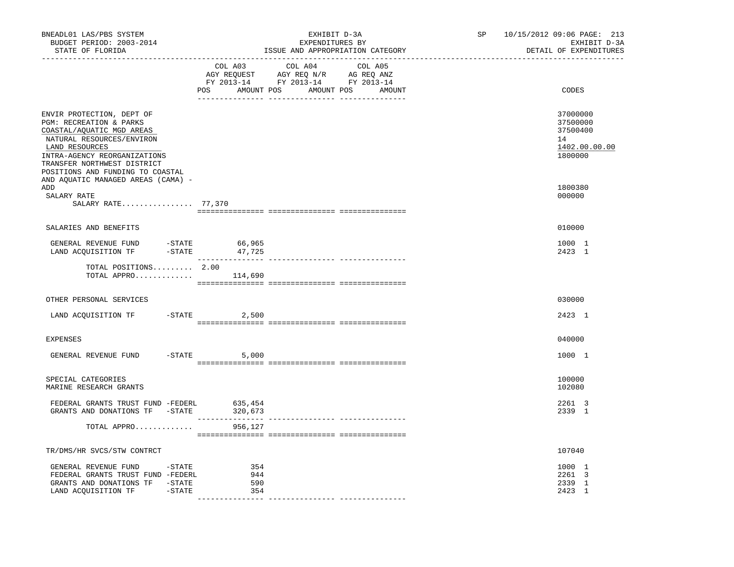| BNEADL01 LAS/PBS SYSTEM<br>BUDGET PERIOD: 2003-2014<br>STATE OF FLORIDA                                                                                                                                                             | EXHIBIT D-3A<br>EXPENDITURES BY<br>ISSUE AND APPROPRIATION CATEGORY                                                                         | 10/15/2012 09:06 PAGE: 213<br>SP<br>EXHIBIT D-3A<br>DETAIL OF EXPENDITURES<br>________________________________ |
|-------------------------------------------------------------------------------------------------------------------------------------------------------------------------------------------------------------------------------------|---------------------------------------------------------------------------------------------------------------------------------------------|----------------------------------------------------------------------------------------------------------------|
|                                                                                                                                                                                                                                     | COL A03<br>COL A04<br>COL A05<br>AGY REQUEST AGY REQ N/R AG REQ ANZ<br>FY 2013-14 FY 2013-14 FY 2013-14<br>POS AMOUNT POS AMOUNT POS AMOUNT | CODES                                                                                                          |
| ENVIR PROTECTION, DEPT OF<br>PGM: RECREATION & PARKS<br>COASTAL/AQUATIC MGD AREAS<br>NATURAL RESOURCES/ENVIRON<br>LAND RESOURCES<br>INTRA-AGENCY REORGANIZATIONS<br>TRANSFER NORTHWEST DISTRICT<br>POSITIONS AND FUNDING TO COASTAL |                                                                                                                                             | 37000000<br>37500000<br>37500400<br>14<br>1402.00.00.00<br>1800000                                             |
| AND AQUATIC MANAGED AREAS (CAMA) -<br>ADD<br>SALARY RATE<br>SALARY RATE 77,370                                                                                                                                                      |                                                                                                                                             | 1800380<br>000000                                                                                              |
| SALARIES AND BENEFITS                                                                                                                                                                                                               |                                                                                                                                             | 010000                                                                                                         |
| $\begin{tabular}{lllllll} \multicolumn{2}{llll} \multicolumn{2}{c}{\textbf{GENERAL REVIEW FUND}} & $\mbox{--STATE} & $66,965$ \\ \multicolumn{2}{l}{\textbf{LAND ACQUISTION TF}} & $\mbox{--STATE} & $47,725$ \\ \end{tabular}$     |                                                                                                                                             | 1000 1<br>2423 1                                                                                               |
| TOTAL POSITIONS 2.00<br>TOTAL APPRO                                                                                                                                                                                                 | 114,690                                                                                                                                     |                                                                                                                |
| OTHER PERSONAL SERVICES                                                                                                                                                                                                             |                                                                                                                                             | 030000                                                                                                         |
| LAND ACQUISITION TF                                                                                                                                                                                                                 | $-$ STATE 2,500                                                                                                                             | 2423 1                                                                                                         |
| <b>EXPENSES</b>                                                                                                                                                                                                                     |                                                                                                                                             | 040000                                                                                                         |
| GENERAL REVENUE FUND                                                                                                                                                                                                                | $-$ STATE<br>5,000                                                                                                                          | 1000 1                                                                                                         |
| SPECIAL CATEGORIES<br>MARINE RESEARCH GRANTS                                                                                                                                                                                        |                                                                                                                                             | 100000<br>102080                                                                                               |
| FEDERAL GRANTS TRUST FUND -FEDERL<br>GRANTS AND DONATIONS TF -STATE 320,673                                                                                                                                                         | 635,454                                                                                                                                     | 2261 3<br>2339 1                                                                                               |
| TOTAL APPRO                                                                                                                                                                                                                         | 956,127                                                                                                                                     |                                                                                                                |
| TR/DMS/HR SVCS/STW CONTRCT                                                                                                                                                                                                          |                                                                                                                                             | 107040                                                                                                         |
| GENERAL REVENUE FUND -STATE<br>FEDERAL GRANTS TRUST FUND -FEDERL<br>GRANTS AND DONATIONS TF -STATE<br>LAND ACQUISITION TF -STATE                                                                                                    | 354<br>944<br>590<br>354                                                                                                                    | 1000 1<br>2261 3<br>2339 1<br>2423 1                                                                           |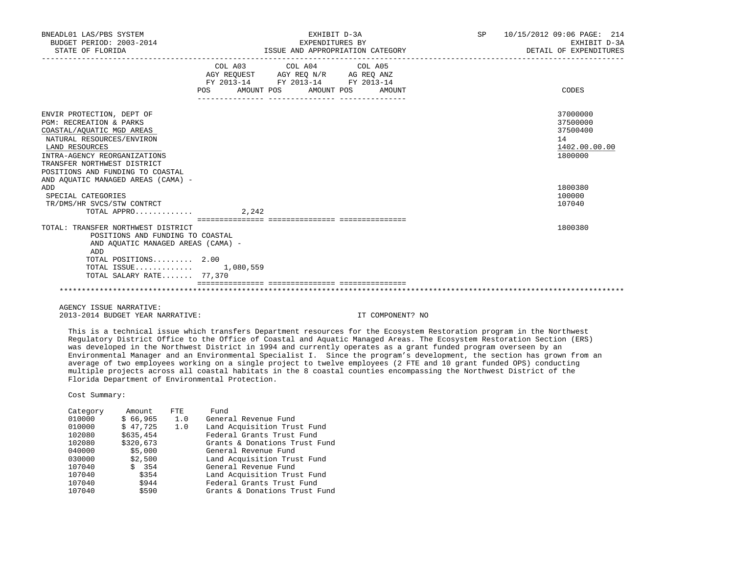| BNEADL01 LAS/PBS SYSTEM<br>BUDGET PERIOD: 2003-2014<br>STATE OF FLORIDA                                                                                                                                                             | EXHIBIT D-3A<br>EXPENDITURES BY<br>ISSUE AND APPROPRIATION CATEGORY |                                                                                                   |  |  | SP 10/15/2012 09:06 PAGE: 214<br>EXHIBIT D-3A<br>DETAIL OF EXPENDITURES |
|-------------------------------------------------------------------------------------------------------------------------------------------------------------------------------------------------------------------------------------|---------------------------------------------------------------------|---------------------------------------------------------------------------------------------------|--|--|-------------------------------------------------------------------------|
|                                                                                                                                                                                                                                     | POS AMOUNT POS AMOUNT POS AMOUNT                                    | COL A03 COL A04 COL A05<br>AGY REQUEST AGY REQ N/R AG REQ ANZ<br>FY 2013-14 FY 2013-14 FY 2013-14 |  |  | CODES                                                                   |
| ENVIR PROTECTION, DEPT OF<br>PGM: RECREATION & PARKS<br>COASTAL/AOUATIC MGD AREAS<br>NATURAL RESOURCES/ENVIRON<br>LAND RESOURCES<br>INTRA-AGENCY REORGANIZATIONS<br>TRANSFER NORTHWEST DISTRICT<br>POSITIONS AND FUNDING TO COASTAL |                                                                     |                                                                                                   |  |  | 37000000<br>37500000<br>37500400<br>14<br>1402.00.00.00<br>1800000      |
| AND AQUATIC MANAGED AREAS (CAMA) -<br>ADD<br>SPECIAL CATEGORIES<br>TR/DMS/HR SVCS/STW CONTRCT<br>TOTAL APPRO                                                                                                                        | 2,242                                                               |                                                                                                   |  |  | 1800380<br>100000<br>107040                                             |
| TOTAL: TRANSFER NORTHWEST DISTRICT<br>POSITIONS AND FUNDING TO COASTAL<br>AND AQUATIC MANAGED AREAS (CAMA) -<br>ADD<br>TOTAL POSITIONS 2.00<br>TOTAL ISSUE 1,080,559<br>TOTAL SALARY RATE 77,370                                    |                                                                     |                                                                                                   |  |  | 1800380                                                                 |
|                                                                                                                                                                                                                                     |                                                                     |                                                                                                   |  |  |                                                                         |

 AGENCY ISSUE NARRATIVE: 2013-2014 BUDGET YEAR NARRATIVE: IT COMPONENT? NO

 This is a technical issue which transfers Department resources for the Ecosystem Restoration program in the Northwest Regulatory District Office to the Office of Coastal and Aquatic Managed Areas. The Ecosystem Restoration Section (ERS) was developed in the Northwest District in 1994 and currently operates as a grant funded program overseen by an Environmental Manager and an Environmental Specialist I. Since the program's development, the section has grown from an average of two employees working on a single project to twelve employees (2 FTE and 10 grant funded OPS) conducting multiple projects across all coastal habitats in the 8 coastal counties encompassing the Northwest District of the Florida Department of Environmental Protection.

| Category | Amount    | FTE. | Fund                          |
|----------|-----------|------|-------------------------------|
| 010000   | \$66,965  | 1.0  | General Revenue Fund          |
| 010000   | \$47,725  | 1.0  | Land Acquisition Trust Fund   |
| 102080   | \$635,454 |      | Federal Grants Trust Fund     |
| 102080   | \$320,673 |      | Grants & Donations Trust Fund |
| 040000   | \$5,000   |      | General Revenue Fund          |
| 030000   | \$2,500   |      | Land Acquisition Trust Fund   |
| 107040   | \$354     |      | General Revenue Fund          |
| 107040   | \$354     |      | Land Acquisition Trust Fund   |
| 107040   | \$944     |      | Federal Grants Trust Fund     |
| 107040   | \$590     |      | Grants & Donations Trust Fund |
|          |           |      |                               |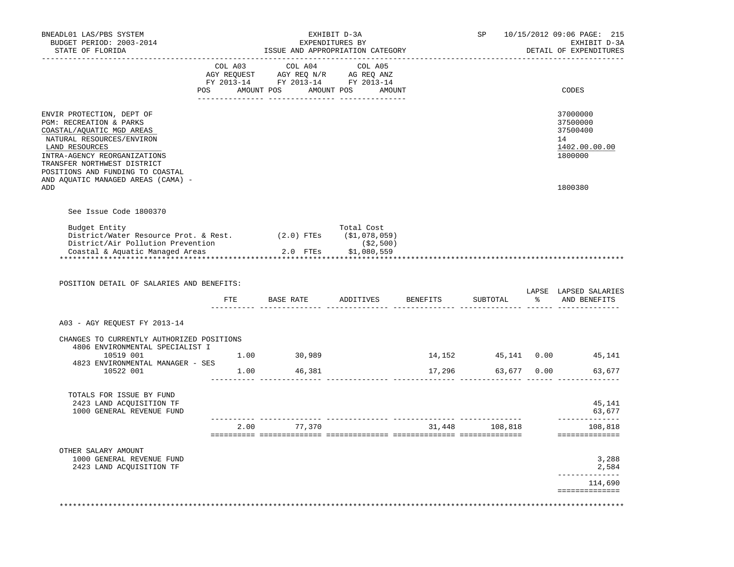| BNEADL01 LAS/PBS SYSTEM<br>BUDGET PERIOD: 2003-2014<br>STATE OF FLORIDA                                                                                                                                                                                                   | EXHIBIT D-3A<br>EXPENDITURES BY<br>ISSUE AND APPROPRIATION CATEGORY |                                                                                                                                                  |                           |                                                        |                 | 10/15/2012 09:06 PAGE: 215<br>EXHIBIT D-3A<br>DETAIL OF EXPENDITURES                                                                                                                |
|---------------------------------------------------------------------------------------------------------------------------------------------------------------------------------------------------------------------------------------------------------------------------|---------------------------------------------------------------------|--------------------------------------------------------------------------------------------------------------------------------------------------|---------------------------|--------------------------------------------------------|-----------------|-------------------------------------------------------------------------------------------------------------------------------------------------------------------------------------|
|                                                                                                                                                                                                                                                                           | COL A03                                                             | COL A04<br>0.2012 NGY REQUEST AGY REQ AND COLLAD AGY REQUEST AGY REQ ANZ<br>FY 2013-14 FY 2013-14 FY 2013-14<br>POS AMOUNT POS AMOUNT POS AMOUNT | COL A05                   |                                                        |                 | CODES                                                                                                                                                                               |
| ENVIR PROTECTION, DEPT OF<br>PGM: RECREATION & PARKS<br>COASTAL/AQUATIC MGD AREAS<br>NATURAL RESOURCES/ENVIRON<br>LAND RESOURCES<br>INTRA-AGENCY REORGANIZATIONS<br>TRANSFER NORTHWEST DISTRICT<br>POSITIONS AND FUNDING TO COASTAL<br>AND AQUATIC MANAGED AREAS (CAMA) - |                                                                     |                                                                                                                                                  |                           |                                                        |                 | 37000000<br>37500000<br>37500400<br>14<br>1402.00.00.00<br>1800000                                                                                                                  |
| ADD                                                                                                                                                                                                                                                                       |                                                                     |                                                                                                                                                  |                           |                                                        |                 | 1800380                                                                                                                                                                             |
| See Issue Code 1800370                                                                                                                                                                                                                                                    |                                                                     |                                                                                                                                                  |                           |                                                        |                 |                                                                                                                                                                                     |
| Budget Entity<br>District/Water Resource Prot. & Rest. (2.0) FTEs (\$1,078,059)                                                                                                                                                                                           |                                                                     |                                                                                                                                                  | Total Cost<br>( \$2, 500) |                                                        |                 |                                                                                                                                                                                     |
| District/Air Pollution Prevention<br>Coastal & Aquatic Managed Areas<br>**********************************                                                                                                                                                                |                                                                     | بن دب<br>2.0 FTEs \$1,080,559                                                                                                                    |                           |                                                        |                 |                                                                                                                                                                                     |
| POSITION DETAIL OF SALARIES AND BENEFITS:                                                                                                                                                                                                                                 |                                                                     | FTE BASE RATE ADDITIVES BENEFITS                                                                                                                 |                           |                                                        | SUBTOTAL        |                                                                                                                                                                                     |
| A03 - AGY REQUEST FY 2013-14                                                                                                                                                                                                                                              |                                                                     |                                                                                                                                                  |                           |                                                        | -------- ------ |                                                                                                                                                                                     |
| CHANGES TO CURRENTLY AUTHORIZED POSITIONS<br>4806 ENVIRONMENTAL SPECIALIST I                                                                                                                                                                                              |                                                                     |                                                                                                                                                  |                           |                                                        |                 | % AND BENEFITS                                                                                                                                                                      |
| 10519 001                                                                                                                                                                                                                                                                 |                                                                     | 1.00 30,989                                                                                                                                      |                           |                                                        |                 |                                                                                                                                                                                     |
| 4823 ENVIRONMENTAL MANAGER - SES<br>10522 001 1.00 46,381                                                                                                                                                                                                                 |                                                                     |                                                                                                                                                  |                           |                                                        |                 |                                                                                                                                                                                     |
| TOTALS FOR ISSUE BY FUND<br>2423 LAND ACQUISITION TF<br>1000 GENERAL REVENUE FUND                                                                                                                                                                                         |                                                                     |                                                                                                                                                  |                           |                                                        |                 |                                                                                                                                                                                     |
|                                                                                                                                                                                                                                                                           |                                                                     | 2.00 77,370                                                                                                                                      |                           | ____________________________________<br>31,448 108,818 |                 |                                                                                                                                                                                     |
| OTHER SALARY AMOUNT                                                                                                                                                                                                                                                       |                                                                     |                                                                                                                                                  |                           |                                                        |                 |                                                                                                                                                                                     |
| 1000 GENERAL REVENUE FUND<br>2423 LAND ACOUISITION TF                                                                                                                                                                                                                     |                                                                     |                                                                                                                                                  |                           |                                                        |                 | LAPSE LAPSED SALARIES<br>14,152  45,141  0.00  45,141<br>17,296 63,677 0.00 63,677<br>45,141<br>63,677<br>-----------<br>108,818<br>==============<br>3,288<br>2,584<br>----------- |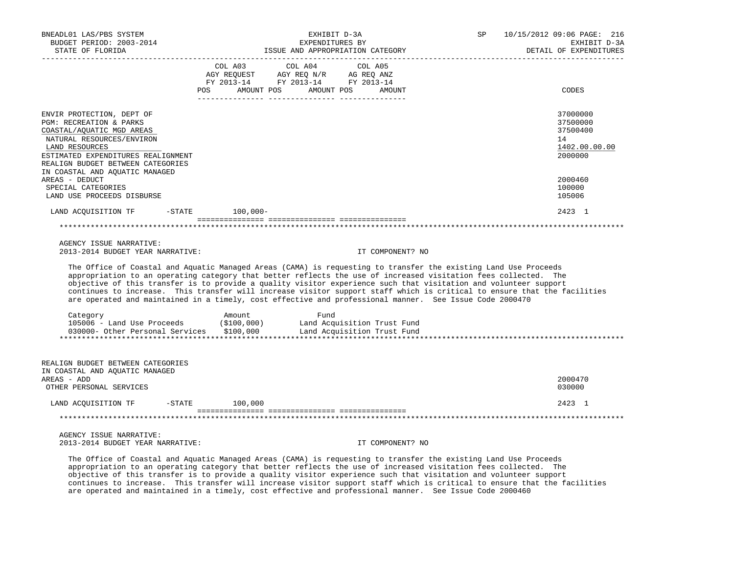| BNEADL01 LAS/PBS SYSTEM<br>BUDGET PERIOD: 2003-2014<br>STATE OF FLORIDA                                                                                                                                                                       |                                      | EXHIBIT D-3A<br>EXPENDITURES BY<br>ISSUE AND APPROPRIATION CATEGORY                                                                                                                                                                                                                                                                                                                                                                                               | 10/15/2012 09:06 PAGE: 216<br>SP<br>EXHIBIT D-3A<br>DETAIL OF EXPENDITURES                                               |  |  |
|-----------------------------------------------------------------------------------------------------------------------------------------------------------------------------------------------------------------------------------------------|--------------------------------------|-------------------------------------------------------------------------------------------------------------------------------------------------------------------------------------------------------------------------------------------------------------------------------------------------------------------------------------------------------------------------------------------------------------------------------------------------------------------|--------------------------------------------------------------------------------------------------------------------------|--|--|
|                                                                                                                                                                                                                                               | COL A03<br>POS AMOUNT POS AMOUNT POS | COL A04<br>COL A05<br>$\begin{tabular}{lcccc} COL A03 & COL A04 & COL A05 \\ AGY REQUEST & AGY REQ N/R & AG REQ ANZ \\ FY & 2013-14 & FY & 2013-14 & FY & 2013-14 \end{tabular}$<br>AMOUNT                                                                                                                                                                                                                                                                        | CODES                                                                                                                    |  |  |
| ENVIR PROTECTION, DEPT OF<br>PGM: RECREATION & PARKS<br>COASTAL/AQUATIC MGD AREAS<br>NATURAL RESOURCES/ENVIRON<br>LAND RESOURCES<br>ESTIMATED EXPENDITURES REALIGNMENT<br>REALIGN BUDGET BETWEEN CATEGORIES<br>IN COASTAL AND AQUATIC MANAGED |                                      |                                                                                                                                                                                                                                                                                                                                                                                                                                                                   | 37000000<br>37500000<br>37500400<br>14<br>1402.00.00.00<br>2000000                                                       |  |  |
| AREAS - DEDUCT<br>SPECIAL CATEGORIES<br>LAND USE PROCEEDS DISBURSE                                                                                                                                                                            |                                      |                                                                                                                                                                                                                                                                                                                                                                                                                                                                   | 2000460<br>100000<br>105006                                                                                              |  |  |
| LAND ACQUISITION TF                                                                                                                                                                                                                           | $-$ STATE $100,000-$                 |                                                                                                                                                                                                                                                                                                                                                                                                                                                                   | 2423 1                                                                                                                   |  |  |
|                                                                                                                                                                                                                                               |                                      |                                                                                                                                                                                                                                                                                                                                                                                                                                                                   |                                                                                                                          |  |  |
| AGENCY ISSUE NARRATIVE:<br>2013-2014 BUDGET YEAR NARRATIVE:                                                                                                                                                                                   |                                      | IT COMPONENT? NO                                                                                                                                                                                                                                                                                                                                                                                                                                                  |                                                                                                                          |  |  |
|                                                                                                                                                                                                                                               |                                      | The Office of Coastal and Aquatic Managed Areas (CAMA) is requesting to transfer the existing Land Use Proceeds<br>appropriation to an operating category that better reflects the use of increased visitation fees collected. The<br>objective of this transfer is to provide a quality visitor experience such that visitation and volunteer support<br>are operated and maintained in a timely, cost effective and professional manner. See Issue Code 2000470 | continues to increase. This transfer will increase visitor support staff which is critical to ensure that the facilities |  |  |
| Category                                                                                                                                                                                                                                      | Amount                               | Fund<br>105006 - Land Use Proceeds (\$100,000) Land Acquisition Trust Fund<br>030000- Other Personal Services \$100,000 Land Acquisition Trust Fund                                                                                                                                                                                                                                                                                                               |                                                                                                                          |  |  |
| REALIGN BUDGET BETWEEN CATEGORIES<br>IN COASTAL AND AQUATIC MANAGED<br>AREAS - ADD                                                                                                                                                            |                                      |                                                                                                                                                                                                                                                                                                                                                                                                                                                                   | 2000470                                                                                                                  |  |  |
| OTHER PERSONAL SERVICES                                                                                                                                                                                                                       |                                      |                                                                                                                                                                                                                                                                                                                                                                                                                                                                   | 030000                                                                                                                   |  |  |
| LAND ACQUISITION TF                                                                                                                                                                                                                           | $-STATE$ 100,000                     |                                                                                                                                                                                                                                                                                                                                                                                                                                                                   | 2423 1                                                                                                                   |  |  |
|                                                                                                                                                                                                                                               |                                      |                                                                                                                                                                                                                                                                                                                                                                                                                                                                   |                                                                                                                          |  |  |
| AGENCY ISSUE NARRATIVE:<br>2013-2014 BUDGET YEAR NARRATIVE:                                                                                                                                                                                   |                                      | IT COMPONENT? NO                                                                                                                                                                                                                                                                                                                                                                                                                                                  |                                                                                                                          |  |  |
|                                                                                                                                                                                                                                               |                                      | The Office of Coastal and Aquatic Managed Areas (CAMA) is requesting to transfer the existing Land Use Proceeds<br>appropriation to an operating category that better reflects the use of increased visitation fees collected. The                                                                                                                                                                                                                                |                                                                                                                          |  |  |

 objective of this transfer is to provide a quality visitor experience such that visitation and volunteer support continues to increase. This transfer will increase visitor support staff which is critical to ensure that the facilities are operated and maintained in a timely, cost effective and professional manner. See Issue Code 2000460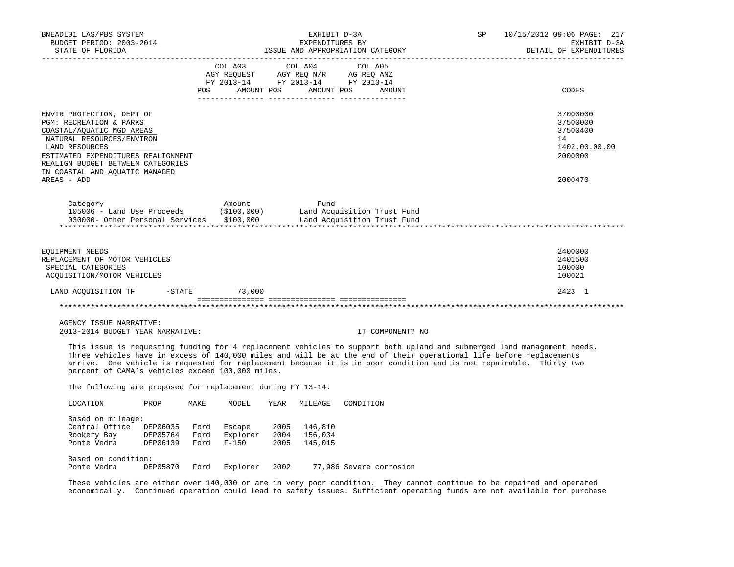| BNEADL01 LAS/PBS SYSTEM<br>BUDGET PERIOD: 2003-2014<br>STATE OF FLORIDA<br>--------------------                                                                                                                                                                                                                                                                                                                          |                                                 | EXHIBIT D-3A<br>EXPENDITURES BY<br>ISSUE AND APPROPRIATION CATEGORY                          | SP               | 10/15/2012 09:06 PAGE: 217<br>EXHIBIT D-3A<br>DETAIL OF EXPENDITURES |
|--------------------------------------------------------------------------------------------------------------------------------------------------------------------------------------------------------------------------------------------------------------------------------------------------------------------------------------------------------------------------------------------------------------------------|-------------------------------------------------|----------------------------------------------------------------------------------------------|------------------|----------------------------------------------------------------------|
|                                                                                                                                                                                                                                                                                                                                                                                                                          | COL A03                                         | COL A04<br>COL A05<br>AGY REQUEST AGY REQ N/R AG REQ ANZ<br>FY 2013-14 FY 2013-14 FY 2013-14 |                  |                                                                      |
|                                                                                                                                                                                                                                                                                                                                                                                                                          | POS<br>AMOUNT POS                               | AMOUNT POS                                                                                   | AMOUNT           | CODES                                                                |
| ENVIR PROTECTION, DEPT OF<br>PGM: RECREATION & PARKS<br>COASTAL/AQUATIC MGD AREAS<br>NATURAL RESOURCES/ENVIRON<br>LAND RESOURCES<br>ESTIMATED EXPENDITURES REALIGNMENT<br>REALIGN BUDGET BETWEEN CATEGORIES<br>IN COASTAL AND AOUATIC MANAGED                                                                                                                                                                            |                                                 |                                                                                              |                  | 37000000<br>37500000<br>37500400<br>14<br>1402.00.00.00<br>2000000   |
| AREAS - ADD                                                                                                                                                                                                                                                                                                                                                                                                              |                                                 |                                                                                              |                  | 2000470                                                              |
| Category<br>105006 - Land Use Proceeds<br>030000- Other Personal Services \$100,000                                                                                                                                                                                                                                                                                                                                      | Amount<br>(\$100,000)                           | Fund<br>Land Acquisition Trust Fund<br>Land Acquisition Trust Fund                           |                  |                                                                      |
| EOUIPMENT NEEDS<br>REPLACEMENT OF MOTOR VEHICLES<br>SPECIAL CATEGORIES<br>ACQUISITION/MOTOR VEHICLES                                                                                                                                                                                                                                                                                                                     |                                                 |                                                                                              |                  | 2400000<br>2401500<br>100000<br>100021                               |
| LAND ACQUISITION TF<br>$-STATE$                                                                                                                                                                                                                                                                                                                                                                                          | 73,000                                          |                                                                                              |                  | 2423 1                                                               |
|                                                                                                                                                                                                                                                                                                                                                                                                                          |                                                 |                                                                                              |                  |                                                                      |
| AGENCY ISSUE NARRATIVE:<br>2013-2014 BUDGET YEAR NARRATIVE:                                                                                                                                                                                                                                                                                                                                                              |                                                 |                                                                                              | IT COMPONENT? NO |                                                                      |
| This issue is requesting funding for 4 replacement vehicles to support both upland and submerged land management needs.<br>Three vehicles have in excess of 140,000 miles and will be at the end of their operational life before replacements<br>arrive. One vehicle is requested for replacement because it is in poor condition and is not repairable. Thirty two<br>percent of CAMA's vehicles exceed 100,000 miles. |                                                 |                                                                                              |                  |                                                                      |
| The following are proposed for replacement during FY 13-14:                                                                                                                                                                                                                                                                                                                                                              |                                                 |                                                                                              |                  |                                                                      |
| LOCATION<br>PROP                                                                                                                                                                                                                                                                                                                                                                                                         | MAKE<br>MODEL<br>YEAR                           | MILEAGE<br>CONDITION                                                                         |                  |                                                                      |
| Based on mileage:<br>Central Office DEP06035 Ford<br>Rookery Bay<br>DEP05764 Ford<br>Ponte Vedra<br>DEP06139                                                                                                                                                                                                                                                                                                             | Escape<br>Explorer<br>Ford<br>$F - 150$<br>2005 | 2005 146,810<br>2004 156,034<br>145,015                                                      |                  |                                                                      |
| Based on condition:<br>Ponte Vedra DEP05870 Ford<br>These vehicles are either over 140,000 or are in very poor condition. They cannot continue to be repaired and operated                                                                                                                                                                                                                                               | Explorer<br>2002                                | 77,986 Severe corrosion                                                                      |                  |                                                                      |

economically. Continued operation could lead to safety issues. Sufficient operating funds are not available for purchase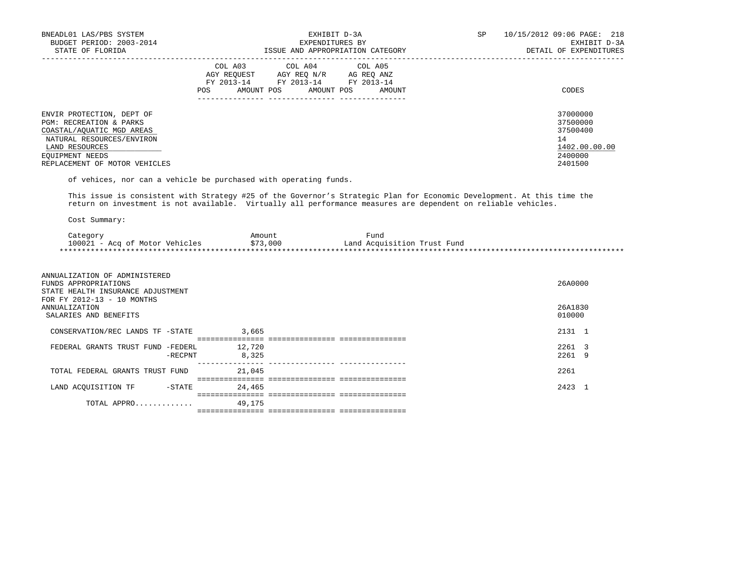| BNEADL01 LAS/PBS SYSTEM<br>BUDGET PERIOD: 2003-2014<br>STATE OF FLORIDA                                                                                                              | EXHIBIT D-3A<br>EXPENDITURES BY<br>ISSUE AND APPROPRIATION CATEGORY                                                                            | SP<br>10/15/2012 09:06 PAGE: 218<br>EXHIBIT D-3A<br>DETAIL OF EXPENDITURES    |
|--------------------------------------------------------------------------------------------------------------------------------------------------------------------------------------|------------------------------------------------------------------------------------------------------------------------------------------------|-------------------------------------------------------------------------------|
|                                                                                                                                                                                      | COL A03 COL A04 COL A05<br>AGY REOUEST AGY REO N/R AG REO ANZ<br>FY 2013-14 FY 2013-14<br>FY 2013-14<br>AMOUNT POS AMOUNT POS<br>POS<br>AMOUNT | CODES                                                                         |
| ENVIR PROTECTION, DEPT OF<br>PGM: RECREATION & PARKS<br>COASTAL/AOUATIC MGD AREAS<br>NATURAL RESOURCES/ENVIRON<br>LAND RESOURCES<br>EOUIPMENT NEEDS<br>REPLACEMENT OF MOTOR VEHICLES |                                                                                                                                                | 37000000<br>37500000<br>37500400<br>14<br>1402.00.00.00<br>2400000<br>2401500 |

of vehices, nor can a vehicle be purchased with operating funds.

 This issue is consistent with Strategy #25 of the Governor's Strategic Plan for Economic Development. At this time the return on investment is not available. Virtually all performance measures are dependent on reliable vehicles.

| Category                       | Amount   | Fund                        |
|--------------------------------|----------|-----------------------------|
| 100021 - Acq of Motor Vehicles | \$73,000 | Land Acquisition Trust Fund |
|                                |          |                             |

| ANNUALIZATION OF ADMINISTERED<br>FUNDS APPROPRIATIONS<br>STATE HEALTH INSURANCE ADJUSTMENT<br>FOR FY 2012-13 - 10 MONTHS |         |        |                                       | 26A0000        |  |
|--------------------------------------------------------------------------------------------------------------------------|---------|--------|---------------------------------------|----------------|--|
| ANNUALIZATION                                                                                                            |         |        |                                       | 26A1830        |  |
| SALARIES AND BENEFITS                                                                                                    |         |        |                                       | 010000         |  |
|                                                                                                                          |         |        |                                       |                |  |
| CONSERVATION/REC LANDS TF -STATE                                                                                         |         | 3,665  |                                       | 2131 1         |  |
|                                                                                                                          |         |        | ===================================== |                |  |
| FEDERAL GRANTS TRUST FUND -FEDERL                                                                                        |         | 12,720 |                                       | $2261 \quad 3$ |  |
|                                                                                                                          | -RECPNT | 8,325  |                                       | 2261 9         |  |
|                                                                                                                          |         |        |                                       |                |  |
| TOTAL FEDERAL GRANTS TRUST FUND                                                                                          |         | 21,045 |                                       | 2261           |  |
|                                                                                                                          |         |        |                                       |                |  |
| LAND ACOUISITION TF                                                                                                      | -STATE  | 24,465 |                                       | 2423           |  |
|                                                                                                                          |         |        |                                       |                |  |
| TOTAL APPRO                                                                                                              |         | 49,175 |                                       |                |  |
|                                                                                                                          |         |        |                                       |                |  |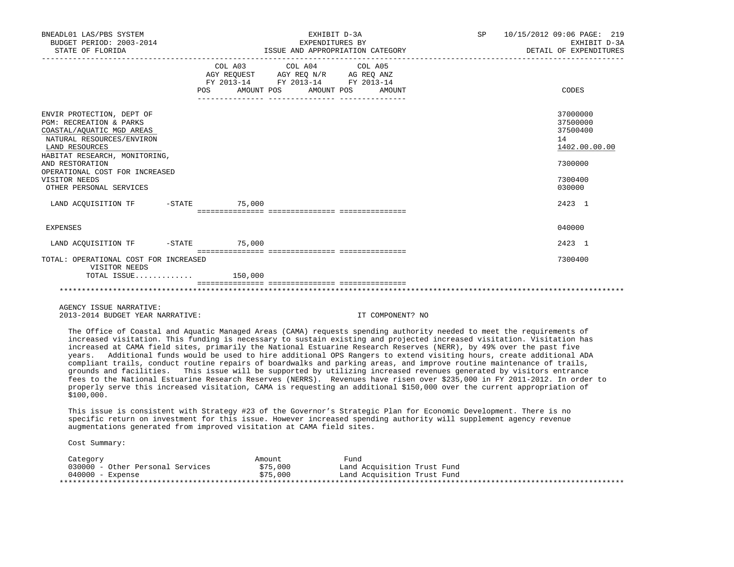| BNEADL01 LAS/PBS SYSTEM<br>BUDGET PERIOD: 2003-2014<br>STATE OF FLORIDA                                                                                                                                                                                                       | EXHIBIT D-3A<br>EXPENDITURES BY<br>ISSUE AND APPROPRIATION CATEGORY                                                                   | SP 10/15/2012 09:06 PAGE: 219<br>EXHIBIT D-3A<br>DETAIL OF EXPENDITURES                 |
|-------------------------------------------------------------------------------------------------------------------------------------------------------------------------------------------------------------------------------------------------------------------------------|---------------------------------------------------------------------------------------------------------------------------------------|-----------------------------------------------------------------------------------------|
|                                                                                                                                                                                                                                                                               | COL A03 COL A04 COL A05<br>AGY REQUEST AGY REQ N/R AG REQ ANZ<br>FY 2013-14 FY 2013-14 FY 2013-14<br>POS AMOUNT POS AMOUNT POS AMOUNT | CODES                                                                                   |
| ENVIR PROTECTION, DEPT OF<br><b>PGM: RECREATION &amp; PARKS</b><br>COASTAL/AQUATIC MGD AREAS<br>NATURAL RESOURCES/ENVIRON<br>LAND RESOURCES<br>HABITAT RESEARCH, MONITORING,<br>AND RESTORATION<br>OPERATIONAL COST FOR INCREASED<br>VISITOR NEEDS<br>OTHER PERSONAL SERVICES |                                                                                                                                       | 37000000<br>37500000<br>37500400<br>14<br>1402.00.00.00<br>7300000<br>7300400<br>030000 |
| LAND ACOUISITION TF -STATE 75,000                                                                                                                                                                                                                                             |                                                                                                                                       | 2423 1                                                                                  |
| <b>EXPENSES</b>                                                                                                                                                                                                                                                               |                                                                                                                                       | 040000                                                                                  |
| LAND ACQUISITION TF -STATE 75,000                                                                                                                                                                                                                                             |                                                                                                                                       | 2423 1                                                                                  |
| TOTAL: OPERATIONAL COST FOR INCREASED<br>VISITOR NEEDS                                                                                                                                                                                                                        |                                                                                                                                       | 7300400                                                                                 |
|                                                                                                                                                                                                                                                                               |                                                                                                                                       |                                                                                         |

 AGENCY ISSUE NARRATIVE: 2013-2014 BUDGET YEAR NARRATIVE: IT COMPONENT? NO

 The Office of Coastal and Aquatic Managed Areas (CAMA) requests spending authority needed to meet the requirements of increased visitation. This funding is necessary to sustain existing and projected increased visitation. Visitation has increased at CAMA field sites, primarily the National Estuarine Research Reserves (NERR), by 49% over the past five years. Additional funds would be used to hire additional OPS Rangers to extend visiting hours, create additional ADA compliant trails, conduct routine repairs of boardwalks and parking areas, and improve routine maintenance of trails, grounds and facilities. This issue will be supported by utilizing increased revenues generated by visitors entrance fees to the National Estuarine Research Reserves (NERRS). Revenues have risen over \$235,000 in FY 2011-2012. In order to properly serve this increased visitation, CAMA is requesting an additional \$150,000 over the current appropriation of \$100,000.

 This issue is consistent with Strategy #23 of the Governor's Strategic Plan for Economic Development. There is no specific return on investment for this issue. However increased spending authority will supplement agency revenue augmentations generated from improved visitation at CAMA field sites.

| Category                         | Amount   | Fund                        |
|----------------------------------|----------|-----------------------------|
| 030000 - Other Personal Services | \$75,000 | Land Acquisition Trust Fund |
| 040000 - Expense                 | \$75,000 | Land Acquisition Trust Fund |
|                                  |          |                             |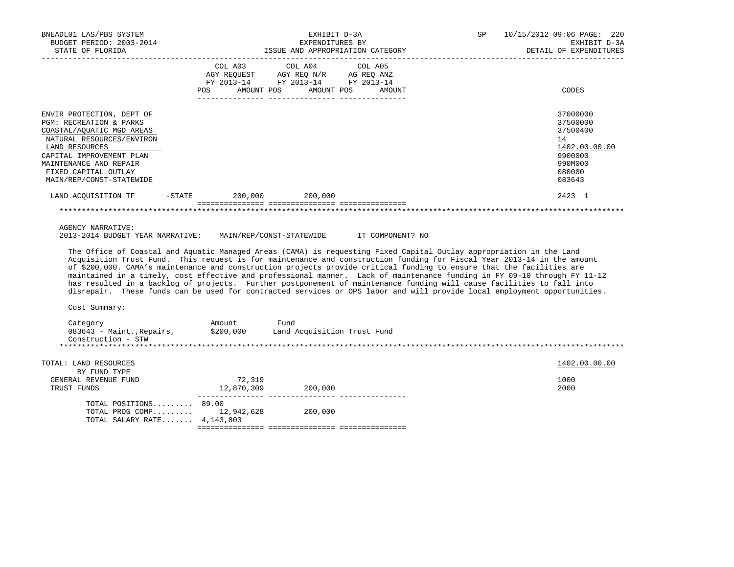| BNEADL01 LAS/PBS SYSTEM<br>BUDGET PERIOD: 2003-2014<br>STATE OF FLORIDA                                                                                                                                                                    |                                    | EXHIBIT D-3A<br>EXPENDITURES BY<br>ISSUE AND APPROPRIATION CATEGORY                                                                                                                                                                                                                                                                                                                                                                                                                                                                                                                                                                                                                                                                                     | SP | 10/15/2012 09:06 PAGE: 220<br>EXHIBIT D-3A<br>DETAIL OF EXPENDITURES<br>------------------------- |
|--------------------------------------------------------------------------------------------------------------------------------------------------------------------------------------------------------------------------------------------|------------------------------------|---------------------------------------------------------------------------------------------------------------------------------------------------------------------------------------------------------------------------------------------------------------------------------------------------------------------------------------------------------------------------------------------------------------------------------------------------------------------------------------------------------------------------------------------------------------------------------------------------------------------------------------------------------------------------------------------------------------------------------------------------------|----|---------------------------------------------------------------------------------------------------|
|                                                                                                                                                                                                                                            | COL A03<br>POS                     | COL A04<br>COL A05<br>FY 2013-14 FY 2013-14 FY 2013-14<br>AMOUNT POS AMOUNT POS<br>AMOUNT                                                                                                                                                                                                                                                                                                                                                                                                                                                                                                                                                                                                                                                               |    | CODES                                                                                             |
| ENVIR PROTECTION, DEPT OF<br>PGM: RECREATION & PARKS<br>COASTAL/AQUATIC MGD AREAS<br>NATURAL RESOURCES/ENVIRON<br>LAND RESOURCES<br>CAPITAL IMPROVEMENT PLAN<br>MAINTENANCE AND REPAIR<br>FIXED CAPITAL OUTLAY<br>MAIN/REP/CONST-STATEWIDE |                                    |                                                                                                                                                                                                                                                                                                                                                                                                                                                                                                                                                                                                                                                                                                                                                         |    | 37000000<br>37500000<br>37500400<br>14<br>1402.00.00.00<br>9900000<br>990M000<br>080000<br>083643 |
| LAND ACQUISITION TF                                                                                                                                                                                                                        | $-$ STATE 200,000 200,000          |                                                                                                                                                                                                                                                                                                                                                                                                                                                                                                                                                                                                                                                                                                                                                         |    | 2423 1                                                                                            |
|                                                                                                                                                                                                                                            |                                    |                                                                                                                                                                                                                                                                                                                                                                                                                                                                                                                                                                                                                                                                                                                                                         |    |                                                                                                   |
| <b>AGENCY NARRATIVE:</b><br>2013-2014 BUDGET YEAR NARRATIVE:                                                                                                                                                                               |                                    | MAIN/REP/CONST-STATEWIDE TT COMPONENT? NO                                                                                                                                                                                                                                                                                                                                                                                                                                                                                                                                                                                                                                                                                                               |    |                                                                                                   |
|                                                                                                                                                                                                                                            |                                    | The Office of Coastal and Aquatic Managed Areas (CAMA) is requesting Fixed Capital Outlay appropriation in the Land<br>Acquisition Trust Fund. This request is for maintenance and construction funding for Fiscal Year 2013-14 in the amount<br>of \$200,000. CAMA's maintenance and construction projects provide critical funding to ensure that the facilities are<br>maintained in a timely, cost effective and professional manner. Lack of maintenance funding in FY 09-10 through FY 11-12<br>has resulted in a backlog of projects. Further postponement of maintenance funding will cause facilities to fall into<br>disrepair. These funds can be used for contracted services or OPS labor and will provide local employment opportunities. |    |                                                                                                   |
| Cost Summary:                                                                                                                                                                                                                              |                                    |                                                                                                                                                                                                                                                                                                                                                                                                                                                                                                                                                                                                                                                                                                                                                         |    |                                                                                                   |
| Category<br>Construction - STW                                                                                                                                                                                                             | Amount Fund                        | 083643 - Maint., Repairs, \$200,000 Land Acquisition Trust Fund                                                                                                                                                                                                                                                                                                                                                                                                                                                                                                                                                                                                                                                                                         |    |                                                                                                   |
| TOTAL: LAND RESOURCES                                                                                                                                                                                                                      |                                    |                                                                                                                                                                                                                                                                                                                                                                                                                                                                                                                                                                                                                                                                                                                                                         |    | 1402.00.00.00                                                                                     |
| BY FUND TYPE<br>GENERAL REVENUE FUND<br>TRUST FUNDS                                                                                                                                                                                        | 72,319<br>12,870,309 200,000       |                                                                                                                                                                                                                                                                                                                                                                                                                                                                                                                                                                                                                                                                                                                                                         |    | 1000<br>2000                                                                                      |
| TOTAL POSITIONS 89.00<br>TOTAL SALARY RATE 4, 143, 803                                                                                                                                                                                     | TOTAL PROG COMP 12,942,628 200,000 |                                                                                                                                                                                                                                                                                                                                                                                                                                                                                                                                                                                                                                                                                                                                                         |    |                                                                                                   |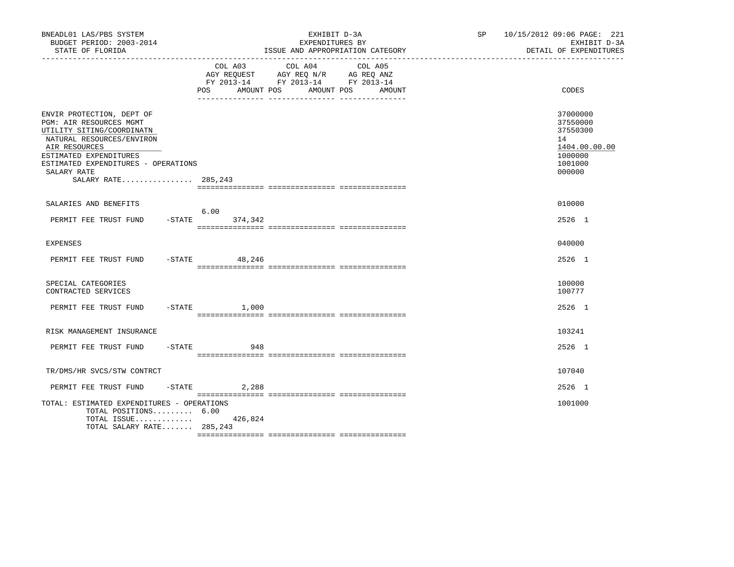| BNEADL01 LAS/PBS SYSTEM<br>BUDGET PERIOD: 2003-2014<br>STATE OF FLORIDA                                                                                                                                                                |                   | EXHIBIT D-3A<br>EXPENDITURES BY<br>ISSUE AND APPROPRIATION CATEGORY                                                       | SP 10/15/2012 09:06 PAGE: 221<br>EXHIBIT D-3A<br>DETAIL OF EXPENDITURES                 |
|----------------------------------------------------------------------------------------------------------------------------------------------------------------------------------------------------------------------------------------|-------------------|---------------------------------------------------------------------------------------------------------------------------|-----------------------------------------------------------------------------------------|
|                                                                                                                                                                                                                                        | POS<br>AMOUNT POS | COL A03 COL A04 COL A05<br>AGY REQUEST AGY REQ N/R AG REQ ANZ<br>FY 2013-14 FY 2013-14 FY 2013-14<br>AMOUNT POS<br>AMOUNT | CODES                                                                                   |
| ENVIR PROTECTION, DEPT OF<br>PGM: AIR RESOURCES MGMT<br>UTILITY SITING/COORDINATN<br>NATURAL RESOURCES/ENVIRON<br>AIR RESOURCES<br>ESTIMATED EXPENDITURES<br>ESTIMATED EXPENDITURES - OPERATIONS<br>SALARY RATE<br>SALARY RATE 285,243 |                   |                                                                                                                           | 37000000<br>37550000<br>37550300<br>14<br>1404.00.00.00<br>1000000<br>1001000<br>000000 |
| SALARIES AND BENEFITS                                                                                                                                                                                                                  |                   |                                                                                                                           | 010000                                                                                  |
| PERMIT FEE TRUST FUND -STATE 374,342                                                                                                                                                                                                   | 6.00              |                                                                                                                           | 2526 1                                                                                  |
| <b>EXPENSES</b>                                                                                                                                                                                                                        |                   |                                                                                                                           | 040000                                                                                  |
| PERMIT FEE TRUST FUND                                                                                                                                                                                                                  | $-$ STATE 48, 246 |                                                                                                                           | 2526 1                                                                                  |
| SPECIAL CATEGORIES<br>CONTRACTED SERVICES                                                                                                                                                                                              |                   |                                                                                                                           | 100000<br>100777                                                                        |
| PERMIT FEE TRUST FUND -STATE 1,000                                                                                                                                                                                                     |                   |                                                                                                                           | 2526 1                                                                                  |
| RISK MANAGEMENT INSURANCE                                                                                                                                                                                                              |                   |                                                                                                                           | 103241                                                                                  |
| PERMIT FEE TRUST FUND                                                                                                                                                                                                                  | $-STATE$<br>948   |                                                                                                                           | 2526 1                                                                                  |
| TR/DMS/HR SVCS/STW CONTRCT                                                                                                                                                                                                             |                   |                                                                                                                           | 107040                                                                                  |
| PERMIT FEE TRUST FUND                                                                                                                                                                                                                  | $-STATE$<br>2,288 |                                                                                                                           | 2526 1                                                                                  |
| TOTAL: ESTIMATED EXPENDITURES - OPERATIONS<br>TOTAL POSITIONS 6.00<br>TOTAL ISSUE $426,824$<br>TOTAL SALARY RATE 285,243                                                                                                               |                   |                                                                                                                           | 1001000                                                                                 |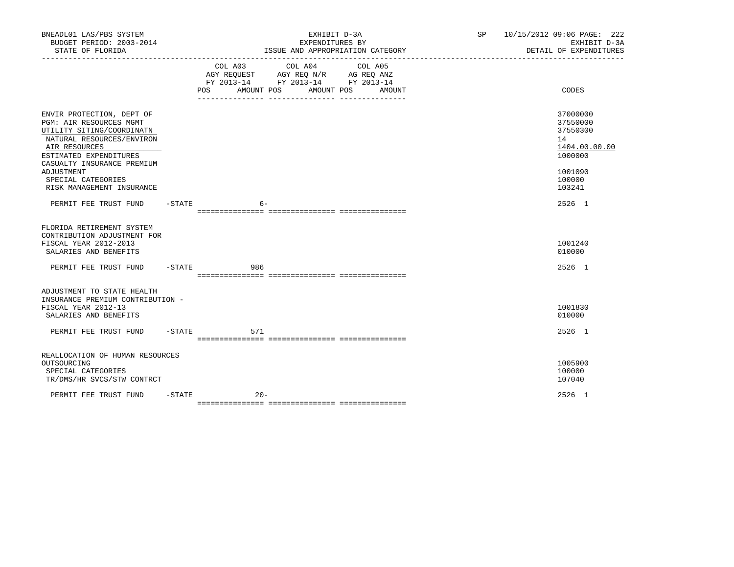| BNEADL01 LAS/PBS SYSTEM<br>BUDGET PERIOD: 2003-2014<br>STATE OF FLORIDA                                                                                          |           | EXHIBIT D-3A<br>EXPENDITURES BY<br>ISSUE AND APPROPRIATION CATEGORY                                                                         |  | 10/15/2012 09:06 PAGE: 222<br>SP <sub>2</sub><br>EXHIBIT D-3A<br>DETAIL OF EXPENDITURES |
|------------------------------------------------------------------------------------------------------------------------------------------------------------------|-----------|---------------------------------------------------------------------------------------------------------------------------------------------|--|-----------------------------------------------------------------------------------------|
|                                                                                                                                                                  |           | COL A03 COL A04 COL A05<br>AGY REQUEST AGY REQ N/R AG REQ ANZ<br>FY 2013-14 FY 2013-14 FY 2013-14<br>POS<br>AMOUNT POS<br>AMOUNT POS AMOUNT |  | CODES                                                                                   |
| ENVIR PROTECTION, DEPT OF<br><b>PGM: AIR RESOURCES MGMT</b><br>UTILITY SITING/COORDINATN<br>NATURAL RESOURCES/ENVIRON<br>AIR RESOURCES<br>ESTIMATED EXPENDITURES |           |                                                                                                                                             |  | 37000000<br>37550000<br>37550300<br>14<br>1404.00.00.00<br>1000000                      |
| CASUALTY INSURANCE PREMIUM<br>ADJUSTMENT<br>SPECIAL CATEGORIES<br>RISK MANAGEMENT INSURANCE                                                                      |           |                                                                                                                                             |  | 1001090<br>100000<br>103241                                                             |
| PERMIT FEE TRUST FUND -STATE                                                                                                                                     |           | - 6                                                                                                                                         |  | 2526 1                                                                                  |
| FLORIDA RETIREMENT SYSTEM<br>CONTRIBUTION ADJUSTMENT FOR<br>FISCAL YEAR 2012-2013<br>SALARIES AND BENEFITS                                                       |           |                                                                                                                                             |  | 1001240<br>010000                                                                       |
| PERMIT FEE TRUST FUND - STATE                                                                                                                                    |           | 986                                                                                                                                         |  | 2526 1                                                                                  |
| ADJUSTMENT TO STATE HEALTH<br>INSURANCE PREMIUM CONTRIBUTION -<br>FISCAL YEAR 2012-13<br>SALARIES AND BENEFITS                                                   |           |                                                                                                                                             |  | 1001830<br>010000                                                                       |
| PERMIT FEE TRUST FUND                                                                                                                                            | -STATE    | 571                                                                                                                                         |  | 2526 1                                                                                  |
| REALLOCATION OF HUMAN RESOURCES<br>OUTSOURCING<br>SPECIAL CATEGORIES<br>TR/DMS/HR SVCS/STW CONTRCT                                                               |           |                                                                                                                                             |  | 1005900<br>100000<br>107040                                                             |
| PERMIT FEE TRUST FUND                                                                                                                                            | $-$ STATE | $20 -$                                                                                                                                      |  | 2526 1                                                                                  |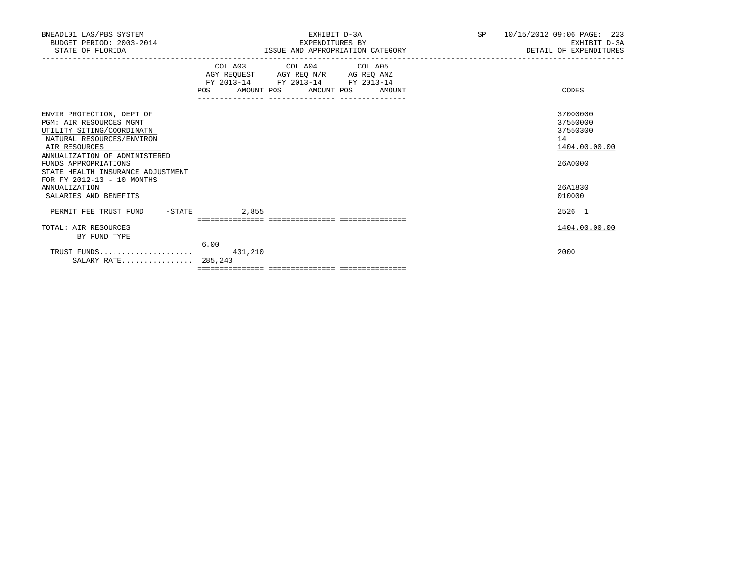| BNEADL01 LAS/PBS SYSTEM<br>BUDGET PERIOD: 2003-2014<br>STATE OF FLORIDA                                                                                                                                                                                     | EXHIBIT D-3A<br>EXPENDITURES BY<br>ISSUE AND APPROPRIATION CATEGORY                                                                                                                                                             | 10/15/2012 09:06 PAGE: 223<br>SP<br>EXHIBIT D-3A<br>DETAIL OF EXPENDITURES |
|-------------------------------------------------------------------------------------------------------------------------------------------------------------------------------------------------------------------------------------------------------------|---------------------------------------------------------------------------------------------------------------------------------------------------------------------------------------------------------------------------------|----------------------------------------------------------------------------|
|                                                                                                                                                                                                                                                             | COL A03 COL A04 COL A05<br>$\begin{tabular}{lllllll} \bf AGY & \bf REQUEST & \bf AGY & \bf REQ & \bf N/R & \bf AG & \bf REQ & \bf ANZ \\ \end{tabular}$<br>FY 2013-14 FY 2013-14 FY 2013-14<br>POS AMOUNT POS AMOUNT POS AMOUNT | CODES                                                                      |
| ENVIR PROTECTION, DEPT OF<br>PGM: AIR RESOURCES MGMT<br>UTILITY SITING/COORDINATN<br>NATURAL RESOURCES/ENVIRON<br>AIR RESOURCES<br>ANNUALIZATION OF ADMINISTERED<br>FUNDS APPROPRIATIONS<br>STATE HEALTH INSURANCE ADJUSTMENT<br>FOR FY 2012-13 - 10 MONTHS |                                                                                                                                                                                                                                 | 37000000<br>37550000<br>37550300<br>14<br>1404.00.00.00<br>26A0000         |
| <b>ANNUALIZATION</b><br>SALARIES AND BENEFITS                                                                                                                                                                                                               |                                                                                                                                                                                                                                 | 26A1830<br>010000                                                          |
| $-$ STATE<br>PERMIT FEE TRUST FUND                                                                                                                                                                                                                          | 2,855                                                                                                                                                                                                                           | 2526 1                                                                     |
| TOTAL: AIR RESOURCES<br>BY FUND TYPE                                                                                                                                                                                                                        | 6.00                                                                                                                                                                                                                            | 1404.00.00.00                                                              |
| TRUST FUNDS<br>SALARY RATE 285,243                                                                                                                                                                                                                          | 431,210                                                                                                                                                                                                                         | 2000                                                                       |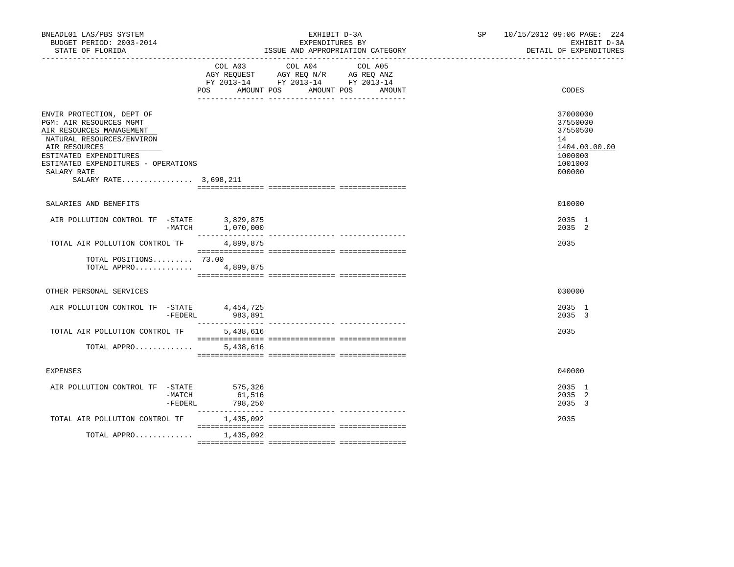| BNEADL01 LAS/PBS SYSTEM<br>BUDGET PERIOD: 2003-2014<br>STATE OF FLORIDA                                                                                                                                                                 |                                                                                                                              | EXHIBIT D-3A<br>EXPENDITURES BY<br>ISSUE AND APPROPRIATION CATEGORY | SP 10/15/2012 09:06 PAGE: 224<br>EXHIBIT D-3A<br>DETAIL OF EXPENDITURES                 |
|-----------------------------------------------------------------------------------------------------------------------------------------------------------------------------------------------------------------------------------------|------------------------------------------------------------------------------------------------------------------------------|---------------------------------------------------------------------|-----------------------------------------------------------------------------------------|
|                                                                                                                                                                                                                                         | COL A04<br>COL A03<br>AGY REQUEST AGY REQ N/R AG REQ ANZ<br>FY 2013-14 FY 2013-14 FY 2013-14<br>AMOUNT POS AMOUNT POS<br>POS | COL A05<br>AMOUNT                                                   | CODES                                                                                   |
| ENVIR PROTECTION, DEPT OF<br>PGM: AIR RESOURCES MGMT<br>AIR RESOURCES MANAGEMENT<br>NATURAL RESOURCES/ENVIRON<br>AIR RESOURCES<br>ESTIMATED EXPENDITURES<br>ESTIMATED EXPENDITURES - OPERATIONS<br>SALARY RATE<br>SALARY RATE 3,698,211 |                                                                                                                              |                                                                     | 37000000<br>37550000<br>37550500<br>14<br>1404.00.00.00<br>1000000<br>1001000<br>000000 |
| SALARIES AND BENEFITS                                                                                                                                                                                                                   |                                                                                                                              |                                                                     | 010000                                                                                  |
| AIR POLLUTION CONTROL TF -STATE $-3,829,875$<br>-MATCH $-1,070,000$                                                                                                                                                                     |                                                                                                                              |                                                                     | 2035 1<br>2035 2                                                                        |
| TOTAL AIR POLLUTION CONTROL TF                                                                                                                                                                                                          | 4,899,875                                                                                                                    |                                                                     | 2035                                                                                    |
| TOTAL POSITIONS 73.00<br>TOTAL APPRO                                                                                                                                                                                                    | 4,899,875                                                                                                                    |                                                                     |                                                                                         |
| OTHER PERSONAL SERVICES                                                                                                                                                                                                                 |                                                                                                                              |                                                                     | 030000                                                                                  |
| AIR POLLUTION CONTROL TF -STATE 4,454,725<br>$-$ FEDERL                                                                                                                                                                                 | 983,891                                                                                                                      |                                                                     | 2035 1<br>2035 3                                                                        |
| TOTAL AIR POLLUTION CONTROL TF                                                                                                                                                                                                          | 5,438,616                                                                                                                    |                                                                     | 2035                                                                                    |
| TOTAL APPRO                                                                                                                                                                                                                             | 5,438,616                                                                                                                    |                                                                     |                                                                                         |
| <b>EXPENSES</b>                                                                                                                                                                                                                         |                                                                                                                              |                                                                     | 040000                                                                                  |
| AIR POLLUTION CONTROL TF -STATE<br>$-MATCH$<br>$-$ FEDERL                                                                                                                                                                               | 575,326<br>61,516<br>798,250                                                                                                 |                                                                     | 2035 1<br>2035 2<br>2035 3                                                              |
| TOTAL AIR POLLUTION CONTROL TF                                                                                                                                                                                                          | 1,435,092                                                                                                                    |                                                                     | 2035                                                                                    |
| TOTAL APPRO                                                                                                                                                                                                                             | 1,435,092                                                                                                                    |                                                                     |                                                                                         |
|                                                                                                                                                                                                                                         |                                                                                                                              |                                                                     |                                                                                         |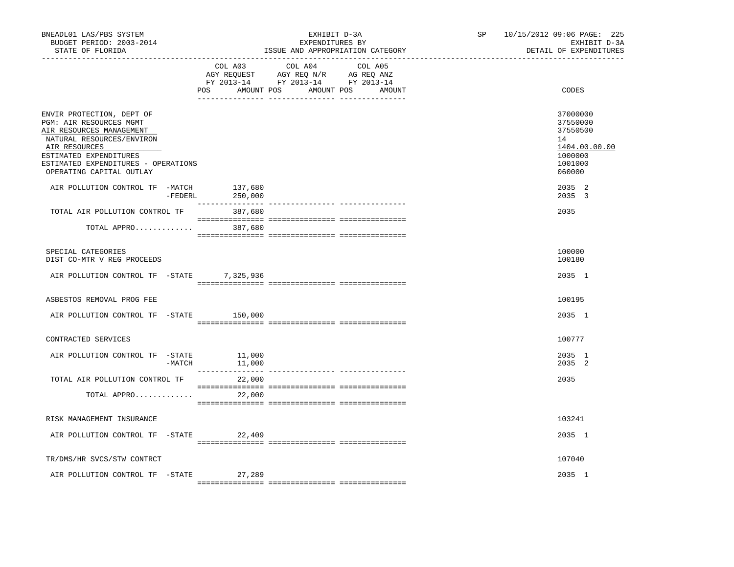| BNEADL01 LAS/PBS SYSTEM<br>BUDGET PERIOD: 2003-2014<br>STATE OF FLORIDA                                                                                                                                                     | ______________________________  | EXHIBIT D-3A<br>EXPENDITURES BY<br>ISSUE AND APPROPRIATION CATEGORY                                                          | SP | 10/15/2012 09:06 PAGE: 225<br>EXHIBIT D-3A<br>DETAIL OF EXPENDITURES                    |
|-----------------------------------------------------------------------------------------------------------------------------------------------------------------------------------------------------------------------------|---------------------------------|------------------------------------------------------------------------------------------------------------------------------|----|-----------------------------------------------------------------------------------------|
|                                                                                                                                                                                                                             | COL A03<br>POS                  | COL A04<br>COL A05<br>AGY REQUEST AGY REQ N/R AG REQ ANZ<br>FY 2013-14 FY 2013-14 FY 2013-14<br>AMOUNT POS AMOUNT POS AMOUNT |    | CODES                                                                                   |
| ENVIR PROTECTION, DEPT OF<br>PGM: AIR RESOURCES MGMT<br>AIR RESOURCES MANAGEMENT<br>NATURAL RESOURCES/ENVIRON<br>AIR RESOURCES<br>ESTIMATED EXPENDITURES<br>ESTIMATED EXPENDITURES - OPERATIONS<br>OPERATING CAPITAL OUTLAY |                                 |                                                                                                                              |    | 37000000<br>37550000<br>37550500<br>14<br>1404.00.00.00<br>1000000<br>1001000<br>060000 |
| AIR POLLUTION CONTROL TF -MATCH                                                                                                                                                                                             | 137,680<br>$-FEDERL$<br>250,000 |                                                                                                                              |    | 2035 2<br>2035 3                                                                        |
| TOTAL AIR POLLUTION CONTROL TF 387,680                                                                                                                                                                                      |                                 |                                                                                                                              |    | 2035                                                                                    |
| TOTAL APPRO 387,680                                                                                                                                                                                                         |                                 |                                                                                                                              |    |                                                                                         |
| SPECIAL CATEGORIES<br>DIST CO-MTR V REG PROCEEDS                                                                                                                                                                            |                                 |                                                                                                                              |    | 100000<br>100180                                                                        |
| AIR POLLUTION CONTROL TF -STATE 7,325,936                                                                                                                                                                                   |                                 |                                                                                                                              |    | 2035 1                                                                                  |
| ASBESTOS REMOVAL PROG FEE                                                                                                                                                                                                   |                                 |                                                                                                                              |    | 100195                                                                                  |
| AIR POLLUTION CONTROL TF -STATE 150,000                                                                                                                                                                                     |                                 |                                                                                                                              |    | 2035 1                                                                                  |
| CONTRACTED SERVICES                                                                                                                                                                                                         |                                 |                                                                                                                              |    | 100777                                                                                  |
| AIR POLLUTION CONTROL TF -STATE                                                                                                                                                                                             | 11,000<br>$-MATCH$ 11,000       |                                                                                                                              |    | 2035 1<br>2035 2                                                                        |
| TOTAL AIR POLLUTION CONTROL TF<br>TOTAL APPRO                                                                                                                                                                               | 22,000<br>22,000                |                                                                                                                              |    | 2035                                                                                    |
| RISK MANAGEMENT INSURANCE                                                                                                                                                                                                   |                                 |                                                                                                                              |    | 103241                                                                                  |
| AIR POLLUTION CONTROL TF -STATE 22,409                                                                                                                                                                                      |                                 |                                                                                                                              |    | 2035 1                                                                                  |
| TR/DMS/HR SVCS/STW CONTRCT                                                                                                                                                                                                  |                                 |                                                                                                                              |    | 107040                                                                                  |
| AIR POLLUTION CONTROL TF -STATE                                                                                                                                                                                             | 27,289                          |                                                                                                                              |    | 2035 1                                                                                  |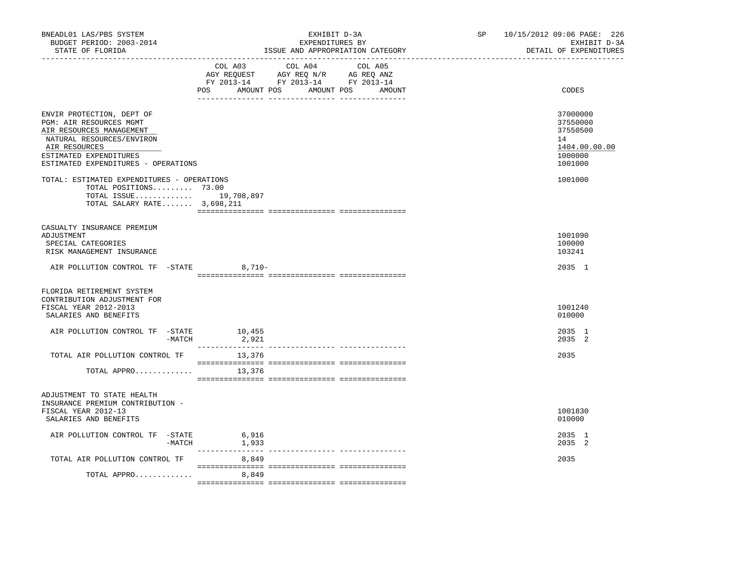| BNEADL01 LAS/PBS SYSTEM<br>BUDGET PERIOD: 2003-2014<br>STATE OF FLORIDA                                                                                                                         | EXHIBIT D-3A<br>EXPENDITURES BY<br>ISSUE AND APPROPRIATION CATEGORY<br>-----------------------------                                           | 10/15/2012 09:06 PAGE: 226<br>SP<br>EXHIBIT D-3A<br>DETAIL OF EXPENDITURES    |
|-------------------------------------------------------------------------------------------------------------------------------------------------------------------------------------------------|------------------------------------------------------------------------------------------------------------------------------------------------|-------------------------------------------------------------------------------|
|                                                                                                                                                                                                 | COL A03<br>COL A04<br>COL A05<br>AGY REQUEST AGY REQ N/R AG REQ ANZ<br>FY 2013-14 FY 2013-14 FY 2013-14<br>POS<br>AMOUNT POS AMOUNT POS AMOUNT | CODES                                                                         |
| ENVIR PROTECTION, DEPT OF<br>PGM: AIR RESOURCES MGMT<br>AIR RESOURCES MANAGEMENT<br>NATURAL RESOURCES/ENVIRON<br>AIR RESOURCES<br>ESTIMATED EXPENDITURES<br>ESTIMATED EXPENDITURES - OPERATIONS |                                                                                                                                                | 37000000<br>37550000<br>37550500<br>14<br>1404.00.00.00<br>1000000<br>1001000 |
| TOTAL: ESTIMATED EXPENDITURES - OPERATIONS<br>TOTAL POSITIONS 73.00<br>TOTAL ISSUE 19,708,897<br>TOTAL SALARY RATE 3,698,211                                                                    |                                                                                                                                                | 1001000                                                                       |
| CASUALTY INSURANCE PREMIUM<br>ADJUSTMENT<br>SPECIAL CATEGORIES<br>RISK MANAGEMENT INSURANCE                                                                                                     |                                                                                                                                                | 1001090<br>100000<br>103241                                                   |
| AIR POLLUTION CONTROL TF -STATE 8,710-                                                                                                                                                          |                                                                                                                                                | 2035 1                                                                        |
| FLORIDA RETIREMENT SYSTEM<br>CONTRIBUTION ADJUSTMENT FOR<br>FISCAL YEAR 2012-2013<br>SALARIES AND BENEFITS                                                                                      |                                                                                                                                                | 1001240<br>010000                                                             |
| AIR POLLUTION CONTROL TF -STATE<br>-MATCH                                                                                                                                                       | 10,455<br>2,921                                                                                                                                | 2035 1<br>2035 2                                                              |
| TOTAL AIR POLLUTION CONTROL TF<br>TOTAL APPRO                                                                                                                                                   | 13,376<br>13,376                                                                                                                               | 2035                                                                          |
| ADJUSTMENT TO STATE HEALTH<br>INSURANCE PREMIUM CONTRIBUTION -<br>FISCAL YEAR 2012-13<br>SALARIES AND BENEFITS                                                                                  |                                                                                                                                                | 1001830<br>010000                                                             |
| AIR POLLUTION CONTROL TF -STATE                                                                                                                                                                 | 6,916<br>$-MATCH$ 1,933                                                                                                                        | 2035 1<br>2035 2                                                              |
| TOTAL AIR POLLUTION CONTROL TF                                                                                                                                                                  | 8,849                                                                                                                                          | 2035                                                                          |
| TOTAL APPRO                                                                                                                                                                                     | 8,849                                                                                                                                          |                                                                               |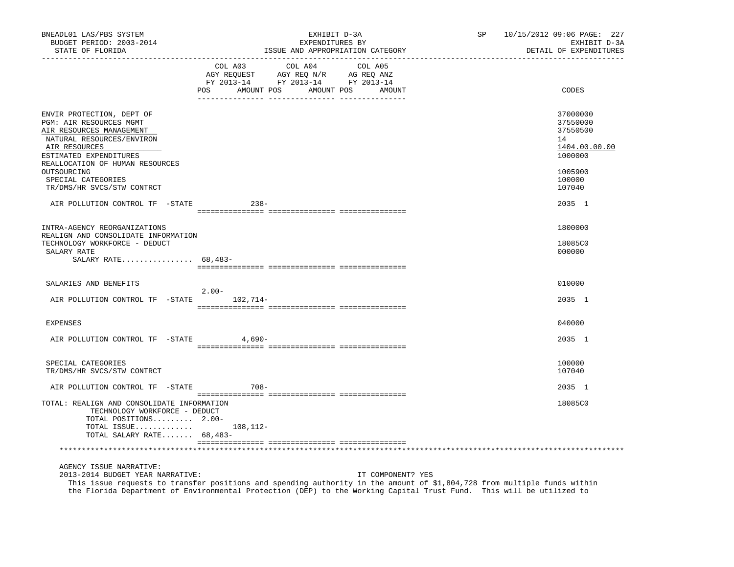| BNEADL01 LAS/PBS SYSTEM<br>BUDGET PERIOD: 2003-2014<br>STATE OF FLORIDA                                                                                     | EXHIBIT D-3A<br>EXPENDITURES BY<br>ISSUE AND APPROPRIATION CATEGORY<br>________________________________                                                                                                                                                               | SP | 10/15/2012 09:06 PAGE: 227<br>EXHIBIT D-3A<br>DETAIL OF EXPENDITURES |
|-------------------------------------------------------------------------------------------------------------------------------------------------------------|-----------------------------------------------------------------------------------------------------------------------------------------------------------------------------------------------------------------------------------------------------------------------|----|----------------------------------------------------------------------|
|                                                                                                                                                             | COL A03<br>COL A04<br>COL A05<br>NG REQUEST<br>FY 2013-14 FY 2013-14 FY 2013-14<br>POS AMOUNT POS AMOUNT POS AMOUNT                                                                                                                                                   |    | CODES                                                                |
| ENVIR PROTECTION, DEPT OF<br>PGM: AIR RESOURCES MGMT<br>AIR RESOURCES MANAGEMENT<br>NATURAL RESOURCES/ENVIRON<br>AIR RESOURCES<br>ESTIMATED EXPENDITURES    |                                                                                                                                                                                                                                                                       |    | 37000000<br>37550000<br>37550500<br>14<br>1404.00.00.00<br>1000000   |
| REALLOCATION OF HUMAN RESOURCES<br>OUTSOURCING<br>SPECIAL CATEGORIES<br>TR/DMS/HR SVCS/STW CONTRCT                                                          |                                                                                                                                                                                                                                                                       |    | 1005900<br>100000<br>107040                                          |
| AIR POLLUTION CONTROL TF -STATE                                                                                                                             | $238 -$                                                                                                                                                                                                                                                               |    | 2035 1                                                               |
| INTRA-AGENCY REORGANIZATIONS                                                                                                                                |                                                                                                                                                                                                                                                                       |    | 1800000                                                              |
| REALIGN AND CONSOLIDATE INFORMATION<br>TECHNOLOGY WORKFORCE - DEDUCT<br>SALARY RATE<br>SALARY RATE 68,483-                                                  |                                                                                                                                                                                                                                                                       |    | 18085C0<br>000000                                                    |
| SALARIES AND BENEFITS                                                                                                                                       |                                                                                                                                                                                                                                                                       |    | 010000                                                               |
| AIR POLLUTION CONTROL TF -STATE 102,714-                                                                                                                    | $2.00-$                                                                                                                                                                                                                                                               |    | 2035 1                                                               |
| <b>EXPENSES</b>                                                                                                                                             |                                                                                                                                                                                                                                                                       |    | 040000                                                               |
| AIR POLLUTION CONTROL TF -STATE                                                                                                                             | 4,690-                                                                                                                                                                                                                                                                |    | 2035 1                                                               |
| SPECIAL CATEGORIES<br>TR/DMS/HR SVCS/STW CONTRCT                                                                                                            |                                                                                                                                                                                                                                                                       |    | 100000<br>107040                                                     |
| AIR POLLUTION CONTROL TF -STATE                                                                                                                             | $708 -$                                                                                                                                                                                                                                                               |    | 2035 1                                                               |
| TOTAL: REALIGN AND CONSOLIDATE INFORMATION<br>TECHNOLOGY WORKFORCE - DEDUCT<br>TOTAL POSITIONS 2.00-<br>TOTAL ISSUE $108,112-$<br>TOTAL SALARY RATE 68,483- |                                                                                                                                                                                                                                                                       |    | 18085C0                                                              |
|                                                                                                                                                             |                                                                                                                                                                                                                                                                       |    |                                                                      |
| AGENCY ISSUE NARRATIVE:<br>2013-2014 BUDGET YEAR NARRATIVE:                                                                                                 | IT COMPONENT? YES<br>This issue requests to transfer positions and spending authority in the amount of \$1,804,728 from multiple funds within<br>the Florida Department of Environmental Protection (DEP) to the Working Capital Trust Fund. This will be utilized to |    |                                                                      |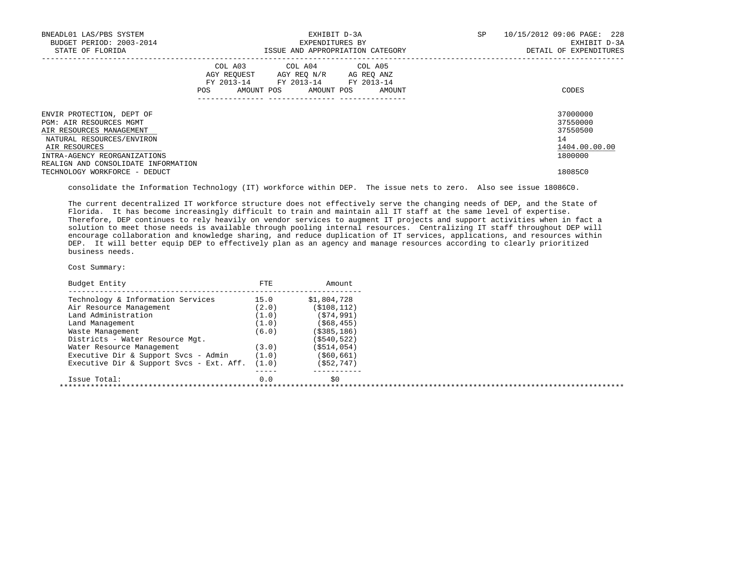| BNEADL01 LAS/PBS SYSTEM<br>BUDGET PERIOD: 2003-2014<br>STATE OF FLORIDA                                                                                                                               |     | EXHIBIT D-3A<br>EXPENDITURES BY<br>ISSUE AND APPROPRIATION CATEGORY                                                        |        | SP. | 10/15/2012 09:06 PAGE: 228<br>EXHIBIT D-3A<br>DETAIL OF EXPENDITURES |
|-------------------------------------------------------------------------------------------------------------------------------------------------------------------------------------------------------|-----|----------------------------------------------------------------------------------------------------------------------------|--------|-----|----------------------------------------------------------------------|
|                                                                                                                                                                                                       | POS | COL A03 COL A04 COL A05<br>AGY REQUEST AGY REQ N/R AG REQ ANZ<br>FY 2013-14 FY 2013-14 FY 2013-14<br>AMOUNT POS AMOUNT POS | AMOUNT |     | CODES                                                                |
| ENVIR PROTECTION, DEPT OF<br>PGM: AIR RESOURCES MGMT<br>AIR RESOURCES MANAGEMENT<br>NATURAL RESOURCES/ENVIRON<br>AIR RESOURCES<br>INTRA-AGENCY REORGANIZATIONS<br>REALIGN AND CONSOLIDATE INFORMATION |     |                                                                                                                            |        |     | 37000000<br>37550000<br>37550500<br>14<br>1404.00.00.00<br>1800000   |
| TECHNOLOGY WORKFORCE - DEDUCT                                                                                                                                                                         |     |                                                                                                                            |        |     | 18085C0                                                              |

consolidate the Information Technology (IT) workforce within DEP. The issue nets to zero. Also see issue 18086C0.

 The current decentralized IT workforce structure does not effectively serve the changing needs of DEP, and the State of Florida. It has become increasingly difficult to train and maintain all IT staff at the same level of expertise. Therefore, DEP continues to rely heavily on vendor services to augment IT projects and support activities when in fact a solution to meet those needs is available through pooling internal resources. Centralizing IT staff throughout DEP will encourage collaboration and knowledge sharing, and reduce duplication of IT services, applications, and resources within DEP. It will better equip DEP to effectively plan as an agency and manage resources according to clearly prioritized business needs.

| Budget Entity                            | FTE   | Amount         |
|------------------------------------------|-------|----------------|
| Technology & Information Services        | 15.0  | \$1,804,728    |
| Air Resource Management                  | (2.0) | ( \$108, 112)  |
| Land Administration                      | (1.0) | (574, 991)     |
| Land Management                          | (1.0) | ( \$68, 455)   |
| Waste Management                         | (6.0) | $($ \$385,186) |
| Districts - Water Resource Mgt.          |       | ( \$540, 522)  |
| Water Resource Management                | (3.0) | ( \$514, 054)  |
| Executive Dir & Support Svcs - Admin     | (1.0) | ( \$60, 661)   |
| Executive Dir & Support Svcs - Ext. Aff. | (1.0) | ( \$52, 747)   |
| Issue Total:                             | 0.0   | \$0            |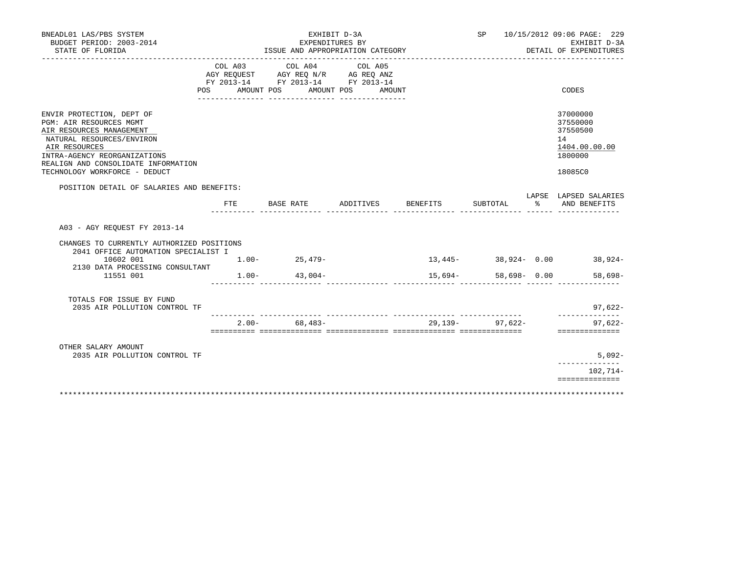| BNEADL01 LAS/PBS SYSTEM                                                                                                                                                                                                                       |     |                                                                                                         | EXHIBIT D-3A                 |                    |                 |    | SP 10/15/2012 09:06 PAGE: 229                                                 |
|-----------------------------------------------------------------------------------------------------------------------------------------------------------------------------------------------------------------------------------------------|-----|---------------------------------------------------------------------------------------------------------|------------------------------|--------------------|-----------------|----|-------------------------------------------------------------------------------|
| BUDGET PERIOD: 2003-2014<br>STATE OF FLORIDA                                                                                                                                                                                                  |     | ISSUE AND APPROPRIATION CATEGORY                                                                        | EXPENDITURES BY              |                    |                 |    | EXHIBIT D-3A<br>DETAIL OF EXPENDITURES                                        |
| POS                                                                                                                                                                                                                                           |     | COL A03 COL A04<br>AGY REQUEST AGY REQ N/R AG REQ ANZ<br>FY 2013-14 FY 2013-14 FY 2013-14<br>AMOUNT POS | COL A05<br>AMOUNT POS AMOUNT |                    |                 |    | CODES                                                                         |
| ENVIR PROTECTION, DEPT OF<br><b>PGM: AIR RESOURCES MGMT</b><br>AIR RESOURCES MANAGEMENT<br>NATURAL RESOURCES/ENVIRON<br>AIR RESOURCES<br>INTRA-AGENCY REORGANIZATIONS<br>REALIGN AND CONSOLIDATE INFORMATION<br>TECHNOLOGY WORKFORCE - DEDUCT |     |                                                                                                         |                              |                    |                 |    | 37000000<br>37550000<br>37550500<br>14<br>1404.00.00.00<br>1800000<br>18085C0 |
| POSITION DETAIL OF SALARIES AND BENEFITS:                                                                                                                                                                                                     |     |                                                                                                         |                              |                    |                 |    | LAPSE LAPSED SALARIES                                                         |
|                                                                                                                                                                                                                                               | FTE | BASE RATE                                                                                               |                              | ADDITIVES BENEFITS | SUBTOTAL        | ႜၟ | AND BENEFITS                                                                  |
| A03 - AGY REQUEST FY 2013-14<br>CHANGES TO CURRENTLY AUTHORIZED POSITIONS<br>2041 OFFICE AUTOMATION SPECIALIST I<br>10602 001<br>2130 DATA PROCESSING CONSULTANT<br>11551 001                                                                 |     | $1.00 - 25,479 -$<br>$1.00 - 43,004 -$                                                                  |                              | $15,694-$          | 58,698- 0.00    |    | $13,445 38,924-$ 0.00 $38,924-$<br>58,698-                                    |
| TOTALS FOR ISSUE BY FUND<br>2035 AIR POLLUTION CONTROL TF                                                                                                                                                                                     |     |                                                                                                         |                              |                    |                 |    | 97,622-<br>______________                                                     |
|                                                                                                                                                                                                                                               |     | $2.00 - 68.483 -$                                                                                       |                              |                    | 29,139- 97,622- |    | $97.622 -$<br>==============                                                  |
| OTHER SALARY AMOUNT<br>2035 AIR POLLUTION CONTROL TF                                                                                                                                                                                          |     |                                                                                                         |                              |                    |                 |    | $5,092-$                                                                      |
|                                                                                                                                                                                                                                               |     |                                                                                                         |                              |                    |                 |    | ____________<br>102,714-                                                      |
|                                                                                                                                                                                                                                               |     |                                                                                                         |                              |                    |                 |    | ==============                                                                |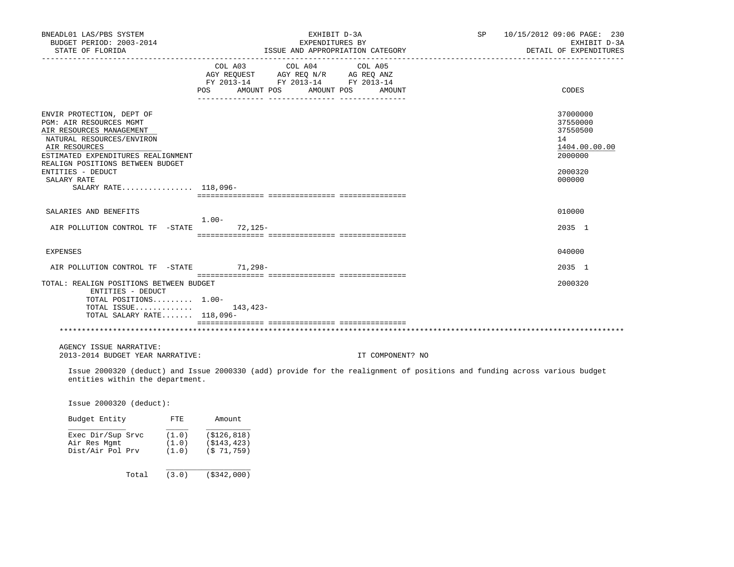| BNEADL01 LAS/PBS SYSTEM                                                                                                   |                                  | EXHIBIT D-3A                       |                                  | SP 10/15/2012 09:06 PAGE: 230          |
|---------------------------------------------------------------------------------------------------------------------------|----------------------------------|------------------------------------|----------------------------------|----------------------------------------|
| BUDGET PERIOD: 2003-2014<br>STATE OF FLORIDA                                                                              |                                  | EXPENDITURES BY                    | ISSUE AND APPROPRIATION CATEGORY | EXHIBIT D-3A<br>DETAIL OF EXPENDITURES |
|                                                                                                                           |                                  |                                    |                                  |                                        |
|                                                                                                                           | COL A03                          | COL A04                            | COL A05                          |                                        |
|                                                                                                                           |                                  | AGY REQUEST AGY REQ N/R AG REQ ANZ |                                  |                                        |
|                                                                                                                           |                                  | FY 2013-14 FY 2013-14 FY 2013-14   |                                  |                                        |
|                                                                                                                           | POS AMOUNT POS AMOUNT POS AMOUNT |                                    |                                  | CODES                                  |
|                                                                                                                           |                                  |                                    |                                  |                                        |
| ENVIR PROTECTION, DEPT OF                                                                                                 |                                  |                                    |                                  | 37000000                               |
| PGM: AIR RESOURCES MGMT                                                                                                   |                                  |                                    |                                  | 37550000                               |
| AIR RESOURCES MANAGEMENT                                                                                                  |                                  |                                    |                                  | 37550500                               |
| NATURAL RESOURCES/ENVIRON                                                                                                 |                                  |                                    |                                  | 14                                     |
| AIR RESOURCES                                                                                                             |                                  |                                    |                                  |                                        |
|                                                                                                                           |                                  |                                    |                                  | 1404.00.00.00                          |
| ESTIMATED EXPENDITURES REALIGNMENT                                                                                        |                                  |                                    |                                  | 2000000                                |
| REALIGN POSITIONS BETWEEN BUDGET                                                                                          |                                  |                                    |                                  |                                        |
| ENTITIES - DEDUCT                                                                                                         |                                  |                                    |                                  | 2000320                                |
| SALARY RATE                                                                                                               |                                  |                                    |                                  | 000000                                 |
| SALARY RATE 118,096-                                                                                                      |                                  |                                    |                                  |                                        |
|                                                                                                                           |                                  |                                    |                                  |                                        |
| SALARIES AND BENEFITS                                                                                                     |                                  |                                    |                                  | 010000                                 |
|                                                                                                                           | 1.00-                            |                                    |                                  |                                        |
| AIR POLLUTION CONTROL TF -STATE 72,125-                                                                                   |                                  |                                    |                                  | 2035 1                                 |
|                                                                                                                           |                                  |                                    |                                  |                                        |
|                                                                                                                           |                                  |                                    |                                  |                                        |
| EXPENSES                                                                                                                  |                                  |                                    |                                  | 040000                                 |
| AIR POLLUTION CONTROL TF -STATE 71,298-                                                                                   |                                  |                                    |                                  | 2035 1                                 |
|                                                                                                                           |                                  |                                    |                                  |                                        |
| TOTAL: REALIGN POSITIONS BETWEEN BUDGET                                                                                   |                                  |                                    |                                  | 2000320                                |
| ENTITIES - DEDUCT                                                                                                         |                                  |                                    |                                  |                                        |
| TOTAL POSITIONS 1.00-                                                                                                     |                                  |                                    |                                  |                                        |
| TOTAL ISSUE $143,423-$                                                                                                    |                                  |                                    |                                  |                                        |
| TOTAL SALARY RATE 118,096-                                                                                                |                                  |                                    |                                  |                                        |
|                                                                                                                           |                                  |                                    |                                  |                                        |
|                                                                                                                           |                                  |                                    |                                  |                                        |
| AGENCY ISSUE NARRATIVE:                                                                                                   |                                  |                                    |                                  |                                        |
| 2013-2014 BUDGET YEAR NARRATIVE:                                                                                          |                                  |                                    | IT COMPONENT? NO                 |                                        |
|                                                                                                                           |                                  |                                    |                                  |                                        |
| Issue 2000320 (deduct) and Issue 2000330 (add) provide for the realignment of positions and funding across various budget |                                  |                                    |                                  |                                        |
| entities within the department.                                                                                           |                                  |                                    |                                  |                                        |
|                                                                                                                           |                                  |                                    |                                  |                                        |
|                                                                                                                           |                                  |                                    |                                  |                                        |
| Issue 2000320 (deduct):                                                                                                   |                                  |                                    |                                  |                                        |

| Budget Entity                                         | FTE                     | Amount                                    |
|-------------------------------------------------------|-------------------------|-------------------------------------------|
| Exec Dir/Sup Srvc<br>Air Res Mqmt<br>Dist/Air Pol Prv | (1.0)<br>(1.0)<br>(1.0) | (S126, 818)<br>(S143, 423)<br>(S 71, 759) |
| Total                                                 | (3.0)                   | ( \$342, 000)                             |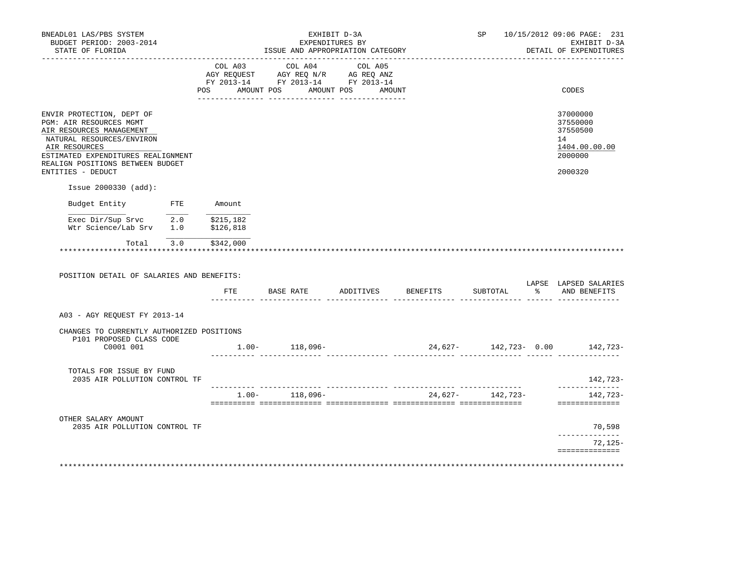| BNEADL01 LAS/PBS SYSTEM<br>BUDGET PERIOD: 2003-2014<br>STATE OF FLORIDA                                                        |        | ISSUE AND APPROPRIATION CATEGORY                                                                                                                                                               | EXHIBIT D-3A<br>EXPENDITURES BY |                                       |          |                  | SP 10/15/2012 09:06 PAGE: 231<br>EXHIBIT D-3A<br>DETAIL OF EXPENDITURES                                      |
|--------------------------------------------------------------------------------------------------------------------------------|--------|------------------------------------------------------------------------------------------------------------------------------------------------------------------------------------------------|---------------------------------|---------------------------------------|----------|------------------|--------------------------------------------------------------------------------------------------------------|
|                                                                                                                                |        | $\begin{tabular}{lcccc} CDL A03 & CDL A04 & CDL A05 \\ AGY REQUEST & AGY REQ N/R & AG REQ ANZ \\ FY & 2013-14 & FY & 2013-14 & FY & 2013-14 \end{tabular}$<br>POS AMOUNT POS AMOUNT POS AMOUNT |                                 |                                       |          |                  | CODES                                                                                                        |
|                                                                                                                                |        |                                                                                                                                                                                                |                                 |                                       |          |                  |                                                                                                              |
| ENVIR PROTECTION, DEPT OF<br>PGM: AIR RESOURCES MGMT<br>AIR RESOURCES MANAGEMENT<br>NATURAL RESOURCES/ENVIRON<br>AIR RESOURCES |        |                                                                                                                                                                                                |                                 |                                       |          |                  | 37000000<br>37550000<br>37550500<br>14<br>1404.00.00.00                                                      |
| ESTIMATED EXPENDITURES REALIGNMENT<br>REALIGN POSITIONS BETWEEN BUDGET                                                         |        |                                                                                                                                                                                                |                                 |                                       |          |                  | 2000000                                                                                                      |
| ENTITIES - DEDUCT                                                                                                              |        |                                                                                                                                                                                                |                                 |                                       |          |                  | 2000320                                                                                                      |
| Issue 2000330 (add):                                                                                                           |        |                                                                                                                                                                                                |                                 |                                       |          |                  |                                                                                                              |
| Budget Entity FTE                                                                                                              | Amount |                                                                                                                                                                                                |                                 |                                       |          |                  |                                                                                                              |
| Exec Dir/Sup Srvc $\overline{2.0}$ \$215,182<br>Wtr Science/Lab Srv 1.0 \$126,818                                              |        |                                                                                                                                                                                                |                                 |                                       |          |                  |                                                                                                              |
|                                                                                                                                |        |                                                                                                                                                                                                |                                 |                                       |          |                  |                                                                                                              |
| Total 3.0 \$342,000                                                                                                            |        |                                                                                                                                                                                                |                                 |                                       |          |                  |                                                                                                              |
|                                                                                                                                |        |                                                                                                                                                                                                |                                 |                                       |          |                  |                                                                                                              |
| POSITION DETAIL OF SALARIES AND BENEFITS:                                                                                      |        |                                                                                                                                                                                                |                                 | FTE BASE RATE ADDITIVES BENEFITS      | SUBTOTAL | $\sim$ $\approx$ | AND BENEFITS                                                                                                 |
| A03 - AGY REOUEST FY 2013-14                                                                                                   |        |                                                                                                                                                                                                |                                 |                                       |          |                  |                                                                                                              |
| CHANGES TO CURRENTLY AUTHORIZED POSITIONS                                                                                      |        |                                                                                                                                                                                                |                                 |                                       |          |                  |                                                                                                              |
| P101 PROPOSED CLASS CODE<br>C0001 001                                                                                          |        | $1.00 - 118,096 -$                                                                                                                                                                             |                                 |                                       |          |                  |                                                                                                              |
| TOTALS FOR ISSUE BY FUND<br>2035 AIR POLLUTION CONTROL TF                                                                      |        |                                                                                                                                                                                                |                                 |                                       |          |                  |                                                                                                              |
|                                                                                                                                |        |                                                                                                                                                                                                |                                 | $1.00 - 118,096 - 24,627 - 142,723 -$ |          |                  | ==============                                                                                               |
| OTHER SALARY AMOUNT<br>2035 AIR POLLUTION CONTROL TF                                                                           |        |                                                                                                                                                                                                |                                 |                                       |          |                  | 70,598                                                                                                       |
|                                                                                                                                |        |                                                                                                                                                                                                |                                 |                                       |          |                  | LAPSE LAPSED SALARIES<br>24,627- 142,723- 0.00 142,723-<br>142,723-<br>142,723-<br>______________<br>72,125- |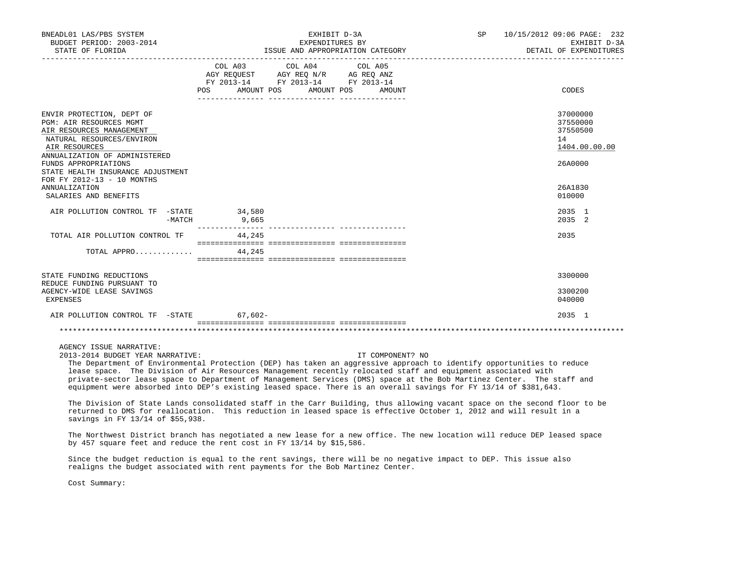| BNEADL01 LAS/PBS SYSTEM<br>BUDGET PERIOD: 2003-2014<br>STATE OF FLORIDA                                                                                                                                                                                    |                   | EXHIBIT D-3A<br>EXPENDITURES BY<br>ISSUE AND APPROPRIATION CATEGORY                                                       | <b>SP</b> | 10/15/2012 09:06 PAGE: 232<br>EXHIBIT D-3A<br>DETAIL OF EXPENDITURES |
|------------------------------------------------------------------------------------------------------------------------------------------------------------------------------------------------------------------------------------------------------------|-------------------|---------------------------------------------------------------------------------------------------------------------------|-----------|----------------------------------------------------------------------|
|                                                                                                                                                                                                                                                            | AMOUNT POS<br>POS | COL A03 COL A04 COL A05<br>AGY REQUEST AGY REQ N/R AG REQ ANZ<br>FY 2013-14 FY 2013-14 FY 2013-14<br>AMOUNT POS<br>AMOUNT |           | CODES                                                                |
| ENVIR PROTECTION, DEPT OF<br>PGM: AIR RESOURCES MGMT<br>AIR RESOURCES MANAGEMENT<br>NATURAL RESOURCES/ENVIRON<br>AIR RESOURCES<br>ANNUALIZATION OF ADMINISTERED<br>FUNDS APPROPRIATIONS<br>STATE HEALTH INSURANCE ADJUSTMENT<br>FOR FY 2012-13 - 10 MONTHS |                   |                                                                                                                           |           | 37000000<br>37550000<br>37550500<br>14<br>1404.00.00.00<br>26A0000   |
| <b>ANNUALIZATION</b><br>SALARIES AND BENEFITS                                                                                                                                                                                                              |                   |                                                                                                                           |           | 26A1830<br>010000                                                    |
| AIR POLLUTION CONTROL TF -STATE<br>-MATCH                                                                                                                                                                                                                  | 34,580<br>9,665   | ------------- ----------------                                                                                            |           | 2035 1<br>2035 2                                                     |
| TOTAL AIR POLLUTION CONTROL TF<br>TOTAL APPRO                                                                                                                                                                                                              | 44,245<br>44,245  |                                                                                                                           |           | 2035                                                                 |
|                                                                                                                                                                                                                                                            |                   |                                                                                                                           |           |                                                                      |
| STATE FUNDING REDUCTIONS<br>REDUCE FUNDING PURSUANT TO<br>AGENCY-WIDE LEASE SAVINGS<br><b>EXPENSES</b>                                                                                                                                                     |                   |                                                                                                                           |           | 3300000<br>3300200<br>040000                                         |
| AIR POLLUTION CONTROL TF -STATE 67,602-                                                                                                                                                                                                                    |                   |                                                                                                                           |           | 2035 1                                                               |
|                                                                                                                                                                                                                                                            |                   |                                                                                                                           |           |                                                                      |

AGENCY ISSUE NARRATIVE:

2013-2014 BUDGET YEAR NARRATIVE: IT COMPONENT? NO

 The Department of Environmental Protection (DEP) has taken an aggressive approach to identify opportunities to reduce lease space. The Division of Air Resources Management recently relocated staff and equipment associated with private-sector lease space to Department of Management Services (DMS) space at the Bob Martinez Center. The staff and equipment were absorbed into DEP's existing leased space. There is an overall savings for FY 13/14 of \$381,643.

 The Division of State Lands consolidated staff in the Carr Building, thus allowing vacant space on the second floor to be returned to DMS for reallocation. This reduction in leased space is effective October 1, 2012 and will result in a savings in FY 13/14 of \$55,938.

 The Northwest District branch has negotiated a new lease for a new office. The new location will reduce DEP leased space by 457 square feet and reduce the rent cost in FY 13/14 by \$15,586.

 Since the budget reduction is equal to the rent savings, there will be no negative impact to DEP. This issue also realigns the budget associated with rent payments for the Bob Martinez Center.